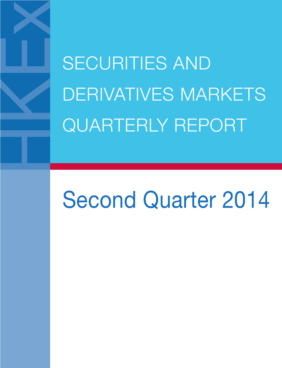SECURITIES AND DERIVATIVES MARKETS QUARTERLY REPORT

# Second Quarter 2014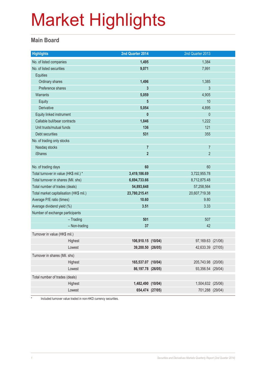#### **Main Board**

| <b>Highlights</b>                       |               | 2nd Quarter 2014    | 2nd Quarter 2013   |  |
|-----------------------------------------|---------------|---------------------|--------------------|--|
| No. of listed companies                 |               | 1,495               | 1,384              |  |
| No. of listed securities                |               | 9,071               | 7,991              |  |
| <b>Equities</b>                         |               |                     |                    |  |
| Ordinary shares                         |               | 1,496               | 1,385              |  |
| Preference shares                       |               | 3                   | $\mathfrak{Z}$     |  |
| <b>Warrants</b>                         |               | 5,059               | 4,905              |  |
| Equity                                  |               | 5                   | 10                 |  |
| Derivative                              |               | 5,054               | 4,895              |  |
| Equity linked instrument                |               | $\mathbf{0}$        | $\theta$           |  |
| Callable bull/bear contracts            |               | 1,846               | 1,222              |  |
| Unit trusts/mutual funds                |               | 136                 | 121                |  |
| <b>Debt securities</b>                  |               | 531                 | 355                |  |
| No. of trading only stocks              |               |                     |                    |  |
| Nasdaq stocks                           |               | $\overline{7}$      | $\overline{7}$     |  |
| <b>iShares</b>                          |               | $\overline{2}$      | $\overline{2}$     |  |
|                                         |               |                     |                    |  |
| No. of trading days                     |               | 60                  | 60                 |  |
| Total turnover in value (HK\$ mil.) *   |               | 3,419,186.69        | 3,722,955.78       |  |
| Total turnover in shares (Mil. shs)     |               | 6,694,733.66        | 8,712,875.48       |  |
| Total number of trades (deals)          |               | 54,893,648          | 57,258,564         |  |
| Total market capitalisation (HK\$ mil.) |               | 23,780,215.41       | 20,607,719.38      |  |
| Average P/E ratio (times)               |               | 10.60               | 9.80               |  |
| Average dividend yield (%)              |               | 3.51                | 3.33               |  |
| Number of exchange participants         |               |                     |                    |  |
|                                         | $-$ Trading   | 501                 | 507                |  |
|                                         | - Non-trading | 37                  | 42                 |  |
| Turnover in value (HK\$ mil.)           |               |                     |                    |  |
|                                         | Highest       | 106,910.15 (10/04)  | 97,169.63 (21/06)  |  |
|                                         | Lowest        | 39,200.50 (26/05)   | 42,633.39 (27/05)  |  |
| Turnover in shares (Mil. shs)           |               |                     |                    |  |
|                                         | Highest       | 165,537.07 (10/04)  | 205,743.98 (20/06) |  |
|                                         | Lowest        | 86, 197. 78 (26/05) | 93,356.54 (29/04)  |  |
| Total number of trades (deals)          |               |                     |                    |  |
|                                         | Highest       | 1,482,490 (10/04)   | 1,504,632 (25/06)  |  |
|                                         | Lowest        | 654,474 (27/05)     | 701,288 (29/04)    |  |
|                                         |               |                     |                    |  |

\* Included turnover value traded in non-HKD currency securities.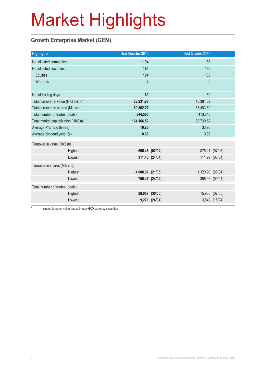### **Growth Enterprise Market (GEM)**

| <b>Highlights</b>                       |         | 2nd Quarter 2014 |                | 2nd Quarter 2013 |                |
|-----------------------------------------|---------|------------------|----------------|------------------|----------------|
| No. of listed companies                 |         | 194              |                | 183              |                |
| No. of listed securities                |         | 194              |                | 183              |                |
| Equities                                |         | 194              |                | 183              |                |
| Warrants                                |         | $\mathbf{0}$     |                | $\theta$         |                |
|                                         |         |                  |                |                  |                |
| No. of trading days                     |         | 60               |                | 60               |                |
| Total turnover in value (HK\$ mil.) *   |         | 28,231.96        |                | 15,384.62        |                |
| Total turnover in shares (Mil. shs)     |         | 80,562.77        |                | 38,483.69        |                |
| Total number of trades (deals)          |         | 844,565          |                | 413,646          |                |
| Total market capitalisation (HK\$ mil.) |         | 164,166.52       |                | 98,730.52        |                |
| Average P/E ratio (times)               |         | 10.86            |                | 33.95            |                |
| Average dividend yield (%)              |         | 0.66             |                | 0.93             |                |
| Turnover in value (HK\$ mil.)           |         |                  |                |                  |                |
|                                         | Highest |                  | 695.46 (02/04) |                  | 875.41 (07/05) |
|                                         | Lowest  |                  | 311.40 (24/04) |                  | 111.99 (03/04) |
| Turnover in shares (Mil. shs)           |         |                  |                |                  |                |
|                                         | Highest | 4,008.97 (21/05) |                | 1,320.90 (26/04) |                |
|                                         | Lowest  |                  | 756.47 (24/04) |                  | 356.46 (09/04) |
|                                         |         |                  |                |                  |                |
| Total number of trades (deals)          |         |                  |                |                  |                |
|                                         | Highest |                  | 20,057 (30/05) |                  | 15,938 (07/05) |
|                                         | Lowest  |                  | 9,271 (24/04)  |                  | 3,549 (15/04)  |

Included turnover value traded in non-HKD currency securities.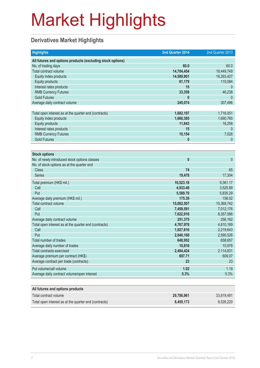### **Derivatives Market Highlights**

| <b>Highlights</b>                                                                           | 2nd Quarter 2014     | 2nd Quarter 2013     |
|---------------------------------------------------------------------------------------------|----------------------|----------------------|
| All futures and options products (excluding stock options)                                  |                      |                      |
| No. of trading days                                                                         | 60.0                 | 60.0                 |
| Total contract volume                                                                       | 14,704,454           | 18,449,749           |
| Equity index products                                                                       | 14,589,901           | 18,293,427           |
| <b>Equity products</b>                                                                      | 81,179               | 110,084              |
| Interest rates products                                                                     | 15                   | $\theta$             |
| <b>RMB Currency Futures</b>                                                                 | 33,359               | 46,238               |
| <b>Gold Futures</b>                                                                         | 0                    | $\mathbf{0}$         |
| Average daily contract volume                                                               | 245,074              | 307,496              |
|                                                                                             |                      |                      |
| Total open interest as at the quarter end (contracts)                                       | 1,682,197            | 1,716,051            |
| Equity index products                                                                       | 1,660,385            | 1,690,765            |
| <b>Equity products</b>                                                                      | 11,643               | 18,258               |
| Interest rates products                                                                     | 15                   | $\theta$             |
| <b>RMB Currency Futures</b>                                                                 | 10,154               | 7,028                |
| <b>Gold Futures</b>                                                                         | 0                    | $\mathbf{0}$         |
|                                                                                             |                      |                      |
| <b>Stock options</b>                                                                        |                      |                      |
| No. of newly introduced stock options classes<br>No. of stock options as at the quarter end | $\bf{0}$             | $\mathbf{0}$         |
| <b>Class</b>                                                                                | 74                   | 65                   |
| <b>Series</b>                                                                               | 19,478               | 17,304               |
|                                                                                             |                      |                      |
| Total premium (HK\$ mil.)                                                                   | 10,523.18            | 9,361.17             |
| Call                                                                                        | 4,933.48             | 3,525.89             |
| Put                                                                                         | 5,589.70             | 5,835.29             |
| Average daily premium (HK\$ mil.)                                                           | 175.39               | 156.02               |
| Total contract volume                                                                       | 15,082,507           | 15,369,742           |
| Call                                                                                        | 7,459,591            | 7,012,176            |
| Put<br>Average daily contract volume                                                        | 7,622,916<br>251,375 | 8,357,566<br>256,162 |
| Total open interest as at the quarter end (contracts)                                       | 4,767,976            | 4,810,169            |
| Call                                                                                        | 1,927,816            | 2,219,643            |
| Put                                                                                         | 2,840,160            | 2,590,526            |
| Total number of trades                                                                      | 648,952              | 658,657              |
| Average daily number of trades                                                              | 10,816               | 10,978               |
| <b>Total contracts exercised</b>                                                            | 2,484,424            | 2,114,831            |
| Average premium per contract (HK\$)                                                         | 697.71               | 609.07               |
| Average contract per trade (contracts)                                                      | 23                   | 23                   |
|                                                                                             |                      |                      |
| Put volume/call volume                                                                      | 1.02                 | 1.19                 |
| Average daily contract volume/open interest                                                 | 5.3%                 | 5.3%                 |
|                                                                                             |                      |                      |
| All futures and options products                                                            |                      |                      |
| Total contract volume                                                                       | 29,786,961           | 33,819,491           |
| Total open interest as at the quarter end (contracts)                                       | 6,450,173            | 6,526,220            |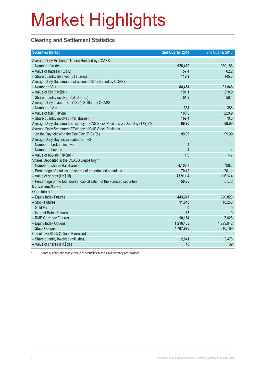### **Clearing and Settlement Statistics**

| <b>Securities Market</b>                                                        | 2nd Quarter 2014        | 2nd Quarter 2013 |
|---------------------------------------------------------------------------------|-------------------------|------------------|
| Average Daily Exchange Trades Handled by CCASS                                  |                         |                  |
| - Number of trades                                                              | 928,429                 | 960,186          |
| - Value of trades (HK\$bil.)                                                    | 57.4                    | 62.2             |
| - Share quantity Involved (bil shares)                                          | 112.9                   | 145.8            |
| Average Daily Settlement Instructions ("SIs") Settled by CCASS                  |                         |                  |
| - Number of SIs                                                                 | 84,454                  | 81,848           |
| - Value of SIs (HK\$bil.)                                                       | 191.1                   | 218.9            |
| - Share quantity involved (bil. Shares)                                         | 51.8                    | 58.4             |
| Average Daily Investor SIs ("ISIs") Settled by CCASS                            |                         |                  |
| - Number of ISIs                                                                | 334                     | 386              |
| - Value of ISIs (HK\$mil.)                                                      | 188.6                   | 229.9            |
| - Share quantity involved (mil. shares)                                         | 169.4                   | 70.5             |
| Average Daily Settlement Efficiency of CNS Stock Positions on Due Day (T+2) (%) | 99.90                   | 99.89            |
| Average Daily Settlement Efficiency of CNS Stock Positions                      |                         |                  |
| on the Day following the Due Day (T+3) (%)                                      | 99.99                   | 99.99            |
| Average Daily Buy-ins Executed on T+3                                           |                         |                  |
| - Number of brokers involved                                                    | 4                       | 4                |
| - Number of buy-ins                                                             | $\overline{\mathbf{4}}$ | $\overline{4}$   |
| - Value of buy-ins (HK\$mil)                                                    | 1.6                     | 4.7              |
| Shares Deposited in the CCASS Depository *                                      |                         |                  |
| - Number of shares (bil shares)                                                 | 4,100.7                 | 3,726.3          |
| - Percentage of total issued shares of the admitted securities                  | 70.42                   | 70.11            |
| - Value of shares (HK\$bil)                                                     | 13,911.4                | 11,616.4         |
| - Percentage of the total market capitalisation of the admitted securities      | 50.86                   | 51.72            |
| <b>Derivatives Market</b>                                                       |                         |                  |
| Open Interest                                                                   |                         |                  |
| - Equity Index Futures                                                          | 443,977                 | 390,823          |
| - Stock Futures                                                                 | 11,643                  | 18,258           |
| - Gold Futures                                                                  | $\mathbf{0}$            | $\theta$         |
| - Interest Rates Futures                                                        | 15                      | $\Omega$         |
| - RMB Currency Futures                                                          | 10,154                  | 7,028            |
| - Equity Index Options                                                          | 1,216,408               | 1,299,942        |
| - Stock Options                                                                 | 4,767,976               | 4,810,169        |
| <b>Cumulative Stock Options Exercised</b>                                       |                         |                  |
| - Share quantity involved (mil. shs)                                            | 2,641                   | 2,478            |
| - Value of shares (HK\$bil.)                                                    | 43                      | 39               |

Share quantity and market value of securities in non-HKD currency are included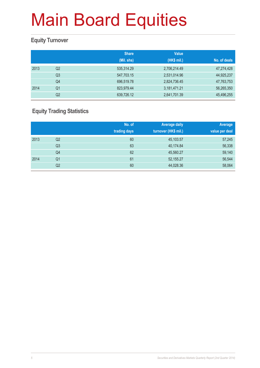### **Equity Turnover**

|      |                | <b>Share</b> | <b>Value</b> |              |
|------|----------------|--------------|--------------|--------------|
|      |                | (Mil. shs)   | (HK\$ mil.)  | No. of deals |
| 2013 | Q <sub>2</sub> | 535,314.29   | 2,706,214.49 | 47,274,428   |
|      | Q <sub>3</sub> | 547,703.15   | 2,531,014.96 | 44,925,237   |
|      | Q4             | 696,519.78   | 2,824,736.45 | 47,763,753   |
| 2014 | Q1             | 823,979.44   | 3,181,471.21 | 56,265,350   |
|      | Q2             | 639,726.12   | 2,641,701.39 | 45,496,255   |

### **Equity Trading Statistics**

|      |                | No. of<br>trading days | <b>Average daily</b><br>turnover (HK\$ mil.) | Average<br>value per deal |
|------|----------------|------------------------|----------------------------------------------|---------------------------|
| 2013 | Q2             | 60                     | 45,103.57                                    | 57,245                    |
|      | Q <sub>3</sub> | 63                     | 40,174.84                                    | 56,338                    |
|      | Q4             | 62                     | 45,560.27                                    | 59,140                    |
| 2014 | Q <sub>1</sub> | 61                     | 52,155.27                                    | 56,544                    |
|      | Q2             | 60                     | 44,028.36                                    | 58,064                    |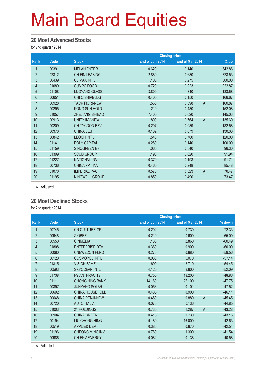#### **20 Most Advanced Stocks**

for 2nd quarter 2014

|                |       |                        |                 | <b>Closing price</b> |                          |
|----------------|-------|------------------------|-----------------|----------------------|--------------------------|
| <b>Rank</b>    | Code  | <b>Stock</b>           | End of Jun 2014 | End of Mar 2014      | $%$ up                   |
| 1              | 00391 | <b>MEI AH ENTER</b>    | 0.620           | 0.140                | 342.86                   |
| $\overline{2}$ | 02312 | <b>CH FIN LEASING</b>  | 2.880           | 0.680                | 323.53                   |
| 3              | 00439 | <b>CLIMAX INT'L</b>    | 1.100           | 0.275                | 300.00                   |
| 4              | 01089 | SUMPO FOOD             | 0.720           | 0.223                | 222.87                   |
| $\overline{5}$ | 01108 | <b>LUOYANG GLASS</b>   | 3.800           | 1.340                | 183.58                   |
| 6              | 00651 | <b>CHI O SHIPBLDG</b>  | 0.400           | 0.150                | 166.67                   |
| $\overline{7}$ | 00928 | <b>TACK FIORI-NEW</b>  | 1.560           | 0.598                | $\overline{A}$<br>160.87 |
| 8              | 00295 | KONG SUN HOLD          | 1.210           | 0.480                | 152.08                   |
| 9              | 01057 | <b>ZHEJIANG SHIBAO</b> | 7.400           | 3.020                | 145.03                   |
| 10             | 00913 | <b>UNITY INV-NEW</b>   | 1.800           | 0.764                | $\overline{A}$<br>135.60 |
| 11             | 00209 | CH TYCOON BEV          | 0.207           | 0.089                | 132.58                   |
| 12             | 00370 | <b>CHINA BEST</b>      | 0.182           | 0.079                | 130.38                   |
| 13             | 00842 | <b>LEOCH INT'L</b>     | 1.540           | 0.700                | 120.00                   |
| 14             | 01141 | POLY CAPITAL           | 0.280           | 0.140                | 100.00                   |
| 15             | 01159 | SINOGREEN EN           | 1.060           | 0.540                | 96.30                    |
| 16             | 01399 | <b>SCUD GROUP</b>      | 1.190           | 0.620                | 91.94                    |
| 17             | 01227 | <b>NATIONAL INV</b>    | 0.370           | 0.193                | 91.71                    |
| 18             | 00736 | <b>CHINA PPT INV</b>   | 0.460           | 0.248                | 85.48                    |
| 19             | 01076 | <b>IMPERIAL PAC</b>    | 0.570           | 0.323                | $\overline{A}$<br>76.47  |
| 20             | 01195 | <b>KINGWELL GROUP</b>  | 0.850           | 0.490                | 73.47                    |

A Adjusted

#### **20 Most Declined Stocks**

for 2nd quarter 2014

|                |       |                        | <b>Closing price</b> |                         |          |  |
|----------------|-------|------------------------|----------------------|-------------------------|----------|--|
| Rank           | Code  | <b>Stock</b>           | End of Jun 2014      | End of Mar 2014         | % down   |  |
| 1              | 00745 | CN CULTURE GP          | 0.202                | 0.730                   | $-72.33$ |  |
| $\overline{2}$ | 00948 | Z-OBEE                 | 0.210                | 0.600                   | $-65.00$ |  |
| 3              | 00550 | <b>CINMEDIA</b>        | 1.130                | 2.860                   | $-60.49$ |  |
| 4              | 01808 | <b>ENTERPRISE DEV</b>  | 0.360                | 0.900                   | $-60.00$ |  |
| 5              | 00080 | <b>CNEWECON FUND</b>   | 0.275                | 0.680                   | $-59.56$ |  |
| 6              | 00120 | <b>COSMOPOL INT'L</b>  | 0.030                | 0.070                   | $-57.14$ |  |
| $\overline{7}$ | 01315 | <b>VISION FAME</b>     | 1.690                | 3.710                   | $-54.45$ |  |
| 8              | 00593 | <b>SKYOCEAN INTL</b>   | 4.120                | 8.600                   | $-52.09$ |  |
| 9              | 01738 | <b>FS ANTHRACITE</b>   | 6.750                | 13.200                  | $-48.86$ |  |
| 10             | 01111 | <b>CHONG HING BANK</b> | 14.160               | 27.100                  | $-47.75$ |  |
| 11             | 00397 | <b>JUNYANG SOLAR</b>   | 0.053                | 0.101                   | $-47.52$ |  |
| 12             | 00692 | <b>CHINA HOUSEHOLD</b> | 0.485                | 0.900                   | $-46.11$ |  |
| 13             | 00648 | CHINA RENJI-NEW        | 0.480                | $\overline{A}$<br>0.880 | $-45.45$ |  |
| 14             | 00720 | <b>AUTO ITALIA</b>     | 0.075                | 0.136                   | $-44.85$ |  |
| 15             | 01003 | 21 HOLDINGS            | 0.730                | $\overline{A}$<br>1.287 | $-43.28$ |  |
| 16             | 00904 | <b>CHINA GREEN</b>     | 0.415                | 0.730                   | $-43.15$ |  |
| 17             | 00194 | LIU CHONG HING         | 9.180                | 16,000                  | $-42.63$ |  |
| 18             | 00519 | <b>APPLIED DEV</b>     | 0.385                | 0.670                   | $-42.54$ |  |
| 19             | 01196 | <b>CHEONG MING INV</b> | 0.760                | 1.300                   | $-41.54$ |  |
| 20             | 00986 | CH ENV ENERGY          | 0.082                | 0.138                   | $-40.58$ |  |

A Adjusted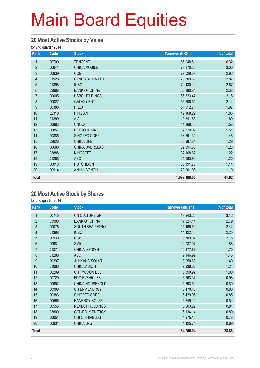#### **20 Most Active Stocks by Value**

for 2nd quarter 2014

| Rank           | Code  | <b>Stock</b>           | Turnover (HK\$ mil.) | % of total |
|----------------|-------|------------------------|----------------------|------------|
| 1              | 00700 | <b>TENCENT</b>         | 166,948.81           | 6.32       |
| $\overline{2}$ | 00941 | <b>CHINA MOBILE</b>    | 79,370.26            | 3.00       |
| $\mathfrak{S}$ | 00939 | <b>CCB</b>             | 77,029.59            | 2.92       |
| $\overline{4}$ | 01928 | <b>SANDS CHINA LTD</b> | 75,809.56            | 2.87       |
| $\overline{5}$ | 01398 | <b>ICBC</b>            | 70,430.14            | 2.67       |
| $6\phantom{a}$ | 03988 | <b>BANK OF CHINA</b>   | 62,880.84            | 2.38       |
| $\overline{7}$ | 00005 | <b>HSBC HOLDINGS</b>   | 56,723.47            | 2.15       |
| 8              | 00027 | <b>GALAXY ENT</b>      | 56,606.51            | 2.14       |
| 9              | 00388 | <b>HKEX</b>            | 51,912.71            | 1.97       |
| 10             | 02318 | <b>PING AN</b>         | 49,168.29            | 1.86       |
| 11             | 01299 | AIA                    | 42,341.65            | 1.60       |
| 12             | 00883 | <b>CNOOC</b>           | 41,868.40            | 1.58       |
| 13             | 00857 | <b>PETROCHINA</b>      | 39,879.02            | 1.51       |
| 14             | 00386 | SINOPEC CORP           | 38,591.31            | 1.46       |
| 15             | 02628 | <b>CHINA LIFE</b>      | 33,987.84            | 1.29       |
| 16             | 00688 | CHINA OVERSEAS         | 32,894.38            | 1.25       |
| 17             | 03888 | <b>KINGSOFT</b>        | 32,168.62            | 1.22       |
| 18             | 01288 | <b>ABC</b>             | 31,683.90            | 1.20       |
| 19             | 00013 | <b>HUTCHISON</b>       | 30,191.78            | 1.14       |
| 20             | 00914 | <b>ANHUI CONCH</b>     | 29,001.98            | 1.10       |
| <b>Total</b>   |       |                        | 1,099,489.06         | 41.62      |

#### **20 Most Active Stock by Shares**

for 2nd quarter 2014

| <b>Rank</b>      | Code  | <b>Stock</b>           | <b>Turnover (Mil. shs)</b> | % of total |
|------------------|-------|------------------------|----------------------------|------------|
| $\mathbf{1}$     | 00745 | CN CULTURE GP          | 19,943.26                  | 3.12       |
| $\overline{2}$   | 03988 | <b>BANK OF CHINA</b>   | 17,824.14                  | 2.79       |
| 3                | 00076 | SOUTH SEA PETRO        | 15,466.59                  | 2.42       |
| $\overline{4}$   | 01398 | <b>ICBC</b>            | 14,422.45                  | 2.25       |
| 5                | 00939 | <b>CCB</b>             | 13,809.02                  | 2.16       |
| 6                | 00981 | <b>SMIC</b>            | 12,037.07                  | 1.88       |
| $\overline{7}$   | 01371 | <b>CHINA LOTSYN</b>    | 10,877.67                  | 1.70       |
| 8                | 01288 | <b>ABC</b>             | 9,146.99                   | 1.43       |
| $\boldsymbol{9}$ | 00397 | <b>JUNYANG SOLAR</b>   | 8,950.60                   | 1.40       |
| 10               | 01060 | <b>CHINAVISION</b>     | 7,936.62                   | 1.24       |
| 11               | 00209 | CH TYCOON BEV          | 6,390.99                   | 1.00       |
| 12               | 00729 | <b>FDG EVEHICLES</b>   | 6,263.37                   | 0.98       |
| 13               | 00692 | CHINA HOUSEHOLD        | 5,693.50                   | 0.89       |
| 14               | 00986 | CH ENV ENERGY          | 5,476.46                   | 0.86       |
| 15               | 00386 | SINOPEC CORP           | 5,429.95                   | 0.85       |
| 16               | 00566 | <b>HANERGY SOLAR</b>   | 5,349.12                   | 0.84       |
| 17               | 00555 | <b>REXLOT HOLDINGS</b> | 5,203.22                   | 0.81       |
| 18               | 03800 | <b>GCL-POLY ENERGY</b> | 5,134.14                   | 0.80       |
| 19               | 00651 | CHI O SHIPBLDG         | 4,975.15                   | 0.78       |
| 20               | 00931 | <b>CHINA LNG</b>       | 4,425.74                   | 0.69       |
| <b>Total</b>     |       |                        | 184,756.04                 | 28.88      |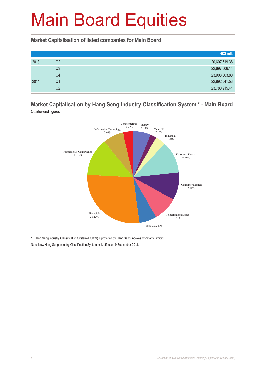**Market Capitalisation of listed companies for Main Board**

|      |                | HK\$ mil.     |
|------|----------------|---------------|
| 2013 | Q2             | 20,607,719.38 |
|      | Q3             | 22,697,506.14 |
|      | Q4             | 23,908,803.80 |
| 2014 | Q <sub>1</sub> | 22,892,041.53 |
|      | Q2             | 23,780,215.41 |

**Market Capitalisation by Hang Seng Industry Classification System \* - Main Board** Quarter-end figures



\* Hang Seng Industry Classification System (HSICS) is provided by Hang Seng Indexes Company Limited.

Note: New Hang Seng Industry Classification System took effect on 9 September 2013.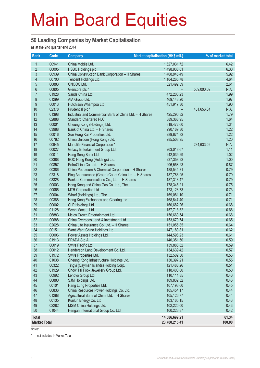#### **50 Leading Companies by Market Capitalisation**

as at the 2nd quarter end 2014

| Rank                | Code  | <b>Company</b>                                          | Market capitalisation (HK\$ mil.) | % of market total |        |
|---------------------|-------|---------------------------------------------------------|-----------------------------------|-------------------|--------|
| $\mathbf{1}$        | 00941 | China Mobile Ltd.                                       | 1,527,031.72                      |                   | 6.42   |
| $\overline{2}$      | 00005 | <b>HSBC Holdings plc</b>                                | 1,498,938.01                      |                   | 6.30   |
| 3                   | 00939 | China Construction Bank Corporation - H Shares          | 1,408,845.49                      |                   | 5.92   |
| 4                   | 00700 | Tencent Holdings Ltd.                                   | 1,104,265.78                      |                   | 4.64   |
| 5                   | 00883 | CNOOC Ltd.                                              | 621,492.59                        |                   | 2.61   |
| $6\phantom{a}$      | 00805 | Glencore plc *                                          |                                   | 569,000.09        | N.A.   |
| $\overline{7}$      | 01928 | Sands China Ltd.                                        | 472,206.23                        |                   | 1.99   |
| 8                   | 01299 | AIA Group Ltd.                                          | 469,143.20                        |                   | 1.97   |
| $\overline{9}$      | 00013 | Hutchison Whampoa Ltd.                                  | 451,917.30                        |                   | 1.90   |
| 10                  | 02378 | Prudential plc *                                        |                                   | 451,656.04        | N.A.   |
| 11                  | 01398 | Industrial and Commercial Bank of China Ltd. - H Shares | 425,290.82                        |                   | 1.79   |
| 12                  | 02888 | <b>Standard Chartered PLC</b>                           | 389,368.95                        |                   | 1.64   |
| 13                  | 00001 | Cheung Kong (Holdings) Ltd.                             | 318,472.60                        |                   | 1.34   |
| 14                  | 03988 | Bank of China Ltd. - H Shares                           | 290,169.30                        |                   | 1.22   |
| 15                  | 00016 | Sun Hung Kai Properties Ltd.                            | 289,674.82                        |                   | 1.22   |
| 16                  | 00762 | China Unicom (Hong Kong) Ltd.                           | 285,508.95                        |                   | 1.20   |
| 17                  | 00945 | Manulife Financial Corporation *                        |                                   | 284,633.09        | N.A.   |
| 18                  | 00027 | Galaxy Entertainment Group Ltd.                         | 263,018.67                        |                   | 1.11   |
| 19                  | 00011 | Hang Seng Bank Ltd.                                     | 242,039.29                        |                   | 1.02   |
| 20                  | 02388 | BOC Hong Kong (Holdings) Ltd.                           | 237,358.92                        |                   | 1.00   |
| 21                  | 00857 | PetroChina Co. Ltd. - H Shares                          | 206,558.23                        |                   | 0.87   |
| 22                  | 00386 | China Petroleum & Chemical Corporation - H Shares       | 188,544.31                        |                   | 0.79   |
| 23                  | 02318 | Ping An Insurance (Group) Co. of China Ltd. - H Shares  | 187,783.95                        |                   | 0.79   |
| 24                  | 03328 | Bank of Communications Co., Ltd. - H Shares             | 187,313.47                        |                   | 0.79   |
| 25                  | 00003 | Hong Kong and China Gas Co. Ltd., The                   | 178,345.21                        |                   | 0.75   |
| 26                  | 00066 | MTR Corporation Ltd.                                    | 173, 123. 73                      |                   | 0.73   |
| 27                  | 00004 | Wharf (Holdings) Ltd., The                              | 169,081.10                        |                   | 0.71   |
| 28                  | 00388 | Hong Kong Exchanges and Clearing Ltd.                   | 168,647.40                        |                   | 0.71   |
| 29                  | 00002 | CLP Holdings Ltd.                                       | 160,682.26                        |                   | 0.68   |
| 30                  | 01128 | Wynn Macau, Ltd.                                        | 157,713.32                        |                   | 0.66   |
| 31                  | 06883 | Melco Crown Entertainment Ltd.                          | 156,663.54                        |                   | 0.66   |
| 32                  | 00688 | China Overseas Land & Investment Ltd.                   | 153,670.74                        |                   | 0.65   |
| 33                  | 02628 | China Life Insurance Co. Ltd. - H Shares                | 151,055.85                        |                   | 0.64   |
| 34                  | 00151 | Want Want China Holdings Ltd.                           | 147, 183.81                       |                   | 0.62   |
| 35                  | 00006 | Power Assets Holdings Ltd.                              | 144,596.23                        |                   | 0.61   |
| 36                  | 01913 | PRADA S.p.A.                                            | 140,351.50                        |                   | 0.59   |
| 37                  | 00019 | Swire Pacific Ltd.                                      | 139,886.82                        |                   | 0.59   |
| 38                  | 00012 | Henderson Land Development Co. Ltd.                     | 134,639.42                        |                   | 0.57   |
| 39                  | 01972 | Swire Properties Ltd.                                   | 132,502.50                        |                   | 0.56   |
| 40                  | 01038 | Cheung Kong Infrastructure Holdings Ltd.                | 130,397.21                        |                   | 0.55   |
| 41                  | 00322 | Tingyi (Cayman Islands) Holding Corp.                   | 121,488.26                        |                   | 0.51   |
| 42                  | 01929 | Chow Tai Fook Jewellery Group Ltd.                      | 118,400.00                        |                   | 0.50   |
| 43                  | 00992 | Lenovo Group Ltd.                                       | 110,111.85                        |                   | 0.46   |
| 44                  | 00880 | SJM Holdings Ltd.                                       | 109,832.32                        |                   | 0.46   |
| 45                  | 00101 | Hang Lung Properties Ltd.                               | 107,193.60                        |                   | 0.45   |
| 46                  | 00836 | China Resources Power Holdings Co. Ltd.                 | 105,454.17                        |                   | 0.44   |
| 47                  | 01288 | Agricultural Bank of China Ltd. - H Shares              | 105,126.77                        |                   | 0.44   |
| 48                  | 00135 | Kunlun Energy Co. Ltd.                                  | 103,165.15                        |                   | 0.43   |
| 49                  | 02282 | MGM China Holdings Ltd.                                 | 102,220.00                        |                   | 0.43   |
| 50                  | 01044 | Hengan International Group Co. Ltd.                     | 100,223.87                        |                   | 0.42   |
| <b>Total</b>        |       |                                                         | 14,586,699.21                     |                   | 61.34  |
| <b>Market Total</b> |       |                                                         | 23,780,215.41                     |                   | 100.00 |

Notes:

\* not included in Market Total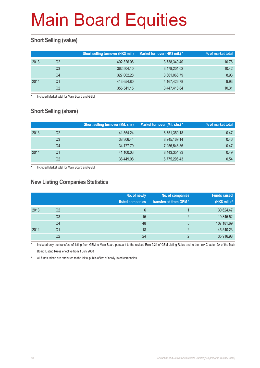### **Short Selling (value)**

|      |    | Short selling turnover (HK\$ mil.) | Market turnover (HK\$ mil.) * | % of market total |
|------|----|------------------------------------|-------------------------------|-------------------|
| 2013 | Q2 | 402,326.06                         | 3,738,340.40                  | 10.76             |
|      | Q3 | 362,504.10                         | 3,478,201.02                  | 10.42             |
|      | Q4 | 327,062.28                         | 3,661,066.79                  | 8.93              |
| 2014 | Q1 | 413,654.80                         | 4,167,426.78                  | 9.93              |
|      | Q2 | 355,541.15                         | 3,447,418.64                  | 10.31             |

Included Market total for Main Board and GEM

### **Short Selling (share)**

|      |    | <b>Short selling turnover (Mil. shs)</b> | Market turnover (Mil. shs) * | % of market total |
|------|----|------------------------------------------|------------------------------|-------------------|
| 2013 | Q2 | 41.554.24                                | 8,751,359.18                 | 0.47              |
|      | Q3 | 38,306.44                                | 8,245,169.14                 | 0.46              |
|      | Q4 | 34,177.79                                | 7,256,548.86                 | 0.47              |
| 2014 | Q1 | 41,100.03                                | 8,443,354.93                 | 0.49              |
|      | Q2 | 36,449.08                                | 6,775,296.43                 | 0.54              |

Included Market total for Main Board and GEM

#### **New Listing Companies Statistics**

|      |                | No. of newly<br>listed companies | No. of companies<br>transferred from GEM* | <b>Funds raised</b><br>(HK\$ mil.) # |
|------|----------------|----------------------------------|-------------------------------------------|--------------------------------------|
| 2013 | Q <sub>2</sub> | 6                                |                                           | 30,624.47                            |
|      | Q <sub>3</sub> | 15                               | C                                         | 19,845.52                            |
|      | Q4             | 48                               | 5                                         | 107,181.69                           |
| 2014 | Q1             | 18                               | ာ                                         | 45,540.23                            |
|      | Q2             | 24                               | ာ                                         | 35,916.98                            |

Included only the transfers of listing from GEM to Main Board pursuant to the revised Rule 9.24 of GEM Listing Rules and to the new Chapter 9A of the Main Board Listing Rules effective from 1 July 2008

# All funds raised are attributed to the initial public offers of newly listed companies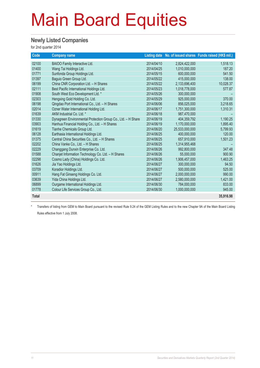#### **Newly Listed Companies**

for 2nd quarter 2014

| Code         | <b>Company name</b>                                          |            |                | Listing date No. of issued shares Funds raised (HK\$ mil.) |
|--------------|--------------------------------------------------------------|------------|----------------|------------------------------------------------------------|
| 02100        | BAIOO Family Interactive Ltd.                                | 2014/04/10 | 2,824,422,000  | 1,518.13                                                   |
| 01400        | Wang Tai Holdings Ltd.                                       | 2014/04/25 | 1,010,000,000  | 187.20                                                     |
| 01771        | Sunfonda Group Holdings Ltd.                                 | 2014/05/15 | 600.000.000    | 541.50                                                     |
| 01397        | Baguio Green Group Ltd.                                      | 2014/05/22 | 415,000,000    | 138.00                                                     |
| 06199        | China CNR Corporation Ltd. - H Shares                        | 2014/05/22 | 2,133,696,400  | 10,028.37                                                  |
| 02111        | Best Pacific International Holdings Ltd.                     | 2014/05/23 | 1,018,778,000  | 577.87                                                     |
| 01908        | South West Eco Development Ltd. *                            | 2014/05/26 | 300,000,000    |                                                            |
| 02303        | Hengxing Gold Holding Co. Ltd.                               | 2014/05/29 | 925.000.000    | 370.00                                                     |
| 06198        | Qingdao Port International Co., Ltd. - H Shares              | 2014/06/06 | 856,025,000    | 3,218.65                                                   |
| 02014        | Ozner Water International Holding Ltd.                       | 2014/06/17 | 1,751,300,000  | 1,310.31                                                   |
| 01639        | AKM Industrial Co. Ltd. *                                    | 2014/06/18 | 987.470.000    |                                                            |
| 01330        | Dynagreen Environmental Protection Group Co., Ltd. - H Share | 2014/06/19 | 404,359,792    | 1,190.25                                                   |
| 03903        | Hanhua Financial Holding Co., Ltd. - H Shares                | 2014/06/19 | 1.170.000.000  | 1.895.40                                                   |
| 01619        | Tianhe Chemicals Group Ltd.                                  | 2014/06/20 | 25,533,000,000 | 5,799.93                                                   |
| 06128        | Earthasia International Holdings Ltd.                        | 2014/06/25 | 400,000,000    | 120.00                                                     |
| 01375        | Central China Securities Co., Ltd. - H Shares                | 2014/06/25 | 657,910,000    | 1,501.23                                                   |
| 02202        | China Vanke Co., Ltd. - H Shares                             | 2014/06/25 | 1,314,955,468  |                                                            |
| 02229        | Changgang Dunxin Enterprise Co. Ltd.                         | 2014/06/26 | 992,800,000    | 347.48                                                     |
| 01588        | Chanjet Information Technology Co. Ltd. - H Shares           | 2014/06/26 | 55,000,000     | 900.90                                                     |
| 02298        | Cosmo Lady (China) Holdings Co. Ltd.                         | 2014/06/26 | 1,906,457,000  | 1,463.25                                                   |
| 01626        | Jia Yao Holdings Ltd.                                        | 2014/06/27 | 300.000.000    | 94.50                                                      |
| 03709        | Koradior Holdings Ltd.                                       | 2014/06/27 | 500,000,000    | 525.00                                                     |
| 00911        | Hang Fat Ginseng Holdings Co. Ltd.                           | 2014/06/27 | 2,000,000,000  | 990.00                                                     |
| 03639        | Yida China Holdings Ltd.                                     | 2014/06/27 | 2,580,000,000  | 1,421.00                                                   |
| 06899        | Ourgame International Holdings Ltd.                          | 2014/06/30 | 784,000,000    | 833.00                                                     |
| 01778        | Colour Life Services Group Co., Ltd.                         | 2014/06/30 | 1,000,000,000  | 945.00                                                     |
| <b>Total</b> |                                                              |            |                | 35,916.98                                                  |

\* Transfers of listing from GEM to Main Board pursuant to the revised Rule 9.24 of the GEM Listing Rules and to the new Chapter 9A of the Main Board Listing

Rules effective from 1 July 2008.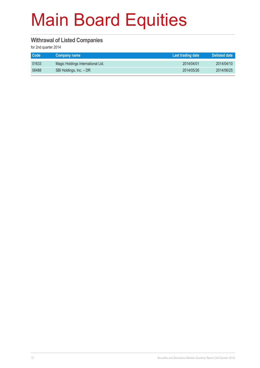#### **Withrawal of Listed Companies**

for 2nd quarter 2014

| Code <sup>1</sup> | ∣ Company name †                  | Last trading date | Delisted date |
|-------------------|-----------------------------------|-------------------|---------------|
| 01633             | Magic Holdings International Ltd. | 2014/04/01        | 2014/04/10    |
| 06488             | SBI Holdings, Inc. - DR           | 2014/05/26        | 2014/06/25    |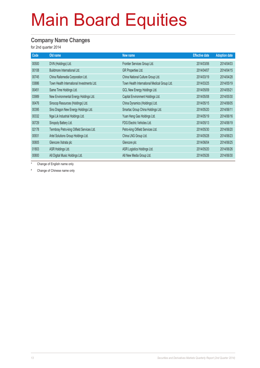#### **Company Name Changes**

for 2nd quarter 2014

| Code  | Old name                                   | New name                                     | <b>Effective date</b> | <b>Adoption date</b> |
|-------|--------------------------------------------|----------------------------------------------|-----------------------|----------------------|
| 00500 | DVN (Holdings) Ltd.                        | Frontier Services Group Ltd.                 | 2014/03/06            | 2014/04/03           |
| 00108 | Buildmore International Ltd.               | GR Properties Ltd.                           | 2014/04/07            | 2014/04/15           |
| 00745 | China Railsmedia Corporation Ltd.          | China National Culture Group Ltd.            | 2014/03/19            | 2014/04/28           |
| 03886 | Town Health International Investments Ltd. | Town Health International Medical Group Ltd. | 2014/03/25            | 2014/05/19           |
| 00451 | Same Time Holdings Ltd.                    | GCL New Energy Holdings Ltd.                 | 2014/05/09            | 2014/05/21           |
| 03989 | New Environmental Energy Holdings Ltd.     | Capital Environment Holdings Ltd.            | 2014/05/08            | 2014/05/30           |
| 00476 | Sinocop Resources (Holdings) Ltd.          | China Dynamics (Holdings) Ltd.               | 2014/05/15            | 2014/06/05           |
| 00395 | Sino Dragon New Energy Holdings Ltd.       | Smartac Group China Holdings Ltd.            | 2014/05/20            | 2014/06/11           |
| 00332 | Ngai Lik Industrial Holdings Ltd.          | Yuan Heng Gas Holdings Ltd.                  | 2014/05/19            | 2014/06/16           |
| 00729 | Sinopoly Battery Ltd.                      | FDG Electric Vehicles Ltd.                   | 2014/05/13            | 2014/06/19           |
| 02178 | Termbray Petro-king Oilfield Services Ltd. | Petro-king Oilfield Services Ltd.            | 2014/05/30            | 2014/06/20           |
| 00931 | Artel Solutions Group Holdings Ltd.        | China LNG Group Ltd.                         | 2014/05/28            | 2014/06/23           |
| 00805 | Glencore Xstrata plc                       | Glencore plc                                 | 2014/06/04            | 2014/06/25           |
| 01803 | ASR Holdings Ltd.                          | ASR Logistics Holdings Ltd.                  | 2014/05/20            | 2014/06/26           |
| 00800 | A8 Digital Music Holdings Ltd.             | A8 New Media Group Ltd.                      | 2014/05/26            | 2014/06/30           |

Change of English name only

# Change of Chinese name only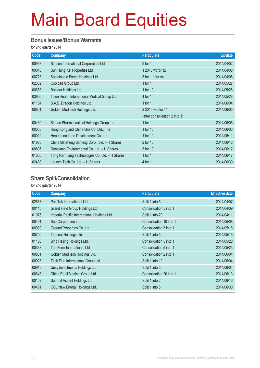#### **Bonus Issues/Bonus Warrants**

for 2nd quarter 2014

| Code  | <b>Company</b>                                 | <b>Particulars</b>             | Ex-date    |
|-------|------------------------------------------------|--------------------------------|------------|
| 00993 | Simsen International Corporation Ltd.          | 9 for 1                        | 2014/04/02 |
| 00016 | Sun Hung Kai Properties Ltd.                   | 1 2016 wt for 12               | 2014/04/08 |
| 00723 | Sustainable Forest Holdings Ltd.               | 5 for 1 offer sh               | 2014/04/08 |
| 02369 | Coolpad Group Ltd.                             | 1 for $1$                      | 2014/05/27 |
| 00653 | Bonjour Holdings Ltd.                          | 1 for 10                       | 2014/05/28 |
| 03886 | Town Health International Medical Group Ltd.   | 4 for 1                        | 2014/05/28 |
| 01184 | S.A.S. Dragon Holdings Ltd.                    | 1 for $1$                      | 2014/06/04 |
| 00801 | Golden Meditech Holdings Ltd.                  | 2 2015 wts for 11              | 2014/06/05 |
|       |                                                | (after consolidation 2 into 1) |            |
| 00460 | Sihuan Pharmaceutical Holdings Group Ltd.      | 1 for $1$                      | 2014/06/05 |
| 00003 | Hong Kong and China Gas Co. Ltd., The          | 1 for 10                       | 2014/06/06 |
| 00012 | Henderson Land Development Co. Ltd.            | 1 for 10                       | 2014/06/11 |
| 01988 | China Minsheng Banking Corp., Ltd. - H Shares  | 2 for 10                       | 2014/06/12 |
| 00895 | Dongjiang Environmental Co. Ltd. - H Shares    | 5 for 10                       | 2014/06/12 |
| 01666 | Tong Ren Tang Technologies Co. Ltd. - H Shares | 1 for $1$                      | 2014/06/17 |
| 02488 | Launch Tech Co. Ltd. - H Shares                | 4 for 1                        | 2014/06/30 |

#### **Share Split/Consolidation**

for 2nd quarter 2014

| Code  | <b>Company</b>                               | <b>Particulars</b>      | <b>Effective date</b> |
|-------|----------------------------------------------|-------------------------|-----------------------|
| 02668 | Pak Tak International Ltd.                   | Split 1 into 5          | 2014/04/07            |
| 00115 | Grand Field Group Holdings Ltd.              | Consolidation 5 into 1  | 2014/04/09            |
| 01076 | Imperial Pacific International Holdings Ltd. | Split 1 into 20         | 2014/04/11            |
| 00491 | See Corporation Ltd.                         | Consolidation 10 into 1 | 2014/05/08            |
| 00989 | Ground Properties Co. Ltd.                   | Consolidation 5 into 1  | 2014/05/15            |
| 00700 | Tencent Holdings Ltd.                        | Split 1 into 5          | 2014/05/15            |
| 01106 | Sino Haijing Holdings Ltd.                   | Consolidation 5 into 1  | 2014/05/20            |
| 00333 | Top Form International Ltd.                  | Consolidation 5 into 1  | 2014/05/23            |
| 00801 | Golden Meditech Holdings Ltd.                | Consolidation 2 into 1  | 2014/06/04            |
| 00928 | Tack Fiori International Group Ltd.          | Split 1 into 10         | 2014/06/04            |
| 00913 | Unity Investments Holdings Ltd.              | Split 1 into 5          | 2014/06/04            |
| 00648 | China Renji Medical Group Ltd.               | Consolidation 20 into 1 | 2014/06/13            |
| 00102 | Summit Ascent Holdings Ltd.                  | Split 1 into 2          | 2014/06/16            |
| 00451 | GCL New Energy Holdings Ltd.                 | Split 1 into 6          | 2014/06/30            |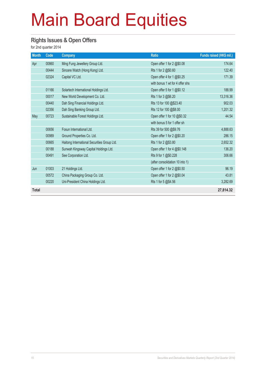#### **Rights Issues & Open Offers**

for 2nd quarter 2014

| <b>Month</b> | Code  | <b>Company</b>                              | <b>Ratio</b>                    | Funds raised (HK\$ mil.) |
|--------------|-------|---------------------------------------------|---------------------------------|--------------------------|
| Apr          | 00860 | Ming Fung Jewellery Group Ltd.              | Open offer 1 for 2 @\$0.08      | 174.64                   |
|              | 00444 | Sincere Watch (Hong Kong) Ltd.              | Rts 1 for 2 @\$0.60             | 122.40                   |
|              | 02324 | Capital VC Ltd.                             | Open offer 4 for 1 @\$0.25      | 171.39                   |
|              |       |                                             | with bonus 1 wt for 4 offer shs |                          |
|              | 01166 | Solartech International Holdings Ltd.       | Open offer 5 for 1 @\$0.12      | 188.99                   |
|              | 00017 | New World Development Co. Ltd.              | Rts 1 for 3 @\$6.20             | 13,316.36                |
|              | 00440 | Dah Sing Financial Holdings Ltd.            | Rts 13 for 100 @\$23.40         | 902.03                   |
|              | 02356 | Dah Sing Banking Group Ltd.                 | Rts 12 for 100 @\$8.00          | 1,201.32                 |
| May          | 00723 | Sustainable Forest Holdings Ltd.            | Open offer 1 for 10 @\$0.32     | 44.54                    |
|              |       |                                             | with bonus 5 for 1 offer sh     |                          |
|              | 00656 | Fosun International Ltd.                    | Rts 39 for 500 @\$9.76          | 4,888.63                 |
|              | 00989 | Ground Properties Co. Ltd.                  | Open offer 1 for 2 @\$0.20      | 286.15                   |
|              | 00665 | Haitong International Securities Group Ltd. | Rts 1 for 2 @\$3.80             | 2,652.32                 |
|              | 00188 | Sunwah Kingsway Capital Holdings Ltd.       | Open offer 1 for 4 @\$0.148     | 136.20                   |
|              | 00491 | See Corporation Ltd.                        | Rts 9 for 1 @\$0.228            | 306.66                   |
|              |       |                                             | (after consolidation 10 into 1) |                          |
| Jun          | 01003 | 21 Holdings Ltd.                            | Open offer 1 for 2 @\$0.50      | 96.19                    |
|              | 00572 | China Packaging Group Co. Ltd.              | Open offer 1 for 2 @\$0.04      | 43.81                    |
|              | 00220 | Uni-President China Holdings Ltd.           | Rts 1 for 5 @\$4.56             | 3,282.69                 |
| <b>Total</b> |       |                                             |                                 | 27,814.32                |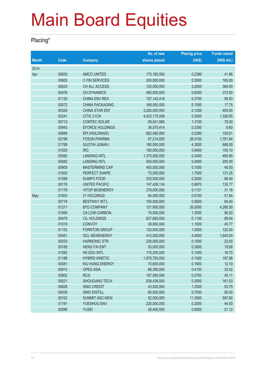#### **Placing\***

|              |       |                        | No. of new    | <b>Placing price</b> | <b>Funds raised</b> |
|--------------|-------|------------------------|---------------|----------------------|---------------------|
| <b>Month</b> | Code  | <b>Company</b>         | shares placed | (HK\$)               | (HK\$ mil.)         |
| 2014         |       |                        |               |                      |                     |
| Apr          | 00630 | <b>AMCO UNITED</b>     | 175,160,000   | 0.2390               | 41.86               |
|              | 00605 | <b>C FIN SERVICES</b>  | 300,000,000   | 0.5500               | 165.00              |
|              | 00633 | CH ALL ACCESS          | 120,000,000   | 3.2000               | 384.00              |
|              | 00476 | <b>CH DYNAMICS</b>     | 450,000,000   | 0.8300               | 373.50              |
|              | 01130 | <b>CHINA ENV RES</b>   | 157, 142, 418 | 0.3750               | 58.93               |
|              | 00572 | <b>CHINA PACKAGING</b> | 169,000,000   | 0.1050               | 17.75               |
|              | 00326 | <b>CHINA STAR ENT</b>  | 3,200,000,000 | 0.1250               | 400.00              |
|              | 00241 | CITIC 21CN             | 4,423,175,008 | 0.3000               | 1,326.95            |
|              | 00712 | <b>COMTEC SOLAR</b>    | 59,541,985    | 1.3100               | 78.00               |
|              | 00943 | <b>EFORCE HOLDINGS</b> | 36,575,414    | 0.2350               | 8.60                |
|              | 00689 | EPI (HOLDINGS)         | 682,480,000   | 0.2280               | 155.61              |
|              | 02196 | <b>FOSUN PHARMA</b>    | 67,214,000    | 26.5100              | 1,781.84            |
|              | 01788 | <b>GUOTAI JUNAN I</b>  | 160,000,000   | 4.3000               | 688.00              |
|              | 01029 | <b>IRC</b>             | 165,000,000   | 0.9400               | 155.10              |
|              | 00582 | <b>LANDING INTL</b>    | 1,370,000,000 | 0.3400               | 465.80              |
|              | 00582 | <b>LANDING INTL</b>    | 500,000,000   | 0.4000               | 200.00              |
|              | 00905 | MASTERMIND CAP         | 400,000,000   | 0.1000               | 40.00               |
|              | 01830 | PERFECT SHAPE          | 75,000,000    | 1.7500               | 131.25              |
|              | 01089 | <b>SUMPO FOOD</b>      | 332,000,000   | 0.2000               | 66.40               |
|              | 00176 | <b>UNITED PACIFIC</b>  | 147,428,134   | 0.8870               | 130.77              |
|              | 01178 | <b>VITOP BIOENERGY</b> | 278,000,000   | 0.1121               | 31.16               |
| May          | 01003 | 21 HOLDINGS            | 64,000,000    | 0.8100               | 51.84               |
|              | 00718 | <b>BESTWAY INT'L</b>   | 150,000,000   | 0.5600               | 84.00               |
|              | 01211 | <b>BYD COMPANY</b>     | 121,900,000   | 35.0000              | 4,266.50            |
|              | 01069 | CA LOW-CARBON          | 74,000,000    | 1.3000               | 96.20               |
|              | 00479 | <b>CIL HOLDINGS</b>    | 627,660,000   | 0.1100               | 69.04               |
|              | 01019 | <b>CONVOY</b>          | 39,800,000    | 1.1500               | 45.77               |
|              | 01152 | <b>FORNTON GROUP</b>   | 120,000,000   | 1.0000               | 120.00              |
|              | 00451 | <b>GCL NEWENERGY</b>   | 410,000,000   | 4.0000               | 1,640.00            |
|              | 00033 | <b>HARMONIC STR</b>    | 230,000,000   | 0.1000               | 23.00               |
|              | 00185 | <b>HENG FAI ENT</b>    | 53,000,000    | 0.3600               | 19.08               |
|              | 01082 | HK EDU INTL            | 115,200,000   | 0.1450               | 16.70               |
|              | 01188 | <b>HYBRID KINETIC</b>  | 1,979,750,000 | 0.1000               | 197.98              |
|              | 00381 | KIU HUNG ENERGY        | 75,600,000    | 0.1600               | 12.10               |
|              | 00810 | <b>OPES ASIA</b>       | 86,390,000    | 0.4100               | 35.42               |
|              | 00802 | <b>RCG</b>             | 167,080,000   | 0.2700               | 45.11               |
|              | 00521 | <b>SHOUGANG TECH</b>   | 538,428,000   | 0.3000               | 161.53              |
|              | 00628 | <b>SINO CREDIT</b>     | 43,000,000    | 1.2500               | 53.75               |
|              | 00039 | SINO DISTILL           | 80,000,000    | 0.7000               | 56.00               |
|              | 00102 | <b>SUMMIT ASC-NEW</b>  | 52,000,000    | 11.3000              | 587.60              |
|              | 01191 | YUESHOU ENV            | 220,000,000   | 0.2000               | 44.00               |
|              | 00096 | <b>YUSEI</b>           | 26,400,000    | 0.8000               | 21.12               |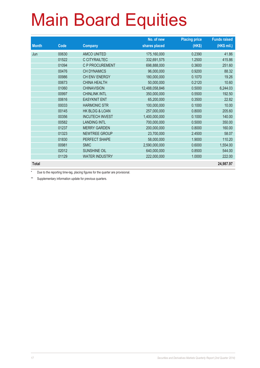|              |       |                        | No. of new     | <b>Placing price</b> | <b>Funds raised</b> |
|--------------|-------|------------------------|----------------|----------------------|---------------------|
| <b>Month</b> | Code  | <b>Company</b>         | shares placed  | (HK\$)               | (HK\$ mil.)         |
| Jun          | 00630 | <b>AMCO UNITED</b>     | 175,160,000    | 0.2390               | 41.86               |
|              | 01522 | C CITYRAILTEC          | 332,691,575    | 1.2500               | 415.86              |
|              | 01094 | <b>C P PROCUREMENT</b> | 698,888,000    | 0.3600               | 251.60              |
|              | 00476 | <b>CH DYNAMICS</b>     | 96,000,000     | 0.9200               | 88.32               |
|              | 00986 | CH ENV ENERGY          | 180,000,000    | 0.1070               | 19.26               |
|              | 00673 | <b>CHINA HEALTH</b>    | 50,000,000     | 0.2120               | 10.60               |
|              | 01060 | <b>CHINAVISION</b>     | 12,488,058,846 | 0.5000               | 6,244.03            |
|              | 00997 | <b>CHINLINK INTL</b>   | 350,000,000    | 0.5500               | 192.50              |
|              | 00616 | <b>EASYKNIT ENT</b>    | 65,200,000     | 0.3500               | 22.82               |
|              | 00033 | <b>HARMONIC STR</b>    | 100,000,000    | 0.1000               | 10.00               |
|              | 00145 | HK BLDG & LOAN         | 257,000,000    | 0.8000               | 205.60              |
|              | 00356 | <b>INCUTECH INVEST</b> | 1,400,000,000  | 0.1000               | 140.00              |
|              | 00582 | <b>LANDING INTL</b>    | 700,000,000    | 0.5000               | 350.00              |
|              | 01237 | <b>MERRY GARDEN</b>    | 200,000,000    | 0.8000               | 160.00              |
|              | 01323 | NEWTREE GROUP          | 23,700,000     | 2.4500               | 58.07               |
|              | 01830 | PERFECT SHAPE          | 58,000,000     | 1.9000               | 110.20              |
|              | 00981 | <b>SMIC</b>            | 2,590,000,000  | 0.6000               | 1,554.00            |
|              | 02012 | <b>SUNSHINE OIL</b>    | 640,000,000    | 0.8500               | 544.00              |
|              | 01129 | <b>WATER INDUSTRY</b>  | 222,000,000    | 1.0000               | 222.00              |
| <b>Total</b> |       |                        |                |                      | 24,987.97           |

Due to the reporting time-lag, placing figures for the quarter are provisional.

\*\* Supplementary information update for previous quarters.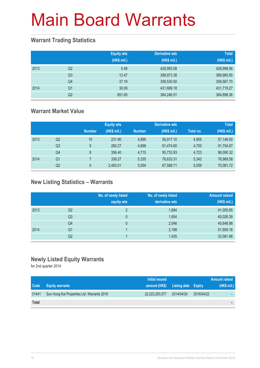### **Warrant Trading Statistics**

|      |                | <b>Equity wts</b><br>(HK\$ mil.) | <b>Derivative wts</b><br>(HK\$ mil.) | <b>Total</b><br>(HK\$ mil.) |
|------|----------------|----------------------------------|--------------------------------------|-----------------------------|
| 2013 | Q <sub>2</sub> | 5.48                             | 428,993.08                           | 428,998.56                  |
|      | Q <sub>3</sub> | 12.47                            | 389,973.38                           | 389,985.85                  |
|      | Q4             | 37.19                            | 358,530.50                           | 358,567.70                  |
| 2014 | Q1             | 30.09                            | 431,689.18                           | 431,719.27                  |
|      | Q2             | 651.85                           | 384,246.51                           | 384,898.36                  |

### **Warrant Market Value**

|      |    |               | <b>Equity wts</b> |               | <b>Derivative wts</b> |           | <b>Total</b> |
|------|----|---------------|-------------------|---------------|-----------------------|-----------|--------------|
|      |    | <b>Number</b> | (HK\$ mil.)       | <b>Number</b> | (HK\$ mil.)           | Total no. | (HK\$ mil.)  |
| 2013 | Q2 | 10            | 231.90            | 4.895         | 56.917.10             | 4,905     | 57,149.00    |
|      | Q3 | 9             | 280.27            | 4.696         | 91,474.60             | 4,705     | 91,754.87    |
|      | Q4 | 8             | 356.40            | 4.715         | 95,733.93             | 4,723     | 96,090.32    |
| 2014 | Q1 |               | 336.27            | 5.335         | 76,633.31             | 5,342     | 76,969.58    |
|      | Q2 | 5             | 2,493.01          | 5.054         | 67,588.71             | 5,059     | 70,081.72    |

### **New Listing Statistics – Warrants**

|      |                | No. of newly listed<br>equity wts | No. of newly listed<br>derivative wts | <b>Amount raised</b><br>(HK\$ mil.) |
|------|----------------|-----------------------------------|---------------------------------------|-------------------------------------|
| 2013 | Q2             | っ                                 | 1,684                                 | 41,005.85                           |
|      | Q <sub>3</sub> | 0                                 | 1,654                                 | 40,026.39                           |
|      | Q4             | 0                                 | 2,046                                 | 45,648.98                           |
| 2014 | Q1             |                                   | 2,188                                 | 51,909.16                           |
|      | Q2             |                                   | 1,435                                 | 33,081.98                           |

### **Newly Listed Equity Warrants**

for 2nd quarter 2014

|              |                                            | Initial issued                    |            |            | Amount raised |
|--------------|--------------------------------------------|-----------------------------------|------------|------------|---------------|
| <b>Code</b>  | <b>Equity warrants</b>                     | amount (HK\$) Listing date Expiry |            |            | (HK\$ mil.)   |
| 01441        | Sun Hung Kai Properties Ltd. Warrants 2016 | 22,222,293,577                    | 2014/04/24 | 2016/04/22 |               |
| <b>Total</b> |                                            |                                   |            |            | -             |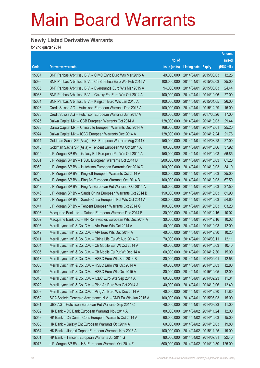### **Newly Listed Derivative Warrants**

for 2nd quarter 2014

|       |                                                               |               |                            |                       | <b>Amount</b> |
|-------|---------------------------------------------------------------|---------------|----------------------------|-----------------------|---------------|
|       |                                                               | No. of        |                            |                       | raised        |
| Code  | <b>Derivative warrants</b>                                    | issue (units) | <b>Listing date Expiry</b> |                       | (HK\$ mil.)   |
| 15037 | BNP Paribas Arbit Issu B.V. - CIMC Enric Euro Wts Mar 2015 A  | 49,000,000    | 2014/04/01                 | 2015/03/03            | 12.25         |
| 15036 | BNP Paribas Arbit Issu B.V. - Ch Shenhua Euro Wts Feb 2015 A  | 100,000,000   | 2014/04/01                 | 2015/02/03            | 25.00         |
| 15035 | BNP Paribas Arbit Issu B.V. - Evergrande Euro Wts Mar 2015 A  | 94,000,000    | 2014/04/01                 | 2015/03/03            | 24.44         |
| 15033 | BNP Paribas Arbit Issu B.V. - Galaxy Ent Euro Wts Oct 2014 A  | 100,000,000   | 2014/04/01                 | 2014/10/06            | 27.00         |
| 15034 | BNP Paribas Arbit Issu B.V. - Kingsoft Euro Wts Jan 2015 A    | 100,000,000   | 2014/04/01                 | 2015/01/05            | 26.00         |
| 15026 | Credit Suisse AG - Hutchison European Warrants Dec 2015 A     | 100,000,000   | 2014/04/01                 | 2015/12/29            | 15.00         |
| 15028 | Credit Suisse AG - Hutchison European Warrants Jun 2017 A     | 100,000,000   | 2014/04/01                 | 2017/06/26            | 17.00         |
| 15025 | Daiwa Capital Mkt - CCB European Warrants Oct 2014 A          | 128,000,000   | 2014/04/01                 | 2014/10/03            | 29.44         |
| 15023 | Daiwa Capital Mkt – China Life European Warrants Dec 2014 A   | 168,000,000   | 2014/04/01                 | 2014/12/01            | 25.20         |
| 15024 | Daiwa Capital Mkt - ICBC European Warrants Dec 2014 A         | 128,000,000   |                            | 2014/04/01 2014/12/24 | 21.76         |
| 15014 | Goldman Sachs SP (Asia) - HSI European Warrants Aug 2014 C    | 150,000,000   | 2014/04/01                 | 2014/08/28            | 27.00         |
| 15015 | Goldman Sachs SP (Asia) - Tencent European Wt Oct 2014 A      | 80,000,000    | 2014/04/01                 | 2014/10/06            | 37.92         |
| 15049 | J P Morgan SP BV - Galaxy Ent European Put Wts Oct 2014 A     | 150,000,000   | 2014/04/01                 | 2014/10/03            | 56.85         |
| 15051 | J P Morgan SP BV - HSBC European Warrants Oct 2014 D          | 200,000,000   |                            | 2014/04/01 2014/10/03 | 61.20         |
| 15050 | J P Morgan SP BV - Hutchison European Warrants Oct 2014 D     | 100,000,000   | 2014/04/01                 | 2014/10/03            | 34.10         |
| 15040 | J P Morgan SP BV - Kingsoft European Warrants Oct 2014 A      | 100,000,000   | 2014/04/01                 | 2014/10/03            | 25.00         |
| 15043 | J P Morgan SP BV - Ping An European Warrants Oct 2014 B       | 100,000,000   | 2014/04/01                 | 2014/10/03            | 67.50         |
| 15042 | J P Morgan SP BV – Ping An European Put Warrants Oct 2014 A   | 150,000,000   |                            | 2014/04/01 2014/10/03 | 37.50         |
| 15046 | J P Morgan SP BV - Sands China European Warrants Oct 2014 B   | 150,000,000   | 2014/04/01                 | 2014/10/03            | 81.90         |
| 15044 | J P Morgan SP BV - Sands China European Put Wts Oct 2014 A    | 200,000,000   | 2014/04/01                 | 2014/10/03            | 54.60         |
| 15047 | J P Morgan SP BV – Tencent European Warrants Oct 2014 G       | 100,000,000   | 2014/04/01                 | 2014/10/03            | 63.20         |
| 15003 | Macquarie Bank Ltd. - Datang European Warrants Dec 2014 B     | 30,000,000    |                            | 2014/04/01 2014/12/16 | 10.02         |
| 15002 | Macquarie Bank Ltd. - HN Renewables European Wts Dec 2014 A   | 30,000,000    | 2014/04/01                 | 2014/12/16            | 10.02         |
| 15006 | Merrill Lynch Int'l & Co. C.V. - AIA Euro Wts Oct 2014 A      | 40,000,000    | 2014/04/01                 | 2014/10/03            | 12.00         |
| 15012 | Merrill Lynch Int'l & Co. C.V. - AIA Euro Wts Dec 2014 A      | 40,000,000    | 2014/04/01                 | 2014/12/30            | 10.20         |
| 15011 | Merrill Lynch Int'l & Co. C.V. - China Life Eu Wt Aug 2014 C  | 70,000,000    | 2014/04/01                 | 2014/08/11            | 12.11         |
| 15004 | Merrill Lynch Int'l & Co. C.V. - Ch Mobile Eur Wt Oct 2014 A  | 40,000,000    | 2014/04/01                 | 2014/10/03            | 10.40         |
| 15005 | Merrill Lynch Int'l & Co. C.V. - Ch Mobile Eu Put Wt Dec 14 A | 60,000,000    | 2014/04/01                 | 2014/12/30            | 15.00         |
| 15013 | Merrill Lynch Int'l & Co. C.V. - HSBC Euro Wts Sep 2014 B     | 80,000,000    | 2014/04/01                 | 2014/09/01            | 12.56         |
| 15008 | Merrill Lynch Int'l & Co. C.V. - HSBC Euro Wts Oct 2014 A     | 40,000,000    | 2014/04/01                 | 2014/10/03            | 12.80         |
| 15010 | Merrill Lynch Int'l & Co. C.V. - HSBC Euro Wts Oct 2015 A     | 80,000,000    | 2014/04/01                 | 2015/10/05            | 12.00         |
| 15016 | Merrill Lynch Int'l & Co. C.V. - ICBC Euro Wts Sep 2014 A     | 60,000,000    | 2014/04/01                 | 2014/09/23            | 11.34         |
| 15022 | Merrill Lynch Int'l & Co. C.V. - Ping An Euro Wts Oct 2014 A  | 40,000,000    | 2014/04/01                 | 2014/10/06            | 12.40         |
| 15009 | Merrill Lynch Int'l & Co. C.V. - Ping An Euro Wts Dec 2014 A  | 40,000,000    | 2014/04/01                 | 2014/12/30            | 11.80         |
| 15052 | SGA Societe Generale Acceptance N.V. - CMB Eu Wts Jun 2015 A  | 100,000,000   | 2014/04/01                 | 2015/06/03            | 15.00         |
| 15031 | UBS AG - Hutchison European Put Warrants Sep 2014 C           | 40,000,000    | 2014/04/01                 | 2014/09/23            | 11.00         |
| 15062 | HK Bank - CC Bank European Warrants Nov 2014 A                | 80,000,000    |                            | 2014/04/02 2014/11/24 | 12.00         |
| 15059 | HK Bank - Ch Comm Cons European Warrants Oct 2014 A           | 60,000,000    |                            | 2014/04/02 2014/10/03 | 15.00         |
| 15060 | HK Bank - Galaxy Ent European Warrants Oct 2014 A             | 60,000,000    |                            | 2014/04/02 2014/10/03 | 19.80         |
| 15054 | HK Bank - Jiangxi Copper European Warrants Nov 2015 A         | 100,000,000   | 2014/04/02 2015/11/25      |                       | 19.00         |
| 15061 | HK Bank - Tencent European Warrants Jul 2014 G                | 80,000,000    | 2014/04/02 2014/07/31      |                       | 22.40         |
| 15075 | J P Morgan SP BV - HSI European Warrants Oct 2014 F           | 500,000,000   |                            | 2014/04/02 2014/10/30 | 125.00        |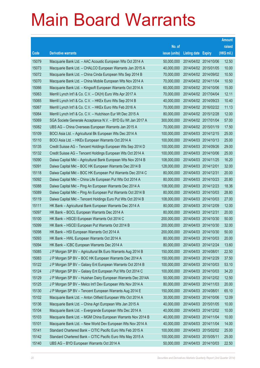|       |                                                               |               |                       | <b>Amount</b> |
|-------|---------------------------------------------------------------|---------------|-----------------------|---------------|
|       |                                                               | No. of        |                       | raised        |
| Code  | <b>Derivative warrants</b>                                    | issue (units) | Listing date Expiry   | (HK\$ mil.)   |
| 15079 | Macquarie Bank Ltd. - AAC Acoustic European Wts Oct 2014 A    | 50,000,000    | 2014/04/02 2014/10/06 | 12.50         |
| 15073 | Macquarie Bank Ltd. - CHALCO European Warrants Jan 2015 A     | 40,000,000    | 2014/04/02 2015/01/05 | 10.00         |
| 15072 | Macquarie Bank Ltd. - China Cinda European Wts Sep 2014 B     | 70,000,000    | 2014/04/02 2014/09/02 | 10.50         |
| 15070 | Macquarie Bank Ltd. - China Mobile European Wts Nov 2014 A    | 70,000,000    | 2014/04/02 2014/11/04 | 10.50         |
| 15066 | Macquarie Bank Ltd. - Kingsoft European Warrants Oct 2014 A   | 60,000,000    | 2014/04/02 2014/10/06 | 15.00         |
| 15063 | Merrill Lynch Int'l & Co. C.V. - CK(H) Euro Wts Apr 2017 A    | 70,000,000    | 2014/04/02 2017/04/04 | 12.11         |
| 15065 | Merrill Lynch Int'l & Co. C.V. - HKEx Euro Wts Sep 2014 B     | 40,000,000    | 2014/04/02 2014/09/23 | 10.40         |
| 15067 | Merrill Lynch Int'l & Co. C.V. - HKEx Euro Wts Feb 2016 A     | 70,000,000    | 2014/04/02 2016/02/22 | 11.13         |
| 15064 | Merrill Lynch Int'l & Co. C.V. - Hutchison Eur Wt Dec 2015 A  | 80,000,000    | 2014/04/02 2015/12/28 | 12.00         |
| 15069 | SGA Societe Generale Acceptance N.V. - BYD Eu Wt Jan 2017 A   | 300,000,000   | 2014/04/02 2017/01/04 | 57.00         |
| 15082 | UBS AG - China Overseas European Warrants Jan 2015 A          | 70,000,000    | 2014/04/02 2015/01/19 | 17.50         |
| 15109 | BOCI Asia Ltd. - Agricultural Bk European Wts Dec 2014 A      | 100,000,000   | 2014/04/03 2014/12/15 | 25.00         |
| 15110 | BOCI Asia Ltd. - HKEx European Warrants Oct 2014 A            | 100,000,000   | 2014/04/03 2014/10/13 | 25.00         |
| 15135 | Credit Suisse AG - Tencent Holdings European Wts Sep 2014 D   | 100,000,000   | 2014/04/03 2014/09/26 | 29.00         |
| 15132 | Credit Suisse AG - Tencent Holdings European Wts Oct 2014 A   | 100,000,000   | 2014/04/03 2014/10/06 | 25.00         |
| 15090 | Daiwa Capital Mkt - Agricultural Bank European Wts Nov 2014 B | 108,000,000   | 2014/04/03 2014/11/25 | 16.20         |
| 15091 | Daiwa Capital Mkt - BOC HK European Warrants Dec 2014 B       | 128,000,000   | 2014/04/03 2014/12/01 | 32.00         |
| 15118 | Daiwa Capital Mkt - BOC HK European Put Warrants Dec 2014 C   | 80,000,000    | 2014/04/03 2014/12/31 | 20.00         |
| 15092 | Daiwa Capital Mkt - China Life European Put Wts Oct 2014 A    | 80,000,000    | 2014/04/03 2014/10/23 | 20.80         |
| 15088 | Daiwa Capital Mkt - Ping An European Warrants Dec 2014 A      | 108,000,000   | 2014/04/03 2014/12/23 | 18.36         |
| 15089 | Daiwa Capital Mkt - Ping An European Put Warrants Oct 2014 B  | 80,000,000    | 2014/04/03 2014/10/03 | 28.80         |
| 15119 | Daiwa Capital Mkt - Tencent Holdings Euro Put Wts Oct 2014 B  | 108,000,000   | 2014/04/03 2014/10/03 | 27.00         |
| 15111 | HK Bank - Agricultural Bank European Warrants Dec 2014 A      | 80,000,000    | 2014/04/03 2014/12/09 | 12.00         |
| 15097 | HK Bank - BOCL European Warrants Dec 2014 A                   | 80,000,000    | 2014/04/03 2014/12/31 | 20.00         |
| 15100 | HK Bank – HSCEI European Warrants Oct 2014 C                  | 200,000,000   | 2014/04/03 2014/10/30 | 50.00         |
| 15099 | HK Bank – HSCEI European Put Warrants Oct 2014 B              | 200,000,000   | 2014/04/03 2014/10/30 | 32.00         |
| 15098 | HK Bank – HSI European Warrants Oct 2014 A                    | 200,000,000   | 2014/04/03 2014/10/30 | 50.00         |
| 15093 | HK Bank - HWL European Warrants Oct 2014 A                    | 80,000,000    | 2014/04/03 2014/10/03 | 20.00         |
| 15094 | HK Bank - ICBC European Warrants Dec 2014 A                   | 80,000,000    | 2014/04/03 2014/12/24 | 13.60         |
| 15085 | J P Morgan SP BV - Agricultural Bk Euro Warrants Aug 2014 B   | 150,000,000   | 2014/04/03 2014/08/01 | 22.50         |
| 15083 | J P Morgan SP BV - BOC HK European Warrants Dec 2014 A        | 150,000,000   | 2014/04/03 2014/12/29 | 37.50         |
| 15122 | J P Morgan SP BV - Galaxy Ent European Warrants Oct 2014 B    | 100,000,000   | 2014/04/03 2014/10/03 | 53.10         |
| 15124 | J P Morgan SP BV - Galaxy Ent European Put Wts Oct 2014 C     | 100,000,000   | 2014/04/03 2014/10/03 | 34.20         |
| 15129 | J P Morgan SP BV - Huishan Dairy European Warrants Dec 2014A  | 50,000,000    | 2014/04/03 2014/12/02 | 12.50         |
| 15125 | J P Morgan SP BV - Melco Int'l Dev European Wts Nov 2014 A    | 80,000,000    | 2014/04/03 2014/11/03 | 20.00         |
| 15130 | J P Morgan SP BV - Tencent European Warrants Aug 2014 E       | 150,000,000   | 2014/04/03 2014/08/01 | 65.10         |
| 15102 | Macquarie Bank Ltd. - Anton Oilfield European Wts Oct 2014 A  | 30,000,000    | 2014/04/03 2014/10/06 | 12.09         |
| 15136 | Macquarie Bank Ltd. - China Agri European Wts Jan 2015 A      | 40,000,000    | 2014/04/03 2015/01/05 | 10.00         |
| 15104 | Macquarie Bank Ltd. - Evergrande European Wts Dec 2014 A      | 40,000,000    | 2014/04/03 2014/12/02 | 10.00         |
| 15103 | Macquarie Bank Ltd. - MGM China European Warrants Nov 2014 B  | 40,000,000    | 2014/04/03 2014/11/04 | 10.00         |
| 15101 | Macquarie Bank Ltd. - New World Dev European Wts Nov 2014 A   | 40,000,000    | 2014/04/03 2014/11/04 | 14.00         |
| 15141 | Standard Chartered Bank – CITIC Pacific Euro Wts Feb 2015 A   | 100,000,000   | 2014/04/03 2015/02/02 | 25.00         |
| 15142 | Standard Chartered Bank - CITIC Pacific Euro Wts May 2015 A   | 100,000,000   | 2014/04/03 2015/05/11 | 25.00         |
| 15140 | UBS AG - BYD European Warrants Oct 2014 A                     | 50,000,000    | 2014/04/03 2014/10/03 | 22.50         |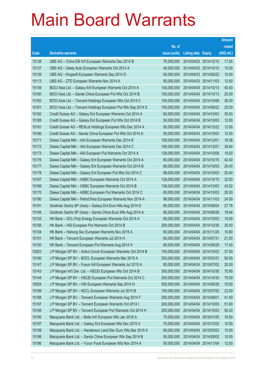|       |                                                               |               |                                  | <b>Amount</b> |
|-------|---------------------------------------------------------------|---------------|----------------------------------|---------------|
|       |                                                               | No. of        |                                  | raised        |
| Code  | <b>Derivative warrants</b>                                    | issue (units) | <b>Listing date Expiry</b>       | (HK\$ mil.)   |
| 15138 | UBS AG - China EB Int'l European Warrants Dec 2014 B          | 70,000,000    | 2014/04/03 2014/12/15            | 11.55         |
| 15137 | UBS AG – Geely Auto European Warrants Oct 2014 A              | 40,000,000    | 2014/04/03 2014/10/10            | 10.00         |
| 15139 | UBS AG - Kingsoft European Warrants Sep 2014 D                | 50,000,000    | 2014/04/03 2014/09/22            | 15.00         |
| 15113 | UBS AG - ZTE European Warrants Nov 2014 A                     | 50,000,000    | 2014/04/03 2014/11/03            | 12.50         |
| 15159 | BOCI Asia Ltd. - Galaxy Ent European Warrants Oct 2014 A      | 100,000,000   | 2014/04/04 2014/10/13            | 40.00         |
| 15160 | BOCI Asia Ltd. - Sands China European Put Wts Oct 2014 B      | 100,000,000   | 2014/04/04 2014/10/13            | 25.00         |
| 15162 | BOCI Asia Ltd. - Tencent Holdings European Wts Oct 2014 C     | 100,000,000   | 2014/04/04 2014/10/06            | 30.00         |
| 15161 | BOCI Asia Ltd. - Tencent Holdings European Put Wts Sep 2014 D | 100,000,000   | 2014/04/04 2014/09/22            | 25.00         |
| 15182 | Credit Suisse AG - Galaxy Ent European Warrants Oct 2014 A    | 60,000,000    | 2014/04/04 2014/10/03            | 30.00         |
| 15185 | Credit Suisse AG - Galaxy Ent European Put Wts Oct 2014 B     | 50,000,000    | 2014/04/04 2014/10/03            | 12.50         |
| 15181 | Credit Suisse AG - REXLot Holdings European Wts Dec 2014 A    | 50,000,000    | 2014/04/04 2014/12/22            | 12.50         |
| 15186 | Credit Suisse AG - Sands China European Put Wts Oct 2014 A    | 50,000,000    | 2014/04/04 2014/10/03            | 12.50         |
| 15171 | Daiwa Capital Mkt - AIA European Warrants Dec 2014 B          | 108,000,000   | 2014/04/04 2014/12/01            | 18.36         |
| 15172 | Daiwa Capital Mkt - AIA European Warrants Dec 2014 C          | 108,000,000   | 2014/04/04 2014/12/01            | 35.64         |
| 15173 | Daiwa Capital Mkt - AIA European Put Warrants Oct 2014 A      | 128,000,000   | 2014/04/04 2014/10/08            | 19.20         |
| 15176 | Daiwa Capital Mkt - Galaxy Ent European Warrants Oct 2014 A   | 80,000,000    | 2014/04/04 2014/10/15            | 42.40         |
| 15177 | Daiwa Capital Mkt - Galaxy Ent European Warrants Oct 2014 B   | 80,000,000    | 2014/04/04 2014/10/03            | 26.40         |
| 15178 | Daiwa Capital Mkt - Galaxy Ent European Put Wts Oct 2014 C    | 68,000,000    | 2014/04/04 2014/10/03            | 20.40         |
| 15167 | Daiwa Capital Mkt - HSBC European Warrants Oct 2014 A         | 128,000,000   | 2014/04/04 2014/10/15            | 32.00         |
| 15169 | Daiwa Capital Mkt - HSBC European Warrants Oct 2014 B         | 128,000,000   | 2014/04/04 2014/10/03            | 43.52         |
| 15170 | Daiwa Capital Mkt - HSBC European Put Warrants Oct 2014 C     | 80,000,000    | 2014/04/04 2014/10/03            | 20.00         |
| 15180 | Daiwa Capital Mkt - PetroChina European Warrants Nov 2014 A   | 98,000,000    | 2014/04/04 2014/11/03            | 24.50         |
| 15191 | Goldman Sachs SP (Asia) - Galaxy Ent Euro Wts Aug 2014 D      | 80,000,000    | 2014/04/04 2014/08/04            | 27.76         |
| 15194 | Goldman Sachs SP (Asia) - Sands China Euro Wts Aug 2014 A     | 80,000,000    | 2014/04/04 2014/08/29            | 18.64         |
| 15152 | HK Bank - GCL-Poly Energy European Warrants Oct 2014 A        | 60,000,000    | 2014/04/04 2014/10/03            | 18.00         |
| 15156 | HK Bank - HSI European Put Warrants Oct 2014 B                | 200,000,000   | 2014/04/04 2014/10/30            | 30.00         |
| 15154 | HK Bank - Haitong Sec European Warrants Nov 2015 A            |               | 60,000,000 2014/04/04 2015/11/25 | 10.80         |
| 15151 | HK Bank - Tencent European Warrants Jul 2014 H                | 60,000,000    | 2014/04/04 2014/07/31            | 21.00         |
| 15150 | HK Bank - Tencent European Put Warrants Aug 2014 H            | 60,000,000    | 2014/04/04 2014/08/29            | 17.40         |
| 15203 | J P Morgan SP BV - Anhui Conch European Warrants Oct 2014 B   | 150,000,000   | 2014/04/04 2014/10/03            | 37.50         |
| 15190 | J P Morgan SP BV - BOCL European Warrants Mar 2015 A          | 200,000,000   | 2014/04/04 2015/03/31            | 50.00         |
| 15147 | J P Morgan SP BV - Fosun Intl European Warrants Jul 2015 A    | 80,000,000    | 2014/04/04 2015/07/02            | 20.00         |
| 15143 | J P Morgan Int'l Der. Ltd. - HSCEI European Wts Oct 2014 B    | 300,000,000   | 2014/04/04 2014/10/30            | 75.90         |
| 15144 | J P Morgan SP BV - HSCEI European Put Warrants Oct 2014 C     | 300,000,000   | 2014/04/04 2014/10/30            | 75.00         |
| 15204 | J P Morgan SP BV - HSI European Warrants Sep 2014 H           | 500,000,000   | 2014/04/04 2014/09/29            | 75.00         |
| 15189 | J P Morgan SP BV - KECL European Warrants Jul 2015 B          | 150,000,000   | 2014/04/04 2015/07/02            | 22.50         |
| 15188 | J P Morgan SP BV - Tencent European Warrants Aug 2014 F       | 200,000,000   | 2014/04/04 2014/08/01            | 41.40         |
| 15187 | J P Morgan SP BV - Tencent European Warrants Oct 2014 I       | 200,000,000   | 2014/04/04 2014/10/03            | 51.60         |
| 15146 | J P Morgan SP BV - Tencent European Put Warrants Oct 2014 H   | 200,000,000   | 2014/04/04 2014/10/03            | 50.20         |
| 15195 | Macquarie Bank Ltd. - Belle Int'l European Wts Jan 2016 A     | 70,000,000    | 2014/04/04 2016/01/05            | 10.50         |
| 15197 | Macquarie Bank Ltd. - Galaxy Ent European Wts Dec 2015 A      | 70,000,000    | 2014/04/04 2015/12/02            | 10.50         |
| 15158 | Macquarie Bank Ltd. - Henderson Land Dev Euro Wts Mar 2015 A  | 60,000,000    | 2014/04/04 2015/03/03            | 15.00         |
| 15198 | Macquarie Bank Ltd. - Sands China European Wts Sep 2014 B     | 50,000,000    | 2014/04/04 2014/09/02            | 10.05         |
| 15196 | Macquarie Bank Ltd. - Yurun Food European Wts Nov 2014 A      | 50,000,000    | 2014/04/04 2014/11/04            | 12.50         |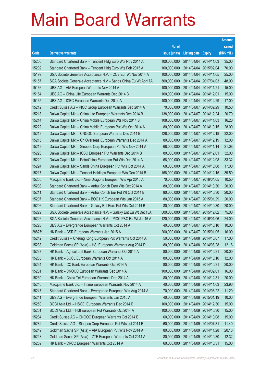|        |                                                                |               |                       |                       | <b>Amount</b> |
|--------|----------------------------------------------------------------|---------------|-----------------------|-----------------------|---------------|
|        |                                                                | No. of        |                       |                       | raised        |
| Code   | <b>Derivative warrants</b>                                     | issue (units) | Listing date Expiry   |                       | (HK\$ mil.)   |
| 15200  | Standard Chartered Bank - Tencent Hidg Euro Wts Nov 2014 A     | 100,000,000   |                       | 2014/04/04 2014/11/03 | 35.00         |
| 15202  | Standard Chartered Bank - Tencent Hidg Euro Wts Feb 2015 A     | 100,000,000   | 2014/04/04 2015/02/04 |                       | 70.00         |
| 15199  | SGA Societe Generale Acceptance N.V. - CCB Eur Wt Nov 2014 A   | 100,000,000   | 2014/04/04            | 2014/11/05            | 25.00         |
| 15157  | SGA Societe Generale Acceptance N.V - Sands China Eu Wt Apr17A | 300,000,000   |                       | 2014/04/04 2017/04/03 | 48.00         |
| 15166  | UBS AG - AIA European Warrants Nov 2014 A                      | 100,000,000   | 2014/04/04 2014/11/21 |                       | 15.00         |
| 15164  | UBS AG - China Life European Warrants Dec 2014 B               | 100,000,000   | 2014/04/04 2014/12/01 |                       | 15.00         |
| 15165  | UBS AG - ICBC European Warrants Dec 2014 A                     | 100,000,000   | 2014/04/04 2014/12/29 |                       | 17.00         |
| 15212  | Credit Suisse AG - PICC Group European Warrants Sep 2014 A     | 70,000,000    |                       | 2014/04/07 2014/09/29 | 10.50         |
| 15218  | Daiwa Capital Mkt - China Life European Warrants Dec 2014 B    | 138,000,000   |                       | 2014/04/07 2014/12/24 | 20.70         |
| 15214  | Daiwa Capital Mkt - China Mobile European Wts Nov 2014 B       | 108,000,000   |                       | 2014/04/07 2014/11/03 | 16.20         |
| 15222  | Daiwa Capital Mkt - China Mobile European Put Wts Oct 2014 A   | 80,000,000    | 2014/04/07 2014/10/15 |                       | 28.00         |
| 15213  | Daiwa Capital Mkt - CNOOC European Warrants Dec 2014 B         | 128,000,000   | 2014/04/07 2014/12/18 |                       | 32.00         |
| 15215  | Daiwa Capital Mkt - Ch Overseas European Warrants Dec 2014 A   | 80,000,000    |                       | 2014/04/07 2014/12/19 | 12.00         |
| 15219  | Daiwa Capital Mkt - Sinopec Corp European Put Wts Nov 2014 A   | 68,000,000    | 2014/04/07 2014/11/14 |                       | 21.08         |
| 15223  | Daiwa Capital Mkt - ICBC European Put Warrants Dec 2014 B      | 80,000,000    | 2014/04/07 2014/12/01 |                       | 32.00         |
| 15220  | Daiwa Capital Mkt - PetroChina European Put Wts Dec 2014 A     | 68,000,000    |                       | 2014/04/07 2014/12/08 | 33.32         |
| 15224  | Daiwa Capital Mkt - Sands China European Put Wts Oct 2014 A    | 68,000,000    |                       | 2014/04/07 2014/10/08 | 17.00         |
| 15217  | Daiwa Capital Mkt - Tencent Holdings European Wts Dec 2014 B   | 158,000,000   |                       | 2014/04/07 2014/12/15 | 39.50         |
| 15205  | Macquarie Bank Ltd. - Nine Dragons European Wts Apr 2016 A     | 70,000,000    | 2014/04/07 2016/04/05 |                       | 10.50         |
| 15208  | Standard Chartered Bank - Anhui Conch Euro Wts Oct 2014 A      | 80,000,000    |                       | 2014/04/07 2014/10/30 | 20.00         |
| 15211  | Standard Chartered Bank - Anhui Conch Eur Put Wt Oct 2014 B    | 80,000,000    |                       | 2014/04/07 2014/10/30 | 20.00         |
| 15207  | Standard Chartered Bank - BOC HK European Wts Jan 2015 A       | 80,000,000    |                       | 2014/04/07 2015/01/29 | 20.00         |
| 15206  | Standard Chartered Bank - Galaxy Ent Euro Put Wts Oct 2014 B   | 80,000,000    |                       | 2014/04/07 2014/10/30 | 20.00         |
| 15229  | SGA Societe Generale Acceptance N.V. - Galaxy Ent Eu Wt Dec15A | 500,000,000   |                       | 2014/04/07 2015/12/02 | 75.00         |
| 15226  | SGA Societe Generale Acceptance N.V. - PICC P&C Eu Wt Jan16 A  | 120,000,000   |                       | 2014/04/07 2016/01/06 | 24.00         |
| 15228  | UBS AG - Evergrande European Warrants Oct 2014 A               | 40,000,000    | 2014/04/07 2014/10/10 |                       | 10.00         |
| 28827# | HK Bank – CSR European Warrants Jan 2015 A                     | 200,000,000   |                       | 2014/04/07 2015/01/05 | 16.00         |
| 15242  | Credit Suisse - Cheung Kong European Put Warrants Oct 2014 A   | 50,000,000    | 2014/04/08 2014/10/07 |                       | 17.00         |
| 15238  | Goldman Sachs SP (Asia) - HSI European Warrants Aug 2014 D     | 80,000,000    | 2014/04/08 2014/08/28 |                       | 12.16         |
| 15237  | HK Bank - Agricultural Bank European Warrants Oct 2014 A       | 80,000,000    | 2014/04/08 2014/10/31 |                       | 20.00         |
| 15235  | HK Bank - BOCL European Warrants Oct 2014 A                    | 80,000,000    | 2014/04/08 2014/10/10 |                       | 12.00         |
| 15234  | HK Bank - CC Bank European Warrants Oct 2014 A                 | 80,000,000    | 2014/04/08 2014/10/31 |                       | 20.00         |
| 15231  | HK Bank - CNOOC European Warrants Sep 2014 A                   | 100,000,000   | 2014/04/08 2014/09/01 |                       | 16.00         |
| 15230  | HK Bank - China Tel European Warrants Dec 2014 A               | 80,000,000    | 2014/04/08 2014/12/31 |                       | 20.00         |
| 15240  | Macquarie Bank Ltd. - Intime European Warrants Nov 2014 A      | 40,000,000    | 2014/04/08 2014/11/03 |                       | 23.96         |
| 15247  | Standard Chartered Bank - Evergrande European Wts Aug 2014 A   | 70,000,000    |                       | 2014/04/08 2014/08/22 | 11.20         |
| 15241  | UBS AG - Evergrande European Warrants Jan 2015 A               | 40,000,000    | 2014/04/08 2015/01/19 |                       | 10.00         |
| 15250  | BOCI Asia Ltd. - HSCEI European Warrants Dec 2014 B            | 100,000,000   |                       | 2014/04/09 2014/12/30 | 15.00         |
| 15251  | BOCI Asia Ltd. - HSI European Put Warrants Oct 2014 A          | 100,000,000   | 2014/04/09 2014/10/30 |                       | 15.00         |
| 15284  | Credit Suisse AG - CNOOC European Warrants Oct 2014 B          | 60,000,000    | 2014/04/09 2014/10/08 |                       | 15.00         |
| 15282  | Credit Suisse AG - Sinopec Corp European Put Wts Jul 2014 B    | 60,000,000    | 2014/04/09            | 2014/07/31            | 11.40         |
| 15249  | Goldman Sachs SP (Asia) - AIA European Put Wts Nov 2014 A      | 80,000,000    | 2014/04/09 2014/11/28 |                       | 20.16         |
| 15248  | Goldman Sachs SP (Asia) - ZTE European Warrants Oct 2014 A     | 80,000,000    | 2014/04/09 2014/10/30 |                       | 12.32         |
| 15259  | HK Bank - CRCC European Warrants Oct 2014 A                    | 60,000,000    | 2014/04/09 2014/10/31 |                       | 15.00         |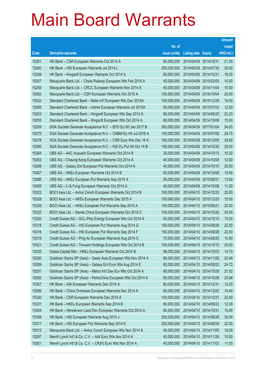|       |                                                               |               |                            |            | <b>Amount</b> |
|-------|---------------------------------------------------------------|---------------|----------------------------|------------|---------------|
|       |                                                               | No. of        |                            |            | raised        |
| Code  | <b>Derivative warrants</b>                                    | issue (units) | <b>Listing date Expiry</b> |            | (HK\$ mil.)   |
| 15261 | HK Bank – CSR European Warrants Oct 2014 A                    | 60,000,000    | 2014/04/09 2014/10/31      |            | 21.00         |
| 15260 | HK Bank - HSI European Warrants Jul 2014 L                    | 200,000,000   | 2014/04/09 2014/07/30      |            | 30.00         |
| 15258 | HK Bank - Kingsoft European Warrants Oct 2014 A               | 60,000,000    | 2014/04/09                 | 2014/10/31 | 18.00         |
| 15257 | Macquarie Bank Ltd. - China Railway European Wts Feb 2015 A   | 40,000,000    | 2014/04/09 2015/02/03      |            | 10.00         |
| 15256 | Macquarie Bank Ltd. - CRCC European Warrants Nov 2014 A       | 40,000,000    | 2014/04/09 2014/11/04      |            | 10.00         |
| 15262 | Macquarie Bank Ltd. - CSR European Warrants Oct 2016 A        | 100,000,000   | 2014/04/09 2016/10/04      |            | 25.00         |
| 15252 | Standard Chartered Bank - Belle Int'l European Wts Dec 2015A  | 100,000,000   | 2014/04/09                 | 2015/12/28 | 16.00         |
| 15285 | Standard Chartered Bank - Intime European Warrants Jul 2015A  | 50,000,000    | 2014/04/09 2015/07/02      |            | 12.50         |
| 15253 | Standard Chartered Bank - Kingsoft European Wts Sep 2014 A    | 60,000,000    | 2014/04/09 2014/09/25      |            | 22.20         |
| 15255 | Standard Chartered Bank - Kingsoft European Wts Oct 2014 A    | 60,000,000    | 2014/04/09 2014/10/08      |            | 15.00         |
| 15269 | SGA Societe Generale Acceptance N.V. - BYD Eu Wt Jan 2017 B   | 300,000,000   | 2014/04/09                 | 2017/01/04 | 54.00         |
| 15275 | SGA Societe Generale Acceptance N.V. - CNBM Eu Wt Jul 2016 A  | 150,000,000   | 2014/04/09 2016/07/06      |            | 24.75         |
| 15278 | SGA Societe Generale Acceptance N.V. - CSR Euro Wts Dec 18 A  | 150,000,000   | 2014/04/09 2018/12/05      |            | 28.50         |
| 15280 | SGA Societe Generale Acceptance N.V. - HSI Eu Put Wt Oct 14 B | 150,000,000   | 2014/04/09 2014/10/30      |            | 28.50         |
| 15264 | UBS AG - AAC Acoustic European Warrants Oct 2014 B            | 30,000,000    | 2014/04/09 2014/10/13      |            | 10.20         |
| 15263 | UBS AG - Cheung Kong European Warrants Oct 2014 A             | 40,000,000    | 2014/04/09 2014/10/08      |            | 12.00         |
| 15268 | UBS AG - Galaxy Ent European Put Warrants Oct 2014 A          | 40,000,000    | 2014/04/09 2014/10/10      |            | 20.00         |
| 15267 | UBS AG - HKEx European Warrants Oct 2014 B                    | 60,000,000    | 2014/04/09 2014/10/08      |            | 15.00         |
| 15266 | UBS AG - HKEx European Put Warrants Sep 2015 A                | 50,000,000    | 2014/04/09                 | 2015/09/21 | 13.00         |
| 15265 | UBS AG - Li & Fung European Warrants Oct 2014 A               | 40,000,000    | 2014/04/09 2014/10/08      |            | 11.20         |
| 15323 | BOCI Asia Ltd. - Anhui Conch European Warrants Oct 2014 B     | 100,000,000   | 2014/04/10 2014/10/20      |            | 25.00         |
| 15328 | BOCI Asia Ltd. - HKEx European Warrants Dec 2015 A            | 100,000,000   | 2014/04/10 2015/12/23      |            | 15.00         |
| 15326 | BOCI Asia Ltd. - HKEx European Put Warrants Sep 2015 A        | 100,000,000   | 2014/04/10 2015/09/21      |            | 20.00         |
| 15325 | BOCI Asia Ltd. - Sands China European Warrants Oct 2014 C     | 100,000,000   | 2014/04/10 2014/10/20      |            | 43.00         |
| 15320 | Credit Suisse AG - GCL-Poly Energy European Wts Oct 2014 A    | 60,000,000    | 2014/04/10 2014/10/10      |            | 15.00         |
| 15318 | Credit Suisse AG - HSI European Put Warrants Aug 2014 G       | 150,000,000   | 2014/04/10 2014/08/28      |            | 22.50         |
| 15316 | Credit Suisse AG - HSI European Put Warrants Sep 2014 F       | 150,000,000   | 2014/04/10 2014/09/29      |            | 22.50         |
| 15319 | Credit Suisse AG - Ping An European Warrants Aug 2014 C       | 70,000,000    | 2014/04/10 2014/08/25      |            | 10.50         |
| 15321 | Credit Suisse AG - Tencent Holdings European Wts Oct 2014 B   | 100,000,000   | 2014/04/10 2014/10/10      |            | 25.00         |
| 15335 | Daiwa Capital Mkt - HKEx European Warrants Oct 2014 B         | 98,000,000    | 2014/04/10 2014/10/03      |            | 14.70         |
| 15290 | Goldman Sachs SP (Asia) - Geely Auto European Wts Nov 2014 A  | 80,000,000    | 2014/04/10 2014/11/28      |            | 20.48         |
| 15289 | Goldman Sachs SP (Asia) - Galaxy Ent Euro Wts Aug 2014 E      | 80,000,000    | 2014/04/10 2014/08/22      |            | 24.72         |
| 15291 | Goldman Sachs SP (Asia) - Melco Int'l Dev Eur Wts Oct 2014 A  | 80,000,000    | 2014/04/10 2014/10/28      |            | 21.52         |
| 15292 | Goldman Sachs SP (Asia) – PetroChina European Wts Oct 2014 A  | 80,000,000    | 2014/04/10 2014/10/28      |            | 20.88         |
| 15307 | HK Bank - AIA European Warrants Dec 2014 A                    | 80,000,000    | 2014/04/10 2014/12/31      |            | 12.00         |
| 15306 | HK Bank - China Overseas European Warrants Dec 2014 A         | 80,000,000    | 2014/04/10 2014/12/22      |            | 14.40         |
| 15330 | HK Bank - CSR European Warrants Dec 2014 A                    | 150,000,000   | 2014/04/10 2014/12/31      |            | 22.50         |
| 15331 | HK Bank - HKEx European Warrants Sep 2014 B                   | 60,000,000    | 2014/04/10 2014/09/23      |            | 12.00         |
| 15304 | HK Bank - Henderson Land Dev European Warrants Oct 2014 A     | 60,000,000    | 2014/04/10 2014/10/31      |            | 15.00         |
| 15308 | HK Bank - HSI European Warrants Aug 2014 J                    | 200,000,000   | 2014/04/10 2014/08/28      |            | 30.00         |
| 15311 | HK Bank - HSI European Put Warrants Sep 2014 K                | 200,000,000   | 2014/04/10 2014/09/29      |            | 32.00         |
| 15312 | Macquarie Bank Ltd. - Anhui Conch European Wts Nov 2014 A     | 40,000,000    | 2014/04/10 2014/11/05      |            | 10.00         |
| 15297 | Merrill Lynch Int'l & Co. C.V. - AIA Euro Wts Nov 2014 A      | 40,000,000    | 2014/04/10 2014/11/26      |            | 10.00         |
| 15301 | Merrill Lynch Int'l & Co. C.V. - CK(H) Euro Wts Nov 2014 A    | 40,000,000    | 2014/04/10 2014/11/03      |            | 11.00         |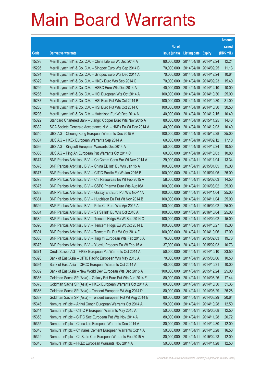|       |                                                               |               |                       |            | <b>Amount</b> |
|-------|---------------------------------------------------------------|---------------|-----------------------|------------|---------------|
|       |                                                               | No. of        |                       |            | raised        |
| Code  | <b>Derivative warrants</b>                                    | issue (units) | Listing date Expiry   |            | $(HK$$ mil.)  |
| 15293 | Merrill Lynch Int'l & Co. C.V. - China Life Eu Wt Dec 2014 A  | 80,000,000    | 2014/04/10 2014/12/24 |            | 12.24         |
| 15296 | Merrill Lynch Int'l & Co. C.V. - Sinopec Euro Wts Sep 2014 B  | 70,000,000    | 2014/04/10 2014/09/25 |            | 11.13         |
| 15294 | Merrill Lynch Int'l & Co. C.V. - Sinopec Euro Wts Dec 2014 A  | 70,000,000    | 2014/04/10 2014/12/24 |            | 10.64         |
| 15329 | Merrill Lynch Int'l & Co. C.V. - HKEx Euro Wts Sep 2014 C     | 70,000,000    | 2014/04/10 2014/09/23 |            | 15.40         |
| 15299 | Merrill Lynch Int'l & Co. C.V. - HSBC Euro Wts Dec 2014 A     | 40,000,000    | 2014/04/10 2014/12/10 |            | 10.00         |
| 15286 | Merrill Lynch Int'l & Co. C.V. - HSI European Wts Oct 2014 A  | 100,000,000   | 2014/04/10 2014/10/30 |            | 25.00         |
| 15287 | Merrill Lynch Int'l & Co. C.V. - HSI Euro Put Wts Oct 2014 B  | 100,000,000   | 2014/04/10 2014/10/30 |            | 31.00         |
| 15288 | Merrill Lynch Int'l & Co. C.V. - HSI Euro Put Wts Oct 2014 C  | 100,000,000   | 2014/04/10 2014/10/30 |            | 30.50         |
| 15298 | Merrill Lynch Int'l & Co. C.V. - Hutchison Eur Wt Dec 2014 A  | 40,000,000    | 2014/04/10 2014/12/15 |            | 10.40         |
| 15322 | Standard Chartered Bank – Jiangxi Copper Euro Wts Nov 2015 A  | 80,000,000    | 2014/04/10 2015/11/25 |            | 14.40         |
| 15332 | SGA Societe Generale Acceptance N.V. - HKEx Eu Wt Dec 2014 A  | 40,000,000    | 2014/04/10 2014/12/03 |            | 10.40         |
| 15340 | UBS AG - Cheung Kong European Warrants Dec 2015 A             | 100,000,000   | 2014/04/10 2015/12/28 |            | 25.00         |
| 15337 | UBS AG - HKEx European Warrants Sep 2014 A                    | 60,000,000    | 2014/04/10 2014/09/12 |            | 17.10         |
| 15336 | UBS AG - Kingsoft European Warrants Dec 2014 A                | 50,000,000    | 2014/04/10 2014/12/24 |            | 10.50         |
| 15338 | UBS AG – Ping An European Put Warrants Oct 2014 C             | 60,000,000    | 2014/04/10 2014/10/03 |            | 10.80         |
| 15374 | BNP Paribas Arbit Issu B.V. - Ch Comm Cons Eur Wt Nov 2014 A  | 29,000,000    | 2014/04/11 2014/11/04 |            | 13.34         |
| 15376 | BNP Paribas Arbit Issu B.V. - China EB Int'l Eu Wts Jan 15 A  | 100,000,000   | 2014/04/11            | 2015/01/05 | 15.00         |
| 15377 | BNP Paribas Arbit Issu B.V. - CITIC Pacific Eu Wt Jan 2016 B  | 100,000,000   | 2014/04/11            | 2016/01/05 | 25.00         |
| 15378 | BNP Paribas Arbit Issu B.V. - Chi Resources Eu Wt Feb 2015 A  | 58,000,000    | 2014/04/11            | 2015/02/03 | 14.50         |
| 15375 | BNP Paribas Arbit Issu B.V. - CSPC Pharma Euro Wts Aug16A     | 100,000,000   | 2014/04/11            | 2016/08/02 | 25.00         |
| 15388 | BNP Paribas Arbit Issu B.V. - Galaxy Ent Euro Put Wts Nov14A  | 100,000,000   | 2014/04/11            | 2014/11/04 | 25.00         |
| 15381 | BNP Paribas Arbit Issu B.V. - Hutchison Eu Put Wt Nov 2014 B  | 100,000,000   | 2014/04/11            | 2014/11/04 | 25.00         |
| 15392 | BNP Paribas Arbit Issu B.V. - PetroCh Euro Wts Apr 2015 A     | 100,000,000   | 2014/04/11            | 2015/04/02 | 25.00         |
| 15384 | BNP Paribas Arbit Issu B.V. - Sa Sa Int'l Eu Wts Oct 2016 A   | 100,000,000   | 2014/04/11            | 2016/10/04 | 25.00         |
| 15389 | BNP Paribas Arbit Issu B.V. - Tencent HIdgs Eu Wt Sep 2014 C  | 100,000,000   | 2014/04/11            | 2014/09/02 | 15.00         |
| 15390 | BNP Paribas Arbit Issu B.V. - Tencent HIdgs Eu Wt Oct 2014 D  | 100,000,000   | 2014/04/11            | 2014/10/27 | 15.00         |
| 15391 | BNP Paribas Arbit Issu B.V. – Tencent Eu Put Wt Oct 2014 E    | 100,000,000   | 2014/04/11 2014/10/06 |            | 17.00         |
| 15380 | BNP Paribas Arbit Issu B.V. - Ting Yi European Wts Feb 2015 A | 76,000,000    | 2014/04/11 2015/02/03 |            | 19.76         |
| 15373 | BNP Paribas Arbit Issu B.V. - Yuexiu Property Eu Wt Feb 15 A  | 37,000,000    | 2014/04/11            | 2015/02/03 | 10.73         |
| 15371 | Credit Suisse AG - HKEx European Put Warrants Oct 2014 A      | 50,000,000    | 2014/04/11            | 2014/10/10 | 23.50         |
| 15393 | Bank of East Asia - CITIC Pacific European Wts May 2015 A     | 70,000,000    | 2014/04/11            | 2015/05/06 | 10.50         |
| 15394 | Bank of East Asia - CRCC European Warrants Oct 2014 A         | 40,000,000    | 2014/04/11            | 2014/10/31 | 10.00         |
| 15359 | Bank of East Asia - New World Dev European Wts Dec 2015 A     | 100,000,000   | 2014/04/11            | 2015/12/24 | 25.00         |
| 15366 | Goldman Sachs SP (Asia) - Galaxy Ent Euro Put Wts Aug 2014 F  | 80,000,000    | 2014/04/11            | 2014/08/26 | 17.44         |
| 15370 | Goldman Sachs SP (Asia) - HKEx European Warrants Oct 2014 A   | 80,000,000    | 2014/04/11            | 2014/10/30 | 31.36         |
| 15386 | Goldman Sachs SP (Asia) - Tencent European Wt Aug 2014 D      | 80,000,000    | 2014/04/11            | 2014/08/29 | 25.28         |
| 15387 | Goldman Sachs SP (Asia) - Tencent European Put Wt Aug 2014 E  | 80,000,000    | 2014/04/11            | 2014/08/29 | 20.64         |
| 15346 | Nomura Int'l plc - Anhui Conch European Warrants Oct 2014 A   | 50,000,000    | 2014/04/11            | 2014/10/28 | 12.50         |
| 15344 | Nomura Int'l plc - CITIC P European Warrants May 2015 A       | 50,000,000    | 2014/04/11            | 2015/05/08 | 12.50         |
| 15353 | Nomura Int'l plc - CITIC Sec European Put Wts Nov 2014 A      | 80,000,000    | 2014/04/11            | 2014/11/28 | 20.72         |
| 15355 | Nomura Int'l plc - China Life European Warrants Dec 2014 A    | 80,000,000    | 2014/04/11            | 2014/12/30 | 12.00         |
| 15348 | Nomura Int'l plc - Chinares Cement European Warrants Oct14 A  | 50,000,000    | 2014/04/11            | 2014/10/28 | 16.50         |
| 15349 | Nomura Int'l plc - Ch State Con European Warrants Feb 2015 A  | 80,000,000    | 2014/04/11            | 2015/02/23 | 12.00         |
| 15345 | Nomura Int'l plc - HKEx European Warrants Nov 2014 A          | 50,000,000    | 2014/04/11            | 2014/11/28 | 12.50         |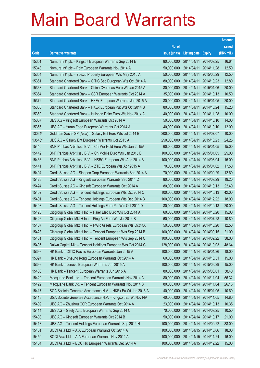|        |                                                               |               |                       |            | <b>Amount</b> |
|--------|---------------------------------------------------------------|---------------|-----------------------|------------|---------------|
|        |                                                               | No. of        |                       |            | raised        |
| Code   | <b>Derivative warrants</b>                                    | issue (units) | Listing date Expiry   |            | (HK\$ mil.)   |
| 15351  | Nomura Int'l plc - Kingsoft European Warrants Sep 2014 E      | 80,000,000    | 2014/04/11            | 2014/09/25 | 16.64         |
| 15343  | Nomura Int'l plc - Poly European Warrants Nov 2014 A          | 50,000,000    | 2014/04/11            | 2014/11/28 | 12.50         |
| 15354  | Nomura Int'l plc - Yuexiu Property European Wts May 2015 A    | 50,000,000    | 2014/04/11            | 2015/05/29 | 12.50         |
| 15361  | Standard Chartered Bank – CITIC Sec European Wts Oct 2014 A   | 80,000,000    | 2014/04/11            | 2014/10/23 | 12.80         |
| 15363  | Standard Chartered Bank - China Overseas Euro Wt Jan 2015 A   | 80,000,000    | 2014/04/11            | 2015/01/06 | 20.00         |
| 15364  | Standard Chartered Bank - CSR European Warrants Oct 2014 A    | 35,000,000    | 2014/04/11            | 2014/10/13 | 10.50         |
| 15372  | Standard Chartered Bank - HKEx European Warrants Jan 2015 A   | 80,000,000    | 2014/04/11            | 2015/01/05 | 20.00         |
| 15365  | Standard Chartered Bank - HKEx European Put Wts Oct 2014 B    | 80,000,000    | 2014/04/11            | 2014/10/24 | 15.20         |
| 15360  | Standard Chartered Bank - Huishan Dairy Euro Wts Nov 2014 A   | 40,000,000    | 2014/04/11            | 2014/11/28 | 10.00         |
| 15357  | UBS AG - Kingsoft European Warrants Oct 2014 A                | 50,000,000    | 2014/04/11            | 2014/10/10 | 14.00         |
| 15356  | UBS AG - Yurun Food European Warrants Oct 2014 A              | 40,000,000    | 2014/04/11            | 2014/10/10 | 12.00         |
| 13064# | Goldman Sachs SP (Asia) – Galaxy Ent Euro Wts Jul 2014 B      | 200,000,000   | 2014/04/11            | 2014/07/07 | 10.00         |
| 13546# | UBS AG - Galaxy Ent European Warrants Oct 2015 A              | 250,000,000   | 2014/04/11            | 2015/10/23 | 24.25         |
| 15440  | BNP Paribas Arbit Issu B.V. - Ch Mer Hold Euro Wts Jan 2015A  | 60,000,000    | 2014/04/14 2015/01/05 |            | 15.00         |
| 15442  | BNP Paribas Arbit Issu B.V. - Ch Mobile Euro Wts Jan 2015 B   | 100,000,000   | 2014/04/14            | 2015/01/05 | 25.00         |
| 15436  | BNP Paribas Arbit Issu B.V. - HSBC European Wts Aug 2014 B    | 100,000,000   | 2014/04/14 2014/08/04 |            | 15.00         |
| 15441  | BNP Paribas Arbit Issu B.V. - ZTE European Wts Apr 2015 A     | 70,000,000    | 2014/04/14            | 2015/04/02 | 17.50         |
| 15404  | Credit Suisse AG - Sinopec Corp European Warrants Sep 2014 A  | 70,000,000    | 2014/04/14 2014/09/29 |            | 12.60         |
| 15423  | Credit Suisse AG - Kingsoft European Warrants Sep 2014 C      | 80,000,000    | 2014/04/14            | 2014/09/29 | 19.20         |
| 15424  | Credit Suisse AG - Kingsoft European Warrants Oct 2014 A      | 80,000,000    | 2014/04/14 2014/10/13 |            | 22.40         |
| 15402  | Credit Suisse AG – Tencent Holdings European Wts Oct 2014 C   | 100,000,000   | 2014/04/14 2014/10/13 |            | 42.00         |
| 15401  | Credit Suisse AG - Tencent Holdings European Wts Dec 2014 B   | 100,000,000   | 2014/04/14 2014/12/22 |            | 18.00         |
| 15403  | Credit Suisse AG - Tencent Holdings Euro Put Wts Oct 2014 D   | 80,000,000    | 2014/04/14 2014/10/13 |            | 20.00         |
| 15425  | Citigroup Global Mkt H Inc. - Haier Elec Euro Wts Oct 2014 A  | 60,000,000    | 2014/04/14 2014/10/20 |            | 15.00         |
| 15426  | Citigroup Global Mkt H Inc. - Ping An Euro Wts Jul 2014 B     | 60,000,000    | 2014/04/14 2014/07/28 |            | 10.80         |
| 15407  | Citigroup Global Mkt H Inc. - PWR Assets European Wts Oct14A  | 50,000,000    | 2014/04/14 2014/10/20 |            | 12.50         |
| 15428  | Citigroup Global Mkt H Inc. - Tencent European Wts Sep 2014 B | 100,000,000   | 2014/04/14 2014/09/15 |            | 21.00         |
| 15431  | Citigroup Global Mkt H Inc. - Tencent European Wts Sep 2014 C | 100,000,000   | 2014/04/14 2014/09/22 |            | 38.00         |
| 15405  | Daiwa Capital Mkt - Tencent Holdings European Wts Oct 2014 C  | 128,000,000   | 2014/04/14 2014/10/03 |            | 48.64         |
| 15398  | HK Bank - CITIC Pacific European Warrants Jan 2015 A          | 100,000,000   | 2014/04/14 2015/01/26 |            | 18.00         |
| 15397  | HK Bank - Cheung Kong European Warrants Oct 2014 A            | 60,000,000    | 2014/04/14 2014/10/31 |            | 15.00         |
| 15399  | HK Bank - Lenovo European Warrants Jun 2015 A                 | 100,000,000   | 2014/04/14 2015/06/29 |            | 15.00         |
| 15400  | HK Bank - Tencent European Warrants Jun 2015 A                | 80,000,000    | 2014/04/14            | 2015/06/01 | 38.40         |
| 15420  | Macquarie Bank Ltd. - Tencent European Warrants Nov 2014 A    | 80,000,000    | 2014/04/14 2014/11/04 |            | 56.32         |
| 15422  | Macquarie Bank Ltd. - Tencent European Warrants Nov 2014 B    | 80,000,000    | 2014/04/14 2014/11/04 |            | 26.16         |
| 15417  | SGA Societe Generale Acceptance N.V. - HKEx Eu Wt Jan 2015 A  | 40,000,000    | 2014/04/14 2015/01/05 |            | 10.60         |
| 15418  | SGA Societe Generale Acceptance N.V. - Kingsoft Eu Wt Nov14A  | 40,000,000    | 2014/04/14 2014/11/05 |            | 14.80         |
| 15409  | UBS AG - Zhuzhou CSR European Warrants Oct 2014 A             | 23,000,000    | 2014/04/14 2014/10/13 |            | 10.35         |
| 15414  | UBS AG - Geely Auto European Warrants Sep 2014 C              | 70,000,000    | 2014/04/14 2014/09/25 |            | 10.50         |
| 15408  | UBS AG - Kingsoft European Warrants Oct 2014 B                | 50,000,000    | 2014/04/14 2014/10/17 |            | 21.00         |
| 15413  | UBS AG - Tencent Holdings European Warrants Sep 2014 H        | 100,000,000   | 2014/04/14            | 2014/09/22 | 38.00         |
| 15451  | BOCI Asia Ltd. - AIA European Warrants Oct 2014 A             | 100,000,000   | 2014/04/15 2014/10/06 |            | 18.00         |
| 15450  | BOCI Asia Ltd. - AIA European Warrants Nov 2014 A             | 100,000,000   | 2014/04/15 2014/11/24 |            | 16.00         |
| 15454  | BOCI Asia Ltd. - BOC HK European Warrants Dec 2014 A          | 100,000,000   | 2014/04/15 2014/12/22 |            | 15.00         |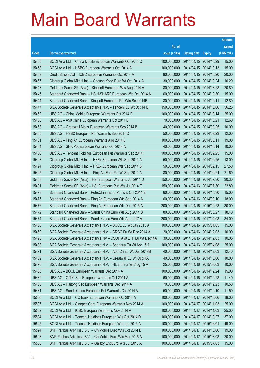|       |                                                                |               |                            |                       | <b>Amount</b> |
|-------|----------------------------------------------------------------|---------------|----------------------------|-----------------------|---------------|
|       |                                                                | No. of        |                            |                       | raised        |
| Code  | <b>Derivative warrants</b>                                     | issue (units) | <b>Listing date Expiry</b> |                       | (HK\$ mil.)   |
| 15455 | BOCI Asia Ltd. - China Mobile European Warrants Oct 2014 C     | 100,000,000   |                            | 2014/04/15 2014/10/29 | 15.00         |
| 15458 | BOCI Asia Ltd. - HSBC European Warrants Oct 2014 A             | 100,000,000   |                            | 2014/04/15 2014/10/13 | 15.00         |
| 15459 | Credit Suisse AG - ICBC European Warrants Oct 2014 A           | 80,000,000    |                            | 2014/04/15 2014/10/20 | 20.00         |
| 15467 | Citigroup Global Mkt H Inc. - Cheung Kong Euro Wt Oct 2014 A   | 30,000,000    |                            | 2014/04/15 2014/10/24 | 10.20         |
| 15443 | Goldman Sachs SP (Asia) - Kingsoft European Wts Aug 2014 A     | 80,000,000    |                            | 2014/04/15 2014/08/28 | 20.80         |
| 15445 | Standard Chartered Bank - HS H-SHARE European Wts Oct 2014 A   | 60,000,000    |                            | 2014/04/15 2014/10/30 | 15.00         |
| 15444 | Standard Chartered Bank - Kingsoft European Put Wts Sep2014B   | 80,000,000    | 2014/04/15 2014/09/11      |                       | 12.80         |
| 15447 | SGA Societe Generale Acceptance N.V. - Tencent Eu Wt Oct 14 B  | 150,000,000   |                            | 2014/04/15 2014/10/06 | 56.25         |
| 15462 | UBS AG - China Mobile European Warrants Oct 2014 E             | 100,000,000   |                            | 2014/04/15 2014/10/14 | 25.00         |
| 15460 | UBS AG - A50 China European Warrants Oct 2014 B                | 70,000,000    | 2014/04/15 2014/10/21      |                       | 12.60         |
| 15463 | UBS AG - Greatwall Motor European Warrants Sep 2014 B          | 40,000,000    | 2014/04/15 2014/09/25      |                       | 10.00         |
| 15465 | UBS AG - HSBC European Put Warrants Sep 2014 D                 | 50,000,000    |                            | 2014/04/15 2014/09/23 | 12.00         |
| 15461 | UBS AG - Ping An European Warrants Aug 2014 B                  | 100,000,000   | 2014/04/15 2014/08/11      |                       | 19.00         |
| 15464 | UBS AG - SHK Ppt European Warrants Oct 2014 A                  | 40,000,000    | 2014/04/15 2014/10/14      |                       | 10.00         |
| 15466 | UBS AG - Tencent Holdings European Put Warrants Sep 2014 I     | 100,000,000   | 2014/04/15 2014/09/25      |                       | 15.00         |
| 15493 | Citigroup Global Mkt H Inc. - HKEx European Wts Sep 2014 A     | 50,000,000    |                            | 2014/04/16 2014/09/25 | 13.00         |
| 15494 | Citigroup Global Mkt H Inc. - HKEx European Wts Sep 2014 B     | 50,000,000    |                            | 2014/04/16 2014/09/15 | 27.50         |
| 15495 | Citigroup Global Mkt H Inc. - Ping An Euro Put Wt Sep 2014 A   | 80,000,000    | 2014/04/16 2014/09/24      |                       | 21.60         |
| 15468 | Goldman Sachs SP (Asia) - HSI European Warrants Jul 2014 D     | 150,000,000   |                            | 2014/04/16 2014/07/30 | 30.30         |
| 15491 | Goldman Sachs SP (Asia) - HSI European Put Wts Jul 2014 E      | 150,000,000   |                            | 2014/04/16 2014/07/30 | 22.80         |
| 15478 | Standard Chartered Bank - PetroChina Euro Put Wts Oct 2014 B   | 60,000,000    |                            | 2014/04/16 2014/10/30 | 15.00         |
| 15475 | Standard Chartered Bank - Ping An European Wts Sep 2014 A      | 60,000,000    |                            | 2014/04/16 2014/09/10 | 18.00         |
| 15476 | Standard Chartered Bank - Ping An European Wts Dec 2015 A      | 200,000,000   | 2014/04/16 2015/12/23      |                       | 30.00         |
| 15472 | Standard Chartered Bank - Sands China Euro Wts Aug 2014 B      | 80,000,000    | 2014/04/16 2014/08/27      |                       | 18.40         |
| 15474 | Standard Chartered Bank - Sands China Euro Wts Apr 2017 A      | 200,000,000   |                            | 2014/04/16 2017/04/03 | 34.00         |
| 15486 | SGA Societe Generale Acceptance N.V. - BOCL Eu Wt Jan 2015 A   | 100,000,000   |                            | 2014/04/16 2015/01/05 | 15.00         |
| 15469 | SGA Societe Generale Acceptance N.V. - CRCC Eu Wt Dec 2014 A   | 20,000,000    |                            | 2014/04/16 2014/12/03 | 10.00         |
| 15490 | SGA Societe Generale Acceptance NV - CSOP A50 ETF Eu Wt Dec14A | 30,000,000    | 2014/04/16 2014/12/03      |                       | 10.05         |
| 15488 | SGA Societe Generale Acceptance N.V. - Shenhua Eu Wt Apr 15 A  | 100,000,000   | 2014/04/16 2015/04/08      |                       | 25.00         |
| 15471 | SGA Societe Generale Acceptance N.V. - A50 Ch Eu Wt Dec 2014B  | 40,000,000    |                            | 2014/04/16 2014/12/03 | 12.40         |
| 15489 | SGA Societe Generale Acceptance N.V. - Greatwall Eu Wt Oct14A  | 40,000,000    | 2014/04/16 2014/10/06      |                       | 10.00         |
| 15470 | SGA Societe Generale Acceptance N.V. - HLand Eur Wt Aug 15 A   | 25,000,000    | 2014/04/16 2015/08/03      |                       | 10.00         |
| 15480 | UBS AG - BOCL European Warrants Dec 2014 A                     | 100,000,000   | 2014/04/16 2014/12/24      |                       | 15.00         |
| 15482 | UBS AG - CITIC Sec European Warrants Oct 2014 A                | 60,000,000    | 2014/04/16 2014/10/23      |                       | 11.40         |
| 15485 | UBS AG - Haitong Sec European Warrants Dec 2014 A              | 70,000,000    | 2014/04/16 2014/12/23      |                       | 10.50         |
| 15481 | UBS AG - Sands China European Put Warrants Oct 2014 A          | 50,000,000    | 2014/04/16 2014/10/10      |                       | 11.50         |
| 15506 | BOCI Asia Ltd. - CC Bank European Warrants Oct 2014 A          | 100,000,000   | 2014/04/17 2014/10/06      |                       | 18.00         |
| 15507 | BOCI Asia Ltd. - Sinopec Corp European Warrants Nov 2014 A     | 100,000,000   | 2014/04/17 2014/11/03      |                       | 25.00         |
| 15502 | BOCI Asia Ltd. - ICBC European Warrants Nov 2014 A             | 100,000,000   | 2014/04/17 2014/11/03      |                       | 25.00         |
| 15504 | BOCI Asia Ltd. - Tencent Holdings European Wts Oct 2014 D      | 100,000,000   | 2014/04/17 2014/10/27      |                       | 37.00         |
| 15505 | BOCI Asia Ltd. - Tencent Holdings European Wts Jun 2015 A      | 100,000,000   | 2014/04/17                 | 2015/06/01            | 49.00         |
| 15524 | BNP Paribas Arbit Issu B.V. - Ch Mobile Euro Wts Oct 2014 B    | 100,000,000   | 2014/04/17 2014/10/06      |                       | 19.00         |
| 15528 | BNP Paribas Arbit Issu B.V. - Ch Mobile Euro Wts Mar 2015 A    | 100,000,000   | 2014/04/17                 | 2015/03/03            | 20.00         |
| 15530 | BNP Paribas Arbit Issu B.V. - Galaxy Ent Euro Wts Jul 2015 A   | 100,000,000   | 2014/04/17 2015/07/03      |                       | 15.00         |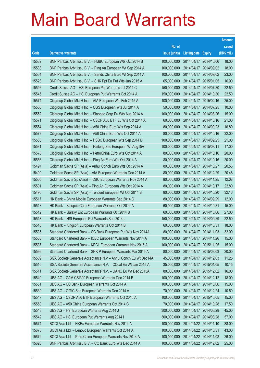|       |                                                                |               |                       |                       | <b>Amount</b> |
|-------|----------------------------------------------------------------|---------------|-----------------------|-----------------------|---------------|
|       |                                                                | No. of        |                       |                       | raised        |
| Code  | <b>Derivative warrants</b>                                     | issue (units) | Listing date Expiry   |                       | (HK\$ mil.)   |
| 15532 | BNP Paribas Arbit Issu B.V. - HSBC European Wts Oct 2014 B     | 100,000,000   |                       | 2014/04/17 2014/10/06 | 18.00         |
| 15533 | BNP Paribas Arbit Issu B.V. - Ping An European Wt Sep 2014 A   | 100,000,000   |                       | 2014/04/17 2014/09/02 | 18.00         |
| 15534 | BNP Paribas Arbit Issu B.V. - Sands China Euro Wt Sep 2014 A   | 100,000,000   |                       | 2014/04/17 2014/09/02 | 23.00         |
| 15523 | BNP Paribas Arbit Issu B.V. - SHK Ppt Eu Put Wts Jan 2015 A    | 65,000,000    |                       | 2014/04/17 2015/01/05 | 16.90         |
| 15546 | Credit Suisse AG - HSI European Put Warrants Jul 2014 C        | 150,000,000   |                       | 2014/04/17 2014/07/30 | 22.50         |
| 15545 | Credit Suisse AG - HSI European Put Warrants Oct 2014 A        | 150,000,000   |                       | 2014/04/17 2014/10/30 | 22.50         |
| 15574 | Citigroup Global Mkt H Inc. - AIA European Wts Feb 2015 A      | 100,000,000   |                       | 2014/04/17 2015/02/16 | 25.00         |
| 15560 | Citigroup Global Mkt H Inc. - CGS European Wts Jul 2014 A      | 50,000,000    |                       | 2014/04/17 2014/07/25 | 10.00         |
| 15552 | Citigroup Global Mkt H Inc. - Sinopec Corp Eu Wts Aug 2014 A   | 100,000,000   |                       | 2014/04/17 2014/08/26 | 15.00         |
| 15571 | Citigroup Global Mkt H Inc. - CSOP A50 ETF Eu Wts Oct 2014 A   | 60,000,000    |                       | 2014/04/17 2014/10/16 | 21.00         |
| 15554 | Citigroup Global Mkt H Inc. - A50 China Euro Wts Sep 2014 A    | 80,000,000    |                       | 2014/04/17 2014/09/23 | 16.80         |
| 15573 | Citigroup Global Mkt H Inc. - A50 China Euro Wts Oct 2014 A    | 80,000,000    |                       | 2014/04/17 2014/10/16 | 32.00         |
| 15563 | Citigroup Global Mkt H Inc. - HSBC European Wts Sep 2014 D     | 100,000,000   |                       | 2014/04/17 2014/09/25 | 21.00         |
| 15581 | Citigroup Global Mkt H Inc. - Haitong Sec European Wt Aug15A   | 100,000,000   | 2014/04/17 2015/08/11 |                       | 17.00         |
| 15578 | Citigroup Global Mkt H Inc. - PetroChina Euro Wts Oct 2014 A   | 80,000,000    |                       | 2014/04/17 2014/10/16 | 20.00         |
| 15556 | Citigroup Global Mkt H Inc. - Ping An Euro Wts Oct 2014 A      | 80,000,000    |                       | 2014/04/17 2014/10/16 | 20.00         |
| 15497 | Goldman Sachs SP (Asia) - Anhui Conch Euro Wts Oct 2014 A      | 80,000,000    |                       | 2014/04/17 2014/10/27 | 20.56         |
| 15499 | Goldman Sachs SP (Asia) - AIA European Warrants Dec 2014 A     | 80,000,000    |                       | 2014/04/17 2014/12/29 | 20.48         |
| 15500 | Goldman Sachs Sp (Asia) - ICBC European Warrants Nov 2014 A    | 80,000,000    |                       | 2014/04/17 2014/11/25 | 12.08         |
| 15501 | Goldman Sachs SP (Asia) - Ping An European Wts Oct 2014 A      | 80,000,000    |                       | 2014/04/17 2014/10/17 | 22.80         |
| 15496 | Goldman Sachs SP (Asia) - Tencent European Wt Oct 2014 B       | 80,000,000    |                       | 2014/04/17 2014/10/20 | 32.16         |
| 15517 | HK Bank - China Mobile European Warrants Sep 2014 C            | 80,000,000    |                       | 2014/04/17 2014/09/29 | 12.00         |
| 15513 | HK Bank - Sinopec Corp European Warrants Oct 2014 A            | 60,000,000    | 2014/04/17 2014/10/31 |                       | 15.00         |
| 15512 | HK Bank - Galaxy Ent European Warrants Oct 2014 B              | 60,000,000    |                       | 2014/04/17 2014/10/06 | 27.00         |
| 15518 | HK Bank - HSI European Put Warrants Sep 2014 L                 | 150,000,000   |                       | 2014/04/17 2014/09/29 | 22.50         |
| 15516 | HK Bank - Kingsoft European Warrants Oct 2014 B                | 60,000,000    | 2014/04/17 2014/10/31 |                       | 18.00         |
| 15535 | Standard Chartered Bank – CC Bank European Put Wts Nov 2014A   | 80,000,000    |                       | 2014/04/17 2014/11/03 | 32.00         |
| 15538 | Standard Chartered Bank - ICBC European Warrants Nov 2014 A    | 100,000,000   | 2014/04/17 2014/11/26 |                       | 15.00         |
| 15537 | Standard Chartered Bank - KECL European Warrants Nov 2015 A    | 100,000,000   | 2014/04/17 2015/11/25 |                       | 15.00         |
| 15536 | Standard Chartered Bank - SHK P European Warrants Mar 2015 A   | 80,000,000    |                       | 2014/04/17 2015/03/03 | 20.00         |
| 15509 | SGA Societe Generale Acceptance N.V - Anhui Conch Eu Wt Dec14A | 45,000,000    |                       | 2014/04/17 2014/12/03 | 11.25         |
| 15510 | SGA Societe Generale Acceptance N.V. - CCoal Eu Wt Jan 2015 A  | 35,000,000    |                       | 2014/04/17 2015/01/05 | 10.15         |
| 15511 | SGA Societe Generale Acceptance N.V. - JIANC Eu Wt Dec 2015A   | 80,000,000    |                       | 2014/04/17 2015/12/02 | 16.00         |
| 15540 | UBS AG - CAM CSI300 European Warrants Dec 2014 B               | 100,000,000   |                       | 2014/04/17 2014/12/12 | 18.00         |
| 15551 | UBS AG - CC Bank European Warrants Oct 2014 A                  | 100,000,000   |                       | 2014/04/17 2014/10/06 | 15.00         |
| 15539 | UBS AG - CITIC Sec European Warrants Dec 2014 A                | 70,000,000    |                       | 2014/04/17 2014/12/24 | 10.50         |
| 15547 | UBS AG - CSOP A50 ETF European Warrants Oct 2015 A             | 100,000,000   |                       | 2014/04/17 2015/10/05 | 15.00         |
| 15550 | UBS AG - A50 China European Warrants Oct 2014 C                | 70,000,000    | 2014/04/17 2014/10/28 |                       | 17.50         |
| 15543 | UBS AG - HSI European Warrants Aug 2014 J                      | 300,000,000   |                       | 2014/04/17 2014/08/28 | 45.00         |
| 15542 | UBS AG - HSI European Put Warrants Aug 2014 I                  | 300,000,000   | 2014/04/17 2014/08/28 |                       | 57.00         |
| 15674 | BOCI Asia Ltd. - HKEx European Warrants Nov 2014 A             | 100,000,000   |                       | 2014/04/22 2014/11/10 | 38.00         |
| 15673 | BOCI Asia Ltd. - Lenovo European Warrants Oct 2014 A           | 100,000,000   | 2014/04/22 2014/10/31 |                       | 43.00         |
| 15672 | BOCI Asia Ltd. - PetroChina European Warrants Nov 2014 A       | 100,000,000   |                       | 2014/04/22 2014/11/03 | 26.00         |
| 15620 | BNP Paribas Arbit Issu B.V. - CC Bank Euro Wts Dec 2014 A      | 100,000,000   |                       | 2014/04/22 2014/12/02 | 25.00         |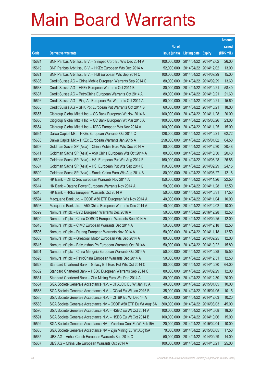|       |                                                                |               |                            |                       | <b>Amount</b> |
|-------|----------------------------------------------------------------|---------------|----------------------------|-----------------------|---------------|
|       |                                                                | No. of        |                            |                       | raised        |
| Code  | <b>Derivative warrants</b>                                     | issue (units) | <b>Listing date Expiry</b> |                       | (HK\$ mil.)   |
| 15624 | BNP Paribas Arbit Issu B.V. - Sinopec Corp Eu Wts Dec 2014 A   | 100,000,000   |                            | 2014/04/22 2014/12/02 | 26.00         |
| 15619 | BNP Paribas Arbit Issu B.V. - HKEx European Wts Dec 2014 A     | 52,000,000    |                            | 2014/04/22 2014/12/02 | 13.00         |
| 15621 | BNP Paribas Arbit Issu B.V. - HSI European Wts Sep 2014 C      | 100,000,000   |                            | 2014/04/22 2014/09/29 | 15.00         |
| 15636 | Credit Suisse AG - China Mobile European Warrants Sep 2014 C   | 80,000,000    |                            | 2014/04/22 2014/09/29 | 13.60         |
| 15638 | Credit Suisse AG - HKEx European Warrants Oct 2014 B           | 80,000,000    | 2014/04/22 2014/10/21      |                       | 58.40         |
| 15637 | Credit Suisse AG - PetroChina European Warrants Oct 2014 A     | 80,000,000    | 2014/04/22 2014/10/21      |                       | 21.60         |
| 15646 | Credit Suisse AG - Ping An European Put Warrants Oct 2014 A    | 60,000,000    | 2014/04/22 2014/10/21      |                       | 15.60         |
| 15655 | Credit Suisse AG - SHK Ppt European Put Warrants Oct 2014 B    | 60,000,000    | 2014/04/22 2014/10/21      |                       | 18.00         |
| 15657 | Citigroup Global Mkt H Inc. - CC Bank European Wt Nov 2014 A   | 100,000,000   |                            | 2014/04/22 2014/11/28 | 20.00         |
| 15656 | Citigroup Global Mkt H Inc. - CC Bank European Wt Mar 2015 A   | 100,000,000   |                            | 2014/04/22 2015/03/26 | 23.00         |
| 15664 | Citigroup Global Mkt H Inc. - ICBC European Wts Nov 2014 A     | 100,000,000   |                            | 2014/04/22 2014/11/25 | 15.00         |
| 15634 | Daiwa Capital Mkt - HKEx European Warrants Oct 2014 C          | 128,000,000   | 2014/04/22 2014/10/21      |                       | 62.72         |
| 15633 | Daiwa Capital Mkt - HKEx European Warrants Jan 2015 A          | 258,000,000   |                            | 2014/04/22 2015/01/02 | 64.50         |
| 15608 | Goldman Sachs SP (Asia) - China Mobile Euro Wts Dec 2014 A     | 80,000,000    |                            | 2014/04/22 2014/12/30 | 20.48         |
| 15611 | Goldman Sachs SP (Asia) - A50 China European Wts Oct 2014 A    | 80,000,000    |                            | 2014/04/22 2014/10/30 | 20.40         |
| 15605 | Goldman Sachs SP (Asia) - HSI European Put Wts Aug 2014 E      | 150,000,000   |                            | 2014/04/22 2014/08/28 | 26.85         |
| 15607 | Goldman Sachs SP (Asia) - HSI European Put Wts Sep 2014 B      | 150,000,000   |                            | 2014/04/22 2014/09/29 | 24.15         |
| 15609 | Goldman Sachs SP (Asia) - Sands China Euro Wts Aug 2014 B      | 80,000,000    |                            | 2014/04/22 2014/08/27 | 12.16         |
| 15613 | HK Bank – CITIC Sec European Warrants Nov 2014 A               | 150,000,000   |                            | 2014/04/22 2014/11/26 | 22.50         |
| 15614 | HK Bank - Datang Power European Warrants Nov 2014 A            | 50,000,000    |                            | 2014/04/22 2014/11/28 | 12.50         |
| 15615 | HK Bank - HKEx European Warrants Oct 2014 A                    | 50,000,000    | 2014/04/22 2014/10/31      |                       | 17.50         |
| 15594 | Macquarie Bank Ltd. - CSOP A50 ETF European Wts Nov 2014 A     | 40,000,000    |                            | 2014/04/22 2014/11/04 | 10.00         |
| 15593 | Macquarie Bank Ltd. - A50 China European Warrants Dec 2014 A   | 40,000,000    |                            | 2014/04/22 2014/12/02 | 10.00         |
| 15599 | Nomura Int'l plc - BYD European Warrants Dec 2016 A            | 50,000,000    |                            | 2014/04/22 2016/12/28 | 12.50         |
| 15600 | Nomura Int'l plc - China COSCO European Warrants Sep 2014 A    | 80,000,000    |                            | 2014/04/22 2014/09/25 | 12.00         |
| 15618 | Nomura Int'l plc - CIMC European Warrants Dec 2014 A           | 50,000,000    |                            | 2014/04/22 2014/12/18 | 12.50         |
| 15596 | Nomura Int'l plc - Datang European Warrants Nov 2014 A         | 50,000,000    |                            | 2014/04/22 2014/11/18 | 12.50         |
| 15603 | Nomura Int'l plc - Greatwall Motor European Wts Sep 2014 A     | 80,000,000    | 2014/04/22 2014/09/25      |                       | 12.00         |
| 15616 | Nomura Int'l plc - Baiyunshan Ph European Warrants Oct 2014A   | 50,000,000    |                            | 2014/04/22 2014/10/22 | 15.80         |
| 15601 | Nomura Int'l plc - China Mengniu European Warrants Oct 2014A   | 50,000,000    | 2014/04/22 2014/10/28      |                       | 15.50         |
| 15595 | Nomura Int'l plc - PetroChina European Warrants Dec 2014 A     | 50,000,000    | 2014/04/22 2014/12/31      |                       | 12.50         |
| 15628 | Standard Chartered Bank - Galaxy Ent Euro Put Wts Oct 2014 C   | 80,000,000    |                            | 2014/04/22 2014/10/30 | 64.00         |
| 15632 | Standard Chartered Bank - HSBC European Warrants Sep 2014 C    | 80,000,000    |                            | 2014/04/22 2014/09/29 | 12.00         |
| 15631 | Standard Chartered Bank - Zijin Mining Euro Wts Dec 2014 A     | 80,000,000    | 2014/04/22 2014/12/30      |                       | 20.00         |
| 15584 | SGA Societe Generale Acceptance N.V. - CHALCO Eu Wt Jan 15 A   | 40,000,000    |                            | 2014/04/22 2015/01/05 | 10.00         |
| 15588 | SGA Societe Generale Acceptance N.V. - CCoal Eu Wt Jan 2015 B  | 35,000,000    |                            | 2014/04/22 2015/01/05 | 10.15         |
| 15585 | SGA Societe Generale Acceptance N.V. - CITBK Eu Wt Dec 14 A    | 40,000,000    |                            | 2014/04/22 2014/12/03 | 10.20         |
| 15583 | SGA Societe Generale Acceptance NV - CSOP A50 ETF Eu Wt Aug16A | 300,000,000   |                            | 2014/04/22 2016/08/03 | 45.00         |
| 15590 | SGA Societe Generale Acceptance N.V. - HSBC Eu Wt Oct 2014 A   | 100,000,000   |                            | 2014/04/22 2014/10/08 | 18.00         |
| 15591 | SGA Societe Generale Acceptance N.V. - HSBC Eu Wt Oct 2014 B   | 100,000,000   |                            | 2014/04/22 2014/10/06 | 15.00         |
| 15592 | SGA Societe Generale Acceptance NV - Yanzhou Coal Eu Wt Feb15A | 20,000,000    |                            | 2014/04/22 2015/02/04 | 10.00         |
| 15635 | SGA Societe Generale Acceptance NV - Zijin Mining Eu Wt Aug15A | 70,000,000    |                            | 2014/04/22 2015/08/05 | 17.50         |
| 15665 | UBS AG - Anhui Conch European Warrants Sep 2014 C              | 50,000,000    |                            | 2014/04/22 2014/09/29 | 14.00         |
| 15667 | UBS AG - China Life European Warrants Oct 2014 A               | 100,000,000   | 2014/04/22 2014/10/21      |                       | 25.00         |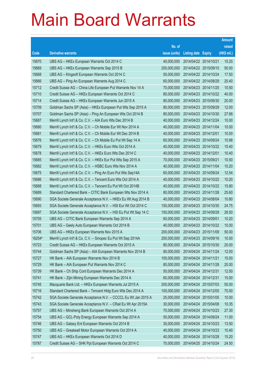|        |                                                               |               |                            |                       | <b>Amount</b> |
|--------|---------------------------------------------------------------|---------------|----------------------------|-----------------------|---------------|
|        |                                                               | No. of        |                            |                       | raised        |
| Code   | <b>Derivative warrants</b>                                    | issue (units) | <b>Listing date Expiry</b> |                       | (HK\$ mil.)   |
| 15670  | UBS AG - HKEx European Warrants Oct 2014 C                    | 40,000,000    | 2014/04/22 2014/10/21      |                       | 15.20         |
| 15669  | UBS AG - HKEx European Warrants Sep 2015 B                    | 200,000,000   | 2014/04/22 2015/09/10      |                       | 50.00         |
| 15668  | UBS AG - Kingsoft European Warrants Oct 2014 C                | 50,000,000    |                            | 2014/04/22 2014/10/24 | 17.50         |
| 15666  | UBS AG - Ping An European Warrants Aug 2014 C                 | 60,000,000    | 2014/04/22 2014/08/29      |                       | 20.40         |
| 15712  | Credit Suisse AG - China Life European Put Warrants Nov 14 A  | 70,000,000    |                            | 2014/04/23 2014/11/25 | 10.50         |
| 15710  | Credit Suisse AG - HKEx European Warrants Oct 2014 C          | 80,000,000    | 2014/04/23 2014/10/22      |                       | 40.00         |
| 15714  | Credit Suisse AG - HKEx European Warrants Jun 2015 A          | 80,000,000    |                            | 2014/04/23 2015/06/30 | 20.00         |
| 15709  | Goldman Sachs SP (Asia) - HKEx European Put Wts Sep 2015 A    | 80,000,000    | 2014/04/23 2015/09/29      |                       | 12.00         |
| 15707  | Goldman Sachs SP (Asia) - Ping An European Wts Oct 2014 B     | 80,000,000    |                            | 2014/04/23 2014/10/30 | 27.68         |
| 15687  | Merrill Lynch Int'l & Co. C.V. - AIA Euro Wts Dec 2014 B      | 40,000,000    | 2014/04/23 2014/12/24      |                       | 10.00         |
| 15680  | Merrill Lynch Int'l & Co. C.V. - Ch Mobile Eur Wt Nov 2014 A  | 40,000,000    |                            | 2014/04/23 2014/11/04 | 10.00         |
| 15681  | Merrill Lynch Int'l & Co. C.V. - Ch Mobile Eur Wt Dec 2014 B  | 40,000,000    | 2014/04/23 2014/12/01      |                       | 10.00         |
| 15676  | Merrill Lynch Int'l & Co. C.V. - Ch Mobile Eu Put Wt Sep 14 A | 60,000,000    |                            | 2014/04/23 2014/09/24 | 10.98         |
| 15679  | Merrill Lynch Int'l & Co. C.V. - HKEx Euro Wts Oct 2014 A     | 40,000,000    | 2014/04/23 2014/10/22      |                       | 15.40         |
| 15678  | Merrill Lynch Int'l & Co. C.V. - HKEx Euro Wts Dec 2014 C     | 40,000,000    | 2014/04/23 2014/12/01      |                       | 10.40         |
| 15685  | Merrill Lynch Int'l & Co. C.V. - HKEx Eur Put Wts Sep 2015 A  | 70,000,000    | 2014/04/23 2015/09/21      |                       | 10.50         |
| 15682  | Merrill Lynch Int'l & Co. C.V. - HSBC Euro Wts Nov 2014 A     | 40,000,000    |                            | 2014/04/23 2014/11/04 | 10.20         |
| 15675  | Merrill Lynch Int'l & Co. C.V. - Ping An Euro Put Wts Sep14A  | 60,000,000    | 2014/04/23 2014/09/24      |                       | 12.54         |
| 15686  | Merrill Lynch Int'l & Co. C.V. - Tencent Euro Wts Oct 2014 A  | 40,000,000    |                            | 2014/04/23 2014/10/22 | 10.20         |
| 15688  | Merrill Lynch Int'l & Co. C.V. - Tencent Eu Put Wt Oct 2014B  | 40,000,000    | 2014/04/23 2014/10/22      |                       | 15.80         |
| 15689  | Standard Chartered Bank – CITIC Bank European Wts Nov 2014 A  | 80,000,000    |                            | 2014/04/23 2014/11/28 | 25.60         |
| 15690  | SGA Societe Generale Acceptance N.V. - HKEx Eu Wt Aug 2014 B  | 40,000,000    | 2014/04/23 2014/08/04      |                       | 10.80         |
| 15693  | SGA Societe Generale Acceptance N.V. - HSI Eur Wt Oct 2014 C  | 150,000,000   |                            | 2014/04/23 2014/10/30 | 24.75         |
| 15697  | SGA Societe Generale Acceptance N.V. - HSI Eu Put Wt Sep 14 C | 150,000,000   | 2014/04/23 2014/09/29      |                       | 28.50         |
| 15705  | UBS AG - CITIC Bank European Warrants Sep 2014 A              | 60,000,000    | 2014/04/23 2014/09/01      |                       | 10.20         |
| 15701  | UBS AG - Geely Auto European Warrants Oct 2014 B              | 40,000,000    | 2014/04/23 2014/10/22      |                       | 10.00         |
| 15706  | UBS AG – HKEx European Warrants Nov 2015 A                    | 200,000,000   | 2014/04/23 2015/11/09      |                       | 50.00         |
| 18254# | Merrill Lynch Int'l & Co. C.V. - Sinopec Eu Put Wt Sep 2014A  | 200,000,000   | 2014/04/23 2014/09/16      |                       | 10.00         |
| 15723  | Credit Suisse AG - HKEx European Warrants Oct 2015 A          | 80,000,000    |                            | 2014/04/24 2015/10/30 | 20.00         |
| 15744  | Goldman Sachs SP (Asia) - AIA European Warrants Nov 2014 B    | 80,000,000    | 2014/04/24 2014/11/24      |                       | 12.00         |
| 15727  | HK Bank - AIA European Warrants Nov 2014 B                    | 100,000,000   | 2014/04/24 2014/11/21      |                       | 15.00         |
| 15729  | HK Bank - AIA European Put Warrants Nov 2014 C                | 80,000,000    | 2014/04/24 2014/11/28      |                       | 20.00         |
| 15739  | HK Bank - Ch Ship Cont European Warrants Dec 2014 A           | 50,000,000    | 2014/04/24 2014/12/31      |                       | 12.50         |
| 15741  | HK Bank - Zijin Mining European Warrants Dec 2014 A           | 60,000,000    | 2014/04/24 2014/12/31      |                       | 15.00         |
| 15745  | Macquarie Bank Ltd. - HKEx European Warrants Jul 2015 A       | 200,000,000   | 2014/04/24 2015/07/03      |                       | 50.00         |
| 15716  | Standard Chartered Bank - Tencent Hidg Euro Wts Dec 2014 A    | 100,000,000   | 2014/04/24 2014/12/05      |                       | 70.00         |
| 15742  | SGA Societe Generale Acceptance N.V. - CCCCL Eu Wt Jan 2015 A | 25,000,000    | 2014/04/24 2015/01/05      |                       | 10.00         |
| 15743  | SGA Societe Generale Acceptance N.V. - CRail Eu Wt Apr 2015A  | 30,000,000    | 2014/04/24 2015/04/08      |                       | 10.35         |
| 15757  | UBS AG - Minsheng Bank European Warrants Oct 2014 A           | 70,000,000    | 2014/04/24 2014/10/23      |                       | 27.30         |
| 15754  | UBS AG - GCL-Poly Energy European Warrants Sep 2014 A         | 50,000,000    | 2014/04/24 2014/09/24      |                       | 11.00         |
| 15746  | UBS AG - Galaxy Ent European Warrants Oct 2014 B              | 30,000,000    | 2014/04/24 2014/10/23      |                       | 13.50         |
| 15750  | UBS AG - Greatwall Motor European Warrants Oct 2014 A         | 40,000,000    | 2014/04/24 2014/10/23      |                       | 10.40         |
| 15747  | UBS AG - HKEx European Warrants Oct 2014 D                    | 40,000,000    | 2014/04/24 2014/10/28      |                       | 15.20         |
| 15787  | Credit Suisse AG - SHK Ppt European Warrants Oct 2014 C       | 70,000,000    | 2014/04/25 2014/10/24      |                       | 24.50         |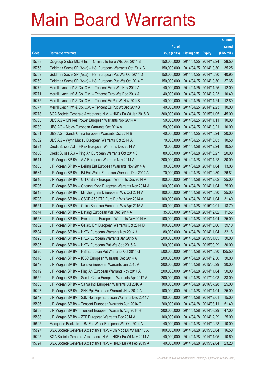|       |                                                              |               |                            |                       | <b>Amount</b> |
|-------|--------------------------------------------------------------|---------------|----------------------------|-----------------------|---------------|
|       |                                                              | No. of        |                            |                       | raised        |
| Code  | <b>Derivative warrants</b>                                   | issue (units) | <b>Listing date Expiry</b> |                       | (HK\$ mil.)   |
| 15788 | Citigroup Global Mkt H Inc. - China Life Euro Wts Dec 2014 B | 150,000,000   | 2014/04/25 2014/12/24      |                       | 28.50         |
| 15758 | Goldman Sachs SP (Asia) - HSI European Warrants Oct 2014 C   | 150,000,000   |                            | 2014/04/25 2014/10/30 | 35.25         |
| 15759 | Goldman Sachs SP (Asia) - HSI European Put Wts Oct 2014 D    | 150,000,000   |                            | 2014/04/25 2014/10/30 | 40.95         |
| 15760 | Goldman Sachs SP (Asia) - HSI European Put Wts Oct 2014 E    | 150,000,000   |                            | 2014/04/25 2014/10/30 | 37.65         |
| 15772 | Merrill Lynch Int'l & Co. C.V. - Tencent Euro Wts Nov 2014 A | 40,000,000    |                            | 2014/04/25 2014/11/25 | 12.00         |
| 15771 | Merrill Lynch Int'l & Co. C.V. - Tencent Euro Wts Dec 2014 A | 40,000,000    |                            | 2014/04/25 2014/12/23 | 10.40         |
| 15775 | Merrill Lynch Int'l & Co. C.V. - Tencent Eu Put Wt Nov 2014B | 40,000,000    | 2014/04/25 2014/11/24      |                       | 12.80         |
| 15777 | Merrill Lynch Int'l & Co. C.V. - Tencent Eu Put Wt Dec 2014B | 40,000,000    |                            | 2014/04/25 2014/12/23 | 10.00         |
| 15778 | SGA Societe Generale Acceptance N.V. - HKEx Eu Wt Jan 2015 B | 300,000,000   |                            | 2014/04/25 2015/01/05 | 45.00         |
| 15785 | UBS AG - Chi Res Power European Warrants Nov 2014 A          | 50,000,000    | 2014/04/25 2014/11/11      |                       | 10.00         |
| 15780 | UBS AG - Melco European Warrants Oct 2014 A                  | 50,000,000    | 2014/04/25 2014/10/21      |                       | 10.00         |
| 15781 | UBS AG - Sands China European Warrants Oct 2014 B            | 40,000,000    |                            | 2014/04/25 2014/10/24 | 20.00         |
| 15782 | UBS AG - Wynn Macau European Warrants Oct 2014 A             | 70,000,000    |                            | 2014/04/25 2014/10/03 | 10.50         |
| 15824 | Credit Suisse AG - HKEx European Warrants Dec 2014 A         | 70,000,000    |                            | 2014/04/28 2014/12/24 | 10.50         |
| 15856 | Credit Suisse AG - Ping An European Warrants Oct 2014 B      | 80,000,000    | 2014/04/28 2014/10/27      |                       | 20.00         |
| 15811 | J P Morgan SP BV - AIA European Warrants Nov 2014 A          | 200,000,000   |                            | 2014/04/28 2014/11/28 | 30.00         |
| 15835 | J P Morgan SP BV - Beijing Ent European Warrants Nov 2014 A  | 30,000,000    |                            | 2014/04/28 2014/11/04 | 13.08         |
| 15834 | J P Morgan SP BV - BJ Ent Water European Warrants Dec 2014 A | 70,000,000    |                            | 2014/04/28 2014/12/30 | 26.81         |
| 15810 | J P Morgan SP BV - CITIC Bank European Warrants Dec 2014 A   | 100,000,000   |                            | 2014/04/28 2014/12/02 | 25.00         |
| 15796 | J P Morgan SP BV - Cheung Kong European Warrants Nov 2014 A  | 100,000,000   | 2014/04/28 2014/11/04      |                       | 25.00         |
| 15818 | J P Morgan SP BV - Minsheng Bank European Wts Oct 2014 A     | 100,000,000   |                            | 2014/04/28 2014/10/30 | 25.00         |
| 15798 | J P Morgan SP BV - CSOP A50 ETF Euro Put Wts Nov 2014 A      | 100,000,000   |                            | 2014/04/28 2014/11/04 | 31.40         |
| 15851 | J P Morgan SP BV - China Shenhua European Wts Apr 2015 A     | 100,000,000   | 2014/04/28 2015/04/01      |                       | 18.70         |
| 15844 | J P Morgan SP BV - Datang European Wts Dec 2014 A            | 35,000,000    |                            | 2014/04/28 2014/12/02 | 11.55         |
| 15853 | J P Morgan SP BV - Evergrande European Warrants Nov 2014 A   | 100,000,000   |                            | 2014/04/28 2014/11/04 | 25.00         |
| 15832 | J P Morgan SP BV - Galaxy Ent European Warrants Oct 2014 D   | 100,000,000   |                            | 2014/04/28 2014/10/06 | 39.10         |
| 15804 | J P Morgan SP BV - HKEx European Warrants Nov 2014 A         | 80,000,000    | 2014/04/28 2014/11/04      |                       | 32.16         |
| 15823 | J P Morgan SP BV - HKEx European Warrants Jan 2015 A         | 200,000,000   | 2014/04/28 2015/01/05      |                       | 30.00         |
| 15805 | J P Morgan SP BV - HKEx European Put Wts Sep 2015 A          | 200,000,000   | 2014/04/28 2015/09/29      |                       | 30.00         |
| 15820 | J P Morgan SP BV - HSI European Put Warrants Oct 2014 G      | 500,000,000   |                            | 2014/04/28 2014/10/30 | 125.50        |
| 15816 | J P Morgan SP BV - ICBC European Warrants Dec 2014 A         | 200,000,000   | 2014/04/28 2014/12/30      |                       | 30.00         |
| 15849 | J P Morgan SP BV - Lenovo European Warrants Jun 2015 A       | 200,000,000   | 2014/04/28 2015/06/29      |                       | 30.00         |
| 15819 | J P Morgan SP BV - Ping An European Warrants Nov 2014 A      | 200,000,000   | 2014/04/28 2014/11/04      |                       | 50.00         |
| 15852 | J P Morgan SP BV - Sands China European Warrants Apr 2017 A  | 200,000,000   | 2014/04/28 2017/04/03      |                       | 33.00         |
| 15833 | J P Morgan SP BV - Sa Sa Int'l European Warrants Jul 2016 A  | 100,000,000   | 2014/04/28 2016/07/28      |                       | 25.00         |
| 15797 | J P Morgan SP BV - SHK Ppt European Warrants Nov 2014 A      | 100,000,000   | 2014/04/28 2014/11/04      |                       | 25.00         |
| 15842 | J P Morgan SP BV - SJM Holdings European Warrants Dec 2014 A | 100,000,000   | 2014/04/28 2014/12/01      |                       | 15.00         |
| 15806 | J P Morgan SP BV - Tencent European Warrants Aug 2014 G      | 200,000,000   | 2014/04/28 2014/08/11      |                       | 51.40         |
| 15808 | J P Morgan SP BV - Tencent European Warrants Aug 2014 H      | 200,000,000   | 2014/04/28 2014/08/29      |                       | 47.00         |
| 15838 | J P Morgan SP BV - ZTE European Warrants Dec 2014 A          | 100,000,000   | 2014/04/28 2014/12/29      |                       | 25.00         |
| 15825 | Macquarie Bank Ltd. - BJ Ent Water European Wts Oct 2014 A   | 40,000,000    | 2014/04/28 2014/10/28      |                       | 10.00         |
| 15827 | SGA Societe Generale Acceptance N.V. - Ch Mob Eu Wt Mar 15 A | 100,000,000   | 2014/04/28 2015/03/04      |                       | 16.50         |
| 15795 | SGA Societe Generale Acceptance N.V. - HKEx Eu Wt Nov 2014 A | 40,000,000    | 2014/04/28 2014/11/05      |                       | 10.60         |
| 15794 | SGA Societe Generale Acceptance N.V. - HKEx Eu Wt Feb 2015 A | 40,000,000    | 2014/04/28 2015/02/04      |                       | 23.20         |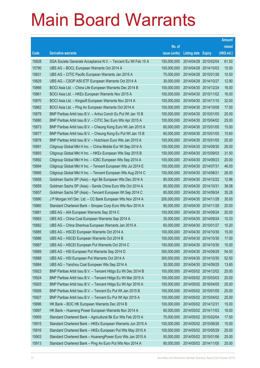|       |                                                               |               |                            | <b>Amount</b> |
|-------|---------------------------------------------------------------|---------------|----------------------------|---------------|
|       |                                                               | No. of        |                            | raised        |
| Code  | <b>Derivative warrants</b>                                    | issue (units) | <b>Listing date Expiry</b> | (HK\$ mil.)   |
| 15828 | SGA Societe Generale Acceptance N.V. - Tencent Eu Wt Feb 15 A | 150,000,000   | 2014/04/28 2015/02/04      | 61.50         |
| 15790 | UBS AG - BOCL European Warrants Oct 2014 A                    | 100,000,000   | 2014/04/28 2014/10/03      | 15.00         |
| 15831 | UBS AG - CITIC Pacific European Warrants Jan 2015 A           | 70,000,000    | 2014/04/28 2015/01/26      | 10.50         |
| 15829 | UBS AG - CSOP A50 ETF European Warrants Oct 2014 A            | 30,000,000    | 2014/04/28 2014/10/27      | 12.90         |
| 15866 | BOCI Asia Ltd. - China Life European Warrants Dec 2014 B      | 100,000,000   | 2014/04/30 2014/12/24      | 16.00         |
| 15861 | BOCI Asia Ltd. - HKEx European Warrants Nov 2015 A            | 100,000,000   | 2014/04/30 2015/11/02      | 16.00         |
| 15870 | BOCI Asia Ltd. - Kingsoft European Warrants Nov 2014 A        | 100,000,000   | 2014/04/30 2014/11/10      | 32.00         |
| 15862 | BOCI Asia Ltd. – Ping An European Warrants Oct 2014 A         | 100,000,000   | 2014/04/30 2014/10/08      | 17.00         |
| 15879 | BNP Paribas Arbit Issu B.V. - Anhui Conch Eu Put Wt Jan 15 B  | 100,000,000   | 2014/04/30 2015/01/05      | 25.00         |
| 15880 | BNP Paribas Arbit Issu B.V. - CITIC Sec Euro Wts Apr 2015 A   | 100,000,000   | 2014/04/30 2015/04/02      | 25.00         |
| 15873 | BNP Paribas Arbit Issu B.V. - Cheung Kong Euro Wt Jan 2015 A  | 60,000,000    | 2014/04/30 2015/01/05      | 15.00         |
| 15877 | BNP Paribas Arbit Issu B.V. - Cheung Kong Eu Put Wt Jan 15 B  | 60,000,000    | 2014/04/30 2015/01/05      | 15.60         |
| 15878 | BNP Paribas Arbit Issu B.V. - Hutchison Euro Wts Jan 2015 A   | 100,000,000   | 2014/04/30 2015/01/05      | 25.00         |
| 15891 | Citigroup Global Mkt H Inc. - China Mobile Eur Wt Sep 2014 A  | 100,000,000   | 2014/04/30 2014/09/30      | 26.00         |
| 15893 | Citigroup Global Mkt H Inc. - HKEx European Wts Sep 2015 B    | 150,000,000   | 2014/04/30 2015/09/03      | 31.50         |
| 15892 | Citigroup Global Mkt H Inc. - ICBC European Wts Sep 2014 A    | 100,000,000   | 2014/04/30 2014/09/23      | 20.00         |
| 15894 | Citigroup Global Mkt H Inc. - Tencent European Wts Jul 2014 E | 100,000,000   | 2014/04/30 2014/07/31      | 46.00         |
| 15895 | Citigroup Global Mkt H Inc. - Tencent European Wts Aug 2014 C | 100,000,000   | 2014/04/30 2014/08/21      | 26.00         |
| 15858 | Goldman Sachs SP (Asia) - Agri Bk European Wts Dec 2014 A     | 80,000,000    | 2014/04/30 2014/12/22      | 12.96         |
| 15859 | Goldman Sachs SP (Asia) – Sands China Euro Wts Oct 2014 A     | 80,000,000    | 2014/04/30 2014/10/31      | 36.08         |
| 15857 | Goldman Sachs SP (Asia) – Tencent European Wt Sep 2014 C      | 80,000,000    | 2014/04/30 2014/09/24      | 35.28         |
| 15890 | J P Morgan Int'l Der. Ltd. – CC Bank European Wts Nov 2014 A  | 200,000,000   | 2014/04/30 2014/11/28      | 30.00         |
| 15860 | Standard Chartered Bank – Sinopec Corp Euro Wts Nov 2014 A    | 80,000,000    | 2014/04/30 2014/11/28      | 20.00         |
| 15881 | UBS AG - AIA European Warrants Sep 2014 C                     | 100,000,000   | 2014/04/30 2014/09/24      | 20.00         |
| 15883 | UBS AG - China Coal European Warrants Sep 2014 A              | 35,000,000    | 2014/04/30 2014/09/24      | 10.33         |
| 15882 | UBS AG - China Shenhua European Warrants Jan 2015 A           | 60,000,000    | 2014/04/30 2015/01/27      | 10.20         |
| 15885 | UBS AG - HSCEI European Warrants Oct 2014 A                   | 100,000,000   | 2014/04/30 2014/10/30      | 15.00         |
| 15886 | UBS AG - HSCEI European Warrants Oct 2014 B                   | 100,000,000   | 2014/04/30 2014/10/30      | 17.00         |
| 15887 | UBS AG - HSCEI European Put Warrants Oct 2014 C               | 100,000,000   | 2014/04/30 2014/10/30      | 15.00         |
| 15889 | UBS AG - HSI European Put Warrants Sep 2014 D                 | 300,000,000   | 2014/04/30 2014/09/29      | 54.00         |
| 15888 | UBS AG - HSI European Put Warrants Oct 2014 A                 | 300,000,000   | 2014/04/30 2014/10/30      | 52.50         |
| 15884 | UBS AG - Yanzhou Coal European Wts Sep 2014 A                 | 30,000,000    | 2014/04/30 2014/09/25      | 13.65         |
| 15923 | BNP Paribas Arbit Issu B.V. - Tencent Hidgs Eu Wt Dec 2014 B  | 100,000,000   | 2014/05/02 2014/12/02      | 25.00         |
| 15924 | BNP Paribas Arbit Issu B.V. - Tencent HIdgs Eu Wt Mar 2015 A  | 100,000,000   | 2014/05/02 2015/03/03      | 25.00         |
| 15925 | BNP Paribas Arbit Issu B.V. - Tencent HIdgs Eu Wt Apr 2016 A  | 100,000,000   | 2014/05/02 2016/04/05      | 25.00         |
| 15926 | BNP Paribas Arbit Issu B.V. - Tencent Eu Put Wt Jan 2015 B    | 100,000,000   | 2014/05/02 2015/01/05      | 25.00         |
| 15927 | BNP Paribas Arbit Issu B.V. - Tencent Eu Put Wt Apr 2015 A    | 100,000,000   | 2014/05/02 2015/04/02      | 25.00         |
| 15896 | HK Bank - BOC HK European Warrants Dec 2014 B                 | 100,000,000   | 2014/05/02 2014/12/31      | 15.00         |
| 15897 | HK Bank - Huaneng Power European Warrants Nov 2014 A          | 60,000,000    | 2014/05/02 2014/11/03      | 18.00         |
| 15905 | Standard Chartered Bank - Agricultural Bk Eur Wts Feb 2015 A  | 70,000,000    | 2014/05/02 2015/02/04      | 17.50         |
| 15915 | Standard Chartered Bank - HKEx European Warrants Jun 2015 A   | 100,000,000   | 2014/05/02 2015/06/26      | 15.00         |
| 15916 | Standard Chartered Bank - HKEx European Put Wts May 2015 A    | 100,000,000   | 2014/05/02 2015/05/29      | 25.00         |
| 15903 | Standard Chartered Bank - HuanengPower Euro Wts Jan 2015 A    | 50,000,000    | 2014/05/02 2015/01/06      | 25.00         |
| 15913 | Standard Chartered Bank - Ping An Euro Put Wts Nov 2014 A     | 80,000,000    | 2014/05/02 2014/11/05      | 20.00         |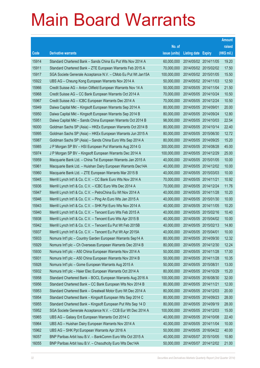|       |                                                              |               |                            |                       | <b>Amount</b> |
|-------|--------------------------------------------------------------|---------------|----------------------------|-----------------------|---------------|
|       |                                                              | No. of        |                            |                       | raised        |
| Code  | <b>Derivative warrants</b>                                   | issue (units) | <b>Listing date Expiry</b> |                       | (HK\$ mil.)   |
| 15914 | Standard Chartered Bank - Sands China Eu Put Wts Nov 2014 A  | 60,000,000    |                            | 2014/05/02 2014/11/05 | 19.20         |
| 15911 | Standard Chartered Bank - ZTE European Warrants Feb 2015 A   | 70,000,000    |                            | 2014/05/02 2015/02/02 | 17.50         |
| 15917 | SGA Societe Generale Acceptance N.V. - CMob Eu Put Wt Jan15A | 100,000,000   |                            | 2014/05/02 2015/01/05 | 15.50         |
| 15922 | UBS AG - Cheung Kong European Warrants Nov 2014 A            | 50,000,000    |                            | 2014/05/02 2014/11/03 | 12.50         |
| 15966 | Credit Suisse AG - Anton Oilfield European Warrants Nov 14 A | 50,000,000    |                            | 2014/05/05 2014/11/04 | 21.50         |
| 15968 | Credit Suisse AG - CC Bank European Warrants Oct 2014 A      | 70,000,000    |                            | 2014/05/05 2014/10/24 | 10.50         |
| 15967 | Credit Suisse AG - ICBC European Warrants Dec 2014 A         | 70,000,000    | 2014/05/05 2014/12/24      |                       | 10.50         |
| 15949 | Daiwa Capital Mkt - Kingsoft European Warrants Sep 2014 A    | 80,000,000    | 2014/05/05 2014/09/01      |                       | 20.00         |
| 15950 | Daiwa Capital Mkt - Kingsoft European Warrants Sep 2014 B    | 80,000,000    |                            | 2014/05/05 2014/09/24 | 12.80         |
| 15951 | Daiwa Capital Mkt - Sands China European Warrants Oct 2014 B | 98,000,000    |                            | 2014/05/05 2014/10/03 | 22.54         |
| 16000 | Goldman Sachs SP (Asia) - HKEx European Warrants Oct 2014 B  | 80,000,000    | 2014/05/05 2014/10/14      |                       | 22.40         |
| 15995 | Goldman Sachs SP (Asia) - HKEx European Warrants Jun 2015 A  | 80,000,000    |                            | 2014/05/05 2015/06/30 | 12.72         |
| 15987 | Goldman Sachs SP (Asia) - Sands China Euro Wts Sep 2014 A    | 80,000,000    |                            | 2014/05/05 2014/09/25 | 15.20         |
| 15985 | J P Morgan SP BV - HSI European Put Warrants Aug 2014 G      | 300,000,000   |                            | 2014/05/05 2014/08/28 | 45.00         |
| 15974 | J P Morgan SP BV - Kingsoft European Warrants Dec 2014 A     | 100,000,000   |                            | 2014/05/05 2014/12/29 | 25.00         |
| 15959 | Macquarie Bank Ltd. - China Tel European Warrants Jan 2015 A | 40,000,000    | 2014/05/05 2015/01/05      |                       | 10.00         |
| 15961 | Macquarie Bank Ltd. - Huishan Dairy European Warrants Dec14A | 40,000,000    |                            | 2014/05/05 2014/12/02 | 10.00         |
| 15960 | Macquarie Bank Ltd. - ZTE European Warrants Mar 2015 B       | 40,000,000    |                            | 2014/05/05 2015/03/03 | 10.00         |
| 15945 | Merrill Lynch Int'l & Co. C.V. - CC Bank Euro Wts Nov 2014 A | 70,000,000    | 2014/05/05 2014/11/21      |                       | 10.92         |
| 15936 | Merrill Lynch Int'l & Co. C.V. - ICBC Euro Wts Dec 2014 A    | 70,000,000    |                            | 2014/05/05 2014/12/24 | 11.76         |
| 15947 | Merrill Lynch Int'l & Co. C.V. - PetroChina Eu Wt Nov 2014 A | 40,000,000    |                            | 2014/05/05 2014/11/28 | 10.20         |
| 15946 | Merrill Lynch Int'l & Co. C.V. - Ping An Euro Wts Jan 2015 A | 40,000,000    |                            | 2014/05/05 2015/01/30 | 10.00         |
| 15943 | Merrill Lynch Int'l & Co. C.V. - SHK Ppt Euro Wts Nov 2014 A | 40,000,000    |                            | 2014/05/05 2014/11/05 | 10.20         |
| 15940 | Merrill Lynch Int'l & Co. C.V. - Tencent Euro Wts Feb 2015 A | 40,000,000    |                            | 2014/05/05 2015/02/16 | 10.40         |
| 15938 | Merrill Lynch Int'l & Co. C.V. - Tencent Euro Wts Apr 2015 B | 40,000,000    |                            | 2014/05/05 2015/04/02 | 10.00         |
| 15942 | Merrill Lynch Int'l & Co. C.V. - Tencent Eu Put Wt Feb 2015B | 40,000,000    | 2014/05/05 2015/02/13      |                       | 14.80         |
| 15937 | Merrill Lynch Int'l & Co. C.V. - Tencent Eu Put Wt Apr 2015A | 40,000,000    | 2014/05/05 2015/04/01      |                       | 10.00         |
| 15933 | Nomura Int'l plc - Country Garden European Warrants Sep14 A  | 80,000,000    | 2014/05/05 2014/09/30      |                       | 12.32         |
| 15929 | Nomura Int'l plc - Ch Overseas European Warrants Dec 2014 B  | 80,000,000    | 2014/05/05 2014/12/30      |                       | 12.24         |
| 15930 | Nomura Int'l plc - A50 China European Warrants Nov 2014 A    | 50,000,000    | 2014/05/05 2014/11/28      |                       | 17.00         |
| 15931 | Nomura Int'l plc - A50 China European Warrants Nov 2014 B    | 50,000,000    | 2014/05/05 2014/11/28      |                       | 10.35         |
| 15928 | Nomura Int'l plc - Gome European Warrants Aug 2015 A         | 50,000,000    | 2014/05/05 2015/08/31      |                       | 13.00         |
| 15932 | Nomura Int'l plc - Haier Elec European Warrants Oct 2014 A   | 80,000,000    | 2014/05/05 2014/10/29      |                       | 15.20         |
| 15958 | Standard Chartered Bank - BOCL European Warrants Aug 2016 A  | 100,000,000   |                            | 2014/05/05 2016/08/30 | 32.00         |
| 15956 | Standard Chartered Bank - CC Bank European Wts Nov 2014 B    | 80,000,000    | 2014/05/05 2014/11/21      |                       | 12.00         |
| 15953 | Standard Chartered Bank - Greatwall Motor Euro Wt Dec 2014 A | 80,000,000    | 2014/05/05 2014/12/03      |                       | 20.00         |
| 15954 | Standard Chartered Bank - Kingsoft European Wts Sep 2014 C   | 80,000,000    | 2014/05/05 2014/09/23      |                       | 28.00         |
| 15955 | Standard Chartered Bank - Kingsoft European Put Wts Sep 14 D | 80,000,000    | 2014/05/05 2014/09/19      |                       | 28.00         |
| 15952 | SGA Societe Generale Acceptance N.V. - CCB Eur Wt Dec 2014 A | 100,000,000   | 2014/05/05 2014/12/03      |                       | 15.00         |
| 15965 | UBS AG - Galaxy Ent European Warrants Oct 2014 C             | 40,000,000    | 2014/05/05 2014/10/08      |                       | 22.40         |
| 15964 | UBS AG - Huishan Dairy European Warrants Nov 2014 A          | 40,000,000    | 2014/05/05 2014/11/04      |                       | 10.00         |
| 15962 | UBS AG - SHK Ppt European Warrants Apr 2016 A                | 50,000,000    |                            | 2014/05/05 2016/04/22 | 40.00         |
| 16057 | BNP Paribas Arbit Issu B.V. - BankComm Euro Wts Oct 2015 A   | 40,000,000    | 2014/05/07 2015/10/05      |                       | 10.80         |
| 16055 | BNP Paribas Arbit Issu B.V. - Chsouthcity Euro Wts Dec14A    | 50,000,000    |                            | 2014/05/07 2014/12/02 | 21.00         |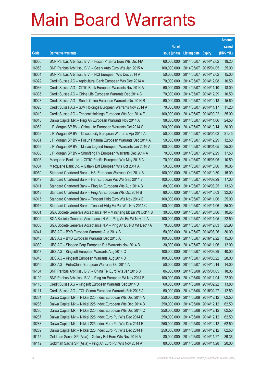|       |                                                                |               |                            | <b>Amount</b> |
|-------|----------------------------------------------------------------|---------------|----------------------------|---------------|
|       |                                                                | No. of        |                            | raised        |
| Code  | <b>Derivative warrants</b>                                     | issue (units) | <b>Listing date Expiry</b> | (HK\$ mil.)   |
| 16056 | BNP Paribas Arbit Issu B.V. - Fosun Pharma Euro Wts Dec14A     | 60,000,000    | 2014/05/07 2014/12/02      | 19.20         |
| 16053 | BNP Paribas Arbit Issu B.V. - Geely Auto Euro Wts Jan 2015 A   | 100,000,000   | 2014/05/07 2015/01/05      | 25.00         |
| 16054 | BNP Paribas Arbit Issu B.V. - NCI European Wts Dec 2014 A      | 50,000,000    | 2014/05/07 2014/12/02      | 15.00         |
| 16022 | Credit Suisse AG - Agricultural Bank European Wts Dec 2014 A   | 70,000,000    | 2014/05/07 2014/12/08      | 10.50         |
| 16036 | Credit Suisse AG - CITIC Bank European Warrants Nov 2014 A     | 60,000,000    | 2014/05/07 2014/11/10      | 18.00         |
| 16035 | Credit Suisse AG - China Life European Warrants Dec 2014 B     | 70,000,000    | 2014/05/07 2014/12/29      | 10.50         |
| 16023 | Credit Suisse AG - Sands China European Warrants Oct 2014 B    | 60,000,000    | 2014/05/07 2014/10/13      | 15.60         |
| 16020 | Credit Suisse AG - SJM Holdings European Warrants Nov 2014 A   | 70,000,000    | 2014/05/07 2014/11/17      | 11.20         |
| 16019 | Credit Suisse AG - Tencent Holdings European Wts Sep 2014 E    | 100,000,000   | 2014/05/07 2014/09/22      | 35.00         |
| 16018 | Daiwa Capital Mkt - Ping An European Warrants Nov 2014 A       | 98,000,000    | 2014/05/07 2014/11/06      | 24.50         |
| 16062 | J P Morgan SP BV - China Life European Warrants Oct 2014 C     | 200,000,000   | 2014/05/07 2014/10/14      | 30.00         |
| 16058 | J P Morgan SP BV - Chsouthcity European Warrants Apr 2015 A    | 50,000,000    | 2014/05/07 2015/04/02      | 21.45         |
| 16061 | J P Morgan SP BV - Fosun Pharma European Warrants Dec 2014 A   | 50,000,000    | 2014/05/07 2014/12/29      | 12.50         |
| 16059 | J P Morgan SP BV - Macau Legend European Warrants Jan 2016 A   | 100,000,000   | 2014/05/07 2016/01/05      | 25.00         |
| 16060 | J P Morgan SP BV - Shunfeng Pv European Warrants Dec 2014 A    | 70,000,000    | 2014/05/07 2014/12/29      | 17.50         |
| 16005 | Macquarie Bank Ltd. - CITIC Pacific European Wts May 2015 A    | 70,000,000    | 2014/05/07 2015/05/05      | 10.50         |
| 16004 | Macquarie Bank Ltd. - Galaxy Ent European Wts Oct 2014 A       | 50,000,000    | 2014/05/07 2014/10/06      | 10.05         |
| 16050 | Standard Chartered Bank - HSI European Warrants Oct 2014 B     | 100,000,000   | 2014/05/07 2014/10/30      | 15.00         |
| 16049 | Standard Chartered Bank - HSI European Put Wts Sep 2014 B      | 100,000,000   | 2014/05/07 2014/09/29      | 17.00         |
| 16011 | Standard Chartered Bank - Ping An European Wts Aug 2014 B      | 80,000,000    | 2014/05/07 2014/08/25      | 13.60         |
| 16013 | Standard Chartered Bank - Ping An European Wts Oct 2014 B      | 80,000,000    | 2014/05/07 2014/10/03      | 32.00         |
| 16015 | Standard Chartered Bank - Tencent Hidg Euro Wts Nov 2014 B     | 100,000,000   | 2014/05/07 2014/11/06      | 25.00         |
| 16016 | Standard Chartered Bank - Tencent Hidg Eu Put Wts Nov 2014 C   | 100,000,000   | 2014/05/07 2014/11/06      | 35.00         |
| 16001 | SGA Societe Generale Acceptance NV - Minsheng Bk Eu Wt Oct14 B | 30,000,000    | 2014/05/07 2014/10/06      | 10.65         |
| 16002 | SGA Societe Generale Acceptance N.V. - Ping An Eu Wt Nov 14 A  | 100,000,000   | 2014/05/07 2014/11/05      | 22.50         |
| 16003 | SGA Societe Generale Acceptance N.V - Ping An Eu Put Wt Dec14A | 70,000,000    | 2014/05/07 2014/12/03      | 25.90         |
| 16041 | UBS AG - BYD European Warrants Aug 2014 B                      | 50,000,000    | 2014/05/07 2014/08/26      | 30.00         |
| 16045 | UBS AG - BYD European Warrants Dec 2016 A                      | 100,000,000   | 2014/05/07 2016/12/22      | 15.00         |
| 16039 | UBS AG - Sinopec Corp European Put Warrants Nov 2014 B         | 30,000,000    | 2014/05/07 2014/11/06      | 12.00         |
| 16047 | UBS AG - Kingsoft European Warrants Aug 2014 C                 | 100,000,000   | 2014/05/07 2014/08/29      | 40.00         |
| 16048 | UBS AG - Kingsoft European Warrants Aug 2014 D                 | 100,000,000   | 2014/05/07 2014/08/22      | 28.00         |
| 16040 | UBS AG - PetroChina European Warrants Oct 2014 A               | 50,000,000    | 2014/05/07 2014/10/14      | 14.00         |
| 16104 | BNP Paribas Arbit Issu B.V. - China Tel Euro Wts Jan 2015 B    | 86,000,000    | 2014/05/08 2015/01/05      | 18.06         |
| 16102 | BNP Paribas Arbit Issu B.V. - Ping An European Wt Nov 2014 B   | 100,000,000   | 2014/05/08 2014/11/04      | 22.00         |
| 16110 | Credit Suisse AG - Kingsoft European Warrants Sep 2014 D       | 60,000,000    | 2014/05/08 2014/09/22      | 13.80         |
| 16111 | Credit Suisse AG - TCL Comm European Warrants Feb 2015 A       | 50,000,000    | 2014/05/08 2015/02/27      | 12.50         |
| 10284 | Daiwa Capital Mkt - Nikkei 225 Index European Wts Dec 2014 A   | 250,000,000   | 2014/05/08 2014/12/12      | 62.50         |
| 10285 | Daiwa Capital Mkt - Nikkei 225 Index European Wts Dec 2014 B   | 250,000,000   | 2014/05/08 2014/12/12      | 62.50         |
| 10286 | Daiwa Capital Mkt - Nikkei 225 Index European Wts Dec 2014 C   | 250,000,000   | 2014/05/08 2014/12/12      | 62.50         |
| 10287 | Daiwa Capital Mkt - Nikkei 225 Index Euro Put Wts Dec 2014 D   | 250,000,000   | 2014/05/08 2014/12/12      | 62.50         |
| 10288 | Daiwa Capital Mkt - Nikkei 225 Index Euro Put Wts Dec 2014 E   | 250,000,000   | 2014/05/08 2014/12/12      | 62.50         |
| 10289 | Daiwa Capital Mkt - Nikkei 225 Index Euro Put Wts Dec 2014 F   | 250,000,000   | 2014/05/08 2014/12/12      | 62.50         |
| 16115 | Goldman Sachs SP (Asia) - Galaxy Ent Euro Wts Nov 2014 A       | 80,000,000    | 2014/05/08 2014/11/27      | 39.36         |
| 16112 | Goldman Sachs SP (Asia) - Ping An Euro Put Wts Nov 2014 A      | 80,000,000    | 2014/05/08 2014/11/28      | 20.00         |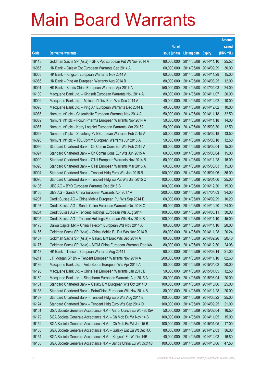|       |                                                                |               |                            |            | <b>Amount</b> |
|-------|----------------------------------------------------------------|---------------|----------------------------|------------|---------------|
|       |                                                                | No. of        |                            |            | raised        |
| Code  | <b>Derivative warrants</b>                                     | issue (units) | <b>Listing date Expiry</b> |            | (HK\$ mil.)   |
| 16113 | Goldman Sachs SP (Asia) – SHK Ppt European Put Wt Nov 2014 A   | 80,000,000    | 2014/05/08 2014/11/10      |            | 25.52         |
| 16065 | HK Bank – Galaxy Ent European Warrants Sep 2014 A              | 60,000,000    | 2014/05/08 2014/09/29      |            | 30.00         |
| 16063 | HK Bank - Kingsoft European Warrants Nov 2014 A                | 60,000,000    | 2014/05/08 2014/11/28      |            | 15.00         |
| 16066 | HK Bank – Ping An European Warrants Aug 2014 B                 | 80,000,000    | 2014/05/08 2014/08/25      |            | 12.00         |
| 16091 | HK Bank - Sands China European Warrants Apr 2017 A             | 150,000,000   | 2014/05/08 2017/04/03      |            | 24.00         |
| 16100 | Macquarie Bank Ltd. - Kingsoft European Warrants Nov 2014 A    | 80,000,000    | 2014/05/08 2014/11/07      |            | 20.00         |
| 16092 | Macquarie Bank Ltd. - Melco Int'l Dev Euro Wts Dec 2014 A      | 40,000,000    | 2014/05/08 2014/12/02      |            | 10.00         |
| 16093 | Macquarie Bank Ltd. - Ping An European Warrants Dec 2014 B     | 40,000,000    | 2014/05/08 2014/12/02      |            | 10.00         |
| 16086 | Nomura Int'l plc - Chsouthcity European Warrants Nov 2014 A    | 50,000,000    | 2014/05/08 2014/11/18      |            | 32.50         |
| 16089 | Nomura Int'l plc - Fosun Pharma European Warrants Nov 2014 A   | 50,000,000    | 2014/05/08 2014/11/18      |            | 14.00         |
| 16067 | Nomura Int'l plc - Kerry Log Net European Warrants Mar 2015A   | 50,000,000    | 2014/05/08 2015/03/30      |            | 12.50         |
| 16068 | Nomura Int'l plc - Shunfeng Pv EEuropean Warrants Feb 2015 A   | 50,000,000    | 2014/05/08 2015/02/18      |            | 13.50         |
| 16090 | Nomura Int'l plc - TCL Comm European Warrants Jun 2015 A       | 50,000,000    | 2014/05/08 2015/06/18      |            | 12.50         |
| 16096 | Standard Chartered Bank – Ch Comm Cons Eur Wts Feb 2015 A      | 60,000,000    | 2014/05/08 2015/02/04      |            | 15.00         |
| 16097 | Standard Chartered Bank - Ch Comm Cons Eur Wts Jun 2015 A      | 60,000,000    | 2014/05/08 2015/06/04      |            | 15.00         |
| 16099 | Standard Chartered Bank - CTel European Warrants Nov 2014 B    | 60,000,000    | 2014/05/08 2014/11/28      |            | 15.00         |
| 16098 | Standard Chartered Bank - CTel European Warrants Mar 2015 A    | 60,000,000    | 2014/05/08 2015/03/03      |            | 15.00         |
| 16094 | Standard Chartered Bank - Tencent Hidg Euro Wts Jan 2015 B     | 100,000,000   | 2014/05/08 2015/01/06      |            | 36.00         |
| 16095 | Standard Chartered Bank - Tencent Hidg Eu Put Wts Jan 2015 C   | 100,000,000   | 2014/05/08 2015/01/06      |            | 25.00         |
| 16106 | UBS AG - BYD European Warrants Dec 2016 B                      | 100,000,000   | 2014/05/08 2016/12/30      |            | 15.00         |
| 16105 | UBS AG - Sands China European Warrants Apr 2017 A              | 200,000,000   | 2014/05/08 2017/04/03      |            | 34.00         |
| 16207 | Credit Suisse AG - China Mobile European Put Wts Sep 2014 D    | 60,000,000    | 2014/05/09 2014/09/29      |            | 10.20         |
| 16197 | Credit Suisse AG - Sands China European Warrants Oct 2014 C    | 60,000,000    | 2014/05/09 2014/10/20      |            | 24.00         |
| 16204 | Credit Suisse AG - Tencent Holdings European Wts Aug 2014 I    | 100,000,000   | 2014/05/09 2014/08/11      |            | 30.00         |
| 16205 | Credit Suisse AG - Tencent Holdings European Wts Nov 2014 B    | 100,000,000   | 2014/05/09 2014/11/10      |            | 45.00         |
| 16178 | Daiwa Capital Mkt - China Telecom European Wts Nov 2014 A      | 80,000,000    | 2014/05/09 2014/11/10      |            | 20.00         |
| 16166 | Goldman Sachs SP (Asia) - China Mobile Eu Put Wts Nov 2014 B   | 80,000,000    | 2014/05/09 2014/11/28      |            | 20.24         |
| 16167 | Goldman Sachs SP (Asia) - Galaxy Ent Euro Wts Sep 2014 A       | 80,000,000    | 2014/05/09 2014/09/26      |            | 20.40         |
| 16177 | Goldman Sachs SP (Asia) - MGM China European Warrants Dec14A   | 80,000,000    | 2014/05/09 2014/12/30      |            | 24.08         |
| 16117 | HK Bank – Tencent European Warrants Aug 2014 I                 | 60,000,000    | 2014/05/09 2014/08/14      |            | 21.00         |
| 16211 | J P Morgan SP BV - Tencent European Warrants Nov 2014 A        | 200,000,000   | 2014/05/09 2014/11/10      |            | 82.60         |
| 16186 | Macquarie Bank Ltd. - Anta Sports European Wts Apr 2015 A      | 80,000,000    | 2014/05/09 2015/04/02      |            | 20.00         |
| 16195 | Macquarie Bank Ltd. - China Tel European Warrants Jan 2015 B   | 50,000,000    | 2014/05/09                 | 2015/01/05 | 12.50         |
| 16180 | Macquarie Bank Ltd. - Sinopharm European Warrants Aug 2015 A   | 80,000,000    | 2014/05/09 2015/08/04      |            | 20.00         |
| 16131 | Standard Chartered Bank - Galaxy Ent European Wts Oct 2014 D   | 100,000,000   | 2014/05/09 2014/10/06      |            | 25.00         |
| 16138 | Standard Chartered Bank - PetroChina European Wts Nov 2014 B   | 80,000,000    | 2014/05/09 2014/11/28      |            | 20.00         |
| 16127 | Standard Chartered Bank - Tencent Hidg Euro Wts Aug 2014 E     | 100,000,000   | 2014/05/09 2014/08/22      |            | 25.00         |
| 16124 | Standard Chartered Bank - Tencent Hidg Euro Wts Sep 2014 D     | 100,000,000   | 2014/05/09 2014/09/25      |            | 21.00         |
| 16151 | SGA Societe Generale Acceptance N.V - Anhui Conch Eu Wt Feb15A | 50,000,000    | 2014/05/09 2015/02/04      |            | 16.50         |
| 16179 | SGA Societe Generale Acceptance N.V. - Ch Mob Eu Wt Nov 14 B   | 100,000,000   | 2014/05/09 2014/11/05      |            | 15.00         |
| 16152 | SGA Societe Generale Acceptance N.V. - Ch Mob Eu Wt Jan 15 B   | 100,000,000   | 2014/05/09 2015/01/05      |            | 17.00         |
| 16153 | SGA Societe Generale Acceptance N.V. - Galaxy Ent Eu Wt Dec 4A | 80,000,000    | 2014/05/09 2014/12/03      |            | 36.00         |
| 16154 | SGA Societe Generale Acceptance N.V. - Kingsoft Eu Wt Dec14B   | 40,000,000    | 2014/05/09 2014/12/03      |            | 16.80         |
| 16155 | SGA Societe Generale Acceptance N.V - Sands China Eu Wt Oct14B | 100,000,000   | 2014/05/09 2014/10/06      |            | 47.50         |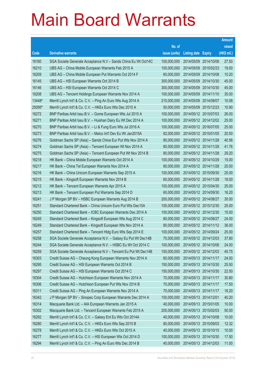|        |                                                                |               |                            | <b>Amount</b> |
|--------|----------------------------------------------------------------|---------------|----------------------------|---------------|
|        |                                                                | No. of        |                            | raised        |
| Code   | <b>Derivative warrants</b>                                     | issue (units) | <b>Listing date Expiry</b> | (HK\$ mil.)   |
| 16160  | SGA Societe Generale Acceptance N.V - Sands China Eu Wt Oct14C | 100,000,000   | 2014/05/09 2014/10/06      | 27.50         |
| 16210  | UBS AG – China Mobile European Warrants Feb 2015 A             | 100,000,000   | 2014/05/09 2015/02/23      | 19.00         |
| 16209  | UBS AG – China Mobile European Put Warrants Oct 2014 F         | 60,000,000    | 2014/05/09 2014/10/08      | 10.20         |
| 16145  | UBS AG - HSI European Warrants Oct 2014 B                      | 300,000,000   | 2014/05/09 2014/10/30      | 45.00         |
| 16146  | UBS AG - HSI European Warrants Oct 2014 C                      | 300,000,000   | 2014/05/09 2014/10/30      | 45.00         |
| 16208  | UBS AG - Tencent Holdings European Warrants Nov 2014 A         | 100,000,000   | 2014/05/09 2014/11/10      | 35.00         |
| 13448# | Merrill Lynch Int'l & Co. C.V. - Ping An Euro Wts Aug 2014 A   | 210,000,000   | 2014/05/09 2014/08/07      | 10.08         |
| 25095# | Merrill Lynch Int'l & Co. C.V. - HKEx Euro Wts Dec 2015 A      | 50,000,000    | 2014/05/09 2015/12/23      | 10.90         |
| 16272  | BNP Paribas Arbit Issu B.V. - Gome European Wts Jul 2015 A     | 100,000,000   | 2014/05/12 2015/07/03      | 26.00         |
| 16271  | BNP Paribas Arbit Issu B.V. - Huishan Dairy Eu Wt Dec 2014 A   | 100,000,000   | 2014/05/12 2014/12/02      | 25.00         |
| 16270  | BNP Paribas Arbit Issu B.V. - Li & Fung Euro Wts Jul 2016 A    | 100,000,000   | 2014/05/12 2016/07/05      | 25.00         |
| 16273  | BNP Paribas Arbit Issu B.V. - Melco Int'l Dev Eu Wt Jan2015A   | 82,000,000    | 2014/05/12 2015/01/05      | 20.50         |
| 16276  | Goldman Sachs SP (Asia) - Sands China Eur Put Wts Nov 2014 A   | 80,000,000    | 2014/05/12 2014/11/28      | 40.56         |
| 16274  | Goldman Sachs SP (Asia) - Tencent European Wt Nov 2014 A       | 80,000,000    | 2014/05/12 2014/11/28      | 41.76         |
| 16275  | Goldman Sachs SP (Asia) - Tencent European Put Wt Nov 2014 B   | 80,000,000    | 2014/05/12 2014/11/28      | 29.20         |
| 16218  | HK Bank - China Mobile European Warrants Oct 2014 A            | 100,000,000   | 2014/05/12 2014/10/29      | 15.00         |
| 16217  | HK Bank – China Tel European Warrants Nov 2014 A               | 80,000,000    | 2014/05/12 2014/11/28      | 20.00         |
| 16216  | HK Bank - China Unicom European Warrants Sep 2015 A            | 100,000,000   | 2014/05/12 2015/09/30      | 25.00         |
| 16215  | HK Bank - Kingsoft European Warrants Nov 2014 B                | 60,000,000    | 2014/05/12 2014/11/28      | 18.00         |
| 16212  | HK Bank - Tencent European Warrants Apr 2015 A                 | 100,000,000   | 2014/05/12 2015/04/30      | 25.00         |
| 16213  | HK Bank - Tencent European Put Warrants Sep 2014 D             | 60,000,000    | 2014/05/12 2014/09/30      | 16.20         |
| 16241  | J P Morgan SP BV - HSBC European Warrants Aug 2014 B           | 200,000,000   | 2014/05/12 2014/08/27      | 30.00         |
| 16251  | Standard Chartered Bank - China Unicom Euro Put Wts Dec15A     | 100,000,000   | 2014/05/12 2015/12/30      | 25.00         |
| 16250  | Standard Chartered Bank - ICBC European Warrants Dec 2014 A    | 100,000,000   | 2014/05/12 2014/12/30      | 15.00         |
| 16245  | Standard Chartered Bank - Kingsoft European Wts Aug 2014 C     | 80,000,000    | 2014/05/12 2014/08/27      | 24.00         |
| 16249  | Standard Chartered Bank - Kingsoft European Wts Nov 2014 A     | 80.000.000    | 2014/05/12 2014/11/12      | 36.00         |
| 16257  | Standard Chartered Bank – Tencent Hidg Euro Wts Sep 2014 E     | 100,000,000   | 2014/05/12 2014/09/24      | 25.00         |
| 16258  | SGA Societe Generale Acceptance N.V. - Galaxy Eu Put Wt Dec14B | 70,000,000    | 2014/05/12 2014/12/03      | 37.80         |
| 16244  | SGA Societe Generale Acceptance N.V. - HSBC Eu Wt Oct 2014 C   | 100,000,000   | 2014/05/12 2014/10/06      | 24.00         |
| 16259  | SGA Societe Generale Acceptance N.V - Tencent Eu Put Wt Dec14B | 150,000,000   | 2014/05/12 2014/12/03      | 45.75         |
| 16303  | Credit Suisse AG - Cheung Kong European Warrants Nov 2014 A    | 60,000,000    | 2014/05/13 2014/11/17      | 24.00         |
| 16295  | Credit Suisse AG - HSI European Warrants Oct 2014 B            | 150,000,000   | 2014/05/13 2014/10/30      | 25.50         |
| 16297  | Credit Suisse AG - HSI European Warrants Oct 2014 C            | 150,000,000   | 2014/05/13 2014/10/30      | 22.50         |
| 16304  | Credit Suisse AG - Hutchison European Warrants Nov 2014 A      | 70,000,000    | 2014/05/13 2014/11/17      | 30.80         |
| 16306  | Credit Suisse AG - Hutchison European Put Wts Nov 2014 B       | 70,000,000    | 2014/05/13 2014/11/17      | 17.50         |
| 16311  | Credit Suisse AG - Ping An European Warrants Nov 2014 A        | 70,000,000    | 2014/05/13 2014/11/17      | 18.20         |
| 16342  | J P Morgan SP BV - Sinopec Corp European Warrants Dec 2014 A   | 150,000,000   | 2014/05/13 2014/12/01      | 40.20         |
| 16314  | Macquarie Bank Ltd. - AIA European Warrants Jan 2015 A         | 40,000,000    | 2014/05/13 2015/01/05      | 10.00         |
| 16302  | Macquarie Bank Ltd. - Tencent European Warrants Feb 2015 A     | 200,000,000   | 2014/05/13 2015/02/03      | 50.00         |
| 16292  | Merrill Lynch Int'l & Co. C.V. - Galaxy Ent Eu Wts Oct 2014A   | 40,000,000    | 2014/05/13 2014/10/08      | 10.00         |
| 16280  | Merrill Lynch Int'l & Co. C.V. - HKEx Euro Wts Sep 2015 B      | 80,000,000    | 2014/05/13 2015/09/03      | 12.32         |
| 16278  | Merrill Lynch Int'l & Co. C.V. - HKEx Euro Wts Oct 2015 A      | 40,000,000    | 2014/05/13 2015/10/15      | 10.00         |
| 16277  | Merrill Lynch Int'l & Co. C.V. - HSI European Wts Oct 2014 D   | 100,000,000   | 2014/05/13 2014/10/30      | 17.50         |
| 16294  | Merrill Lynch Int'l & Co. C.V. - Ping An Euro Wts Dec 2014 B   | 40,000,000    | 2014/05/13 2014/12/03      | 11.00         |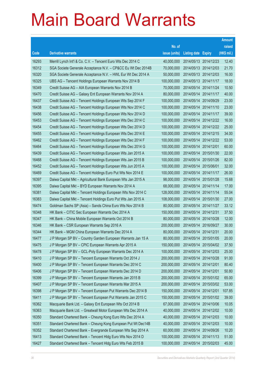|       |                                                               |               |                            |            | <b>Amount</b> |
|-------|---------------------------------------------------------------|---------------|----------------------------|------------|---------------|
|       |                                                               | No. of        |                            |            | raised        |
| Code  | <b>Derivative warrants</b>                                    | issue (units) | <b>Listing date Expiry</b> |            | (HK\$ mil.)   |
| 16293 | Merrill Lynch Int'l & Co. C.V. - Tencent Euro Wts Dec 2014 C  | 40,000,000    | 2014/05/13 2014/12/23      |            | 12.40         |
| 16312 | SGA Societe Generale Acceptance N.V. - CP&CC Eu Wt Dec 2014B  | 70,000,000    | 2014/05/13 2014/12/03      |            | 21.70         |
| 16320 | SGA Societe Generale Acceptance N.V. - HWL Eur Wt Dec 2014 A  | 50,000,000    | 2014/05/13 2014/12/03      |            | 16.00         |
| 16325 | UBS AG - Tencent Holdings European Warrants Nov 2014 B        | 100,000,000   | 2014/05/13 2014/11/17      |            | 18.00         |
| 16349 | Credit Suisse AG - AIA European Warrants Nov 2014 B           | 70,000,000    | 2014/05/14 2014/11/24      |            | 10.50         |
| 16470 | Credit Suisse AG - Galaxy Ent European Warrants Nov 2014 A    | 80,000,000    | 2014/05/14 2014/11/17      |            | 40.00         |
| 16437 | Credit Suisse AG – Tencent Holdings European Wts Sep 2014 F   | 100,000,000   | 2014/05/14                 | 2014/09/29 | 23.00         |
| 16438 | Credit Suisse AG - Tencent Holdings European Wts Nov 2014 C   | 100,000,000   | 2014/05/14 2014/11/10      |            | 23.00         |
| 16456 | Credit Suisse AG - Tencent Holdings European Wts Nov 2014 D   | 100,000,000   | 2014/05/14 2014/11/17      |            | 39.00         |
| 16453 | Credit Suisse AG - Tencent Holdings European Wts Dec 2014 C   | 100,000,000   | 2014/05/14 2014/12/22      |            | 16.00         |
| 16454 | Credit Suisse AG - Tencent Holdings European Wts Dec 2014 D   | 100,000,000   | 2014/05/14                 | 2014/12/22 | 25.00         |
| 16455 | Credit Suisse AG - Tencent Holdings European Wts Dec 2014 E   | 100,000,000   | 2014/05/14 2014/12/15      |            | 34.00         |
| 16462 | Credit Suisse AG - Tencent Holdings European Wts Dec 2014 F   | 100,000,000   | 2014/05/14 2014/12/22      |            | 53.00         |
| 16464 | Credit Suisse AG - Tencent Holdings European Wts Dec 2014 G   | 100,000,000   | 2014/05/14                 | 2014/12/01 | 60.00         |
| 16439 | Credit Suisse AG - Tencent Holdings European Wts Jan 2015 A   | 100,000,000   | 2014/05/14                 | 2015/01/30 | 22.00         |
| 16468 | Credit Suisse AG - Tencent Holdings European Wts Jan 2015 B   | 100,000,000   | 2014/05/14 2015/01/26      |            | 82.00         |
| 16452 | Credit Suisse AG - Tencent Holdings European Wts Jun 2015 A   | 100,000,000   | 2014/05/14                 | 2015/06/01 | 32.00         |
| 16469 | Credit Suisse AG - Tencent Holdings Euro Put Wts Nov 2014 E   | 100,000,000   | 2014/05/14                 | 2014/11/17 | 26.00         |
| 16397 | Daiwa Capital Mkt - Agricultural Bank European Wts Jan 2015 A | 98,000,000    | 2014/05/14                 | 2015/01/28 | 15.68         |
| 16395 | Daiwa Capital Mkt - BYD European Warrants Nov 2014 A          | 68,000,000    | 2014/05/14 2014/11/14      |            | 17.00         |
| 16381 | Daiwa Capital Mkt - Tencent Holdings European Wts Nov 2014 C  | 128,000,000   | 2014/05/14                 | 2014/11/14 | 55.04         |
| 16383 | Daiwa Capital Mkt - Tencent Holdings Euro Put Wts Jan 2015 A  | 108,000,000   | 2014/05/14                 | 2015/01/30 | 27.00         |
| 16474 | Goldman Sachs SP (Asia) - Sands China Euro Wts Nov 2014 B     | 80,000,000    | 2014/05/14                 | 2014/11/27 | 33.12         |
| 16348 | HK Bank - CITIC Sec European Warrants Dec 2014 A              | 150,000,000   | 2014/05/14 2014/12/31      |            | 37.50         |
| 16347 | HK Bank - China Mobile European Warrants Oct 2014 B           | 80,000,000    | 2014/05/14 2014/10/28      |            | 12.00         |
| 16346 | HK Bank - CSR European Warrants Sep 2016 A                    | 200,000,000   | 2014/05/14 2016/09/27      |            | 30.00         |
| 16344 | HK Bank - MGM China European Warrants Dec 2014 A              | 80,000,000    | 2014/05/14 2014/12/31      |            | 20.00         |
| 16477 | J P Morgan SP BV - Country Garden European Warrants Jan 15 A  | 80,000,000    | 2014/05/14 2015/01/05      |            | 20.00         |
| 16475 | J P Morgan SP BV - CPIC European Warrants Apr 2015 A          | 150,000,000   | 2014/05/14                 | 2015/04/02 | 37.50         |
| 16478 | J P Morgan SP BV - GCL-Poly European Warrants Dec 2014 A      | 100,000,000   | 2014/05/14 2014/12/03      |            | 25.00         |
| 16410 | J P Morgan SP BV - Tencent European Warrants Oct 2014 J       | 200,000,000   | 2014/05/14                 | 2014/10/28 | 91.00         |
| 16400 | J P Morgan SP BV - Tencent European Warrants Dec 2014 C       | 200,000,000   | 2014/05/14                 | 2014/12/01 | 80.40         |
| 16406 | J P Morgan SP BV - Tencent European Warrants Dec 2014 D       | 200,000,000   | 2014/05/14                 | 2014/12/01 | 50.80         |
| 16399 | J P Morgan SP BV - Tencent European Warrants Jan 2015 B       | 200,000,000   | 2014/05/14                 | 2015/01/02 | 65.00         |
| 16407 | J P Morgan SP BV - Tencent European Warrants Mar 2015 A       | 200,000,000   | 2014/05/14                 | 2015/03/02 | 53.00         |
| 16398 | J P Morgan SP BV - Tencent European Put Warrants Dec 2014 B   | 150,000,000   | 2014/05/14                 | 2014/12/01 | 107.85        |
| 16411 | J P Morgan SP BV - Tencent European Put Warrants Jan 2015 C   | 150,000,000   | 2014/05/14                 | 2015/01/02 | 39.00         |
| 16362 | Macquarie Bank Ltd. - Galaxy Ent European Wts Oct 2014 B      | 67,000,000    | 2014/05/14 2014/10/06      |            | 10.05         |
| 16363 | Macquarie Bank Ltd. - Greatwall Motor European Wts Dec 2014 A | 40,000,000    | 2014/05/14                 | 2014/12/02 | 10.00         |
| 16350 | Standard Chartered Bank - Cheung Kong Euro Wts Dec 2014 A     | 40,000,000    | 2014/05/14 2014/12/03      |            | 10.00         |
| 16351 | Standard Chartered Bank - Cheung Kong European Put Wt Dec14B  | 40,000,000    | 2014/05/14                 | 2014/12/03 | 10.00         |
| 16352 | Standard Chartered Bank - Evergrande European Wts Sep 2014 A  | 60,000,000    | 2014/05/14                 | 2014/09/26 | 10.20         |
| 16413 | Standard Chartered Bank - Tencent Hidg Euro Wts Nov 2014 D    | 100,000,000   | 2014/05/14                 | 2014/11/13 | 51.00         |
| 16427 | Standard Chartered Bank - Tencent Hidg Euro Wts Feb 2015 B    | 100,000,000   | 2014/05/14 2015/02/03      |            | 45.00         |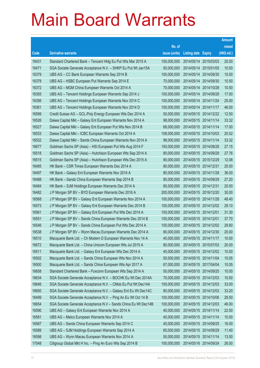|       |                                                                |               |                            |                       | <b>Amount</b> |
|-------|----------------------------------------------------------------|---------------|----------------------------|-----------------------|---------------|
|       |                                                                | No. of        |                            |                       | raised        |
| Code  | <b>Derivative warrants</b>                                     | issue (units) | <b>Listing date Expiry</b> |                       | (HK\$ mil.)   |
| 16431 | Standard Chartered Bank - Tencent Hidg Eu Put Wts Mar 2015 A   | 100,000,000   |                            | 2014/05/14 2015/03/03 | 25.00         |
| 16471 | SGA Societe Generale Acceptance N.V. - SHKP Eu Put Wt Jan15A   | 50,000,000    |                            | 2014/05/14 2015/01/05 | 10.50         |
| 16379 | UBS AG – CC Bank European Warrants Sep 2014 B                  | 100,000,000   |                            | 2014/05/14 2014/09/30 | 15.00         |
| 16378 | UBS AG - HSBC European Put Warrants Sep 2014 E                 | 70,000,000    |                            | 2014/05/14 2014/09/30 | 10.50         |
| 16372 | UBS AG - MGM China European Warrants Oct 2014 A                | 70,000,000    |                            | 2014/05/14 2014/10/28 | 10.50         |
| 16355 | UBS AG - Tencent Holdings European Warrants Sep 2014 J         | 100,000,000   |                            | 2014/05/14 2014/09/29 | 17.00         |
| 16356 | UBS AG - Tencent Holdings European Warrants Nov 2014 C         | 100,000,000   |                            | 2014/05/14 2014/11/24 | 25.00         |
| 16361 | UBS AG - Tencent Holdings European Warrants Nov 2014 D         | 100,000,000   | 2014/05/14 2014/11/17      |                       | 46.00         |
| 16599 | Credit Suisse AG - GCL-Poly Energy European Wts Dec 2014 A     | 50,000,000    |                            | 2014/05/15 2014/12/22 | 12.50         |
| 16526 | Daiwa Capital Mkt - Galaxy Ent European Warrants Nov 2014 A    | 98,000,000    |                            | 2014/05/15 2014/11/14 | 33.32         |
| 16527 | Daiwa Capital Mkt - Galaxy Ent European Put Wts Nov 2014 B     | 68,000,000    | 2014/05/15 2014/11/14      |                       | 17.00         |
| 16533 | Daiwa Capital Mkt - ICBC European Warrants Oct 2014 A          | 108,000,000   |                            | 2014/05/15 2014/10/03 | 20.52         |
| 16532 | Daiwa Capital Mkt - Sands China European Warrants Nov 2014 A   | 98,000,000    |                            | 2014/05/15 2014/11/14 | 33.32         |
| 16677 | Goldman Sachs SP (Asia) - HSI European Put Wts Aug 2014 F      | 150,000,000   |                            | 2014/05/15 2014/08/28 | 27.15         |
| 16518 | Goldman Sachs SP (Asia) - Hutchison European Wts Sep 2014 A    | 80,000,000    |                            | 2014/05/15 2014/09/29 | 27.76         |
| 16515 | Goldman Sachs SP (Asia) - Hutchison European Wts Dec 2015 A    | 80,000,000    | 2014/05/15 2015/12/29      |                       | 12.08         |
| 16485 | HK Bank - CSR Times European Warrants Dec 2014 A               | 80,000,000    | 2014/05/15 2014/12/31      |                       | 20.00         |
| 16497 | HK Bank - Galaxy Ent European Warrants Nov 2014 A              | 80,000,000    |                            | 2014/05/15 2014/11/28 | 36.00         |
| 16488 | HK Bank - Sands China European Warrants Sep 2014 B             | 80,000,000    |                            | 2014/05/15 2014/09/29 | 27.20         |
| 16484 | HK Bank - SJM Holdings European Warrants Dec 2014 A            | 80,000,000    | 2014/05/15 2014/12/31      |                       | 20.00         |
| 16482 | J P Morgan SP BV - BYD European Warrants Dec 2016 A            | 200,000,000   |                            | 2014/05/15 2016/12/20 | 30.00         |
| 16568 | J P Morgan SP BV - Galaxy Ent European Warrants Nov 2014 A     | 100,000,000   |                            | 2014/05/15 2014/11/28 | 48.40         |
| 16573 | J P Morgan SP BV - Galaxy Ent European Warrants Dec 2014 B     | 100,000,000   |                            | 2014/05/15 2014/12/02 | 29.10         |
| 16561 | J P Morgan SP BV - Galaxy Ent European Put Wts Dec 2014 A      | 100,000,000   | 2014/05/15 2014/12/01      |                       | 31.30         |
| 16551 | J P Morgan SP BV - Sands China European Warrants Dec 2014 B    | 100,000,000   | 2014/05/15 2014/12/01      |                       | 37.70         |
| 16546 | J P Morgan SP BV - Sands China European Put Wts Dec 2014 A     | 100,000,000   |                            | 2014/05/15 2014/12/02 | 29.60         |
| 16538 | J P Morgan SP BV - Wynn Macau European Warrants Dec 2014 A     | 80,000,000    |                            | 2014/05/15 2014/12/30 | 20.00         |
| 16510 | Macquarie Bank Ltd. - Ch Modern D European Warrants Nov 14 A   | 40,000,000    | 2014/05/15 2014/11/17      |                       | 10.00         |
| 16672 | Macquarie Bank Ltd. - China Unicom European Wts Jul 2015 A     | 80,000,000    | 2014/05/15 2015/07/03      |                       | 20.00         |
| 16511 | Macquarie Bank Ltd. - Galaxy Ent European Wts Dec 2014 A       | 40,000,000    |                            | 2014/05/15 2014/12/02 | 10.00         |
| 16502 | Macquarie Bank Ltd. - Sands China European Wts Nov 2014 A      | 50,000,000    | 2014/05/15 2014/11/04      |                       | 10.05         |
| 16500 | Macquarie Bank Ltd. - Sands China European Wts Apr 2017 A      | 67,000,000    |                            | 2014/05/15 2017/04/04 | 10.05         |
| 16658 | Standard Chartered Bank - Foxconn European Wts Sep 2014 A      | 50,000,000    | 2014/05/15 2014/09/25      |                       | 10.00         |
| 16634 | SGA Societe Generale Acceptance N.V. - BOCHK Eu Wt Dec 2014A   | 70,000,000    |                            | 2014/05/15 2014/12/03 | 10.50         |
| 16646 | SGA Societe Generale Acceptance N.V. - CMob Eu Put Wt Dec14A   | 100,000,000   | 2014/05/15 2014/12/03      |                       | 33.00         |
| 16650 | SGA Societe Generale Acceptance N.V. - Galaxy Ent Eu Wt Dec14C | 80,000,000    |                            | 2014/05/15 2014/12/03 | 33.20         |
| 16499 | SGA Societe Generale Acceptance N.V. - Ping An Eu Wt Oct 14 B  | 100,000,000   | 2014/05/15 2014/10/06      |                       | 29.50         |
| 16654 | SGA Societe Generale Acceptance N.V - Sands China Eu Wt Dec14B | 100,000,000   | 2014/05/15 2014/12/03      |                       | 46.00         |
| 16590 | UBS AG - Galaxy Ent European Warrants Nov 2014 A               | 40,000,000    | 2014/05/15 2014/11/14      |                       | 22.00         |
| 16581 | UBS AG - Melco European Warrants Nov 2014 A                    | 40,000,000    | 2014/05/15 2014/11/14      |                       | 10.00         |
| 16587 | UBS AG - Sands China European Warrants Sep 2014 C              | 40,000,000    | 2014/05/15 2014/09/25      |                       | 16.00         |
| 16589 | UBS AG - SJM Holdings European Warrants Sep 2014 A             | 60,000,000    | 2014/05/15 2014/09/29      |                       | 11.40         |
| 16598 | UBS AG - Wynn Macau European Warrants Nov 2014 A               | 50,000,000    | 2014/05/15 2014/11/14      |                       | 13.50         |
| 17048 | Citigroup Global Mkt H Inc. - Ping An Euro Wts Sep 2014 B      | 100,000,000   | 2014/05/16 2014/09/24      |                       | 26.00         |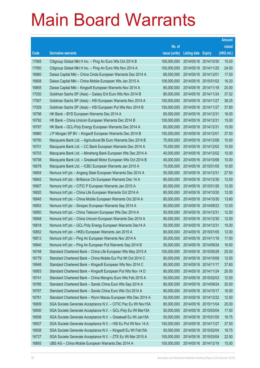|       |                                                                |               |                            | <b>Amount</b> |
|-------|----------------------------------------------------------------|---------------|----------------------------|---------------|
|       |                                                                | No. of        |                            | raised        |
| Code  | <b>Derivative warrants</b>                                     | issue (units) | <b>Listing date Expiry</b> | (HK\$ mil.)   |
| 17065 | Citigroup Global Mkt H Inc. - Ping An Euro Wts Oct 2014 B      | 100,000,000   | 2014/05/16 2014/10/30      | 15.00         |
| 17050 | Citigroup Global Mkt H Inc. - Ping An Euro Wts Nov 2014 A      | 100,000,000   | 2014/05/16 2014/11/25      | 24.00         |
| 16860 | Daiwa Capital Mkt - China Cinda European Warrants Dec 2014 A   | 68,000,000    | 2014/05/16 2014/12/01      | 17.00         |
| 16808 | Daiwa Capital Mkt - China Mobile European Wts Jan 2015 A       | 108,000,000   | 2014/05/16 2015/01/02      | 16.20         |
| 16855 | Daiwa Capital Mkt - Kingsoft European Warrants Nov 2014 A      | 80,000,000    | 2014/05/16 2014/11/18      | 20.00         |
| 17030 | Goldman Sachs SP (Asia) - Galaxy Ent Euro Wts Nov 2014 B       | 80,000,000    | 2014/05/16 2014/11/24      | 37.52         |
| 17007 | Goldman Sachs SP (Asia) - HSI European Warrants Nov 2014 A     | 150,000,000   | 2014/05/16 2014/11/27      | 38.25         |
| 17029 | Goldman Sachs SP (Asia) – HSI European Put Wts Nov 2014 B      | 150,000,000   | 2014/05/16 2014/11/27      | 37.80         |
| 16798 | HK Bank - BYD European Warrants Dec 2014 A                     | 60,000,000    | 2014/05/16 2014/12/31      | 18.00         |
| 16792 | HK Bank - China Unicom European Warrants Dec 2014 B            | 100,000,000   | 2014/05/16 2014/12/31      | 15.00         |
| 16787 | HK Bank - GCL-Poly Energy European Warrants Dec 2014 A         | 60,000,000    | 2014/05/16 2014/12/31      | 15.00         |
| 16960 | J P Morgan SP BV - Kingsoft European Warrants Dec 2014 B       | 150,000,000   | 2014/05/16 2014/12/01      | 37.50         |
| 16700 | Macquarie Bank Ltd. - Agricultural Bk Euro Warrants Dec 2014 B | 70,000,000    | 2014/05/16 2014/12/08      | 10.50         |
| 16701 | Macquarie Bank Ltd. - CC Bank European Warrants Dec 2014 A     | 70,000,000    | 2014/05/16 2014/12/02      | 10.50         |
| 16703 | Macquarie Bank Ltd. - Minsheng Bank European Wts Dec 2014 A    | 40,000,000    | 2014/05/16 2014/12/02      | 10.00         |
| 16708 | Macquarie Bank Ltd. - Greatwall Motor European Wts Oct 2014 B  | 40,000,000    | 2014/05/16 2014/10/06      | 10.00         |
| 16678 | Macquarie Bank Ltd. - ICBC European Warrants Jan 2015 A        | 70,000,000    | 2014/05/16 2015/01/05      | 10.50         |
| 16854 | Nomura Int'l plc - Angang Steel European Warrants Dec 2014 A   | 50,000,000    | 2014/05/16 2014/12/31      | 27.50         |
| 16842 | Nomura Int'l plc - Brilliance Chi European Warrants Dec 14 A   | 80,000,000    | 2014/05/16 2014/12/30      | 12.00         |
| 16907 | Nomura Int'l plc - CITIC P European Warrants Jan 2015 A        | 80,000,000    | 2014/05/16 2015/01/26      | 12.00         |
| 16820 | Nomura Int'l plc - China Life European Warrants Oct 2014 A     | 80,000,000    | 2014/05/16 2014/10/20      | 12.00         |
| 16845 | Nomura Int'l plc - China Mobile European Warrants Oct 2014 A   | 80,000,000    | 2014/05/16 2014/10/30      | 13.60         |
| 16853 | Nomura Int'l plc - Sinopec European Warrants Sep 2014 A        | 80,000,000    | 2014/05/16 2014/09/23      | 12.00         |
| 16850 | Nomura Int'l plc - China Telecom European Wts Dec 2014 A       | 50,000,000    | 2014/05/16 2014/12/31      | 12.50         |
| 16848 | Nomura Int'l plc – China Unicom European Warrants Dec 2014 A   | 80,000,000    | 2014/05/16 2014/12/30      | 12.00         |
| 16818 | Nomura Int'l plc - GCL-Poly Energy European Warrants Dec14 A   | 50,000,000    | 2014/05/16 2014/12/31      | 15.00         |
| 16852 | Nomura Int'l plc - HKEx European Warrants Jan 2015 A           | 80,000,000    | 2014/05/16 2015/01/05      | 12.00         |
| 16813 | Nomura Int'l plc - Ping An European Warrants Nov 2014 A        | 50,000,000    | 2014/05/16 2014/11/18      | 17.00         |
| 16840 | Nomura Int'l plc - Ping An European Put Warrants Sep 2014 B    | 50,000,000    | 2014/05/16 2014/09/24      | 16.50         |
| 16748 | Standard Chartered Bank - China Life European Wts May 2015 A   | 100,000,000   | 2014/05/16 2015/05/29      | 25.00         |
| 16779 | Standard Chartered Bank - China Mobile Eur Put Wt Oct 2014 C   | 80,000,000    | 2014/05/16 2014/10/08      | 12.00         |
| 16948 | Standard Chartered Bank - Kingsoft European Wts Nov 2014 C     | 80,000,000    | 2014/05/16 2014/11/17      | 37.60         |
| 16953 | Standard Chartered Bank - Kingsoft European Put Wts Nov 14 D   | 80,000,000    | 2014/05/16 2014/11/24      | 20.00         |
| 16741 | Standard Chartered Bank - China Mengniu Euro Wts Feb 2015 A    | 50,000,000    | 2014/05/16 2015/02/03      | 12.50         |
| 16766 | Standard Chartered Bank - Sands China Euro Wts Sep 2014 A      | 80,000,000    | 2014/05/16 2014/09/24      | 20.00         |
| 16767 | Standard Chartered Bank - Sands China Euro Wts Oct 2014 A      | 80,000,000    | 2014/05/16 2014/10/17      | 16.00         |
| 16761 | Standard Chartered Bank - Wynn Macau European Wts Dec 2014 A   | 50,000,000    | 2014/05/16 2014/12/22      | 12.50         |
| 16909 | SGA Societe Generale Acceptance N.V. - CITIC Pac Eu Wt Nov15A  | 80,000,000    | 2014/05/16 2015/11/04      | 20.00         |
| 16930 | SGA Societe Generale Acceptance N.V. - GCL-Poly Eu Wt Mar15A   | 50,000,000    | 2014/05/16 2015/03/04      | 17.50         |
| 16936 | SGA Societe Generale Acceptance N.V. - Greatwall Eu Wt Jan15A  | 50,000,000    | 2014/05/16 2015/01/05      | 16.75         |
| 16937 | SGA Societe Generale Acceptance N.V. - HSI Eu Put Wt Nov 14 A  | 150,000,000   | 2014/05/16 2014/11/27      | 37.50         |
| 16938 | SGA Societe Generale Acceptance N.V. - Kingsoft Eu Wt Feb15A   | 50,000,000    | 2014/05/16 2015/02/04      | 18.75         |
| 16727 | SGA Societe Generale Acceptance N.V. - ZTE Eu Wt Mar 2015 A    | 100,000,000   | 2014/05/16 2015/03/04      | 22.50         |
| 16893 | UBS AG - China Mobile European Warrants Dec 2014 A             | 100,000,000   | 2014/05/16 2014/12/19      | 15.00         |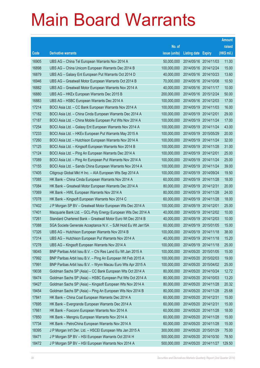|       |                                                               |               |                            | <b>Amount</b> |
|-------|---------------------------------------------------------------|---------------|----------------------------|---------------|
|       |                                                               | No. of        |                            | raised        |
| Code  | <b>Derivative warrants</b>                                    | issue (units) | <b>Listing date Expiry</b> | (HK\$ mil.)   |
| 16905 | UBS AG – China Tel European Warrants Nov 2014 A               | 50,000,000    | 2014/05/16 2014/11/03      | 11.00         |
| 16898 | UBS AG - China Unicom European Warrants Dec 2014 B            | 100,000,000   | 2014/05/16 2014/12/24      | 15.00         |
| 16879 | UBS AG - Galaxy Ent European Put Warrants Oct 2014 D          | 40,000,000    | 2014/05/16 2014/10/23      | 13.60         |
| 16946 | UBS AG - Greatwall Motor European Warrants Oct 2014 B         | 70,000,000    | 2014/05/16 2014/10/08      | 10.50         |
| 16882 | UBS AG - Greatwall Motor European Warrants Nov 2014 A         | 40,000,000    | 2014/05/16 2014/11/17      | 10.00         |
| 16880 | UBS AG - HKEx European Warrants Dec 2015 B                    | 200,000,000   | 2014/05/16 2015/12/24      | 50.00         |
| 16883 | UBS AG - HSBC European Warrants Dec 2014 A                    | 100,000,000   | 2014/05/16 2014/12/03      | 17.00         |
| 17214 | BOCI Asia Ltd. – CC Bank European Warrants Nov 2014 A         | 100,000,000   | 2014/05/19 2014/11/03      | 16.00         |
| 17182 | BOCI Asia Ltd. - China Cinda European Warrants Dec 2014 A     | 100,000,000   | 2014/05/19 2014/12/01      | 29.00         |
| 17187 | BOCI Asia Ltd. - China Mobile European Put Wts Nov 2014 A     | 100,000,000   | 2014/05/19 2014/11/24      | 17.00         |
| 17254 | BOCI Asia Ltd. - Galaxy Ent European Warrants Nov 2014 A      | 100,000,000   | 2014/05/19 2014/11/24      | 43.00         |
| 17233 | BOCI Asia Ltd. - HKEx European Put Warrants May 2015 A        | 100,000,000   | 2014/05/19 2015/05/29      | 20.00         |
| 17260 | BOCI Asia Ltd. - Hutchison European Warrants Nov 2014 A       | 100,000,000   | 2014/05/19 2014/11/24      | 32.00         |
| 17125 | BOCI Asia Ltd. - Kingsoft European Warrants Nov 2014 B        | 100,000,000   | 2014/05/19 2014/11/28      | 31.00         |
| 17124 | BOCI Asia Ltd. - Ping An European Warrants Dec 2014 A         | 100,000,000   | 2014/05/19 2014/12/01      | 25.00         |
| 17089 | BOCI Asia Ltd. - Ping An European Put Warrants Nov 2014 A     | 100,000,000   | 2014/05/19 2014/11/24      | 25.00         |
| 17155 | BOCI Asia Ltd. - Sands China European Warrants Nov 2014 A     | 100,000,000   | 2014/05/19 2014/11/24      | 39.00         |
| 17405 | Citigroup Global Mkt H Inc. - AIA European Wts Sep 2014 A     | 100,000,000   | 2014/05/19 2014/09/24      | 19.50         |
| 17085 | HK Bank – China Cinda European Warrants Nov 2014 A            | 60,000,000    | 2014/05/19 2014/11/28      | 18.00         |
| 17084 | HK Bank – Greatwall Motor European Warrants Dec 2014 A        | 80,000,000    | 2014/05/19 2014/12/31      | 20.00         |
| 17069 | HK Bank – HWL European Warrants Nov 2014 A                    | 80,000,000    | 2014/05/19 2014/11/28      | 24.00         |
| 17078 | HK Bank - Kingsoft European Warrants Nov 2014 C               | 60,000,000    | 2014/05/19 2014/11/28      | 18.00         |
| 17402 | J P Morgan SP BV - Greatwall Motor European Wts Dec 2014 A    | 100,000,000   | 2014/05/19 2014/12/01      | 25.00         |
| 17401 | Macquarie Bank Ltd. - GCL-Poly Energy European Wts Dec 2014 A | 40,000,000    | 2014/05/19 2014/12/02      | 10.00         |
| 17261 | Standard Chartered Bank - Greatwall Motor Euro Wt Dec 2014 B  | 40,000,000    | 2014/05/19 2014/12/03      | 10.00         |
| 17088 | SGA Societe Generale Acceptance N.V. - SJM Hold Eu Wt Jan15A  | 60,000,000    | 2014/05/19 2015/01/05      | 15.00         |
| 17326 | UBS AG – Hutchison European Warrants Nov 2014 B               | 100,000,000   | 2014/05/19 2014/11/18      | 38.00         |
| 17314 | UBS AG - Hutchison European Put Warrants Nov 2014 A           | 40,000,000    | 2014/05/19 2014/11/18      | 15.20         |
| 17278 | UBS AG - Kingsoft European Warrants Nov 2014 A                | 100,000,000   | 2014/05/19 2014/11/18      | 25.00         |
| 18045 | BNP Paribas Arbit Issu B.V. - Chi Res Land Eu Wt Jan 2015 A   | 100,000,000   | 2014/05/20 2015/01/05      | 15.00         |
| 17992 | BNP Paribas Arbit Issu B.V. - Ping An European Wt Feb 2015 A  | 100,000,000   | 2014/05/20 2015/02/03      | 19.00         |
| 17991 | BNP Paribas Arbit Issu B.V. - Wynn Macau Euro Wts Apr 2015 A  | 100,000,000   | 2014/05/20 2015/04/02      | 25.00         |
| 19038 | Goldman Sachs SP (Asia) - CC Bank European Wts Oct 2014 A     | 80,000,000    | 2014/05/20 2014/10/24      | 12.72         |
| 18474 | Goldman Sachs SP (Asia) - HSBC European Put Wts Oct 2014 A    | 80,000,000    | 2014/05/20 2014/10/03      | 13.20         |
| 19427 | Goldman Sachs SP (Asia) - Kingsoft European Wts Nov 2014 A    | 80,000,000    | 2014/05/20 2014/11/28      | 20.32         |
| 19454 | Goldman Sachs SP (Asia) - Ping An European Wts Nov 2014 B     | 80,000,000    | 2014/05/20 2014/11/28      | 25.68         |
| 17841 | HK Bank - China Coal European Warrants Dec 2014 A             | 60,000,000    | 2014/05/20 2014/12/31      | 15.00         |
| 17695 | HK Bank - Evergrande European Warrants Dec 2014 A             | 60,000,000    | 2014/05/20 2014/12/31      | 15.00         |
| 17661 | HK Bank - Foxconn European Warrants Nov 2014 A                | 60,000,000    | 2014/05/20 2014/11/28      | 18.00         |
| 17850 | HK Bank - Mengniu European Warrants Nov 2014 A                | 60,000,000    | 2014/05/20 2014/11/28      | 15.00         |
| 17734 | HK Bank - PetroChina European Warrants Nov 2014 A             | 60,000,000    | 2014/05/20 2014/11/28      | 15.00         |
| 18395 | J P Morgan Int'l Der. Ltd. - HSCEI European Wts Jan 2015 A    | 300,000,000   | 2014/05/20 2015/01/29      | 75.00         |
| 18471 | J P Morgan SP BV - HSI European Warrants Oct 2014 H           | 500,000,000   | 2014/05/20 2014/10/30      | 78.50         |
| 18472 | J P Morgan SP BV - HSI European Warrants Nov 2014 A           | 500,000,000   | 2014/05/20 2014/11/27      | 129.50        |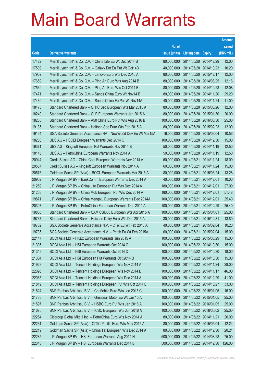|       |                                                                |               |                            |            | <b>Amount</b> |
|-------|----------------------------------------------------------------|---------------|----------------------------|------------|---------------|
|       |                                                                | No. of        |                            |            | raised        |
| Code  | <b>Derivative warrants</b>                                     | issue (units) | <b>Listing date Expiry</b> |            | (HK\$ mil.)   |
| 17422 | Merrill Lynch Int'l & Co. C.V. - China Life Eu Wt Dec 2014 B   | 80,000,000    | 2014/05/20 2014/12/29      |            | 12.00         |
| 17509 | Merrill Lynch Int'l & Co. C.V. - Galaxy Ent Eu Put Wt Oct14B   | 40,000,000    | 2014/05/20 2014/10/23      |            | 10.20         |
| 17902 | Merrill Lynch Int'l & Co. C.V. - Lenovo Euro Wts Dec 2015 A    | 80,000,000    | 2014/05/20 2015/12/17      |            | 12.00         |
| 17659 | Merrill Lynch Int'l & Co. C.V. - Ping An Euro Wts Aug 2014 B   | 80,000,000    | 2014/05/20 2014/08/25      |            | 12.16         |
| 17569 | Merrill Lynch Int'l & Co. C.V. - Ping An Euro Wts Oct 2014 B   | 80,000,000    | 2014/05/20 2014/10/23      |            | 12.08         |
| 17471 | Merrill Lynch Int'l & Co. C.V. - Sands China Euro Wt Nov14 B   | 80,000,000    | 2014/05/20 2014/11/20      |            | 29.20         |
| 17430 | Merrill Lynch Int'l & Co. C.V. - Sands China Eu Put Wt Nov14A  | 40,000,000    | 2014/05/20 2014/11/24      |            | 11.00         |
| 18473 | Standard Chartered Bank – CITIC Sec European Wts Mar 2015 A    | 80,000,000    | 2014/05/20 2015/03/26      |            | 12.00         |
| 18240 | Standard Chartered Bank – CLP European Warrants Jan 2015 A     | 80,000,000    | 2014/05/20 2015/01/30      |            | 20.00         |
| 18235 | Standard Chartered Bank - A50 China Euro Put Wts Aug 2016 B    | 100,000,000   | 2014/05/20 2016/08/30      |            | 25.00         |
| 19135 | Standard Chartered Bank - Haitong Sec Euro Wts Feb 2015 A      | 80,000,000    | 2014/05/20 2015/02/23      |            | 12.00         |
| 19134 | SGA Societe Generale Acceptance NV - NewWorld Dev Eu Wt Mar15A | 16,000,000    | 2014/05/20 2015/03/04      |            | 10.56         |
| 18230 | UBS AG - HSCEI European Warrants Dec 2014 C                    | 100,000,000   | 2014/05/20 2014/12/30      |            | 15.00         |
| 19371 | UBS AG - Kingsoft European Put Warrants Nov 2014 B             | 50,000,000    | 2014/05/20 2014/11/19      |            | 12.50         |
| 18145 | UBS AG - PetroChina European Warrants Nov 2014 A               | 50,000,000    | 2014/05/20 2014/11/19      |            | 12.50         |
| 20944 | Credit Suisse AG - China Coal European Warrants Nov 2014 A     | 60,000,000    | 2014/05/21 2014/11/24      |            | 18.00         |
| 20587 | Credit Suisse AG - Kingsoft European Warrants Nov 2014 A       | 60,000,000    | 2014/05/21                 | 2014/11/24 | 15.00         |
| 20576 | Goldman Sachs SP (Asia) - BOCL European Warrants Mar 2015 A    | 80,000,000    | 2014/05/21 2015/03/24      |            | 13.28         |
| 20962 | J P Morgan SP BV - BankComm European Warrants Dec 2014 A       | 40,000,000    | 2014/05/21                 | 2014/12/01 | 10.00         |
| 21259 | J P Morgan SP BV - China Life European Put Wts Dec 2014 A      | 180,000,000   | 2014/05/21 2014/12/01      |            | 27.00         |
| 21263 | J P Morgan SP BV - China Mob European Put Wts Dec 2014 A       | 180,000,000   | 2014/05/21                 | 2014/12/01 | 51.48         |
| 19871 | J P Morgan SP BV - China Mengniu European Warrants Dec 2014A   | 100,000,000   | 2014/05/21                 | 2014/12/01 | 25.40         |
| 20307 | J P Morgan SP BV - PetroChina European Warrants Dec 2014 A     | 100,000,000   | 2014/05/21                 | 2014/12/29 | 25.40         |
| 19850 | Standard Chartered Bank - CAM CS1300 European Wts Apr 2015 A   | 100,000,000   | 2014/05/21 2015/04/01      |            | 25.00         |
| 19737 | Standard Chartered Bank - Huishan Dairy Euro Wts Dec 2015 A    | 30,000,000    | 2014/05/21                 | 2015/12/31 | 13.80         |
| 19732 | SGA Societe Generale Acceptance N.V. - CTel Eu Wt Feb 2015 A   | 40,000,000    | 2014/05/21                 | 2015/02/04 | 10.20         |
| 19735 | SGA Societe Generale Acceptance N.V. - Petch Eu Wt Feb 2015A   | 60,000,000    | 2014/05/21 2015/02/04      |            | 15.00         |
| 22147 | BOCI Asia Ltd. - HKEx European Warrants Jun 2015 A             | 100,000,000   | 2014/05/22 2015/06/29      |            | 15.00         |
| 21305 | BOCI Asia Ltd. - HSI European Warrants Oct 2014 C              | 100,000,000   | 2014/05/22 2014/10/30      |            | 15.00         |
| 21349 | BOCI Asia Ltd. - HSI European Warrants Oct 2014 D              | 100,000,000   | 2014/05/22 2014/10/30      |            | 18.00         |
| 21304 | BOCI Asia Ltd. - HSI European Put Warrants Oct 2014 B          | 100,000,000   | 2014/05/22 2014/10/30      |            | 15.00         |
| 21923 | BOCI Asia Ltd. - Tencent Holdings European Wts Nov 2014 A      | 100,000,000   | 2014/05/22 2014/11/24      |            | 28.00         |
| 22096 | BOCI Asia Ltd. - Tencent Holdings European Wts Nov 2014 B      | 100,000,000   | 2014/05/22 2014/11/17      |            | 46.00         |
| 22065 | BOCI Asia Ltd. - Tencent Holdings European Wts Dec 2014 A      | 100,000,000   | 2014/05/22 2014/12/29      |            | 41.00         |
| 21819 | BOCI Asia Ltd. - Tencent Holdings European Put Wts Oct 2014 E  | 100,000,000   | 2014/05/22 2014/10/27      |            | 33.00         |
| 21624 | BNP Paribas Arbit Issu B.V. - Ch Mobile Euro Wts Jan 2015 C    | 100,000,000   | 2014/05/22 2015/01/05      |            | 15.00         |
| 21783 | BNP Paribas Arbit Issu B.V. - Greatwall Motor Eu Wt Jan 15 A   | 100,000,000   | 2014/05/22 2015/01/05      |            | 25.00         |
| 21597 | BNP Paribas Arbit Issu B.V. - HSBC Euro Put Wts Jan 2016 A     | 100,000,000   | 2014/05/22 2016/01/05      |            | 25.00         |
| 21675 | BNP Paribas Arbit Issu B.V. - ICBC European Wts Jun 2016 A     | 100,000,000   | 2014/05/22 2016/06/02      |            | 25.00         |
| 22264 | Citigroup Global Mkt H Inc. - PetroChina Euro Wts Nov 2014 A   | 80,000,000    | 2014/05/22 2014/11/21      |            | 20.00         |
| 22231 | Goldman Sachs SP (Asia) - CITIC Pacific Euro Wts May 2015 A    | 80,000,000    | 2014/05/22 2015/05/04      |            | 12.24         |
| 22219 | Goldman Sachs SP (Asia) - China Tel European Wts Dec 2014 A    | 80,000,000    | 2014/05/22 2014/12/30      |            | 20.24         |
| 22285 | J P Morgan SP BV - HSI European Warrants Aug 2014 H            | 500,000,000   | 2014/05/22 2014/08/28      |            | 75.00         |
| 22348 | J P Morgan SP BV - HSI European Warrants Dec 2014 B            | 500,000,000   | 2014/05/22 2014/12/30      |            | 126.00        |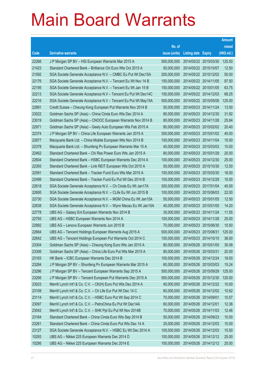|       |                                                                |               |                            |                       | <b>Amount</b> |
|-------|----------------------------------------------------------------|---------------|----------------------------|-----------------------|---------------|
|       |                                                                | No. of        |                            |                       | raised        |
| Code  | <b>Derivative warrants</b>                                     | issue (units) | <b>Listing date Expiry</b> |                       | (HK\$ mil.)   |
| 22266 | J P Morgan SP BV - HSI European Warrants Mar 2015 A            | 500,000,000   |                            | 2014/05/22 2015/03/30 | 125.50        |
| 21423 | Standard Chartered Bank - Brilliance Chi Euro Wts Oct 2015 A   | 50,000,000    |                            | 2014/05/22 2015/10/07 | 12.50         |
| 21592 | SGA Societe Generale Acceptance N.V. - CMBC Eu Put Wt Dec15A   | 200,000,000   |                            | 2014/05/22 2015/12/02 | 50.00         |
| 22176 | SGA Societe Generale Acceptance N.V. - Tencent Eu Wt Nov 14 B  | 150,000,000   |                            | 2014/05/22 2014/11/05 | 97.50         |
| 22195 | SGA Societe Generale Acceptance N.V. - Tencent Eu Wt Jan 15 B  | 150,000,000   |                            | 2014/05/22 2015/01/05 | 63.75         |
| 22213 | SGA Societe Generale Acceptance N.V - Tencent Eu Put Wt Dec14C | 150,000,000   |                            | 2014/05/22 2014/12/03 | 68.25         |
| 22216 | SGA Societe Generale Acceptance N.V - Tencent Eu Put Wt May15A | 500,000,000   |                            | 2014/05/22 2015/05/06 | 125.00        |
| 22891 | Credit Suisse - Cheung Kong European Put Warrants Nov 2014 B   | 50,000,000    |                            | 2014/05/23 2014/11/24 | 13.50         |
| 23022 | Goldman Sachs SP (Asia) - China Cinda Euro Wts Dec 2014 A      | 80,000,000    |                            | 2014/05/23 2014/12/30 | 31.92         |
| 23019 | Goldman Sachs SP (Asia) - CNOOC European Warrants Nov 2014 B   | 80,000,000    |                            | 2014/05/23 2014/11/28 | 25.84         |
| 22971 | Goldman Sachs SP (Asia) - Geely Auto European Wts Feb 2015 A   | 80,000,000    |                            | 2014/05/23 2015/02/02 | 20.40         |
| 22374 | J P Morgan SP BV - China Life European Warrants Jan 2015 A     | 300,000,000   |                            | 2014/05/23 2015/01/02 | 45.00         |
| 22877 | Macquarie Bank Ltd. - China Mobile European Wts Nov 2014 B     | 100,000,000   |                            | 2014/05/23 2014/11/04 | 15.00         |
| 22378 | Macquarie Bank Ltd. - Shunfeng Pv European Warrants Mar 15 A   | 40,000,000    |                            | 2014/05/23 2015/03/03 | 10.00         |
| 22462 | Standard Chartered Bank - Chi Res Power Euro Wts Jan 2015 A    | 80,000,000    | 2014/05/23 2015/01/29      |                       | 20.00         |
| 22604 | Standard Chartered Bank - HSBC European Warrants Dec 2014 A    | 100,000,000   | 2014/05/23 2014/12/30      |                       | 25.00         |
| 22393 | Standard Chartered Bank - Link REIT European Wts Oct 2015 A    | 50,000,000    |                            | 2014/05/23 2015/10/30 | 12.50         |
| 22591 | Standard Chartered Bank - Tracker Fund Euro Wts Mar 2015 A     | 100,000,000   |                            | 2014/05/23 2015/03/30 | 18.00         |
| 22499 | Standard Chartered Bank - Tracker Fund Eu Put Wt Dec 2014 B    | 100,000,000   | 2014/05/23 2014/12/29      |                       | 15.00         |
| 22618 | SGA Societe Generale Acceptance N.V. - Ch Cinda Eu Wt Jan17A   | 300,000,000   |                            | 2014/05/23 2017/01/04 | 45.00         |
| 22695 | SGA Societe Generale Acceptance N.V. - CLife Eu Wt Jun 2015 B  | 100,000,000   |                            | 2014/05/23 2015/06/03 | 22.00         |
| 22730 | SGA Societe Generale Acceptance N.V. - MGM China Eu Wt Jan15A  | 50,000,000    |                            | 2014/05/23 2015/01/05 | 12.50         |
| 22638 | SGA Societe Generale Acceptance N.V. - Wynn Macau Eu Wt Jan15A | 40,000,000    |                            | 2014/05/23 2015/01/05 | 14.20         |
| 22778 | UBS AG - Galaxy Ent European Warrants Nov 2014 B               | 35,000,000    |                            | 2014/05/23 2014/11/24 | 11.55         |
| 22793 | UBS AG - HSBC European Warrants Nov 2014 A                     | 100,000,000   | 2014/05/23 2014/11/28      |                       | 25.00         |
| 22892 | UBS AG - Lenovo European Warrants Jun 2015 B                   | 70,000,000    |                            | 2014/05/23 2015/06/30 | 10.50         |
| 22664 | UBS AG – Tencent Holdings European Warrants Aug 2015 A         | 500,000,000   | 2014/05/23 2015/08/31      |                       | 125.00        |
| 22642 | UBS AG - Tencent Holdings European Put Warrants Oct 2014 C     | 100,000,000   | 2014/05/23 2014/10/15      |                       | 36.00         |
| 23304 | Goldman Sachs SP (Asia) - Cheung Kong Euro Wts Jan 2015 A      | 80,000,000    | 2014/05/26 2015/01/05      |                       | 30.08         |
| 23306 | Goldman Sachs SP (Asia) - China Life Euro Put Wts Mar 2015 A   | 80,000,000    | 2014/05/26 2015/03/31      |                       | 20.00         |
| 23163 | HK Bank - ICBC European Warrants Dec 2014 B                    | 100,000,000   | 2014/05/26 2014/12/24      |                       | 18.00         |
| 23284 | J P Morgan SP BV - Shunfeng Pv European Warrants Mar 2015 A    | 60,000,000    |                            | 2014/05/26 2015/03/03 | 15.24         |
| 23296 | J P Morgan SP BV - Tencent European Warrants Sep 2015 A        | 500,000,000   | 2014/05/26 2015/09/29      |                       | 125.00        |
| 23295 | J P Morgan SP BV - Tencent European Put Warrants Dec 2015 A    | 500,000,000   |                            | 2014/05/26 2015/12/30 | 125.00        |
| 23023 | Merrill Lynch Int'l & Co. C.V. - CK(H) Euro Put Wts Dec 2014 A | 40,000,000    |                            | 2014/05/26 2014/12/22 | 10.00         |
| 23108 | Merrill Lynch Int'l & Co. C.V. - Ch Life Eur Put Wt Dec 14 C   | 60,000,000    |                            | 2014/05/26 2014/12/02 | 10.62         |
| 23114 | Merrill Lynch Int'l & Co. C.V. - HSBC Euro Put Wt Sep 2014 C   | 70,000,000    | 2014/05/26 2014/09/01      |                       | 10.57         |
| 23097 | Merrill Lynch Int'l & Co. C.V. - PetroChina Eu Put Wt Dec14A   | 60,000,000    | 2014/05/26 2014/12/01      |                       | 12.36         |
| 23042 | Merrill Lynch Int'l & Co. C.V. - SHK Ppt Eu Put Wt Nov 2014B   | 70,000,000    | 2014/05/26 2014/11/03      |                       | 12.46         |
| 23164 | Standard Chartered Bank - China Cinda Euro Wts Sep 2014 B      | 50,000,000    |                            | 2014/05/26 2014/09/23 | 10.00         |
| 23261 | Standard Chartered Bank - China Cinda Euro Put Wts Dec 14 A    | 25,000,000    | 2014/05/26 2014/12/03      |                       | 10.00         |
| 23127 | SGA Societe Generale Acceptance N.V. - HSBC Eu Wt Dec 2014 A   | 100,000,000   | 2014/05/26 2014/12/03      |                       | 15.50         |
| 10293 | UBS AG - Nikkei 225 European Warrants Dec 2014 D               | 100,000,000   | 2014/05/26 2014/12/12      |                       | 25.00         |
| 10295 | UBS AG - Nikkei 225 European Warrants Dec 2014 E               | 100,000,000   | 2014/05/26 2014/12/12      |                       | 20.00         |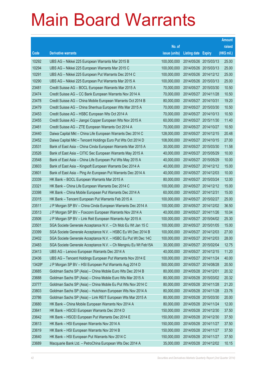|        |                                                                |               |                            | <b>Amount</b> |
|--------|----------------------------------------------------------------|---------------|----------------------------|---------------|
|        |                                                                | No. of        |                            | raised        |
| Code   | <b>Derivative warrants</b>                                     | issue (units) | <b>Listing date Expiry</b> | (HK\$ mil.)   |
| 10292  | UBS AG - Nikkei 225 European Warrants Mar 2015 B               | 100,000,000   | 2014/05/26 2015/03/13      | 25.00         |
| 10294  | UBS AG – Nikkei 225 European Warrants Mar 2015 C               | 100,000,000   | 2014/05/26 2015/03/13      | 25.00         |
| 10291  | UBS AG - Nikkei 225 European Put Warrants Dec 2014 C           | 100,000,000   | 2014/05/26 2014/12/12      | 25.00         |
| 10290  | UBS AG - Nikkei 225 European Put Warrants Mar 2015 A           | 100,000,000   | 2014/05/26 2015/03/13      | 25.00         |
| 23481  | Credit Suisse AG - BOCL European Warrants Mar 2015 A           | 70,000,000    | 2014/05/27 2015/03/30      | 10.50         |
| 23474  | Credit Suisse AG - CC Bank European Warrants Nov 2014 A        | 70,000,000    | 2014/05/27 2014/11/28      | 10.50         |
| 23478  | Credit Suisse AG - China Mobile European Warrants Oct 2014 B   | 80,000,000    | 2014/05/27 2014/10/31      | 19.20         |
| 23479  | Credit Suisse AG - China Shenhua European Wts Mar 2015 A       | 70,000,000    | 2014/05/27 2015/03/30      | 10.50         |
| 23453  | Credit Suisse AG - HSBC European Wts Oct 2014 A                | 70,000,000    | 2014/05/27 2014/10/13      | 10.50         |
| 23455  | Credit Suisse AG - Jiangxi Copper European Wts Nov 2015 A      | 60,000,000    | 2014/05/27 2015/11/30      | 11.40         |
| 23461  | Credit Suisse AG - ZTE European Warrants Oct 2014 A            | 70,000,000    | 2014/05/27 2014/10/27      | 10.50         |
| 23440  | Daiwa Capital Mkt - China Life European Warrants Dec 2014 C    | 128,000,000   | 2014/05/27 2014/12/15      | 20.48         |
| 23452  | Daiwa Capital Mkt - Tencent Holdings Euro Put Wts Oct 2014 D   | 108,000,000   | 2014/05/27 2014/10/15      | 27.00         |
| 23531  | Bank of East Asia - China Cinda European Warrants Mar 2015 A   | 30,000,000    | 2014/05/27 2015/03/30      | 11.58         |
| 23526  | Bank of East Asia - CITIC Sec European Warrants May 2015 A     | 40,000,000    | 2014/05/27 2015/05/29      | 10.00         |
| 23548  | Bank of East Asia - China Life European Put Wts May 2015 A     | 40,000,000    | 2014/05/27 2015/05/29      | 10.00         |
| 23603  | Bank of East Asia - Kingsoft European Warrants Dec 2014 A      | 40,000,000    | 2014/05/27 2014/12/12      | 15.00         |
| 23601  | Bank of East Asia - Ping An European Put Warrants Dec 2014 A   | 40,000,000    | 2014/05/27 2014/12/03      | 10.00         |
| 23339  | HK Bank - BOCL European Warrants Mar 2015 A                    | 80,000,000    | 2014/05/27 2015/03/24      | 12.00         |
| 23321  | HK Bank - China Life European Warrants Dec 2014 C              | 100,000,000   | 2014/05/27 2014/12/12      | 15.00         |
| 23398  | HK Bank – China Mobile European Put Warrants Dec 2014 A        | 60,000,000    | 2014/05/27 2014/12/31      | 15.00         |
| 23315  | HK Bank - Tencent European Put Warrants Feb 2015 A             | 100,000,000   | 2014/05/27 2015/02/27      | 25.00         |
| 23511  | J P Morgan SP BV - China Cinda European Warrants Dec 2014 A    | 100,000,000   | 2014/05/27 2014/12/02      | 36.50         |
| 23513  | J P Morgan SP BV - Foxconn European Warrants Nov 2014 A        | 40,000,000    | 2014/05/27 2014/11/26      | 10.04         |
| 23506  | J P Morgan SP BV - Link Reit European Warrants Apr 2015 A      | 100,000,000   | 2014/05/27 2015/04/02      | 25.30         |
| 23501  | SGA Societe Generale Acceptance N.V. - Ch Mob Eu Wt Jan 15 C   | 100,000,000   | 2014/05/27 2015/01/05      | 15.00         |
| 23399  | SGA Societe Generale Acceptance N.V. - HSBC Eu Wt Dec 2014 B   | 100,000,000   | 2014/05/27 2014/12/03      | 27.00         |
| 23402  | SGA Societe Generale Acceptance N.V. - HSBC Eu Put Wt Dec 14C  | 100,000,000   | 2014/05/27 2014/12/03      | 28.00         |
| 23483  | SGA Societe Generale Acceptance N.V. - Ch Mengniu Eu Wt Feb15A | 30,000,000    | 2014/05/27 2015/02/04      | 12.75         |
| 23413  | UBS AG - Lenovo European Warrants Dec 2014 A                   | 40,000,000    | 2014/05/27 2014/12/15      | 11.20         |
| 23436  | UBS AG - Tencent Holdings European Put Warrants Nov 2014 E     | 100,000,000   | 2014/05/27 2014/11/24      | 40.00         |
| 13428# | J P Morgan SP BV - HSI European Put Warrants Aug 2014 D        | 500,000,000   | 2014/05/27 2014/08/28      | 20.50         |
| 23685  | Goldman Sachs SP (Asia) - China Mobile Euro Wts Dec 2014 B     | 80,000,000    | 2014/05/28 2014/12/01      | 20.32         |
| 23688  | Goldman Sachs SP (Asia) – China Mobile Euro Wts Mar 2015 A     | 80,000,000    | 2014/05/28 2015/03/02      | 20.32         |
| 23777  | Goldman Sachs SP (Asia) - China Mobile Eu Put Wts Nov 2014 C   | 80,000,000    | 2014/05/28 2014/11/28      | 21.20         |
| 23803  | Goldman Sachs SP (Asia) - Hutchison European Wts Nov 2014 A    | 80,000,000    | 2014/05/28 2014/11/28      | 23.76         |
| 23786  | Goldman Sachs SP (Asia) - Link REIT European Wts Mar 2015 A    | 80,000,000    | 2014/05/28 2015/03/30      | 20.00         |
| 23680  | HK Bank - China Mobile European Warrants Nov 2014 A            | 80,000,000    | 2014/05/28 2014/11/24      | 12.00         |
| 23641  | HK Bank - HSCEI European Warrants Dec 2014 D                   | 150,000,000   | 2014/05/28 2014/12/30      | 37.50         |
| 23642  | HK Bank - HSCEI European Put Warrants Dec 2014 E               | 150,000,000   | 2014/05/28 2014/12/30      | 37.50         |
| 23613  | HK Bank - HSI European Warrants Nov 2014 A                     | 150,000,000   | 2014/05/28 2014/11/27      | 37.50         |
| 23619  | HK Bank - HSI European Warrants Nov 2014 B                     | 150,000,000   | 2014/05/28 2014/11/27      | 37.50         |
| 23640  | HK Bank - HSI European Put Warrants Nov 2014 C                 | 150,000,000   | 2014/05/28 2014/11/27      | 37.50         |
| 23689  | Macquarie Bank Ltd. - PetroChina European Wts Dec 2014 A       | 35,000,000    | 2014/05/28 2014/12/02      | 10.15         |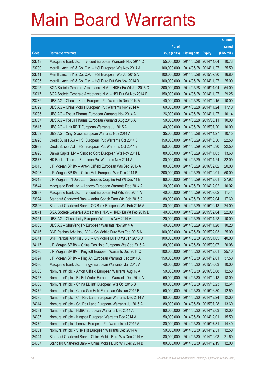|       |                                                              |               |                            |                       | <b>Amount</b> |
|-------|--------------------------------------------------------------|---------------|----------------------------|-----------------------|---------------|
|       |                                                              | No. of        |                            |                       | raised        |
| Code  | <b>Derivative warrants</b>                                   | issue (units) | <b>Listing date Expiry</b> |                       | (HK\$ mil.)   |
| 23713 | Macquarie Bank Ltd. - Tencent European Warrants Nov 2014 C   | 55,000,000    | 2014/05/28 2014/11/04      |                       | 10.73         |
| 23700 | Merrill Lynch Int'l & Co. C.V. - HSI European Wts Nov 2014 A | 100,000,000   |                            | 2014/05/28 2014/11/27 | 25.50         |
| 23711 | Merrill Lynch Int'l & Co. C.V. - HSI European Wts Jul 2015 A | 100,000,000   |                            | 2014/05/28 2015/07/30 | 16.80         |
| 23705 | Merrill Lynch Int'l & Co. C.V. - HSI Euro Put Wts Nov 2014 B | 100,000,000   | 2014/05/28 2014/11/27      |                       | 25.00         |
| 23725 | SGA Societe Generale Acceptance N.V. - HKEx Eu Wt Jan 2016 C | 300,000,000   |                            | 2014/05/28 2016/01/04 | 54.00         |
| 23717 | SGA Societe Generale Acceptance N.V. - HSI Eur Wt Nov 2014 B | 150,000,000   | 2014/05/28 2014/11/27      |                       | 29.25         |
| 23732 | UBS AG - Cheung Kong European Put Warrants Dec 2014 A        | 40,000,000    |                            | 2014/05/28 2014/12/15 | 10.00         |
| 23729 | UBS AG - China Mobile European Put Warrants Nov 2014 A       | 60,000,000    | 2014/05/28 2014/11/24      |                       | 17.10         |
| 23735 | UBS AG - Fosun Pharma European Warrants Nov 2014 A           | 26,000,000    |                            | 2014/05/28 2014/11/27 | 10.14         |
| 23737 | UBS AG - Fosun Pharma European Warrants Aug 2015 A           | 50,000,000    | 2014/05/28 2015/08/11      |                       | 10.00         |
| 23815 | UBS AG - Link REIT European Warrants Jul 2015 A              | 40,000,000    |                            | 2014/05/28 2015/07/20 | 10.00         |
| 23759 | UBS AG - Xinyi Glass European Warrants Nov 2014 A            | 35,000,000    | 2014/05/28 2014/11/27      |                       | 10.15         |
| 23926 | Credit Suisse AG - HSI European Put Warrants Oct 2014 D      | 150,000,000   |                            | 2014/05/29 2014/10/30 | 22.50         |
| 23933 | Credit Suisse AG - HSI European Put Warrants Oct 2014 E      | 150,000,000   | 2014/05/29 2014/10/30      |                       | 22.50         |
| 23998 | Daiwa Capital Mkt - Sinopec Corp European Wts Nov 2014 B     | 80,000,000    | 2014/05/29 2014/11/03      |                       | 13.60         |
| 23877 | HK Bank - Tencent European Put Warrants Nov 2014 A           | 80,000,000    | 2014/05/29 2014/11/24      |                       | 32.00         |
| 24015 | J P Morgan SP BV - Anton Oilfield European Wts Sep 2016 A    | 80,000,000    |                            | 2014/05/29 2016/09/02 | 20.00         |
| 24023 | J P Morgan SP BV - China Mob European Wts Dec 2014 B         | 200,000,000   | 2014/05/29 2014/12/01      |                       | 50.00         |
| 24018 | J P Morgan Int'l Der. Ltd. - Sinopec Corp Eu Put Wt Dec 14 B | 80,000,000    | 2014/05/29 2014/12/01      |                       | 27.92         |
| 23844 | Macquarie Bank Ltd. - Lenovo European Warrants Dec 2014 A    | 30,000,000    |                            | 2014/05/29 2014/12/02 | 10.02         |
| 23837 | Macquarie Bank Ltd. - Tencent European Put Wts Sep 2014 A    | 40,000,000    |                            | 2014/05/29 2014/09/02 | 11.44         |
| 23924 | Standard Chartered Bank - Anhui Conch Euro Wts Feb 2015 A    | 80,000,000    | 2014/05/29 2015/02/04      |                       | 17.60         |
| 23896 | Standard Chartered Bank - CC Bank European Wts Feb 2015 A    | 80,000,000    | 2014/05/29 2015/02/13      |                       | 24.00         |
| 23871 | SGA Societe Generale Acceptance N.V. - HKEx Eu Wt Feb 2015 B | 40,000,000    | 2014/05/29 2015/02/04      |                       | 22.00         |
| 24051 | UBS AG - Chsouthcity European Warrants Nov 2014 A            | 20,000,000    | 2014/05/29 2014/11/28      |                       | 10.00         |
| 24085 | UBS AG - Shunfeng Pv European Warrants Nov 2014 A            | 40,000,000    | 2014/05/29 2014/11/28      |                       | 10.20         |
| 24316 | BNP Paribas Arbit Issu B.V. – Ch Mobile Euro Wts Feb 2015 A  | 100,000,000   | 2014/05/30 2015/02/03      |                       | 25.00         |
| 24341 | BNP Paribas Arbit Issu B.V. - Ch Mobile Eu Put Wt Jan 2015 D | 100,000,000   | 2014/05/30 2015/01/05      |                       | 40.00         |
| 24117 | J P Morgan SP BV - China Gas Hold European Wts Sep 2015 A    | 80,000,000    | 2014/05/30 2015/09/07      |                       | 20.08         |
| 24096 | J P Morgan SP BV - Kingsoft European Warrants Dec 2014 C     | 100,000,000   | 2014/05/30 2014/12/01      |                       | 25.10         |
| 24094 | J P Morgan SP BV - Ping An European Warrants Dec 2014 A      | 150,000,000   | 2014/05/30 2014/12/01      |                       | 37.50         |
| 24086 | Macquarie Bank Ltd. - Tingyi European Warrants Mar 2015 A    | 40,000,000    | 2014/05/30 2015/03/03      |                       | 10.00         |
| 24303 | Nomura Int'l plc - Anton Oilfield European Warrants Aug 16 A | 50,000,000    | 2014/05/30 2016/08/08      |                       | 12.50         |
| 24257 | Nomura Int'l plc - BJ Ent Water European Warrants Dec 2014 A | 50,000,000    | 2014/05/30 2014/12/18      |                       | 18.00         |
| 24308 | Nomura Int'l plc - China EB Int'l European Wts Oct 2015 B    | 80,000,000    | 2014/05/30 2015/10/23      |                       | 12.64         |
| 24272 | Nomura Int'l plc - China Gas Hold European Wts Jun 2015 B    | 50,000,000    | 2014/05/30 2015/06/30      |                       | 12.50         |
| 24295 | Nomura Int'l plc - Chi Res Land European Warrants Dec 2014 A | 80,000,000    | 2014/05/30 2014/12/24      |                       | 12.00         |
| 24314 | Nomura Int'l plc - Chi Res Land European Warrants Jul 2015 A | 80,000,000    | 2014/05/30 2015/07/28      |                       | 13.60         |
| 24231 | Nomura Int'l plc - HSBC European Warrants Dec 2014 A         | 80,000,000    | 2014/05/30 2014/12/03      |                       | 12.00         |
| 24307 | Nomura Int'l plc - Kingsoft European Warrants Dec 2014 A     | 50,000,000    | 2014/05/30 2014/12/01      |                       | 15.50         |
| 24279 | Nomura Int'l plc - Lenovo European Put Warrants Jul 2015 A   | 80,000,000    | 2014/05/30 2015/07/31      |                       | 14.40         |
| 24251 | Nomura Int'l plc - SHK Ppt European Warrants Dec 2014 A      | 50,000,000    | 2014/05/30 2014/12/31      |                       | 12.50         |
| 24344 | Standard Chartered Bank - China Mobile Euro Wts Dec 2014 A   | 80,000,000    | 2014/05/30 2014/12/03      |                       | 21.60         |
| 24367 | Standard Chartered Bank - China Mobile Euro Wts Dec 2014 B   | 80,000,000    | 2014/05/30 2014/12/19      |                       | 12.00         |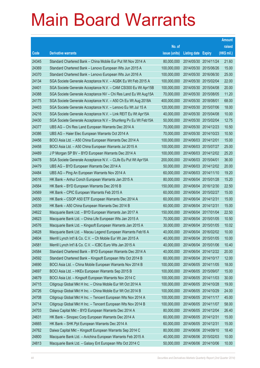|       |                                                                |               |                            |            | <b>Amount</b> |
|-------|----------------------------------------------------------------|---------------|----------------------------|------------|---------------|
|       |                                                                | No. of        |                            |            | raised        |
| Code  | <b>Derivative warrants</b>                                     | issue (units) | <b>Listing date Expiry</b> |            | (HK\$ mil.)   |
| 24345 | Standard Chartered Bank - China Mobile Eur Put Wt Nov 2014 A   | 80,000,000    | 2014/05/30 2014/11/24      |            | 21.60         |
| 24369 | Standard Chartered Bank - Lenovo European Wts Jun 2015 A       | 100,000,000   | 2014/05/30 2015/06/26      |            | 15.00         |
| 24370 | Standard Chartered Bank - Lenovo European Wts Jun 2016 A       | 100,000,000   | 2014/05/30 2016/06/30      |            | 25.00         |
| 24134 | SGA Societe Generale Acceptance N.V. - AGBK Eu Wt Feb 2015 A   | 100,000,000   | 2014/05/30 2015/02/04      |            | 22.00         |
| 24401 | SGA Societe Generale Acceptance N.V. - CAM CSI300 Eu Wt Apr15B | 100,000,000   | 2014/05/30 2015/04/08      |            | 20.00         |
| 24388 | SGA Societe Generale Acceptance NV - Chi Res Land Eu Wt Aug15A | 70,000,000    | 2014/05/30 2015/08/05      |            | 11.20         |
| 24175 | SGA Societe Generale Acceptance N.V. - A50 Ch Eu Wt Aug 2018A  | 400,000,000   | 2014/05/30 2018/08/01      |            | 68.00         |
| 24403 | SGA Societe Generale Acceptance N.V. - Lenovo Eu Wt Jul 15 A   | 120,000,000   | 2014/05/30 2015/07/06      |            | 18.00         |
| 24216 | SGA Societe Generale Acceptance N.V. - Link REIT Eu Wt Apr15A  | 40,000,000    | 2014/05/30 2015/04/08      |            | 10.00         |
| 24430 | SGA Societe Generale Acceptance N.V - Shunfeng Pv Eu Wt Feb15A | 50,000,000    | 2014/05/30 2015/02/04      |            | 12.75         |
| 24377 | UBS AG - Chi Res Land European Warrants Dec 2014 A             | 70,000,000    | 2014/05/30 2014/12/23      |            | 10.50         |
| 24386 | UBS AG - Haier Elec European Warrants Oct 2014 A               | 70,000,000    | 2014/05/30 2014/10/23      |            | 10.50         |
| 24456 | BOCI Asia Ltd. - A50 China European Warrants Dec 2014 A        | 100,000,000   | 2014/06/03 2014/12/01      |            | 15.00         |
| 24458 | BOCI Asia Ltd. - A50 China European Warrants Jul 2015 A        | 100,000,000   | 2014/06/03 2015/07/27      |            | 25.00         |
| 24489 | J P Morgan SP BV - BYD European Warrants Dec 2014 A            | 100,000,000   | 2014/06/03 2014/12/02      |            | 25.20         |
| 24478 | SGA Societe Generale Acceptance N.V. - CLife Eu Put Wt Apr15A  | 200,000,000   | 2014/06/03 2015/04/01      |            | 36.00         |
| 24479 | UBS AG - BYD European Warrants Dec 2014 A                      | 50,000,000    | 2014/06/03 2014/12/02      |            | 20.00         |
| 24484 | UBS AG - Ping An European Warrants Nov 2014 A                  | 60,000,000    | 2014/06/03 2014/11/10      |            | 19.20         |
| 24516 | HK Bank - Anhui Conch European Warrants Jan 2015 A             | 80,000,000    | 2014/06/04                 | 2015/01/28 | 15.20         |
| 24564 | HK Bank - BYD European Warrants Dec 2016 B                     | 150,000,000   | 2014/06/04 2016/12/30      |            | 22.50         |
| 24569 | HK Bank - CPIC European Warrants Feb 2015 A                    | 60,000,000    | 2014/06/04 2015/02/27      |            | 15.00         |
| 24550 | HK Bank - CSOP A50 ETF European Warrants Dec 2014 A            | 60,000,000    | 2014/06/04 2014/12/31      |            | 15.00         |
| 24539 | HK Bank - A50 China European Warrants Dec 2014 B               | 60,000,000    | 2014/06/04 2014/12/31      |            | 15.00         |
| 24622 | Macquarie Bank Ltd. - BYD European Warrants Jan 2017 A         | 150,000,000   | 2014/06/04 2017/01/04      |            | 22.50         |
| 24623 | Macquarie Bank Ltd. - China Life European Wts Jan 2015 A       | 70,000,000    | 2014/06/04 2015/01/05      |            | 10.50         |
| 24576 | Macquarie Bank Ltd. - Kingsoft European Warrants Jan 2015 A    | 30,000,000    | 2014/06/04 2015/01/05      |            | 10.02         |
| 24628 | Macquarie Bank Ltd. - Macau Legend European Warrants Feb16 A   | 40,000,000    | 2014/06/04 2016/02/02      |            | 10.00         |
| 24604 | Merrill Lynch Int'l & Co. C.V. - Ch Mobile Eur Wt Jan 2015 A   | 40,000,000    | 2014/06/04 2015/01/05      |            | 10.00         |
| 24581 | Merrill Lynch Int'l & Co. C.V. - ICBC Euro Wts Jan 2015 A      | 40,000,000    | 2014/06/04 2015/01/06      |            | 10.40         |
| 24584 | Standard Chartered Bank - BYD European Warrants Dec 2014 A     | 40,000,000    | 2014/06/04 2014/12/22      |            | 20.00         |
| 24592 | Standard Chartered Bank - Kingsoft European Wts Oct 2014 B     | 60,000,000    | 2014/06/04 2014/10/17      |            | 12.00         |
| 24690 | BOCI Asia Ltd. - China Mobile European Warrants Nov 2014 B     | 100,000,000   | 2014/06/05 2014/11/05      |            | 18.00         |
| 24697 | BOCI Asia Ltd. - HKEx European Warrants Sep 2015 B             | 100,000,000   | 2014/06/05 2015/09/07      |            | 15.00         |
| 24679 | BOCI Asia Ltd. - Kingsoft European Warrants Nov 2014 C         | 100,000,000   | 2014/06/05 2014/11/03      |            | 30.00         |
| 24715 | Citigroup Global Mkt H Inc. - China Mobile Eur Wt Oct 2014 A   | 100,000,000   | 2014/06/05 2014/10/28      |            | 19.00         |
| 24726 | Citigroup Global Mkt H Inc. - China Mobile Eur Wt Oct 2014 B   | 100,000,000   | 2014/06/05 2014/10/29      |            | 24.00         |
| 24708 | Citigroup Global Mkt H Inc. - Tencent European Wts Nov 2014 A  | 100,000,000   | 2014/06/05 2014/11/17      |            | 45.00         |
| 24714 | Citigroup Global Mkt H Inc. - Tencent European Wts Nov 2014 B  | 100,000,000   | 2014/06/05 2014/11/07      |            | 58.00         |
| 24703 | Daiwa Capital Mkt - BYD European Warrants Dec 2014 A           | 80,000,000    | 2014/06/05 2014/12/04      |            | 26.40         |
| 24631 | HK Bank - Sinopec Corp European Warrants Dec 2014 A            | 60,000,000    | 2014/06/05 2014/12/31      |            | 15.00         |
| 24665 | HK Bank - SHK Ppt European Warrants Dec 2014 A                 | 60,000,000    | 2014/06/05 2014/12/31      |            | 15.00         |
| 24762 | Daiwa Capital Mkt - Kingsoft European Warrants Sep 2014 C      | 80,000,000    | 2014/06/06 2014/09/10      |            | 18.40         |
| 24800 | Macquarie Bank Ltd. - Avichina European Warrants Feb 2015 A    | 40,000,000    | 2014/06/06 2015/02/03      |            | 10.00         |
| 24813 | Macquarie Bank Ltd. - Galaxy Ent European Wts Oct 2014 C       | 50,000,000    | 2014/06/06 2014/10/06      |            | 10.00         |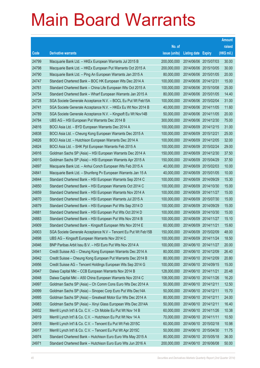|       |                                                                |               |                            |                       | <b>Amount</b> |
|-------|----------------------------------------------------------------|---------------|----------------------------|-----------------------|---------------|
|       |                                                                | No. of        |                            |                       | raised        |
| Code  | <b>Derivative warrants</b>                                     | issue (units) | <b>Listing date Expiry</b> |                       | (HK\$ mil.)   |
| 24799 | Macquarie Bank Ltd. - HKEx European Warrants Jul 2015 B        | 200,000,000   | 2014/06/06 2015/07/03      |                       | 30.00         |
| 24798 | Macquarie Bank Ltd. - HKEx European Put Warrants Oct 2015 A    | 200,000,000   | 2014/06/06 2015/10/05      |                       | 30.00         |
| 24790 | Macquarie Bank Ltd. - Ping An European Warrants Jan 2015 A     | 80,000,000    | 2014/06/06 2015/01/05      |                       | 20.00         |
| 24747 | Standard Chartered Bank - BOC HK European Wts Dec 2014 A       | 100,000,000   | 2014/06/06 2014/12/31      |                       | 15.00         |
| 24761 | Standard Chartered Bank - China Life European Wts Oct 2015 A   | 100,000,000   |                            | 2014/06/06 2015/10/08 | 25.00         |
| 24754 | Standard Chartered Bank - Wharf European Warrants Jan 2015 A   | 80,000,000    |                            | 2014/06/06 2015/01/05 | 14.40         |
| 24728 | SGA Societe Generale Acceptance N.V. - BOCL Eu Put Wt Feb15A   | 100,000,000   | 2014/06/06 2015/02/04      |                       | 31.00         |
| 24741 | SGA Societe Generale Acceptance N.V. - HKEx Eu Wt Nov 2014 B   | 40,000,000    |                            | 2014/06/06 2014/11/05 | 11.60         |
| 24789 | SGA Societe Generale Acceptance N.V. - Kingsoft Eu Wt Nov14B   | 50,000,000    |                            | 2014/06/06 2014/11/05 | 20.00         |
| 24784 | UBS AG - HSI European Put Warrants Dec 2014 B                  | 300,000,000   |                            | 2014/06/06 2014/12/30 | 75.00         |
| 24816 | BOCI Asia Ltd. - BYD European Warrants Dec 2014 A              | 100,000,000   | 2014/06/09 2014/12/15      |                       | 31.00         |
| 24838 | BOCI Asia Ltd. - Cheung Kong European Warrants Dec 2015 A      | 100,000,000   | 2014/06/09 2015/12/21      |                       | 25.00         |
| 24826 | BOCI Asia Ltd. - Hutchison European Warrants Dec 2014 A        | 100,000,000   |                            | 2014/06/09 2014/12/05 | 32.00         |
| 24824 | BOCI Asia Ltd. - SHK Ppt European Warrants Feb 2015 A          | 100,000,000   | 2014/06/09 2015/02/24      |                       | 29.00         |
| 24916 | Goldman Sachs SP (Asia) - HSI European Warrants Dec 2014 A     | 150,000,000   | 2014/06/09                 | 2014/12/30            | 37.50         |
| 24915 | Goldman Sachs SP (Asia) - HSI European Warrants Apr 2015 A     | 150,000,000   |                            | 2014/06/09 2015/04/29 | 37.50         |
| 24897 | Macquarie Bank Ltd. - Anhui Conch European Wts Feb 2015 A      | 40,000,000    |                            | 2014/06/09 2015/02/03 | 10.00         |
| 24841 | Macquarie Bank Ltd. - Shunfeng Pv European Warrants Jan 15 A   | 40,000,000    |                            | 2014/06/09 2015/01/05 | 10.00         |
| 24844 | Standard Chartered Bank - HSI European Warrants Sep 2014 C     | 100,000,000   | 2014/06/09                 | 2014/09/29            | 15.30         |
| 24850 | Standard Chartered Bank - HSI European Warrants Oct 2014 C     | 100,000,000   |                            | 2014/06/09 2014/10/30 | 15.00         |
| 24859 | Standard Chartered Bank - HSI European Warrants Nov 2014 A     | 100,000,000   |                            | 2014/06/09 2014/11/27 | 15.00         |
| 24870 | Standard Chartered Bank - HSI European Warrants Jul 2015 A     | 100,000,000   |                            | 2014/06/09 2015/07/30 | 15.00         |
| 24879 | Standard Chartered Bank - HSI European Put Wts Sep 2014 D      | 100,000,000   | 2014/06/09                 | 2014/09/29            | 15.00         |
| 24881 | Standard Chartered Bank - HSI European Put Wts Oct 2014 D      | 100,000,000   |                            | 2014/06/09 2014/10/30 | 15.00         |
| 24883 | Standard Chartered Bank - HSI European Put Wts Nov 2014 B      | 100,000,000   | 2014/06/09 2014/11/27      |                       | 15.10         |
| 24909 | Standard Chartered Bank - Kingsoft European Wts Nov 2014 E     | 60,000,000    | 2014/06/09 2014/11/21      |                       | 15.60         |
| 24903 | SGA Societe Generale Acceptance N.V - Tencent Eu Put Wt Feb15B | 150,000,000   |                            | 2014/06/09 2015/02/09 | 48.00         |
| 24898 | UBS AG - Kingsoft European Warrants Nov 2014 C                 | 100,000,000   | 2014/06/09 2014/11/24      |                       | 18.50         |
| 24946 | BNP Paribas Arbit Issu B.V. - HSI Euro Put Wts Nov 2014 A      | 100,000,000   | 2014/06/10 2014/11/27      |                       | 20.00         |
| 24941 | Credit Suisse AG - Cheung Kong European Warrants Dec 2014 A    | 80,000,000    | 2014/06/10 2014/12/09      |                       | 26.40         |
| 24942 | Credit Suisse - Cheung Kong European Put Warrants Dec 2014 B   | 80,000,000    | 2014/06/10 2014/12/09      |                       | 20.80         |
| 24956 | Credit Suisse AG - Tencent Holdings European Wts Sep 2014 G    | 100,000,000   | 2014/06/10 2014/09/15      |                       | 15.00         |
| 24947 | Daiwa Capital Mkt - CCB European Warrants Nov 2014 B           | 128,000,000   | 2014/06/10 2014/11/21      |                       | 20.48         |
| 24948 | Daiwa Capital Mkt - A50 China European Warrants Nov 2014 C     | 108,000,000   | 2014/06/10 2014/11/26      |                       | 16.20         |
| 24997 | Goldman Sachs SP (Asia) - Ch Comm Cons Euro Wts Dec 2014 A     | 50,000,000    | 2014/06/10 2014/12/11      |                       | 12.50         |
| 24999 | Goldman Sachs SP (Asia) - Sinopec Corp Euro Put Wts Dec14A     | 50,000,000    | 2014/06/10 2014/12/11      |                       | 15.70         |
| 24995 | Goldman Sachs SP (Asia) - Greatwall Motor Eur Wts Dec 2014 A   | 80,000,000    | 2014/06/10 2014/12/11      |                       | 24.00         |
| 24983 | Goldman Sachs SP (Asia) - Xinyi Glass European Wts Dec 2014A   | 50,000,000    | 2014/06/10 2014/12/11      |                       | 16.40         |
| 24932 | Merrill Lynch Int'l & Co. C.V. - Ch Mobile Eu Put Wt Nov 14 B  | 60,000,000    | 2014/06/10 2014/11/26      |                       | 10.38         |
| 24919 | Merrill Lynch Int'l & Co. C.V. - Hutchison Eu Put Wt Nov 14 A  | 70,000,000    | 2014/06/10 2014/11/11      |                       | 10.50         |
| 24918 | Merrill Lynch Int'l & Co. C.V. - Tencent Eu Put Wt Feb 2015C   | 60,000,000    | 2014/06/10 2015/02/18      |                       | 10.98         |
| 24917 | Merrill Lynch Int'l & Co. C.V. - Tencent Eu Put Wt Apr 2015C   | 50,000,000    | 2014/06/10 2015/04/30      |                       | 11.75         |
| 24974 | Standard Chartered Bank - Hutchison Euro Euro Wts May 2015 A   | 80,000,000    | 2014/06/10 2015/05/18      |                       | 36.00         |
| 24971 | Standard Chartered Bank - Hutchison Euro Euro Wts Jun 2016 A   | 200,000,000   | 2014/06/10 2016/06/08      |                       | 50.00         |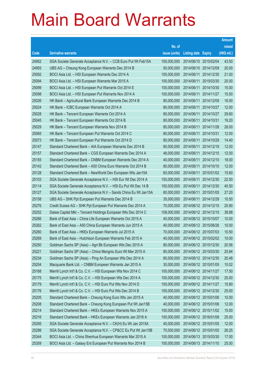|       |                                                                |               |                            |                       | <b>Amount</b> |
|-------|----------------------------------------------------------------|---------------|----------------------------|-----------------------|---------------|
|       |                                                                | No. of        |                            |                       | raised        |
| Code  | <b>Derivative warrants</b>                                     | issue (units) | <b>Listing date Expiry</b> |                       | (HK\$ mil.)   |
| 24952 | SGA Societe Generale Acceptance N.V. - CCB Euro Put Wt Feb15A  | 100,000,000   | 2014/06/10 2015/02/04      |                       | 43.50         |
| 24955 | UBS AG - Cheung Kong European Warrants Dec 2014 B              | 50,000,000    | 2014/06/10 2014/12/09      |                       | 20.00         |
| 25092 | BOCI Asia Ltd. - HSI European Warrants Dec 2014 A              | 100,000,000   | 2014/06/11                 | 2014/12/30            | 21.00         |
| 25094 | BOCI Asia Ltd. - HSI European Warrants Mar 2015 A              | 100,000,000   | 2014/06/11                 | 2015/03/30            | 20.00         |
| 25099 | BOCI Asia Ltd. - HSI European Put Warrants Oct 2014 E          | 100,000,000   | 2014/06/11                 | 2014/10/30            | 15.00         |
| 25098 | BOCI Asia Ltd. - HSI European Put Warrants Nov 2014 A          | 100,000,000   | 2014/06/11                 | 2014/11/27            | 15.00         |
| 25026 | HK Bank - Agricultural Bank European Warrants Dec 2014 B       | 80,000,000    | 2014/06/11                 | 2014/12/09            | 16.00         |
| 25024 | HK Bank - ICBC European Warrants Oct 2014 A                    | 80,000,000    | 2014/06/11                 | 2014/10/27            | 12.00         |
| 25028 | HK Bank - Tencent European Warrants Oct 2014 A                 | 80,000,000    | 2014/06/11                 | 2014/10/27            | 29.60         |
| 25045 | HK Bank - Tencent European Warrants Oct 2014 B                 | 80,000,000    | 2014/06/11                 | 2014/10/31            | 19.20         |
| 25029 | HK Bank - Tencent European Warrants Nov 2014 B                 | 80,000,000    | 2014/06/11                 | 2014/11/28            | 28.00         |
| 25065 | HK Bank – Tencent European Put Warrants Oct 2014 C             | 80,000,000    | 2014/06/11 2014/10/31      |                       | 12.00         |
| 25073 | HK Bank - Tencent European Put Warrants Oct 2014 D             | 80,000,000    | 2014/06/11                 | 2014/10/29            | 14.40         |
| 25147 | Standard Chartered Bank - AIA European Warrants Dec 2014 B     | 80,000,000    | 2014/06/11                 | 2014/12/19            | 12.00         |
| 25157 | Standard Chartered Bank - CGS European Warrants Dec 2014 A     | 48,000,000    | 2014/06/11                 | 2014/12/15            | 12.00         |
| 25155 | Standard Chartered Bank – CNBM European Warrants Dec 2014 A    | 40,000,000    | 2014/06/11 2014/12/10      |                       | 18.00         |
| 25142 | Standard Chartered Bank - A50 China Euro Warrants Oct 2014 B   | 80,000,000    | 2014/06/11                 | 2014/10/10            | 12.00         |
| 25128 | Standard Chartered Bank - NewWorld Dev European Wts Jan15A     | 60,000,000    | 2014/06/11                 | 2015/01/02            | 15.60         |
| 25103 | SGA Societe Generale Acceptance N.V. - HSI Eur Wt Dec 2014 A   | 150,000,000   | 2014/06/11                 | 2014/12/30            | 22.50         |
| 25114 | SGA Societe Generale Acceptance N.V. - HSI Eu Put Wt Dec 14 B  | 150,000,000   | 2014/06/11 2014/12/30      |                       | 40.50         |
| 25127 | SGA Societe Generale Acceptance N.V - Sands China Eu Wt Jan15A | 80,000,000    | 2014/06/11                 | 2015/01/05            | 27.20         |
| 25158 | UBS AG - SHK Ppt European Put Warrants Dec 2014 B              | 35,000,000    | 2014/06/11                 | 2014/12/29            | 10.50         |
| 25276 | Credit Suisse AG - SHK Ppt European Put Warrants Dec 2014 A    | 70,000,000    | 2014/06/12 2014/12/15      |                       | 25.90         |
| 25252 | Daiwa Capital Mkt - Tencent Holdings European Wts Dec 2014 C   | 108,000,000   | 2014/06/12 2014/12/15      |                       | 38.88         |
| 25266 | Bank of East Asia - China Life European Warrants Oct 2015 A    | 40,000,000    | 2014/06/12 2015/10/07      |                       | 10.00         |
| 25262 | Bank of East Asia - A50 China European Warrants Jun 2015 A     | 40,000,000    | 2014/06/12 2015/06/26      |                       | 10.00         |
| 25260 | Bank of East Asia - HKEx European Warrants Jul 2015 A          | 70,000,000    | 2014/06/12 2015/07/03      |                       | 10.50         |
| 25269 | Bank of East Asia – Hutchison European Warrants Feb 2015 A     | 40,000,000    | 2014/06/12 2015/02/02      |                       | 10.00         |
| 25250 | Goldman Sachs SP (Asia) - Agri Bk European Wts Dec 2015 A      | 80,000,000    | 2014/06/12 2015/12/30      |                       | 20.56         |
| 25221 | Goldman Sachs SP (Asia) – China Mengniu Euro Wt Mar 2015 A     | 80,000,000    | 2014/06/12 2015/03/30      |                       | 25.84         |
| 25234 | Goldman Sachs SP (Asia) - Ping An European Wts Dec 2014 A      | 80,000,000    | 2014/06/12 2014/12/30      |                       | 20.48         |
| 25204 | Macquarie Bank Ltd. - CNBM European Warrants Jan 2015 A        | 30,000,000    | 2014/06/12 2015/01/05      |                       | 10.02         |
| 25168 | Merrill Lynch Int'l & Co. C.V. - HSI European Wts Nov 2014 C   | 100,000,000   | 2014/06/12 2014/11/27      |                       | 17.50         |
| 25175 | Merrill Lynch Int'l & Co. C.V. - HSI European Wts Dec 2014 A   | 100,000,000   | 2014/06/12 2014/12/30      |                       | 25.00         |
| 25179 | Merrill Lynch Int'l & Co. C.V. - HSI Euro Put Wts Nov 2014 D   | 100,000,000   | 2014/06/12 2014/11/27      |                       | 15.80         |
| 25176 | Merrill Lynch Int'l & Co. C.V. - HSI Euro Put Wts Dec 2014 B   | 100,000,000   | 2014/06/12 2014/12/30      |                       | 25.00         |
| 25205 | Standard Chartered Bank - Cheung Kong Euro Wts Jan 2015 A      | 40,000,000    | 2014/06/12 2015/01/06      |                       | 10.00         |
| 25208 | Standard Chartered Bank - Cheung Kong European Put Wt Jan15B   | 40,000,000    | 2014/06/12 2015/01/06      |                       | 12.00         |
| 25214 | Standard Chartered Bank - HKEx European Warrants Nov 2015 A    | 100,000,000   |                            | 2014/06/12 2015/11/02 | 15.00         |
| 25216 | Standard Chartered Bank - HKEx European Warrants Jan 2016 A    | 100,000,000   | 2014/06/12 2016/01/08      |                       | 25.00         |
| 25295 | SGA Societe Generale Acceptance N.V. - CK(H) Eu Wt Jan 2015A   | 40,000,000    | 2014/06/12 2015/01/05      |                       | 12.00         |
| 25298 | SGA Societe Generale Acceptance N.V. - CP&CC Eu Put Wt Jan15B  | 70,000,000    | 2014/06/12 2015/01/05      |                       | 26.25         |
| 25344 | BOCI Asia Ltd. - China Shenhua European Warrants Mar 2015 A    | 100,000,000   | 2014/06/13 2015/03/30      |                       | 17.00         |
| 25359 | BOCI Asia Ltd. - Galaxy Ent European Put Warrants Nov 2014 B   | 100,000,000   | 2014/06/13 2014/11/10      |                       | 25.00         |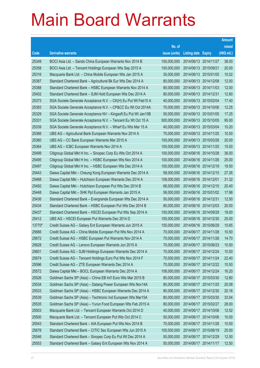|        |                                                                |               |                            |            | <b>Amount</b> |
|--------|----------------------------------------------------------------|---------------|----------------------------|------------|---------------|
|        |                                                                | No. of        |                            |            | raised        |
| Code   | <b>Derivative warrants</b>                                     | issue (units) | <b>Listing date Expiry</b> |            | (HK\$ mil.)   |
| 25349  | BOCI Asia Ltd. - Sands China European Warrants Nov 2014 B      | 100,000,000   | 2014/06/13 2014/11/27      |            | 38.00         |
| 25358  | BOCI Asia Ltd. - Tencent Holdings European Wts Sep 2015 A      | 100,000,000   | 2014/06/13 2015/09/21      |            | 20.00         |
| 25316  | Macquarie Bank Ltd. - China Mobile European Wts Jan 2015 A     | 30,000,000    | 2014/06/13 2015/01/05      |            | 10.02         |
| 25387  | Standard Chartered Bank - Agricultural Bk Eur Wts Dec 2014 A   | 80,000,000    | 2014/06/13 2014/12/08      |            | 12.00         |
| 25388  | Standard Chartered Bank - HSBC European Warrants Nov 2014 A    | 80,000,000    | 2014/06/13 2014/11/03      |            | 12.00         |
| 25402  | Standard Chartered Bank - SJM Hold European Wts Dec 2014 A     | 80,000,000    | 2014/06/13 2014/12/31      |            | 12.80         |
| 25373  | SGA Societe Generale Acceptance N.V. - CK(H) Eu Put Wt Feb15 A | 40,000,000    | 2014/06/13 2015/02/04      |            | 17.40         |
| 25383  | SGA Societe Generale Acceptance N.V. - CP&CC Eu Wt Oct 2014A   | 70,000,000    | 2014/06/13 2014/10/06      |            | 12.25         |
| 25329  | SGA Societe Generale Acceptance NV - Kingsoft Eu Put Wt Jan15B | 50,000,000    | 2014/06/13 2015/01/05      |            | 17.25         |
| 25331  | SGA Societe Generale Acceptance N.V. - Tencent Eu Wt Oct 15 A  | 500,000,000   | 2014/06/13 2015/10/05      |            | 95.00         |
| 25339  | SGA Societe Generale Acceptance N.V. - Wharf Eu Wts Mar 15 A   | 40,000,000    | 2014/06/13 2015/03/04      |            | 10.20         |
| 25366  | UBS AG - Agricultural Bank European Warrants Nov 2014 A        | 70,000,000    | 2014/06/13 2014/11/25      |            | 10.50         |
| 25360  | UBS AG - CC Bank European Warrants Mar 2015 A                  | 100,000,000   | 2014/06/13 2015/03/26      |            | 20.00         |
| 25364  | UBS AG - ICBC European Warrants Nov 2014 A                     | 100,000,000   | 2014/06/13 2014/11/25      |            | 15.00         |
| 25499  | Citigroup Global Mkt H Inc. - Sinopec Corp Eu Wts Oct 2014 A   | 100,000,000   | 2014/06/16 2014/10/28      |            | 36.00         |
| 25495  | Citigroup Global Mkt H Inc. - HSBC European Wts Nov 2014 A     | 100,000,000   | 2014/06/16 2014/11/26      |            | 25.00         |
| 25497  | Citigroup Global Mkt H Inc. - HSBC European Wts Dec 2014 A     | 100,000,000   | 2014/06/16 2014/12/19      |            | 19.50         |
| 25443  | Daiwa Capital Mkt - Cheung Kong European Warrants Dec 2014 A   | 58,000,000    | 2014/06/16 2014/12/15      |            | 27.26         |
| 25468  | Daiwa Capital Mkt - Hutchison European Warrants Dec 2014 A     | 108,000,000   | 2014/06/16 2014/12/01      |            | 31.32         |
| 25492  | Daiwa Capital Mkt - Hutchison European Put Wts Dec 2014 B      | 68,000,000    | 2014/06/16 2014/12/15      |            | 20.40         |
| 25448  | Daiwa Capital Mkt - SHK Ppt European Warrants Jan 2015 A       | 58,000,000    | 2014/06/16 2015/01/02      |            | 17.98         |
| 25436  | Standard Chartered Bank - Evergrande European Wts Dec 2014 A   | 50,000,000    | 2014/06/16 2014/12/31      |            | 12.50         |
| 25434  | Standard Chartered Bank - HSBC European Put Wts Dec 2014 B     | 80,000,000    | 2014/06/16 2014/12/03      |            | 20.00         |
| 25437  | Standard Chartered Bank - HSCEI European Put Wts Sep 2014 A    | 100,000,000   | 2014/06/16 2014/09/29      |            | 19.00         |
| 25412  | UBS AG - HSCEI European Put Warrants Dec 2014 D                | 100,000,000   | 2014/06/16 2014/12/30      |            | 25.00         |
| 13770# | Credit Suisse AG - Galaxy Ent European Warrants Jun 2015 A     | 150,000,000   | 2014/06/16 2015/06/29      |            | 10.65         |
| 25666  | Credit Suisse AG - China Mobile European Put Wts Nov 2014 A    | 70,000,000    | 2014/06/17 2014/11/28      |            | 10.50         |
| 25672  | Credit Suisse AG - HSBC European Put Warrants Nov 2014 A       | 70,000,000    | 2014/06/17 2014/11/28      |            | 14.70         |
| 25628  | Credit Suisse AG - Lenovo European Warrants Jun 2015 A         | 70,000,000    | 2014/06/17 2015/06/23      |            | 10.50         |
| 25601  | Credit Suisse AG - SJM Holdings European Warrants Dec 2014 A   | 70,000,000    | 2014/06/17 2014/12/24      |            | 10.50         |
| 25674  | Credit Suisse AG - Tencent Holdings Euro Put Wts Nov 2014 F    | 70,000,000    | 2014/06/17 2014/11/24      |            | 22.40         |
| 25596  | Credit Suisse AG - ZTE European Warrants Dec 2014 A            | 70,000,000    | 2014/06/17 2014/12/22      |            | 10.50         |
| 25572  | Daiwa Capital Mkt - BOCL European Warrants Dec 2014 A          | 108,000,000   | 2014/06/17                 | 2014/12/24 | 16.20         |
| 25526  | Goldman Sachs SP (Asia) - China EB Int'l Euro Wts Mar 2015 B   | 80,000,000    | 2014/06/17 2015/03/30      |            | 12.80         |
| 25534  | Goldman Sachs SP (Asia) - Datang Power European Wts Nov14A     | 80,000,000    | 2014/06/17 2014/11/25      |            | 20.08         |
| 25533  | Goldman Sachs SP (Asia) - HSBC European Warrants Dec 2014 A    | 80,000,000    | 2014/06/17 2014/12/30      |            | 20.16         |
| 25539  | Goldman Sachs SP (Asia) - Techtronic Ind European Wts Mar15A   | 80,000,000    | 2014/06/17                 | 2015/03/30 | 33.04         |
| 25535  | Goldman Sachs SP (Asia) - Yurun Food European Wts Feb 2015 A   | 80,000,000    | 2014/06/17 2015/02/27      |            | 28.00         |
| 25503  | Macquarie Bank Ltd. - Tencent European Warrants Oct 2014 D     | 40,000,000    | 2014/06/17 2014/10/06      |            | 12.52         |
| 25500  | Macquarie Bank Ltd. - Tencent European Put Wts Oct 2014 C      | 50,000,000    | 2014/06/17 2014/10/06      |            | 10.00         |
| 25543  | Standard Chartered Bank - AIA European Put Wts Nov 2014 B      | 70,000,000    | 2014/06/17                 | 2014/11/26 | 10.50         |
| 25678  | Standard Chartered Bank - CITIC Sec European Wts Jun 2015 A    | 100,000,000   | 2014/06/17 2015/06/19      |            | 25.00         |
| 25546  | Standard Chartered Bank - Sinopec Corp Eu Put Wt Dec 2014 A    | 50,000,000    | 2014/06/17 2014/12/29      |            | 12.50         |
| 25553  | Standard Chartered Bank - Galaxy Ent European Wts Nov 2014 A   | 50,000,000    | 2014/06/17 2014/11/17      |            | 12.50         |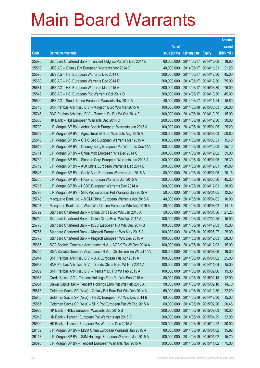|       |                                                                |               |                            |            | <b>Amount</b> |
|-------|----------------------------------------------------------------|---------------|----------------------------|------------|---------------|
|       |                                                                | No. of        |                            |            | raised        |
| Code  | <b>Derivative warrants</b>                                     | issue (units) | <b>Listing date Expiry</b> |            | (HK\$ mil.)   |
| 25676 | Standard Chartered Bank - Tencent Hidg Eu Put Wts Dec 2014 B   | 60,000,000    | 2014/06/17 2014/12/08      |            | 18.60         |
| 25589 | UBS AG - Galaxy Ent European Warrants Nov 2014 C               | 40,000,000    | 2014/06/17 2014/11/21      |            | 21.20         |
| 25576 | UBS AG - HSI European Warrants Dec 2014 C                      | 300,000,000   | 2014/06/17 2014/12/30      |            | 45.00         |
| 25680 | UBS AG - HSI European Warrants Dec 2014 D                      | 300,000,000   | 2014/06/17 2014/12/30      |            | 75.00         |
| 25681 | UBS AG - HSI European Warrants Mar 2015 A                      | 300,000,000   | 2014/06/17 2015/03/30      |            | 75.00         |
| 25542 | UBS AG - HSI European Put Warrants Oct 2014 D                  | 300,000,000   | 2014/06/17 2014/10/30      |            | 45.00         |
| 25590 | UBS AG - Sands China European Warrants Nov 2014 A              | 40,000,000    | 2014/06/17 2014/11/24      |            | 15.80         |
| 25748 | BNP Paribas Arbit Issu B.V. - Kingsoft Euro Wts Mar 2015 A     | 100,000,000   | 2014/06/18 2015/03/03      |            | 26.00         |
| 25746 | BNP Paribas Arbit Issu B.V. - Tencent Eu Put Wt Oct 2014 F     | 100,000,000   | 2014/06/18 2014/10/29      |            | 15.00         |
| 25683 | HK Bank - HSI European Warrants Dec 2014 D                     | 200,000,000   | 2014/06/18 2014/12/30      |            | 30.00         |
| 25730 | J P Morgan SP BV - Anhui Conch European Warrants Jan 2015 A    | 100,000,000   | 2014/06/18 2015/01/05      |            | 25.20         |
| 25852 | J P Morgan SP BV - Agricultural Bk Euro Warrants Aug 2015 A    | 200,000,000   | 2014/06/18 2015/08/03      |            | 50.80         |
| 25845 | J P Morgan SP BV - CITIC Sec European Warrants Mar 2015 A      | 100,000,000   | 2014/06/18 2015/03/31      |            | 15.40         |
| 25813 | J P Morgan SP BV - Cheung Kong European Put Warrants Dec 14A   | 100,000,000   | 2014/06/18 2014/12/02      |            | 25.10         |
| 25711 | J P Morgan SP BV - China Mob European Wts Dec 2014 C           | 200,000,000   | 2014/06/18 2014/12/02      |            | 39.00         |
| 25739 | J P Morgan SP BV - Sinopec Corp European Warrants Jan 2015 A   | 100,000,000   | 2014/06/18 2015/01/05      |            | 25.30         |
| 25719 | J P Morgan SP BV - A50 China European Warrants Dec 2014 B      | 200,000,000   | 2014/06/18 2014/12/01      |            | 49.80         |
| 25846 | J P Morgan SP BV - Geely Auto European Warrants Jan 2015 A     | 80,000,000    | 2014/06/18 2015/01/05      |            | 20.16         |
| 25735 | J P Morgan SP BV - HKEx European Warrants Jun 2015 A           | 300,000,000   | 2014/06/18 2015/06/30      |            | 45.30         |
| 25715 | J P Morgan SP BV - HSBC European Warrants Dec 2014 A           | 200,000,000   | 2014/06/18 2014/12/01      |            | 38.00         |
| 25793 | J P Morgan SP BV - SHK Ppt European Put Warrants Jan 2015 A    | 50,000,000    | 2014/06/18 2015/01/05      |            | 12.50         |
| 25743 | Macquarie Bank Ltd. - MGM China European Warrants Apr 2015 A   | 40,000,000    | 2014/06/18 2015/04/02      |            | 10.00         |
| 25707 | Macquarie Bank Ltd. - Want Want China European Wts Aug 2016 A  | 80,000,000    | 2014/06/18 2016/08/02      |            | 14.16         |
| 25792 | Standard Chartered Bank – China Cinda Euro Wts Jan 2015 A      | 50,000,000    | 2014/06/18 2015/01/30      |            | 21.25         |
| 25750 | Standard Chartered Bank - China Cinda Euro Wts Apr 2017 A      | 100,000,000   | 2014/06/18 2017/04/25      |            | 15.00         |
| 25778 | Standard Chartered Bank - ICBC European Put Wts Dec 2014 B     | 100.000.000   | 2014/06/18 2014/12/03      |            | 15.00         |
| 25767 | Standard Chartered Bank - Kingsoft European Wts May 2015 A     | 100,000,000   | 2014/06/18 2015/05/27      |            | 25.00         |
| 25773 | Standard Chartered Bank - Kingsoft European Wts Dec 2015 A     | 100,000,000   | 2014/06/18 2015/12/03      |            | 28.00         |
| 25685 | SGA Societe Generale Acceptance N.V. - AGBK Eu Wt Dec 2014 A   | 100,000,000   | 2014/06/18 2014/12/03      |            | 15.00         |
| 25705 | SGA Societe Generale Acceptance N.V. - ChiUnicom Eu Wt Jul 15A | 100,000,000   | 2014/06/18 2015/07/06      |            | 16.00         |
| 25944 | BNP Paribas Arbit Issu B.V. - AIA European Wts Apr 2015 A      | 100,000,000   | 2014/06/19 2015/04/02      |            | 25.00         |
| 25938 | BNP Paribas Arbit Issu B.V. - Sands China Euro Wt Nov 2014 A   | 100,000,000   | 2014/06/19 2014/11/04      |            | 15.00         |
| 25939 | BNP Paribas Arbit Issu B.V. - Tencent Eu Put Wt Feb 2015 A     | 100,000,000   | 2014/06/19                 | 2015/02/06 | 19.00         |
| 26086 | Credit Suisse AG - Tencent Holdings Euro Put Wts Feb 2015 A    | 80,000,000    | 2014/06/19 2015/02/18      |            | 12.00         |
| 25954 | Daiwa Capital Mkt - Tencent Holdings Euro Put Wts Feb 2015 A   | 98,000,000    | 2014/06/19 2015/02/18      |            | 14.70         |
| 25873 | Goldman Sachs SP (Asia) - Galaxy Ent Euro Put Wts Dec 2014 A   | 60,000,000    | 2014/06/19 2014/12/30      |            | 22.20         |
| 25855 | Goldman Sachs SP (Asia) - HSBC European Put Wts Dec 2014 B     | 60,000,000    | 2014/06/19 2014/12/30      |            | 15.00         |
| 25857 | Goldman Sachs SP (Asia) - SHK Ppt European Put Wt Feb 2015 A   | 60,000,000    | 2014/06/19 2015/02/26      |            | 20.46         |
| 25923 | HK Bank - HKEx European Warrants Sep 2015 B                    | 200,000,000   | 2014/06/19 2015/09/03      |            | 30.00         |
| 25918 | HK Bank - Tencent European Put Warrants Apr 2015 B             | 200,000,000   | 2014/06/19 2015/04/29      |            | 32.00         |
| 25900 | HK Bank - Tencent European Put Warrants Dec 2015 A             | 200,000,000   | 2014/06/19 2015/12/22      |            | 30.00         |
| 26109 | J P Morgan SP BV - MGM China European Warrants Jan 2015 A      | 80,000,000    | 2014/06/19 2015/01/02      |            | 15.92         |
| 26113 | J P Morgan SP BV - SJM Holdings European Warrants Jan 2015 A   | 100,000,000   | 2014/06/19 2015/01/02      |            | 15.70         |
| 26098 | J P Morgan SP BV - Tencent European Warrants Nov 2015 A        | 300,000,000   | 2014/06/19 2015/11/02      |            | 75.00         |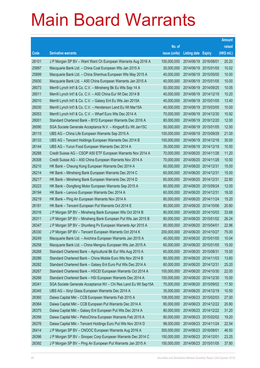|       |                                                                |               |                            |                       | <b>Amount</b> |
|-------|----------------------------------------------------------------|---------------|----------------------------|-----------------------|---------------|
|       |                                                                | No. of        |                            |                       | raised        |
| Code  | <b>Derivative warrants</b>                                     | issue (units) | <b>Listing date Expiry</b> |                       | (HK\$ mil.)   |
| 26101 | J P Morgan SP BV - Want Want Ch European Warrants Aug 2016 A   | 100,000,000   | 2014/06/19 2016/08/01      |                       | 20.20         |
| 25897 | Macquarie Bank Ltd. - China Coal European Wts Jan 2015 A       | 30,000,000    | 2014/06/19 2015/01/05      |                       | 10.02         |
| 25899 | Macquarie Bank Ltd. - China Shenhua European Wts May 2015 A    | 40,000,000    | 2014/06/19                 | 2015/05/05            | 10.00         |
| 25930 | Macquarie Bank Ltd. - A50 China European Warrants Jan 2015 A   | 40.000.000    | 2014/06/19 2015/01/05      |                       | 10.00         |
| 26073 | Merrill Lynch Int'l & Co. C.V. - Minsheng Bk Eu Wts Sep 14 A   | 50,000,000    |                            | 2014/06/19 2014/09/25 | 10.05         |
| 26011 | Merrill Lynch Int'l & Co. C.V. - A50 China Eur Wt Dec 2014 B   | 40,000,000    | 2014/06/19 2014/12/19      |                       | 10.20         |
| 26010 | Merrill Lynch Int'l & Co. C.V. - Galaxy Ent Eu Wts Jan 2015A   | 40,000,000    | 2014/06/19 2015/01/05      |                       | 13.40         |
| 26030 | Merrill Lynch Int'l & Co. C.V. - Henderson Land Eu Wt Mar15A   | 40,000,000    | 2014/06/19 2015/03/05      |                       | 10.00         |
| 26053 | Merrill Lynch Int'l & Co. C.V. - Wharf Euro Wts Dec 2014 A     | 70,000,000    |                            | 2014/06/19 2014/12/30 | 10.92         |
| 26001 | Standard Chartered Bank - BYD European Warrants Dec 2016 A     | 80,000,000    | 2014/06/19 2016/12/20      |                       | 12.00         |
| 26090 | SGA Societe Generale Acceptance N.V. - Kingsoft Eu Wt Jan15C   | 50,000,000    | 2014/06/19 2015/01/05      |                       | 12.50         |
| 26115 | UBS AG - China Life European Warrants Sep 2015 A               | 100,000,000   | 2014/06/19 2015/09/29      |                       | 21.00         |
| 26133 | UBS AG - Tencent Holdings European Warrants Dec 2014 B         | 100,000,000   | 2014/06/19 2014/12/16      |                       | 35.00         |
| 26144 | UBS AG - Yurun Food European Warrants Dec 2014 A               | 35,000,000    | 2014/06/19 2014/12/18      |                       | 10.50         |
| 26288 | Credit Suisse AG - CSOP A50 ETF European Warrants Nov 2014 A   | 70,000,000    | 2014/06/20 2014/11/28      |                       | 11.20         |
| 26308 | Credit Suisse AG - A50 China European Warrants Nov 2014 A      | 70,000,000    | 2014/06/20 2014/11/28      |                       | 10.50         |
| 26210 | HK Bank - Cheung Kong European Warrants Dec 2014 A             | 60,000,000    | 2014/06/20 2014/12/31      |                       | 15.00         |
| 26214 | HK Bank - Minsheng Bank European Warrants Dec 2014 C           | 60,000,000    | 2014/06/20 2014/12/31      |                       | 15.00         |
| 26217 | HK Bank - Minsheng Bank European Warrants Dec 2014 D           | 60,000,000    | 2014/06/20 2014/12/31      |                       | 22.80         |
| 26223 | HK Bank – Dongfeng Motor European Warrants Sep 2015 A          | 80,000,000    | 2014/06/20 2015/09/24      |                       | 12.00         |
| 26194 | HK Bank - Lenovo European Warrants Dec 2014 A                  | 60,000,000    | 2014/06/20 2014/12/31      |                       | 18.00         |
| 26219 | HK Bank - Ping An European Warrants Nov 2014 A                 | 80,000,000    | 2014/06/20 2014/11/24      |                       | 15.20         |
| 26181 | HK Bank - Tencent European Put Warrants Oct 2014 E             | 80,000,000    | 2014/06/20 2014/10/06      |                       | 20.80         |
| 26316 | J P Morgan SP BV - Minsheng Bank European Wts Oct 2014 B       | 80,000,000    | 2014/06/20 2014/10/03      |                       | 33.68         |
| 26311 | J P Morgan SP BV - Minsheng Bank European Put Wts Jan 2015 B   | 80,000,000    |                            | 2014/06/20 2015/01/02 | 26.24         |
| 26347 | J P Morgan SP BV - Shunfeng Pv European Warrants Apr 2015 A    | 80,000,000    | 2014/06/20 2015/04/01      |                       | 22.96         |
| 26330 | J P Morgan SP BV - Tencent European Warrants Oct 2014 K        | 200,000,000   | 2014/06/20 2014/10/27      |                       | 75.00         |
| 26249 | Macquarie Bank Ltd. - Avichina European Warrants Jan 2015 A    | 40,000,000    | 2014/06/20 2015/01/05      |                       | 10.04         |
| 26258 | Macquarie Bank Ltd. - China Mengniu European Wts Jan 2015 A    | 60,000,000    | 2014/06/20 2015/01/05      |                       | 15.00         |
| 26268 | Standard Chartered Bank - Agricultural Bk Eur Wts Aug 2015 A   | 60,000,000    | 2014/06/20 2015/08/31      |                       | 15.00         |
| 26286 | Standard Chartered Bank - China Mobile Euro Wts Nov 2014 B     | 80,000,000    | 2014/06/20 2014/11/03      |                       | 13.60         |
| 26282 | Standard Chartered Bank - Galaxy Ent Euro Put Wts Dec 2014 A   | 60,000,000    | 2014/06/20 2014/12/31      |                       | 25.20         |
| 26267 | Standard Chartered Bank - HSCEI European Warrants Oct 2014 A   | 100,000,000   | 2014/06/20 2014/10/30      |                       | 22.00         |
| 26266 | Standard Chartered Bank - HSI European Warrants Dec 2014 A     | 100,000,000   | 2014/06/20 2014/12/30      |                       | 15.00         |
| 26341 | SGA Societe Generale Acceptance NV - Chi Res Land Eu Wt Sep15A | 70,000,000    |                            | 2014/06/20 2015/09/02 | 17.50         |
| 26345 | UBS AG - Xinyi Glass European Warrants Dec 2014 A              | 35,000,000    | 2014/06/20 2014/12/19      |                       | 10.50         |
| 26360 | Daiwa Capital Mkt - CCB European Warrants Feb 2015 A           | 108,000,000   | 2014/06/23 2015/02/03      |                       | 27.00         |
| 26364 | Daiwa Capital Mkt - CCB European Put Warrants Dec 2014 A       | 80,000,000    | 2014/06/23 2014/12/22      |                       | 20.80         |
| 26375 | Daiwa Capital Mkt - Galaxy Ent European Put Wts Dec 2014 A     | 80,000,000    |                            | 2014/06/23 2014/12/22 | 31.20         |
| 26356 | Daiwa Capital Mkt - PetroChina European Warrants Feb 2015 A    | 80,000,000    | 2014/06/23 2015/02/02      |                       | 19.20         |
| 26376 | Daiwa Capital Mkt - Tencent Holdings Euro Put Wts Nov 2014 D   | 98,000,000    | 2014/06/23 2014/11/24      |                       | 22.54         |
| 26414 | J P Morgan SP BV - CNOOC European Warrants Aug 2016 A          | 300,000,000   | 2014/06/23 2016/08/01      |                       | 46.50         |
| 26396 | J P Morgan SP BV - Sinopec Corp European Warrants Dec 2014 C   | 150,000,000   | 2014/06/23 2014/12/01      |                       | 23.25         |
| 26392 | J P Morgan SP BV - Ping An European Put Warrants Jan 2015 A    | 150,000,000   | 2014/06/23 2015/01/05      |                       | 37.80         |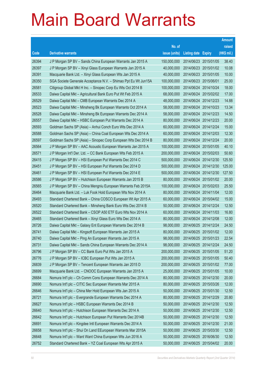|       |                                                                |               |                            |                       | <b>Amount</b> |
|-------|----------------------------------------------------------------|---------------|----------------------------|-----------------------|---------------|
|       |                                                                | No. of        |                            |                       | raised        |
| Code  | <b>Derivative warrants</b>                                     | issue (units) | <b>Listing date Expiry</b> |                       | (HK\$ mil.)   |
| 26394 | J P Morgan SP BV - Sands China European Warrants Jan 2015 A    | 150,000,000   | 2014/06/23 2015/01/05      |                       | 38.40         |
| 26397 | J P Morgan SP BV - Xinyi Glass European Warrants Jan 2015 A    | 40,000,000    | 2014/06/23 2015/01/02      |                       | 10.08         |
| 26391 | Macquarie Bank Ltd. - Xinyi Glass European Wts Jan 2015 A      | 40,000,000    | 2014/06/23 2015/01/05      |                       | 10.00         |
| 26350 | SGA Societe Generale Acceptance N.V. - Shimao Ppt Eu Wt Jun15A | 100,000,000   | 2014/06/23 2015/06/01      |                       | 25.00         |
| 26581 | Citigroup Global Mkt H Inc. - Sinopec Corp Eu Wts Oct 2014 B   | 100,000,000   | 2014/06/24 2014/10/24      |                       | 18.00         |
| 26533 | Daiwa Capital Mkt - Agricultural Bank Euro Put Wt Feb 2015 A   | 68,000,000    |                            | 2014/06/24 2015/02/02 | 17.00         |
| 26529 | Daiwa Capital Mkt - CMB European Warrants Dec 2014 A           | 48,000,000    | 2014/06/24 2014/12/23      |                       | 14.88         |
| 26523 | Daiwa Capital Mkt - Minsheng Bk European Warrants Oct 2014 A   | 58,000,000    | 2014/06/24 2014/10/23      |                       | 13.34         |
| 26528 | Daiwa Capital Mkt - Minsheng Bk European Warrants Dec 2014 A   | 58,000,000    | 2014/06/24 2014/12/23      |                       | 14.50         |
| 26557 | Daiwa Capital Mkt - HSBC European Put Warrants Dec 2014 A      | 80,000,000    | 2014/06/24 2014/12/23      |                       | 20.00         |
| 26593 | Goldman Sachs SP (Asia) - Anhui Conch Euro Wts Dec 2014 A      | 60,000,000    | 2014/06/24 2014/12/24      |                       | 15.00         |
| 26588 | Goldman Sachs SP (Asia) - China Coal European Wts Dec 2014 A   | 60,000,000    | 2014/06/24 2014/12/03      |                       | 12.30         |
| 26597 | Goldman Sachs SP (Asia) - Sinopec Corp European Wts Dec 2014 B | 80,000,000    | 2014/06/24 2014/12/24      |                       | 20.00         |
| 26564 | J P Morgan SP BV - AAC Acoustic European Warrants Jan 2015 A   | 100,000,000   | 2014/06/24 2015/01/05      |                       | 40.10         |
| 26571 | J P Morgan Int'l Der. Ltd. - CC Bank European Wts Feb 2015 A   | 200,000,000   | 2014/06/24 2015/02/03      |                       | 50.60         |
| 26415 | J P Morgan SP BV - HSI European Put Warrants Dec 2014 C        | 500,000,000   | 2014/06/24 2014/12/30      |                       | 125.50        |
| 26451 | J P Morgan SP BV - HSI European Put Warrants Dec 2014 D        | 500,000,000   |                            | 2014/06/24 2014/12/30 | 125.00        |
| 26461 | J P Morgan SP BV - HSI European Put Warrants Dec 2014 E        | 500,000,000   |                            | 2014/06/24 2014/12/30 | 127.50        |
| 26586 | J P Morgan SP BV - Hutchison European Warrants Jan 2015 B      | 80,000,000    | 2014/06/24 2015/01/02      |                       | 20.00         |
| 26565 | J P Morgan SP BV - China Mengniu European Warrants Feb 2015A   | 100,000,000   | 2014/06/24 2015/02/03      |                       | 25.50         |
| 26464 | Macquarie Bank Ltd. - Luk Fook Hold European Wts Nov 2014 A    | 80,000,000    | 2014/06/24 2014/11/04      |                       | 12.00         |
| 26493 | Standard Chartered Bank - China COSCO European Wt Apr 2015 A   | 60,000,000    | 2014/06/24 2015/04/02      |                       | 15.00         |
| 26520 | Standard Chartered Bank - Minsheng Bank Euro Wts Dec 2014 B    | 50,000,000    | 2014/06/24 2014/12/24      |                       | 12.50         |
| 26522 | Standard Chartered Bank - CSOP A50 ETF Euro Wts Nov 2014 A     | 60,000,000    | 2014/06/24 2014/11/03      |                       | 16.80         |
| 26465 | Standard Chartered Bank - Xinyi Glass Euro Wts Dec 2014 A      | 80,000,000    | 2014/06/24 2014/12/08      |                       | 12.00         |
| 26726 | Daiwa Capital Mkt - Galaxy Ent European Warrants Dec 2014 B    | 98,000,000    | 2014/06/25 2014/12/24      |                       | 24.50         |
| 26741 | Daiwa Capital Mkt – Kingsoft European Warrants Jan 2015 A      | 80,000,000    | 2014/06/25 2015/01/02      |                       | 12.00         |
| 26740 | Daiwa Capital Mkt - Ping An European Warrants Jan 2015 A       | 98,000,000    | 2014/06/25 2015/01/23      |                       | 22.54         |
| 26731 | Daiwa Capital Mkt - Sands China European Warrants Dec 2014 A   | 98,000,000    | 2014/06/25 2014/12/24      |                       | 24.50         |
| 26796 | J P Morgan SP BV - CC Bank Euro Put Wts Jan 2015 A             | 200,000,000   | 2014/06/25 2015/01/05      |                       | 51.20         |
| 26776 | J P Morgan SP BV - ICBC European Put Wts Jan 2015 A            | 200,000,000   | 2014/06/25 2015/01/05      |                       | 50.40         |
| 26839 | J P Morgan SP BV - Tencent European Warrants Jan 2015 D        | 200,000,000   | 2014/06/25 2015/01/02      |                       | 77.00         |
| 26699 | Macquarie Bank Ltd. - CNOOC European Warrants Jan 2015 A       | 25,000,000    | 2014/06/25 2015/01/05      |                       | 10.00         |
| 26684 | Nomura Int'l plc - Ch Comm Cons European Warrants Dec 2014 A   | 80,000,000    | 2014/06/25 2014/12/30      |                       | 20.00         |
| 26690 | Nomura Int'l plc - CITIC Sec European Warrants Mar 2015 A      | 80,000,000    | 2014/06/25 2015/03/26      |                       | 12.00         |
| 26646 | Nomura Int'l plc - China Mer Hold European Wts Jan 2015 A      | 50,000,000    | 2014/06/25 2015/01/30      |                       | 12.50         |
| 26721 | Nomura Int'l plc - Evergrande European Warrants Dec 2014 A     | 80,000,000    | 2014/06/25 2014/12/29      |                       | 20.80         |
| 26627 | Nomura Int'l plc - HSBC European Warrants Dec 2014 B           | 50,000,000    | 2014/06/25 2014/12/30      |                       | 12.50         |
| 26640 | Nomura Int'l plc - Hutchison European Warrants Dec 2014 A      | 50,000,000    | 2014/06/25 2014/12/30      |                       | 12.50         |
| 26642 | Nomura Int'l plc - Hutchison European Put Warrants Dec 2014B   | 50,000,000    | 2014/06/25 2014/12/30      |                       | 12.50         |
| 26691 | Nomura Int'l plc - Kingdee Intl European Warrants Dec 2014 A   | 50,000,000    | 2014/06/25 2014/12/30      |                       | 21.00         |
| 26658 | Nomura Int'l plc - Shui On Land EEuropean Warrants Mar 2015A   | 50,000,000    | 2014/06/25 2015/03/30      |                       | 12.50         |
| 26648 | Nomura Int'l plc - Want Want China European Wts Jun 2016 A     | 50,000,000    | 2014/06/25 2016/06/30      |                       | 12.50         |
| 26752 | Standard Chartered Bank - YZ Coal European Wts Apr 2015 A      | 50,000,000    | 2014/06/25 2015/04/02      |                       | 20.00         |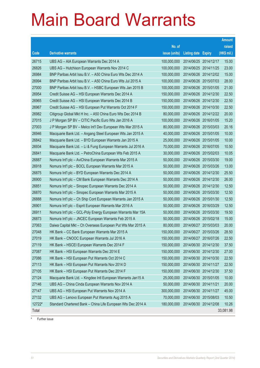|        |                                                              |               |                            |            | <b>Amount</b> |
|--------|--------------------------------------------------------------|---------------|----------------------------|------------|---------------|
|        |                                                              | No. of        |                            |            | raised        |
| Code   | <b>Derivative warrants</b>                                   | issue (units) | <b>Listing date Expiry</b> |            | (HK\$ mil.)   |
| 26715  | UBS AG - AIA European Warrants Dec 2014 A                    | 100,000,000   | 2014/06/25 2014/12/17      |            | 15.00         |
| 26826  | UBS AG - Hutchison European Warrants Nov 2014 C              | 100,000,000   | 2014/06/25 2014/11/25      |            | 23.00         |
| 26984  | BNP Paribas Arbit Issu B.V. - A50 China Euro Wts Dec 2014 A  | 100,000,000   | 2014/06/26 2014/12/02      |            | 15.00         |
| 26994  | BNP Paribas Arbit Issu B.V. - A50 China Euro Wts Jul 2015 A  | 100,000,000   | 2014/06/26 2015/07/03      |            | 28.00         |
| 27000  | BNP Paribas Arbit Issu B.V. - HSBC European Wts Jan 2015 B   | 100,000,000   | 2014/06/26 2015/01/05      |            | 21.00         |
| 26954  | Credit Suisse AG - HSI European Warrants Dec 2014 A          | 150,000,000   | 2014/06/26 2014/12/30      |            | 22.50         |
| 26965  | Credit Suisse AG - HSI European Warrants Dec 2014 B          | 150,000,000   | 2014/06/26 2014/12/30      |            | 22.50         |
| 26967  | Credit Suisse AG - HSI European Put Warrants Oct 2014 F      | 150,000,000   | 2014/06/26 2014/10/30      |            | 22.50         |
| 26982  | Citigroup Global Mkt H Inc. - A50 China Euro Wts Dec 2014 B  | 80,000,000    | 2014/06/26 2014/12/22      |            | 20.00         |
| 27015  | J P Morgan SP BV - CITIC Pacific Euro Wts Jan 2016 A         | 100,000,000   | 2014/06/26 2016/01/05      |            | 15.20         |
| 27003  | J P Morgan SP BV - Melco Int'l Dev European Wts Mar 2015 A   | 80,000,000    | 2014/06/26 2015/03/03      |            | 20.16         |
| 26946  | Macquarie Bank Ltd. - Angang Steel European Wts Jan 2015 A   | 40,000,000    | 2014/06/26 2015/01/05      |            | 10.00         |
| 26842  | Macquarie Bank Ltd. - BYD European Warrants Jan 2015 A       | 25,000,000    | 2014/06/26 2015/01/05      |            | 10.00         |
| 26934  | Macquarie Bank Ltd. - Li & Fung European Warrants Jul 2016 A | 70,000,000    | 2014/06/26 2016/07/05      |            | 10.50         |
| 26841  | Macquarie Bank Ltd. - PetroChina European Wts Feb 2015 A     | 30,000,000    | 2014/06/26 2015/02/03      |            | 10.05         |
| 26887  | Nomura Int'l plc - AviChina European Warrants Mar 2015 A     | 50,000,000    | 2014/06/26 2015/03/30      |            | 19.00         |
| 26918  | Nomura Int'l plc - BOCL European Warrants Mar 2015 A         | 50,000,000    | 2014/06/26 2015/03/26      |            | 13.00         |
| 26875  | Nomura Int'l plc - BYD European Warrants Dec 2014 A          | 50,000,000    | 2014/06/26 2014/12/30      |            | 25.50         |
| 26900  | Nomura Int'l plc - CM Bank European Warrants Dec 2014 A      | 50,000,000    | 2014/06/26 2014/12/30      |            | 26.00         |
| 26851  | Nomura Int'l plc - Sinopec European Warrants Dec 2014 A      | 50,000,000    | 2014/06/26 2014/12/30      |            | 12.50         |
| 26870  | Nomura Int'l plc - Sinopec European Warrants Mar 2015 A      | 50,000,000    | 2014/06/26 2015/03/30      |            | 12.50         |
| 26888  | Nomura Int'l plc - Ch Ship Cont European Warrants Jan 2015 A | 50,000,000    | 2014/06/26 2015/01/30      |            | 12.50         |
| 26901  | Nomura Int'l plc - Esprit European Warrants Mar 2016 A       | 50,000,000    | 2014/06/26 2016/03/29      |            | 12.50         |
| 26911  | Nomura Int'l plc - GCL-Poly Energy European Warrants Mar 15A | 50,000,000    | 2014/06/26 2015/03/30      |            | 19.50         |
| 26873  | Nomura Int'l plc - JNCEC European Warrants Feb 2015 A        | 50,000,000    | 2014/06/26 2015/02/18      |            | 15.00         |
| 27063  | Daiwa Capital Mkt - Ch Overseas European Put Wts Mar 2015 A  | 80,000,000    | 2014/06/27 2015/03/03      |            | 20.00         |
| 27048  | HK Bank - CC Bank European Warrants Mar 2015 A               | 150,000,000   | 2014/06/27 2015/03/26      |            | 28.50         |
| 27019  | HK Bank - CNOOC European Warrants Jul 2016 A                 | 150,000,000   | 2014/06/27 2016/07/26      |            | 22.50         |
| 27119  | HK Bank - HSCEI European Warrants Dec 2014 F                 | 150,000,000   | 2014/06/30                 | 2014/12/30 | 37.50         |
| 27087  | HK Bank - HSI European Warrants Dec 2014 E                   | 150,000,000   | 2014/06/30 2014/12/30      |            | 27.00         |
| 27086  | HK Bank - HSI European Put Warrants Oct 2014 C               | 150,000,000   | 2014/06/30                 | 2014/10/30 | 22.50         |
| 27113  | HK Bank - HSI European Put Warrants Nov 2014 D               | 150,000,000   | 2014/06/30 2014/11/27      |            | 22.50         |
| 27105  | HK Bank - HSI European Put Warrants Dec 2014 F               | 150,000,000   | 2014/06/30                 | 2014/12/30 | 37.50         |
| 27124  | Macquarie Bank Ltd. - Kingdee Intl European Warrants Jan15 A | 25,000,000    | 2014/06/30                 | 2015/01/05 | 10.00         |
| 27146  | UBS AG - China Cinda European Warrants Nov 2014 A            | 50,000,000    | 2014/06/30                 | 2014/11/21 | 20.00         |
| 27147  | UBS AG - HSI European Put Warrants Nov 2014 A                | 300,000,000   | 2014/06/30                 | 2014/11/27 | 45.00         |
| 27132  | UBS AG - Lenovo European Put Warrants Aug 2015 A             | 70,000,000    | 2014/06/30                 | 2015/08/03 | 10.50         |
| 12722# | Standard Chartered Bank - China Life European Wts Dec 2014 A | 180,000,000   | 2014/06/30 2014/12/08      |            | 10.26         |
| Total  |                                                              |               |                            |            | 33,081.98     |

# Further issue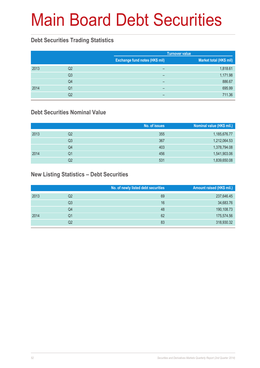### **Debt Securities Trading Statistics**

|      |                |                                       | <b>Turnover value</b>   |
|------|----------------|---------------------------------------|-------------------------|
|      |                | <b>Exchange fund notes (HK\$ mil)</b> | Market total (HK\$ mil) |
| 2013 | Q <sub>2</sub> | -                                     | 1,818.61                |
|      | Q <sub>3</sub> | -                                     | 1,171.98                |
|      | Q4             | -                                     | 886.67                  |
| 2014 | Q1             | -                                     | 695.99                  |
|      | Q2             | -                                     | 711.36                  |

### **Debt Securities Nominal Value**

|      |                | No. of issues | Nominal value (HK\$ mil.) |
|------|----------------|---------------|---------------------------|
| 2013 | Q2             | 355           | 1,185,676.77              |
|      | Q <sub>3</sub> | 367           | 1,212,064.53              |
|      | Q4             | 403           | 1,378,794.08              |
| 2014 | Q1             | 456           | 1,541,903.06              |
|      | Q2             | 531           | 1,839,650.08              |

### **New Listing Statistics – Debt Securities**

|      |    | No. of newly listed debt securities | Amount raised (HK\$ mil.) |
|------|----|-------------------------------------|---------------------------|
| 2013 | Q2 | 69                                  | 237,646.45                |
|      | Q3 | 16                                  | 34,683.76                 |
|      | Q4 | 48                                  | 190,108.73                |
| 2014 | Q1 | 62                                  | 175,574.56                |
|      | Q2 | 83                                  | 318,930.32                |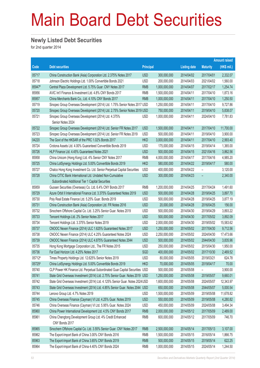### **Newly Listed Debt Securities**

for 2nd quarter 2014

|        |                                                                                                                 |                  |               |                     |                          | <b>Amount raised</b> |
|--------|-----------------------------------------------------------------------------------------------------------------|------------------|---------------|---------------------|--------------------------|----------------------|
| Code   | <b>Debt securities</b>                                                                                          | <b>Principal</b> |               | <b>Listing date</b> | <b>Maturity</b>          | (HK\$ mil.)          |
| 05717  | China Construction Bank (Asia) Corporation Ltd. 2.375% Notes 2017                                               | <b>USD</b>       | 300,000,000   | 2014/04/02          | 2017/04/01               | 2,332.07             |
| 05718  | Johnson Electric Holdings Ltd. 1.00% Convertible Bonds 2021                                                     | <b>USD</b>       | 200,000,000   | 2014/04/03          | 2021/04/02               | 1,560.00             |
| 85947# | Central Plaza Development Ltd. 5.75% Guar. CNY Notes 2017                                                       | <b>RMB</b>       | 1,000,000,000 | 2014/04/07          | 2017/02/17               | 1,254.74             |
| 85956  | AVIC Int'l Finance & Investment Ltd. 4.8% CNY Bonds 2017                                                        | <b>RMB</b>       | 1,500,000,000 | 2014/04/11          | 2017/04/10               | 1,873.16             |
| 85957  | China Merchants Bank Co., Ltd. 4.10% CNY Bonds 2017                                                             | <b>RMB</b>       | 1,000,000,000 | 2014/04/11          | 2017/04/10               | 1,250.50             |
| 05719  | Sinopec Group Overseas Development (2014) Ltd. 1.75% Senior Notes 2017 USD                                      |                  | 1,250,000,000 | 2014/04/11          | 2017/04/10               | 9,727.86             |
| 05720  | Sinopec Group Overseas Development (2014) Ltd. 2.75% Senior Notes 2019 USD                                      |                  | 750,000,000   | 2014/04/11          | 2019/04/10               | 5,838.07             |
| 05721  | Sinopec Group Overseas Development (2014) Ltd. 4.375%<br>Senior Notes 2024                                      | <b>USD</b>       | 1,000,000,000 | 2014/04/11          | 2024/04/10               | 7,781.83             |
| 05722  | Sinopec Group Overseas Development (2014) Ltd. Senior FR Notes 2017                                             | <b>USD</b>       | 1,500,000,000 | 2014/04/11          | 2017/04/10               | 11,700.00            |
| 05723  | Sinopec Group Overseas Development (2014) Ltd. Senior FR Notes 2019                                             | <b>USD</b>       | 500,000,000   | 2014/04/11          | 2019/04/10               | 3,900.00             |
| 04220  | The Govt of the HKSAR of the PRC 1.02% Bonds 2017                                                               | <b>HKD</b>       | 3,000,000,000 | 2014/04/11          | 2017/04/10               | 2,993.40             |
| 05724  | Crotona Assets Ltd. 4.00% Guaranteed Convertible Bonds 2019                                                     | <b>USD</b>       | 175,000,000   | 2014/04/15          | 2019/04/14               | 1,365.00             |
| 05726  | HLP Finance Ltd. 4.45% Guaranteed Notes 2021                                                                    | <b>USD</b>       | 500,000,000   | 2014/04/15          | 2021/04/16               | 3,862.56             |
| 85958  | China Unicom (Hong Kong) Ltd. 4% Senior CNY Notes 2017                                                          | <b>RMB</b>       | 4,000,000,000 | 2014/04/17          | 2017/04/16               | 4,985.20             |
| 05725  | China LotSynergy Holdings Ltd. 5.00% Convertible Bonds 2019                                                     | <b>HKD</b>       | 580,000,000   | 2014/04/22          | 2019/04/17               | 580.00               |
| 05727  | Chalco Hong Kong Investment Co. Ltd. Senior Perpetual Capital Securities                                        | <b>USD</b>       | 400,000,000   | 2014/04/22          | $\overline{\phantom{0}}$ | 3,120.00             |
| 05728  | China CITIC Bank International Ltd. Undated Non-Cumulative<br>Subordinated Additional Tier 1 Capital Securities | <b>USD</b>       | 300,000,000   | 2014/04/23          |                          | 2,340.00             |
| 85959  | Guosen Securities (Overseas) Co. Ltd. 6.4% CNY Bonds 2017                                                       | <b>RMB</b>       | 1,200,000,000 | 2014/04/25          | 2017/04/24               | 1,491.60             |
| 05729  | Azure Orbit II International Finance Ltd. 3.375% Guaranteed Notes 2019                                          | <b>USD</b>       | 500,000,000   | 2014/04/28          | 2019/04/25               | 3,897.70             |
| 05730  | Poly Real Estate Finance Ltd. 5.25% Guar. Bonds 2019                                                            | <b>USD</b>       | 500,000,000   | 2014/04/28          | 2019/04/25               | 3,877.19             |
| 05731  | China Construction Bank (Asia) Corporation Ltd. FR Notes 2016                                                   | <b>USD</b>       | 20,000,000    | 2014/04/28          | 2016/04/25               | 156.00               |
| 05732  | Sinochem Offshore Capital Co. Ltd. 3.25% Senior Guar. Notes 2019                                                | <b>USD</b>       | 500,000,000   | 2014/04/30          | 2019/04/29               | 3,893.22             |
| 05733  | Tencent Holdings Ltd. 2% Senior Notes 2017                                                                      | <b>USD</b>       | 500,000,000   | 2014/04/30          | 2017/05/02               | 3,892.09             |
| 05734  | Tencent Holdings Ltd. 3.375% Senior Notes 2019                                                                  | <b>USD</b>       | 2,000,000,000 | 2014/04/30          | 2019/05/02               | 15,583.62            |
| 05737  | CNOOC Nexen Finance (2014) ULC 1.625% Guaranteed Notes 2017                                                     | <b>USD</b>       | 1,250,000,000 | 2014/05/02          | 2017/04/30               | 9,712.56             |
| 05738  | CNOOC Nexen Finance (2014) ULC 4.25% Guaranteed Notes 2024                                                      | <b>USD</b>       | 2,250,000,000 | 2014/05/02          | 2024/04/30               | 17,473.66            |
| 05739  | CNOOC Nexen Finance (2014) ULC 4.875% Guaranteed Notes 2044                                                     | <b>USD</b>       | 500,000,000   | 2014/05/02          | 2044/04/30               | 3,835.96             |
| 05735  | Hong Kong Mortgage Corporation Ltd., The FR Notes 2015                                                          | <b>USD</b>       | 250,000,000   | 2014/05/02          | 2015/04/30               | 1,950.00             |
| 05736  | Far East Horizon Ltd. 4.25% Notes 2017                                                                          | <b>SGD</b>       | 400,000,000   | 2014/05/02          | 2017/10/30               | 2,469.52             |
| 05712# | Times Property Holdings Ltd. 12.625% Senior Notes 2019                                                          | <b>USD</b>       | 80,000,000    | 2014/05/05          | 2019/03/21               | 624.78               |
| 05725# | China LotSynergy Holdings Ltd. 5.00% Convertible Bonds 2019                                                     | <b>HKD</b>       | 70,000,000    | 2014/05/05          | 2019/04/17               | 70.00                |
| 05740  | CLP Power HK Finance Ltd. Perpetual Subordinated Guar.Capital Securities USD                                    |                  | 500,000,000   | 2014/05/08          |                          | 3,900.00             |
| 05741  | State Grid Overseas Investment (2014) Ltd. 2.75% Senior Guar. Notes 2019 USD                                    |                  | 1,250,000,000 | 2014/05/08          | 2019/05/07               | 9,660.01             |
| 05742  | State Grid Overseas Investment (2014) Ltd. 4.125% Senior Guar. Notes 2024 USD                                   |                  | 1,600,000,000 | 2014/05/08          | 2024/05/07               | 12,343.97            |
| 05743  | State Grid Overseas Investment (2014) Ltd. 4.85% Senior Guar. Notes 2044 USD                                    |                  | 650,000,000   | 2014/05/08          | 2044/05/07               | 5,000.54             |
| 05744  | Lenovo Group Ltd. 4.7% Notes 2019                                                                               | <b>USD</b>       | 1,500,000,000 | 2014/05/09          | 2019/05/08               | 11,678.82            |
| 05745  | China Overseas Finance (Cayman) VI Ltd. 4.25% Guar. Notes 2019                                                  | <b>USD</b>       | 550,000,000   | 2014/05/09          | 2019/05/08               | 4,280.82             |
| 05746  | China Overseas Finance (Cayman) VI Ltd. 5.95% Guar. Notes 2024                                                  | <b>USD</b>       | 450,000,000   | 2014/05/09          | 2024/05/08               | 3,494.34             |
| 85960  | China Power International Development Ltd. 4.5% CNY Bonds 2017                                                  | <b>RMB</b>       | 2,000,000,000 | 2014/05/12          | 2017/05/09               | 2,489.00             |
| 85961  | China Chengtong Development Group Ltd. 4% Credit Enhanced<br>CNY Bonds 2017                                     | RMB              | 600,000,000   | 2014/05/12          | 2017/05/09               | 746.70               |
| 85965  | Sinochem Offshore Capital Co. Ltd. 3.55% Senior Guar. CNY Notes 2017                                            | <b>RMB</b>       | 2,500,000,000 | 2014/05/14          | 2017/05/13               | 3,107.00             |
| 85962  | The Export-Import Bank of China 3.00% CNY Bonds 2016                                                            | <b>RMB</b>       | 1,500,000,000 | 2014/05/15          | 2016/05/14               | 1,866.75             |
| 85963  | The Export-Import Bank of China 3.65% CNY Bonds 2019                                                            | <b>RMB</b>       | 500,000,000   | 2014/05/15          | 2019/05/14               | 622.25               |
| 85964  | The Export-Import Bank of China 4.40% CNY Bonds 2024                                                            | <b>RMB</b>       | 1,000,000,000 | 2014/05/15          | 2024/05/14               | 1,244.50             |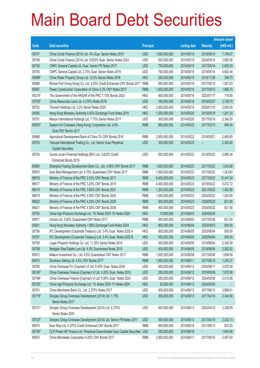|          |                                                                                            |                  |               |                     |                 | <b>Amount raised</b> |
|----------|--------------------------------------------------------------------------------------------|------------------|---------------|---------------------|-----------------|----------------------|
| Code     | <b>Debt securities</b>                                                                     | <b>Principal</b> |               | <b>Listing date</b> | <b>Maturity</b> | (HK\$ min)           |
| 05747    | China Cinda Finance (2014) Ltd. 4% Guar. Senior Notes 2019                                 | <b>USD</b>       | 1,000,000,000 | 2014/05/15          | 2019/05/14      | 7,749.07             |
| 05748    | China Cinda Finance (2014) Ltd. 5.625% Guar. Senior Notes 2024                             | <b>USD</b>       | 500,000,000   | 2014/05/15          | 2024/05/14      | 3,882.06             |
| 05749    | CNPC General Capital Ltd. Guar. Senior FR Notes 2017                                       | <b>USD</b>       | 750,000,000   | 2014/05/15          | 2017/05/14      | 5,850.00             |
| 05750    | CNPC General Capital Ltd. 2.75% Guar. Senior Notes 2019                                    | <b>USD</b>       | 750,000,000   | 2014/05/15          | 2019/05/14      | 5,802.44             |
| 05998#   | China Water Property Group Ltd. 12.5% Senior Notes 2016                                    | <b>HKD</b>       | 250,000,000   | 2014/05/15          | 2016/11/28      | 248.75               |
| 85966    | Rizhao Port (Hong Kong) Co. Ltd. 4.25% Credit Enhanced CNY Bonds 2017                      | <b>RMB</b>       | 850,000,000   | 2014/05/16          | 2017/05/15      | 1,057.83             |
| 85967    | Power Construction Corporation of China 4.2% CNY Notes 2017                                | <b>RMB</b>       | 1,500,000,000 | 2014/05/16          | 2017/05/15      | 1,866.75             |
| $04215*$ | The Government of the HKSAR of the PRC 1.10% Bonds 2023                                    | <b>HKD</b>       | 800,000,000   | 2014/05/16          | 2023/01/17      | 718.80               |
| 05700#   | China Resources Land Ltd. 4.375% Notes 2019                                                | <b>USD</b>       | 350,000,000   | 2014/05/16          | 2019/02/27      | 2,726.78             |
| 05752    | Tencent Holdings Ltd. 3.2% Senior Notes 2020                                               | <b>HKD</b>       | 2,000,000,000 | 2014/05/19          | 2020/01/10      | 2,000.00             |
| 04050    | Hong Kong Monetary Authority 0.42% Exchange Fund Notes 2016                                | <b>HKD</b>       | 1,200,000,000 | 2014/05/20          | 2016/05/19      | 1,201.20             |
| 05751    | Maoye International Holdings Ltd. 7.75% Senior Notes 2017                                  | <b>USD</b>       | 300,000,000   | 2014/05/20          | 2017/05/19      | 2,340.00             |
| 85953#   | Eastern Air Overseas (Hong Kong) Corporation Ltd. 4.8%<br>Guar.CNY Bonds 2017              | <b>RMB</b>       | 800,000,000   | 2014/05/22          | 2017/03/13      | 995.04               |
| 85968    | Agricultural Development Bank of China 3% CNY Bonds 2016                                   | <b>RMB</b>       | 2,000,000,000 | 2014/05/22          | 2016/05/21      | 2,485.60             |
| 05753    | Yancoal International Trading Co., Ltd. Senior Guar.Perpetual<br><b>Capital Securities</b> | <b>USD</b>       | 300,000,000   | 2014/05/23          |                 | 2,340.00             |
| 05754    | Guotai Junan Financial Holdings (BVI) Ltd. 3.625% Credit<br>Enhanced Bonds 2019            | <b>USD</b>       | 500,000,000   | 2014/05/23          | 2019/05/22      | 3,885.34             |
| 85969    | Shanghai Pudong Development Bank Co., Ltd. 4.08% CNY Bonds 2017                            | <b>RMB</b>       | 1,000,000,000 | 2014/05/23          | 2017/05/22      | 1,243.80             |
| 85970    | Sure Best Management Ltd. 4.75% Guaranteed CNY Notes 2017                                  | <b>RMB</b>       | 1,000,000,000 | 2014/05/23          | 2017/05/22      | 1,243.80             |
| 86616    | Ministry of Finance of the PRC 2.53% CNY Bonds 2017                                        | <b>RMB</b>       | 8,400,000,000 | 2014/05/23          | 2017/05/22      | 10,447.92            |
| 86617    | Ministry of Finance of the PRC 3.25% CNY Bonds 2019                                        | <b>RMB</b>       | 4,400,000,000 | 2014/05/23          | 2019/05/22      | 5,472.72             |
| 86618    | Ministry of Finance of the PRC 3.80% CNY Bonds 2021                                        | <b>RMB</b>       | 1,200,000,000 | 2014/05/23          | 2021/05/22      | 1,492.56             |
| 86619    | Ministry of Finance of the PRC 4.00% CNY Bonds 2024                                        | <b>RMB</b>       | 1,000,000,000 | 2014/05/23          | 2024/05/22      | 1,243.80             |
| 86620    | Ministry of Finance of the PRC 4.29% CNY Bonds 2029                                        | <b>RMB</b>       | 500,000,000   | 2014/05/23          | 2029/05/22      | 621.90               |
| 86621    | Ministry of Finance of the PRC 4.50% CNY Bonds 2034                                        | <b>RMB</b>       | 500,000,000   | 2014/05/23          | 2034/05/22      | 621.90               |
| 05755    | China Agri-Products Exchange Ltd. 1% Notes 2024 1% Notes 2024                              | <b>HKD</b>       | 10,000,000    | 2014/06/03          | 2024/09/30      |                      |
| 85971    | Unican Ltd. 5.80% Guaranteed CNY Notes 2017                                                | <b>RMB</b>       | 500,000,000   | 2014/06/03          | 2017/05/30      | 621.50               |
| 04051    | Hong Kong Monetary Authority 1.96% Exchange Fund Notes 2024                                | <b>HKD</b>       | 800,000,000   | 2014/06/04          | 2024/06/03      | 804.00               |
| 05756    | IFC Development (Corporate Treasury) Ltd. 3.4% Guar. Notes 2020 A                          | <b>HKD</b>       | 500,000,000   | 2014/06/05          | 2020/06/04      | 500.00               |
| 05757    | IFC Development (Corporate Treasury) Ltd. 3.4% Guar. Notes 2020 B                          | <b>HKD</b>       | 500,000,000   | 2014/06/05          | 2020/06/04      | 500.00               |
| 05758    | Logan Property Holdings Co. Ltd. 11.25% Senior Notes 2019                                  | <b>USD</b>       | 300,000,000   | 2014/06/05          | 2019/06/04      | 2,340.00             |
| 05759    | Bestgain Real Estate Lyra Ltd. 4.5% Guaranteed Notes 2019                                  | <b>USD</b>       | 400,000,000   | 2014/06/05          | 2019/06/04      | 3,082.92             |
| 85972    | Maikun Investment Co., Ltd. 4.5% Guaranteed CNY Notes 2017                                 | <b>RMB</b>       | 1,500,000,000 | 2014/06/09          | 2017/06/06      | 1,858.50             |
| 85973    | Sinotrans Sailing Ltd. 4.5% CNY Bonds 2017                                                 | <b>RMB</b>       | 1,000,000,000 | 2014/06/11          | 2017/06/10      | 1,240.27             |
| 05760    | China Overseas Fin (Cayman) VI Ltd. 6.45% Guar. Notes 2034                                 | <b>USD</b>       | 500,000,000   | 2014/06/12          | 2034/06/11      | 3,878.36             |
| 05745#   | China Overseas Finance (Cayman) VI Ltd. 4.25% Guar. Notes 2019                             | <b>USD</b>       | 250,000,000   | 2014/06/12          | 2019/05/08      | 1,972.08             |
| 05746#   | China Overseas Finance (Cayman) VI Ltd. 5.95% Guar. Notes 2024                             | <b>USD</b>       | 250,000,000   | 2014/06/12          | 2024/05/08      | 2,010.06             |
| 05755#   | China Agri-Products Exchange Ltd. 1% Notes 2024 1% Notes 2024                              | <b>HKD</b>       | 20,000,000    | 2014/06/12          | 2024/09/30      |                      |
| 05761    | China Merchants Bank Co., Ltd. 2.375% Notes 2017                                           | <b>USD</b>       | 500,000,000   | 2014/06/13          | 2017/06/12      | 3,888.81             |
| 05719#   | Sinopec Group Overseas Development (2014) Ltd. 1.75%<br>Senior Notes 2017                  | <b>USD</b>       | 300,000,000   | 2014/06/13          | 2017/04/10      | 2,344.68             |
| 05721#   | Sinopec Group Overseas Development (2014) Ltd. 4.375%<br>Senior Notes 2024                 | <b>USD</b>       | 400,000,000   | 2014/06/13          | 2024/04/10      | 3,248.95             |
| 05722#   | Sinopec Group Overseas Development (2014) Ltd. Senior FR Notes 2017                        | <b>USD</b>       | 300,000,000   | 2014/06/13          | 2017/04/10      | 2,342.13             |
| 85974    | Soar Rise Ltd. 4.375% Credit Enhanced CNY Bonds 2017                                       | <b>RMB</b>       | 500,000,000   | 2014/06/16          | 2017/06/13      | 623.25               |
| 05740#   | CLP Power HK Finance Ltd. Perpetual Subordinated Guar.Capital Securities USD               |                  | 250,000,000   | 2014/06/16          |                 | 1,954.88             |
| 85975    | China Minmetals Corporation 4.25% CNY Bonds 2017                                           | RMB              | 2,000,000,000 | 2014/06/17          | 2017/06/16      | 2,497.00             |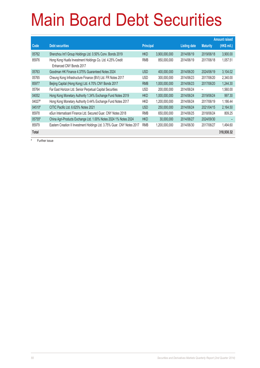| Code     | <b>Debt securities</b>                                                               | <b>Principal</b> |               | <b>Listing date</b> | <b>Maturity</b> | (HK\$ mil.) |
|----------|--------------------------------------------------------------------------------------|------------------|---------------|---------------------|-----------------|-------------|
| 05762    | Shenzhou Int'l Group Holdings Ltd. 0.50% Conv. Bonds 2019                            | <b>HKD</b>       | 3,900,000,000 | 2014/06/19          | 2019/06/18      | 3,900.00    |
| 85976    | Hong Kong Huafa Investment Holdings Co. Ltd. 4.25% Credit<br>Enhanced CNY Bonds 2017 | <b>RMB</b>       | 850,000,000   | 2014/06/19          | 2017/06/18      | 1,057.51    |
| 05763    | Goodman HK Finance 4.375% Guaranteed Notes 2024                                      | <b>USD</b>       | 400,000,000   | 2014/06/20          | 2024/06/19      | 3,104.02    |
| 05765    | Cheung Kong Infrastructure Finance (BVI) Ltd. FR Notes 2017                          | <b>USD</b>       | 300,000,000   | 2014/06/23          | 2017/06/20      | 2,340.00    |
| 85977    | Beijing Capital (Hong Kong) Ltd. 4.70% CNY Bonds 2017                                | <b>RMB</b>       | 1,000,000,000 | 2014/06/23          | 2017/06/20      | 1.244.30    |
| 05764    | Far East Horizon Ltd. Senior Perpetual Capital Securities                            | USD              | 200,000,000   | 2014/06/24          | -               | 1,560.00    |
| 04052    | Hong Kong Monetary Authority 1.34% Exchange Fund Notes 2019                          | <b>HKD</b>       | 1,000,000,000 | 2014/06/24          | 2019/06/24      | 997.30      |
| 04027#   | Hong Kong Monetary Authority 0.44% Exchange Fund Notes 2017                          | <b>HKD</b>       | 1,200,000,000 | 2014/06/24          | 2017/06/19      | 1,186.44    |
| 04510#   | CITIC Pacific Ltd. 6.625% Notes 2021                                                 | <b>USD</b>       | 250,000,000   | 2014/06/24          | 2021/04/15      | 2,164.50    |
| 85978    | eSun Internatioanl Finance Ltd. Secured Guar, CNY Notes 2018                         | <b>RMB</b>       | 650,000,000   | 2014/06/25          | 2018/06/24      | 809.25      |
| $05755*$ | China Agri-Products Exchange Ltd. 1.00% Notes 2024 1% Notes 2024                     | <b>HKD</b>       | 30,000,000    | 2014/06/27          | 2024/09/30      |             |
| 85979    | Eastern Creation II Investment Holdings Ltd. 3.75% Guar. CNY Notes 2017              | <b>RMB</b>       | 1,200,000,000 | 2014/06/30          | 2017/06/27      | 1,494.60    |
| Total    |                                                                                      |                  |               |                     |                 | 318,930.32  |

# Further issue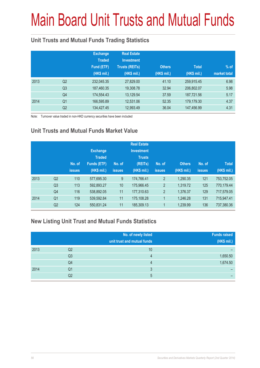# Main Board Unit Trusts and Mutual Funds

### **Unit Trusts and Mutual Funds Trading Statistics**

|      |                | <b>Exchange</b><br><b>Traded</b><br>Fund (ETF)<br>(HK\$ mil.) | <b>Real Estate</b><br><b>Investment</b><br><b>Trusts (REITs)</b><br>(HK\$ mil.) | <b>Others</b><br>(HK\$ mil.) | <b>Total</b><br>(HK\$ mil.) | $%$ of<br>market total |
|------|----------------|---------------------------------------------------------------|---------------------------------------------------------------------------------|------------------------------|-----------------------------|------------------------|
| 2013 | Q <sub>2</sub> | 232,045.35                                                    | 27,829.00                                                                       | 41.10                        | 259.915.45                  | 6.98                   |
|      | Q <sub>3</sub> | 187,460.35                                                    | 19,308.78                                                                       | 32.94                        | 206,802.07                  | 5.98                   |
|      | Q4             | 174,554.43                                                    | 13,129.54                                                                       | 37.59                        | 187,721.56                  | 5.17                   |
| 2014 | Q <sub>1</sub> | 166,595.89                                                    | 12,531.06                                                                       | 52.35                        | 179,179.30                  | 4.37                   |
|      | Q <sub>2</sub> | 134,427.45                                                    | 12,993.49                                                                       | 36.04                        | 147,456.99                  | 4.31                   |

Note: Turnover value traded in non-HKD currency securities have been included

### **Unit Trusts and Mutual Funds Market Value**

|      |                | No. of<br><b>issues</b> | <b>Exchange</b><br><b>Traded</b><br>Funds (ETF)<br>(HK\$ mil.) | No. of<br><b>issues</b> | <b>Real Estate</b><br><b>Investment</b><br><b>Trusts</b><br>(REITs)<br>(HK\$ mil.) | No. of<br><b>issues</b> | <b>Others</b><br>(HK\$ mil.) | No. of<br><b>issues</b> | <b>Total</b><br>(HK\$ mil.) |
|------|----------------|-------------------------|----------------------------------------------------------------|-------------------------|------------------------------------------------------------------------------------|-------------------------|------------------------------|-------------------------|-----------------------------|
| 2013 | Q <sub>2</sub> | 110                     | 577,695.30                                                     | 9                       | 174,766.41                                                                         | $\overline{2}$          | 1,290.35                     | 121                     | 753,752.05                  |
|      | Q <sub>3</sub> | 113                     | 592,893.27                                                     | 10                      | 175,966.45                                                                         | $\overline{2}$          | 1,319.72                     | 125                     | 770,179.44                  |
|      | Q4             | 116                     | 538,892.05                                                     | 11                      | 177,310.63                                                                         | $\overline{2}$          | 1,376.37                     | 129                     | 717,579.05                  |
| 2014 | Q <sub>1</sub> | 119                     | 539,592.84                                                     | 11                      | 175,108.28                                                                         | 1                       | 1,246.28                     | 131                     | 715,947.41                  |
|      | Q <sub>2</sub> | 124                     | 550,831.24                                                     | 11                      | 185,309.13                                                                         | 1                       | 1,239.99                     | 136                     | 737,380.36                  |

### **New Listing Unit Trust and Mutual Funds Statistics**

|      |                | No. of newly listed<br>unit trust and mutual funds | <b>Funds raised</b><br>(HK\$ mil.) |
|------|----------------|----------------------------------------------------|------------------------------------|
| 2013 | Q <sub>2</sub> | 10                                                 |                                    |
|      | Q <sub>3</sub> | 4                                                  | 1,650.50                           |
|      | Q4             | 4                                                  | 1,674.50                           |
| 2014 | Q1             |                                                    |                                    |
|      | Q2             | b                                                  |                                    |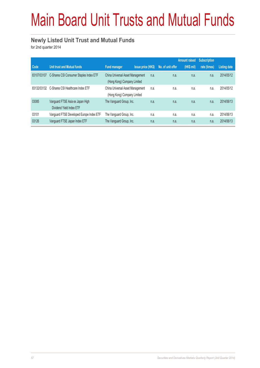# Main Board Unit Trusts and Mutual Funds

### **Newly Listed Unit Trust and Mutual Funds**

for 2nd quarter 2014

|             |                                                              |                                                                 |                           |                   | <b>Amount raised</b> | <b>Subscription</b> |                     |
|-------------|--------------------------------------------------------------|-----------------------------------------------------------------|---------------------------|-------------------|----------------------|---------------------|---------------------|
| Code        | <b>Unit trust and Mutual funds</b>                           | <b>Fund manager</b>                                             | <b>Issue price (HK\$)</b> | No. of unit offer | (HK\$ mil)           | rate (times)        | <b>Listing date</b> |
| 83107/03107 | C-Shares CSI Consumer Staples Index ETF                      | China Universal Asset Management<br>(Hong Kong) Company Limited | n.a.                      | n.a.              | n.a.                 | n.a.                | 2014/05/12          |
| 83132/03132 | C-Shares CSI Healthcare Index ETF                            | China Universal Asset Management<br>(Hong Kong) Company Limited | n.a.                      | n.a.              | n.a.                 | n.a.                | 2014/05/12          |
| 03085       | Vanguard FTSE Asia ex Japan High<br>Dividend Yield Index ETF | The Vanguard Group, Inc.                                        | n.a.                      | n.a.              | n.a.                 | n.a.                | 2014/06/13          |
| 03101       | Vanguard FTSE Developed Europe Index ETF                     | The Vanguard Group, Inc.                                        | n.a.                      | n.a.              | n.a.                 | n.a.                | 2014/06/13          |
| 03126       | Vanguard FTSE Japan Index ETF                                | The Vanguard Group, Inc.                                        | n.a.                      | n.a.              | n.a.                 | n.a.                | 2014/06/13          |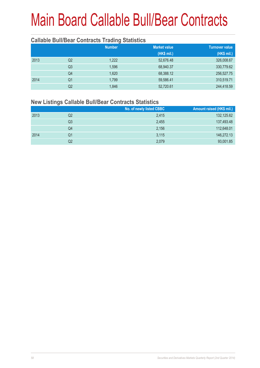#### **Callable Bull/Bear Contracts Trading Statistics**

|      |                | <b>Number</b> | <b>Market value</b> | <b>Turnover value</b> |
|------|----------------|---------------|---------------------|-----------------------|
|      |                |               | (HK\$ mil.)         | (HK\$ mil.)           |
| 2013 | Q2             | 1,222         | 52,676.48           | 326,008.67            |
|      | Q <sub>3</sub> | 1,596         | 68,940.37           | 330,779.62            |
|      | Q4             | 1,620         | 68,388.12           | 256,527.75            |
| 2014 | Q <sub>1</sub> | 1.799         | 59,586.41           | 310,519.71            |
|      | Q2             | 1,846         | 52,720.61           | 244,418.59            |

### **New Listings Callable Bull/Bear Contracts Statistics**

|      |    | No. of newly listed CBBC | Amount raised (HK\$ mil.) |
|------|----|--------------------------|---------------------------|
| 2013 | Q2 | 2.415                    | 132,125.62                |
|      | Q3 | 2.455                    | 137,493.48                |
|      | Q4 | 2,156                    | 112,648.01                |
| 2014 | Q1 | 3,115                    | 146,272.13                |
|      | Q2 | 2,079                    | 93,001.85                 |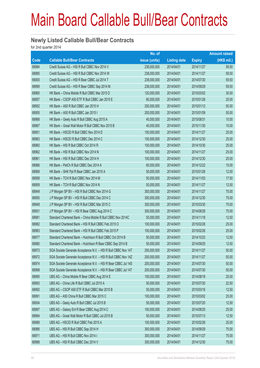### **Newly Listed Callable Bull/Bear Contracts**

for 2nd quarter 2014

|       |                                                                | No. of        |                     |               | <b>Amount raised</b> |
|-------|----------------------------------------------------------------|---------------|---------------------|---------------|----------------------|
| Code  | <b>Callable Bull/Bear Contracts</b>                            | issue (units) | <b>Listing date</b> | <b>Expiry</b> | (HK\$ mil.)          |
| 68984 | Credit Suisse AG - HSI R Bull CBBC Nov 2014 V                  | 238,000,000   | 2014/04/01          | 2014/11/27    | 59.50                |
| 68985 | Credit Suisse AG - HSI R Bull CBBC Nov 2014 W                  | 238,000,000   | 2014/04/01          | 2014/11/27    | 59.50                |
| 69000 | Credit Suisse AG - HSI R Bear CBBC Jul 2014 T                  | 238,000,000   | 2014/04/01          | 2014/07/30    | 59.50                |
| 68999 | Credit Suisse AG - HSI R Bear CBBC Sep 2014 M                  | 238,000,000   | 2014/04/01          | 2014/09/29    | 59.50                |
| 68965 | HK Bank - China Mobile R Bull CBBC Mar 2015 D                  | 120,000,000   | 2014/04/01          | 2015/03/02    | 30.00                |
| 68957 | HK Bank - CSOP A50 ETF R Bull CBBC Jan 2015 E                  | 80,000,000    | 2014/04/01          | 2015/01/26    | 20.00                |
| 68952 | HK Bank - A50 R Bull CBBC Jan 2015 H                           | 200,000,000   | 2014/04/01          | 2015/01/12    | 50.00                |
| 68955 | HK Bank - A50 R Bull CBBC Jan 2015 I                           | 200,000,000   | 2014/04/01          | 2015/01/09    | 50.00                |
| 68968 | HK Bank - Geely Auto R Bull CBBC Aug 2015 A                    | 40,000,000    | 2014/04/01          | 2015/08/31    | 10.00                |
| 68967 | HK Bank - Great Wall Motor R Bull CBBC Nov 2015 B              | 40,000,000    | 2014/04/01          | 2015/11/30    | 10.00                |
| 68951 | HK Bank - HSCEI R Bull CBBC Nov 2014 D                         | 100,000,000   | 2014/04/01          | 2014/11/27    | 25.00                |
| 68963 | HK Bank - HSCEI R Bull CBBC Dec 2014 C                         | 100,000,000   | 2014/04/01          | 2014/12/30    | 25.00                |
| 68960 | HK Bank - HSI R Bull CBBC Oct 2014 R                           | 100,000,000   | 2014/04/01          | 2014/10/30    | 25.00                |
| 68962 | HK Bank - HSI R Bull CBBC Nov 2014 N                           | 100,000,000   | 2014/04/01          | 2014/11/27    | 25.00                |
| 68961 | HK Bank - HSI R Bull CBBC Dec 2014 H                           | 100,000,000   | 2014/04/01          | 2014/12/30    | 25.00                |
| 68966 | HK Bank - PetCh R Bull CBBC Dec 2014 A                         | 60,000,000    | 2014/04/01          | 2014/12/22    | 15.00                |
| 68969 | HK Bank - SHK Ppt R Bear CBBC Jan 2015 A                       | 50,000,000    | 2014/04/01          | 2015/01/26    | 12.50                |
| 68958 | HK Bank - TCH R Bull CBBC Nov 2014 M                           | 50,000,000    | 2014/04/01          | 2014/11/03    | 17.50                |
| 68959 | HK Bank - TCH R Bull CBBC Nov 2014 N                           | 50,000,000    | 2014/04/01          | 2014/11/27    | 12.50                |
| 68949 | J P Morgan SP BV - HSI R Bull CBBC Nov 2014 G                  | 300,000,000   | 2014/04/01          | 2014/11/27    | 75.00                |
| 68950 | J P Morgan SP BV - HSI R Bull CBBC Dec 2014 C                  | 300,000,000   | 2014/04/01          | 2014/12/30    | 75.00                |
| 68948 | J P Morgan SP BV - HSI R Bull CBBC Mar 2015 C                  | 300,000,000   | 2014/04/01          | 2015/03/30    | 75.00                |
| 69001 | J P Morgan SP BV - HSI R Bear CBBC Aug 2014 C                  | 300,000,000   | 2014/04/01          | 2014/08/28    | 75.00                |
| 68981 | Standard Chartered Bank - China Mobile R Bull CBBC Nov 2014C   | 50,000,000    | 2014/04/01          | 2014/11/18    | 12.50                |
| 68982 | Standard Chartered Bank - HSI R Bull CBBC Feb 2015 O           | 100,000,000   | 2014/04/01          | 2015/02/26    | 25.00                |
| 68983 | Standard Chartered Bank - HSI R Bull CBBC Feb 2015 P           | 100,000,000   | 2014/04/01          | 2015/02/26    | 25.00                |
| 68977 | Standard Chartered Bank - Hutchison R Bull CBBC Oct 2014 B     | 50,000,000    | 2014/04/01          | 2014/10/23    | 12.50                |
| 68980 | Standard Chartered Bank - Hutchison R Bear CBBC Sep 2014 B     | 50,000,000    | 2014/04/01          | 2014/09/25    | 12.50                |
| 68973 | SGA Societe Generale Acceptance N.V. - HSI R Bull CBBC Nov 14T | 200,000,000   | 2014/04/01          | 2014/11/27    | 50.00                |
| 68972 | SGA Societe Generale Acceptance N.V. - HSI R Bull CBBC Nov 14Z | 200,000,000   | 2014/04/01          | 2014/11/27    | 50.00                |
| 68974 | SGA Societe Generale Acceptance N.V. - HSI R Bear CBBC Jul 14S | 200,000,000   | 2014/04/01          | 2014/07/30    | 50.00                |
| 68998 | SGA Societe Generale Acceptance N.V. - HSI R Bear CBBC Jul 14T | 200,000,000   | 2014/04/01          | 2014/07/30    | 50.00                |
| 68995 | UBS AG - China Mobile R Bear CBBC Aug 2014 E                   | 100,000,000   | 2014/04/01          | 2014/08/18    | 25.00                |
| 68993 | UBS AG - China Life R Bull CBBC Jul 2015 A                     | 50,000,000    | 2014/04/01          | 2015/07/20    | 22.50                |
| 68992 | UBS AG - CSOP A50 ETF R Bull CBBC Mar 2015 B                   | 50,000,000    | 2014/04/01          | 2015/03/16    | 12.50                |
| 68991 | UBS AG - A50 China R Bull CBBC Mar 2015 C                      | 100,000,000   | 2014/04/01          | 2015/03/02    | 25.00                |
| 69004 | UBS AG - Geely Auto R Bull CBBC Jul 2015 B                     | 50,000,000    | 2014/04/01          | 2015/07/20    | 12.50                |
| 68997 | UBS AG - Galaxy Ent R Bear CBBC Aug 2014 C                     | 100,000,000   | 2014/04/01          | 2014/08/25    | 25.00                |
| 68994 | UBS AG - Great Wall Motor R Bull CBBC Jul 2015 B               | 50,000,000    | 2014/04/01          | 2015/07/13    | 12.50                |
| 68989 | UBS AG - HSCEI R Bull CBBC Feb 2015 A                          | 100,000,000   | 2014/04/01          | 2015/02/26    | 25.00                |
| 68986 | UBS AG - HSI R Bull CBBC Sep 2014 H                            | 300,000,000   | 2014/04/01          | 2014/09/29    | 75.00                |
| 68971 | UBS AG - HSI R Bull CBBC Nov 2014 I                            | 300,000,000   | 2014/04/01          | 2014/11/27    | 75.00                |
| 68988 | UBS AG - HSI R Bull CBBC Dec 2014 V                            | 300,000,000   | 2014/04/01          | 2014/12/30    | 75.00                |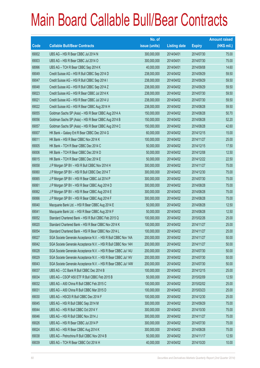|       |                                                                | No. of        |                     |               | <b>Amount raised</b> |
|-------|----------------------------------------------------------------|---------------|---------------------|---------------|----------------------|
| Code  | <b>Callable Bull/Bear Contracts</b>                            | issue (units) | <b>Listing date</b> | <b>Expiry</b> | (HK\$ mil.)          |
| 69002 | UBS AG - HSI R Bear CBBC Jul 2014 N                            | 300,000,000   | 2014/04/01          | 2014/07/30    | 75.00                |
| 69003 | UBS AG - HSI R Bear CBBC Jul 2014 O                            | 300,000,000   | 2014/04/01          | 2014/07/30    | 75.00                |
| 68996 | UBS AG - TCH R Bear CBBC Sep 2014 K                            | 40,000,000    | 2014/04/01          | 2014/09/08    | 14.60                |
| 69049 | Credit Suisse AG - HSI R Bull CBBC Sep 2014 D                  | 238,000,000   | 2014/04/02          | 2014/09/29    | 59.50                |
| 69047 | Credit Suisse AG - HSI R Bull CBBC Sep 2014 I                  | 238,000,000   | 2014/04/02          | 2014/09/29    | 59.50                |
| 69048 | Credit Suisse AG - HSI R Bull CBBC Sep 2014 Z                  | 238,000,000   | 2014/04/02          | 2014/09/29    | 59.50                |
| 69023 | Credit Suisse AG - HSI R Bear CBBC Jul 2014 K                  | 238,000,000   | 2014/04/02          | 2014/07/30    | 59.50                |
| 69021 | Credit Suisse AG - HSI R Bear CBBC Jul 2014 U                  | 238,000,000   | 2014/04/02          | 2014/07/30    | 59.50                |
| 69022 | Credit Suisse AG - HSI R Bear CBBC Aug 2014 H                  | 238,000,000   | 2014/04/02          | 2014/08/28    | 59.50                |
| 69055 | Goldman Sachs SP (Asia) - HSI R Bear CBBC Aug 2014 A           | 150,000,000   | 2014/04/02          | 2014/08/28    | 50.70                |
| 69056 | Goldman Sachs SP (Asia) - HSI R Bear CBBC Aug 2014 B           | 150,000,000   | 2014/04/02          | 2014/08/28    | 52.20                |
| 69057 | Goldman Sachs SP (Asia) - HSI R Bear CBBC Aug 2014 C           | 150,000,000   | 2014/04/02          | 2014/08/28    | 42.60                |
| 69007 | HK Bank - Galaxy Ent R Bear CBBC Dec 2014 G                    | 60,000,000    | 2014/04/02          | 2014/12/15    | 15.00                |
| 69011 | HK Bank - HSI R Bear CBBC Nov 2014 K                           | 100,000,000   | 2014/04/02          | 2014/11/27    | 25.00                |
| 69005 | HK Bank - TCH R Bear CBBC Dec 2014 C                           | 50,000,000    | 2014/04/02          | 2014/12/15    | 17.50                |
| 69006 | HK Bank - TCH R Bear CBBC Dec 2014 D                           | 50,000,000    | 2014/04/02          | 2014/12/08    | 12.50                |
| 69015 | HK Bank - TCH R Bear CBBC Dec 2014 E                           | 50,000,000    | 2014/04/02          | 2014/12/22    | 22.50                |
| 69058 | J P Morgan SP BV - HSI R Bull CBBC Nov 2014 H                  | 300,000,000   | 2014/04/02          | 2014/11/27    | 75.00                |
| 69060 | J P Morgan SP BV - HSI R Bull CBBC Dec 2014 T                  | 300,000,000   | 2014/04/02          | 2014/12/30    | 75.00                |
| 69065 | J P Morgan SP BV - HSI R Bear CBBC Jul 2014 P                  | 300,000,000   | 2014/04/02          | 2014/07/30    | 75.00                |
| 69061 | J P Morgan SP BV - HSI R Bear CBBC Aug 2014 D                  | 300,000,000   | 2014/04/02          | 2014/08/28    | 75.00                |
| 69062 | J P Morgan SP BV - HSI R Bear CBBC Aug 2014 E                  | 300,000,000   | 2014/04/02          | 2014/08/28    | 75.00                |
| 69066 | J P Morgan SP BV - HSI R Bear CBBC Aug 2014 F                  | 300,000,000   | 2014/04/02          | 2014/08/28    | 75.00                |
| 69040 | Macquarie Bank Ltd. - HSI R Bear CBBC Aug 2014 E               | 50,000,000    | 2014/04/02          | 2014/08/28    | 12.50                |
| 69041 | Macquarie Bank Ltd. - HSI R Bear CBBC Aug 2014 F               | 50,000,000    | 2014/04/02          | 2014/08/28    | 12.50                |
| 69052 | Standard Chartered Bank - HSI R Bull CBBC Feb 2015 Q           | 100,000,000   | 2014/04/02          | 2015/02/26    | 25.00                |
| 69020 | Standard Chartered Bank - HSI R Bear CBBC Nov 2014 K           | 100,000,000   | 2014/04/02          | 2014/11/27    | 25.00                |
| 69054 | Standard Chartered Bank - HSI R Bear CBBC Nov 2014 L           | 100,000,000   | 2014/04/02          | 2014/11/27    | 25.00                |
| 69027 | SGA Societe Generale Acceptance N.V. - HSI R Bull CBBC Nov 14A | 200,000,000   | 2014/04/02          | 2014/11/27    | 50.00                |
| 69042 | SGA Societe Generale Acceptance N.V. - HSI R Bull CBBC Nov 14H | 200,000,000   | 2014/04/02          | 2014/11/27    | 50.00                |
| 69028 | SGA Societe Generale Acceptance N.V. - HSI R Bear CBBC Jul 14U | 200,000,000   | 2014/04/02          | 2014/07/30    | 50.00                |
| 69029 | SGA Societe Generale Acceptance N.V. - HSI R Bear CBBC Jul 14V | 200,000,000   | 2014/04/02          | 2014/07/30    | 50.00                |
| 69043 | SGA Societe Generale Acceptance N.V. - HSI R Bear CBBC Jul 14W | 200,000,000   | 2014/04/02          | 2014/07/30    | 50.00                |
| 69037 | UBS AG - CC Bank R Bull CBBC Dec 2014 B                        | 100,000,000   | 2014/04/02          | 2014/12/15    | 25.00                |
| 69034 | UBS AG - CSOP A50 ETF R Bull CBBC Feb 2015 B                   | 50,000,000    | 2014/04/02          | 2015/02/09    | 12.50                |
| 69032 | UBS AG - A50 China R Bull CBBC Feb 2015 C                      | 100,000,000   | 2014/04/02          | 2015/02/02    | 25.00                |
| 69031 | UBS AG - A50 China R Bull CBBC Mar 2015 D                      | 100,000,000   | 2014/04/02          | 2015/03/23    | 25.00                |
| 69030 | UBS AG - HSCEI R Bull CBBC Dec 2014 F                          | 100,000,000   | 2014/04/02          | 2014/12/30    | 25.00                |
| 69045 | UBS AG - HSI R Bull CBBC Sep 2014 M                            | 300,000,000   | 2014/04/02          | 2014/09/29    | 75.00                |
| 69044 | UBS AG - HSI R Bull CBBC Oct 2014 Y                            | 300,000,000   | 2014/04/02          | 2014/10/30    | 75.00                |
| 69046 | UBS AG - HSI R Bull CBBC Nov 2014 J                            | 300,000,000   | 2014/04/02          | 2014/11/27    | 75.00                |
| 69026 | UBS AG - HSI R Bear CBBC Jul 2014 P                            | 300,000,000   | 2014/04/02          | 2014/07/30    | 75.00                |
| 69024 | UBS AG - HSI R Bear CBBC Aug 2014 K                            | 300,000,000   | 2014/04/02          | 2014/08/28    | 75.00                |
| 69038 | UBS AG - Petrochina R Bull CBBC Nov 2014 B                     | 50,000,000    | 2014/04/02          | 2014/11/17    | 12.50                |
| 69039 | UBS AG - TCH R Bear CBBC Oct 2014 H                            | 40,000,000    | 2014/04/02          | 2014/10/20    | 10.00                |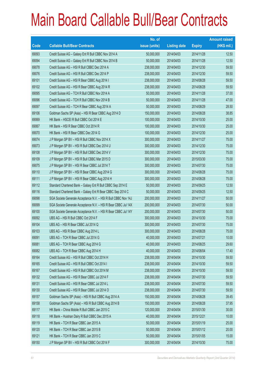|       |                                                                | No. of        |                     |               | <b>Amount raised</b> |
|-------|----------------------------------------------------------------|---------------|---------------------|---------------|----------------------|
| Code  | <b>Callable Bull/Bear Contracts</b>                            | issue (units) | <b>Listing date</b> | <b>Expiry</b> | (HK\$ mil.)          |
| 69093 | Credit Suisse AG - Galaxy Ent R Bull CBBC Nov 2014 A           | 50,000,000    | 2014/04/03          | 2014/11/28    | 12.50                |
| 69094 | Credit Suisse AG - Galaxy Ent R Bull CBBC Nov 2014 B           | 50,000,000    | 2014/04/03          | 2014/11/28    | 12.50                |
| 69078 | Credit Suisse AG - HSI R Bull CBBC Dec 2014 A                  | 238,000,000   | 2014/04/03          | 2014/12/30    | 59.50                |
| 69076 | Credit Suisse AG - HSI R Bull CBBC Dec 2014 P                  | 238,000,000   | 2014/04/03          | 2014/12/30    | 59.50                |
| 69101 | Credit Suisse AG - HSI R Bear CBBC Aug 2014 I                  | 238,000,000   | 2014/04/03          | 2014/08/28    | 59.50                |
| 69102 | Credit Suisse AG - HSI R Bear CBBC Aug 2014 R                  | 238,000,000   | 2014/04/03          | 2014/08/28    | 59.50                |
| 69095 | Credit Suisse AG - TCH R Bull CBBC Nov 2014 A                  | 50,000,000    | 2014/04/03          | 2014/11/28    | 37.00                |
| 69096 | Credit Suisse AG - TCH R Bull CBBC Nov 2014 B                  | 50,000,000    | 2014/04/03          | 2014/11/28    | 47.00                |
| 69097 | Credit Suisse AG - TCH R Bear CBBC Aug 2014 A                  | 50,000,000    | 2014/04/03          | 2014/08/29    | 28.50                |
| 69106 | Goldman Sachs SP (Asia) - HSI R Bear CBBC Aug 2014 D           | 150,000,000   | 2014/04/03          | 2014/08/28    | 38.85                |
| 69069 | HK Bank - HSCEI R Bull CBBC Oct 2014 E                         | 100,000,000   | 2014/04/03          | 2014/10/30    | 25.00                |
| 69067 | HK Bank - HSI R Bear CBBC Oct 2014 R                           | 100,000,000   | 2014/04/03          | 2014/10/30    | 25.00                |
| 69070 | HK Bank - HSI R Bear CBBC Dec 2014 G                           | 100,000,000   | 2014/04/03          | 2014/12/30    | 25.00                |
| 69074 | J P Morgan SP BV - HSI R Bull CBBC Nov 2014 X                  | 300,000,000   | 2014/04/03          | 2014/11/27    | 75.00                |
| 69073 | J P Morgan SP BV - HSI R Bull CBBC Dec 2014 U                  | 300,000,000   | 2014/04/03          | 2014/12/30    | 75.00                |
| 69108 | J P Morgan SP BV - HSI R Bull CBBC Dec 2014 V                  | 300,000,000   | 2014/04/03          | 2014/12/30    | 75.00                |
| 69109 | J P Morgan SP BV - HSI R Bull CBBC Mar 2015 D                  | 300,000,000   | 2014/04/03          | 2015/03/30    | 75.00                |
| 69075 | J P Morgan SP BV - HSI R Bear CBBC Jul 2014 T                  | 300,000,000   | 2014/04/03          | 2014/07/30    | 75.00                |
| 69110 | J P Morgan SP BV - HSI R Bear CBBC Aug 2014 G                  | 300,000,000   | 2014/04/03          | 2014/08/28    | 75.00                |
| 69111 | J P Morgan SP BV - HSI R Bear CBBC Aug 2014 H                  | 300,000,000   | 2014/04/03          | 2014/08/28    | 75.00                |
| 69112 | Standard Chartered Bank - Galaxy Ent R Bull CBBC Sep 2014 E    | 50,000,000    | 2014/04/03          | 2014/09/25    | 12.50                |
| 69116 | Standard Chartered Bank - Galaxy Ent R Bear CBBC Sep 2014 C    | 50,000,000    | 2014/04/03          | 2014/09/25    | 12.50                |
| 69098 | SGA Societe Generale Acceptance N.V. - HSI R Bull CBBC Nov 14J | 200,000,000   | 2014/04/03          | 2014/11/27    | 50.00                |
| 69099 | SGA Societe Generale Acceptance N.V. - HSI R Bear CBBC Jul 14X | 200,000,000   | 2014/04/03          | 2014/07/30    | 50.00                |
| 69100 | SGA Societe Generale Acceptance N.V. - HSI R Bear CBBC Jul 14Y | 200,000,000   | 2014/04/03          | 2014/07/30    | 50.00                |
| 69092 | UBS AG - HSI R Bull CBBC Oct 2014 F                            | 300,000,000   | 2014/04/03          | 2014/10/30    | 75.00                |
| 69104 | UBS AG - HSI R Bear CBBC Jul 2014 Q                            | 300,000,000   | 2014/04/03          | 2014/07/30    | 75.00                |
| 69103 | UBS AG - HSI R Bear CBBC Aug 2014 L                            | 300,000,000   | 2014/04/03          | 2014/08/28    | 75.00                |
| 69091 | UBS AG - TCH R Bear CBBC Jul 2014 G                            | 40,000,000    | 2014/04/03          | 2014/07/21    | 10.00                |
| 69081 | UBS AG - TCH R Bear CBBC Aug 2014 G                            | 40,000,000    | 2014/04/03          | 2014/08/25    | 29.60                |
| 69082 | UBS AG - TCH R Bear CBBC Aug 2014 H                            | 40,000,000    | 2014/04/03          | 2014/08/04    | 17.40                |
| 69164 | Credit Suisse AG - HSI R Bull CBBC Oct 2014 H                  | 238,000,000   | 2014/04/04          | 2014/10/30    | 59.50                |
| 69165 | Credit Suisse AG - HSI R Bull CBBC Oct 2014 I                  | 238,000,000   | 2014/04/04          | 2014/10/30    | 59.50                |
| 69167 | Credit Suisse AG - HSI R Bull CBBC Oct 2014 M                  | 238,000,000   | 2014/04/04          | 2014/10/30    | 59.50                |
| 69132 | Credit Suisse AG - HSI R Bear CBBC Jul 2014 F                  | 238,000,000   | 2014/04/04          | 2014/07/30    | 59.50                |
| 69131 | Credit Suisse AG - HSI R Bear CBBC Jul 2014 L                  | 238,000,000   | 2014/04/04          | 2014/07/30    | 59.50                |
| 69130 | Credit Suisse AG - HSI R Bear CBBC Jul 2014 O                  | 238,000,000   | 2014/04/04          | 2014/07/30    | 59.50                |
| 69157 | Goldman Sachs SP (Asia) - HSI R Bull CBBC Aug 2014 A           | 150,000,000   | 2014/04/04          | 2014/08/28    | 39.45                |
| 69158 | Goldman Sachs SP (Asia) - HSI R Bull CBBC Aug 2014 B           | 150,000,000   | 2014/04/04          | 2014/08/28    | 37.95                |
| 69117 | HK Bank - China Mobile R Bull CBBC Jan 2015 C                  | 120,000,000   | 2014/04/04          | 2015/01/30    | 30.00                |
| 69118 | HK Bank - Huishan Dairy R Bull CBBC Dec 2015 A                 | 40,000,000    | 2014/04/04          | 2015/12/21    | 10.00                |
| 69119 | HK Bank - TCH R Bear CBBC Jan 2015 A                           | 50,000,000    | 2014/04/04          | 2015/01/19    | 25.00                |
| 69120 | HK Bank - TCH R Bear CBBC Jan 2015 B                           | 50,000,000    | 2014/04/04          | 2015/01/12    | 20.00                |
| 69121 | HK Bank - TCH R Bear CBBC Jan 2015 C                           | 50,000,000    | 2014/04/04          | 2015/01/05    | 15.00                |
| 69150 | J P Morgan SP BV - HSI R Bull CBBC Oct 2014 F                  | 300,000,000   | 2014/04/04          | 2014/10/30    | 75.00                |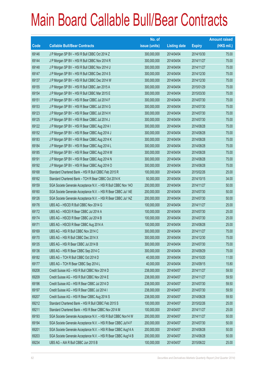|       |                                                                | No. of        |                     |               | <b>Amount raised</b> |
|-------|----------------------------------------------------------------|---------------|---------------------|---------------|----------------------|
| Code  | <b>Callable Bull/Bear Contracts</b>                            | issue (units) | <b>Listing date</b> | <b>Expiry</b> | (HK\$ mil.)          |
| 69146 | J P Morgan SP BV - HSI R Bull CBBC Oct 2014 Z                  | 300,000,000   | 2014/04/04          | 2014/10/30    | 75.00                |
| 69144 | J P Morgan SP BV - HSI R Bull CBBC Nov 2014 R                  | 300,000,000   | 2014/04/04          | 2014/11/27    | 75.00                |
| 69148 | J P Morgan SP BV - HSI R Bull CBBC Nov 2014 U                  | 300,000,000   | 2014/04/04          | 2014/11/27    | 75.00                |
| 69147 | J P Morgan SP BV - HSI R Bull CBBC Dec 2014 S                  | 300,000,000   | 2014/04/04          | 2014/12/30    | 75.00                |
| 69137 | J P Morgan SP BV - HSI R Bull CBBC Dec 2014 W                  | 300,000,000   | 2014/04/04          | 2014/12/30    | 75.00                |
| 69155 | J P Morgan SP BV - HSI R Bull CBBC Jan 2015 A                  | 300,000,000   | 2014/04/04          | 2015/01/29    | 75.00                |
| 69154 | J P Morgan SP BV - HSI R Bull CBBC Mar 2015 E                  | 300,000,000   | 2014/04/04          | 2015/03/30    | 75.00                |
| 69151 | J P Morgan SP BV - HSI R Bear CBBC Jul 2014 F                  | 300,000,000   | 2014/04/04          | 2014/07/30    | 75.00                |
| 69153 | J P Morgan SP BV - HSI R Bear CBBC Jul 2014 G                  | 300,000,000   | 2014/04/04          | 2014/07/30    | 75.00                |
| 69123 | J P Morgan SP BV - HSI R Bear CBBC Jul 2014 H                  | 300,000,000   | 2014/04/04          | 2014/07/30    | 75.00                |
| 69125 | J P Morgan SP BV - HSI R Bear CBBC Jul 2014 J                  | 300,000,000   | 2014/04/04          | 2014/07/30    | 75.00                |
| 69122 | J P Morgan SP BV - HSI R Bear CBBC Aug 2014 I                  | 300,000,000   | 2014/04/04          | 2014/08/28    | 75.00                |
| 69152 | J P Morgan SP BV - HSI R Bear CBBC Aug 2014 J                  | 300,000,000   | 2014/04/04          | 2014/08/28    | 75.00                |
| 69183 | J P Morgan SP BV - HSI R Bear CBBC Aug 2014 K                  | 300,000,000   | 2014/04/04          | 2014/08/28    | 75.00                |
| 69184 | J P Morgan SP BV - HSI R Bear CBBC Aug 2014 L                  | 300,000,000   | 2014/04/04          | 2014/08/28    | 75.00                |
| 69185 | J P Morgan SP BV - HSI R Bear CBBC Aug 2014 M                  | 300,000,000   | 2014/04/04          | 2014/08/28    | 75.00                |
| 69191 | J P Morgan SP BV - HSI R Bear CBBC Aug 2014 N                  | 300,000,000   | 2014/04/04          | 2014/08/28    | 75.00                |
| 69192 | J P Morgan SP BV - HSI R Bear CBBC Aug 2014 O                  | 300,000,000   | 2014/04/04          | 2014/08/28    | 75.00                |
| 69168 | Standard Chartered Bank - HSI R Bull CBBC Feb 2015 R           | 100,000,000   | 2014/04/04          | 2015/02/26    | 25.00                |
| 69162 | Standard Chartered Bank - TCH R Bear CBBC Oct 2014 K           | 50,000,000    | 2014/04/04          | 2014/10/15    | 34.00                |
| 69159 | SGA Societe Generale Acceptance N.V. - HSI R Bull CBBC Nov 140 | 200,000,000   | 2014/04/04          | 2014/11/27    | 50.00                |
| 69160 | SGA Societe Generale Acceptance N.V. - HSI R Bear CBBC Jul 14E | 200,000,000   | 2014/04/04          | 2014/07/30    | 50.00                |
| 69126 | SGA Societe Generale Acceptance N.V. - HSI R Bear CBBC Jul 14Z | 200,000,000   | 2014/04/04          | 2014/07/30    | 50.00                |
| 69176 | UBS AG - HSCEI R Bull CBBC Nov 2014 G                          | 100,000,000   | 2014/04/04          | 2014/11/27    | 25.00                |
| 69172 | UBS AG - HSCEI R Bear CBBC Jul 2014 A                          | 100,000,000   | 2014/04/04          | 2014/07/30    | 25.00                |
| 69174 | UBS AG - HSCEI R Bear CBBC Jul 2014 B                          | 100,000,000   | 2014/04/04          | 2014/07/30    | 25.00                |
| 69171 | UBS AG - HSCEI R Bear CBBC Aug 2014 A                          | 100,000,000   | 2014/04/04          | 2014/08/28    | 25.00                |
| 69169 | UBS AG - HSI R Bull CBBC Nov 2014 C                            | 300,000,000   | 2014/04/04          | 2014/11/27    | 75.00                |
| 69170 | UBS AG - HSI R Bull CBBC Dec 2014 X                            | 300,000,000   | 2014/04/04          | 2014/12/30    | 75.00                |
| 69135 | UBS AG - HSI R Bear CBBC Jul 2014 B                            | 300,000,000   | 2014/04/04          | 2014/07/30    | 75.00                |
| 69136 | UBS AG - HSI R Bear CBBC Sep 2014 C                            | 300,000,000   | 2014/04/04          | 2014/09/29    | 75.00                |
| 69182 | UBS AG - TCH R Bull CBBC Oct 2014 D                            | 40,000,000    | 2014/04/04          | 2014/10/20    | 11.00                |
| 69177 | UBS AG - TCH R Bear CBBC Sep 2014 L                            | 40,000,000    | 2014/04/04          | 2014/09/15    | 15.80                |
| 69208 | Credit Suisse AG - HSI R Bull CBBC Nov 2014 D                  | 238,000,000   | 2014/04/07          | 2014/11/27    | 59.50                |
| 69209 | Credit Suisse AG - HSI R Bull CBBC Nov 2014 E                  | 238,000,000   | 2014/04/07          | 2014/11/27    | 59.50                |
| 69196 | Credit Suisse AG - HSI R Bear CBBC Jul 2014 D                  | 238,000,000   | 2014/04/07          | 2014/07/30    | 59.50                |
| 69197 | Credit Suisse AG - HSI R Bear CBBC Jul 2014 I                  | 238,000,000   | 2014/04/07          | 2014/07/30    | 59.50                |
| 69207 | Credit Suisse AG - HSI R Bear CBBC Aug 2014 S                  | 238,000,000   | 2014/04/07          | 2014/08/28    | 59.50                |
| 69212 | Standard Chartered Bank - HSI R Bull CBBC Feb 2015 S           | 100,000,000   | 2014/04/07          | 2015/02/26    | 25.00                |
| 69211 | Standard Chartered Bank - HSI R Bear CBBC Nov 2014 M           | 100,000,000   | 2014/04/07          | 2014/11/27    | 25.00                |
| 69193 | SGA Societe Generale Acceptance N.V. - HSI R Bull CBBC Nov14 W | 200,000,000   | 2014/04/07          | 2014/11/27    | 50.00                |
| 69194 | SGA Societe Generale Acceptance N.V. - HSI R Bear CBBC Jul14 F | 200,000,000   | 2014/04/07          | 2014/07/30    | 50.00                |
| 69201 | SGA Societe Generale Acceptance N.V. - HSI R Bear CBBC Aug14 A | 200,000,000   | 2014/04/07          | 2014/08/28    | 50.00                |
| 69203 | SGA Societe Generale Acceptance N.V. - HSI R Bear CBBC Aug14 B | 200,000,000   | 2014/04/07          | 2014/08/28    | 50.00                |
| 69234 | UBS AG - AIA R Bull CBBC Jun 2015 B                            | 100,000,000   | 2014/04/07          | 2015/06/22    | 25.00                |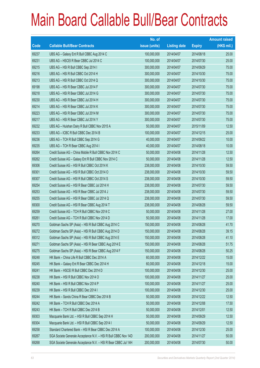|       |                                                                | No. of        |                     |               | <b>Amount raised</b> |
|-------|----------------------------------------------------------------|---------------|---------------------|---------------|----------------------|
| Code  | <b>Callable Bull/Bear Contracts</b>                            | issue (units) | <b>Listing date</b> | <b>Expiry</b> | (HK\$ mil.)          |
| 69237 | UBS AG - Galaxy Ent R Bull CBBC Aug 2014 C                     | 100,000,000   | 2014/04/07          | 2014/08/18    | 25.00                |
| 69231 | UBS AG - HSCEI R Bear CBBC Jul 2014 C                          | 100,000,000   | 2014/04/07          | 2014/07/30    | 25.00                |
| 69215 | UBS AG - HSI R Bull CBBC Sep 2014 I                            | 300,000,000   | 2014/04/07          | 2014/09/29    | 75.00                |
| 69216 | UBS AG - HSI R Bull CBBC Oct 2014 H                            | 300,000,000   | 2014/04/07          | 2014/10/30    | 75.00                |
| 69213 | UBS AG - HSI R Bull CBBC Oct 2014 Q                            | 300,000,000   | 2014/04/07          | 2014/10/30    | 75.00                |
| 69198 | UBS AG - HSI R Bear CBBC Jul 2014 F                            | 300,000,000   | 2014/04/07          | 2014/07/30    | 75.00                |
| 69218 | UBS AG - HSI R Bear CBBC Jul 2014 G                            | 300,000,000   | 2014/04/07          | 2014/07/30    | 75.00                |
| 69230 | UBS AG - HSI R Bear CBBC Jul 2014 H                            | 300,000,000   | 2014/04/07          | 2014/07/30    | 75.00                |
| 69214 | UBS AG - HSI R Bear CBBC Jul 2014 K                            | 300,000,000   | 2014/04/07          | 2014/07/30    | 75.00                |
| 69223 | UBS AG - HSI R Bear CBBC Jul 2014 M                            | 300,000,000   | 2014/04/07          | 2014/07/30    | 75.00                |
| 69217 | UBS AG - HSI R Bear CBBC Jul 2014 Y                            | 300,000,000   | 2014/04/07          | 2014/07/30    | 75.00                |
| 69232 | UBS AG - Huishan Dairy R Bull CBBC Nov 2015 A                  | 50,000,000    | 2014/04/07          | 2015/11/09    | 12.50                |
| 69233 | UBS AG - ICBC R Bull CBBC Dec 2014 B                           | 100,000,000   | 2014/04/07          | 2014/12/15    | 25.00                |
| 69236 | UBS AG - TCH R Bull CBBC Sep 2014 G                            | 40,000,000    | 2014/04/07          | 2014/09/22    | 10.00                |
| 69235 | UBS AG - TCH R Bear CBBC Aug 2014 I                            | 40,000,000    | 2014/04/07          | 2014/08/18    | 10.00                |
| 69264 | Credit Suisse AG - China Mobile R Bull CBBC Nov 2014 C         | 50,000,000    | 2014/04/08          | 2014/11/28    | 12.50                |
| 69262 | Credit Suisse AG - Galaxy Ent R Bull CBBC Nov 2014 C           | 50,000,000    | 2014/04/08          | 2014/11/28    | 12.50                |
| 69306 | Credit Suisse AG - HSI R Bull CBBC Oct 2014 K                  | 238,000,000   | 2014/04/08          | 2014/10/30    | 59.50                |
| 69301 | Credit Suisse AG - HSI R Bull CBBC Oct 2014 O                  | 238,000,000   | 2014/04/08          | 2014/10/30    | 59.50                |
| 69307 | Credit Suisse AG - HSI R Bull CBBC Oct 2014 S                  | 238,000,000   | 2014/04/08          | 2014/10/30    | 59.50                |
| 69254 | Credit Suisse AG - HSI R Bear CBBC Jul 2014 H                  | 238,000,000   | 2014/04/08          | 2014/07/30    | 59.50                |
| 69253 | Credit Suisse AG - HSI R Bear CBBC Jul 2014 J                  | 238,000,000   | 2014/04/08          | 2014/07/30    | 59.50                |
| 69255 | Credit Suisse AG - HSI R Bear CBBC Jul 2014 Q                  | 238,000,000   | 2014/04/08          | 2014/07/30    | 59.50                |
| 69300 | Credit Suisse AG - HSI R Bear CBBC Aug 2014 T                  | 238,000,000   | 2014/04/08          | 2014/08/28    | 59.50                |
| 69259 | Credit Suisse AG - TCH R Bull CBBC Nov 2014 C                  | 50,000,000    | 2014/04/08          | 2014/11/28    | 27.00                |
| 69261 | Credit Suisse AG - TCH R Bull CBBC Nov 2014 D                  | 50,000,000    | 2014/04/08          | 2014/11/28    | 17.00                |
| 69270 | Goldman Sachs SP (Asia) - HSI R Bull CBBC Aug 2014 C           | 150,000,000   | 2014/04/08          | 2014/08/28    | 41.70                |
| 69272 | Goldman Sachs SP (Asia) - HSI R Bull CBBC Aug 2014 D           | 150,000,000   | 2014/04/08          | 2014/08/28    | 39.15                |
| 69312 | Goldman Sachs SP (Asia) - HSI R Bull CBBC Aug 2014 E           | 150,000,000   | 2014/04/08          | 2014/08/28    | 41.10                |
| 69271 | Goldman Sachs SP (Asia) - HSI R Bear CBBC Aug 2014 E           | 150,000,000   | 2014/04/08          | 2014/08/28    | 51.75                |
| 69275 | Goldman Sachs SP (Asia) - HSI R Bear CBBC Aug 2014 F           | 150,000,000   | 2014/04/08          | 2014/08/28    | 50.25                |
| 69248 | HK Bank - China Life R Bull CBBC Dec 2014 A                    | 60,000,000    | 2014/04/08          | 2014/12/22    | 15.00                |
| 69245 | HK Bank - Galaxy Ent R Bear CBBC Dec 2014 H                    | 60,000,000    | 2014/04/08          | 2014/12/18    | 15.00                |
| 69241 | HK Bank - HSCEI R Bull CBBC Dec 2014 D                         | 100,000,000   | 2014/04/08          | 2014/12/30    | 25.00                |
| 69238 | HK Bank - HSI R Bull CBBC Nov 2014 O                           | 100,000,000   | 2014/04/08          | 2014/11/27    | 25.00                |
| 69240 | HK Bank - HSI R Bull CBBC Nov 2014 P                           | 100,000,000   | 2014/04/08          | 2014/11/27    | 25.00                |
| 69239 | HK Bank - HSI R Bull CBBC Dec 2014 I                           | 100,000,000   | 2014/04/08          | 2014/12/30    | 25.00                |
| 69244 | HK Bank - Sands China R Bear CBBC Dec 2014 B                   | 50,000,000    | 2014/04/08          | 2014/12/22    | 12.50                |
| 69242 | HK Bank - TCH R Bull CBBC Dec 2014 A                           | 50,000,000    | 2014/04/08          | 2014/12/08    | 17.50                |
| 69243 | HK Bank - TCH R Bull CBBC Dec 2014 B                           | 50,000,000    | 2014/04/08          | 2014/12/01    | 12.50                |
| 69303 | Macquarie Bank Ltd. - HSI R Bull CBBC Sep 2014 H               | 50,000,000    | 2014/04/08          | 2014/09/29    | 12.50                |
| 69304 | Macquarie Bank Ltd. - HSI R Bull CBBC Sep 2014 I               | 50,000,000    | 2014/04/08          | 2014/09/29    | 12.50                |
| 69258 | Standard Chartered Bank - HSI R Bear CBBC Dec 2014 A           | 100,000,000   | 2014/04/08          | 2014/12/30    | 25.00                |
| 69267 | SGA Societe Generale Acceptance N.V. - HSI R Bull CBBC Nov 14D | 200,000,000   | 2014/04/08          | 2014/11/27    | 50.00                |
| 69268 | SGA Societe Generale Acceptance N.V. - HSI R Bear CBBC Jul 14H | 200,000,000   | 2014/04/08          | 2014/07/30    | 50.00                |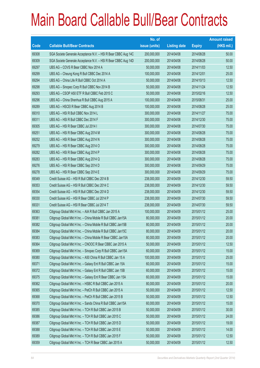|       |                                                                | No. of        |                     |               | <b>Amount raised</b> |
|-------|----------------------------------------------------------------|---------------|---------------------|---------------|----------------------|
| Code  | <b>Callable Bull/Bear Contracts</b>                            | issue (units) | <b>Listing date</b> | <b>Expiry</b> | $(HK$$ mil.)         |
| 69308 | SGA Societe Generale Acceptance N.V. - HSI R Bear CBBC Aug 14C | 200,000,000   | 2014/04/08          | 2014/08/28    | 50.00                |
| 69309 | SGA Societe Generale Acceptance N.V. - HSI R Bear CBBC Aug 14D | 200,000,000   | 2014/04/08          | 2014/08/28    | 50.00                |
| 69297 | UBS AG - COVS R Bear CBBC Nov 2014 A                           | 50,000,000    | 2014/04/08          | 2014/11/03    | 12.50                |
| 69299 | UBS AG - Cheung Kong R Bull CBBC Dec 2014 A                    | 100,000,000   | 2014/04/08          | 2014/12/01    | 25.00                |
| 69294 | UBS AG - China Life R Bull CBBC Oct 2014 A                     | 50,000,000    | 2014/04/08          | 2014/10/13    | 12.50                |
| 69298 | UBS AG - Sinopec Corp R Bull CBBC Nov 2014 B                   | 50,000,000    | 2014/04/08          | 2014/11/24    | 12.50                |
| 69293 | UBS AG - CSOP A50 ETF R Bull CBBC Feb 2015 C                   | 50,000,000    | 2014/04/08          | 2015/02/16    | 12.50                |
| 69296 | UBS AG - China Shenhua R Bull CBBC Aug 2015 A                  | 100,000,000   | 2014/04/08          | 2015/08/31    | 25.00                |
| 69289 | UBS AG - HSCEI R Bear CBBC Aug 2014 B                          | 100,000,000   | 2014/04/08          | 2014/08/28    | 25.00                |
| 69310 | UBS AG - HSI R Bull CBBC Nov 2014 L                            | 300,000,000   | 2014/04/08          | 2014/11/27    | 75.00                |
| 69311 | UBS AG - HSI R Bull CBBC Dec 2014 F                            | 300,000,000   | 2014/04/08          | 2014/12/30    | 75.00                |
| 69305 | UBS AG - HSI R Bear CBBC Jul 2014 I                            | 300,000,000   | 2014/04/08          | 2014/07/30    | 75.00                |
| 69251 | UBS AG - HSI R Bear CBBC Aug 2014 M                            | 300,000,000   | 2014/04/08          | 2014/08/28    | 75.00                |
| 69252 | UBS AG - HSI R Bear CBBC Aug 2014 N                            | 300,000,000   | 2014/04/08          | 2014/08/28    | 75.00                |
| 69279 | UBS AG - HSI R Bear CBBC Aug 2014 O                            | 300,000,000   | 2014/04/08          | 2014/08/28    | 75.00                |
| 69282 | UBS AG - HSI R Bear CBBC Aug 2014 P                            | 300,000,000   | 2014/04/08          | 2014/08/28    | 75.00                |
| 69283 | UBS AG - HSI R Bear CBBC Aug 2014 Q                            | 300,000,000   | 2014/04/08          | 2014/08/28    | 75.00                |
| 69276 | UBS AG - HSI R Bear CBBC Sep 2014 D                            | 300,000,000   | 2014/04/08          | 2014/09/29    | 75.00                |
| 69278 | UBS AG - HSI R Bear CBBC Sep 2014 E                            | 300,000,000   | 2014/04/08          | 2014/09/29    | 75.00                |
| 69349 | Credit Suisse AG - HSI R Bull CBBC Dec 2014 B                  | 238,000,000   | 2014/04/09          | 2014/12/30    | 59.50                |
| 69353 | Credit Suisse AG - HSI R Bull CBBC Dec 2014 C                  | 238,000,000   | 2014/04/09          | 2014/12/30    | 59.50                |
| 69354 | Credit Suisse AG - HSI R Bull CBBC Dec 2014 D                  | 238,000,000   | 2014/04/09          | 2014/12/30    | 59.50                |
| 69330 | Credit Suisse AG - HSI R Bear CBBC Jul 2014 P                  | 238,000,000   | 2014/04/09          | 2014/07/30    | 59.50                |
| 69331 | Credit Suisse AG - HSI R Bear CBBC Jul 2014 T                  | 238,000,000   | 2014/04/09          | 2014/07/30    | 59.50                |
| 69363 | Citigroup Global Mkt H Inc. - AIA R Bull CBBC Jan 2015 A       | 100,000,000   | 2014/04/09          | 2015/01/12    | 25.00                |
| 69381 | Citigroup Global Mkt H Inc. - China Mobile R Bull CBBC Jan15A  | 80,000,000    | 2014/04/09          | 2015/01/12    | 20.00                |
| 69382 | Citigroup Global Mkt H Inc. - China Mobile R Bull CBBC Jan15B  | 80,000,000    | 2014/04/09          | 2015/01/12    | 20.00                |
| 69384 | Citigroup Global Mkt H Inc. - China Mobile R Bull CBBC Jan15C  | 80,000,000    | 2014/04/09          | 2015/01/12    | 20.00                |
| 69383 | Citigroup Global Mkt H Inc. - China Mobile R Bear CBBC Jan15A  | 80,000,000    | 2014/04/09          | 2015/01/12    | 20.00                |
| 69364 | Citigroup Global Mkt H Inc. - CNOOC R Bear CBBC Jan 2015 A     | 50,000,000    | 2014/04/09          | 2015/01/12    | 12.50                |
| 69369 | Citigroup Global Mkt H Inc. - Sinopec Corp R Bull CBBC Jan15A  | 60,000,000    | 2014/04/09          | 2015/01/12    | 15.00                |
| 69380 | Citigroup Global Mkt H Inc. - A50 China R Bull CBBC Jan 15 A   | 100,000,000   | 2014/04/09          | 2015/01/12    | 25.00                |
| 69371 | Citigroup Global Mkt H Inc. - Galaxy Ent R Bull CBBC Jan 15A   | 60,000,000    | 2014/04/09          | 2015/01/12    | 15.00                |
| 69372 | Citigroup Global Mkt H Inc. - Galaxy Ent R Bull CBBC Jan 15B   | 60,000,000    | 2014/04/09          | 2015/01/12    | 15.00                |
| 69375 | Citigroup Global Mkt H Inc. - Galaxy Ent R Bear CBBC Jan 15A   | 60,000,000    | 2014/04/09          | 2015/01/12    | 15.00                |
| 69362 | Citigroup Global Mkt H Inc. - HSBC R Bull CBBC Jan 2015 A      | 80,000,000    | 2014/04/09          | 2015/01/12    | 20.00                |
| 69365 | Citigroup Global Mkt H Inc. - PetCh R Bull CBBC Jan 2015 A     | 50,000,000    | 2014/04/09          | 2015/01/12    | 12.50                |
| 69368 | Citigroup Global Mkt H Inc. - PetCh R Bull CBBC Jan 2015 B     | 50,000,000    | 2014/04/09          | 2015/01/12    | 12.50                |
| 69370 | Citigroup Global Mkt H Inc. - Sands China R Bull CBBC Jan15A   | 60,000,000    | 2014/04/09          | 2015/01/12    | 15.00                |
| 69385 | Citigroup Global Mkt H Inc. - TCH R Bull CBBC Jan 2015 B       | 50,000,000    | 2014/04/09          | 2015/01/12    | 30.00                |
| 69386 | Citigroup Global Mkt H Inc. - TCH R Bull CBBC Jan 2015 C       | 50,000,000    | 2014/04/09          | 2015/01/12    | 24.00                |
| 69387 | Citigroup Global Mkt H Inc. - TCH R Bull CBBC Jan 2015 D       | 50,000,000    | 2014/04/09          | 2015/01/12    | 19.00                |
| 69388 | Citigroup Global Mkt H Inc. - TCH R Bull CBBC Jan 2015 E       | 50,000,000    | 2014/04/09          | 2015/01/12    | 14.00                |
| 69389 | Citigroup Global Mkt H Inc. - TCH R Bull CBBC Jan 2015 F       | 50,000,000    | 2014/04/09          | 2015/01/12    | 12.50                |
| 69359 | Citigroup Global Mkt H Inc. - TCH R Bear CBBC Jan 2015 A       | 50,000,000    | 2014/04/09          | 2015/01/12    | 12.50                |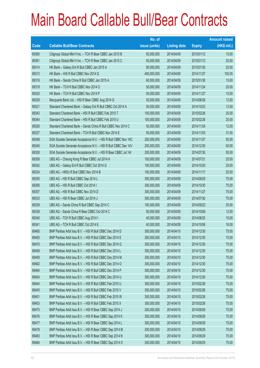|       |                                                                | No. of        |                     |               | <b>Amount raised</b> |
|-------|----------------------------------------------------------------|---------------|---------------------|---------------|----------------------|
| Code  | <b>Callable Bull/Bear Contracts</b>                            | issue (units) | <b>Listing date</b> | <b>Expiry</b> | (HK\$ mil.)          |
| 69360 | Citigroup Global Mkt H Inc. - TCH R Bear CBBC Jan 2015 B       | 50,000,000    | 2014/04/09          | 2015/01/12    | 15.00                |
| 69361 | Citigroup Global Mkt H Inc. - TCH R Bear CBBC Jan 2015 C       | 50,000,000    | 2014/04/09          | 2015/01/12    | 20.00                |
| 69314 | HK Bank - Galaxy Ent R Bull CBBC Jan 2015 A                    | 80,000,000    | 2014/04/09          | 2015/01/30    | 20.00                |
| 69313 | HK Bank - HSI R Bull CBBC Nov 2014 Q                           | 400,000,000   | 2014/04/09          | 2014/11/27    | 100.00               |
| 69316 | HK Bank - Sands China R Bull CBBC Jan 2015 A                   | 60,000,000    | 2014/04/09          | 2015/01/30    | 15.00                |
| 69319 | HK Bank - TCH R Bull CBBC Nov 2014 O                           | 50,000,000    | 2014/04/09          | 2014/11/24    | 20.00                |
| 69320 | HK Bank - TCH R Bull CBBC Nov 2014 P                           | 50,000,000    | 2014/04/09          | 2014/11/27    | 15.00                |
| 69329 | Macquarie Bank Ltd. - HSI R Bear CBBC Aug 2014 G               | 50,000,000    | 2014/04/09          | 2014/08/28    | 12.50                |
| 69321 | Standard Chartered Bank - Galaxy Ent R Bull CBBC Oct 2014 A    | 50,000,000    | 2014/04/09          | 2014/10/23    | 12.50                |
| 69343 | Standard Chartered Bank - HSI R Bull CBBC Feb 2015 T           | 100,000,000   | 2014/04/09          | 2015/02/26    | 25.00                |
| 69344 | Standard Chartered Bank - HSI R Bull CBBC Feb 2015 U           | 100,000,000   | 2014/04/09          | 2015/02/26    | 25.00                |
| 69326 | Standard Chartered Bank - Sands China R Bull CBBC Nov 2014 C   | 50,000,000    | 2014/04/09          | 2014/11/24    | 12.50                |
| 69327 | Standard Chartered Bank - TCH R Bull CBBC Nov 2014 E           | 50,000,000    | 2014/04/09          | 2014/11/03    | 31.00                |
| 69348 | SGA Societe Generale Acceptance N.V. - HSI R Bull CBBC Nov 14C | 200,000,000   | 2014/04/09          | 2014/11/27    | 50.00                |
| 69345 | SGA Societe Generale Acceptance N.V. - HSI R Bull CBBC Dec 14V | 200,000,000   | 2014/04/09          | 2014/12/30    | 50.00                |
| 69328 | SGA Societe Generale Acceptance N.V. - HSI R Bear CBBC Jul 141 | 200,000,000   | 2014/04/09          | 2014/07/30    | 50.00                |
| 69358 | UBS AG - Cheung Kong R Bear CBBC Jul 2014 A                    | 100,000,000   | 2014/04/09          | 2014/07/21    | 25.00                |
| 69342 | UBS AG - Galaxy Ent R Bull CBBC Oct 2014 G                     | 100,000,000   | 2014/04/09          | 2014/10/20    | 25.00                |
| 69334 | UBS AG - HKEx R Bull CBBC Nov 2014 B                           | 100,000,000   | 2014/04/09          | 2014/11/17    | 25.00                |
| 69355 | UBS AG - HSI R Bull CBBC Sep 2014 L                            | 300,000,000   | 2014/04/09          | 2014/09/29    | 75.00                |
| 69356 | UBS AG - HSI R Bull CBBC Oct 2014 I                            | 300,000,000   | 2014/04/09          | 2014/10/30    | 75.00                |
| 69357 | UBS AG - HSI R Bull CBBC Nov 2014 D                            | 300,000,000   | 2014/04/09          | 2014/11/27    | 75.00                |
| 69333 | UBS AG - HSI R Bear CBBC Jul 2014 J                            | 300,000,000   | 2014/04/09          | 2014/07/30    | 75.00                |
| 69339 | UBS AG - Sands China R Bull CBBC Sep 2014 C                    | 100,000,000   | 2014/04/09          | 2014/09/22    | 25.00                |
| 69338 | UBS AG - Sands China R Bear CBBC Oct 2014 C                    | 50,000,000    | 2014/04/09          | 2014/10/06    | 12.50                |
| 69340 | UBS AG - TCH R Bull CBBC Aug 2014 I                            | 40,000,000    | 2014/04/09          | 2014/08/25    | 10.00                |
| 69341 | UBS AG - TCH R Bull CBBC Oct 2014 E                            | 40,000,000    | 2014/04/09          | 2014/10/06    | 16.00                |
| 69465 | BNP Paribas Arbit Issu B.V. - HSI R Bull CBBC Dec 2014 D       | 300,000,000   | 2014/04/10          | 2014/12/30    | 75.00                |
| 69455 | BNP Paribas Arbit Issu B.V. - HSI R Bull CBBC Dec 2014 E       | 300,000,000   | 2014/04/10          | 2014/12/30    | 75.00                |
| 69470 | BNP Paribas Arbit Issu B.V. - HSI R Bull CBBC Dec 2014 G       | 300,000,000   | 2014/04/10          | 2014/12/30    | 75.00                |
| 69458 | BNP Paribas Arbit Issu B.V. - HSI R Bull CBBC Dec 2014 L       | 300,000,000   | 2014/04/10          | 2014/12/30    | 75.00                |
| 69459 | BNP Paribas Arbit Issu B.V. - HSI R Bull CBBC Dec 2014 M       | 300,000,000   | 2014/04/10          | 2014/12/30    | 75.00                |
| 69462 | BNP Paribas Arbit Issu B.V. - HSI R Bull CBBC Dec 2014 O       | 300,000,000   | 2014/04/10          | 2014/12/30    | 75.00                |
| 69464 | BNP Paribas Arbit Issu B.V. - HSI R Bull CBBC Dec 2014 P       | 300,000,000   | 2014/04/10          | 2014/12/30    | 75.00                |
| 69454 | BNP Paribas Arbit Issu B.V. - HSI R Bull CBBC Dec 2014 U       | 300,000,000   | 2014/04/10          | 2014/12/30    | 75.00                |
| 69444 | BNP Paribas Arbit Issu B.V. - HSI R Bull CBBC Feb 2015 U       | 300,000,000   | 2014/04/10          | 2015/02/26    | 75.00                |
| 69445 | BNP Paribas Arbit Issu B.V. - HSI R Bull CBBC Feb 2015 V       | 300,000,000   | 2014/04/10          | 2015/02/26    | 75.00                |
| 69451 | BNP Paribas Arbit Issu B.V. - HSI R Bull CBBC Feb 2015 W       | 300,000,000   | 2014/04/10          | 2015/02/26    | 75.00                |
| 69453 | BNP Paribas Arbit Issu B.V. - HSI R Bull CBBC Feb 2015 X       | 300,000,000   | 2014/04/10          | 2015/02/26    | 75.00                |
| 69475 | BNP Paribas Arbit Issu B.V. - HSI R Bear CBBC Sep 2014 J       | 300,000,000   | 2014/04/10          | 2014/09/29    | 75.00                |
| 69476 | BNP Paribas Arbit Issu B.V. - HSI R Bear CBBC Sep 2014 K       | 300,000,000   | 2014/04/10          | 2014/09/29    | 75.00                |
| 69477 | BNP Paribas Arbit Issu B.V. - HSI R Bear CBBC Sep 2014 L       | 300,000,000   | 2014/04/10          | 2014/09/29    | 75.00                |
| 69478 | BNP Paribas Arbit Issu B.V. - HSI R Bear CBBC Sep 2014 M       | 300,000,000   | 2014/04/10          | 2014/09/29    | 75.00                |
| 69483 | BNP Paribas Arbit Issu B.V. - HSI R Bear CBBC Sep 2014 N       | 300,000,000   | 2014/04/10          | 2014/09/29    | 75.00                |
| 69484 | BNP Paribas Arbit Issu B.V. - HSI R Bear CBBC Sep 2014 O       | 300,000,000   | 2014/04/10          | 2014/09/29    | 75.00                |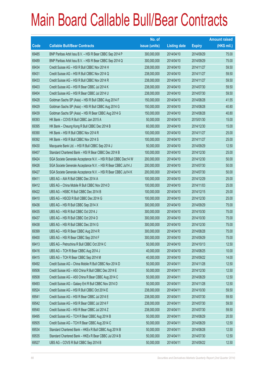|       |                                                                | No. of        |                     |               | <b>Amount raised</b> |
|-------|----------------------------------------------------------------|---------------|---------------------|---------------|----------------------|
| Code  | <b>Callable Bull/Bear Contracts</b>                            | issue (units) | <b>Listing date</b> | <b>Expiry</b> | $(HK$$ mil.)         |
| 69485 | BNP Paribas Arbit Issu B.V. - HSI R Bear CBBC Sep 2014 P       | 300,000,000   | 2014/04/10          | 2014/09/29    | 75.00                |
| 69489 | BNP Paribas Arbit Issu B.V. - HSI R Bear CBBC Sep 2014 Q       | 300,000,000   | 2014/04/10          | 2014/09/29    | 75.00                |
| 69434 | Credit Suisse AG - HSI R Bull CBBC Nov 2014 H                  | 238,000,000   | 2014/04/10          | 2014/11/27    | 59.50                |
| 69431 | Credit Suisse AG - HSI R Bull CBBC Nov 2014 Q                  | 238,000,000   | 2014/04/10          | 2014/11/27    | 59.50                |
| 69433 | Credit Suisse AG - HSI R Bull CBBC Nov 2014 R                  | 238,000,000   | 2014/04/10          | 2014/11/27    | 59.50                |
| 69403 | Credit Suisse AG - HSI R Bear CBBC Jul 2014 K                  | 238,000,000   | 2014/04/10          | 2014/07/30    | 59.50                |
| 69404 | Credit Suisse AG - HSI R Bear CBBC Jul 2014 U                  | 238,000,000   | 2014/04/10          | 2014/07/30    | 59.50                |
| 69428 | Goldman Sachs SP (Asia) - HSI R Bull CBBC Aug 2014 F           | 150,000,000   | 2014/04/10          | 2014/08/28    | 41.55                |
| 69429 | Goldman Sachs SP (Asia) - HSI R Bull CBBC Aug 2014 G           | 150,000,000   | 2014/04/10          | 2014/08/28    | 40.80                |
| 69439 | Goldman Sachs SP (Asia) - HSI R Bear CBBC Aug 2014 G           | 150,000,000   | 2014/04/10          | 2014/08/28    | 40.80                |
| 69393 | HK Bank - COVS R Bull CBBC Jan 2015 A                          | 50,000,000    | 2014/04/10          | 2015/01/30    | 15.00                |
| 69395 | HK Bank - Cheung Kong R Bull CBBC Dec 2014 B                   | 60,000,000    | 2014/04/10          | 2014/12/30    | 15.00                |
| 69390 | HK Bank - HSI R Bull CBBC Nov 2014 R                           | 100,000,000   | 2014/04/10          | 2014/11/27    | 25.00                |
| 69392 | HK Bank - HSI R Bull CBBC Nov 2014 S                           | 100,000,000   | 2014/04/10          | 2014/11/27    | 25.00                |
| 69430 | Macquarie Bank Ltd. - HSI R Bull CBBC Sep 2014 J               | 50,000,000    | 2014/04/10          | 2014/09/29    | 12.50                |
| 69407 | Standard Chartered Bank - HSI R Bear CBBC Dec 2014 B           | 100,000,000   | 2014/04/10          | 2014/12/30    | 25.00                |
| 69424 | SGA Societe Generale Acceptance N.V. - HSI R Bull CBBC Dec14 W | 200,000,000   | 2014/04/10          | 2014/12/30    | 50.00                |
| 69426 | SGA Societe Generale Acceptance N.V. - HSI R Bear CBBC Jul14 J | 200,000,000   | 2014/04/10          | 2014/07/30    | 50.00                |
| 69427 | SGA Societe Generale Acceptance N.V. - HSI R Bear CBBC Jul14 K | 200,000,000   | 2014/04/10          | 2014/07/30    | 50.00                |
| 69411 | UBS AG - AIA R Bull CBBC Dec 2014 A                            | 100,000,000   | 2014/04/10          | 2014/12/29    | 25.00                |
| 69412 | UBS AG - China Mobile R Bull CBBC Nov 2014 D                   | 100,000,000   | 2014/04/10          | 2014/11/03    | 25.00                |
| 69422 | UBS AG - HSBC R Bull CBBC Dec 2014 B                           | 100,000,000   | 2014/04/10          | 2014/12/15    | 25.00                |
| 69410 | UBS AG - HSCEI R Bull CBBC Dec 2014 G                          | 100,000,000   | 2014/04/10          | 2014/12/30    | 25.00                |
| 69436 | UBS AG - HSI R Bull CBBC Sep 2014 X                            | 300,000,000   | 2014/04/10          | 2014/09/29    | 75.00                |
| 69435 | UBS AG - HSI R Bull CBBC Oct 2014 J                            | 300,000,000   | 2014/04/10          | 2014/10/30    | 75.00                |
| 69437 | UBS AG - HSI R Bull CBBC Oct 2014 O                            | 300,000,000   | 2014/04/10          | 2014/10/30    | 75.00                |
| 69438 | UBS AG - HSI R Bull CBBC Dec 2014 G                            | 300,000,000   | 2014/04/10          | 2014/12/30    | 75.00                |
| 69399 | UBS AG - HSI R Bear CBBC Aug 2014 R                            | 300,000,000   | 2014/04/10          | 2014/08/28    | 75.00                |
| 69400 | UBS AG - HSI R Bear CBBC Sep 2014 F                            | 300,000,000   | 2014/04/10          | 2014/09/29    | 75.00                |
| 69413 | UBS AG - Petrochina R Bull CBBC Oct 2014 C                     | 50,000,000    | 2014/04/10          | 2014/10/13    | 12.50                |
| 69416 | UBS AG - TCH R Bear CBBC Aug 2014 J                            | 40,000,000    | 2014/04/10          | 2014/08/25    | 10.00                |
| 69415 | UBS AG - TCH R Bear CBBC Sep 2014 M                            | 40,000,000    | 2014/04/10          | 2014/09/22    | 14.00                |
| 69492 | Credit Suisse AG - China Mobile R Bull CBBC Nov 2014 D         | 50,000,000    | 2014/04/11          | 2014/11/28    | 12.50                |
| 69506 | Credit Suisse AG - A50 China R Bull CBBC Dec 2014 E            | 50,000,000    | 2014/04/11          | 2014/12/30    | 12.50                |
| 69508 | Credit Suisse AG - A50 China R Bear CBBC Aug 2014 C            | 50,000,000    | 2014/04/11          | 2014/08/29    | 12.50                |
| 69493 | Credit Suisse AG - Galaxy Ent R Bull CBBC Nov 2014 D           | 50,000,000    | 2014/04/11          | 2014/11/28    | 12.50                |
| 69524 | Credit Suisse AG - HSI R Bull CBBC Oct 2014 E                  | 238,000,000   | 2014/04/11          | 2014/10/30    | 59.50                |
| 69541 | Credit Suisse AG - HSI R Bear CBBC Jul 2014 E                  | 238,000,000   | 2014/04/11          | 2014/07/30    | 59.50                |
| 69542 | Credit Suisse AG - HSI R Bear CBBC Jul 2014 F                  | 238,000,000   | 2014/04/11          | 2014/07/30    | 59.50                |
| 69540 | Credit Suisse AG - HSI R Bear CBBC Jul 2014 Z                  | 238,000,000   | 2014/04/11          | 2014/07/30    | 59.50                |
| 69495 | Credit Suisse AG - TCH R Bear CBBC Aug 2014 B                  | 50,000,000    | 2014/04/11          | 2014/08/29    | 20.50                |
| 69505 | Credit Suisse AG - TCH R Bear CBBC Aug 2014 C                  | 50,000,000    | 2014/04/11          | 2014/08/29    | 12.50                |
| 69534 | Standard Chartered Bank - HKEx R Bull CBBC Aug 2014 B          | 50,000,000    | 2014/04/11          | 2014/08/28    | 12.50                |
| 69535 | Standard Chartered Bank - HKEx R Bear CBBC Jul 2014 B          | 50,000,000    | 2014/04/11          | 2014/07/30    | 12.50                |
| 69527 | UBS AG - COVS R Bull CBBC Sep 2014 B                           | 50,000,000    | 2014/04/11          | 2014/09/22    | 12.50                |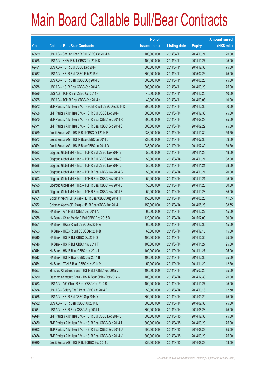|       |                                                            | No. of        |                     |               | <b>Amount raised</b> |
|-------|------------------------------------------------------------|---------------|---------------------|---------------|----------------------|
| Code  | <b>Callable Bull/Bear Contracts</b>                        | issue (units) | <b>Listing date</b> | <b>Expiry</b> | $(HK$$ mil.)         |
| 69529 | UBS AG - Cheung Kong R Bull CBBC Oct 2014 A                | 100,000,000   | 2014/04/11          | 2014/10/27    | 25.00                |
| 69528 | UBS AG - HKEx R Bull CBBC Oct 2014 B                       | 100,000,000   | 2014/04/11          | 2014/10/27    | 25.00                |
| 69491 | UBS AG - HSI R Bull CBBC Dec 2014 H                        | 300,000,000   | 2014/04/11          | 2014/12/30    | 75.00                |
| 69537 | UBS AG - HSI R Bull CBBC Feb 2015 G                        | 300,000,000   | 2014/04/11          | 2015/02/26    | 75.00                |
| 69539 | UBS AG - HSI R Bear CBBC Aug 2014 S                        | 300,000,000   | 2014/04/11          | 2014/08/28    | 75.00                |
| 69538 | UBS AG - HSI R Bear CBBC Sep 2014 G                        | 300,000,000   | 2014/04/11          | 2014/09/29    | 75.00                |
| 69526 | UBS AG - TCH R Bull CBBC Oct 2014 F                        | 40,000,000    | 2014/04/11          | 2014/10/20    | 10.00                |
| 69525 | UBS AG - TCH R Bear CBBC Sep 2014 N                        | 40,000,000    | 2014/04/11          | 2014/09/08    | 10.00                |
| 69572 | BNP Paribas Arbit Issu B.V. - HSCEI R Bull CBBC Dec 2014 D | 200,000,000   | 2014/04/14          | 2014/12/30    | 50.00                |
| 69568 | BNP Paribas Arbit Issu B.V. - HSI R Bull CBBC Dec 2014 H   | 300,000,000   | 2014/04/14          | 2014/12/30    | 75.00                |
| 69570 | BNP Paribas Arbit Issu B.V. - HSI R Bear CBBC Sep 2014 R   | 300,000,000   | 2014/04/14          | 2014/09/29    | 75.00                |
| 69571 | BNP Paribas Arbit Issu B.V. - HSI R Bear CBBC Sep 2014 S   | 300,000,000   | 2014/04/14          | 2014/09/29    | 75.00                |
| 69559 | Credit Suisse AG - HSI R Bull CBBC Oct 2014 F              | 238,000,000   | 2014/04/14          | 2014/10/30    | 59.50                |
| 69573 | Credit Suisse AG - HSI R Bear CBBC Jul 2014 L              | 238,000,000   | 2014/04/14          | 2014/07/30    | 59.50                |
| 69574 | Credit Suisse AG - HSI R Bear CBBC Jul 2014 O              | 238,000,000   | 2014/04/14          | 2014/07/30    | 59.50                |
| 69583 | Citigroup Global Mkt H Inc. - TCH R Bull CBBC Nov 2014 B   | 50,000,000    | 2014/04/14          | 2014/11/28    | 48.00                |
| 69585 | Citigroup Global Mkt H Inc. - TCH R Bull CBBC Nov 2014 C   | 50,000,000    | 2014/04/14          | 2014/11/21    | 38.00                |
| 69588 | Citigroup Global Mkt H Inc. - TCH R Bull CBBC Nov 2014 D   | 50,000,000    | 2014/04/14          | 2014/11/21    | 28.00                |
| 69589 | Citigroup Global Mkt H Inc. - TCH R Bear CBBC Nov 2014 C   | 50,000,000    | 2014/04/14          | 2014/11/21    | 20.00                |
| 69593 | Citigroup Global Mkt H Inc. - TCH R Bear CBBC Nov 2014 D   | 50,000,000    | 2014/04/14          | 2014/11/21    | 25.00                |
| 69595 | Citigroup Global Mkt H Inc. - TCH R Bear CBBC Nov 2014 E   | 50,000,000    | 2014/04/14          | 2014/11/28    | 30.00                |
| 69596 | Citigroup Global Mkt H Inc. - TCH R Bear CBBC Nov 2014 F   | 50,000,000    | 2014/04/14          | 2014/11/28    | 35.00                |
| 69561 | Goldman Sachs SP (Asia) - HSI R Bear CBBC Aug 2014 H       | 150,000,000   | 2014/04/14          | 2014/08/28    | 41.85                |
| 69562 | Goldman Sachs SP (Asia) - HSI R Bear CBBC Aug 2014 I       | 150,000,000   | 2014/04/14          | 2014/08/28    | 38.55                |
| 69557 | HK Bank - AIA R Bull CBBC Dec 2014 A                       | 60,000,000    | 2014/04/14          | 2014/12/22    | 15.00                |
| 69558 | HK Bank - China Mobile R Bull CBBC Feb 2015 D              | 120,000,000   | 2014/04/14          | 2015/02/09    | 30.00                |
| 69551 | HK Bank - HKEx R Bull CBBC Dec 2014 A                      | 60,000,000    | 2014/04/14          | 2014/12/30    | 15.00                |
| 69553 | HK Bank - HKEx R Bull CBBC Dec 2014 B                      | 60,000,000    | 2014/04/14          | 2014/12/15    | 15.00                |
| 69545 | HK Bank - HSI R Bull CBBC Oct 2014 S                       | 100,000,000   | 2014/04/14          | 2014/10/30    | 25.00                |
| 69546 | HK Bank - HSI R Bull CBBC Nov 2014 T                       | 100,000,000   | 2014/04/14          | 2014/11/27    | 25.00                |
| 69544 | HK Bank - HSI R Bear CBBC Nov 2014 L                       | 100,000,000   | 2014/04/14          | 2014/11/27    | 25.00                |
| 69543 | HK Bank - HSI R Bear CBBC Dec 2014 H                       | 100,000,000   | 2014/04/14          | 2014/12/30    | 25.00                |
| 69554 | HK Bank - TCH R Bear CBBC Nov 2014 M                       | 50,000,000    | 2014/04/14          | 2014/11/20    | 12.50                |
| 69567 | Standard Chartered Bank - HSI R Bull CBBC Feb 2015 V       | 100,000,000   | 2014/04/14          | 2015/02/26    | 25.00                |
| 69560 | Standard Chartered Bank - HSI R Bear CBBC Dec 2014 C       | 100,000,000   | 2014/04/14          | 2014/12/30    | 25.00                |
| 69563 | UBS AG - A50 China R Bear CBBC Oct 2014 B                  | 100,000,000   | 2014/04/14          | 2014/10/27    | 25.00                |
| 69564 | UBS AG - Galaxy Ent R Bear CBBC Oct 2014 E                 | 50,000,000    | 2014/04/14          | 2014/10/13    | 12.50                |
| 69565 | UBS AG - HSI R Bull CBBC Sep 2014 Y                        | 300,000,000   | 2014/04/14          | 2014/09/29    | 75.00                |
| 69582 | UBS AG - HSI R Bear CBBC Jul 2014 L                        | 300,000,000   | 2014/04/14          | 2014/07/30    | 75.00                |
| 69581 | UBS AG - HSI R Bear CBBC Aug 2014 T                        | 300,000,000   | 2014/04/14          | 2014/08/28    | 75.00                |
| 69644 | BNP Paribas Arbit Issu B.V. - HSI R Bull CBBC Dec 2014 C   | 300,000,000   | 2014/04/15          | 2014/12/30    | 75.00                |
| 69650 | BNP Paribas Arbit Issu B.V. - HSI R Bear CBBC Sep 2014 T   | 300,000,000   | 2014/04/15          | 2014/09/29    | 75.00                |
| 69652 | BNP Paribas Arbit Issu B.V. - HSI R Bear CBBC Sep 2014 U   | 300,000,000   | 2014/04/15          | 2014/09/29    | 75.00                |
| 69654 | BNP Paribas Arbit Issu B.V. - HSI R Bear CBBC Sep 2014 V   | 300,000,000   | 2014/04/15          | 2014/09/29    | 75.00                |
| 69620 | Credit Suisse AG - HSI R Bull CBBC Sep 2014 J              | 238,000,000   | 2014/04/15          | 2014/09/29    | 59.50                |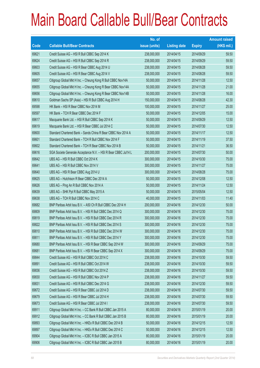|       |                                                                | No. of        |                     |               | <b>Amount raised</b> |
|-------|----------------------------------------------------------------|---------------|---------------------|---------------|----------------------|
| Code  | <b>Callable Bull/Bear Contracts</b>                            | issue (units) | <b>Listing date</b> | <b>Expiry</b> | (HK\$ mil.)          |
| 69621 | Credit Suisse AG - HSI R Bull CBBC Sep 2014 K                  | 238,000,000   | 2014/04/15          | 2014/09/29    | 59.50                |
| 69624 | Credit Suisse AG - HSI R Bull CBBC Sep 2014 R                  | 238,000,000   | 2014/04/15          | 2014/09/29    | 59.50                |
| 69603 | Credit Suisse AG - HSI R Bear CBBC Aug 2014 U                  | 238,000,000   | 2014/04/15          | 2014/08/28    | 59.50                |
| 69605 | Credit Suisse AG - HSI R Bear CBBC Aug 2014 V                  | 238,000,000   | 2014/04/15          | 2014/08/28    | 59.50                |
| 69657 | Citigroup Global Mkt H Inc. - Cheung Kong R Bull CBBC Nov14A   | 50,000,000    | 2014/04/15          | 2014/11/28    | 12.50                |
| 69655 | Citigroup Global Mkt H Inc. - Cheung Kong R Bear CBBC Nov14A   | 50,000,000    | 2014/04/15          | 2014/11/28    | 21.00                |
| 69656 | Citigroup Global Mkt H Inc. - Cheung Kong R Bear CBBC Nov14B   | 50,000,000    | 2014/04/15          | 2014/11/28    | 16.00                |
| 69610 | Goldman Sachs SP (Asia) - HSI R Bull CBBC Aug 2014 H           | 150,000,000   | 2014/04/15          | 2014/08/28    | 42.30                |
| 69598 | HK Bank - HSI R Bear CBBC Nov 2014 M                           | 100,000,000   | 2014/04/15          | 2014/11/27    | 25.00                |
| 69597 | HK Bank - TCH R Bear CBBC Dec 2014 F                           | 50,000,000    | 2014/04/15          | 2014/12/05    | 15.00                |
| 69617 | Macquarie Bank Ltd. - HSI R Bull CBBC Sep 2014 K               | 50,000,000    | 2014/04/15          | 2014/09/29    | 12.50                |
| 69619 | Macquarie Bank Ltd. - HSI R Bear CBBC Jul 2014 C               | 50,000,000    | 2014/04/15          | 2014/07/30    | 12.50                |
| 69600 | Standard Chartered Bank - Sands China R Bear CBBC Nov 2014 A   | 50,000,000    | 2014/04/15          | 2014/11/17    | 12.50                |
| 69601 | Standard Chartered Bank - TCH R Bull CBBC Nov 2014 F           | 50,000,000    | 2014/04/15          | 2014/11/19    | 37.50                |
| 69602 | Standard Chartered Bank - TCH R Bear CBBC Nov 2014 B           | 50,000,000    | 2014/04/15          | 2014/11/21    | 36.50                |
| 69616 | SGA Societe Generale Acceptance N.V. - HSI R Bear CBBC Jul14 L | 200,000,000   | 2014/04/15          | 2014/07/30    | 50.00                |
| 69642 | UBS AG - HSI R Bull CBBC Oct 2014 K                            | 300,000,000   | 2014/04/15          | 2014/10/30    | 75.00                |
| 69641 | UBS AG - HSI R Bull CBBC Nov 2014 V                            | 300,000,000   | 2014/04/15          | 2014/11/27    | 75.00                |
| 69640 | UBS AG - HSI R Bear CBBC Aug 2014 U                            | 300,000,000   | 2014/04/15          | 2014/08/28    | 75.00                |
| 69625 | UBS AG - Hutchison R Bear CBBC Dec 2014 A                      | 50,000,000    | 2014/04/15          | 2014/12/08    | 12.50                |
| 69626 | UBS AG - Ping An R Bull CBBC Nov 2014 A                        | 50,000,000    | 2014/04/15          | 2014/11/24    | 12.50                |
| 69639 | UBS AG - SHK Ppt R Bull CBBC May 2015 A                        | 50,000,000    | 2014/04/15          | 2015/05/04    | 12.50                |
| 69638 | UBS AG - TCH R Bull CBBC Nov 2014 C                            | 40,000,000    | 2014/04/15          | 2014/11/03    | 11.40                |
| 69682 | BNP Paribas Arbit Issu B.V. - A50 Ch R Bull CBBC Dec 2014 H    | 200,000,000   | 2014/04/16          | 2014/12/30    | 50.00                |
| 69809 | BNP Paribas Arbit Issu B.V. - HSI R Bull CBBC Dec 2014 Q       | 300,000,000   | 2014/04/16          | 2014/12/30    | 75.00                |
| 69819 | BNP Paribas Arbit Issu B.V. - HSI R Bull CBBC Dec 2014 R       | 300,000,000   | 2014/04/16          | 2014/12/30    | 75.00                |
| 69822 | BNP Paribas Arbit Issu B.V. - HSI R Bull CBBC Dec 2014 S       | 300,000,000   | 2014/04/16          | 2014/12/30    | 75.00                |
| 69810 | BNP Paribas Arbit Issu B.V. - HSI R Bull CBBC Dec 2014 W       | 300,000,000   | 2014/04/16          | 2014/12/30    | 75.00                |
| 69811 | BNP Paribas Arbit Issu B.V. - HSI R Bull CBBC Dec 2014 Y       | 300,000,000   | 2014/04/16          | 2014/12/30    | 75.00                |
| 69680 | BNP Paribas Arbit Issu B.V. - HSI R Bear CBBC Sep 2014 W       | 300,000,000   | 2014/04/16          | 2014/09/29    | 75.00                |
| 69681 | BNP Paribas Arbit Issu B.V. - HSI R Bear CBBC Sep 2014 X       | 300,000,000   | 2014/04/16          | 2014/09/29    | 75.00                |
| 69844 | Credit Suisse AG - HSI R Bull CBBC Oct 2014 C                  | 238,000,000   | 2014/04/16          | 2014/10/30    | 59.50                |
| 69891 | Credit Suisse AG - HSI R Bull CBBC Oct 2014 W                  | 238,000,000   | 2014/04/16          | 2014/10/30    | 59.50                |
| 69836 | Credit Suisse AG - HSI R Bull CBBC Oct 2014 Z                  | 238,000,000   | 2014/04/16          | 2014/10/30    | 59.50                |
| 69830 | Credit Suisse AG - HSI R Bull CBBC Nov 2014 P                  | 238,000,000   | 2014/04/16          | 2014/11/27    | 59.50                |
| 69831 | Credit Suisse AG - HSI R Bull CBBC Dec 2014 G                  | 238,000,000   | 2014/04/16          | 2014/12/30    | 59.50                |
| 69672 | Credit Suisse AG - HSI R Bear CBBC Jul 2014 D                  | 238,000,000   | 2014/04/16          | 2014/07/30    | 59.50                |
| 69679 | Credit Suisse AG - HSI R Bear CBBC Jul 2014 H                  | 238,000,000   | 2014/04/16          | 2014/07/30    | 59.50                |
| 69673 | Credit Suisse AG - HSI R Bear CBBC Jul 2014 I                  | 238,000,000   | 2014/04/16          | 2014/07/30    | 59.50                |
| 69911 | Citigroup Global Mkt H Inc. - CC Bank R Bull CBBC Jan 2015 A   | 80,000,000    | 2014/04/16          | 2015/01/19    | 20.00                |
| 69912 | Citigroup Global Mkt H Inc. - CC Bank R Bull CBBC Jan 2015 B   | 80,000,000    | 2014/04/16          | 2015/01/19    | 20.00                |
| 69893 | Citigroup Global Mkt H Inc. - HKEx R Bull CBBC Dec 2014 B      | 50,000,000    | 2014/04/16          | 2014/12/15    | 12.50                |
| 69897 | Citigroup Global Mkt H Inc. - HKEx R Bull CBBC Dec 2014 C      | 50,000,000    | 2014/04/16          | 2014/12/15    | 12.50                |
| 69904 | Citigroup Global Mkt H Inc. - ICBC R Bull CBBC Jan 2015 A      | 80,000,000    | 2014/04/16          | 2015/01/19    | 20.00                |
| 69906 | Citigroup Global Mkt H Inc. - ICBC R Bull CBBC Jan 2015 B      | 80,000,000    | 2014/04/16          | 2015/01/19    | 20.00                |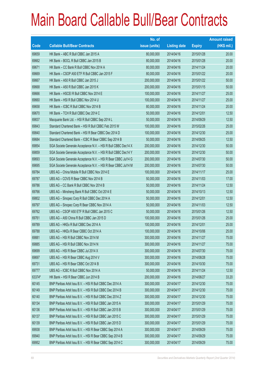|        |                                                                | No. of        |                     |               | <b>Amount raised</b> |
|--------|----------------------------------------------------------------|---------------|---------------------|---------------|----------------------|
| Code   | <b>Callable Bull/Bear Contracts</b>                            | issue (units) | <b>Listing date</b> | <b>Expiry</b> | (HK\$ mil.)          |
| 69659  | HK Bank - ABC R Bull CBBC Jan 2015 A                           | 80,000,000    | 2014/04/16          | 2015/01/28    | 20.00                |
| 69662  | HK Bank - BOCL R Bull CBBC Jan 2015 B                          | 80,000,000    | 2014/04/16          | 2015/01/28    | 20.00                |
| 69671  | HK Bank - CC Bank R Bull CBBC Nov 2014 A                       | 80,000,000    | 2014/04/16          | 2014/11/24    | 20.00                |
| 69669  | HK Bank - CSOP A50 ETF R Bull CBBC Jan 2015 F                  | 80,000,000    | 2014/04/16          | 2015/01/22    | 20.00                |
| 69667  | HK Bank - A50 R Bull CBBC Jan 2015 J                           | 200,000,000   | 2014/04/16          | 2015/01/22    | 50.00                |
| 69668  | HK Bank - A50 R Bull CBBC Jan 2015 K                           | 200,000,000   | 2014/04/16          | 2015/01/15    | 50.00                |
| 69666  | HK Bank - HSCEI R Bull CBBC Nov 2014 E                         | 100,000,000   | 2014/04/16          | 2014/11/27    | 25.00                |
| 69660  | HK Bank - HSI R Bull CBBC Nov 2014 U                           | 100,000,000   | 2014/04/16          | 2014/11/27    | 25.00                |
| 69658  | HK Bank - ICBC R Bull CBBC Nov 2014 B                          | 80,000,000    | 2014/04/16          | 2014/11/24    | 20.00                |
| 69670  | HK Bank - TCH R Bull CBBC Dec 2014 C                           | 50,000,000    | 2014/04/16          | 2014/12/01    | 12.50                |
| 69837  | Macquarie Bank Ltd. - HSI R Bull CBBC Sep 2014 L               | 50,000,000    | 2014/04/16          | 2014/09/29    | 12.50                |
| 69843  | Standard Chartered Bank - HSI R Bull CBBC Feb 2015 W           | 100,000,000   | 2014/04/16          | 2015/02/26    | 25.00                |
| 69840  | Standard Chartered Bank - HSI R Bear CBBC Dec 2014 D           | 100,000,000   | 2014/04/16          | 2014/12/30    | 25.00                |
| 69684  | Standard Chartered Bank - ICBC R Bear CBBC Sep 2014 B          | 50,000,000    | 2014/04/16          | 2014/09/25    | 12.50                |
| 69854  | SGA Societe Generale Acceptance N.V. - HSI R Bull CBBC Dec14 X | 200,000,000   | 2014/04/16          | 2014/12/30    | 50.00                |
| 69859  | SGA Societe Generale Acceptance N.V. - HSI R Bull CBBC Dec14 Y | 200,000,000   | 2014/04/16          | 2014/12/30    | 50.00                |
| 69693  | SGA Societe Generale Acceptance N.V. - HSI R Bear CBBC Jul14 G | 200,000,000   | 2014/04/16          | 2014/07/30    | 50.00                |
| 69695  | SGA Societe Generale Acceptance N.V. - HSI R Bear CBBC Jul14 M | 200,000,000   | 2014/04/16          | 2014/07/30    | 50.00                |
| 69784  | UBS AG - China Mobile R Bull CBBC Nov 2014 E                   | 100,000,000   | 2014/04/16          | 2014/11/17    | 25.00                |
| 69787  | UBS AG - COVS R Bear CBBC Nov 2014 B                           | 50,000,000    | 2014/04/16          | 2014/11/03    | 17.00                |
| 69786  | UBS AG - CC Bank R Bull CBBC Nov 2014 B                        | 50,000,000    | 2014/04/16          | 2014/11/24    | 12.50                |
| 69766  | UBS AG - Minsheng Bank R Bull CBBC Oct 2014 E                  | 50,000,000    | 2014/04/16          | 2014/10/13    | 12.50                |
| 69802  | UBS AG - Sinopec Corp R Bull CBBC Dec 2014 A                   | 50,000,000    | 2014/04/16          | 2014/12/01    | 12.50                |
| 69797  | UBS AG - Sinopec Corp R Bear CBBC Nov 2014 A                   | 50,000,000    | 2014/04/16          | 2014/11/03    | 12.50                |
| 69762  | UBS AG - CSOP A50 ETF R Bull CBBC Jan 2015 C                   | 50,000,000    | 2014/04/16          | 2015/01/26    | 12.50                |
| 69761  | UBS AG - A50 China R Bull CBBC Jan 2015 D                      | 100,000,000   | 2014/04/16          | 2015/01/26    | 25.00                |
| 69789  | UBS AG - HKEx R Bull CBBC Dec 2014 A                           | 100,000,000   | 2014/04/16          | 2014/12/01    | 25.00                |
| 69788  | UBS AG - HKEx R Bear CBBC Oct 2014 A                           | 100,000,000   | 2014/04/16          | 2014/10/06    | 25.00                |
| 69881  | UBS AG - HSI R Bull CBBC Nov 2014 M                            | 300,000,000   | 2014/04/16          | 2014/11/27    | 75.00                |
| 69885  | UBS AG - HSI R Bull CBBC Nov 2014 N                            | 300,000,000   | 2014/04/16          | 2014/11/27    | 75.00                |
| 69699  | UBS AG - HSI R Bear CBBC Jul 2014 X                            | 300,000,000   | 2014/04/16          | 2014/07/30    | 75.00                |
| 69697  | UBS AG - HSI R Bear CBBC Aug 2014 V                            | 300,000,000   | 2014/04/16          | 2014/08/28    | 75.00                |
| 69731  | UBS AG - HSI R Bear CBBC Oct 2014 B                            | 300,000,000   | 2014/04/16          | 2014/10/30    | 75.00                |
| 69777  | UBS AG - ICBC R Bull CBBC Nov 2014 A                           | 50,000,000    | 2014/04/16          | 2014/11/24    | 12.50                |
| 63374# | HK Bank - HSI R Bear CBBC Jun 2014 B                           | 200,000,000   | 2014/04/16          | 2014/06/27    | 33.20                |
| 60145  | BNP Paribas Arbit Issu B.V. - HSI R Bull CBBC Dec 2014 A       | 300,000,000   | 2014/04/17          | 2014/12/30    | 75.00                |
| 60149  | BNP Paribas Arbit Issu B.V. - HSI R Bull CBBC Dec 2014 B       | 300,000,000   | 2014/04/17          | 2014/12/30    | 75.00                |
| 60140  | BNP Paribas Arbit Issu B.V. - HSI R Bull CBBC Dec 2014 Z       | 300,000,000   | 2014/04/17          | 2014/12/30    | 75.00                |
| 60134  | BNP Paribas Arbit Issu B.V. - HSI R Bull CBBC Jan 2015 A       | 300,000,000   | 2014/04/17          | 2015/01/29    | 75.00                |
| 60136  | BNP Paribas Arbit Issu B.V. - HSI R Bull CBBC Jan 2015 B       | 300,000,000   | 2014/04/17          | 2015/01/29    | 75.00                |
| 60137  | BNP Paribas Arbit Issu B.V. - HSI R Bull CBBC Jan 2015 C       | 300,000,000   | 2014/04/17          | 2015/01/29    | 75.00                |
| 60139  | BNP Paribas Arbit Issu B.V. - HSI R Bull CBBC Jan 2015 D       | 300,000,000   | 2014/04/17          | 2015/01/29    | 75.00                |
| 69938  | BNP Paribas Arbit Issu B.V. - HSI R Bear CBBC Sep 2014 A       | 300,000,000   | 2014/04/17          | 2014/09/29    | 75.00                |
| 69940  | BNP Paribas Arbit Issu B.V. - HSI R Bear CBBC Sep 2014 B       | 300,000,000   | 2014/04/17          | 2014/09/29    | 75.00                |
| 69952  | BNP Paribas Arbit Issu B.V. - HSI R Bear CBBC Sep 2014 C       | 300,000,000   | 2014/04/17          | 2014/09/29    | 75.00                |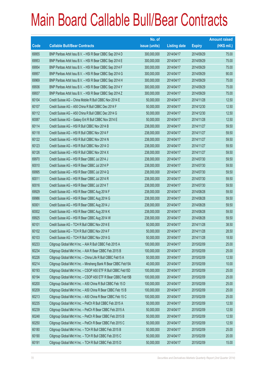|       |                                                                | No. of        |                     |               | <b>Amount raised</b> |
|-------|----------------------------------------------------------------|---------------|---------------------|---------------|----------------------|
| Code  | <b>Callable Bull/Bear Contracts</b>                            | issue (units) | <b>Listing date</b> | <b>Expiry</b> | $(HK$$ mil.)         |
| 69955 | BNP Paribas Arbit Issu B.V. - HSI R Bear CBBC Sep 2014 D       | 300,000,000   | 2014/04/17          | 2014/09/29    | 75.00                |
| 69953 | BNP Paribas Arbit Issu B.V. - HSI R Bear CBBC Sep 2014 E       | 300,000,000   | 2014/04/17          | 2014/09/29    | 75.00                |
| 69954 | BNP Paribas Arbit Issu B.V. - HSI R Bear CBBC Sep 2014 F       | 300,000,000   | 2014/04/17          | 2014/09/29    | 75.00                |
| 69957 | BNP Paribas Arbit Issu B.V. - HSI R Bear CBBC Sep 2014 G       | 300,000,000   | 2014/04/17          | 2014/09/29    | 90.00                |
| 69969 | BNP Paribas Arbit Issu B.V. - HSI R Bear CBBC Sep 2014 H       | 300,000,000   | 2014/04/17          | 2014/09/29    | 75.00                |
| 69936 | BNP Paribas Arbit Issu B.V. - HSI R Bear CBBC Sep 2014 Y       | 300,000,000   | 2014/04/17          | 2014/09/29    | 75.00                |
| 69937 | BNP Paribas Arbit Issu B.V. - HSI R Bear CBBC Sep 2014 Z       | 300,000,000   | 2014/04/17          | 2014/09/29    | 75.00                |
| 60104 | Credit Suisse AG - China Mobile R Bull CBBC Nov 2014 E         | 50,000,000    | 2014/04/17          | 2014/11/28    | 12.50                |
| 60107 | Credit Suisse AG - A50 China R Bull CBBC Dec 2014 F            | 50,000,000    | 2014/04/17          | 2014/12/30    | 12.50                |
| 60112 | Credit Suisse AG - A50 China R Bull CBBC Dec 2014 G            | 50,000,000    | 2014/04/17          | 2014/12/30    | 12.50                |
| 60087 | Credit Suisse AG - Galaxy Ent R Bull CBBC Nov 2014 E           | 50,000,000    | 2014/04/17          | 2014/11/28    | 12.50                |
| 60114 | Credit Suisse AG - HSI R Bull CBBC Nov 2014 B                  | 238,000,000   | 2014/04/17          | 2014/11/27    | 59.50                |
| 60118 | Credit Suisse AG - HSI R Bull CBBC Nov 2014 F                  | 238,000,000   | 2014/04/17          | 2014/11/27    | 59.50                |
| 60122 | Credit Suisse AG - HSI R Bull CBBC Nov 2014 N                  | 238,000,000   | 2014/04/17          | 2014/11/27    | 59.50                |
| 60123 | Credit Suisse AG - HSI R Bull CBBC Nov 2014 O                  | 238,000,000   | 2014/04/17          | 2014/11/27    | 59.50                |
| 60126 | Credit Suisse AG - HSI R Bull CBBC Nov 2014 X                  | 238,000,000   | 2014/04/17          | 2014/11/27    | 59.50                |
| 69970 | Credit Suisse AG - HSI R Bear CBBC Jul 2014 J                  | 238,000,000   | 2014/04/17          | 2014/07/30    | 59.50                |
| 60010 | Credit Suisse AG - HSI R Bear CBBC Jul 2014 P                  | 238,000,000   | 2014/04/17          | 2014/07/30    | 59.50                |
| 69995 | Credit Suisse AG - HSI R Bear CBBC Jul 2014 Q                  | 238,000,000   | 2014/04/17          | 2014/07/30    | 59.50                |
| 60011 | Credit Suisse AG - HSI R Bear CBBC Jul 2014 R                  | 238,000,000   | 2014/04/17          | 2014/07/30    | 59.50                |
| 60016 | Credit Suisse AG - HSI R Bear CBBC Jul 2014 T                  | 238,000,000   | 2014/04/17          | 2014/07/30    | 59.50                |
| 69929 | Credit Suisse AG - HSI R Bear CBBC Aug 2014 F                  | 238,000,000   | 2014/04/17          | 2014/08/28    | 59.50                |
| 69986 | Credit Suisse AG - HSI R Bear CBBC Aug 2014 G                  | 238,000,000   | 2014/04/17          | 2014/08/28    | 59.50                |
| 60001 | Credit Suisse AG - HSI R Bear CBBC Aug 2014 J                  | 238,000,000   | 2014/04/17          | 2014/08/28    | 59.50                |
| 60002 | Credit Suisse AG - HSI R Bear CBBC Aug 2014 K                  | 238,000,000   | 2014/04/17          | 2014/08/28    | 59.50                |
| 69925 | Credit Suisse AG - HSI R Bear CBBC Aug 2014 W                  | 238,000,000   | 2014/04/17          | 2014/08/28    | 59.50                |
| 60101 | Credit Suisse AG - TCH R Bull CBBC Nov 2014 E                  | 50,000,000    | 2014/04/17          | 2014/11/28    | 38.50                |
| 60102 | Credit Suisse AG - TCH R Bull CBBC Nov 2014 F                  | 50,000,000    | 2014/04/17          | 2014/11/28    | 28.50                |
| 60103 | Credit Suisse AG - TCH R Bull CBBC Nov 2014 G                  | 50,000,000    | 2014/04/17          | 2014/11/28    | 18.50                |
| 60233 | Citigroup Global Mkt H Inc. - AIA R Bull CBBC Feb 2015 A       | 100,000,000   | 2014/04/17          | 2015/02/09    | 25.00                |
| 60234 | Citigroup Global Mkt H Inc. - AIA R Bear CBBC Feb 2015 B       | 100,000,000   | 2014/04/17          | 2015/02/09    | 25.00                |
| 60226 | Citigroup Global Mkt H Inc. - China Life R Bull CBBC Feb15 A   | 50,000,000    | 2014/04/17          | 2015/02/09    | 12.50                |
| 60214 | Citigroup Global Mkt H Inc. - Minsheng Bank R Bear CBBC Feb15A | 40,000,000    | 2014/04/17          | 2015/02/09    | 10.00                |
| 60193 | Citigroup Global Mkt H Inc. - CSOP A50 ETF R Bull CBBC Feb15D  | 100,000,000   | 2014/04/17          | 2015/02/09    | 25.00                |
| 60194 | Citigroup Global Mkt H Inc. - CSOP A50 ETF R Bear CBBC Feb15B  | 100,000,000   | 2014/04/17          | 2015/02/09    | 25.00                |
| 60200 | Citigroup Global Mkt H Inc. - A50 China R Bull CBBC Feb 15 D   | 100,000,000   | 2014/04/17          | 2015/02/09    | 25.00                |
| 60209 | Citigroup Global Mkt H Inc. - A50 China R Bear CBBC Feb 15 B   | 100,000,000   | 2014/04/17          | 2015/02/09    | 25.00                |
| 60213 | Citigroup Global Mkt H Inc. - A50 China R Bear CBBC Feb 15 C   | 100,000,000   | 2014/04/17          | 2015/02/09    | 25.00                |
| 60235 | Citigroup Global Mkt H Inc. - PetCh R Bull CBBC Feb 2015 A     | 50,000,000    | 2014/04/17          | 2015/02/09    | 12.50                |
| 60239 | Citigroup Global Mkt H Inc. - PetCh R Bear CBBC Feb 2015 A     | 50,000,000    | 2014/04/17          | 2015/02/09    | 12.50                |
| 60248 | Citigroup Global Mkt H Inc. - PetCh R Bear CBBC Feb 2015 B     | 50,000,000    | 2014/04/17          | 2015/02/09    | 12.50                |
| 60250 | Citigroup Global Mkt H Inc. - PetCh R Bear CBBC Feb 2015 C     | 50,000,000    | 2014/04/17          | 2015/02/09    | 12.50                |
| 60180 | Citigroup Global Mkt H Inc. - TCH R Bull CBBC Feb 2015 B       | 50,000,000    | 2014/04/17          | 2015/02/09    | 25.00                |
| 60190 | Citigroup Global Mkt H Inc. - TCH R Bull CBBC Feb 2015 C       | 50,000,000    | 2014/04/17          | 2015/02/09    | 20.00                |
| 60191 | Citigroup Global Mkt H Inc. - TCH R Bull CBBC Feb 2015 D       | 50,000,000    | 2014/04/17          | 2015/02/09    | 15.00                |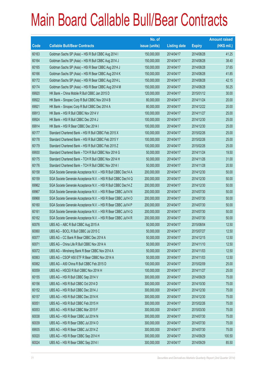|       |                                                                | No. of        |                     |               | <b>Amount raised</b> |
|-------|----------------------------------------------------------------|---------------|---------------------|---------------|----------------------|
| Code  | <b>Callable Bull/Bear Contracts</b>                            | issue (units) | <b>Listing date</b> | <b>Expiry</b> | (HK\$ mil.)          |
| 60163 | Goldman Sachs SP (Asia) - HSI R Bull CBBC Aug 2014 I           | 150,000,000   | 2014/04/17          | 2014/08/28    | 41.25                |
| 60164 | Goldman Sachs SP (Asia) - HSI R Bull CBBC Aug 2014 J           | 150,000,000   | 2014/04/17          | 2014/08/28    | 38.40                |
| 60165 | Goldman Sachs SP (Asia) - HSI R Bear CBBC Aug 2014 J           | 150,000,000   | 2014/04/17          | 2014/08/28    | 37.65                |
| 60166 | Goldman Sachs SP (Asia) - HSI R Bear CBBC Aug 2014 K           | 150,000,000   | 2014/04/17          | 2014/08/28    | 41.85                |
| 60172 | Goldman Sachs SP (Asia) - HSI R Bear CBBC Aug 2014 L           | 150,000,000   | 2014/04/17          | 2014/08/28    | 42.15                |
| 60174 | Goldman Sachs SP (Asia) - HSI R Bear CBBC Aug 2014 M           | 150,000,000   | 2014/04/17          | 2014/08/28    | 50.25                |
| 69920 | HK Bank - China Mobile R Bull CBBC Jan 2015 D                  | 120,000,000   | 2014/04/17          | 2015/01/12    | 30.00                |
| 69922 | HK Bank - Sinopec Corp R Bull CBBC Nov 2014 B                  | 80,000,000    | 2014/04/17          | 2014/11/24    | 20.00                |
| 69921 | HK Bank - Sinopec Corp R Bull CBBC Dec 2014 A                  | 80,000,000    | 2014/04/17          | 2014/12/22    | 20.00                |
| 69913 | HK Bank - HSI R Bull CBBC Nov 2014 V                           | 100,000,000   | 2014/04/17          | 2014/11/27    | 25.00                |
| 69924 | HK Bank - HSI R Bull CBBC Dec 2014 J                           | 100,000,000   | 2014/04/17          | 2014/12/30    | 25.00                |
| 69914 | HK Bank - HSI R Bear CBBC Dec 2014 I                           | 100,000,000   | 2014/04/17          | 2014/12/30    | 25.00                |
| 60177 | Standard Chartered Bank - HSI R Bull CBBC Feb 2015 X           | 100,000,000   | 2014/04/17          | 2015/02/26    | 25.00                |
| 60178 | Standard Chartered Bank - HSI R Bull CBBC Feb 2015 Y           | 100,000,000   | 2014/04/17          | 2015/02/26    | 25.00                |
| 60179 | Standard Chartered Bank - HSI R Bull CBBC Feb 2015 Z           | 100,000,000   | 2014/04/17          | 2015/02/26    | 25.00                |
| 69930 | Standard Chartered Bank - TCH R Bull CBBC Nov 2014 G           | 50,000,000    | 2014/04/17          | 2014/11/24    | 19.50                |
| 60175 | Standard Chartered Bank - TCH R Bull CBBC Nov 2014 H           | 50,000,000    | 2014/04/17          | 2014/11/26    | 31.00                |
| 60176 | Standard Chartered Bank - TCH R Bull CBBC Nov 2014 I           | 50,000,000    | 2014/04/17          | 2014/11/28    | 20.50                |
| 60158 | SGA Societe Generale Acceptance N.V. - HSI R Bull CBBC Dec14 A | 200,000,000   | 2014/04/17          | 2014/12/30    | 50.00                |
| 60159 | SGA Societe Generale Acceptance N.V. - HSI R Bull CBBC Dec14 Q | 200,000,000   | 2014/04/17          | 2014/12/30    | 50.00                |
| 69962 | SGA Societe Generale Acceptance N.V. - HSI R Bull CBBC Dec14 Z | 200,000,000   | 2014/04/17          | 2014/12/30    | 50.00                |
| 69967 | SGA Societe Generale Acceptance N.V. - HSI R Bear CBBC Jul14 N | 200,000,000   | 2014/04/17          | 2014/07/30    | 50.00                |
| 69968 | SGA Societe Generale Acceptance N.V. - HSI R Bear CBBC Jul14 O | 200,000,000   | 2014/04/17          | 2014/07/30    | 50.00                |
| 60160 | SGA Societe Generale Acceptance N.V. - HSI R Bear CBBC Jul14 P | 200,000,000   | 2014/04/17          | 2014/07/30    | 50.00                |
| 60161 | SGA Societe Generale Acceptance N.V. - HSI R Bear CBBC Jul14 Q | 200,000,000   | 2014/04/17          | 2014/07/30    | 50.00                |
| 60162 | SGA Societe Generale Acceptance N.V. - HSI R Bear CBBC Jul14 R | 200,000,000   | 2014/04/17          | 2014/07/30    | 50.00                |
| 60076 | UBS AG - ABC R Bull CBBC Aug 2015 A                            | 50,000,000    | 2014/04/17          | 2015/08/04    | 12.50                |
| 60060 | UBS AG - BOCL R Bull CBBC Jul 2015 C                           | 50,000,000    | 2014/04/17          | 2015/07/27    | 12.50                |
| 60077 | UBS AG - CC Bank R Bear CBBC Dec 2014 A                        | 50,000,000    | 2014/04/17          | 2014/12/15    | 12.50                |
| 60071 | UBS AG - China Life R Bull CBBC Nov 2014 A                     | 50,000,000    | 2014/04/17          | 2014/11/10    | 12.50                |
| 60072 | UBS AG - Minsheng Bank R Bear CBBC Nov 2014 A                  | 50,000,000    | 2014/04/17          | 2014/11/03    | 12.50                |
| 60063 | UBS AG - CSOP A50 ETF R Bear CBBC Nov 2014 A                   | 50,000,000    | 2014/04/17          | 2014/11/03    | 12.50                |
| 60062 | UBS AG - A50 China R Bull CBBC Feb 2015 D                      | 100,000,000   | 2014/04/17          | 2015/02/09    | 25.00                |
| 60059 | UBS AG - HSCEI R Bull CBBC Nov 2014 H                          | 100,000,000   | 2014/04/17          | 2014/11/27    | 25.00                |
| 60155 | UBS AG - HSI R Bull CBBC Sep 2014 V                            | 300,000,000   | 2014/04/17          | 2014/09/29    | 75.00                |
| 60156 | UBS AG - HSI R Bull CBBC Oct 2014 D                            | 300,000,000   | 2014/04/17          | 2014/10/30    | 75.00                |
| 60152 | UBS AG - HSI R Bull CBBC Dec 2014 J                            | 300,000,000   | 2014/04/17          | 2014/12/30    | 75.00                |
| 60157 | UBS AG - HSI R Bull CBBC Dec 2014 K                            | 300,000,000   | 2014/04/17          | 2014/12/30    | 75.00                |
| 60051 | UBS AG - HSI R Bull CBBC Feb 2015 H                            | 300,000,000   | 2014/04/17          | 2015/02/26    | 75.00                |
| 60053 | UBS AG - HSI R Bull CBBC Mar 2015 F                            | 300,000,000   | 2014/04/17          | 2015/03/30    | 75.00                |
| 60038 | UBS AG - HSI R Bear CBBC Jul 2014 N                            | 300,000,000   | 2014/04/17          | 2014/07/30    | 75.00                |
| 60039 | UBS AG - HSI R Bear CBBC Jul 2014 O                            | 300,000,000   | 2014/04/17          | 2014/07/30    | 75.00                |
| 69935 | UBS AG - HSI R Bear CBBC Jul 2014 Z                            | 300,000,000   | 2014/04/17          | 2014/07/30    | 75.00                |
| 60020 | UBS AG - HSI R Bear CBBC Sep 2014 H                            | 300,000,000   | 2014/04/17          | 2014/09/29    | 100.50               |
| 60024 | UBS AG - HSI R Bear CBBC Sep 2014 I                            | 300,000,000   | 2014/04/17          | 2014/09/29    | 85.50                |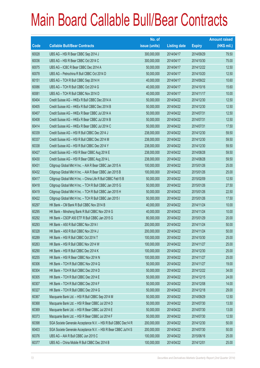|       |                                                                | No. of        |                     |               | <b>Amount raised</b> |
|-------|----------------------------------------------------------------|---------------|---------------------|---------------|----------------------|
| Code  | <b>Callable Bull/Bear Contracts</b>                            | issue (units) | <b>Listing date</b> | <b>Expiry</b> | $(HK$$ mil.)         |
| 60028 | UBS AG - HSI R Bear CBBC Sep 2014 J                            | 300,000,000   | 2014/04/17          | 2014/09/29    | 79.50                |
| 60036 | UBS AG - HSI R Bear CBBC Oct 2014 C                            | 300,000,000   | 2014/04/17          | 2014/10/30    | 75.00                |
| 60075 | UBS AG - ICBC R Bear CBBC Dec 2014 A                           | 50,000,000    | 2014/04/17          | 2014/12/22    | 12.50                |
| 60078 | UBS AG - Petrochina R Bull CBBC Oct 2014 D                     | 50,000,000    | 2014/04/17          | 2014/10/20    | 12.50                |
| 60151 | UBS AG - TCH R Bull CBBC Sep 2014 H                            | 40,000,000    | 2014/04/17          | 2014/09/22    | 10.60                |
| 60086 | UBS AG - TCH R Bull CBBC Oct 2014 G                            | 40,000,000    | 2014/04/17          | 2014/10/16    | 15.60                |
| 60081 | UBS AG - TCH R Bull CBBC Nov 2014 D                            | 40,000,000    | 2014/04/17          | 2014/11/17    | 10.00                |
| 60404 | Credit Suisse AG - HKEx R Bull CBBC Dec 2014 A                 | 50,000,000    | 2014/04/22          | 2014/12/30    | 12.50                |
| 60405 | Credit Suisse AG - HKEx R Bull CBBC Dec 2014 B                 | 50,000,000    | 2014/04/22          | 2014/12/30    | 12.50                |
| 60407 | Credit Suisse AG - HKEx R Bear CBBC Jul 2014 A                 | 50,000,000    | 2014/04/22          | 2014/07/31    | 12.50                |
| 60408 | Credit Suisse AG - HKEx R Bear CBBC Jul 2014 B                 | 50,000,000    | 2014/04/22          | 2014/07/31    | 12.50                |
| 60414 | Credit Suisse AG - HKEx R Bear CBBC Jul 2014 C                 | 50,000,000    | 2014/04/22          | 2014/07/31    | 17.50                |
| 60339 | Credit Suisse AG - HSI R Bull CBBC Dec 2014 J                  | 238,000,000   | 2014/04/22          | 2014/12/30    | 59.50                |
| 60337 | Credit Suisse AG - HSI R Bull CBBC Dec 2014 M                  | 238,000,000   | 2014/04/22          | 2014/12/30    | 59.50                |
| 60338 | Credit Suisse AG - HSI R Bull CBBC Dec 2014 Y                  | 238,000,000   | 2014/04/22          | 2014/12/30    | 59.50                |
| 60427 | Credit Suisse AG - HSI R Bear CBBC Aug 2014 E                  | 238,000,000   | 2014/04/22          | 2014/08/28    | 59.50                |
| 60430 | Credit Suisse AG - HSI R Bear CBBC Aug 2014 L                  | 238,000,000   | 2014/04/22          | 2014/08/28    | 59.50                |
| 60431 | Citigroup Global Mkt H Inc. - AIA R Bear CBBC Jan 2015 A       | 100,000,000   | 2014/04/22          | 2015/01/26    | 25.00                |
| 60432 | Citigroup Global Mkt H Inc. - AIA R Bear CBBC Jan 2015 B       | 100,000,000   | 2014/04/22          | 2015/01/26    | 25.00                |
| 60417 | Citigroup Global Mkt H Inc. - China Life R Bull CBBC Feb15 B   | 50,000,000    | 2014/04/22          | 2015/02/09    | 12.50                |
| 60418 | Citigroup Global Mkt H Inc. - TCH R Bull CBBC Jan 2015 G       | 50,000,000    | 2014/04/22          | 2015/01/26    | 27.50                |
| 60419 | Citigroup Global Mkt H Inc. - TCH R Bull CBBC Jan 2015 H       | 50,000,000    | 2014/04/22          | 2015/01/26    | 22.50                |
| 60422 | Citigroup Global Mkt H Inc. - TCH R Bull CBBC Jan 2015 I       | 50,000,000    | 2014/04/22          | 2015/01/26    | 17.50                |
| 60297 | HK Bank - CM Bank R Bull CBBC Nov 2014 B                       | 40,000,000    | 2014/04/22          | 2014/11/24    | 10.00                |
| 60295 | HK Bank - Minsheng Bank R Bull CBBC Nov 2014 G                 | 40,000,000    | 2014/04/22          | 2014/11/24    | 10.00                |
| 60292 | HK Bank - CSOP A50 ETF R Bull CBBC Jan 2015 G                  | 80,000,000    | 2014/04/22          | 2015/01/29    | 20.00                |
| 60293 | HK Bank - A50 R Bull CBBC Nov 2014 I                           | 200,000,000   | 2014/04/22          | 2014/11/24    | 50.00                |
| 60328 | HK Bank - A50 R Bull CBBC Nov 2014 J                           | 200,000,000   | 2014/04/22          | 2014/11/24    | 50.00                |
| 60289 | HK Bank - HSI R Bull CBBC Oct 2014 T                           | 100,000,000   | 2014/04/22          | 2014/10/30    | 25.00                |
| 60263 | HK Bank - HSI R Bull CBBC Nov 2014 W                           | 100,000,000   | 2014/04/22          | 2014/11/27    | 25.00                |
| 60290 | HK Bank - HSI R Bull CBBC Dec 2014 K                           | 100,000,000   | 2014/04/22          | 2014/12/30    | 25.00                |
| 60255 | HK Bank - HSI R Bear CBBC Nov 2014 N                           | 100,000,000   | 2014/04/22          | 2014/11/27    | 25.00                |
| 60306 | HK Bank - TCH R Bull CBBC Nov 2014 Q                           | 50,000,000    | 2014/04/22          | 2014/11/27    | 19.00                |
| 60304 | HK Bank - TCH R Bull CBBC Dec 2014 D                           | 50,000,000    | 2014/04/22          | 2014/12/22    | 34.00                |
| 60305 | HK Bank - TCH R Bull CBBC Dec 2014 E                           | 50,000,000    | 2014/04/22          | 2014/12/15    | 24.00                |
| 60307 | HK Bank - TCH R Bull CBBC Dec 2014 F                           | 50,000,000    | 2014/04/22          | 2014/12/08    | 14.00                |
| 60327 | HK Bank - TCH R Bull CBBC Dec 2014 G                           | 50,000,000    | 2014/04/22          | 2014/12/18    | 29.00                |
| 60367 | Macquarie Bank Ltd. - HSI R Bull CBBC Sep 2014 M               | 50,000,000    | 2014/04/22          | 2014/09/29    | 12.50                |
| 60368 | Macquarie Bank Ltd. - HSI R Bear CBBC Jul 2014 D               | 50,000,000    | 2014/04/22          | 2014/07/30    | 13.50                |
| 60369 | Macquarie Bank Ltd. - HSI R Bear CBBC Jul 2014 E               | 50,000,000    | 2014/04/22          | 2014/07/30    | 13.00                |
| 60373 | Macquarie Bank Ltd. - HSI R Bear CBBC Jul 2014 F               | 50,000,000    | 2014/04/22          | 2014/07/30    | 12.50                |
| 60398 | SGA Societe Generale Acceptance N.V. - HSI R Bull CBBC Dec14 R | 200,000,000   | 2014/04/22          | 2014/12/30    | 50.00                |
| 60403 | SGA Societe Generale Acceptance N.V. - HSI R Bear CBBC Jul14 S | 200,000,000   | 2014/04/22          | 2014/07/30    | 50.00                |
| 60376 | UBS AG - AIA R Bull CBBC Jun 2015 C                            | 100,000,000   | 2014/04/22          | 2015/06/16    | 25.00                |
| 60377 | UBS AG - China Mobile R Bull CBBC Dec 2014 B                   | 100,000,000   | 2014/04/22          | 2014/12/01    | 25.00                |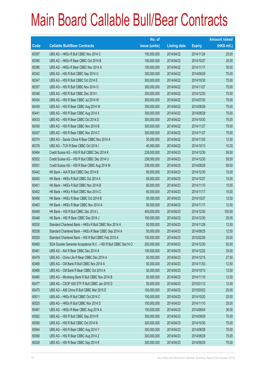|       |                                                                | No. of        |                     |               | <b>Amount raised</b> |
|-------|----------------------------------------------------------------|---------------|---------------------|---------------|----------------------|
| Code  | <b>Callable Bull/Bear Contracts</b>                            | issue (units) | <b>Listing date</b> | <b>Expiry</b> | (HK\$ mil.)          |
| 60397 | UBS AG - HKEx R Bull CBBC Nov 2014 C                           | 100,000,000   | 2014/04/22          | 2014/11/24    | 25.00                |
| 60390 | UBS AG - HKEx R Bear CBBC Oct 2014 B                           | 100,000,000   | 2014/04/22          | 2014/10/27    | 25.00                |
| 60386 | UBS AG - HKEx R Bear CBBC Nov 2014 A                           | 100,000,000   | 2014/04/22          | 2014/11/17    | 30.50                |
| 60342 | UBS AG - HSI R Bull CBBC Sep 2014 U                            | 300,000,000   | 2014/04/22          | 2014/09/29    | 75.00                |
| 60347 | UBS AG - HSI R Bull CBBC Oct 2014 E                            | 300,000,000   | 2014/04/22          | 2014/10/30    | 75.00                |
| 60357 | UBS AG - HSI R Bull CBBC Nov 2014 O                            | 300,000,000   | 2014/04/22          | 2014/11/27    | 75.00                |
| 60348 | UBS AG - HSI R Bull CBBC Dec 2014 I                            | 300,000,000   | 2014/04/22          | 2014/12/30    | 75.00                |
| 60434 | UBS AG - HSI R Bear CBBC Jul 2014 W                            | 300,000,000   | 2014/04/22          | 2014/07/30    | 75.00                |
| 60439 | UBS AG - HSI R Bear CBBC Aug 2014 W                            | 300,000,000   | 2014/04/22          | 2014/08/28    | 75.00                |
| 60441 | UBS AG - HSI R Bear CBBC Aug 2014 X                            | 300,000,000   | 2014/04/22          | 2014/08/28    | 75.00                |
| 60433 | UBS AG - HSI R Bear CBBC Oct 2014 D                            | 300,000,000   | 2014/04/22          | 2014/10/30    | 75.00                |
| 60436 | UBS AG - HSI R Bear CBBC Nov 2014 B                            | 300,000,000   | 2014/04/22          | 2014/11/27    | 79.50                |
| 60437 | UBS AG - HSI R Bear CBBC Nov 2014 C                            | 300,000,000   | 2014/04/22          | 2014/11/27    | 75.00                |
| 60374 | UBS AG - Sands China R Bear CBBC Nov 2014 A                    | 50,000,000    | 2014/04/22          | 2014/11/03    | 12.50                |
| 60378 | UBS AG - TCH R Bear CBBC Oct 2014 I                            | 40,000,000    | 2014/04/22          | 2014/10/13    | 10.20                |
| 60464 | Credit Suisse AG - HSI R Bull CBBC Dec 2014 K                  | 238,000,000   | 2014/04/23          | 2014/12/30    | 59.50                |
| 60552 | Credit Suisse AG - HSI R Bull CBBC Dec 2014 U                  | 238,000,000   | 2014/04/23          | 2014/12/30    | 59.50                |
| 60551 | Credit Suisse AG - HSI R Bear CBBC Aug 2014 M                  | 238,000,000   | 2014/04/23          | 2014/08/28    | 59.50                |
| 60442 | HK Bank - AIA R Bull CBBC Dec 2014 B                           | 60,000,000    | 2014/04/23          | 2014/12/30    | 15.00                |
| 60450 | HK Bank - HKEx R Bull CBBC Oct 2014 A                          | 60,000,000    | 2014/04/23          | 2014/10/27    | 15.00                |
| 60451 | HK Bank - HKEx R Bull CBBC Nov 2014 B                          | 60,000,000    | 2014/04/23          | 2014/11/10    | 15.00                |
| 60452 | HK Bank - HKEx R Bull CBBC Nov 2014 C                          | 60,000,000    | 2014/04/23          | 2014/11/17    | 15.00                |
| 60456 | HK Bank - HKEx R Bear CBBC Oct 2014 B                          | 50,000,000    | 2014/04/23          | 2014/10/27    | 12.50                |
| 60463 | HK Bank - HKEx R Bear CBBC Nov 2014 A                          | 50,000,000    | 2014/04/23          | 2014/11/17    | 12.50                |
| 60449 | HK Bank - HSI R Bull CBBC Dec 2014 L                           | 400,000,000   | 2014/04/23          | 2014/12/30    | 100.00               |
| 60448 | HK Bank - HSI R Bear CBBC Dec 2014 J                           | 100,000,000   | 2014/04/23          | 2014/12/30    | 25.00                |
| 60530 | Standard Chartered Bank - HKEx R Bull CBBC Nov 2014 A          | 50,000,000    | 2014/04/23          | 2014/11/28    | 12.50                |
| 60538 | Standard Chartered Bank - HKEx R Bear CBBC Sep 2014 A          | 50,000,000    | 2014/04/23          | 2014/09/25    | 12.50                |
| 60529 | Standard Chartered Bank - HSI R Bull CBBC Feb 2015 A           | 100,000,000   | 2014/04/23          | 2015/02/26    | 25.00                |
| 60465 | SGA Societe Generale Acceptance N.V. - HSI R Bull CBBC Dec14 O | 200,000,000   | 2014/04/23          | 2014/12/30    | 50.00                |
| 60481 | UBS AG - AIA R Bear CBBC Dec 2014 A                            | 100,000,000   | 2014/04/23          | 2014/12/22    | 25.00                |
| 60478 | UBS AG - China Life R Bear CBBC Dec 2014 A                     | 50,000,000    | 2014/04/23          | 2014/12/15    | 27.50                |
| 60468 | UBS AG - CM Bank R Bull CBBC Nov 2014 A                        | 50,000,000    | 2014/04/23          | 2014/11/03    | 12.50                |
| 60466 | UBS AG - CM Bank R Bear CBBC Oct 2014 A                        | 50,000,000    | 2014/04/23          | 2014/10/13    | 12.50                |
| 60480 | UBS AG - Minsheng Bank R Bull CBBC Nov 2014 B                  | 50,000,000    | 2014/04/23          | 2014/11/10    | 12.50                |
| 60477 | UBS AG - CSOP A50 ETF R Bull CBBC Jan 2015 D                   | 50,000,000    | 2014/04/23          | 2015/01/12    | 12.50                |
| 60475 | UBS AG - A50 China R Bull CBBC Mar 2015 E                      | 100,000,000   | 2014/04/23          | 2015/03/02    | 25.00                |
| 60511 | UBS AG - HKEx R Bull CBBC Oct 2014 C                           | 100,000,000   | 2014/04/23          | 2014/10/20    | 25.00                |
| 60525 | UBS AG - HKEx R Bull CBBC Nov 2014 D                           | 100,000,000   | 2014/04/23          | 2014/11/10    | 25.00                |
| 60491 | UBS AG - HKEx R Bear CBBC Aug 2014 A                           | 100,000,000   | 2014/04/23          | 2014/08/04    | 36.00                |
| 60562 | UBS AG - HSI R Bull CBBC Sep 2014 R                            | 300,000,000   | 2014/04/23          | 2014/09/29    | 75.00                |
| 60556 | UBS AG - HSI R Bull CBBC Oct 2014 N                            | 300,000,000   | 2014/04/23          | 2014/10/30    | 75.00                |
| 60564 | UBS AG - HSI R Bear CBBC Aug 2014 Y                            | 300,000,000   | 2014/04/23          | 2014/08/28    | 75.00                |
| 60566 | UBS AG - HSI R Bear CBBC Aug 2014 Z                            | 300,000,000   | 2014/04/23          | 2014/08/28    | 75.00                |
| 60528 | UBS AG - HSI R Bear CBBC Sep 2014 K                            | 300,000,000   | 2014/04/23          | 2014/09/29    | 75.00                |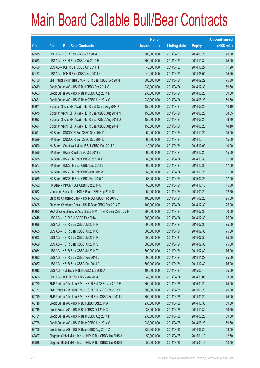|       |                                                                | No. of        |                     |               | <b>Amount raised</b> |
|-------|----------------------------------------------------------------|---------------|---------------------|---------------|----------------------|
| Code  | <b>Callable Bull/Bear Contracts</b>                            | issue (units) | <b>Listing date</b> | <b>Expiry</b> | $(HK$$ mil.)         |
| 60565 | UBS AG - HSI R Bear CBBC Sep 2014 L                            | 300,000,000   | 2014/04/23          | 2014/09/29    | 75.00                |
| 60563 | UBS AG - HSI R Bear CBBC Oct 2014 E                            | 300,000,000   | 2014/04/23          | 2014/10/30    | 75.00                |
| 60490 | UBS AG - TCH R Bull CBBC Oct 2014 H                            | 40,000,000    | 2014/04/23          | 2014/10/27    | 11.20                |
| 60487 | UBS AG - TCH R Bear CBBC Aug 2014 K                            | 40,000,000    | 2014/04/23          | 2014/08/04    | 15.60                |
| 60700 | BNP Paribas Arbit Issu B.V. - HSI R Bear CBBC Sep 2014 I       | 300,000,000   | 2014/04/24          | 2014/09/29    | 75.00                |
| 60619 | Credit Suisse AG - HSI R Bull CBBC Dec 2014 V                  | 238,000,000   | 2014/04/24          | 2014/12/30    | 59.50                |
| 60653 | Credit Suisse AG - HSI R Bear CBBC Aug 2014 N                  | 238,000,000   | 2014/04/24          | 2014/08/28    | 59.50                |
| 60661 | Credit Suisse AG - HSI R Bear CBBC Aug 2014 O                  | 238,000,000   | 2014/04/24          | 2014/08/28    | 59.50                |
| 60671 | Goldman Sachs SP (Asia) - HSI R Bull CBBC Aug 2014 K           | 150,000,000   | 2014/04/24          | 2014/08/28    | 44.10                |
| 60675 | Goldman Sachs SP (Asia) - HSI R Bear CBBC Aug 2014 N           | 150,000,000   | 2014/04/24          | 2014/08/28    | 38.85                |
| 60693 | Goldman Sachs SP (Asia) - HSI R Bear CBBC Aug 2014 O           | 150,000,000   | 2014/04/24          | 2014/08/28    | 38.70                |
| 60694 | Goldman Sachs SP (Asia) - HSI R Bear CBBC Aug 2014 P           | 150,000,000   | 2014/04/24          | 2014/08/28    | 44.10                |
| 60591 | HK Bank - CNOOC R Bull CBBC Nov 2014 D                         | 60,000,000    | 2014/04/24          | 2014/11/24    | 15.00                |
| 60589 | HK Bank - CNOOC R Bull CBBC Dec 2014 D                         | 60,000,000    | 2014/04/24          | 2014/12/15    | 15.00                |
| 60590 | HK Bank - Great Wall Motor R Bull CBBC Dec 2015 C              | 40,000,000    | 2014/04/24          | 2015/12/09    | 10.00                |
| 60586 | HK Bank - HKEx R Bull CBBC Oct 2014 B                          | 60,000,000    | 2014/04/24          | 2014/10/20    | 15.00                |
| 60575 | HK Bank - HSCEI R Bear CBBC Oct 2014 E                         | 68,000,000    | 2014/04/24          | 2014/10/30    | 17.00                |
| 60577 | HK Bank - HSCEI R Bear CBBC Dec 2014 B                         | 68,000,000    | 2014/04/24          | 2014/12/30    | 17.00                |
| 60568 | HK Bank - HSCEI R Bear CBBC Jan 2015 A                         | 68,000,000    | 2014/04/24          | 2015/01/29    | 17.00                |
| 60569 | HK Bank - HSCEI R Bear CBBC Feb 2015 A                         | 68,000,000    | 2014/04/24          | 2015/02/26    | 17.00                |
| 60592 | HK Bank - PetCh R Bull CBBC Oct 2014 C                         | 60,000,000    | 2014/04/24          | 2014/10/13    | 15.00                |
| 60652 | Macquarie Bank Ltd. - HSI R Bear CBBC Sep 2014 D               | 50,000,000    | 2014/04/24          | 2014/09/29    | 12.50                |
| 60593 | Standard Chartered Bank - HSI R Bull CBBC Feb 2015 B           | 100,000,000   | 2014/04/24          | 2015/02/26    | 25.00                |
| 60608 | Standard Chartered Bank - HSI R Bear CBBC Dec 2014 E           | 100,000,000   | 2014/04/24          | 2014/12/30    | 25.00                |
| 60625 | SGA Societe Generale Acceptance N.V. - HSI R Bear CBBC Jul14 T | 200,000,000   | 2014/04/24          | 2014/07/30    | 50.00                |
| 60648 | UBS AG - HSI R Bull CBBC Dec 2014 L                            | 300,000,000   | 2014/04/24          | 2014/12/30    | 75.00                |
| 60638 | UBS AG - HSI R Bear CBBC Jul 2014 P                            | 300,000,000   | 2014/04/24          | 2014/07/30    | 75.00                |
| 60665 | UBS AG - HSI R Bear CBBC Jul 2014 Q                            | 300,000,000   | 2014/04/24          | 2014/07/30    | 75.00                |
| 60663 | UBS AG - HSI R Bear CBBC Jul 2014 R                            | 300,000,000   | 2014/04/24          | 2014/07/30    | 75.00                |
| 60669 | UBS AG - HSI R Bear CBBC Jul 2014 S                            | 300,000,000   | 2014/04/24          | 2014/07/30    | 75.00                |
| 60664 | UBS AG - HSI R Bear CBBC Jul 2014 T                            | 300,000,000   | 2014/04/24          | 2014/07/30    | 75.00                |
| 60632 | UBS AG - HSI R Bear CBBC Nov 2014 D                            | 300,000,000   | 2014/04/24          | 2014/11/27    | 75.00                |
| 60627 | UBS AG - HSI R Bear CBBC Dec 2014 A                            | 300,000,000   | 2014/04/24          | 2014/12/30    | 75.00                |
| 60642 | UBS AG - Hutchison R Bull CBBC Jun 2015 A                      | 100,000,000   | 2014/04/24          | 2015/06/15    | 25.00                |
| 60626 | UBS AG - TCH R Bear CBBC Nov 2014 D                            | 40,000,000    | 2014/04/24          | 2014/11/03    | 13.00                |
| 60750 | BNP Paribas Arbit Issu B.V. - HSI R Bull CBBC Jan 2015 E       | 300,000,000   | 2014/04/25          | 2015/01/29    | 75.00                |
| 60751 | BNP Paribas Arbit Issu B.V. - HSI R Bull CBBC Jan 2015 F       | 300,000,000   | 2014/04/25          | 2015/01/29    | 75.00                |
| 60719 | BNP Paribas Arbit Issu B.V. - HSI R Bear CBBC Sep 2014 J       | 300,000,000   | 2014/04/25          | 2014/09/29    | 75.00                |
| 60748 | Credit Suisse AG - HSI R Bull CBBC Oct 2014 A                  | 238,000,000   | 2014/04/25          | 2014/10/30    | 59.50                |
| 60749 | Credit Suisse AG - HSI R Bull CBBC Oct 2014 X                  | 238,000,000   | 2014/04/25          | 2014/10/30    | 59.50                |
| 60721 | Credit Suisse AG - HSI R Bear CBBC Aug 2014 P                  | 238,000,000   | 2014/04/25          | 2014/08/28    | 59.50                |
| 60728 | Credit Suisse AG - HSI R Bear CBBC Aug 2014 Q                  | 238,000,000   | 2014/04/25          | 2014/08/28    | 59.50                |
| 60756 | Credit Suisse AG - HSI R Bear CBBC Aug 2014 Z                  | 238,000,000   | 2014/04/25          | 2014/08/28    | 59.50                |
| 60827 | Citigroup Global Mkt H Inc. - HKEx R Bull CBBC Jan 2015 A      | 50,000,000    | 2014/04/25          | 2015/01/19    | 12.50                |
| 60828 | Citigroup Global Mkt H Inc. - HKEx R Bull CBBC Jan 2015 B      | 50,000,000    | 2014/04/25          | 2015/01/19    | 12.50                |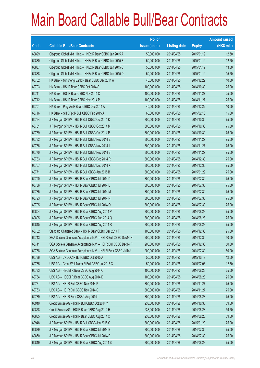|       |                                                                | No. of        |                     |               | <b>Amount raised</b> |
|-------|----------------------------------------------------------------|---------------|---------------------|---------------|----------------------|
| Code  | <b>Callable Bull/Bear Contracts</b>                            | issue (units) | <b>Listing date</b> | <b>Expiry</b> | $(HK$$ mil.)         |
| 60829 | Citigroup Global Mkt H Inc. - HKEx R Bear CBBC Jan 2015 A      | 50,000,000    | 2014/04/25          | 2015/01/19    | 12.50                |
| 60830 | Citigroup Global Mkt H Inc. - HKEx R Bear CBBC Jan 2015 B      | 50,000,000    | 2014/04/25          | 2015/01/19    | 12.50                |
| 60837 | Citigroup Global Mkt H Inc. - HKEx R Bear CBBC Jan 2015 C      | 50,000,000    | 2014/04/25          | 2015/01/19    | 13.00                |
| 60838 | Citigroup Global Mkt H Inc. - HKEx R Bear CBBC Jan 2015 D      | 50,000,000    | 2014/04/25          | 2015/01/19    | 15.50                |
| 60702 | HK Bank - Minsheng Bank R Bear CBBC Dec 2014 A                 | 40,000,000    | 2014/04/25          | 2014/12/22    | 10.00                |
| 60703 | HK Bank - HSI R Bear CBBC Oct 2014 S                           | 100,000,000   | 2014/04/25          | 2014/10/30    | 25.00                |
| 60711 | HK Bank - HSI R Bear CBBC Nov 2014 O                           | 100,000,000   | 2014/04/25          | 2014/11/27    | 25.00                |
| 60712 | HK Bank - HSI R Bear CBBC Nov 2014 P                           | 100,000,000   | 2014/04/25          | 2014/11/27    | 25.00                |
| 60701 | HK Bank - Ping An R Bear CBBC Dec 2014 A                       | 40,000,000    | 2014/04/25          | 2014/12/22    | 10.00                |
| 60716 | HK Bank - SHK Ppt R Bull CBBC Feb 2015 A                       | 60,000,000    | 2014/04/25          | 2015/02/16    | 15.00                |
| 60764 | J P Morgan SP BV - HSI R Bull CBBC Oct 2014 K                  | 300,000,000   | 2014/04/25          | 2014/10/30    | 75.00                |
| 60781 | J P Morgan SP BV - HSI R Bull CBBC Oct 2014 M                  | 300,000,000   | 2014/04/25          | 2014/10/30    | 75.00                |
| 60769 | J P Morgan SP BV - HSI R Bull CBBC Oct 2014 P                  | 300,000,000   | 2014/04/25          | 2014/10/30    | 75.00                |
| 60782 | J P Morgan SP BV - HSI R Bull CBBC Nov 2014 E                  | 300,000,000   | 2014/04/25          | 2014/11/27    | 75.00                |
| 60766 | J P Morgan SP BV - HSI R Bull CBBC Nov 2014 J                  | 300,000,000   | 2014/04/25          | 2014/11/27    | 75.00                |
| 60770 | J P Morgan SP BV - HSI R Bull CBBC Nov 2014 S                  | 300,000,000   | 2014/04/25          | 2014/11/27    | 75.00                |
| 60783 | J P Morgan SP BV - HSI R Bull CBBC Dec 2014 R                  | 300,000,000   | 2014/04/25          | 2014/12/30    | 75.00                |
| 60767 | J P Morgan SP BV - HSI R Bull CBBC Dec 2014 X                  | 300,000,000   | 2014/04/25          | 2014/12/30    | 75.00                |
| 60771 | J P Morgan SP BV - HSI R Bull CBBC Jan 2015 B                  | 300,000,000   | 2014/04/25          | 2015/01/29    | 75.00                |
| 60790 | J P Morgan SP BV - HSI R Bear CBBC Jul 2014 D                  | 300,000,000   | 2014/04/25          | 2014/07/30    | 75.00                |
| 60786 | J P Morgan SP BV - HSI R Bear CBBC Jul 2014 L                  | 300,000,000   | 2014/04/25          | 2014/07/30    | 75.00                |
| 60785 | J P Morgan SP BV - HSI R Bear CBBC Jul 2014 M                  | 300,000,000   | 2014/04/25          | 2014/07/30    | 75.00                |
| 60793 | J P Morgan SP BV - HSI R Bear CBBC Jul 2014 N                  | 300,000,000   | 2014/04/25          | 2014/07/30    | 75.00                |
| 60795 | J P Morgan SP BV - HSI R Bear CBBC Jul 2014 O                  | 300,000,000   | 2014/04/25          | 2014/07/30    | 75.00                |
| 60804 | J P Morgan SP BV - HSI R Bear CBBC Aug 2014 P                  | 300,000,000   | 2014/04/25          | 2014/08/28    | 75.00                |
| 60805 | J P Morgan SP BV - HSI R Bear CBBC Aug 2014 Q                  | 300,000,000   | 2014/04/25          | 2014/08/28    | 75.00                |
| 60815 | J P Morgan SP BV - HSI R Bear CBBC Aug 2014 R                  | 300,000,000   | 2014/04/25          | 2014/08/28    | 75.00                |
| 60752 | Standard Chartered Bank - HSI R Bear CBBC Dec 2014 F           | 100,000,000   | 2014/04/25          | 2014/12/30    | 25.00                |
| 60743 | SGA Societe Generale Acceptance N.V. - HSI R Bull CBBC Dec14 N | 200,000,000   | 2014/04/25          | 2014/12/30    | 50.00                |
| 60741 | SGA Societe Generale Acceptance N.V. - HSI R Bull CBBC Dec14 P | 200,000,000   | 2014/04/25          | 2014/12/30    | 50.00                |
| 60758 | SGA Societe Generale Acceptance N.V. - HSI R Bear CBBC Jul14 U | 200,000,000   | 2014/04/25          | 2014/07/30    | 50.00                |
| 60736 | UBS AG - CNOOC R Bull CBBC Oct 2015 A                          | 50,000,000    | 2014/04/25          | 2015/10/19    | 12.50                |
| 60735 | UBS AG - Great Wall Motor R Bull CBBC Jul 2015 C               | 50,000,000    | 2014/04/25          | 2015/07/06    | 12.50                |
| 60733 | UBS AG - HSCEI R Bear CBBC Aug 2014 C                          | 100,000,000   | 2014/04/25          | 2014/08/28    | 25.00                |
| 60734 | UBS AG - HSCEI R Bear CBBC Aug 2014 D                          | 100,000,000   | 2014/04/25          | 2014/08/28    | 25.00                |
| 60761 | UBS AG - HSI R Bull CBBC Nov 2014 P                            | 300,000,000   | 2014/04/25          | 2014/11/27    | 75.00                |
| 60763 | UBS AG - HSI R Bull CBBC Nov 2014 S                            | 300,000,000   | 2014/04/25          | 2014/11/27    | 75.00                |
| 60739 | UBS AG - HSI R Bear CBBC Aug 2014 I                            | 300,000,000   | 2014/04/25          | 2014/08/28    | 75.00                |
| 60940 | Credit Suisse AG - HSI R Bull CBBC Oct 2014 Y                  | 238,000,000   | 2014/04/28          | 2014/10/30    | 59.50                |
| 60878 | Credit Suisse AG - HSI R Bear CBBC Aug 2014 H                  | 238,000,000   | 2014/04/28          | 2014/08/28    | 59.50                |
| 60885 | Credit Suisse AG - HSI R Bear CBBC Aug 2014 X                  | 238,000,000   | 2014/04/28          | 2014/08/28    | 59.50                |
| 60948 | J P Morgan SP BV - HSI R Bull CBBC Jan 2015 C                  | 300,000,000   | 2014/04/28          | 2015/01/29    | 75.00                |
| 60839 | J P Morgan SP BV - HSI R Bear CBBC Jul 2014 B                  | 300,000,000   | 2014/04/28          | 2014/07/30    | 75.00                |
| 60850 | J P Morgan SP BV - HSI R Bear CBBC Jul 2014 E                  | 300,000,000   | 2014/04/28          | 2014/07/30    | 75.00                |
| 60849 | J P Morgan SP BV - HSI R Bear CBBC Aug 2014 S                  | 300,000,000   | 2014/04/28          | 2014/08/28    | 75.00                |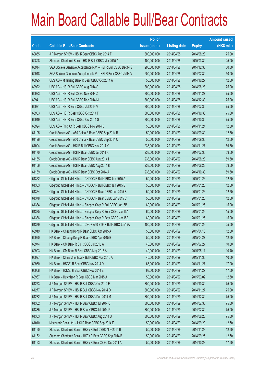|       |                                                                | No. of        |                     |               | <b>Amount raised</b> |
|-------|----------------------------------------------------------------|---------------|---------------------|---------------|----------------------|
| Code  | <b>Callable Bull/Bear Contracts</b>                            | issue (units) | <b>Listing date</b> | <b>Expiry</b> | (HK\$ mil.)          |
| 60855 | J P Morgan SP BV - HSI R Bear CBBC Aug 2014 T                  | 300,000,000   | 2014/04/28          | 2014/08/28    | 75.00                |
| 60898 | Standard Chartered Bank - HSI R Bull CBBC Mar 2015 A           | 100,000,000   | 2014/04/28          | 2015/03/30    | 25.00                |
| 60914 | SGA Societe Generale Acceptance N.V. - HSI R Bull CBBC Dec14 S | 200,000,000   | 2014/04/28          | 2014/12/30    | 50.00                |
| 60918 | SGA Societe Generale Acceptance N.V. - HSI R Bear CBBC Jul14 V | 200,000,000   | 2014/04/28          | 2014/07/30    | 50.00                |
| 60925 | UBS AG - Minsheng Bank R Bear CBBC Oct 2014 A                  | 50,000,000    | 2014/04/28          | 2014/10/27    | 12.50                |
| 60922 | UBS AG - HSI R Bull CBBC Aug 2014 S                            | 300,000,000   | 2014/04/28          | 2014/08/28    | 75.00                |
| 60923 | UBS AG - HSI R Bull CBBC Nov 2014 Z                            | 300,000,000   | 2014/04/28          | 2014/11/27    | 75.00                |
| 60941 | UBS AG - HSI R Bull CBBC Dec 2014 M                            | 300,000,000   | 2014/04/28          | 2014/12/30    | 75.00                |
| 60921 | UBS AG - HSI R Bear CBBC Jul 2014 V                            | 300,000,000   | 2014/04/28          | 2014/07/30    | 75.00                |
| 60903 | UBS AG - HSI R Bear CBBC Oct 2014 F                            | 300,000,000   | 2014/04/28          | 2014/10/30    | 75.00                |
| 60919 | UBS AG - HSI R Bear CBBC Oct 2014 G                            | 300,000,000   | 2014/04/28          | 2014/10/30    | 75.00                |
| 60924 | UBS AG - Ping An R Bear CBBC Nov 2014 B                        | 50,000,000    | 2014/04/28          | 2014/11/24    | 12.50                |
| 61195 | Credit Suisse AG - A50 China R Bear CBBC Sep 2014 B            | 50,000,000    | 2014/04/29          | 2014/09/30    | 12.50                |
| 61196 | Credit Suisse AG - A50 China R Bear CBBC Sep 2014 C            | 50,000,000    | 2014/04/29          | 2014/09/30    | 12.50                |
| 61004 | Credit Suisse AG - HSI R Bull CBBC Nov 2014 Y                  | 238,000,000   | 2014/04/29          | 2014/11/27    | 59.50                |
| 61170 | Credit Suisse AG - HSI R Bear CBBC Jul 2014 K                  | 238,000,000   | 2014/04/29          | 2014/07/30    | 59.50                |
| 61165 | Credit Suisse AG - HSI R Bear CBBC Aug 2014 I                  | 238,000,000   | 2014/04/29          | 2014/08/28    | 59.50                |
| 61166 | Credit Suisse AG - HSI R Bear CBBC Aug 2014 R                  | 238,000,000   | 2014/04/29          | 2014/08/28    | 59.50                |
| 61169 | Credit Suisse AG - HSI R Bear CBBC Oct 2014 A                  | 238,000,000   | 2014/04/29          | 2014/10/30    | 59.50                |
| 61362 | Citigroup Global Mkt H Inc. - CNOOC R Bull CBBC Jan 2015 A     | 50,000,000    | 2014/04/29          | 2015/01/26    | 12.50                |
| 61363 | Citigroup Global Mkt H Inc. - CNOOC R Bull CBBC Jan 2015 B     | 50,000,000    | 2014/04/29          | 2015/01/26    | 12.50                |
| 61364 | Citigroup Global Mkt H Inc. - CNOOC R Bear CBBC Jan 2015 B     | 50,000,000    | 2014/04/29          | 2015/01/26    | 12.50                |
| 61378 | Citigroup Global Mkt H Inc. - CNOOC R Bear CBBC Jan 2015 C     | 50,000,000    | 2014/04/29          | 2015/01/26    | 12.50                |
| 61384 | Citigroup Global Mkt H Inc. - Sinopec Corp R Bull CBBC Jan15B  | 60,000,000    | 2014/04/29          | 2015/01/26    | 15.00                |
| 61385 | Citigroup Global Mkt H Inc. - Sinopec Corp R Bear CBBC Jan15A  | 60,000,000    | 2014/04/29          | 2015/01/26    | 15.00                |
| 61386 | Citigroup Global Mkt H Inc. - Sinopec Corp R Bear CBBC Jan15B  | 60,000,000    | 2014/04/29          | 2015/01/26    | 15.00                |
| 61379 | Citigroup Global Mkt H Inc. - CSOP A50 ETF R Bull CBBC Jan15A  | 100,000,000   | 2014/04/29          | 2015/01/26    | 25.00                |
| 60949 | HK Bank - Cheung Kong R Bear CBBC Apr 2015 A                   | 50,000,000    | 2014/04/29          | 2015/04/13    | 12.50                |
| 60990 | HK Bank - Cheung Kong R Bear CBBC Apr 2015 B                   | 50,000,000    | 2014/04/29          | 2015/04/27    | 12.50                |
| 60974 | HK Bank - CM Bank R Bull CBBC Jul 2015 A                       | 40,000,000    | 2014/04/29          | 2015/07/27    | 10.80                |
| 60993 | HK Bank - CM Bank R Bear CBBC May 2015 A                       | 40,000,000    | 2014/04/29          | 2015/05/11    | 10.40                |
| 60997 | HK Bank - China Shenhua R Bull CBBC Nov 2015 A                 | 40,000,000    | 2014/04/29          | 2015/11/30    | 10.00                |
| 60960 | HK Bank - HSCEI R Bear CBBC Nov 2014 D                         | 68,000,000    | 2014/04/29          | 2014/11/27    | 17.00                |
| 60968 | HK Bank - HSCEI R Bear CBBC Nov 2014 E                         | 68,000,000    | 2014/04/29          | 2014/11/27    | 17.00                |
| 60967 | HK Bank - Hutchison R Bear CBBC Mar 2015 A                     | 50,000,000    | 2014/04/29          | 2015/03/02    | 12.50                |
| 61273 | J P Morgan SP BV - HSI R Bull CBBC Oct 2014 E                  | 300,000,000   | 2014/04/29          | 2014/10/30    | 75.00                |
| 61277 | J P Morgan SP BV - HSI R Bull CBBC Nov 2014 O                  | 300,000,000   | 2014/04/29          | 2014/11/27    | 75.00                |
| 61282 | J P Morgan SP BV - HSI R Bull CBBC Dec 2014 M                  | 300,000,000   | 2014/04/29          | 2014/12/30    | 75.00                |
| 61302 | J P Morgan SP BV - HSI R Bear CBBC Jul 2014 C                  | 300,000,000   | 2014/04/29          | 2014/07/30    | 75.00                |
| 61335 | J P Morgan SP BV - HSI R Bear CBBC Jul 2014 P                  | 300,000,000   | 2014/04/29          | 2014/07/30    | 75.00                |
| 61303 | J P Morgan SP BV - HSI R Bear CBBC Aug 2014 U                  | 300,000,000   | 2014/04/29          | 2014/08/28    | 75.00                |
| 61010 | Macquarie Bank Ltd. - HSI R Bear CBBC Sep 2014 E               | 50,000,000    | 2014/04/29          | 2014/09/29    | 12.50                |
| 61160 | Standard Chartered Bank - HKEx R Bull CBBC Nov 2014 B          | 50,000,000    | 2014/04/29          | 2014/11/28    | 12.50                |
| 61162 | Standard Chartered Bank - HKEx R Bear CBBC Sep 2014 B          | 50,000,000    | 2014/04/29          | 2014/09/25    | 12.50                |
| 61163 | Standard Chartered Bank - HKEx R Bear CBBC Oct 2014 A          | 50,000,000    | 2014/04/29          | 2014/10/23    | 17.50                |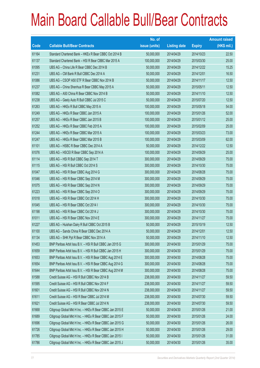|       |                                                           | No. of        |                     |               | <b>Amount raised</b> |
|-------|-----------------------------------------------------------|---------------|---------------------|---------------|----------------------|
| Code  | <b>Callable Bull/Bear Contracts</b>                       | issue (units) | <b>Listing date</b> | <b>Expiry</b> | (HK\$ mil.)          |
| 61164 | Standard Chartered Bank - HKEx R Bear CBBC Oct 2014 B     | 50,000,000    | 2014/04/29          | 2014/10/23    | 22.50                |
| 61137 | Standard Chartered Bank - HSI R Bear CBBC Mar 2015 A      | 100,000,000   | 2014/04/29          | 2015/03/30    | 25.00                |
| 61095 | UBS AG - China Life R Bear CBBC Dec 2014 B                | 50,000,000    | 2014/04/29          | 2014/12/22    | 15.25                |
| 61231 | UBS AG - CM Bank R Bull CBBC Dec 2014 A                   | 50,000,000    | 2014/04/29          | 2014/12/01    | 16.50                |
| 61086 | UBS AG - CSOP A50 ETF R Bear CBBC Nov 2014 B              | 50,000,000    | 2014/04/29          | 2014/11/17    | 12.50                |
| 61237 | UBS AG - China Shenhua R Bear CBBC May 2015 A             | 50,000,000    | 2014/04/29          | 2015/05/11    | 12.50                |
| 61082 | UBS AG - A50 China R Bear CBBC Nov 2014 B                 | 50,000,000    | 2014/04/29          | 2014/11/10    | 12.50                |
| 61238 | UBS AG - Geely Auto R Bull CBBC Jul 2015 C                | 50,000,000    | 2014/04/29          | 2015/07/20    | 12.50                |
| 61263 | UBS AG - HKEx R Bull CBBC May 2015 A                      | 100,000,000   | 2014/04/29          | 2015/05/18    | 54.00                |
| 61249 | UBS AG - HKEx R Bear CBBC Jan 2015 A                      | 100,000,000   | 2014/04/29          | 2015/01/26    | 52.00                |
| 61257 | UBS AG - HKEx R Bear CBBC Jan 2015 B                      | 100,000,000   | 2014/04/29          | 2015/01/12    | 25.00                |
| 61252 | UBS AG - HKEx R Bear CBBC Feb 2015 A                      | 100,000,000   | 2014/04/29          | 2015/02/09    | 25.00                |
| 61244 | UBS AG - HKEx R Bear CBBC Mar 2015 A                      | 100,000,000   | 2014/04/29          | 2015/03/23    | 73.00                |
| 61247 | UBS AG - HKEx R Bear CBBC Mar 2015 B                      | 100,000,000   | 2014/04/29          | 2015/03/09    | 62.00                |
| 61101 | UBS AG - HSBC R Bear CBBC Dec 2014 A                      | 50,000,000    | 2014/04/29          | 2014/12/22    | 12.50                |
| 61076 | UBS AG - HSCEI R Bear CBBC Sep 2014 A                     | 100,000,000   | 2014/04/29          | 2014/09/29    | 25.00                |
| 61114 | UBS AG - HSI R Bull CBBC Sep 2014 T                       | 300,000,000   | 2014/04/29          | 2014/09/29    | 75.00                |
| 61115 | UBS AG - HSI R Bull CBBC Oct 2014 S                       | 300,000,000   | 2014/04/29          | 2014/10/30    | 75.00                |
| 61047 | UBS AG - HSI R Bear CBBC Aug 2014 G                       | 300,000,000   | 2014/04/29          | 2014/08/28    | 75.00                |
| 61046 | UBS AG - HSI R Bear CBBC Sep 2014 M                       | 300,000,000   | 2014/04/29          | 2014/09/29    | 75.00                |
| 61075 | UBS AG - HSI R Bear CBBC Sep 2014 N                       | 300,000,000   | 2014/04/29          | 2014/09/29    | 75.00                |
| 61223 | UBS AG - HSI R Bear CBBC Sep 2014 O                       | 300,000,000   | 2014/04/29          | 2014/09/29    | 75.00                |
| 61018 | UBS AG - HSI R Bear CBBC Oct 2014 H                       | 300,000,000   | 2014/04/29          | 2014/10/30    | 75.00                |
| 61045 | UBS AG - HSI R Bear CBBC Oct 2014 I                       | 300,000,000   | 2014/04/29          | 2014/10/30    | 75.00                |
| 61198 | UBS AG - HSI R Bear CBBC Oct 2014 J                       | 300,000,000   | 2014/04/29          | 2014/10/30    | 75.00                |
| 61011 | UBS AG - HSI R Bear CBBC Nov 2014 E                       | 300,000,000   | 2014/04/29          | 2014/11/27    | 75.00                |
| 61227 | UBS AG - Huishan Dairy R Bull CBBC Oct 2015 B             | 50,000,000    | 2014/04/29          | 2015/10/19    | 12.50                |
| 61100 | UBS AG - Sands China R Bear CBBC Dec 2014 A               | 50,000,000    | 2014/04/29          | 2014/12/01    | 12.50                |
| 61134 | UBS AG - SHK Ppt R Bear CBBC Nov 2014 A                   | 50,000,000    | 2014/04/29          | 2014/11/10    | 12.50                |
| 61453 | BNP Paribas Arbit Issu B.V. - HSI R Bull CBBC Jan 2015 G  | 300,000,000   | 2014/04/30          | 2015/01/29    | 75.00                |
| 61659 | BNP Paribas Arbit Issu B.V. - HSI R Bull CBBC Jan 2015 H  | 300,000,000   | 2014/04/30          | 2015/01/29    | 75.00                |
| 61653 | BNP Paribas Arbit Issu B.V. - HSI R Bear CBBC Aug 2014 E  | 300,000,000   | 2014/04/30          | 2014/08/28    | 75.00                |
| 61654 | BNP Paribas Arbit Issu B.V. - HSI R Bear CBBC Aug 2014 G  | 300,000,000   | 2014/04/30          | 2014/08/28    | 75.00                |
| 61644 | BNP Paribas Arbit Issu B.V. - HSI R Bear CBBC Aug 2014 M  | 300,000,000   | 2014/04/30          | 2014/08/28    | 75.00                |
| 61588 | Credit Suisse AG - HSI R Bull CBBC Nov 2014 B             | 238,000,000   | 2014/04/30          | 2014/11/27    | 59.50                |
| 61595 | Credit Suisse AG - HSI R Bull CBBC Nov 2014 F             | 238,000,000   | 2014/04/30          | 2014/11/27    | 59.50                |
| 61601 | Credit Suisse AG - HSI R Bull CBBC Nov 2014 N             | 238,000,000   | 2014/04/30          | 2014/11/27    | 59.50                |
| 61611 | Credit Suisse AG - HSI R Bear CBBC Jul 2014 M             | 238,000,000   | 2014/04/30          | 2014/07/30    | 59.50                |
| 61621 | Credit Suisse AG - HSI R Bear CBBC Jul 2014 N             | 238,000,000   | 2014/04/30          | 2014/07/30    | 59.50                |
| 61668 | Citigroup Global Mkt H Inc. - HKEx R Bear CBBC Jan 2015 E | 50,000,000    | 2014/04/30          | 2015/01/26    | 21.00                |
| 61689 | Citigroup Global Mkt H Inc. - HKEx R Bear CBBC Jan 2015 F | 50,000,000    | 2014/04/30          | 2015/01/26    | 24.00                |
| 61696 | Citigroup Global Mkt H Inc. - HKEx R Bear CBBC Jan 2015 G | 50,000,000    | 2014/04/30          | 2015/01/26    | 26.00                |
| 61726 | Citigroup Global Mkt H Inc. - HKEx R Bear CBBC Jan 2015 H | 50,000,000    | 2014/04/30          | 2015/01/26    | 29.00                |
| 61785 | Citigroup Global Mkt H Inc. - HKEx R Bear CBBC Jan 2015 I | 50,000,000    | 2014/04/30          | 2015/01/26    | 31.00                |
| 61786 | Citigroup Global Mkt H Inc. - HKEx R Bear CBBC Jan 2015 J | 50,000,000    | 2014/04/30          | 2015/01/26    | 35.00                |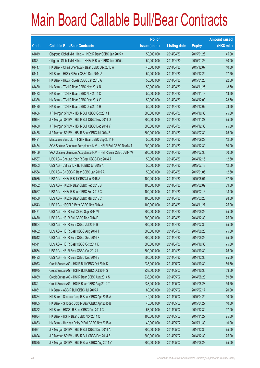|       |                                                                | No. of        |                     |               | <b>Amount raised</b> |
|-------|----------------------------------------------------------------|---------------|---------------------|---------------|----------------------|
| Code  | <b>Callable Bull/Bear Contracts</b>                            | issue (units) | <b>Listing date</b> | <b>Expiry</b> | $(HK$$ mil.)         |
| 61819 | Citigroup Global Mkt H Inc. - HKEx R Bear CBBC Jan 2015 K      | 50,000,000    | 2014/04/30          | 2015/01/26    | 45.00                |
| 61821 | Citigroup Global Mkt H Inc. - HKEx R Bear CBBC Jan 2015 L      | 50,000,000    | 2014/04/30          | 2015/01/26    | 60.00                |
| 61447 | HK Bank - China Shenhua R Bear CBBC Dec 2015 A                 | 40,000,000    | 2014/04/30          | 2015/12/07    | 10.00                |
| 61441 | HK Bank - HKEx R Bear CBBC Dec 2014 A                          | 50,000,000    | 2014/04/30          | 2014/12/22    | 17.50                |
| 61444 | HK Bank – HKEx R Bear CBBC Jan 2015 A                          | 50,000,000    | 2014/04/30          | 2015/01/26    | 22.50                |
| 61430 | HK Bank - TCH R Bear CBBC Nov 2014 N                           | 50,000,000    | 2014/04/30          | 2014/11/25    | 18.50                |
| 61433 | HK Bank - TCH R Bear CBBC Nov 2014 O                           | 50,000,000    | 2014/04/30          | 2014/11/18    | 13.50                |
| 61388 | HK Bank - TCH R Bear CBBC Dec 2014 G                           | 50,000,000    | 2014/04/30          | 2014/12/09    | 28.50                |
| 61420 | HK Bank - TCH R Bear CBBC Dec 2014 H                           | 50,000,000    | 2014/04/30          | 2014/12/02    | 23.50                |
| 61666 | J P Morgan SP BV - HSI R Bull CBBC Oct 2014 I                  | 300,000,000   | 2014/04/30          | 2014/10/30    | 75.00                |
| 61664 | J P Morgan SP BV - HSI R Bull CBBC Nov 2014 Q                  | 300,000,000   | 2014/04/30          | 2014/11/27    | 75.00                |
| 61660 | J P Morgan SP BV - HSI R Bull CBBC Dec 2014 Y                  | 300,000,000   | 2014/04/30          | 2014/12/30    | 75.00                |
| 61488 | J P Morgan SP BV - HSI R Bear CBBC Jul 2014 Z                  | 300,000,000   | 2014/04/30          | 2014/07/30    | 75.00                |
| 61491 | Macquarie Bank Ltd. - HSI R Bear CBBC Sep 2014 F               | 50,000,000    | 2014/04/30          | 2014/09/29    | 12.50                |
| 61454 | SGA Societe Generale Acceptance N.V. - HSI R Bull CBBC Dec14 T | 200,000,000   | 2014/04/30          | 2014/12/30    | 50.00                |
| 61469 | SGA Societe Generale Acceptance N.V. - HSI R Bear CBBC Jul14 W | 200,000,000   | 2014/04/30          | 2014/07/30    | 50.00                |
| 61587 | UBS AG - Cheung Kong R Bear CBBC Dec 2014 A                    | 50,000,000    | 2014/04/30          | 2014/12/15    | 12.50                |
| 61553 | UBS AG - CM Bank R Bull CBBC Jul 2015 A                        | 50,000,000    | 2014/04/30          | 2015/07/13    | 12.50                |
| 61554 | UBS AG - CNOOC R Bear CBBC Jan 2015 A                          | 50,000,000    | 2014/04/30          | 2015/01/05    | 12.50                |
| 61585 | UBS AG - HKEx R Bull CBBC Jun 2015 A                           | 100,000,000   | 2014/04/30          | 2015/06/01    | 37.50                |
| 61562 | UBS AG - HKEx R Bear CBBC Feb 2015 B                           | 100,000,000   | 2014/04/30          | 2015/02/02    | 69.00                |
| 61567 | UBS AG - HKEx R Bear CBBC Feb 2015 C                           | 100,000,000   | 2014/04/30          | 2015/02/16    | 48.00                |
| 61569 | UBS AG - HKEx R Bear CBBC Mar 2015 C                           | 100,000,000   | 2014/04/30          | 2015/03/23    | 28.00                |
| 61543 | UBS AG - HSCEI R Bear CBBC Nov 2014 A                          | 100,000,000   | 2014/04/30          | 2014/11/27    | 25.00                |
| 61471 | UBS AG - HSI R Bull CBBC Sep 2014 W                            | 300,000,000   | 2014/04/30          | 2014/09/29    | 75.00                |
| 61470 | UBS AG - HSI R Bull CBBC Dec 2014 E                            | 300,000,000   | 2014/04/30          | 2014/12/30    | 75.00                |
| 61604 | UBS AG - HSI R Bear CBBC Jul 2014 B                            | 300,000,000   | 2014/04/30          | 2014/07/30    | 75.00                |
| 61602 | UBS AG - HSI R Bear CBBC Aug 2014 J                            | 300,000,000   | 2014/04/30          | 2014/08/28    | 75.00                |
| 61542 | UBS AG - HSI R Bear CBBC Sep 2014 P                            | 300,000,000   | 2014/04/30          | 2014/09/29    | 75.00                |
| 61511 | UBS AG - HSI R Bear CBBC Oct 2014 K                            | 300,000,000   | 2014/04/30          | 2014/10/30    | 75.00                |
| 61534 | UBS AG - HSI R Bear CBBC Oct 2014 L                            | 300,000,000   | 2014/04/30          | 2014/10/30    | 75.00                |
| 61493 | UBS AG - HSI R Bear CBBC Dec 2014 B                            | 300,000,000   | 2014/04/30          | 2014/12/30    | 75.00                |
| 61973 | Credit Suisse AG - HSI R Bull CBBC Oct 2014 K                  | 238,000,000   | 2014/05/02          | 2014/10/30    | 59.50                |
| 61975 | Credit Suisse AG - HSI R Bull CBBC Oct 2014 S                  | 238,000,000   | 2014/05/02          | 2014/10/30    | 59.50                |
| 61889 | Credit Suisse AG - HSI R Bear CBBC Aug 2014 S                  | 238,000,000   | 2014/05/02          | 2014/08/28    | 59.50                |
| 61891 | Credit Suisse AG - HSI R Bear CBBC Aug 2014 T                  | 238,000,000   | 2014/05/02          | 2014/08/28    | 59.50                |
| 61861 | HK Bank - ABC R Bull CBBC Jul 2015 A                           | 80,000,000    | 2014/05/02          | 2015/07/17    | 20.00                |
| 61864 | HK Bank - Sinopec Corp R Bear CBBC Apr 2015 A                  | 40,000,000    | 2014/05/02          | 2015/04/20    | 10.00                |
| 61865 | HK Bank - Sinopec Corp R Bear CBBC Apr 2015 B                  | 40,000,000    | 2014/05/02          | 2015/04/27    | 10.00                |
| 61852 | HK Bank - HSCEI R Bear CBBC Dec 2014 C                         | 68,000,000    | 2014/05/02          | 2014/12/30    | 17.00                |
| 61834 | HK Bank - HSI R Bear CBBC Nov 2014 Q                           | 100,000,000   | 2014/05/02          | 2014/11/27    | 25.00                |
| 61833 | HK Bank - Huishan Dairy R Bull CBBC Nov 2015 A                 | 40,000,000    | 2014/05/02          | 2015/11/30    | 10.00                |
| 62061 | J P Morgan SP BV - HSI R Bull CBBC Dec 2014 A                  | 300,000,000   | 2014/05/02          | 2014/12/30    | 75.00                |
| 61824 | J P Morgan SP BV - HSI R Bull CBBC Dec 2014 Z                  | 300,000,000   | 2014/05/02          | 2014/12/30    | 75.00                |
| 61825 | J P Morgan SP BV - HSI R Bear CBBC Aug 2014 V                  | 300,000,000   | 2014/05/02          | 2014/08/28    | 75.00                |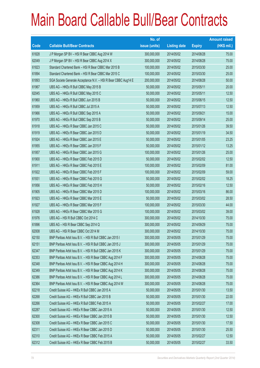|       |                                                                | No. of        |                     |               | <b>Amount raised</b> |
|-------|----------------------------------------------------------------|---------------|---------------------|---------------|----------------------|
| Code  | <b>Callable Bull/Bear Contracts</b>                            | issue (units) | <b>Listing date</b> | <b>Expiry</b> | (HK\$ mil.)          |
| 61828 | J P Morgan SP BV - HSI R Bear CBBC Aug 2014 W                  | 300,000,000   | 2014/05/02          | 2014/08/28    | 75.00                |
| 62049 | J P Morgan SP BV - HSI R Bear CBBC Aug 2014 X                  | 300,000,000   | 2014/05/02          | 2014/08/28    | 75.00                |
| 61823 | Standard Chartered Bank - HSI R Bear CBBC Mar 2015 B           | 100,000,000   | 2014/05/02          | 2015/03/30    | 25.00                |
| 61894 | Standard Chartered Bank - HSI R Bear CBBC Mar 2015 C           | 100,000,000   | 2014/05/02          | 2015/03/30    | 25.00                |
| 61893 | SGA Societe Generale Acceptance N.V. - HSI R Bear CBBC Aug14 E | 200,000,000   | 2014/05/02          | 2014/08/28    | 50.00                |
| 61967 | UBS AG - HKEx R Bull CBBC May 2015 B                           | 50,000,000    | 2014/05/02          | 2015/05/11    | 20.00                |
| 62045 | UBS AG - HKEx R Bull CBBC May 2015 C                           | 50,000,000    | 2014/05/02          | 2015/05/11    | 12.50                |
| 61960 | UBS AG - HKEx R Bull CBBC Jun 2015 B                           | 50,000,000    | 2014/05/02          | 2015/06/15    | 12.50                |
| 61959 | UBS AG - HKEx R Bull CBBC Jul 2015 A                           | 50,000,000    | 2014/05/02          | 2015/07/13    | 12.50                |
| 61966 | UBS AG - HKEx R Bull CBBC Sep 2015 A                           | 50,000,000    | 2014/05/02          | 2015/09/21    | 15.00                |
| 61970 | UBS AG - HKEx R Bull CBBC Sep 2015 B                           | 50,000,000    | 2014/05/02          | 2015/09/14    | 25.00                |
| 61918 | UBS AG - HKEx R Bear CBBC Jan 2015 C                           | 50,000,000    | 2014/05/02          | 2015/01/26    | 39.50                |
| 61919 | UBS AG - HKEx R Bear CBBC Jan 2015 D                           | 50,000,000    | 2014/05/02          | 2015/01/19    | 34.50                |
| 61924 | UBS AG - HKEx R Bear CBBC Jan 2015 E                           | 50,000,000    | 2014/05/02          | 2015/01/05    | 23.25                |
| 61955 | UBS AG - HKEx R Bear CBBC Jan 2015 F                           | 50,000,000    | 2014/05/02          | 2015/01/12    | 13.25                |
| 61957 | UBS AG - HKEx R Bear CBBC Jan 2015 G                           | 100,000,000   | 2014/05/02          | 2015/01/26    | 25.00                |
| 61900 | UBS AG - HKEx R Bear CBBC Feb 2015 D                           | 50,000,000    | 2014/05/02          | 2015/02/02    | 12.50                |
| 61911 | UBS AG - HKEx R Bear CBBC Feb 2015 E                           | 100,000,000   | 2014/05/02          | 2015/02/09    | 81.00                |
| 61922 | UBS AG - HKEx R Bear CBBC Feb 2015 F                           | 100,000,000   | 2014/05/02          | 2015/02/09    | 59.00                |
| 61931 | UBS AG - HKEx R Bear CBBC Feb 2015 G                           | 50,000,000    | 2014/05/02          | 2015/02/02    | 18.25                |
| 61956 | UBS AG - HKEx R Bear CBBC Feb 2015 H                           | 50,000,000    | 2014/05/02          | 2015/02/16    | 12.50                |
| 61905 | UBS AG - HKEx R Bear CBBC Mar 2015 D                           | 100,000,000   | 2014/05/02          | 2015/03/16    | 86.00                |
| 61923 | UBS AG - HKEx R Bear CBBC Mar 2015 E                           | 50,000,000    | 2014/05/02          | 2015/03/02    | 28.50                |
| 61927 | UBS AG - HKEx R Bear CBBC Mar 2015 F                           | 100,000,000   | 2014/05/02          | 2015/03/30    | 44.00                |
| 61928 | UBS AG - HKEx R Bear CBBC Mar 2015 G                           | 100,000,000   | 2014/05/02          | 2015/03/02    | 39.00                |
| 61976 | UBS AG - HSI R Bull CBBC Oct 2014 C                            | 300,000,000   | 2014/05/02          | 2014/10/30    | 75.00                |
| 61896 | UBS AG - HSI R Bear CBBC Sep 2014 Q                            | 300,000,000   | 2014/05/02          | 2014/09/29    | 75.00                |
| 62008 | UBS AG - HSI R Bear CBBC Oct 2014 M                            | 300,000,000   | 2014/05/02          | 2014/10/30    | 75.00                |
| 62150 | BNP Paribas Arbit Issu B.V. - HSI R Bull CBBC Jan 2015 I       | 300,000,000   | 2014/05/05          | 2015/01/29    | 75.00                |
| 62151 | BNP Paribas Arbit Issu B.V. - HSI R Bull CBBC Jan 2015 J       | 300,000,000   | 2014/05/05          | 2015/01/29    | 75.00                |
| 62347 | BNP Paribas Arbit Issu B.V. - HSI R Bull CBBC Jan 2015 K       | 300,000,000   | 2014/05/05          | 2015/01/29    | 75.00                |
| 62353 | BNP Paribas Arbit Issu B.V. - HSI R Bear CBBC Aug 2014 F       | 300,000,000   | 2014/05/05          | 2014/08/28    | 75.00                |
| 62348 | BNP Paribas Arbit Issu B.V. - HSI R Bear CBBC Aug 2014 H       | 300,000,000   | 2014/05/05          | 2014/08/28    | 75.00                |
| 62349 | BNP Paribas Arbit Issu B.V. - HSI R Bear CBBC Aug 2014 K       | 300,000,000   | 2014/05/05          | 2014/08/28    | 75.00                |
| 62386 | BNP Paribas Arbit Issu B.V. - HSI R Bear CBBC Aug 2014 L       | 300,000,000   | 2014/05/05          | 2014/08/28    | 75.00                |
| 62364 | BNP Paribas Arbit Issu B.V. - HSI R Bear CBBC Aug 2014 W       | 300,000,000   | 2014/05/05          | 2014/08/28    | 75.00                |
| 62218 | Credit Suisse AG - HKEx R Bull CBBC Jan 2015 A                 | 50,000,000    | 2014/05/05          | 2015/01/30    | 13.50                |
| 62268 | Credit Suisse AG - HKEx R Bull CBBC Jan 2015 B                 | 50,000,000    | 2014/05/05          | 2015/01/30    | 22.00                |
| 62266 | Credit Suisse AG - HKEx R Bull CBBC Feb 2015 A                 | 50,000,000    | 2014/05/05          | 2015/02/27    | 17.00                |
| 62287 | Credit Suisse AG - HKEx R Bear CBBC Jan 2015 A                 | 50,000,000    | 2014/05/05          | 2015/01/30    | 12.50                |
| 62300 | Credit Suisse AG - HKEx R Bear CBBC Jan 2015 B                 | 50,000,000    | 2014/05/05          | 2015/01/30    | 12.50                |
| 62308 | Credit Suisse AG - HKEx R Bear CBBC Jan 2015 C                 | 50,000,000    | 2014/05/05          | 2015/01/30    | 17.50                |
| 62311 | Credit Suisse AG - HKEx R Bear CBBC Jan 2015 D                 | 50,000,000    | 2014/05/05          | 2015/01/30    | 25.50                |
| 62310 | Credit Suisse AG - HKEx R Bear CBBC Feb 2015 A                 | 50,000,000    | 2014/05/05          | 2015/02/27    | 12.50                |
| 62312 | Credit Suisse AG - HKEx R Bear CBBC Feb 2015 B                 | 50,000,000    | 2014/05/05          | 2015/02/27    | 33.50                |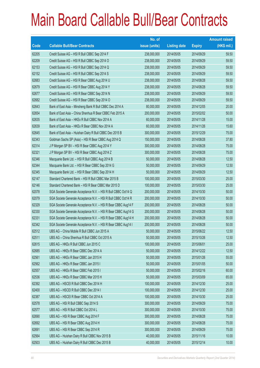|       |                                                                | No. of        |                     |               | <b>Amount raised</b> |
|-------|----------------------------------------------------------------|---------------|---------------------|---------------|----------------------|
| Code  | <b>Callable Bull/Bear Contracts</b>                            | issue (units) | <b>Listing date</b> | <b>Expiry</b> | $(HK$$ mil.)         |
| 62205 | Credit Suisse AG - HSI R Bull CBBC Sep 2014 F                  | 238,000,000   | 2014/05/05          | 2014/09/29    | 59.50                |
| 62209 | Credit Suisse AG - HSI R Bull CBBC Sep 2014 O                  | 238,000,000   | 2014/05/05          | 2014/09/29    | 59.50                |
| 62153 | Credit Suisse AG - HSI R Bull CBBC Sep 2014 Q                  | 238,000,000   | 2014/05/05          | 2014/09/29    | 59.50                |
| 62152 | Credit Suisse AG - HSI R Bull CBBC Sep 2014 S                  | 238,000,000   | 2014/05/05          | 2014/09/29    | 59.50                |
| 62683 | Credit Suisse AG - HSI R Bear CBBC Aug 2014 U                  | 238,000,000   | 2014/05/05          | 2014/08/28    | 59.50                |
| 62679 | Credit Suisse AG - HSI R Bear CBBC Aug 2014 Y                  | 238,000,000   | 2014/05/05          | 2014/08/28    | 59.50                |
| 62677 | Credit Suisse AG - HSI R Bear CBBC Sep 2014 N                  | 238,000,000   | 2014/05/05          | 2014/09/29    | 59.50                |
| 62682 | Credit Suisse AG - HSI R Bear CBBC Sep 2014 O                  | 238,000,000   | 2014/05/05          | 2014/09/29    | 59.50                |
| 62643 | Bank of East Asia - Minsheng Bank R Bull CBBC Dec 2014 A       | 80,000,000    | 2014/05/05          | 2014/12/05    | 20.00                |
| 62654 | Bank of East Asia - China Shenhua R Bear CBBC Feb 2015 A       | 200,000,000   | 2014/05/05          | 2015/02/02    | 50.00                |
| 62635 | Bank of East Asia - HKEx R Bull CBBC Nov 2014 A                | 60,000,000    | 2014/05/05          | 2014/11/28    | 15.00                |
| 62639 | Bank of East Asia - HKEx R Bear CBBC Nov 2014 A                | 60,000,000    | 2014/05/05          | 2014/11/26    | 15.60                |
| 62645 | Bank of East Asia - Huishan Dairy R Bull CBBC Dec 2015 B       | 300,000,000   | 2014/05/05          | 2015/12/29    | 75.00                |
| 62343 | Goldman Sachs SP (Asia) - HSI R Bear CBBC Aug 2014 Q           | 150,000,000   | 2014/05/05          | 2014/08/28    | 37.80                |
| 62314 | J P Morgan SP BV - HSI R Bear CBBC Aug 2014 Y                  | 300,000,000   | 2014/05/05          | 2014/08/28    | 75.00                |
| 62321 | JP Morgan SP BV - HSI R Bear CBBC Aug 2014 Z                   | 300,000,000   | 2014/05/05          | 2014/08/28    | 75.00                |
| 62346 | Macquarie Bank Ltd. - HSI R Bull CBBC Aug 2014 B               | 50,000,000    | 2014/05/05          | 2014/08/28    | 12.50                |
| 62344 | Macquarie Bank Ltd. - HSI R Bear CBBC Sep 2014 G               | 50,000,000    | 2014/05/05          | 2014/09/29    | 12.50                |
| 62345 | Macquarie Bank Ltd. - HSI R Bear CBBC Sep 2014 H               | 50,000,000    | 2014/05/05          | 2014/09/29    | 12.50                |
| 62147 | Standard Chartered Bank - HSI R Bull CBBC Mar 2015 B           | 100,000,000   | 2014/05/05          | 2015/03/30    | 25.00                |
| 62146 | Standard Chartered Bank - HSI R Bear CBBC Mar 2015 D           | 100,000,000   | 2014/05/05          | 2015/03/30    | 25.00                |
| 62078 | SGA Societe Generale Acceptance N.V. - HSI R Bull CBBC Oct14 Q | 200,000,000   | 2014/05/05          | 2014/10/30    | 50.00                |
| 62079 | SGA Societe Generale Acceptance N.V. - HSI R Bull CBBC Oct14 R | 200,000,000   | 2014/05/05          | 2014/10/30    | 50.00                |
| 62329 | SGA Societe Generale Acceptance N.V. - HSI R Bear CBBC Aug14 F | 200,000,000   | 2014/05/05          | 2014/08/28    | 50.00                |
| 62330 | SGA Societe Generale Acceptance N.V. - HSI R Bear CBBC Aug14 G | 200,000,000   | 2014/05/05          | 2014/08/28    | 50.00                |
| 62331 | SGA Societe Generale Acceptance N.V. - HSI R Bear CBBC Aug14 H | 200,000,000   | 2014/05/05          | 2014/08/28    | 50.00                |
| 62342 | SGA Societe Generale Acceptance N.V. - HSI R Bear CBBC Aug14 I | 200,000,000   | 2014/05/05          | 2014/08/28    | 50.00                |
| 62512 | UBS AG - China Mobile R Bull CBBC Jun 2015 A                   | 50,000,000    | 2014/05/05          | 2015/06/22    | 12.50                |
| 62511 | UBS AG - China Shenhua R Bull CBBC Oct 2015 A                  | 50,000,000    | 2014/05/05          | 2015/10/26    | 12.50                |
| 62615 | UBS AG - HKEx R Bull CBBC Jun 2015 C                           | 100,000,000   | 2014/05/05          | 2015/06/01    | 25.00                |
| 62685 | UBS AG - HKEx R Bear CBBC Dec 2014 A                           | 50,000,000    | 2014/05/05          | 2014/12/22    | 12.50                |
| 62561 | UBS AG - HKEx R Bear CBBC Jan 2015 H                           | 50,000,000    | 2014/05/05          | 2015/01/26    | 55.00                |
| 62562 | UBS AG - HKEx R Bear CBBC Jan 2015 I                           | 50,000,000    | 2014/05/05          | 2015/01/05    | 50.00                |
| 62557 | UBS AG - HKEx R Bear CBBC Feb 2015 I                           | 50,000,000    | 2014/05/05          | 2015/02/16    | 60.00                |
| 62536 | UBS AG - HKEx R Bear CBBC Mar 2015 H                           | 50,000,000    | 2014/05/05          | 2015/03/09    | 65.00                |
| 62392 | UBS AG - HSCEI R Bull CBBC Dec 2014 H                          | 100,000,000   | 2014/05/05          | 2014/12/30    | 25.00                |
| 62400 | UBS AG - HSCEI R Bull CBBC Dec 2014 I                          | 100,000,000   | 2014/05/05          | 2014/12/30    | 25.00                |
| 62387 | UBS AG - HSCEI R Bear CBBC Oct 2014 A                          | 100,000,000   | 2014/05/05          | 2014/10/30    | 25.00                |
| 62578 | UBS AG - HSI R Bull CBBC Sep 2014 S                            | 300,000,000   | 2014/05/05          | 2014/09/29    | 75.00                |
| 62577 | UBS AG - HSI R Bull CBBC Oct 2014 L                            | 300,000,000   | 2014/05/05          | 2014/10/30    | 75.00                |
| 62690 | UBS AG - HSI R Bear CBBC Aug 2014 F                            | 300,000,000   | 2014/05/05          | 2014/08/28    | 75.00                |
| 62692 | UBS AG - HSI R Bear CBBC Aug 2014 H                            | 300,000,000   | 2014/05/05          | 2014/08/28    | 75.00                |
| 62691 | UBS AG - HSI R Bear CBBC Sep 2014 R                            | 300,000,000   | 2014/05/05          | 2014/09/29    | 75.00                |
| 62564 | UBS AG - Huishan Dairy R Bull CBBC Nov 2015 B                  | 40,000,000    | 2014/05/05          | 2015/11/16    | 10.00                |
| 62503 | UBS AG - Huishan Dairy R Bull CBBC Dec 2015 B                  | 40,000,000    | 2014/05/05          | 2015/12/14    | 10.00                |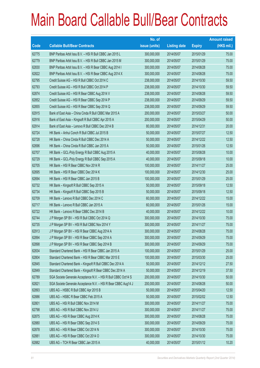|       |                                                                | No. of        |                     |               | <b>Amount raised</b> |
|-------|----------------------------------------------------------------|---------------|---------------------|---------------|----------------------|
| Code  | <b>Callable Bull/Bear Contracts</b>                            | issue (units) | <b>Listing date</b> | <b>Expiry</b> | $(HK$$ mil.)         |
| 62775 | BNP Paribas Arbit Issu B.V. - HSI R Bull CBBC Jan 2015 L       | 300,000,000   | 2014/05/07          | 2015/01/29    | 75.00                |
| 62779 | BNP Paribas Arbit Issu B.V. - HSI R Bull CBBC Jan 2015 M       | 300,000,000   | 2014/05/07          | 2015/01/29    | 75.00                |
| 62830 | BNP Paribas Arbit Issu B.V. - HSI R Bear CBBC Aug 2014 I       | 300,000,000   | 2014/05/07          | 2014/08/28    | 75.00                |
| 62822 | BNP Paribas Arbit Issu B.V. - HSI R Bear CBBC Aug 2014 X       | 300,000,000   | 2014/05/07          | 2014/08/28    | 75.00                |
| 62795 | Credit Suisse AG - HSI R Bull CBBC Oct 2014 C                  | 238,000,000   | 2014/05/07          | 2014/10/30    | 59.50                |
| 62793 | Credit Suisse AG - HSI R Bull CBBC Oct 2014 P                  | 238,000,000   | 2014/05/07          | 2014/10/30    | 59.50                |
| 62874 | Credit Suisse AG - HSI R Bear CBBC Aug 2014 V                  | 238,000,000   | 2014/05/07          | 2014/08/28    | 59.50                |
| 62852 | Credit Suisse AG - HSI R Bear CBBC Sep 2014 P                  | 238,000,000   | 2014/05/07          | 2014/09/29    | 59.50                |
| 62855 | Credit Suisse AG - HSI R Bear CBBC Sep 2014 Q                  | 238,000,000   | 2014/05/07          | 2014/09/29    | 59.50                |
| 62915 | Bank of East Asia - China Cinda R Bull CBBC Mar 2015 A         | 200,000,000   | 2014/05/07          | 2015/03/27    | 50.00                |
| 62916 | Bank of East Asia - Kingsoft R Bull CBBC Apr 2015 A            | 200,000,000   | 2014/05/07          | 2015/04/29    | 50.00                |
| 62914 | Bank of East Asia - Lenovo R Bull CBBC Dec 2014 B              | 80,000,000    | 2014/05/07          | 2014/12/31    | 20.00                |
| 62724 | HK Bank - Anhui Conch R Bull CBBC Jul 2015 B                   | 50,000,000    | 2014/05/07          | 2015/07/27    | 12.50                |
| 62728 | HK Bank - China Cinda R Bull CBBC Dec 2014 A                   | 50,000,000    | 2014/05/07          | 2014/12/22    | 12.50                |
| 62696 | HK Bank - China Cinda R Bull CBBC Jan 2015 A                   | 50,000,000    | 2014/05/07          | 2015/01/26    | 12.50                |
| 62707 | HK Bank - GCL-Poly Energy R Bull CBBC Aug 2015 A               | 40,000,000    | 2014/05/07          | 2015/08/28    | 10.00                |
| 62729 | HK Bank - GCL-Poly Energy R Bull CBBC Sep 2015 A               | 40,000,000    | 2014/05/07          | 2015/09/18    | 10.00                |
| 62705 | HK Bank - HSI R Bear CBBC Nov 2014 R                           | 100,000,000   | 2014/05/07          | 2014/11/27    | 25.00                |
| 62695 | HK Bank - HSI R Bear CBBC Dec 2014 K                           | 100,000,000   | 2014/05/07          | 2014/12/30    | 25.00                |
| 62694 | HK Bank - HSI R Bear CBBC Jan 2015 B                           | 100,000,000   | 2014/05/07          | 2015/01/29    | 25.00                |
| 62732 | HK Bank - Kingsoft R Bull CBBC Sep 2015 A                      | 50,000,000    | 2014/05/07          | 2015/09/18    | 12.50                |
| 62734 | HK Bank - Kingsoft R Bull CBBC Sep 2015 B                      | 50,000,000    | 2014/05/07          | 2015/09/18    | 12.50                |
| 62709 | HK Bank - Lenovo R Bull CBBC Dec 2014 C                        | 60,000,000    | 2014/05/07          | 2014/12/22    | 15.00                |
| 62717 | HK Bank - Lenovo R Bull CBBC Jan 2015 A                        | 60,000,000    | 2014/05/07          | 2015/01/26    | 15.00                |
| 62722 | HK Bank - Lenovo R Bear CBBC Dec 2014 B                        | 40,000,000    | 2014/05/07          | 2014/12/22    | 10.00                |
| 62744 | J P Morgan SP BV - HSI R Bull CBBC Oct 2014 Q                  | 300,000,000   | 2014/05/07          | 2014/10/30    | 75.00                |
| 62735 | J P Morgan SP BV - HSI R Bull CBBC Nov 2014 Y                  | 300,000,000   | 2014/05/07          | 2014/11/27    | 75.00                |
| 62913 | J P Morgan SP BV - HSI R Bear CBBC Aug 2014 A                  | 300,000,000   | 2014/05/07          | 2014/08/28    | 75.00                |
| 62894 | J P Morgan SP BV - HSI R Bear CBBC Sep 2014 A                  | 300,000,000   | 2014/05/07          | 2014/09/29    | 75.00                |
| 62898 | J P Morgan SP BV - HSI R Bear CBBC Sep 2014 B                  | 300,000,000   | 2014/05/07          | 2014/09/29    | 75.00                |
| 62834 | Standard Chartered Bank - HSI R Bear CBBC Jan 2015 A           | 100,000,000   | 2014/05/07          | 2015/01/29    | 25.00                |
| 62804 | Standard Chartered Bank - HSI R Bear CBBC Mar 2015 E           | 100,000,000   | 2014/05/07          | 2015/03/30    | 25.00                |
| 62845 | Standard Chartered Bank - Kingsoft R Bull CBBC Dec 2014 A      | 50,000,000    | 2014/05/07          | 2014/12/12    | 27.50                |
| 62849 | Standard Chartered Bank - Kingsoft R Bear CBBC Dec 2014 A      | 50,000,000    | 2014/05/07          | 2014/12/19    | 37.50                |
| 62789 | SGA Societe Generale Acceptance N.V. - HSI R Bull CBBC Oct14 S | 200,000,000   | 2014/05/07          | 2014/10/30    | 50.00                |
| 62821 | SGA Societe Generale Acceptance N.V. - HSI R Bear CBBC Aug14 J | 200,000,000   | 2014/05/07          | 2014/08/28    | 50.00                |
| 62893 | UBS AG - HSBC R Bull CBBC Apr 2015 B                           | 50,000,000    | 2014/05/07          | 2015/04/20    | 12.50                |
| 62886 | UBS AG - HSBC R Bear CBBC Feb 2015 A                           | 50,000,000    | 2014/05/07          | 2015/02/02    | 12.50                |
| 62801 | UBS AG - HSI R Bull CBBC Nov 2014 M                            | 300,000,000   | 2014/05/07          | 2014/11/27    | 75.00                |
| 62798 | UBS AG - HSI R Bull CBBC Nov 2014 U                            | 300,000,000   | 2014/05/07          | 2014/11/27    | 75.00                |
| 62875 | UBS AG - HSI R Bear CBBC Aug 2014 K                            | 300,000,000   | 2014/05/07          | 2014/08/28    | 75.00                |
| 62880 | UBS AG - HSI R Bear CBBC Sep 2014 S                            | 300,000,000   | 2014/05/07          | 2014/09/29    | 75.00                |
| 62878 | UBS AG - HSI R Bear CBBC Oct 2014 N                            | 300,000,000   | 2014/05/07          | 2014/10/30    | 75.00                |
| 62881 | UBS AG - HSI R Bear CBBC Oct 2014 O                            | 300,000,000   | 2014/05/07          | 2014/10/30    | 75.00                |
| 62882 | UBS AG - TCH R Bear CBBC Jan 2015 A                            | 40,000,000    | 2014/05/07          | 2015/01/12    | 10.20                |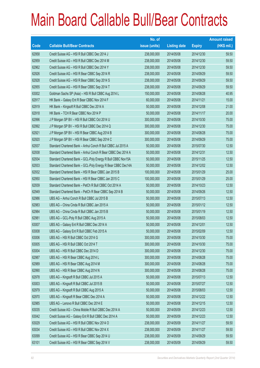|       |                                                              | No. of        |                     |               | <b>Amount raised</b> |
|-------|--------------------------------------------------------------|---------------|---------------------|---------------|----------------------|
| Code  | <b>Callable Bull/Bear Contracts</b>                          | issue (units) | <b>Listing date</b> | <b>Expiry</b> | (HK\$ mil.)          |
| 62958 | Credit Suisse AG - HSI R Bull CBBC Dec 2014 J                | 238,000,000   | 2014/05/08          | 2014/12/30    | 59.50                |
| 62959 | Credit Suisse AG - HSI R Bull CBBC Dec 2014 M                | 238,000,000   | 2014/05/08          | 2014/12/30    | 59.50                |
| 62962 | Credit Suisse AG - HSI R Bull CBBC Dec 2014 Y                | 238,000,000   | 2014/05/08          | 2014/12/30    | 59.50                |
| 62926 | Credit Suisse AG - HSI R Bear CBBC Sep 2014 R                | 238,000,000   | 2014/05/08          | 2014/09/29    | 59.50                |
| 62928 | Credit Suisse AG - HSI R Bear CBBC Sep 2014 S                | 238,000,000   | 2014/05/08          | 2014/09/29    | 59.50                |
| 62955 | Credit Suisse AG - HSI R Bear CBBC Sep 2014 T                | 238,000,000   | 2014/05/08          | 2014/09/29    | 59.50                |
| 63002 | Goldman Sachs SP (Asia) - HSI R Bull CBBC Aug 2014 L         | 150,000,000   | 2014/05/08          | 2014/08/28    | 40.95                |
| 62917 | HK Bank - Galaxy Ent R Bear CBBC Nov 2014 F                  | 60,000,000    | 2014/05/08          | 2014/11/21    | 15.00                |
| 62919 | HK Bank - Kingsoft R Bull CBBC Dec 2014 A                    | 50,000,000    | 2014/05/08          | 2014/12/08    | 21.00                |
| 62918 | HK Bank - TCH R Bear CBBC Nov 2014 P                         | 50,000,000    | 2014/05/08          | 2014/11/17    | 20.00                |
| 62996 | J P Morgan SP BV - HSI R Bull CBBC Oct 2014 U                | 300,000,000   | 2014/05/08          | 2014/10/30    | 75.00                |
| 62992 | J P Morgan SP BV - HSI R Bull CBBC Dec 2014 Q                | 300,000,000   | 2014/05/08          | 2014/12/30    | 75.00                |
| 62921 | J P Morgan SP BV - HSI R Bear CBBC Aug 2014 B                | 300,000,000   | 2014/05/08          | 2014/08/28    | 75.00                |
| 62920 | J P Morgan SP BV - HSI R Bear CBBC Sep 2014 C                | 300,000,000   | 2014/05/08          | 2014/09/29    | 75.00                |
| 62937 | Standard Chartered Bank - Anhui Conch R Bull CBBC Jul 2015 A | 50,000,000    | 2014/05/08          | 2015/07/30    | 12.50                |
| 62938 | Standard Chartered Bank - Anhui Conch R Bear CBBC Dec 2014 A | 50,000,000    | 2014/05/08          | 2014/12/31    | 12.50                |
| 62934 | Standard Chartered Bank - GCL-Poly Energy R Bull CBBC Nov15A | 50,000,000    | 2014/05/08          | 2015/11/25    | 12.50                |
| 62933 | Standard Chartered Bank - GCL-Poly Energy R Bear CBBC Dec14A | 50,000,000    | 2014/05/08          | 2014/12/02    | 12.50                |
| 62932 | Standard Chartered Bank - HSI R Bear CBBC Jan 2015 B         | 100,000,000   | 2014/05/08          | 2015/01/29    | 25.00                |
| 62950 | Standard Chartered Bank - HSI R Bear CBBC Jan 2015 C         | 100,000,000   | 2014/05/08          | 2015/01/29    | 25.00                |
| 62939 | Standard Chartered Bank - PetCh R Bull CBBC Oct 2014 A       | 50,000,000    | 2014/05/08          | 2014/10/23    | 12.50                |
| 62949 | Standard Chartered Bank - PetCh R Bear CBBC Sep 2014 B       | 50,000,000    | 2014/05/08          | 2014/09/26    | 12.50                |
| 62986 | UBS AG - Anhui Conch R Bull CBBC Jul 2015 B                  | 50,000,000    | 2014/05/08          | 2015/07/13    | 12.50                |
| 62983 | UBS AG - China Cinda R Bull CBBC Jan 2015 A                  | 50,000,000    | 2014/05/08          | 2015/01/12    | 12.50                |
| 62984 | UBS AG - China Cinda R Bull CBBC Jan 2015 B                  | 50,000,000    | 2014/05/08          | 2015/01/19    | 12.50                |
| 62981 | UBS AG - GCL-Poly R Bull CBBC Aug 2015 A                     | 50,000,000    | 2014/05/08          | 2015/08/03    | 12.50                |
| 63007 | UBS AG - Galaxy Ent R Bull CBBC Dec 2014 A                   | 50,000,000    | 2014/05/08          | 2014/12/01    | 12.50                |
| 63008 | UBS AG - Galaxy Ent R Bull CBBC Feb 2015 A                   | 50,000,000    | 2014/05/08          | 2015/02/09    | 12.50                |
| 63006 | UBS AG - HSI R Bull CBBC Oct 2014 G                          | 300,000,000   | 2014/05/08          | 2014/10/30    | 75.00                |
| 63005 | UBS AG - HSI R Bull CBBC Oct 2014 T                          | 300,000,000   | 2014/05/08          | 2014/10/30    | 75.00                |
| 63004 | UBS AG - HSI R Bull CBBC Dec 2014 D                          | 300,000,000   | 2014/05/08          | 2014/12/30    | 75.00                |
| 62987 | UBS AG - HSI R Bear CBBC Aug 2014 L                          | 300,000,000   | 2014/05/08          | 2014/08/28    | 75.00                |
| 62989 | UBS AG - HSI R Bear CBBC Aug 2014 M                          | 300,000,000   | 2014/05/08          | 2014/08/28    | 75.00                |
| 62990 | UBS AG - HSI R Bear CBBC Aug 2014 N                          | 300,000,000   | 2014/05/08          | 2014/08/28    | 75.00                |
| 62978 | UBS AG - Kingsoft R Bull CBBC Jul 2015 A                     | 50,000,000    | 2014/05/08          | 2015/07/13    | 12.50                |
| 63003 | UBS AG - Kingsoft R Bull CBBC Jul 2015 B                     | 50,000,000    | 2014/05/08          | 2015/07/27    | 12.50                |
| 62979 | UBS AG - Kingsoft R Bull CBBC Aug 2015 A                     | 50,000,000    | 2014/05/08          | 2015/08/03    | 12.50                |
| 62970 | UBS AG - Kingsoft R Bear CBBC Dec 2014 A                     | 50,000,000    | 2014/05/08          | 2014/12/22    | 12.50                |
| 62985 | UBS AG - Lenovo R Bull CBBC Dec 2014 E                       | 50,000,000    | 2014/05/08          | 2014/12/15    | 12.50                |
| 63035 | Credit Suisse AG - China Mobile R Bull CBBC Dec 2014 A       | 50,000,000    | 2014/05/09          | 2014/12/23    | 12.50                |
| 63042 | Credit Suisse AG - Galaxy Ent R Bull CBBC Dec 2014 A         | 50,000,000    | 2014/05/09          | 2014/12/23    | 12.50                |
| 63029 | Credit Suisse AG - HSI R Bull CBBC Nov 2014 O                | 238,000,000   | 2014/05/09          | 2014/11/27    | 59.50                |
| 63034 | Credit Suisse AG - HSI R Bull CBBC Nov 2014 X                | 238,000,000   | 2014/05/09          | 2014/11/27    | 59.50                |
| 63099 | Credit Suisse AG - HSI R Bear CBBC Sep 2014 U                | 238,000,000   | 2014/05/09          | 2014/09/29    | 59.50                |
| 63101 | Credit Suisse AG - HSI R Bear CBBC Sep 2014 V                | 238,000,000   | 2014/05/09          | 2014/09/29    | 59.50                |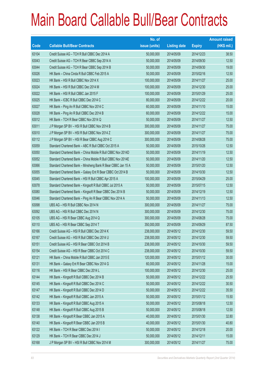|       |                                                              | No. of        |                     |               | <b>Amount raised</b> |
|-------|--------------------------------------------------------------|---------------|---------------------|---------------|----------------------|
| Code  | <b>Callable Bull/Bear Contracts</b>                          | issue (units) | <b>Listing date</b> | <b>Expiry</b> | (HK\$ mil.)          |
| 63104 | Credit Suisse AG - TCH R Bull CBBC Dec 2014 A                | 50,000,000    | 2014/05/09          | 2014/12/23    | 38.50                |
| 63043 | Credit Suisse AG - TCH R Bear CBBC Sep 2014 A                | 50,000,000    | 2014/05/09          | 2014/09/30    | 12.50                |
| 63044 | Credit Suisse AG - TCH R Bear CBBC Sep 2014 B                | 50,000,000    | 2014/05/09          | 2014/09/30    | 19.00                |
| 63026 | HK Bank - China Cinda R Bull CBBC Feb 2015 A                 | 50,000,000    | 2014/05/09          | 2015/02/16    | 12.50                |
| 63023 | HK Bank - HSI R Bull CBBC Nov 2014 X                         | 100,000,000   | 2014/05/09          | 2014/11/27    | 25.00                |
| 63024 | HK Bank - HSI R Bull CBBC Dec 2014 M                         | 100,000,000   | 2014/05/09          | 2014/12/30    | 25.00                |
| 63022 | HK Bank - HSI R Bull CBBC Jan 2015 F                         | 100,000,000   | 2014/05/09          | 2015/01/29    | 25.00                |
| 63025 | HK Bank - ICBC R Bull CBBC Dec 2014 C                        | 80,000,000    | 2014/05/09          | 2014/12/22    | 20.00                |
| 63027 | HK Bank - Ping An R Bull CBBC Nov 2014 C                     | 60,000,000    | 2014/05/09          | 2014/11/10    | 15.00                |
| 63028 | HK Bank - Ping An R Bull CBBC Dec 2014 B                     | 60,000,000    | 2014/05/09          | 2014/12/22    | 15.00                |
| 63012 | HK Bank - TCH R Bear CBBC Nov 2014 Q                         | 50,000,000    | 2014/05/09          | 2014/11/27    | 12.50                |
| 63011 | J P Morgan SP BV - HSI R Bull CBBC Nov 2014 B                | 300,000,000   | 2014/05/09          | 2014/11/27    | 75.00                |
| 63010 | J P Morgan SP BV - HSI R Bull CBBC Nov 2014 Z                | 300,000,000   | 2014/05/09          | 2014/11/27    | 75.00                |
| 63112 | J P Morgan SP BV - HSI R Bear CBBC Aug 2014 C                | 300,000,000   | 2014/05/09          | 2014/08/28    | 75.00                |
| 63059 | Standard Chartered Bank - ABC R Bull CBBC Oct 2015 A         | 50,000,000    | 2014/05/09          | 2015/10/26    | 12.50                |
| 63050 | Standard Chartered Bank - China Mobile R Bull CBBC Nov 2014D | 50,000,000    | 2014/05/09          | 2014/11/19    | 12.50                |
| 63052 | Standard Chartered Bank - China Mobile R Bull CBBC Nov 2014E | 50,000,000    | 2014/05/09          | 2014/11/20    | 12.50                |
| 63066 | Standard Chartered Bank - Minsheng Bank R Bear CBBC Jan 15 A | 50,000,000    | 2014/05/09          | 2015/01/20    | 12.50                |
| 63055 | Standard Chartered Bank - Galaxy Ent R Bear CBBC Oct 2014 B  | 50,000,000    | 2014/05/09          | 2014/10/30    | 12.50                |
| 63045 | Standard Chartered Bank - HSI R Bull CBBC Apr 2015 A         | 100,000,000   | 2014/05/09          | 2015/04/29    | 25.00                |
| 63078 | Standard Chartered Bank - Kingsoft R Bull CBBC Jul 2015 A    | 50,000,000    | 2014/05/09          | 2015/07/15    | 12.50                |
| 63080 | Standard Chartered Bank - Kingsoft R Bear CBBC Dec 2014 B    | 50,000,000    | 2014/05/09          | 2014/12/19    | 12.50                |
| 63046 | Standard Chartered Bank - Ping An R Bear CBBC Nov 2014 A     | 50,000,000    | 2014/05/09          | 2014/11/13    | 12.50                |
| 63098 | UBS AG - HSI R Bull CBBC Nov 2014 N                          | 300,000,000   | 2014/05/09          | 2014/11/27    | 75.00                |
| 63092 | UBS AG - HSI R Bull CBBC Dec 2014 N                          | 300,000,000   | 2014/05/09          | 2014/12/30    | 75.00                |
| 63105 | UBS AG - HSI R Bear CBBC Aug 2014 Q                          | 300,000,000   | 2014/05/09          | 2014/08/28    | 75.00                |
| 63110 | UBS AG - HSI R Bear CBBC Sep 2014 T                          | 350,000,000   | 2014/05/09          | 2014/09/29    | 87.50                |
| 63166 | Credit Suisse AG - HSI R Bull CBBC Dec 2014 K                | 238,000,000   | 2014/05/12          | 2014/12/30    | 59.50                |
| 63167 | Credit Suisse AG - HSI R Bull CBBC Dec 2014 U                | 238,000,000   | 2014/05/12          | 2014/12/30    | 59.50                |
| 63151 | Credit Suisse AG - HSI R Bear CBBC Oct 2014 B                | 238,000,000   | 2014/05/12          | 2014/10/30    | 59.50                |
| 63154 | Credit Suisse AG - HSI R Bear CBBC Oct 2014 C                | 238,000,000   | 2014/05/12          | 2014/10/30    | 59.50                |
| 63121 | HK Bank - China Mobile R Bull CBBC Jan 2015 E                | 120,000,000   | 2014/05/12          | 2015/01/12    | 30.00                |
| 63131 | HK Bank - Galaxy Ent R Bear CBBC Nov 2014 G                  | 60,000,000    | 2014/05/12          | 2014/11/28    | 15.00                |
| 63116 | HK Bank - HSI R Bear CBBC Dec 2014 L                         | 100,000,000   | 2014/05/12          | 2014/12/30    | 25.00                |
| 63144 | HK Bank - Kingsoft R Bull CBBC Dec 2014 B                    | 50,000,000    | 2014/05/12          | 2014/12/22    | 25.50                |
| 63145 | HK Bank - Kingsoft R Bull CBBC Dec 2014 C                    | 50,000,000    | 2014/05/12          | 2014/12/22    | 30.50                |
| 63147 | HK Bank - Kingsoft R Bull CBBC Dec 2014 D                    | 50,000,000    | 2014/05/12          | 2014/12/22    | 35.50                |
| 63142 | HK Bank - Kingsoft R Bull CBBC Jan 2015 A                    | 50,000,000    | 2014/05/12          | 2015/01/12    | 15.50                |
| 63133 | HK Bank - Kingsoft R Bull CBBC Aug 2015 A                    | 50,000,000    | 2014/05/12          | 2015/08/18    | 12.50                |
| 63148 | HK Bank - Kingsoft R Bull CBBC Aug 2015 B                    | 50,000,000    | 2014/05/12          | 2015/08/18    | 12.50                |
| 63138 | HK Bank - Kingsoft R Bear CBBC Jan 2015 A                    | 40,000,000    | 2014/05/12          | 2015/01/30    | 32.80                |
| 63140 | HK Bank - Kingsoft R Bear CBBC Jan 2015 B                    | 40,000,000    | 2014/05/12          | 2015/01/30    | 40.80                |
| 63122 | HK Bank - TCH R Bear CBBC Dec 2014 I                         | 50,000,000    | 2014/05/12          | 2014/12/18    | 20.00                |
| 63129 | HK Bank - TCH R Bear CBBC Dec 2014 J                         | 50,000,000    | 2014/05/12          | 2014/12/11    | 15.00                |
| 63168 | J P Morgan SP BV - HSI R Bull CBBC Nov 2014 M                | 300,000,000   | 2014/05/12          | 2014/11/27    | 75.00                |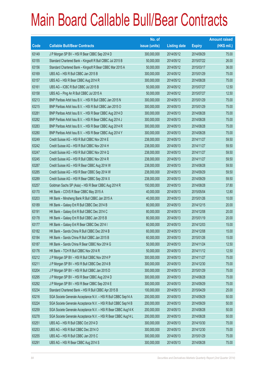|       |                                                                | No. of        |                     |               | <b>Amount raised</b> |
|-------|----------------------------------------------------------------|---------------|---------------------|---------------|----------------------|
| Code  | <b>Callable Bull/Bear Contracts</b>                            | issue (units) | <b>Listing date</b> | <b>Expiry</b> | $(HK$$ mil.)         |
| 63149 | J P Morgan SP BV - HSI R Bear CBBC Sep 2014 D                  | 300,000,000   | 2014/05/12          | 2014/09/29    | 75.00                |
| 63155 | Standard Chartered Bank - Kingsoft R Bull CBBC Jul 2015 B      | 50,000,000    | 2014/05/12          | 2015/07/22    | 26.00                |
| 63156 | Standard Chartered Bank - Kingsoft R Bear CBBC Mar 2015 A      | 50,000,000    | 2014/05/12          | 2015/03/17    | 36.00                |
| 63169 | UBS AG - HSI R Bull CBBC Jan 2015 B                            | 300,000,000   | 2014/05/12          | 2015/01/29    | 75.00                |
| 63157 | UBS AG - HSI R Bear CBBC Aug 2014 R                            | 300,000,000   | 2014/05/12          | 2014/08/28    | 75.00                |
| 63161 | UBS AG - ICBC R Bull CBBC Jul 2015 B                           | 50,000,000    | 2014/05/12          | 2015/07/27    | 12.50                |
| 63158 | UBS AG - Ping An R Bull CBBC Jul 2015 A                        | 50,000,000    | 2014/05/12          | 2015/07/27    | 12.50                |
| 63213 | BNP Paribas Arbit Issu B.V. - HSI R Bull CBBC Jan 2015 N       | 300,000,000   | 2014/05/13          | 2015/01/29    | 75.00                |
| 63215 | BNP Paribas Arbit Issu B.V. - HSI R Bull CBBC Jan 2015 O       | 300,000,000   | 2014/05/13          | 2015/01/29    | 75.00                |
| 63281 | BNP Paribas Arbit Issu B.V. - HSI R Bear CBBC Aug 2014 D       | 300,000,000   | 2014/05/13          | 2014/08/28    | 75.00                |
| 63282 | BNP Paribas Arbit Issu B.V. - HSI R Bear CBBC Aug 2014 J       | 300,000,000   | 2014/05/13          | 2014/08/28    | 75.00                |
| 63283 | BNP Paribas Arbit Issu B.V. - HSI R Bear CBBC Aug 2014 R       | 300,000,000   | 2014/05/13          | 2014/08/28    | 75.00                |
| 63280 | BNP Paribas Arbit Issu B.V. - HSI R Bear CBBC Aug 2014 Y       | 300,000,000   | 2014/05/13          | 2014/08/28    | 75.00                |
| 63249 | Credit Suisse AG - HSI R Bull CBBC Nov 2014 E                  | 238,000,000   | 2014/05/13          | 2014/11/27    | 59.50                |
| 63242 | Credit Suisse AG - HSI R Bull CBBC Nov 2014 H                  | 238,000,000   | 2014/05/13          | 2014/11/27    | 59.50                |
| 63247 | Credit Suisse AG - HSI R Bull CBBC Nov 2014 Q                  | 238,000,000   | 2014/05/13          | 2014/11/27    | 59.50                |
| 63245 | Credit Suisse AG - HSI R Bull CBBC Nov 2014 R                  | 238,000,000   | 2014/05/13          | 2014/11/27    | 59.50                |
| 63287 | Credit Suisse AG - HSI R Bear CBBC Aug 2014 W                  | 238,000,000   | 2014/05/13          | 2014/08/28    | 59.50                |
| 63285 | Credit Suisse AG - HSI R Bear CBBC Sep 2014 W                  | 238,000,000   | 2014/05/13          | 2014/09/29    | 59.50                |
| 63289 | Credit Suisse AG - HSI R Bear CBBC Sep 2014 X                  | 238,000,000   | 2014/05/13          | 2014/09/29    | 59.50                |
| 63257 | Goldman Sachs SP (Asia) - HSI R Bear CBBC Aug 2014 R           | 150,000,000   | 2014/05/13          | 2014/08/28    | 37.80                |
| 63170 | HK Bank - COVS R Bear CBBC May 2015 A                          | 40,000,000    | 2014/05/13          | 2015/05/04    | 12.80                |
| 63203 | HK Bank - Minsheng Bank R Bull CBBC Jan 2015 A                 | 40,000,000    | 2014/05/13          | 2015/01/26    | 10.00                |
| 63189 | HK Bank - Galaxy Ent R Bull CBBC Dec 2014 B                    | 80,000,000    | 2014/05/13          | 2014/12/15    | 20.00                |
| 63191 | HK Bank - Galaxy Ent R Bull CBBC Dec 2014 C                    | 80,000,000    | 2014/05/13          | 2014/12/08    | 20.00                |
| 63178 | HK Bank - Galaxy Ent R Bull CBBC Jan 2015 B                    | 80,000,000    | 2014/05/13          | 2015/01/19    | 20.00                |
| 63177 | HK Bank - Galaxy Ent R Bear CBBC Dec 2014 I                    | 60,000,000    | 2014/05/13          | 2014/12/03    | 15.00                |
| 63182 | HK Bank - Sands China R Bull CBBC Dec 2014 B                   | 60,000,000    | 2014/05/13          | 2014/12/08    | 15.00                |
| 63184 | HK Bank - Sands China R Bull CBBC Jan 2015 B                   | 60,000,000    | 2014/05/13          | 2015/01/26    | 15.00                |
| 63187 | HK Bank - Sands China R Bear CBBC Nov 2014 G                   | 50,000,000    | 2014/05/13          | 2014/11/24    | 12.50                |
| 63176 | HK Bank - TCH R Bull CBBC Nov 2014 R                           | 50,000,000    | 2014/05/13          | 2014/11/12    | 12.50                |
| 63212 | J P Morgan SP BV - HSI R Bull CBBC Nov 2014 P                  | 300,000,000   | 2014/05/13          | 2014/11/27    | 75.00                |
| 63211 | J P Morgan SP BV - HSI R Bull CBBC Dec 2014 B                  | 300,000,000   | 2014/05/13          | 2014/12/30    | 75.00                |
| 63204 | J P Morgan SP BV - HSI R Bull CBBC Jan 2015 D                  | 300,000,000   | 2014/05/13          | 2015/01/29    | 75.00                |
| 63295 | J P Morgan SP BV - HSI R Bear CBBC Aug 2014 D                  | 300,000,000   | 2014/05/13          | 2014/08/28    | 75.00                |
| 63292 | JP Morgan SP BV - HSI R Bear CBBC Sep 2014 E                   | 300,000,000   | 2014/05/13          | 2014/09/29    | 75.00                |
| 63234 | Standard Chartered Bank - HSI R Bull CBBC Apr 2015 B           | 100,000,000   | 2014/05/13          | 2015/04/29    | 25.00                |
| 63216 | SGA Societe Generale Acceptance N.V. - HSI R Bull CBBC Sep14 A | 200,000,000   | 2014/05/13          | 2014/09/29    | 50.00                |
| 63224 | SGA Societe Generale Acceptance N.V. - HSI R Bull CBBC Sep14 B | 200,000,000   | 2014/05/13          | 2014/09/29    | 50.00                |
| 63259 | SGA Societe Generale Acceptance N.V. - HSI R Bear CBBC Aug14 K | 200,000,000   | 2014/05/13          | 2014/08/28    | 50.00                |
| 63278 | SGA Societe Generale Acceptance N.V. - HSI R Bear CBBC Aug14 L | 200,000,000   | 2014/05/13          | 2014/08/28    | 50.00                |
| 63251 | UBS AG - HSI R Bull CBBC Oct 2014 D                            | 300,000,000   | 2014/05/13          | 2014/10/30    | 75.00                |
| 63253 | UBS AG - HSI R Bull CBBC Dec 2014 O                            | 300,000,000   | 2014/05/13          | 2014/12/30    | 75.00                |
| 63255 | UBS AG - HSI R Bull CBBC Jan 2015 C                            | 300,000,000   | 2014/05/13          | 2015/01/29    | 75.00                |
| 63291 | UBS AG - HSI R Bear CBBC Aug 2014 S                            | 300,000,000   | 2014/05/13          | 2014/08/28    | 75.00                |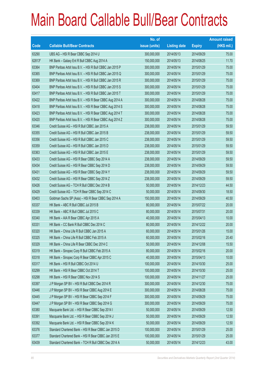|        |                                                          | No. of        |                     |               | <b>Amount raised</b> |
|--------|----------------------------------------------------------|---------------|---------------------|---------------|----------------------|
| Code   | <b>Callable Bull/Bear Contracts</b>                      | issue (units) | <b>Listing date</b> | <b>Expiry</b> | $(HK$$ mil.)         |
| 63290  | UBS AG - HSI R Bear CBBC Sep 2014 U                      | 300,000,000   | 2014/05/13          | 2014/09/29    | 75.00                |
| 62813# | HK Bank - Galaxy Ent R Bull CBBC Aug 2014 A              | 150,000,000   | 2014/05/13          | 2014/08/25    | 11.70                |
| 63364  | BNP Paribas Arbit Issu B.V. - HSI R Bull CBBC Jan 2015 P | 300,000,000   | 2014/05/14          | 2015/01/29    | 75.00                |
| 63365  | BNP Paribas Arbit Issu B.V. - HSI R Bull CBBC Jan 2015 Q | 300,000,000   | 2014/05/14          | 2015/01/29    | 75.00                |
| 63369  | BNP Paribas Arbit Issu B.V. - HSI R Bull CBBC Jan 2015 R | 300,000,000   | 2014/05/14          | 2015/01/29    | 75.00                |
| 63404  | BNP Paribas Arbit Issu B.V. - HSI R Bull CBBC Jan 2015 S | 300,000,000   | 2014/05/14          | 2015/01/29    | 75.00                |
| 63417  | BNP Paribas Arbit Issu B.V. - HSI R Bull CBBC Jan 2015 T | 300,000,000   | 2014/05/14          | 2015/01/29    | 75.00                |
| 63422  | BNP Paribas Arbit Issu B.V. - HSI R Bear CBBC Aug 2014 A | 300,000,000   | 2014/05/14          | 2014/08/28    | 75.00                |
| 63418  | BNP Paribas Arbit Issu B.V. - HSI R Bear CBBC Aug 2014 S | 300,000,000   | 2014/05/14          | 2014/08/28    | 75.00                |
| 63423  | BNP Paribas Arbit Issu B.V. - HSI R Bear CBBC Aug 2014 T | 300,000,000   | 2014/05/14          | 2014/08/28    | 75.00                |
| 63420  | BNP Paribas Arbit Issu B.V. - HSI R Bear CBBC Aug 2014 Z | 300,000,000   | 2014/05/14          | 2014/08/28    | 75.00                |
| 63346  | Credit Suisse AG - HSI R Bull CBBC Jan 2015 A            | 238,000,000   | 2014/05/14          | 2015/01/29    | 59.50                |
| 63355  | Credit Suisse AG - HSI R Bull CBBC Jan 2015 B            | 238,000,000   | 2014/05/14          | 2015/01/29    | 59.50                |
| 63356  | Credit Suisse AG - HSI R Bull CBBC Jan 2015 C            | 238,000,000   | 2014/05/14          | 2015/01/29    | 59.50                |
| 63359  | Credit Suisse AG - HSI R Bull CBBC Jan 2015 D            | 238,000,000   | 2014/05/14          | 2015/01/29    | 59.50                |
| 63363  | Credit Suisse AG - HSI R Bull CBBC Jan 2015 E            | 238,000,000   | 2014/05/14          | 2015/01/29    | 59.50                |
| 63433  | Credit Suisse AG - HSI R Bear CBBC Sep 2014 A            | 238,000,000   | 2014/05/14          | 2014/09/29    | 59.50                |
| 63434  | Credit Suisse AG - HSI R Bear CBBC Sep 2014 D            | 238,000,000   | 2014/05/14          | 2014/09/29    | 59.50                |
| 63431  | Credit Suisse AG - HSI R Bear CBBC Sep 2014 Y            | 238,000,000   | 2014/05/14          | 2014/09/29    | 59.50                |
| 63432  | Credit Suisse AG - HSI R Bear CBBC Sep 2014 Z            | 238,000,000   | 2014/05/14          | 2014/09/29    | 59.50                |
| 63426  | Credit Suisse AG - TCH R Bull CBBC Dec 2014 B            | 50,000,000    | 2014/05/14          | 2014/12/23    | 44.50                |
| 63429  | Credit Suisse AG - TCH R Bear CBBC Sep 2014 C            | 50,000,000    | 2014/05/14          | 2014/09/30    | 18.50                |
| 63403  | Goldman Sachs SP (Asia) - HSI R Bear CBBC Sep 2014 A     | 150,000,000   | 2014/05/14          | 2014/09/29    | 40.50                |
| 63337  | HK Bank - ABC R Bull CBBC Jul 2015 B                     | 80,000,000    | 2014/05/14          | 2015/07/22    | 20.00                |
| 63339  | HK Bank - ABC R Bull CBBC Jul 2015 C                     | 80,000,000    | 2014/05/14          | 2015/07/31    | 20.00                |
| 63340  | HK Bank - AIA R Bear CBBC Apr 2015 A                     | 40,000,000    | 2014/05/14          | 2015/04/13    | 10.00                |
| 63331  | HK Bank – CC Bank R Bull CBBC Dec 2014 C                 | 80,000,000    | 2014/05/14          | 2014/12/22    | 20.00                |
| 63320  | HK Bank - China Life R Bull CBBC Jan 2015 A              | 60,000,000    | 2014/05/14          | 2015/01/26    | 15.00                |
| 63325  | HK Bank - China Life R Bull CBBC Feb 2015 A              | 60,000,000    | 2014/05/14          | 2015/02/16    | 20.40                |
| 63329  | HK Bank - China Life R Bear CBBC Dec 2014 C              | 50,000,000    | 2014/05/14          | 2014/12/08    | 15.50                |
| 63319  | HK Bank - Sinopec Corp R Bull CBBC Feb 2015 A            | 80,000,000    | 2014/05/14          | 2015/02/16    | 20.00                |
| 63318  | HK Bank - Sinopec Corp R Bear CBBC Apr 2015 C            | 40,000,000    | 2014/05/14          | 2015/04/13    | 10.00                |
| 63317  | HK Bank - HSI R Bull CBBC Oct 2014 U                     | 100,000,000   | 2014/05/14          | 2014/10/30    | 25.00                |
| 63299  | HK Bank - HSI R Bear CBBC Oct 2014 T                     | 100,000,000   | 2014/05/14          | 2014/10/30    | 25.00                |
| 63298  | HK Bank - HSI R Bear CBBC Nov 2014 S                     | 100,000,000   | 2014/05/14          | 2014/11/27    | 25.00                |
| 63397  | J P Morgan SP BV - HSI R Bull CBBC Dec 2014 R            | 300,000,000   | 2014/05/14          | 2014/12/30    | 75.00                |
| 63446  | J P Morgan SP BV - HSI R Bear CBBC Aug 2014 E            | 300,000,000   | 2014/05/14          | 2014/08/28    | 75.00                |
| 63445  | J P Morgan SP BV - HSI R Bear CBBC Sep 2014 F            | 300,000,000   | 2014/05/14          | 2014/09/29    | 75.00                |
| 63447  | J P Morgan SP BV - HSI R Bear CBBC Sep 2014 G            | 300,000,000   | 2014/05/14          | 2014/09/29    | 75.00                |
| 63380  | Macquarie Bank Ltd. - HSI R Bear CBBC Sep 2014 I         | 50,000,000    | 2014/05/14          | 2014/09/29    | 12.50                |
| 63391  | Macquarie Bank Ltd. - HSI R Bear CBBC Sep 2014 J         | 50,000,000    | 2014/05/14          | 2014/09/29    | 12.50                |
| 63392  | Macquarie Bank Ltd. - HSI R Bear CBBC Sep 2014 K         | 50,000,000    | 2014/05/14          | 2014/09/29    | 12.50                |
| 63376  | Standard Chartered Bank - HSI R Bear CBBC Jan 2015 D     | 100,000,000   | 2014/05/14          | 2015/01/29    | 25.00                |
| 63377  | Standard Chartered Bank - HSI R Bear CBBC Jan 2015 E     | 100,000,000   | 2014/05/14          | 2015/01/29    | 25.00                |
| 63439  | Standard Chartered Bank - TCH R Bull CBBC Dec 2014 A     | 50,000,000    | 2014/05/14          | 2014/12/23    | 43.00                |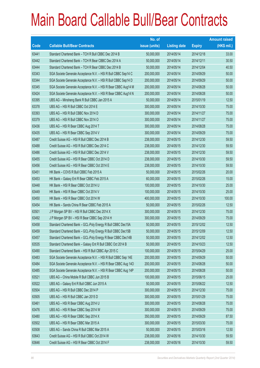|       |                                                                | No. of        |                     |               | <b>Amount raised</b> |
|-------|----------------------------------------------------------------|---------------|---------------------|---------------|----------------------|
| Code  | <b>Callable Bull/Bear Contracts</b>                            | issue (units) | <b>Listing date</b> | <b>Expiry</b> | (HK\$ mil.)          |
| 63441 | Standard Chartered Bank - TCH R Bull CBBC Dec 2014 B           | 50,000,000    | 2014/05/14          | 2014/12/18    | 33.00                |
| 63442 | Standard Chartered Bank - TCH R Bear CBBC Dec 2014 A           | 50,000,000    | 2014/05/14          | 2014/12/11    | 30.50                |
| 63444 | Standard Chartered Bank - TCH R Bear CBBC Dec 2014 B           | 50,000,000    | 2014/05/14          | 2014/12/04    | 40.50                |
| 63343 | SGA Societe Generale Acceptance N.V. - HSI R Bull CBBC Sep14 C | 200,000,000   | 2014/05/14          | 2014/09/29    | 50.00                |
| 63344 | SGA Societe Generale Acceptance N.V. - HSI R Bull CBBC Sep14 D | 200,000,000   | 2014/05/14          | 2014/09/29    | 50.00                |
| 63345 | SGA Societe Generale Acceptance N.V. - HSI R Bear CBBC Aug14 M | 200,000,000   | 2014/05/14          | 2014/08/28    | 50.00                |
| 63424 | SGA Societe Generale Acceptance N.V. - HSI R Bear CBBC Aug14 N | 200,000,000   | 2014/05/14          | 2014/08/28    | 50.00                |
| 63395 | UBS AG - Minsheng Bank R Bull CBBC Jan 2015 A                  | 50,000,000    | 2014/05/14          | 2015/01/19    | 12.50                |
| 63378 | UBS AG - HSI R Bull CBBC Oct 2014 E                            | 300,000,000   | 2014/05/14          | 2014/10/30    | 75.00                |
| 63393 | UBS AG - HSI R Bull CBBC Nov 2014 D                            | 300,000,000   | 2014/05/14          | 2014/11/27    | 75.00                |
| 63379 | UBS AG - HSI R Bull CBBC Nov 2014 O                            | 300,000,000   | 2014/05/14          | 2014/11/27    | 75.00                |
| 63436 | UBS AG - HSI R Bear CBBC Aug 2014 T                            | 300,000,000   | 2014/05/14          | 2014/08/28    | 75.00                |
| 63435 | UBS AG - HSI R Bear CBBC Sep 2014 V                            | 300,000,000   | 2014/05/14          | 2014/09/29    | 75.00                |
| 63487 | Credit Suisse AG - HSI R Bull CBBC Dec 2014 B                  | 238,000,000   | 2014/05/15          | 2014/12/30    | 59.50                |
| 63488 | Credit Suisse AG - HSI R Bull CBBC Dec 2014 C                  | 238,000,000   | 2014/05/15          | 2014/12/30    | 59.50                |
| 63486 | Credit Suisse AG - HSI R Bull CBBC Dec 2014 V                  | 238,000,000   | 2014/05/15          | 2014/12/30    | 59.50                |
| 63455 | Credit Suisse AG - HSI R Bear CBBC Oct 2014 D                  | 238,000,000   | 2014/05/15          | 2014/10/30    | 59.50                |
| 63456 | Credit Suisse AG - HSI R Bear CBBC Oct 2014 E                  | 238,000,000   | 2014/05/15          | 2014/10/30    | 59.50                |
| 63451 | HK Bank - COVS R Bull CBBC Feb 2015 A                          | 50,000,000    | 2014/05/15          | 2015/02/26    | 20.00                |
| 63453 | HK Bank - Galaxy Ent R Bear CBBC Feb 2015 A                    | 60,000,000    | 2014/05/15          | 2015/02/26    | 15.00                |
| 63448 | HK Bank - HSI R Bear CBBC Oct 2014 U                           | 100,000,000   | 2014/05/15          | 2014/10/30    | 25.00                |
| 63449 | HK Bank - HSI R Bear CBBC Oct 2014 V                           | 100,000,000   | 2014/05/15          | 2014/10/30    | 25.00                |
| 63450 | HK Bank - HSI R Bear CBBC Oct 2014 W                           | 400,000,000   | 2014/05/15          | 2014/10/30    | 100.00               |
| 63454 | HK Bank - Sands China R Bear CBBC Feb 2015 A                   | 50,000,000    | 2014/05/15          | 2015/02/26    | 12.50                |
| 63501 | J P Morgan SP BV - HSI R Bull CBBC Dec 2014 X                  | 300,000,000   | 2014/05/15          | 2014/12/30    | 75.00                |
| 63492 | J P Morgan SP BV - HSI R Bear CBBC Sep 2014 H                  | 300,000,000   | 2014/05/15          | 2014/09/29    | 75.00                |
| 63458 | Standard Chartered Bank - GCL-Poly Energy R Bull CBBC Dec15A   | 50,000,000    | 2014/05/15          | 2015/12/02    | 12.50                |
| 63459 | Standard Chartered Bank - GCL-Poly Energy R Bull CBBC Dec15B   | 50,000,000    | 2014/05/15          | 2015/12/09    | 12.50                |
| 63457 | Standard Chartered Bank - GCL-Poly Energy R Bear CBBC Dec14B   | 50,000,000    | 2014/05/15          | 2014/12/02    | 12.50                |
| 63535 | Standard Chartered Bank - Galaxy Ent R Bull CBBC Oct 2014 B    | 50,000,000    | 2014/05/15          | 2014/10/23    | 12.50                |
| 63490 | Standard Chartered Bank - HSI R Bull CBBC Apr 2015 C           | 100,000,000   | 2014/05/15          | 2015/04/29    | 25.00                |
| 63483 | SGA Societe Generale Acceptance N.V. - HSI R Bull CBBC Sep 14E | 200,000,000   | 2014/05/15          | 2014/09/29    | 50.00                |
| 63484 | SGA Societe Generale Acceptance N.V. - HSI R Bear CBBC Aug 14O | 200,000,000   | 2014/05/15          | 2014/08/28    | 50.00                |
| 63485 | SGA Societe Generale Acceptance N.V. - HSI R Bear CBBC Aug 14P | 200,000,000   | 2014/05/15          | 2014/08/28    | 50.00                |
| 63521 | UBS AG - China Mobile R Bull CBBC Jun 2015 B                   | 100,000,000   | 2014/05/15          | 2015/06/15    | 25.00                |
| 63522 | UBS AG - Galaxy Ent R Bull CBBC Jun 2015 A                     | 50,000,000    | 2014/05/15          | 2015/06/22    | 12.50                |
| 63504 | UBS AG - HSI R Bull CBBC Dec 2014 P                            | 300,000,000   | 2014/05/15          | 2014/12/30    | 75.00                |
| 63505 | UBS AG - HSI R Bull CBBC Jan 2015 D                            | 300,000,000   | 2014/05/15          | 2015/01/29    | 75.00                |
| 63461 | UBS AG - HSI R Bear CBBC Aug 2014 U                            | 300,000,000   | 2014/05/15          | 2014/08/28    | 75.00                |
| 63476 | UBS AG - HSI R Bear CBBC Sep 2014 W                            | 300,000,000   | 2014/05/15          | 2014/09/29    | 75.00                |
| 63480 | UBS AG - HSI R Bear CBBC Sep 2014 X                            | 350,000,000   | 2014/05/15          | 2014/09/29    | 87.50                |
| 63502 | UBS AG - HSI R Bear CBBC Mar 2015 A                            | 300,000,000   | 2014/05/15          | 2015/03/30    | 75.00                |
| 63508 | UBS AG - Sands China R Bull CBBC Mar 2015 A                    | 50,000,000    | 2014/05/15          | 2015/03/16    | 12.50                |
| 63643 | Credit Suisse AG - HSI R Bull CBBC Oct 2014 W                  | 238,000,000   | 2014/05/16          | 2014/10/30    | 59.50                |
| 63646 | Credit Suisse AG - HSI R Bear CBBC Oct 2014 F                  | 238,000,000   | 2014/05/16          | 2014/10/30    | 59.50                |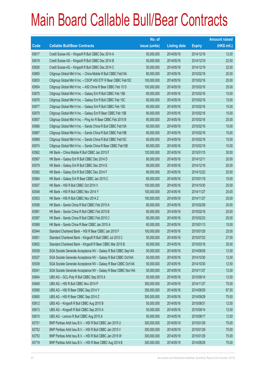|       |                                                                | No. of        |                     |               | <b>Amount raised</b> |
|-------|----------------------------------------------------------------|---------------|---------------------|---------------|----------------------|
| Code  | <b>Callable Bull/Bear Contracts</b>                            | issue (units) | <b>Listing date</b> | <b>Expiry</b> | (HK\$ mil.)          |
| 63617 | Credit Suisse AG - Kingsoft R Bull CBBC Dec 2014 A             | 50,000,000    | 2014/05/16          | 2014/12/19    | 12.50                |
| 63619 | Credit Suisse AG - Kingsoft R Bull CBBC Dec 2014 B             | 50,000,000    | 2014/05/16          | 2014/12/19    | 22.50                |
| 63626 | Credit Suisse AG - Kingsoft R Bull CBBC Dec 2014 C             | 50,000,000    | 2014/05/16          | 2014/12/19    | 32.50                |
| 63665 | Citigroup Global Mkt H Inc. - China Mobile R Bull CBBC Feb15A  | 80,000,000    | 2014/05/16          | 2015/02/16    | 20.00                |
| 63653 | Citigroup Global Mkt H Inc. - CSOP A50 ETF R Bear CBBC Feb15C  | 100,000,000   | 2014/05/16          | 2015/02/16    | 25.00                |
| 63654 | Citigroup Global Mkt H Inc. - A50 China R Bear CBBC Feb 15 D   | 100,000,000   | 2014/05/16          | 2015/02/16    | 25.00                |
| 63675 | Citigroup Global Mkt H Inc. - Galaxy Ent R Bull CBBC Feb 15B   | 60,000,000    | 2014/05/16          | 2015/02/16    | 15.00                |
| 63676 | Citigroup Global Mkt H Inc. - Galaxy Ent R Bull CBBC Feb 15C   | 60,000,000    | 2014/05/16          | 2015/02/16    | 15.00                |
| 63677 | Citigroup Global Mkt H Inc. - Galaxy Ent R Bull CBBC Feb 15D   | 60,000,000    | 2014/05/16          | 2015/02/16    | 15.00                |
| 63679 | Citigroup Global Mkt H Inc. - Galaxy Ent R Bear CBBC Feb 15B   | 60,000,000    | 2014/05/16          | 2015/02/16    | 15.00                |
| 63657 | Citigroup Global Mkt H Inc. - Ping An R Bear CBBC Feb 2015 B   | 80,000,000    | 2014/05/16          | 2015/02/16    | 20.00                |
| 63666 | Citigroup Global Mkt H Inc. - Sands China R Bull CBBC Feb15A   | 60,000,000    | 2014/05/16          | 2015/02/16    | 15.00                |
| 63667 | Citigroup Global Mkt H Inc. - Sands China R Bull CBBC Feb15B   | 60,000,000    | 2014/05/16          | 2015/02/16    | 15.00                |
| 63669 | Citigroup Global Mkt H Inc. - Sands China R Bull CBBC Feb15C   | 60,000,000    | 2014/05/16          | 2015/02/16    | 15.00                |
| 63674 | Citigroup Global Mkt H Inc. - Sands China R Bear CBBC Feb15B   | 60,000,000    | 2014/05/16          | 2015/02/16    | 15.00                |
| 63562 | HK Bank - China Mobile R Bull CBBC Jan 2015 F                  | 120,000,000   | 2014/05/16          | 2015/01/15    | 30.00                |
| 63567 | HK Bank - Galaxy Ent R Bull CBBC Dec 2014 D                    | 80,000,000    | 2014/05/16          | 2014/12/11    | 20.00                |
| 63579 | HK Bank - Galaxy Ent R Bull CBBC Dec 2014 E                    | 80,000,000    | 2014/05/16          | 2014/12/18    | 20.00                |
| 63582 | HK Bank - Galaxy Ent R Bull CBBC Dec 2014 F                    | 80,000,000    | 2014/05/16          | 2014/12/22    | 20.00                |
| 63564 | HK Bank - Galaxy Ent R Bear CBBC Jan 2015 C                    | 60,000,000    | 2014/05/16          | 2015/01/19    | 15.00                |
| 63557 | HK Bank - HSI R Bull CBBC Oct 2014 V                           | 100,000,000   | 2014/05/16          | 2014/10/30    | 25.00                |
| 63548 | HK Bank - HSI R Bull CBBC Nov 2014 Y                           | 100,000,000   | 2014/05/16          | 2014/11/27    | 25.00                |
| 63553 | HK Bank - HSI R Bull CBBC Nov 2014 Z                           | 100,000,000   | 2014/05/16          | 2014/11/27    | 25.00                |
| 63556 | HK Bank - Sands China R Bull CBBC Feb 2015 A                   | 80,000,000    | 2014/05/16          | 2015/02/09    | 20.00                |
| 63561 | HK Bank - Sands China R Bull CBBC Feb 2015 B                   | 80,000,000    | 2014/05/16          | 2015/02/16    | 20.00                |
| 63587 | HK Bank - Sands China R Bull CBBC Feb 2015 C                   | 80,000,000    | 2014/05/16          | 2015/02/23    | 20.00                |
| 63589 | HK Bank - Sands China R Bear CBBC Jan 2015 A                   | 60,000,000    | 2014/05/16          | 2015/01/13    | 15.00                |
| 63544 | Standard Chartered Bank - HSI R Bear CBBC Jan 2015 F           | 100,000,000   | 2014/05/16          | 2015/01/29    | 25.00                |
| 63651 | Standard Chartered Bank - Kingsoft R Bull CBBC Jul 2015 C      | 50,000,000    | 2014/05/16          | 2015/07/23    | 27.00                |
| 63652 | Standard Chartered Bank - Kingsoft R Bear CBBC Mar 2015 B      | 50,000,000    | 2014/05/16          | 2015/03/18    | 35.00                |
| 63538 | SGA Societe Generale Acceptance NV - Galaxy R Bull CBBC Sep14A | 50,000,000    | 2014/05/16          | 2014/09/29    | 12.50                |
| 63537 | SGA Societe Generale Acceptance NV - Galaxy R Bull CBBC Oct14A | 50,000,000    | 2014/05/16          | 2014/10/30    | 12.50                |
| 63539 | SGA Societe Generale Acceptance NV - Galaxy R Bear CBBC Oct14A | 50,000,000    | 2014/05/16          | 2014/10/30    | 12.50                |
| 63541 | SGA Societe Generale Acceptance NV - Galaxy R Bear CBBC Nov14A | 50,000,000    | 2014/05/16          | 2014/11/27    | 12.50                |
| 63604 | UBS AG - GCL-Poly R Bull CBBC Sep 2015 A                       | 50,000,000    | 2014/05/16          | 2015/09/14    | 12.50                |
| 63649 | UBS AG - HSI R Bull CBBC Nov 2014 P                            | 300,000,000   | 2014/05/16          | 2014/11/27    | 75.00                |
| 63590 | UBS AG - HSI R Bear CBBC Sep 2014 Y                            | 350,000,000   | 2014/05/16          | 2014/09/29    | 87.50                |
| 63650 | UBS AG - HSI R Bear CBBC Sep 2014 Z                            | 300,000,000   | 2014/05/16          | 2014/09/29    | 75.00                |
| 63612 | UBS AG - Kingsoft R Bull CBBC Aug 2015 B                       | 50,000,000    | 2014/05/16          | 2015/08/31    | 12.50                |
| 63613 | UBS AG - Kingsoft R Bull CBBC Sep 2015 A                       | 50,000,000    | 2014/05/16          | 2015/09/14    | 12.50                |
| 63615 | UBS AG - Lenovo R Bull CBBC Aug 2015 A                         | 50,000,000    | 2014/05/16          | 2015/08/17    | 12.50                |
| 63751 | BNP Paribas Arbit Issu B.V. - HSI R Bull CBBC Jan 2015 U       | 300,000,000   | 2014/05/19          | 2015/01/29    | 75.00                |
| 63752 | BNP Paribas Arbit Issu B.V. - HSI R Bull CBBC Jan 2015 V       | 300,000,000   | 2014/05/19          | 2015/01/29    | 75.00                |
| 63753 | BNP Paribas Arbit Issu B.V. - HSI R Bull CBBC Jan 2015 W       | 300,000,000   | 2014/05/19          | 2015/01/29    | 75.00                |
| 63719 | BNP Paribas Arbit Issu B.V. - HSI R Bear CBBC Aug 2014 B       | 300,000,000   | 2014/05/19          | 2014/08/28    | 75.00                |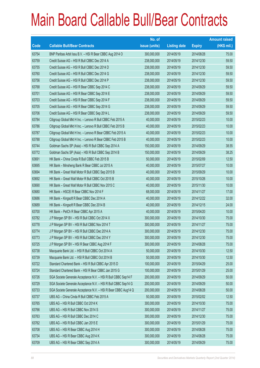|       |                                                                | No. of        |                     |               | <b>Amount raised</b> |
|-------|----------------------------------------------------------------|---------------|---------------------|---------------|----------------------|
| Code  | <b>Callable Bull/Bear Contracts</b>                            | issue (units) | <b>Listing date</b> | <b>Expiry</b> | $(HK$$ mil.)         |
| 63754 | BNP Paribas Arbit Issu B.V. - HSI R Bear CBBC Aug 2014 O       | 300,000,000   | 2014/05/19          | 2014/08/28    | 75.00                |
| 63759 | Credit Suisse AG - HSI R Bull CBBC Dec 2014 A                  | 238,000,000   | 2014/05/19          | 2014/12/30    | 59.50                |
| 63755 | Credit Suisse AG - HSI R Bull CBBC Dec 2014 D                  | 238,000,000   | 2014/05/19          | 2014/12/30    | 59.50                |
| 63760 | Credit Suisse AG - HSI R Bull CBBC Dec 2014 G                  | 238,000,000   | 2014/05/19          | 2014/12/30    | 59.50                |
| 63756 | Credit Suisse AG - HSI R Bull CBBC Dec 2014 P                  | 238,000,000   | 2014/05/19          | 2014/12/30    | 59.50                |
| 63768 | Credit Suisse AG - HSI R Bear CBBC Sep 2014 C                  | 238,000,000   | 2014/05/19          | 2014/09/29    | 59.50                |
| 63701 | Credit Suisse AG - HSI R Bear CBBC Sep 2014 E                  | 238,000,000   | 2014/05/19          | 2014/09/29    | 59.50                |
| 63703 | Credit Suisse AG - HSI R Bear CBBC Sep 2014 F                  | 238,000,000   | 2014/05/19          | 2014/09/29    | 59.50                |
| 63705 | Credit Suisse AG - HSI R Bear CBBC Sep 2014 G                  | 238,000,000   | 2014/05/19          | 2014/09/29    | 59.50                |
| 63706 | Credit Suisse AG - HSI R Bear CBBC Sep 2014 L                  | 238,000,000   | 2014/05/19          | 2014/09/29    | 59.50                |
| 63784 | Citigroup Global Mkt H Inc. - Lenovo R Bull CBBC Feb 2015 A    | 40,000,000    | 2014/05/19          | 2015/02/23    | 10.00                |
| 63786 | Citigroup Global Mkt H Inc. - Lenovo R Bull CBBC Feb 2015 B    | 40,000,000    | 2014/05/19          | 2015/02/23    | 10.00                |
| 63787 | Citigroup Global Mkt H Inc. - Lenovo R Bear CBBC Feb 2015 A    | 40,000,000    | 2014/05/19          | 2015/02/23    | 10.00                |
| 63788 | Citigroup Global Mkt H Inc. - Lenovo R Bear CBBC Feb 2015 B    | 40,000,000    | 2014/05/19          | 2015/02/23    | 10.00                |
| 63744 | Goldman Sachs SP (Asia) - HSI R Bull CBBC Sep 2014 A           | 150,000,000   | 2014/05/19          | 2014/09/29    | 38.55                |
| 63772 | Goldman Sachs SP (Asia) - HSI R Bull CBBC Sep 2014 B           | 150,000,000   | 2014/05/19          | 2014/09/29    | 38.25                |
| 63691 | HK Bank - China Cinda R Bull CBBC Feb 2015 B                   | 50,000,000    | 2014/05/19          | 2015/02/09    | 12.50                |
| 63695 | HK Bank - Minsheng Bank R Bear CBBC Jul 2015 A                 | 40,000,000    | 2014/05/19          | 2015/07/27    | 10.00                |
| 63694 | HK Bank - Great Wall Motor R Bull CBBC Sep 2015 B              | 40,000,000    | 2014/05/19          | 2015/09/29    | 10.00                |
| 63692 | HK Bank - Great Wall Motor R Bull CBBC Oct 2015 B              | 40,000,000    | 2014/05/19          | 2015/10/26    | 10.00                |
| 63690 | HK Bank - Great Wall Motor R Bull CBBC Nov 2015 C              | 40,000,000    | 2014/05/19          | 2015/11/30    | 10.00                |
| 63680 | HK Bank - HSCEI R Bear CBBC Nov 2014 F                         | 68,000,000    | 2014/05/19          | 2014/11/27    | 17.00                |
| 63686 | HK Bank - Kingsoft R Bear CBBC Dec 2014 A                      | 40,000,000    | 2014/05/19          | 2014/12/22    | 32.00                |
| 63689 | HK Bank - Kingsoft R Bear CBBC Dec 2014 B                      | 40,000,000    | 2014/05/19          | 2014/12/15    | 24.00                |
| 63700 | HK Bank - PetCh R Bear CBBC Apr 2015 A                         | 40,000,000    | 2014/05/19          | 2015/04/20    | 10.00                |
| 63782 | J P Morgan SP BV - HSI R Bull CBBC Oct 2014 X                  | 300,000,000   | 2014/05/19          | 2014/10/30    | 75.00                |
| 63778 | J P Morgan SP BV - HSI R Bull CBBC Nov 2014 T                  | 300,000,000   | 2014/05/19          | 2014/11/27    | 75.00                |
| 63774 | J P Morgan SP BV - HSI R Bull CBBC Dec 2014 A                  | 300,000,000   | 2014/05/19          | 2014/12/30    | 75.00                |
| 63773 | J P Morgan SP BV - HSI R Bull CBBC Dec 2014 Y                  | 300,000,000   | 2014/05/19          | 2014/12/30    | 75.00                |
| 63725 | J P Morgan SP BV - HSI R Bear CBBC Aug 2014 F                  | 300,000,000   | 2014/05/19          | 2014/08/28    | 75.00                |
| 63738 | Macquarie Bank Ltd. - HSI R Bull CBBC Oct 2014 A               | 50,000,000    | 2014/05/19          | 2014/10/30    | 12.50                |
| 63739 | Macquarie Bank Ltd. - HSI R Bull CBBC Oct 2014 B               | 50,000,000    | 2014/05/19          | 2014/10/30    | 12.50                |
| 63722 | Standard Chartered Bank - HSI R Bull CBBC Apr 2015 D           | 100,000,000   | 2014/05/19          | 2015/04/29    | 25.00                |
| 63724 | Standard Chartered Bank - HSI R Bear CBBC Jan 2015 G           | 100,000,000   | 2014/05/19          | 2015/01/29    | 25.00                |
| 63726 | SGA Societe Generale Acceptance N.V. - HSI R Bull CBBC Sep14 F | 200,000,000   | 2014/05/19          | 2014/09/29    | 50.00                |
| 63729 | SGA Societe Generale Acceptance N.V. - HSI R Bull CBBC Sep14 G | 200,000,000   | 2014/05/19          | 2014/09/29    | 50.00                |
| 63733 | SGA Societe Generale Acceptance N.V. - HSI R Bear CBBC Aug14 Q | 200,000,000   | 2014/05/19          | 2014/08/28    | 50.00                |
| 63737 | UBS AG - China Cinda R Bull CBBC Feb 2015 A                    | 50,000,000    | 2014/05/19          | 2015/02/02    | 12.50                |
| 63765 | UBS AG - HSI R Bull CBBC Oct 2014 K                            | 300,000,000   | 2014/05/19          | 2014/10/30    | 75.00                |
| 63766 | UBS AG - HSI R Bull CBBC Nov 2014 S                            | 300,000,000   | 2014/05/19          | 2014/11/27    | 75.00                |
| 63763 | UBS AG - HSI R Bull CBBC Dec 2014 C                            | 300,000,000   | 2014/05/19          | 2014/12/30    | 75.00                |
| 63762 | UBS AG - HSI R Bull CBBC Jan 2015 E                            | 300,000,000   | 2014/05/19          | 2015/01/29    | 75.00                |
| 63708 | UBS AG - HSI R Bear CBBC Aug 2014 H                            | 300,000,000   | 2014/05/19          | 2014/08/28    | 75.00                |
| 63734 | UBS AG - HSI R Bear CBBC Aug 2014 K                            | 300,000,000   | 2014/05/19          | 2014/08/28    | 75.00                |
| 63709 | UBS AG - HSI R Bear CBBC Sep 2014 A                            | 300,000,000   | 2014/05/19          | 2014/09/29    | 75.00                |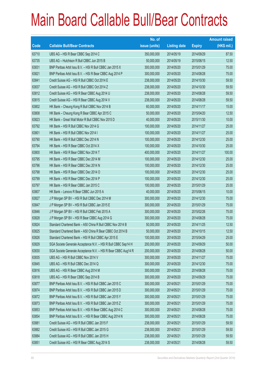|       |                                                                | No. of        |                     |               | <b>Amount raised</b> |
|-------|----------------------------------------------------------------|---------------|---------------------|---------------|----------------------|
| Code  | <b>Callable Bull/Bear Contracts</b>                            | issue (units) | <b>Listing date</b> | <b>Expiry</b> | $(HK$$ mil.)         |
| 63710 | UBS AG - HSI R Bear CBBC Sep 2014 C                            | 350,000,000   | 2014/05/19          | 2014/09/29    | 87.50                |
| 63735 | UBS AG - Hutchison R Bull CBBC Jun 2015 B                      | 50,000,000    | 2014/05/19          | 2015/06/15    | 12.50                |
| 63831 | BNP Paribas Arbit Issu B.V. - HSI R Bull CBBC Jan 2015 X       | 300,000,000   | 2014/05/20          | 2015/01/29    | 75.00                |
| 63821 | BNP Paribas Arbit Issu B.V. - HSI R Bear CBBC Aug 2014 P       | 300,000,000   | 2014/05/20          | 2014/08/28    | 75.00                |
| 63841 | Credit Suisse AG - HSI R Bull CBBC Oct 2014 E                  | 238,000,000   | 2014/05/20          | 2014/10/30    | 59.50                |
| 63837 | Credit Suisse AG - HSI R Bull CBBC Oct 2014 Z                  | 238,000,000   | 2014/05/20          | 2014/10/30    | 59.50                |
| 63812 | Credit Suisse AG - HSI R Bear CBBC Aug 2014 U                  | 238,000,000   | 2014/05/20          | 2014/08/28    | 59.50                |
| 63815 | Credit Suisse AG - HSI R Bear CBBC Aug 2014 V                  | 238,000,000   | 2014/05/20          | 2014/08/28    | 59.50                |
| 63802 | HK Bank - Cheung Kong R Bull CBBC Nov 2014 B                   | 60,000,000    | 2014/05/20          | 2014/11/17    | 15.00                |
| 63808 | HK Bank - Cheung Kong R Bear CBBC Apr 2015 C                   | 50,000,000    | 2014/05/20          | 2015/04/20    | 12.50                |
| 63823 | HK Bank - Great Wall Motor R Bull CBBC Nov 2015 D              | 40,000,000    | 2014/05/20          | 2015/11/30    | 10.00                |
| 63792 | HK Bank - HSI R Bull CBBC Nov 2014 G                           | 100,000,000   | 2014/05/20          | 2014/11/27    | 25.00                |
| 63801 | HK Bank - HSI R Bull CBBC Nov 2014 I                           | 100,000,000   | 2014/05/20          | 2014/11/27    | 25.00                |
| 63790 | HK Bank - HSI R Bull CBBC Dec 2014 N                           | 100,000,000   | 2014/05/20          | 2014/12/30    | 25.00                |
| 63794 | HK Bank - HSI R Bear CBBC Oct 2014 X                           | 100,000,000   | 2014/05/20          | 2014/10/30    | 25.00                |
| 63800 | HK Bank - HSI R Bear CBBC Nov 2014 T                           | 400,000,000   | 2014/05/20          | 2014/11/27    | 100.00               |
| 63795 | HK Bank - HSI R Bear CBBC Dec 2014 M                           | 100,000,000   | 2014/05/20          | 2014/12/30    | 25.00                |
| 63796 | HK Bank - HSI R Bear CBBC Dec 2014 N                           | 100,000,000   | 2014/05/20          | 2014/12/30    | 25.00                |
| 63798 | HK Bank - HSI R Bear CBBC Dec 2014 O                           | 100,000,000   | 2014/05/20          | 2014/12/30    | 25.00                |
| 63799 | HK Bank - HSI R Bear CBBC Dec 2014 P                           | 100,000,000   | 2014/05/20          | 2014/12/30    | 25.00                |
| 63797 | HK Bank - HSI R Bear CBBC Jan 2015 C                           | 100,000,000   | 2014/05/20          | 2015/01/29    | 25.00                |
| 63807 | HK Bank - Lenovo R Bear CBBC Jun 2015 A                        | 40,000,000    | 2014/05/20          | 2015/06/15    | 10.00                |
| 63827 | J P Morgan SP BV - HSI R Bull CBBC Dec 2014 M                  | 300,000,000   | 2014/05/20          | 2014/12/30    | 75.00                |
| 63847 | J P Morgan SP BV - HSI R Bull CBBC Jan 2015 E                  | 300,000,000   | 2014/05/20          | 2015/01/29    | 75.00                |
| 63846 | J P Morgan SP BV - HSI R Bull CBBC Feb 2015 A                  | 300,000,000   | 2014/05/20          | 2015/02/26    | 75.00                |
| 63828 | J P Morgan SP BV - HSI R Bear CBBC Aug 2014 G                  | 300,000,000   | 2014/05/20          | 2014/08/28    | 75.00                |
| 63824 | Standard Chartered Bank - A50 China R Bull CBBC Nov 2014 B     | 50,000,000    | 2014/05/20          | 2014/11/25    | 12.50                |
| 63825 | Standard Chartered Bank - A50 China R Bear CBBC Oct 2014 B     | 50,000,000    | 2014/05/20          | 2014/10/15    | 12.50                |
| 63826 | Standard Chartered Bank - HSI R Bull CBBC Apr 2015 E           | 100,000,000   | 2014/05/20          | 2015/04/29    | 25.00                |
| 63829 | SGA Societe Generale Acceptance N.V. - HSI R Bull CBBC Sep14 H | 200,000,000   | 2014/05/20          | 2014/09/29    | 50.00                |
| 63830 | SGA Societe Generale Acceptance N.V. - HSI R Bear CBBC Aug14 R | 200,000,000   | 2014/05/20          | 2014/08/28    | 50.00                |
| 63835 | UBS AG - HSI R Bull CBBC Nov 2014 V                            | 300,000,000   | 2014/05/20          | 2014/11/27    | 75.00                |
| 63845 | UBS AG - HSI R Bull CBBC Dec 2014 Q                            | 300,000,000   | 2014/05/20          | 2014/12/30    | 75.00                |
| 63816 | UBS AG - HSI R Bear CBBC Aug 2014 M                            | 300,000,000   | 2014/05/20          | 2014/08/28    | 75.00                |
| 63818 | UBS AG - HSI R Bear CBBC Sep 2014 B                            | 300,000,000   | 2014/05/20          | 2014/09/29    | 75.00                |
| 63877 | BNP Paribas Arbit Issu B.V. - HSI R Bull CBBC Jan 2015 C       | 300,000,000   | 2014/05/21          | 2015/01/29    | 75.00                |
| 63874 | BNP Paribas Arbit Issu B.V. - HSI R Bull CBBC Jan 2015 D       | 300,000,000   | 2014/05/21          | 2015/01/29    | 75.00                |
| 63872 | BNP Paribas Arbit Issu B.V. - HSI R Bull CBBC Jan 2015 Y       | 300,000,000   | 2014/05/21          | 2015/01/29    | 75.00                |
| 63873 | BNP Paribas Arbit Issu B.V. - HSI R Bull CBBC Jan 2015 Z       | 300,000,000   | 2014/05/21          | 2015/01/29    | 75.00                |
| 63853 | BNP Paribas Arbit Issu B.V. - HSI R Bear CBBC Aug 2014 C       | 300,000,000   | 2014/05/21          | 2014/08/28    | 75.00                |
| 63854 | BNP Paribas Arbit Issu B.V. - HSI R Bear CBBC Aug 2014 N       | 300,000,000   | 2014/05/21          | 2014/08/28    | 75.00                |
| 63881 | Credit Suisse AG - HSI R Bull CBBC Jan 2015 F                  | 238,000,000   | 2014/05/21          | 2015/01/29    | 59.50                |
| 63882 | Credit Suisse AG - HSI R Bull CBBC Jan 2015 G                  | 238,000,000   | 2014/05/21          | 2015/01/29    | 59.50                |
| 63884 | Credit Suisse AG - HSI R Bull CBBC Jan 2015 H                  | 238,000,000   | 2014/05/21          | 2015/01/29    | 59.50                |
| 63851 | Credit Suisse AG - HSI R Bear CBBC Aug 2014 S                  | 238,000,000   | 2014/05/21          | 2014/08/28    | 59.50                |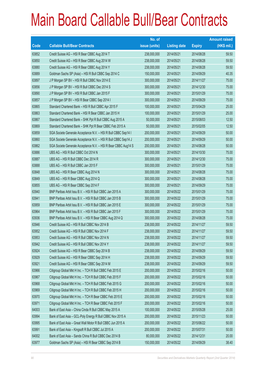|       |                                                                | No. of        |                     |               | <b>Amount raised</b> |
|-------|----------------------------------------------------------------|---------------|---------------------|---------------|----------------------|
| Code  | <b>Callable Bull/Bear Contracts</b>                            | issue (units) | <b>Listing date</b> | <b>Expiry</b> | (HK\$ mil.)          |
| 63852 | Credit Suisse AG - HSI R Bear CBBC Aug 2014 T                  | 238,000,000   | 2014/05/21          | 2014/08/28    | 59.50                |
| 63850 | Credit Suisse AG - HSI R Bear CBBC Aug 2014 W                  | 238,000,000   | 2014/05/21          | 2014/08/28    | 59.50                |
| 63880 | Credit Suisse AG - HSI R Bear CBBC Aug 2014 Y                  | 238,000,000   | 2014/05/21          | 2014/08/28    | 59.50                |
| 63889 | Goldman Sachs SP (Asia) - HSI R Bull CBBC Sep 2014 C           | 150,000,000   | 2014/05/21          | 2014/09/29    | 40.35                |
| 63897 | J P Morgan SP BV - HSI R Bull CBBC Nov 2014 E                  | 300,000,000   | 2014/05/21          | 2014/11/27    | 75.00                |
| 63856 | J P Morgan SP BV - HSI R Bull CBBC Dec 2014 S                  | 300,000,000   | 2014/05/21          | 2014/12/30    | 75.00                |
| 63890 | J P Morgan SP BV - HSI R Bull CBBC Jan 2015 F                  | 300,000,000   | 2014/05/21          | 2015/01/29    | 75.00                |
| 63857 | J P Morgan SP BV - HSI R Bear CBBC Sep 2014 I                  | 300,000,000   | 2014/05/21          | 2014/09/29    | 75.00                |
| 63865 | Standard Chartered Bank - HSI R Bull CBBC Apr 2015 F           | 100,000,000   | 2014/05/21          | 2015/04/29    | 25.00                |
| 63863 | Standard Chartered Bank - HSI R Bear CBBC Jan 2015 H           | 100,000,000   | 2014/05/21          | 2015/01/29    | 25.00                |
| 63867 | Standard Chartered Bank - SHK Ppt R Bull CBBC Aug 2015 A       | 50,000,000    | 2014/05/21          | 2015/08/03    | 12.50                |
| 63869 | Standard Chartered Bank - SHK Ppt R Bear CBBC Feb 2015 A       | 50,000,000    | 2014/05/21          | 2015/02/05    | 12.50                |
| 63859 | SGA Societe Generale Acceptance N.V. - HSI R Bull CBBC Sep14 I | 200,000,000   | 2014/05/21          | 2014/09/29    | 50.00                |
| 63860 | SGA Societe Generale Acceptance N.V. - HSI R Bull CBBC Sep14 J | 200,000,000   | 2014/05/21          | 2014/09/29    | 50.00                |
| 63862 | SGA Societe Generale Acceptance N.V. - HSI R Bear CBBC Aug14 S | 200,000,000   | 2014/05/21          | 2014/08/28    | 50.00                |
| 63886 | UBS AG - HSI R Bull CBBC Oct 2014 N                            | 300,000,000   | 2014/05/21          | 2014/10/30    | 75.00                |
| 63887 | UBS AG - HSI R Bull CBBC Dec 2014 R                            | 300,000,000   | 2014/05/21          | 2014/12/30    | 75.00                |
| 63888 | UBS AG - HSI R Bull CBBC Jan 2015 F                            | 300,000,000   | 2014/05/21          | 2015/01/29    | 75.00                |
| 63848 | UBS AG - HSI R Bear CBBC Aug 2014 N                            | 300,000,000   | 2014/05/21          | 2014/08/28    | 75.00                |
| 63849 | UBS AG - HSI R Bear CBBC Aug 2014 Q                            | 300,000,000   | 2014/05/21          | 2014/08/28    | 75.00                |
| 63855 | UBS AG - HSI R Bear CBBC Sep 2014 F                            | 300,000,000   | 2014/05/21          | 2014/09/29    | 75.00                |
| 63940 | BNP Paribas Arbit Issu B.V. - HSI R Bull CBBC Jan 2015 A       | 300,000,000   | 2014/05/22          | 2015/01/29    | 75.00                |
| 63941 | BNP Paribas Arbit Issu B.V. - HSI R Bull CBBC Jan 2015 B       | 300,000,000   | 2014/05/22          | 2015/01/29    | 75.00                |
| 63959 | BNP Paribas Arbit Issu B.V. - HSI R Bull CBBC Jan 2015 E       | 300,000,000   | 2014/05/22          | 2015/01/29    | 75.00                |
| 63964 | BNP Paribas Arbit Issu B.V. - HSI R Bull CBBC Jan 2015 F       | 300,000,000   | 2014/05/22          | 2015/01/29    | 75.00                |
| 63936 | BNP Paribas Arbit Issu B.V. - HSI R Bear CBBC Aug 2014 Q       | 300,000,000   | 2014/05/22          | 2014/08/28    | 75.00                |
| 63946 | Credit Suisse AG - HSI R Bull CBBC Nov 2014 B                  | 238,000,000   | 2014/05/22          | 2014/11/27    | 59.50                |
| 63952 | Credit Suisse AG - HSI R Bull CBBC Nov 2014 F                  | 238,000,000   | 2014/05/22          | 2014/11/27    | 59.50                |
| 63953 | Credit Suisse AG - HSI R Bull CBBC Nov 2014 N                  | 238,000,000   | 2014/05/22          | 2014/11/27    | 59.50                |
| 63942 | Credit Suisse AG - HSI R Bull CBBC Nov 2014 Y                  | 238,000,000   | 2014/05/22          | 2014/11/27    | 59.50                |
| 63924 | Credit Suisse AG - HSI R Bear CBBC Sep 2014 B                  | 238,000,000   | 2014/05/22          | 2014/09/29    | 59.50                |
| 63929 | Credit Suisse AG - HSI R Bear CBBC Sep 2014 H                  | 238,000,000   | 2014/05/22          | 2014/09/29    | 59.50                |
| 63921 | Credit Suisse AG - HSI R Bear CBBC Sep 2014 M                  | 238,000,000   | 2014/05/22          | 2014/09/29    | 59.50                |
| 63966 | Citigroup Global Mkt H Inc. - TCH R Bull CBBC Feb 2015 E       | 200,000,000   | 2014/05/22          | 2015/02/16    | 50.00                |
| 63967 | Citigroup Global Mkt H Inc. - TCH R Bull CBBC Feb 2015 F       | 200,000,000   | 2014/05/22          | 2015/02/16    | 50.00                |
| 63968 | Citigroup Global Mkt H Inc. - TCH R Bull CBBC Feb 2015 G       | 200,000,000   | 2014/05/22          | 2015/02/16    | 50.00                |
| 63969 | Citigroup Global Mkt H Inc. - TCH R Bull CBBC Feb 2015 H       | 200,000,000   | 2014/05/22          | 2015/02/16    | 50.00                |
| 63970 | Citigroup Global Mkt H Inc. - TCH R Bear CBBC Feb 2015 E       | 200,000,000   | 2014/05/22          | 2015/02/16    | 50.00                |
| 63971 | Citigroup Global Mkt H Inc. - TCH R Bear CBBC Feb 2015 F       | 200,000,000   | 2014/05/22          | 2015/02/16    | 50.00                |
| 64003 | Bank of East Asia - China Cinda R Bull CBBC May 2015 A         | 100,000,000   | 2014/05/22          | 2015/05/28    | 25.00                |
| 63994 | Bank of East Asia - GCL-Poly Energy R Bull CBBC Nov 2015 A     | 200,000,000   | 2014/05/22          | 2015/11/23    | 50.00                |
| 63995 | Bank of East Asia - Great Wall Motor R Bull CBBC Jun 2015 A    | 200,000,000   | 2014/05/22          | 2015/06/22    | 50.00                |
| 63991 | Bank of East Asia - Kingsoft R Bull CBBC Jul 2015 A            | 200,000,000   | 2014/05/22          | 2015/07/31    | 50.00                |
| 64002 | Bank of East Asia - Sands China R Bull CBBC Dec 2014 B         | 80,000,000    | 2014/05/22          | 2014/12/31    | 20.00                |
| 63977 | Goldman Sachs SP (Asia) - HSI R Bear CBBC Sep 2014 B           | 150,000,000   | 2014/05/22          | 2014/09/29    | 38.40                |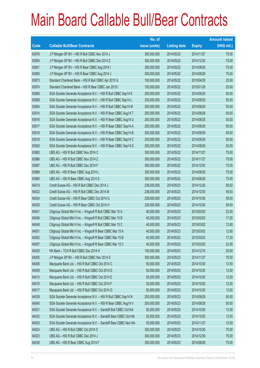|       |                                                                | No. of        |                     |               | <b>Amount raised</b> |
|-------|----------------------------------------------------------------|---------------|---------------------|---------------|----------------------|
| Code  | <b>Callable Bull/Bear Contracts</b>                            | issue (units) | <b>Listing date</b> | <b>Expiry</b> | $(HK$$ mil.)         |
| 63976 | J P Morgan SP BV - HSI R Bull CBBC Nov 2014 J                  | 300,000,000   | 2014/05/22          | 2014/11/27    | 75.00                |
| 63904 | J P Morgan SP BV - HSI R Bull CBBC Dec 2014 Z                  | 300,000,000   | 2014/05/22          | 2014/12/30    | 75.00                |
| 63901 | J P Morgan SP BV - HSI R Bear CBBC Aug 2014 I                  | 300,000,000   | 2014/05/22          | 2014/08/28    | 75.00                |
| 63905 | J P Morgan SP BV - HSI R Bear CBBC Aug 2014 J                  | 300,000,000   | 2014/05/22          | 2014/08/28    | 75.00                |
| 63973 | Standard Chartered Bank - HSI R Bull CBBC Apr 2015 G           | 100,000,000   | 2014/05/22          | 2015/04/29    | 25.00                |
| 63974 | Standard Chartered Bank - HSI R Bear CBBC Jan 2015 I           | 100,000,000   | 2014/05/22          | 2015/01/29    | 25.00                |
| 63906 | SGA Societe Generale Acceptance N.V. - HSI R Bull CBBC Sep14 K | 200,000,000   | 2014/05/22          | 2014/09/29    | 50.00                |
| 63908 | SGA Societe Generale Acceptance N.V. - HSI R Bull CBBC Sep14 L | 200,000,000   | 2014/05/22          | 2014/09/29    | 50.00                |
| 63954 | SGA Societe Generale Acceptance N.V. - HSI R Bull CBBC Sep14 M | 200,000,000   | 2014/05/22          | 2014/09/29    | 50.00                |
| 63914 | SGA Societe Generale Acceptance N.V. - HSI R Bear CBBC Aug14 T | 200,000,000   | 2014/05/22          | 2014/08/28    | 50.00                |
| 63916 | SGA Societe Generale Acceptance N.V. - HSI R Bear CBBC Aug14 U | 200,000,000   | 2014/05/22          | 2014/08/28    | 50.00                |
| 63917 | SGA Societe Generale Acceptance N.V. - HSI R Bear CBBC Sep14 A | 200,000,000   | 2014/05/22          | 2014/09/29    | 50.00                |
| 63918 | SGA Societe Generale Acceptance N.V. - HSI R Bear CBBC Sep14 B | 200,000,000   | 2014/05/22          | 2014/09/29    | 50.00                |
| 63919 | SGA Societe Generale Acceptance N.V. - HSI R Bear CBBC Sep14 C | 200,000,000   | 2014/05/22          | 2014/09/29    | 50.00                |
| 63920 | SGA Societe Generale Acceptance N.V. - HSI R Bear CBBC Sep14 D | 200,000,000   | 2014/05/22          | 2014/09/29    | 50.00                |
| 63983 | UBS AG - HSI R Bull CBBC Nov 2014 C                            | 300,000,000   | 2014/05/22          | 2014/11/27    | 75.00                |
| 63986 | UBS AG - HSI R Bull CBBC Nov 2014 Z                            | 300,000,000   | 2014/05/22          | 2014/11/27    | 75.00                |
| 63987 | UBS AG - HSI R Bull CBBC Dec 2014 F                            | 300,000,000   | 2014/05/22          | 2014/12/30    | 75.00                |
| 63988 | UBS AG - HSI R Bear CBBC Aug 2014 L                            | 300,000,000   | 2014/05/22          | 2014/08/28    | 75.00                |
| 63990 | UBS AG - HSI R Bear CBBC Aug 2014 S                            | 300,000,000   | 2014/05/22          | 2014/08/28    | 75.00                |
| 64019 | Credit Suisse AG - HSI R Bull CBBC Dec 2014 J                  | 238,000,000   | 2014/05/23          | 2014/12/30    | 59.50                |
| 64022 | Credit Suisse AG - HSI R Bull CBBC Dec 2014 M                  | 238,000,000   | 2014/05/23          | 2014/12/30    | 59.50                |
| 64034 | Credit Suisse AG - HSI R Bear CBBC Oct 2014 G                  | 238,000,000   | 2014/05/23          | 2014/10/30    | 59.50                |
| 64035 | Credit Suisse AG - HSI R Bear CBBC Oct 2014 H                  | 238,000,000   | 2014/05/23          | 2014/10/30    | 59.50                |
| 64041 | Citigroup Global Mkt H Inc. - Kingsoft R Bull CBBC Mar 15 A    | 40,000,000    | 2014/05/23          | 2015/03/02    | 22.00                |
| 64046 | Citigroup Global Mkt H Inc. - Kingsoft R Bull CBBC Mar 15 B    | 40,000,000    | 2014/05/23          | 2015/03/02    | 17.20                |
| 64048 | Citigroup Global Mkt H Inc. - Kingsoft R Bull CBBC Mar 15 C    | 40,000,000    | 2014/05/23          | 2015/03/02    | 12.80                |
| 64051 | Citigroup Global Mkt H Inc. - Kingsoft R Bear CBBC Mar 15 A    | 40,000,000    | 2014/05/23          | 2015/03/02    | 12.80                |
| 64052 | Citigroup Global Mkt H Inc. - Kingsoft R Bear CBBC Mar 15 B    | 40,000,000    | 2014/05/23          | 2015/03/02    | 17.20                |
| 64057 | Citigroup Global Mkt H Inc. - Kingsoft R Bear CBBC Mar 15 C    | 40,000,000    | 2014/05/23          | 2015/03/02    | 22.00                |
| 64025 | HK Bank - TCH R Bull CBBC Dec 2014 H                           | 100,000,000   | 2014/05/23          | 2014/12/15    | 25.00                |
| 64005 | J P Morgan SP BV - HSI R Bull CBBC Nov 2014 S                  | 300,000,000   | 2014/05/23          | 2014/11/27    | 75.00                |
| 64006 | Macquarie Bank Ltd. - HSI R Bull CBBC Oct 2014 C               | 50,000,000    | 2014/05/23          | 2014/10/30    | 12.50                |
| 64009 | Macquarie Bank Ltd. - HSI R Bull CBBC Oct 2014 D               | 50,000,000    | 2014/05/23          | 2014/10/30    | 12.50                |
| 64010 | Macquarie Bank Ltd. - HSI R Bull CBBC Oct 2014 E               | 50,000,000    | 2014/05/23          | 2014/10/30    | 12.50                |
| 64016 | Macquarie Bank Ltd. - HSI R Bull CBBC Oct 2014 F               | 50,000,000    | 2014/05/23          | 2014/10/30    | 12.50                |
| 64017 | Macquarie Bank Ltd. - HSI R Bull CBBC Oct 2014 G               | 50,000,000    | 2014/05/23          | 2014/10/30    | 12.50                |
| 64039 | SGA Societe Generale Acceptance N.V. - HSI R Bull CBBC Sep14 N | 200,000,000   | 2014/05/23          | 2014/09/29    | 50.00                |
| 64040 | SGA Societe Generale Acceptance N.V. - HSI R Bear CBBC Aug14 V | 200,000,000   | 2014/05/23          | 2014/08/28    | 50.00                |
| 64031 | SGA Societe Generale Acceptance N.V. - SandsR Bull CBBC Oct14A | 50,000,000    | 2014/05/23          | 2014/10/30    | 12.50                |
| 64032 | SGA Societe Generale Acceptance N.V. - SandsR Bear CBBC Oct14A | 50,000,000    | 2014/05/23          | 2014/10/30    | 12.50                |
| 64033 | SGA Societe Generale Acceptance N.V. - SandsR Bear CBBC Nov14A | 50,000,000    | 2014/05/23          | 2014/11/27    | 12.50                |
| 64024 | UBS AG - HSI R Bull CBBC Oct 2014 O                            | 300,000,000   | 2014/05/23          | 2014/10/30    | 75.00                |
| 64023 | UBS AG - HSI R Bull CBBC Dec 2014 J                            | 300,000,000   | 2014/05/23          | 2014/12/30    | 75.00                |
| 64036 | UBS AG - HSI R Bear CBBC Aug 2014 F                            | 300,000,000   | 2014/05/23          | 2014/08/28    | 75.00                |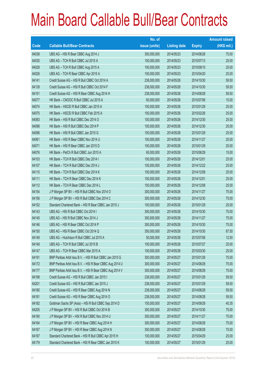|       |                                                          | No. of        |                     |               | <b>Amount raised</b> |
|-------|----------------------------------------------------------|---------------|---------------------|---------------|----------------------|
| Code  | <b>Callable Bull/Bear Contracts</b>                      | issue (units) | <b>Listing date</b> | <b>Expiry</b> | (HK\$ mil.)          |
| 64038 | UBS AG - HSI R Bear CBBC Aug 2014 J                      | 300,000,000   | 2014/05/23          | 2014/08/28    | 75.00                |
| 64030 | UBS AG - TCH R Bull CBBC Jul 2015 A                      | 100,000,000   | 2014/05/23          | 2015/07/13    | 25.00                |
| 64028 | UBS AG - TCH R Bull CBBC Aug 2015 A                      | 100,000,000   | 2014/05/23          | 2015/08/10    | 25.00                |
| 64026 | UBS AG - TCH R Bear CBBC Apr 2015 A                      | 100,000,000   | 2014/05/23          | 2015/04/20    | 25.00                |
| 64141 | Credit Suisse AG - HSI R Bull CBBC Oct 2014 A            | 238,000,000   | 2014/05/26          | 2014/10/30    | 59.50                |
| 64139 | Credit Suisse AG - HSI R Bull CBBC Oct 2014 F            | 238,000,000   | 2014/05/26          | 2014/10/30    | 59.50                |
| 64151 | Credit Suisse AG - HSI R Bear CBBC Aug 2014 H            | 238,000,000   | 2014/05/26          | 2014/08/28    | 59.50                |
| 64077 | HK Bank - CNOOC R Bull CBBC Jul 2015 A                   | 60,000,000    | 2014/05/26          | 2015/07/06    | 15.00                |
| 64074 | HK Bank - HSCEI R Bull CBBC Jan 2015 A                   | 100,000,000   | 2014/05/26          | 2015/01/29    | 25.00                |
| 64075 | HK Bank - HSCEI R Bull CBBC Feb 2015 A                   | 100,000,000   | 2014/05/26          | 2015/02/26    | 25.00                |
| 64083 | HK Bank - HSI R Bull CBBC Dec 2014 O                     | 100,000,000   | 2014/05/26          | 2014/12/30    | 25.00                |
| 64098 | HK Bank - HSI R Bull CBBC Dec 2014 P                     | 100,000,000   | 2014/05/26          | 2014/12/30    | 25.00                |
| 64096 | HK Bank - HSI R Bull CBBC Jan 2015 G                     | 100,000,000   | 2014/05/26          | 2015/01/29    | 25.00                |
| 64061 | HK Bank - HSI R Bear CBBC Nov 2014 U                     | 100,000,000   | 2014/05/26          | 2014/11/27    | 25.00                |
| 64071 | HK Bank - HSI R Bear CBBC Jan 2015 D                     | 100,000,000   | 2014/05/26          | 2015/01/29    | 25.00                |
| 64076 | HK Bank - PetCh R Bull CBBC Jun 2015 A                   | 60,000,000    | 2014/05/26          | 2015/06/29    | 15.00                |
| 64103 | HK Bank - TCH R Bull CBBC Dec 2014 I                     | 100,000,000   | 2014/05/26          | 2014/12/01    | 25.00                |
| 64107 | HK Bank - TCH R Bull CBBC Dec 2014 J                     | 100,000,000   | 2014/05/26          | 2014/12/22    | 25.00                |
| 64110 | HK Bank - TCH R Bull CBBC Dec 2014 K                     | 100,000,000   | 2014/05/26          | 2014/12/08    | 25.00                |
| 64111 | HK Bank - TCH R Bear CBBC Dec 2014 K                     | 100,000,000   | 2014/05/26          | 2014/12/01    | 25.00                |
| 64112 | HK Bank - TCH R Bear CBBC Dec 2014 L                     | 100,000,000   | 2014/05/26          | 2014/12/08    | 25.00                |
| 64154 | J P Morgan SP BV - HSI R Bull CBBC Nov 2014 O            | 300,000,000   | 2014/05/26          | 2014/11/27    | 75.00                |
| 64156 | J P Morgan SP BV - HSI R Bull CBBC Dec 2014 C            | 300,000,000   | 2014/05/26          | 2014/12/30    | 75.00                |
| 64152 | Standard Chartered Bank - HSI R Bear CBBC Jan 2015 J     | 100,000,000   | 2014/05/26          | 2015/01/29    | 25.00                |
| 64143 | UBS AG - HSI R Bull CBBC Oct 2014 I                      | 300,000,000   | 2014/05/26          | 2014/10/30    | 75.00                |
| 64145 | UBS AG - HSI R Bull CBBC Nov 2014 J                      | 300,000,000   | 2014/05/26          | 2014/11/27    | 75.00                |
| 64146 | UBS AG - HSI R Bear CBBC Oct 2014 P                      | 300,000,000   | 2014/05/26          | 2014/10/30    | 75.00                |
| 64150 | UBS AG - HSI R Bear CBBC Oct 2014 Q                      | 350,000,000   | 2014/05/26          | 2014/10/30    | 87.50                |
| 64149 | UBS AG - Hutchison R Bull CBBC Jul 2015 A                | 50,000,000    | 2014/05/26          | 2015/07/06    | 12.50                |
| 64148 | UBS AG - TCH R Bull CBBC Jul 2015 B                      | 100,000,000   | 2014/05/26          | 2015/07/27    | 25.00                |
| 64147 | UBS AG - TCH R Bear CBBC Mar 2015 A                      | 100,000,000   | 2014/05/26          | 2015/03/30    | 25.00                |
| 64191 | BNP Paribas Arbit Issu B.V. - HSI R Bull CBBC Jan 2015 G | 300,000,000   | 2014/05/27          | 2015/01/29    | 75.00                |
| 64172 | BNP Paribas Arbit Issu B.V. - HSI R Bear CBBC Aug 2014 U | 300,000,000   | 2014/05/27          | 2014/08/28    | 75.00                |
| 64177 | BNP Paribas Arbit Issu B.V. - HSI R Bear CBBC Aug 2014 V | 300,000,000   | 2014/05/27          | 2014/08/28    | 75.00                |
| 64198 | Credit Suisse AG - HSI R Bull CBBC Jan 2015 I            | 238,000,000   | 2014/05/27          | 2015/01/29    | 59.50                |
| 64201 | Credit Suisse AG - HSI R Bull CBBC Jan 2015 J            | 238,000,000   | 2014/05/27          | 2015/01/29    | 59.50                |
| 64180 | Credit Suisse AG - HSI R Bear CBBC Aug 2014 N            | 238,000,000   | 2014/05/27          | 2014/08/28    | 59.50                |
| 64181 | Credit Suisse AG - HSI R Bear CBBC Aug 2014 O            | 238,000,000   | 2014/05/27          | 2014/08/28    | 59.50                |
| 64182 | Goldman Sachs SP (Asia) - HSI R Bull CBBC Sep 2014 D     | 150,000,000   | 2014/05/27          | 2014/09/29    | 40.35                |
| 64205 | J P Morgan SP BV - HSI R Bull CBBC Oct 2014 B            | 300,000,000   | 2014/05/27          | 2014/10/30    | 75.00                |
| 64190 | J P Morgan SP BV - HSI R Bull CBBC Nov 2014 U            | 300,000,000   | 2014/05/27          | 2014/11/27    | 75.00                |
| 64164 | J P Morgan SP BV - HSI R Bear CBBC Aug 2014 H            | 300,000,000   | 2014/05/27          | 2014/08/28    | 75.00                |
| 64167 | J P Morgan SP BV - HSI R Bear CBBC Aug 2014 N            | 300,000,000   | 2014/05/27          | 2014/08/28    | 75.00                |
| 64197 | Standard Chartered Bank - HSI R Bull CBBC Apr 2015 H     | 100,000,000   | 2014/05/27          | 2015/04/29    | 25.00                |
| 64179 | Standard Chartered Bank - HSI R Bear CBBC Jan 2015 K     | 100,000,000   | 2014/05/27          | 2015/01/29    | 25.00                |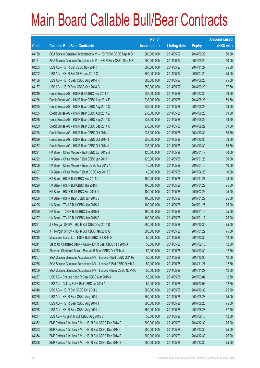|       |                                                                | No. of        |                     |               | <b>Amount raised</b> |
|-------|----------------------------------------------------------------|---------------|---------------------|---------------|----------------------|
| Code  | <b>Callable Bull/Bear Contracts</b>                            | issue (units) | <b>Listing date</b> | <b>Expiry</b> | $(HK$$ mil.)         |
| 64188 | SGA Societe Generale Acceptance N.V. - HSI R Bull CBBC Sep 140 | 200,000,000   | 2014/05/27          | 2014/09/29    | 50.00                |
| 64171 | SGA Societe Generale Acceptance N.V. - HSI R Bear CBBC Sep 14E | 200,000,000   | 2014/05/27          | 2014/09/29    | 50.00                |
| 64203 | UBS AG - HSI R Bull CBBC Nov 2014 I                            | 300,000,000   | 2014/05/27          | 2014/11/27    | 75.00                |
| 64202 | UBS AG - HSI R Bull CBBC Jan 2015 G                            | 300,000,000   | 2014/05/27          | 2015/01/29    | 75.00                |
| 64186 | UBS AG - HSI R Bear CBBC Aug 2014 R                            | 300,000,000   | 2014/05/27          | 2014/08/28    | 75.00                |
| 64187 | UBS AG - HSI R Bear CBBC Sep 2014 G                            | 350,000,000   | 2014/05/27          | 2014/09/29    | 87.50                |
| 64249 | Credit Suisse AG - HSI R Bull CBBC Dec 2014 Y                  | 238,000,000   | 2014/05/28          | 2014/12/30    | 59.50                |
| 64238 | Credit Suisse AG - HSI R Bear CBBC Aug 2014 F                  | 238,000,000   | 2014/05/28          | 2014/08/28    | 59.50                |
| 64285 | Credit Suisse AG - HSI R Bear CBBC Aug 2014 Q                  | 238,000,000   | 2014/05/28          | 2014/08/28    | 59.50                |
| 64235 | Credit Suisse AG - HSI R Bear CBBC Aug 2014 Z                  | 238,000,000   | 2014/05/28          | 2014/08/28    | 59.50                |
| 64236 | Credit Suisse AG - HSI R Bear CBBC Sep 2014 O                  | 238,000,000   | 2014/05/28          | 2014/09/29    | 59.50                |
| 64239 | Credit Suisse AG - HSI R Bear CBBC Sep 2014 Q                  | 238,000,000   | 2014/05/28          | 2014/09/29    | 59.50                |
| 64228 | Credit Suisse AG - HSI R Bear CBBC Oct 2014 I                  | 238,000,000   | 2014/05/28          | 2014/10/30    | 59.50                |
| 64229 | Credit Suisse AG - HSI R Bear CBBC Oct 2014 J                  | 238,000,000   | 2014/05/28          | 2014/10/30    | 59.50                |
| 64232 | Credit Suisse AG - HSI R Bear CBBC Oct 2014 K                  | 238,000,000   | 2014/05/28          | 2014/10/30    | 59.50                |
| 64221 | HK Bank - China Mobile R Bull CBBC Jan 2015 G                  | 120,000,000   | 2014/05/28          | 2015/01/19    | 30.00                |
| 64222 | HK Bank - China Mobile R Bull CBBC Jan 2015 H                  | 120,000,000   | 2014/05/28          | 2015/01/23    | 30.00                |
| 64206 | HK Bank - China Mobile R Bear CBBC Apr 2015 A                  | 40,000,000    | 2014/05/28          | 2015/04/13    | 10.00                |
| 64207 | HK Bank - China Mobile R Bear CBBC Apr 2015 B                  | 40,000,000    | 2014/05/28          | 2015/04/20    | 10.00                |
| 64214 | HK Bank - HSI R Bull CBBC Nov 2014 J                           | 100,000,000   | 2014/05/28          | 2014/11/27    | 25.00                |
| 64220 | HK Bank - HSI R Bull CBBC Jan 2015 H                           | 100,000,000   | 2014/05/28          | 2015/01/29    | 25.00                |
| 64210 | HK Bank - HSI R Bull CBBC Feb 2015 D                           | 100,000,000   | 2014/05/28          | 2015/02/26    | 25.00                |
| 64208 | HK Bank - HSI R Bear CBBC Jan 2015 E                           | 100,000,000   | 2014/05/28          | 2015/01/29    | 25.00                |
| 64225 | HK Bank - TCH R Bull CBBC Jan 2015 A                           | 100,000,000   | 2014/05/28          | 2015/01/26    | 25.00                |
| 64226 | HK Bank - TCH R Bull CBBC Jan 2015 B                           | 100,000,000   | 2014/05/28          | 2015/01/19    | 25.00                |
| 64227 | HK Bank - TCH R Bull CBBC Jan 2015 C                           | 100,000,000   | 2014/05/28          | 2015/01/12    | 25.00                |
| 64291 | J P Morgan SP BV - HSI R Bull CBBC Oct 2014 D                  | 300,000,000   | 2014/05/28          | 2014/10/30    | 75.00                |
| 64290 | J P Morgan SP BV - HSI R Bull CBBC Jan 2015 G                  | 300,000,000   | 2014/05/28          | 2015/01/29    | 75.00                |
| 64240 | Macquarie Bank Ltd. - HSI R Bull CBBC Oct 2014 H               | 50,000,000    | 2014/05/28          | 2014/10/30    | 12.50                |
| 64241 | Standard Chartered Bank - Galaxy Ent R Bear CBBC Feb 2015 A    | 50,000,000    | 2014/05/28          | 2015/02/18    | 12.50                |
| 64243 | Standard Chartered Bank - Ping An R Bear CBBC Oct 2014 A       | 50,000,000    | 2014/05/28          | 2014/10/30    | 12.50                |
| 64257 | SGA Societe Generale Acceptance NV - Lenovo R Bull CBBC Oct14A | 50,000,000    | 2014/05/28          | 2014/10/30    | 12.50                |
| 64256 | SGA Societe Generale Acceptance NV - Lenovo R Bull CBBC Nov14A | 50,000,000    | 2014/05/28          | 2014/11/27    | 12.50                |
| 64259 | SGA Societe Generale Acceptance NV - Lenovo R Bear CBBC Nov14A | 50,000,000    | 2014/05/28          | 2014/11/27    | 12.50                |
| 64287 | UBS AG - Cheung Kong R Bear CBBC Mar 2015 A                    | 50,000,000    | 2014/05/28          | 2015/03/02    | 12.50                |
| 64283 | UBS AG - Galaxy Ent R Bull CBBC Jul 2015 A                     | 50,000,000    | 2014/05/28          | 2015/07/06    | 12.50                |
| 64248 | UBS AG - HSI R Bull CBBC Oct 2014 J                            | 300,000,000   | 2014/05/28          | 2014/10/30    | 75.00                |
| 64260 | UBS AG - HSI R Bear CBBC Aug 2014 I                            | 300,000,000   | 2014/05/28          | 2014/08/28    | 75.00                |
| 64247 | UBS AG - HSI R Bear CBBC Aug 2014 T                            | 300,000,000   | 2014/05/28          | 2014/08/28    | 75.00                |
| 64288 | UBS AG - HSI R Bear CBBC Aug 2014 U                            | 350,000,000   | 2014/05/28          | 2014/08/28    | 87.50                |
| 64277 | UBS AG - Kingsoft R Bull CBBC Aug 2015 C                       | 50,000,000    | 2014/05/28          | 2015/08/10    | 12.50                |
| 64352 | BNP Paribas Arbit Issu B.V. - HSI R Bull CBBC Dec 2014 F       | 300,000,000   | 2014/05/29          | 2014/12/30    | 75.00                |
| 64353 | BNP Paribas Arbit Issu B.V. - HSI R Bull CBBC Dec 2014 I       | 300,000,000   | 2014/05/29          | 2014/12/30    | 75.00                |
| 64354 | BNP Paribas Arbit Issu B.V. - HSI R Bull CBBC Dec 2014 R       | 300,000,000   | 2014/05/29          | 2014/12/30    | 75.00                |
| 64356 | BNP Paribas Arbit Issu B.V. - HSI R Bull CBBC Dec 2014 S       | 300,000,000   | 2014/05/29          | 2014/12/30    | 75.00                |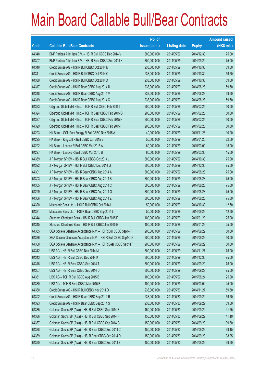|       |                                                                | No. of        |                     |               | <b>Amount raised</b> |
|-------|----------------------------------------------------------------|---------------|---------------------|---------------|----------------------|
| Code  | <b>Callable Bull/Bear Contracts</b>                            | issue (units) | <b>Listing date</b> | <b>Expiry</b> | $(HK$$ mil.)         |
| 64348 | BNP Paribas Arbit Issu B.V. - HSI R Bull CBBC Dec 2014 V       | 300,000,000   | 2014/05/29          | 2014/12/30    | 75.00                |
| 64307 | BNP Paribas Arbit Issu B.V. - HSI R Bear CBBC Sep 2014 K       | 300,000,000   | 2014/05/29          | 2014/09/29    | 75.00                |
| 64340 | Credit Suisse AG - HSI R Bull CBBC Oct 2014 M                  | 238,000,000   | 2014/05/29          | 2014/10/30    | 59.50                |
| 64341 | Credit Suisse AG - HSI R Bull CBBC Oct 2014 O                  | 238,000,000   | 2014/05/29          | 2014/10/30    | 59.50                |
| 64339 | Credit Suisse AG - HSI R Bull CBBC Oct 2014 X                  | 238,000,000   | 2014/05/29          | 2014/10/30    | 59.50                |
| 64317 | Credit Suisse AG - HSI R Bear CBBC Aug 2014 U                  | 238,000,000   | 2014/05/29          | 2014/08/28    | 59.50                |
| 64318 | Credit Suisse AG - HSI R Bear CBBC Aug 2014 V                  | 238,000,000   | 2014/05/29          | 2014/08/28    | 59.50                |
| 64319 | Credit Suisse AG - HSI R Bear CBBC Aug 2014 X                  | 238,000,000   | 2014/05/29          | 2014/08/28    | 59.50                |
| 64323 | Citigroup Global Mkt H Inc. - TCH R Bull CBBC Feb 2015 I       | 200,000,000   | 2014/05/29          | 2015/02/25    | 50.00                |
| 64324 | Citigroup Global Mkt H Inc. - TCH R Bear CBBC Feb 2015 G       | 200,000,000   | 2014/05/29          | 2015/02/25    | 50.00                |
| 64327 | Citigroup Global Mkt H Inc. - TCH R Bear CBBC Feb 2015 H       | 200,000,000   | 2014/05/29          | 2015/02/25    | 50.00                |
| 64329 | Citigroup Global Mkt H Inc. - TCH R Bear CBBC Feb 2015 I       | 200,000,000   | 2014/05/29          | 2015/02/25    | 50.00                |
| 64293 | HK Bank - GCL-Poly Energy R Bull CBBC Nov 2015 A               | 40,000,000    | 2014/05/29          | 2015/11/26    | 10.00                |
| 64295 | HK Bank - Kingsoft R Bull CBBC Jan 2015 B                      | 50,000,000    | 2014/05/29          | 2015/01/26    | 22.50                |
| 64292 | HK Bank - Lenovo R Bull CBBC Mar 2015 A                        | 60,000,000    | 2014/05/29          | 2015/03/09    | 15.00                |
| 64297 | HK Bank - Lenovo R Bull CBBC Mar 2015 B                        | 60,000,000    | 2014/05/29          | 2015/03/30    | 15.00                |
| 64359 | J P Morgan SP BV - HSI R Bull CBBC Oct 2014 J                  | 300,000,000   | 2014/05/29          | 2014/10/30    | 75.00                |
| 64322 | J P Morgan SP BV - HSI R Bull CBBC Dec 2014 G                  | 300,000,000   | 2014/05/29          | 2014/12/30    | 75.00                |
| 64301 | J P Morgan SP BV - HSI R Bear CBBC Aug 2014 A                  | 300,000,000   | 2014/05/29          | 2014/08/28    | 75.00                |
| 64303 | J P Morgan SP BV - HSI R Bear CBBC Aug 2014 B                  | 300,000,000   | 2014/05/29          | 2014/08/28    | 75.00                |
| 64305 | J P Morgan SP BV - HSI R Bear CBBC Aug 2014 C                  | 300,000,000   | 2014/05/29          | 2014/08/28    | 75.00                |
| 64299 | J P Morgan SP BV - HSI R Bear CBBC Aug 2014 O                  | 300,000,000   | 2014/05/29          | 2014/08/28    | 75.00                |
| 64306 | J P Morgan SP BV - HSI R Bear CBBC Aug 2014 Z                  | 300,000,000   | 2014/05/29          | 2014/08/28    | 75.00                |
| 64320 | Macquarie Bank Ltd. - HSI R Bull CBBC Oct 2014 I               | 50,000,000    | 2014/05/29          | 2014/10/30    | 12.50                |
| 64321 | Macquarie Bank Ltd. - HSI R Bear CBBC Sep 2014 L               | 50,000,000    | 2014/05/29          | 2014/09/29    | 12.50                |
| 64344 | Standard Chartered Bank - HSI R Bull CBBC Jan 2015 D           | 100,000,000   | 2014/05/29          | 2015/01/29    | 25.00                |
| 64345 | Standard Chartered Bank - HSI R Bull CBBC Jan 2015 E           | 100,000,000   | 2014/05/29          | 2015/01/29    | 25.00                |
| 64335 | SGA Societe Generale Acceptance N.V. - HSI R Bull CBBC Sep14 P | 200,000,000   | 2014/05/29          | 2014/09/29    | 50.00                |
| 64336 | SGA Societe Generale Acceptance N.V. - HSI R Bull CBBC Sep14 Q | 200,000,000   | 2014/05/29          | 2014/09/29    | 50.00                |
| 64308 | SGA Societe Generale Acceptance N.V. - HSI R Bear CBBC Sep14 F | 200,000,000   | 2014/05/29          | 2014/09/29    | 50.00                |
| 64342 | UBS AG - HSI R Bull CBBC Nov 2014 M                            | 300,000,000   | 2014/05/29          | 2014/11/27    | 75.00                |
| 64343 | UBS AG - HSI R Bull CBBC Dec 2014 K                            | 300,000,000   | 2014/05/29          | 2014/12/30    | 75.00                |
| 64316 | UBS AG - HSI R Bear CBBC Sep 2014 T                            | 300,000,000   | 2014/05/29          | 2014/09/29    | 75.00                |
| 64357 | UBS AG - HSI R Bear CBBC Sep 2014 U                            | 300,000,000   | 2014/05/29          | 2014/09/29    | 75.00                |
| 64331 | UBS AG - TCH R Bull CBBC Aug 2015 B                            | 100,000,000   | 2014/05/29          | 2015/08/24    | 25.00                |
| 64330 | UBS AG - TCH R Bear CBBC Mar 2015 B                            | 100,000,000   | 2014/05/29          | 2015/03/02    | 25.00                |
| 64360 | Credit Suisse AG - HSI R Bull CBBC Nov 2014 D                  | 238,000,000   | 2014/05/30          | 2014/11/27    | 59.50                |
| 64392 | Credit Suisse AG - HSI R Bear CBBC Sep 2014 R                  | 238,000,000   | 2014/05/30          | 2014/09/29    | 59.50                |
| 64393 | Credit Suisse AG - HSI R Bear CBBC Sep 2014 S                  | 238,000,000   | 2014/05/30          | 2014/09/29    | 59.50                |
| 64385 | Goldman Sachs SP (Asia) - HSI R Bull CBBC Sep 2014 E           | 150,000,000   | 2014/05/30          | 2014/09/29    | 41.55                |
| 64386 | Goldman Sachs SP (Asia) - HSI R Bull CBBC Sep 2014 F           | 150,000,000   | 2014/05/30          | 2014/09/29    | 41.10                |
| 64387 | Goldman Sachs SP (Asia) - HSI R Bull CBBC Sep 2014 G           | 150,000,000   | 2014/05/30          | 2014/09/29    | 39.30                |
| 64388 | Goldman Sachs SP (Asia) - HSI R Bear CBBC Sep 2014 C           | 150,000,000   | 2014/05/30          | 2014/09/29    | 39.15                |
| 64389 | Goldman Sachs SP (Asia) - HSI R Bear CBBC Sep 2014 D           | 150,000,000   | 2014/05/30          | 2014/09/29    | 38.25                |
| 64390 | Goldman Sachs SP (Asia) - HSI R Bear CBBC Sep 2014 E           | 150,000,000   | 2014/05/30          | 2014/09/29    | 39.60                |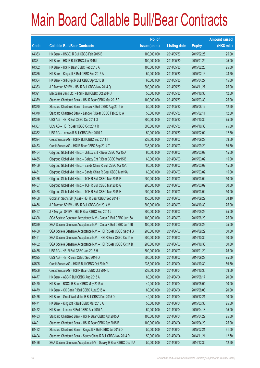|       |                                                                | No. of        |                     |               | <b>Amount raised</b> |
|-------|----------------------------------------------------------------|---------------|---------------------|---------------|----------------------|
| Code  | <b>Callable Bull/Bear Contracts</b>                            | issue (units) | <b>Listing date</b> | <b>Expiry</b> | $(HK$$ mil.)         |
| 64363 | HK Bank - HSCEI R Bull CBBC Feb 2015 B                         | 100,000,000   | 2014/05/30          | 2015/02/26    | 25.00                |
| 64361 | HK Bank - HSI R Bull CBBC Jan 2015 I                           | 100,000,000   | 2014/05/30          | 2015/01/29    | 25.00                |
| 64362 | HK Bank - HSI R Bear CBBC Feb 2015 A                           | 100,000,000   | 2014/05/30          | 2015/02/26    | 25.00                |
| 64365 | HK Bank - Kingsoft R Bull CBBC Feb 2015 A                      | 50,000,000    | 2014/05/30          | 2015/02/16    | 23.50                |
| 64364 | HK Bank - SHK Ppt R Bull CBBC Apr 2015 B                       | 60,000,000    | 2014/05/30          | 2015/04/27    | 15.00                |
| 64383 | J P Morgan SP BV - HSI R Bull CBBC Nov 2014 Q                  | 300,000,000   | 2014/05/30          | 2014/11/27    | 75.00                |
| 64391 | Macquarie Bank Ltd. - HSI R Bull CBBC Oct 2014 J               | 50,000,000    | 2014/05/30          | 2014/10/30    | 12.50                |
| 64379 | Standard Chartered Bank - HSI R Bear CBBC Mar 2015 F           | 100,000,000   | 2014/05/30          | 2015/03/30    | 25.00                |
| 64370 | Standard Chartered Bank - Lenovo R Bull CBBC Aug 2015 A        | 50,000,000    | 2014/05/30          | 2015/08/12    | 12.50                |
| 64378 | Standard Chartered Bank - Lenovo R Bear CBBC Feb 2015 A        | 50,000,000    | 2014/05/30          | 2015/02/11    | 12.50                |
| 64369 | UBS AG - HSI R Bull CBBC Oct 2014 Q                            | 300,000,000   | 2014/05/30          | 2014/10/30    | 75.00                |
| 64367 | UBS AG - HSI R Bear CBBC Oct 2014 R                            | 300,000,000   | 2014/05/30          | 2014/10/30    | 75.00                |
| 64382 | UBS AG - Lenovo R Bull CBBC Feb 2015 A                         | 50,000,000    | 2014/05/30          | 2015/02/02    | 12.50                |
| 64394 | Credit Suisse AG - HSI R Bull CBBC Sep 2014 T                  | 238,000,000   | 2014/06/03          | 2014/09/29    | 59.50                |
| 64453 | Credit Suisse AG - HSI R Bear CBBC Sep 2014 T                  | 238,000,000   | 2014/06/03          | 2014/09/29    | 59.50                |
| 64464 | Citigroup Global Mkt H Inc. - Galaxy Ent R Bear CBBC Mar15 A   | 60,000,000    | 2014/06/03          | 2015/03/02    | 15.00                |
| 64465 | Citigroup Global Mkt H Inc. - Galaxy Ent R Bear CBBC Mar15 B   | 60,000,000    | 2014/06/03          | 2015/03/02    | 15.00                |
| 64459 | Citigroup Global Mkt H Inc. - Sands China R Bull CBBC Mar15A   | 60,000,000    | 2014/06/03          | 2015/03/02    | 15.00                |
| 64461 | Citigroup Global Mkt H Inc. - Sands China R Bear CBBC Mar15A   | 60,000,000    | 2014/06/03          | 2015/03/02    | 15.00                |
| 64466 | Citigroup Global Mkt H Inc. - TCH R Bull CBBC Mar 2015 F       | 200,000,000   | 2014/06/03          | 2015/03/02    | 50.00                |
| 64467 | Citigroup Global Mkt H Inc. - TCH R Bull CBBC Mar 2015 G       | 200,000,000   | 2014/06/03          | 2015/03/02    | 50.00                |
| 64468 | Citigroup Global Mkt H Inc. - TCH R Bull CBBC Mar 2015 H       | 200,000,000   | 2014/06/03          | 2015/03/02    | 50.00                |
| 64458 | Goldman Sachs SP (Asia) - HSI R Bear CBBC Sep 2014 F           | 150,000,000   | 2014/06/03          | 2014/09/29    | 38.10                |
| 64456 | J P Morgan SP BV - HSI R Bull CBBC Oct 2014 V                  | 300,000,000   | 2014/06/03          | 2014/10/30    | 75.00                |
| 64457 | JP Morgan SP BV - HSI R Bear CBBC Sep 2014 J                   | 300,000,000   | 2014/06/03          | 2014/09/29    | 75.00                |
| 64398 | SGA Societe Generale Acceptance N.V - Cinda R Bull CBBC Jun15A | 100,000,000   | 2014/06/03          | 2015/06/29    | 25.00                |
| 64399 | SGA Societe Generale Acceptance N.V - Cinda R Bull CBBC Jun15B | 100,000,000   | 2014/06/03          | 2015/06/29    | 25.00                |
| 64400 | SGA Societe Generale Acceptance N.V. - HSI R Bear CBBC Sep14 G | 200,000,000   | 2014/06/03          | 2014/09/29    | 50.00                |
| 64451 | SGA Societe Generale Acceptance N.V. - HSI R Bear CBBC Oct14 A | 200,000,000   | 2014/06/03          | 2014/10/30    | 50.00                |
| 64452 | SGA Societe Generale Acceptance N.V. - HSI R Bear CBBC Oct14 B | 200,000,000   | 2014/06/03          | 2014/10/30    | 50.00                |
| 64455 | UBS AG - HSI R Bull CBBC Jan 2015 H                            | 300,000,000   | 2014/06/03          | 2015/01/29    | 75.00                |
| 64395 | UBS AG - HSI R Bear CBBC Sep 2014 Q                            | 300,000,000   | 2014/06/03          | 2014/09/29    | 75.00                |
| 64505 | Credit Suisse AG - HSI R Bull CBBC Oct 2014 Y                  | 238,000,000   | 2014/06/04          | 2014/10/30    | 59.50                |
| 64506 | Credit Suisse AG - HSI R Bear CBBC Oct 2014 L                  | 238,000,000   | 2014/06/04          | 2014/10/30    | 59.50                |
| 64477 | HK Bank - ABC R Bull CBBC Aug 2015 A                           | 80,000,000    | 2014/06/04          | 2015/08/17    | 20.00                |
| 64470 | HK Bank - BOCL R Bear CBBC May 2015 A                          | 40,000,000    | 2014/06/04          | 2015/05/04    | 10.00                |
| 64479 | HK Bank - CC Bank R Bull CBBC Aug 2015 A                       | 80,000,000    | 2014/06/04          | 2015/08/03    | 20.00                |
| 64476 | HK Bank - Great Wall Motor R Bull CBBC Dec 2015 D              | 40,000,000    | 2014/06/04          | 2015/12/21    | 10.00                |
| 64471 | HK Bank - Kingsoft R Bull CBBC Mar 2015 A                      | 50,000,000    | 2014/06/04          | 2015/03/30    | 25.50                |
| 64472 | HK Bank - Lenovo R Bull CBBC Apr 2015 A                        | 60,000,000    | 2014/06/04          | 2015/04/13    | 15.00                |
| 64483 | Standard Chartered Bank - HSI R Bear CBBC Apr 2015 A           | 100,000,000   | 2014/06/04          | 2015/04/29    | 25.00                |
| 64491 | Standard Chartered Bank - HSI R Bear CBBC Apr 2015 B           | 100,000,000   | 2014/06/04          | 2015/04/29    | 25.00                |
| 64492 | Standard Chartered Bank - Kingsoft R Bull CBBC Jul 2015 D      | 50,000,000    | 2014/06/04          | 2015/07/21    | 31.00                |
| 64494 | Standard Chartered Bank - Sands China R Bull CBBC Nov 2014 D   | 50,000,000    | 2014/06/04          | 2014/11/21    | 12.50                |
| 64496 | SGA Societe Generale Acceptance NV - Galaxy R Bear CBBC Dec14A | 50,000,000    | 2014/06/04          | 2014/12/30    | 12.50                |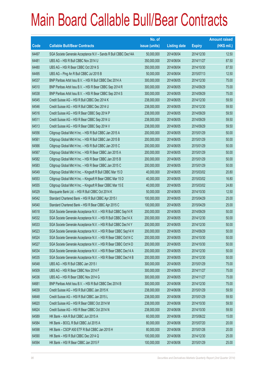|       |                                                                | No. of        |                     |               | <b>Amount raised</b> |
|-------|----------------------------------------------------------------|---------------|---------------------|---------------|----------------------|
| Code  | <b>Callable Bull/Bear Contracts</b>                            | issue (units) | <b>Listing date</b> | <b>Expiry</b> | $(HK$$ mil.)         |
| 64497 | SGA Societe Generale Acceptance N.V - Sands R Bull CBBC Dec14A | 50,000,000    | 2014/06/04          | 2014/12/30    | 12.50                |
| 64481 | UBS AG - HSI R Bull CBBC Nov 2014 U                            | 350,000,000   | 2014/06/04          | 2014/11/27    | 87.50                |
| 64480 | UBS AG - HSI R Bear CBBC Oct 2014 S                            | 350,000,000   | 2014/06/04          | 2014/10/30    | 87.50                |
| 64495 | UBS AG - Ping An R Bull CBBC Jul 2015 B                        | 50,000,000    | 2014/06/04          | 2015/07/13    | 12.50                |
| 64537 | BNP Paribas Arbit Issu B.V. - HSI R Bull CBBC Dec 2014 A       | 300,000,000   | 2014/06/05          | 2014/12/30    | 75.00                |
| 64510 | BNP Paribas Arbit Issu B.V. - HSI R Bear CBBC Sep 2014 R       | 300,000,000   | 2014/06/05          | 2014/09/29    | 75.00                |
| 64538 | BNP Paribas Arbit Issu B.V. - HSI R Bear CBBC Sep 2014 S       | 300,000,000   | 2014/06/05          | 2014/09/29    | 75.00                |
| 64545 | Credit Suisse AG - HSI R Bull CBBC Dec 2014 K                  | 238,000,000   | 2014/06/05          | 2014/12/30    | 59.50                |
| 64546 | Credit Suisse AG - HSI R Bull CBBC Dec 2014 U                  | 238,000,000   | 2014/06/05          | 2014/12/30    | 59.50                |
| 64516 | Credit Suisse AG - HSI R Bear CBBC Sep 2014 P                  | 238,000,000   | 2014/06/05          | 2014/09/29    | 59.50                |
| 64511 | Credit Suisse AG - HSI R Bear CBBC Sep 2014 U                  | 238,000,000   | 2014/06/05          | 2014/09/29    | 59.50                |
| 64513 | Credit Suisse AG - HSI R Bear CBBC Sep 2014 V                  | 238,000,000   | 2014/06/05          | 2014/09/29    | 59.50                |
| 64556 | Citigroup Global Mkt H Inc. - HSI R Bull CBBC Jan 2015 A       | 200,000,000   | 2014/06/05          | 2015/01/29    | 50.00                |
| 64561 | Citigroup Global Mkt H Inc. - HSI R Bull CBBC Jan 2015 B       | 200,000,000   | 2014/06/05          | 2015/01/29    | 50.00                |
| 64566 | Citigroup Global Mkt H Inc. - HSI R Bull CBBC Jan 2015 C       | 200,000,000   | 2014/06/05          | 2015/01/29    | 50.00                |
| 64567 | Citigroup Global Mkt H Inc. - HSI R Bear CBBC Jan 2015 A       | 200,000,000   | 2014/06/05          | 2015/01/29    | 50.00                |
| 64582 | Citigroup Global Mkt H Inc. - HSI R Bear CBBC Jan 2015 B       | 200,000,000   | 2014/06/05          | 2015/01/29    | 50.00                |
| 64583 | Citigroup Global Mkt H Inc. - HSI R Bear CBBC Jan 2015 C       | 200,000,000   | 2014/06/05          | 2015/01/29    | 50.00                |
| 64549 | Citigroup Global Mkt H Inc. - Kingsoft R Bull CBBC Mar 15 D    | 40,000,000    | 2014/06/05          | 2015/03/02    | 20.80                |
| 64553 | Citigroup Global Mkt H Inc. - Kingsoft R Bear CBBC Mar 15 D    | 40,000,000    | 2014/06/05          | 2015/03/02    | 16.80                |
| 64555 | Citigroup Global Mkt H Inc. - Kingsoft R Bear CBBC Mar 15 E    | 40,000,000    | 2014/06/05          | 2015/03/02    | 24.80                |
| 64529 | Macquarie Bank Ltd. - HSI R Bull CBBC Oct 2014 K               | 50,000,000    | 2014/06/05          | 2014/10/30    | 12.50                |
| 64542 | Standard Chartered Bank - HSI R Bull CBBC Apr 2015 I           | 100,000,000   | 2014/06/05          | 2015/04/29    | 25.00                |
| 64540 | Standard Chartered Bank - HSI R Bear CBBC Apr 2015 C           | 100,000,000   | 2014/06/05          | 2015/04/29    | 25.00                |
| 64518 | SGA Societe Generale Acceptance N.V. - HSI R Bull CBBC Sep14 R | 200,000,000   | 2014/06/05          | 2014/09/29    | 50.00                |
| 64532 | SGA Societe Generale Acceptance N.V. - HSI R Bull CBBC Dec14 X | 200,000,000   | 2014/06/05          | 2014/12/30    | 50.00                |
| 64533 | SGA Societe Generale Acceptance N.V. - HSI R Bull CBBC Dec14 Y | 200,000,000   | 2014/06/05          | 2014/12/30    | 50.00                |
| 64523 | SGA Societe Generale Acceptance N.V. - HSI R Bear CBBC Sep14 H | 200,000,000   | 2014/06/05          | 2014/09/29    | 50.00                |
| 64524 | SGA Societe Generale Acceptance N.V. - HSI R Bear CBBC Oct14 C | 200,000,000   | 2014/06/05          | 2014/10/30    | 50.00                |
| 64527 | SGA Societe Generale Acceptance N.V. - HSI R Bear CBBC Oct14 D | 200,000,000   | 2014/06/05          | 2014/10/30    | 50.00                |
| 64534 | SGA Societe Generale Acceptance N.V. - HSI R Bear CBBC Dec14 A | 200,000,000   | 2014/06/05          | 2014/12/30    | 50.00                |
| 64535 | SGA Societe Generale Acceptance N.V. - HSI R Bear CBBC Dec14 B | 200,000,000   | 2014/06/05          | 2014/12/30    | 50.00                |
| 64548 | UBS AG - HSI R Bull CBBC Jan 2015 I                            | 300,000,000   | 2014/06/05          | 2015/01/29    | 75.00                |
| 64509 | UBS AG - HSI R Bear CBBC Nov 2014 F                            | 300,000,000   | 2014/06/05          | 2014/11/27    | 75.00                |
| 64536 | UBS AG - HSI R Bear CBBC Nov 2014 G                            | 300,000,000   | 2014/06/05          | 2014/11/27    | 75.00                |
| 64681 | BNP Paribas Arbit Issu B.V. - HSI R Bull CBBC Dec 2014 B       | 300,000,000   | 2014/06/06          | 2014/12/30    | 75.00                |
| 64639 | Credit Suisse AG - HSI R Bull CBBC Jan 2015 K                  | 238,000,000   | 2014/06/06          | 2015/01/29    | 59.50                |
| 64648 | Credit Suisse AG - HSI R Bull CBBC Jan 2015 L                  | 238,000,000   | 2014/06/06          | 2015/01/29    | 59.50                |
| 64620 | Credit Suisse AG - HSI R Bear CBBC Oct 2014 M                  | 238,000,000   | 2014/06/06          | 2014/10/30    | 59.50                |
| 64624 | Credit Suisse AG - HSI R Bear CBBC Oct 2014 N                  | 238,000,000   | 2014/06/06          | 2014/10/30    | 59.50                |
| 64589 | HK Bank - AIA R Bull CBBC Jun 2015 A                           | 60,000,000    | 2014/06/06          | 2015/06/22    | 15.00                |
| 64584 | HK Bank - BOCL R Bull CBBC Jul 2015 A                          | 80,000,000    | 2014/06/06          | 2015/07/20    | 20.00                |
| 64598 | HK Bank - CSOP A50 ETF R Bull CBBC Jan 2015 H                  | 80,000,000    | 2014/06/06          | 2015/01/26    | 20.00                |
| 64590 | HK Bank - HSI R Bull CBBC Dec 2014 Q                           | 100,000,000   | 2014/06/06          | 2014/12/30    | 25.00                |
| 64594 | HK Bank - HSI R Bear CBBC Jan 2015 F                           | 100,000,000   | 2014/06/06          | 2015/01/29    | 25.00                |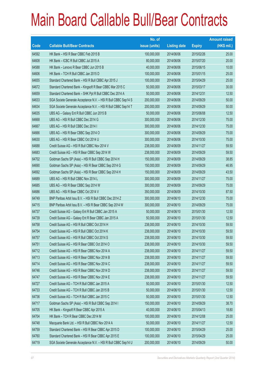|       |                                                                | No. of        |                     |               | <b>Amount raised</b> |
|-------|----------------------------------------------------------------|---------------|---------------------|---------------|----------------------|
| Code  | <b>Callable Bull/Bear Contracts</b>                            | issue (units) | <b>Listing date</b> | <b>Expiry</b> | (HK\$ mil.)          |
| 64592 | HK Bank - HSI R Bear CBBC Feb 2015 B                           | 100,000,000   | 2014/06/06          | 2015/02/26    | 25.00                |
| 64608 | HK Bank - ICBC R Bull CBBC Jul 2015 A                          | 80,000,000    | 2014/06/06          | 2015/07/20    | 20.00                |
| 64588 | HK Bank - Lenovo R Bear CBBC Jun 2015 B                        | 40,000,000    | 2014/06/06          | 2015/06/15    | 10.00                |
| 64606 | HK Bank - TCH R Bull CBBC Jan 2015 D                           | 100,000,000   | 2014/06/06          | 2015/01/15    | 25.00                |
| 64655 | Standard Chartered Bank - HSI R Bull CBBC Apr 2015 J           | 100,000,000   | 2014/06/06          | 2015/04/29    | 25.00                |
| 64672 | Standard Chartered Bank - Kingsoft R Bear CBBC Mar 2015 C      | 50,000,000    | 2014/06/06          | 2015/03/17    | 30.00                |
| 64659 | Standard Chartered Bank - SHK Ppt R Bull CBBC Dec 2014 A       | 50,000,000    | 2014/06/06          | 2014/12/31    | 12.50                |
| 64633 | SGA Societe Generale Acceptance N.V. - HSI R Bull CBBC Sep14 S | 200,000,000   | 2014/06/06          | 2014/09/29    | 50.00                |
| 64634 | SGA Societe Generale Acceptance N.V. - HSI R Bull CBBC Sep14 T | 200,000,000   | 2014/06/06          | 2014/09/29    | 50.00                |
| 64635 | UBS AG - Galaxy Ent R Bull CBBC Jun 2015 B                     | 50,000,000    | 2014/06/06          | 2015/06/08    | 12.50                |
| 64668 | UBS AG - HSI R Bull CBBC Dec 2014 G                            | 300,000,000   | 2014/06/06          | 2014/12/30    | 75.00                |
| 64667 | UBS AG - HSI R Bull CBBC Dec 2014 I                            | 300,000,000   | 2014/06/06          | 2014/12/30    | 75.00                |
| 64666 | UBS AG - HSI R Bear CBBC Sep 2014 O                            | 300,000,000   | 2014/06/06          | 2014/09/29    | 75.00                |
| 64630 | UBS AG - HSI R Bear CBBC Oct 2014 U                            | 300,000,000   | 2014/06/06          | 2014/10/30    | 75.00                |
| 64688 | Credit Suisse AG - HSI R Bull CBBC Nov 2014 V                  | 238,000,000   | 2014/06/09          | 2014/11/27    | 59.50                |
| 64683 | Credit Suisse AG - HSI R Bear CBBC Sep 2014 W                  | 238,000,000   | 2014/06/09          | 2014/09/29    | 59.50                |
| 64702 | Goldman Sachs SP (Asia) - HSI R Bull CBBC Sep 2014 H           | 150,000,000   | 2014/06/09          | 2014/09/29    | 38.85                |
| 64690 | Goldman Sachs SP (Asia) - HSI R Bear CBBC Sep 2014 G           | 150,000,000   | 2014/06/09          | 2014/09/29    | 46.95                |
| 64692 | Goldman Sachs SP (Asia) - HSI R Bear CBBC Sep 2014 H           | 150,000,000   | 2014/06/09          | 2014/09/29    | 43.50                |
| 64689 | UBS AG - HSI R Bull CBBC Nov 2014 L                            | 300,000,000   | 2014/06/09          | 2014/11/27    | 75.00                |
| 64685 | UBS AG - HSI R Bear CBBC Sep 2014 W                            | 300,000,000   | 2014/06/09          | 2014/09/29    | 75.00                |
| 64686 | UBS AG - HSI R Bear CBBC Oct 2014 V                            | 350,000,000   | 2014/06/09          | 2014/10/30    | 87.50                |
| 64749 | BNP Paribas Arbit Issu B.V. - HSI R Bull CBBC Dec 2014 Z       | 300,000,000   | 2014/06/10          | 2014/12/30    | 75.00                |
| 64715 | BNP Paribas Arbit Issu B.V. - HSI R Bear CBBC Sep 2014 W       | 300,000,000   | 2014/06/10          | 2014/09/29    | 75.00                |
| 64737 | Credit Suisse AG - Galaxy Ent R Bull CBBC Jan 2015 A           | 50,000,000    | 2014/06/10          | 2015/01/30    | 12.50                |
| 64739 | Credit Suisse AG - Galaxy Ent R Bear CBBC Jan 2015 A           | 50,000,000    | 2014/06/10          | 2015/01/30    | 12.50                |
| 64758 | Credit Suisse AG - HSI R Bull CBBC Oct 2014 H                  | 238,000,000   | 2014/06/10          | 2014/10/30    | 59.50                |
| 64754 | Credit Suisse AG - HSI R Bull CBBC Oct 2014 K                  | 238,000,000   | 2014/06/10          | 2014/10/30    | 59.50                |
| 64757 | Credit Suisse AG - HSI R Bull CBBC Oct 2014 S                  | 238,000,000   | 2014/06/10          | 2014/10/30    | 59.50                |
| 64751 | Credit Suisse AG - HSI R Bear CBBC Oct 2014 O                  | 238,000,000   | 2014/06/10          | 2014/10/30    | 59.50                |
| 64712 | Credit Suisse AG - HSI R Bear CBBC Nov 2014 A                  | 238,000,000   | 2014/06/10          | 2014/11/27    | 59.50                |
| 64713 | Credit Suisse AG - HSI R Bear CBBC Nov 2014 B                  | 238,000,000   | 2014/06/10          | 2014/11/27    | 59.50                |
| 64714 | Credit Suisse AG - HSI R Bear CBBC Nov 2014 C                  | 238,000,000   | 2014/06/10          | 2014/11/27    | 59.50                |
| 64746 | Credit Suisse AG - HSI R Bear CBBC Nov 2014 D                  | 238,000,000   | 2014/06/10          | 2014/11/27    | 59.50                |
| 64747 | Credit Suisse AG - HSI R Bear CBBC Nov 2014 E                  | 238,000,000   | 2014/06/10          | 2014/11/27    | 59.50                |
| 64727 | Credit Suisse AG - TCH R Bull CBBC Jan 2015 A                  | 50,000,000    | 2014/06/10          | 2015/01/30    | 12.50                |
| 64733 | Credit Suisse AG - TCH R Bull CBBC Jan 2015 B                  | 50,000,000    | 2014/06/10          | 2015/01/30    | 12.50                |
| 64736 | Credit Suisse AG - TCH R Bull CBBC Jan 2015 C                  | 50,000,000    | 2014/06/10          | 2015/01/30    | 12.50                |
| 64717 | Goldman Sachs SP (Asia) - HSI R Bull CBBC Sep 2014 I           | 150,000,000   | 2014/06/10          | 2014/09/29    | 38.70                |
| 64705 | HK Bank - Kingsoft R Bear CBBC Apr 2015 A                      | 40,000,000    | 2014/06/10          | 2015/04/13    | 18.80                |
| 64704 | HK Bank - TCH R Bear CBBC Dec 2014 M                           | 100,000,000   | 2014/06/10          | 2014/12/08    | 25.00                |
| 64748 | Macquarie Bank Ltd. - HSI R Bull CBBC Nov 2014 A               | 50,000,000    | 2014/06/10          | 2014/11/27    | 12.50                |
| 64759 | Standard Chartered Bank - HSI R Bear CBBC Apr 2015 D           | 100,000,000   | 2014/06/10          | 2015/04/29    | 25.00                |
| 64760 | Standard Chartered Bank - HSI R Bear CBBC Apr 2015 E           | 100,000,000   | 2014/06/10          | 2015/04/29    | 25.00                |
| 64719 | SGA Societe Generale Acceptance N.V. - HSI R Bull CBBC Sep14 U | 200,000,000   | 2014/06/10          | 2014/09/29    | 50.00                |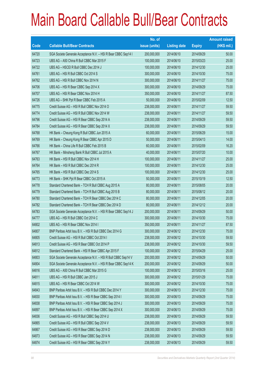|       |                                                                | No. of        |                     |               | <b>Amount raised</b> |
|-------|----------------------------------------------------------------|---------------|---------------------|---------------|----------------------|
| Code  | <b>Callable Bull/Bear Contracts</b>                            | issue (units) | <b>Listing date</b> | <b>Expiry</b> | (HK\$ mil.)          |
| 64720 | SGA Societe Generale Acceptance N.V. - HSI R Bear CBBC Sep14 I | 200,000,000   | 2014/06/10          | 2014/09/29    | 50.00                |
| 64723 | UBS AG - A50 China R Bull CBBC Mar 2015 F                      | 100,000,000   | 2014/06/10          | 2015/03/23    | 25.00                |
| 64722 | UBS AG - HSCEI R Bull CBBC Dec 2014 J                          | 100,000,000   | 2014/06/10          | 2014/12/30    | 25.00                |
| 64761 | UBS AG - HSI R Bull CBBC Oct 2014 S                            | 300,000,000   | 2014/06/10          | 2014/10/30    | 75.00                |
| 64762 | UBS AG - HSI R Bull CBBC Nov 2014 N                            | 300,000,000   | 2014/06/10          | 2014/11/27    | 75.00                |
| 64706 | UBS AG - HSI R Bear CBBC Sep 2014 X                            | 300,000,000   | 2014/06/10          | 2014/09/29    | 75.00                |
| 64707 | UBS AG - HSI R Bear CBBC Nov 2014 H                            | 350,000,000   | 2014/06/10          | 2014/11/27    | 87.50                |
| 64726 | UBS AG - SHK Ppt R Bear CBBC Feb 2015 A                        | 50,000,000    | 2014/06/10          | 2015/02/09    | 12.50                |
| 64775 | Credit Suisse AG - HSI R Bull CBBC Nov 2014 O                  | 238,000,000   | 2014/06/11          | 2014/11/27    | 59.50                |
| 64774 | Credit Suisse AG - HSI R Bull CBBC Nov 2014 W                  | 238,000,000   | 2014/06/11          | 2014/11/27    | 59.50                |
| 64796 | Credit Suisse AG - HSI R Bear CBBC Sep 2014 A                  | 238,000,000   | 2014/06/11          | 2014/09/29    | 59.50                |
| 64784 | Credit Suisse AG - HSI R Bear CBBC Sep 2014 X                  | 238,000,000   | 2014/06/11          | 2014/09/29    | 59.50                |
| 64768 | HK Bank - Cheung Kong R Bull CBBC Jun 2015 A                   | 60,000,000    | 2014/06/11          | 2015/06/29    | 15.00                |
| 64769 | HK Bank - Cheung Kong R Bear CBBC Apr 2015 D                   | 50,000,000    | 2014/06/11          | 2015/04/13    | 14.00                |
| 64766 | HK Bank - China Life R Bull CBBC Feb 2015 B                    | 60,000,000    | 2014/06/11          | 2015/02/09    | 16.20                |
| 64767 | HK Bank - Minsheng Bank R Bull CBBC Jul 2015 A                 | 40,000,000    | 2014/06/11          | 2015/07/20    | 10.00                |
| 64763 | HK Bank - HSI R Bull CBBC Nov 2014 H                           | 100,000,000   | 2014/06/11          | 2014/11/27    | 25.00                |
| 64764 | HK Bank - HSI R Bull CBBC Dec 2014 R                           | 100,000,000   | 2014/06/11          | 2014/12/30    | 25.00                |
| 64765 | HK Bank - HSI R Bull CBBC Dec 2014 S                           | 100,000,000   | 2014/06/11          | 2014/12/30    | 25.00                |
| 64773 | HK Bank - SHK Ppt R Bear CBBC Oct 2015 A                       | 50,000,000    | 2014/06/11          | 2015/10/19    | 12.50                |
| 64778 | Standard Chartered Bank - TCH R Bull CBBC Aug 2015 A           | 80,000,000    | 2014/06/11          | 2015/08/05    | 20.00                |
| 64779 | Standard Chartered Bank - TCH R Bull CBBC Aug 2015 B           | 80,000,000    | 2014/06/11          | 2015/08/12    | 20.00                |
| 64780 | Standard Chartered Bank - TCH R Bear CBBC Dec 2014 C           | 80,000,000    | 2014/06/11          | 2014/12/05    | 20.00                |
| 64782 | Standard Chartered Bank - TCH R Bear CBBC Dec 2014 D           | 80,000,000    | 2014/06/11          | 2014/12/12    | 20.00                |
| 64783 | SGA Societe Generale Acceptance N.V. - HSI R Bear CBBC Sep14 J | 200,000,000   | 2014/06/11          | 2014/09/29    | 50.00                |
| 64777 | UBS AG - HSI R Bull CBBC Oct 2014 C                            | 300,000,000   | 2014/06/11          | 2014/10/30    | 75.00                |
| 64802 | UBS AG - HSI R Bear CBBC Nov 2014 I                            | 350,000,000   | 2014/06/11          | 2014/11/27    | 87.50                |
| 64807 | BNP Paribas Arbit Issu B.V. - HSI R Bull CBBC Dec 2014 G       | 300,000,000   | 2014/06/12          | 2014/12/30    | 75.00                |
| 64805 | Credit Suisse AG - HSI R Bull CBBC Oct 2014 I                  | 238,000,000   | 2014/06/12          | 2014/10/30    | 59.50                |
| 64813 | Credit Suisse AG - HSI R Bear CBBC Oct 2014 P                  | 238,000,000   | 2014/06/12          | 2014/10/30    | 59.50                |
| 64812 | Standard Chartered Bank - HSI R Bear CBBC Apr 2015 F           | 100,000,000   | 2014/06/12          | 2015/04/29    | 25.00                |
| 64803 | SGA Societe Generale Acceptance N.V. - HSI R Bull CBBC Sep14 V | 200,000,000   | 2014/06/12          | 2014/09/29    | 50.00                |
| 64804 | SGA Societe Generale Acceptance N.V. - HSI R Bear CBBC Sep14 K | 200,000,000   | 2014/06/12          | 2014/09/29    | 50.00                |
| 64816 | UBS AG - A50 China R Bull CBBC Mar 2015 G                      | 100,000,000   | 2014/06/12          | 2015/03/16    | 25.00                |
| 64811 | UBS AG - HSI R Bull CBBC Jan 2015 J                            | 300,000,000   | 2014/06/12          | 2015/01/29    | 75.00                |
| 64815 | UBS AG - HSI R Bear CBBC Oct 2014 W                            | 300,000,000   | 2014/06/12          | 2014/10/30    | 75.00                |
| 64843 | BNP Paribas Arbit Issu B.V. - HSI R Bull CBBC Dec 2014 Y       | 300,000,000   | 2014/06/13          | 2014/12/30    | 75.00                |
| 64830 | BNP Paribas Arbit Issu B.V. - HSI R Bear CBBC Sep 2014 I       | 300,000,000   | 2014/06/13          | 2014/09/29    | 75.00                |
| 64838 | BNP Paribas Arbit Issu B.V. - HSI R Bear CBBC Sep 2014 J       | 300,000,000   | 2014/06/13          | 2014/09/29    | 75.00                |
| 64897 | BNP Paribas Arbit Issu B.V. - HSI R Bear CBBC Sep 2014 X       | 300,000,000   | 2014/06/13          | 2014/09/29    | 75.00                |
| 64836 | Credit Suisse AG - HSI R Bull CBBC Sep 2014 U                  | 238,000,000   | 2014/06/13          | 2014/09/29    | 59.50                |
| 64865 | Credit Suisse AG - HSI R Bull CBBC Sep 2014 V                  | 238,000,000   | 2014/06/13          | 2014/09/29    | 59.50                |
| 64867 | Credit Suisse AG - HSI R Bear CBBC Sep 2014 D                  | 238,000,000   | 2014/06/13          | 2014/09/29    | 59.50                |
| 64873 | Credit Suisse AG - HSI R Bear CBBC Sep 2014 N                  | 238,000,000   | 2014/06/13          | 2014/09/29    | 59.50                |
| 64874 | Credit Suisse AG - HSI R Bear CBBC Sep 2014 Y                  | 238,000,000   | 2014/06/13          | 2014/09/29    | 59.50                |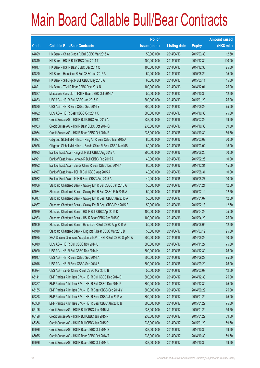|       |                                                                | No. of        |                     |               | <b>Amount raised</b> |
|-------|----------------------------------------------------------------|---------------|---------------------|---------------|----------------------|
| Code  | <b>Callable Bull/Bear Contracts</b>                            | issue (units) | <b>Listing date</b> | <b>Expiry</b> | (HK\$ mil.)          |
| 64829 | HK Bank - China Cinda R Bull CBBC Mar 2015 A                   | 50,000,000    | 2014/06/13          | 2015/03/30    | 12.50                |
| 64819 | HK Bank - HSI R Bull CBBC Dec 2014 T                           | 400,000,000   | 2014/06/13          | 2014/12/30    | 100.00               |
| 64817 | HK Bank - HSI R Bear CBBC Dec 2014 Q                           | 100,000,000   | 2014/06/13          | 2014/12/30    | 25.00                |
| 64820 | HK Bank - Hutchison R Bull CBBC Jun 2015 A                     | 60,000,000    | 2014/06/13          | 2015/06/29    | 15.00                |
| 64826 | HK Bank - SHK Ppt R Bull CBBC May 2015 A                       | 60,000,000    | 2014/06/13          | 2015/05/11    | 15.00                |
| 64821 | HK Bank - TCH R Bear CBBC Dec 2014 N                           | 100,000,000   | 2014/06/13          | 2014/12/01    | 25.00                |
| 64837 | Macquarie Bank Ltd. - HSI R Bear CBBC Oct 2014 A               | 50,000,000    | 2014/06/13          | 2014/10/30    | 12.50                |
| 64833 | UBS AG - HSI R Bull CBBC Jan 2015 K                            | 300,000,000   | 2014/06/13          | 2015/01/29    | 75.00                |
| 64880 | UBS AG - HSI R Bear CBBC Sep 2014 Y                            | 300,000,000   | 2014/06/13          | 2014/09/29    | 75.00                |
| 64892 | UBS AG - HSI R Bear CBBC Oct 2014 X                            | 300,000,000   | 2014/06/13          | 2014/10/30    | 75.00                |
| 64947 | Credit Suisse AG - HSI R Bull CBBC Feb 2015 A                  | 238,000,000   | 2014/06/16          | 2015/02/26    | 59.50                |
| 64933 | Credit Suisse AG - HSI R Bear CBBC Oct 2014 Q                  | 238,000,000   | 2014/06/16          | 2014/10/30    | 59.50                |
| 64934 | Credit Suisse AG - HSI R Bear CBBC Oct 2014 R                  | 238,000,000   | 2014/06/16          | 2014/10/30    | 59.50                |
| 65027 | Citigroup Global Mkt H Inc. - Ping An R Bear CBBC Mar 2015 A   | 80,000,000    | 2014/06/16          | 2015/03/02    | 20.00                |
| 65026 | Citigroup Global Mkt H Inc. - Sands China R Bear CBBC Mar15B   | 60,000,000    | 2014/06/16          | 2015/03/02    | 15.00                |
| 64923 | Bank of East Asia - Kingsoft R Bull CBBC Aug 2015 A            | 200,000,000   | 2014/06/16          | 2015/08/26    | 50.00                |
| 64921 | Bank of East Asia - Lenovo R Bull CBBC Feb 2015 A              | 40,000,000    | 2014/06/16          | 2015/02/26    | 10.00                |
| 64922 | Bank of East Asia - Sands China R Bear CBBC Dec 2014 A         | 60,000,000    | 2014/06/16          | 2014/12/31    | 15.00                |
| 64927 | Bank of East Asia - TCH R Bull CBBC Aug 2015 A                 | 40,000,000    | 2014/06/16          | 2015/08/31    | 10.00                |
| 64932 | Bank of East Asia - TCH R Bear CBBC Aug 2015 A                 | 40,000,000    | 2014/06/16          | 2015/08/27    | 10.00                |
| 64986 | Standard Chartered Bank - Galaxy Ent R Bull CBBC Jan 2015 A    | 50,000,000    | 2014/06/16          | 2015/01/21    | 12.50                |
| 64984 | Standard Chartered Bank - Galaxy Ent R Bull CBBC Feb 2015 A    | 50,000,000    | 2014/06/16          | 2015/02/12    | 12.50                |
| 65017 | Standard Chartered Bank - Galaxy Ent R Bear CBBC Jan 2015 A    | 50,000,000    | 2014/06/16          | 2015/01/07    | 12.50                |
| 64987 | Standard Chartered Bank - Galaxy Ent R Bear CBBC Feb 2015 B    | 50,000,000    | 2014/06/16          | 2015/02/18    | 12.50                |
| 64979 | Standard Chartered Bank - HSI R Bull CBBC Apr 2015 K           | 100,000,000   | 2014/06/16          | 2015/04/29    | 25.00                |
| 64983 | Standard Chartered Bank - HSI R Bear CBBC Apr 2015 G           | 100,000,000   | 2014/06/16          | 2015/04/29    | 25.00                |
| 64909 | Standard Chartered Bank - Hutchison R Bull CBBC Aug 2015 A     | 50,000,000    | 2014/06/16          | 2015/08/05    | 12.50                |
| 64910 | Standard Chartered Bank - Kingsoft R Bear CBBC Mar 2015 D      | 50,000,000    | 2014/06/16          | 2015/03/19    | 25.00                |
| 64935 | SGA Societe Generale Acceptance N.V. - HSI R Bull CBBC Sep14 W | 200,000,000   | 2014/06/16          | 2014/09/29    | 50.00                |
| 65019 | UBS AG - HSI R Bull CBBC Nov 2014 U                            | 300,000,000   | 2014/06/16          | 2014/11/27    | 75.00                |
| 65020 | UBS AG - HSI R Bull CBBC Dec 2014 H                            | 300,000,000   | 2014/06/16          | 2014/12/30    | 75.00                |
| 64917 | UBS AG - HSI R Bear CBBC Sep 2014 A                            | 300,000,000   | 2014/06/16          | 2014/09/29    | 75.00                |
| 64916 | UBS AG - HSI R Bear CBBC Sep 2014 Z                            | 300,000,000   | 2014/06/16          | 2014/09/29    | 75.00                |
| 65024 | UBS AG - Sands China R Bull CBBC Mar 2015 B                    | 50,000,000    | 2014/06/16          | 2015/03/09    | 12.50                |
| 65141 | BNP Paribas Arbit Issu B.V. - HSI R Bull CBBC Dec 2014 D       | 300,000,000   | 2014/06/17          | 2014/12/30    | 75.00                |
| 65367 | BNP Paribas Arbit Issu B.V. - HSI R Bull CBBC Dec 2014 P       | 300,000,000   | 2014/06/17          | 2014/12/30    | 75.00                |
| 65165 | BNP Paribas Arbit Issu B.V. - HSI R Bear CBBC Sep 2014 Y       | 300,000,000   | 2014/06/17          | 2014/09/29    | 75.00                |
| 65368 | BNP Paribas Arbit Issu B.V. - HSI R Bear CBBC Jan 2015 A       | 300,000,000   | 2014/06/17          | 2015/01/29    | 75.00                |
| 65369 | BNP Paribas Arbit Issu B.V. - HSI R Bear CBBC Jan 2015 B       | 300,000,000   | 2014/06/17          | 2015/01/29    | 75.00                |
| 65196 | Credit Suisse AG - HSI R Bull CBBC Jan 2015 M                  | 238,000,000   | 2014/06/17          | 2015/01/29    | 59.50                |
| 65198 | Credit Suisse AG - HSI R Bull CBBC Jan 2015 N                  | 238,000,000   | 2014/06/17          | 2015/01/29    | 59.50                |
| 65356 | Credit Suisse AG - HSI R Bull CBBC Jan 2015 O                  | 238,000,000   | 2014/06/17          | 2015/01/29    | 59.50                |
| 65036 | Credit Suisse AG - HSI R Bear CBBC Oct 2014 S                  | 238,000,000   | 2014/06/17          | 2014/10/30    | 59.50                |
| 65075 | Credit Suisse AG - HSI R Bear CBBC Oct 2014 T                  | 238,000,000   | 2014/06/17          | 2014/10/30    | 59.50                |
| 65076 | Credit Suisse AG - HSI R Bear CBBC Oct 2014 U                  | 238,000,000   | 2014/06/17          | 2014/10/30    | 59.50                |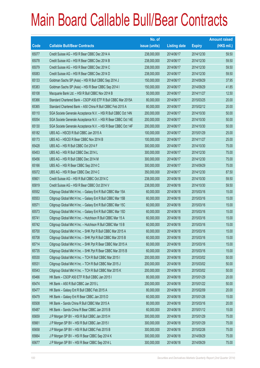|       |                                                                | No. of        |                     |               | <b>Amount raised</b> |
|-------|----------------------------------------------------------------|---------------|---------------------|---------------|----------------------|
| Code  | <b>Callable Bull/Bear Contracts</b>                            | issue (units) | <b>Listing date</b> | <b>Expiry</b> | $(HK$$ mil.)         |
| 65077 | Credit Suisse AG - HSI R Bear CBBC Dec 2014 A                  | 238,000,000   | 2014/06/17          | 2014/12/30    | 59.50                |
| 65078 | Credit Suisse AG - HSI R Bear CBBC Dec 2014 B                  | 238,000,000   | 2014/06/17          | 2014/12/30    | 59.50                |
| 65079 | Credit Suisse AG - HSI R Bear CBBC Dec 2014 C                  | 238,000,000   | 2014/06/17          | 2014/12/30    | 59.50                |
| 65083 | Credit Suisse AG - HSI R Bear CBBC Dec 2014 D                  | 238,000,000   | 2014/06/17          | 2014/12/30    | 59.50                |
| 65133 | Goldman Sachs SP (Asia) - HSI R Bull CBBC Sep 2014 J           | 150,000,000   | 2014/06/17          | 2014/09/29    | 37.95                |
| 65383 | Goldman Sachs SP (Asia) - HSI R Bear CBBC Sep 2014 I           | 150,000,000   | 2014/06/17          | 2014/09/29    | 41.85                |
| 65108 | Macquarie Bank Ltd. - HSI R Bull CBBC Nov 2014 B               | 50,000,000    | 2014/06/17          | 2014/11/27    | 12.50                |
| 65366 | Standard Chartered Bank - CSOP A50 ETF R Bull CBBC Mar 2015A   | 80,000,000    | 2014/06/17          | 2015/03/25    | 20.00                |
| 65365 | Standard Chartered Bank - A50 China R Bull CBBC Feb 2015 A     | 80,000,000    | 2014/06/17          | 2015/02/12    | 20.00                |
| 65110 | SGA Societe Generale Acceptance N.V. - HSI R Bull CBBC Oct 14N | 200,000,000   | 2014/06/17          | 2014/10/30    | 50.00                |
| 65054 | SGA Societe Generale Acceptance N.V. - HSI R Bear CBBC Oct 14E | 200,000,000   | 2014/06/17          | 2014/10/30    | 50.00                |
| 65130 | SGA Societe Generale Acceptance N.V. - HSI R Bear CBBC Oct 14F | 200,000,000   | 2014/06/17          | 2014/10/30    | 50.00                |
| 65182 | UBS AG - HSCEI R Bull CBBC Jan 2015 A                          | 100,000,000   | 2014/06/17          | 2015/01/29    | 25.00                |
| 65173 | UBS AG - HSCEI R Bear CBBC Nov 2014 B                          | 100,000,000   | 2014/06/17          | 2014/11/27    | 25.00                |
| 65428 | UBS AG - HSI R Bull CBBC Oct 2014 F                            | 300,000,000   | 2014/06/17          | 2014/10/30    | 75.00                |
| 65453 | UBS AG - HSI R Bull CBBC Dec 2014 L                            | 300,000,000   | 2014/06/17          | 2014/12/30    | 75.00                |
| 65456 | UBS AG - HSI R Bull CBBC Dec 2014 M                            | 300,000,000   | 2014/06/17          | 2014/12/30    | 75.00                |
| 65166 | UBS AG - HSI R Bear CBBC Sep 2014 C                            | 300,000,000   | 2014/06/17          | 2014/09/29    | 75.00                |
| 65072 | UBS AG - HSI R Bear CBBC Dec 2014 C                            | 350,000,000   | 2014/06/17          | 2014/12/30    | 87.50                |
| 65601 | Credit Suisse AG - HSI R Bull CBBC Oct 2014 C                  | 238,000,000   | 2014/06/18          | 2014/10/30    | 59.50                |
| 65819 | Credit Suisse AG - HSI R Bear CBBC Oct 2014 V                  | 238,000,000   | 2014/06/18          | 2014/10/30    | 59.50                |
| 65552 | Citigroup Global Mkt H Inc. - Galaxy Ent R Bull CBBC Mar 15A   | 60,000,000    | 2014/06/18          | 2015/03/16    | 15.00                |
| 65553 | Citigroup Global Mkt H Inc. - Galaxy Ent R Bull CBBC Mar 15B   | 60,000,000    | 2014/06/18          | 2015/03/16    | 15.00                |
| 65571 | Citigroup Global Mkt H Inc. - Galaxy Ent R Bull CBBC Mar 15C   | 60,000,000    | 2014/06/18          | 2015/03/16    | 15.00                |
| 65573 | Citigroup Global Mkt H Inc. - Galaxy Ent R Bull CBBC Mar 15D   | 60,000,000    | 2014/06/18          | 2015/03/16    | 15.00                |
| 65741 | Citigroup Global Mkt H Inc. - Hutchison R Bull CBBC Mar 15 A   | 60,000,000    | 2014/06/18          | 2015/03/16    | 15.00                |
| 65742 | Citigroup Global Mkt H Inc. - Hutchison R Bull CBBC Mar 15 B   | 60,000,000    | 2014/06/18          | 2015/03/16    | 15.00                |
| 65700 | Citigroup Global Mkt H Inc. - SHK Ppt R Bull CBBC Mar 2015 A   | 60,000,000    | 2014/06/18          | 2015/03/16    | 15.00                |
| 65708 | Citigroup Global Mkt H Inc. - SHK Ppt R Bull CBBC Mar 2015 B   | 60,000,000    | 2014/06/18          | 2015/03/16    | 15.00                |
| 65714 | Citigroup Global Mkt H Inc. - SHK Ppt R Bear CBBC Mar 2015 A   | 60,000,000    | 2014/06/18          | 2015/03/16    | 15.00                |
| 65735 | Citigroup Global Mkt H Inc. - SHK Ppt R Bear CBBC Mar 2015 B   | 60,000,000    | 2014/06/18          | 2015/03/16    | 15.00                |
| 65530 | Citigroup Global Mkt H Inc. - TCH R Bull CBBC Mar 2015 I       | 200,000,000   | 2014/06/18          | 2015/03/02    | 50.00                |
| 65531 | Citigroup Global Mkt H Inc. - TCH R Bull CBBC Mar 2015 J       | 200,000,000   | 2014/06/18          | 2015/03/02    | 50.00                |
| 65543 | Citigroup Global Mkt H Inc. - TCH R Bull CBBC Mar 2015 K       | 200,000,000   | 2014/06/18          | 2015/03/02    | 50.00                |
| 65466 | HK Bank - CSOP A50 ETF R Bull CBBC Jan 2015 I                  | 80,000,000    | 2014/06/18          | 2015/01/29    | 20.00                |
| 65474 | HK Bank - A50 R Bull CBBC Jan 2015 L                           | 200,000,000   | 2014/06/18          | 2015/01/22    | 50.00                |
| 65477 | HK Bank - Galaxy Ent R Bull CBBC Feb 2015 A                    | 80,000,000    | 2014/06/18          | 2015/02/09    | 20.00                |
| 65479 | HK Bank - Galaxy Ent R Bear CBBC Jan 2015 D                    | 60,000,000    | 2014/06/18          | 2015/01/26    | 15.00                |
| 65508 | HK Bank - Sands China R Bull CBBC Mar 2015 A                   | 80,000,000    | 2014/06/18          | 2015/03/16    | 20.00                |
| 65487 | HK Bank - Sands China R Bear CBBC Jan 2015 B                   | 60,000,000    | 2014/06/18          | 2015/01/12    | 15.00                |
| 65659 | J P Morgan SP BV - HSI R Bull CBBC Jan 2015 H                  | 300,000,000   | 2014/06/18          | 2015/01/29    | 75.00                |
| 65661 | J P Morgan SP BV - HSI R Bull CBBC Jan 2015 I                  | 300,000,000   | 2014/06/18          | 2015/01/29    | 75.00                |
| 65658 | J P Morgan SP BV - HSI R Bull CBBC Feb 2015 B                  | 300,000,000   | 2014/06/18          | 2015/02/26    | 75.00                |
| 65664 | J P Morgan SP BV - HSI R Bear CBBC Sep 2014 K                  | 300,000,000   | 2014/06/18          | 2014/09/29    | 75.00                |
| 65677 | J P Morgan SP BV - HSI R Bear CBBC Sep 2014 L                  | 300,000,000   | 2014/06/18          | 2014/09/29    | 75.00                |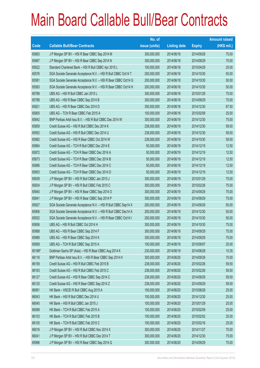|        |                                                                | No. of        |                     |               | <b>Amount raised</b> |
|--------|----------------------------------------------------------------|---------------|---------------------|---------------|----------------------|
| Code   | <b>Callable Bull/Bear Contracts</b>                            | issue (units) | <b>Listing date</b> | <b>Expiry</b> | (HK\$ mil.)          |
| 65683  | J P Morgan SP BV - HSI R Bear CBBC Sep 2014 M                  | 300,000,000   | 2014/06/18          | 2014/09/29    | 75.00                |
| 65687  | J P Morgan SP BV - HSI R Bear CBBC Sep 2014 N                  | 300,000,000   | 2014/06/18          | 2014/09/29    | 75.00                |
| 65622  | Standard Chartered Bank - HSI R Bull CBBC Apr 2015 L           | 100,000,000   | 2014/06/18          | 2015/04/29    | 25.00                |
| 65576  | SGA Societe Generale Acceptance N.V. - HSI R Bull CBBC Oct14 T | 200,000,000   | 2014/06/18          | 2014/10/30    | 50.00                |
| 65581  | SGA Societe Generale Acceptance N.V. - HSI R Bear CBBC Oct14 G | 200,000,000   | 2014/06/18          | 2014/10/30    | 50.00                |
| 65583  | SGA Societe Generale Acceptance N.V. - HSI R Bear CBBC Oct14 H | 200,000,000   | 2014/06/18          | 2014/10/30    | 50.00                |
| 65789  | UBS AG - HSI R Bull CBBC Jan 2015 L                            | 300,000,000   | 2014/06/18          | 2015/01/29    | 75.00                |
| 65788  | UBS AG - HSI R Bear CBBC Sep 2014 B                            | 300,000,000   | 2014/06/18          | 2014/09/29    | 75.00                |
| 65821  | UBS AG - HSI R Bear CBBC Dec 2014 D                            | 350,000,000   | 2014/06/18          | 2014/12/30    | 87.50                |
| 65805  | UBS AG - TCH R Bear CBBC Feb 2015 A                            | 100,000,000   | 2014/06/18          | 2015/02/09    | 25.00                |
| 65842  | BNP Paribas Arbit Issu B.V. - HSI R Bull CBBC Dec 2014 W       | 300,000,000   | 2014/06/19          | 2014/12/30    | 75.00                |
| 65859  | Credit Suisse AG - HSI R Bull CBBC Dec 2014 K                  | 238,000,000   | 2014/06/19          | 2014/12/30    | 59.50                |
| 65952  | Credit Suisse AG - HSI R Bull CBBC Dec 2014 U                  | 238,000,000   | 2014/06/19          | 2014/12/30    | 59.50                |
| 65982  | Credit Suisse AG - HSI R Bear CBBC Oct 2014 W                  | 238,000,000   | 2014/06/19          | 2014/10/30    | 59.50                |
| 65864  | Credit Suisse AG - TCH R Bull CBBC Dec 2014 E                  | 50,000,000    | 2014/06/19          | 2014/12/19    | 12.50                |
| 65872  | Credit Suisse AG - TCH R Bear CBBC Dec 2014 A                  | 50,000,000    | 2014/06/19          | 2014/12/19    | 12.50                |
| 65873  | Credit Suisse AG - TCH R Bear CBBC Dec 2014 B                  | 50,000,000    | 2014/06/19          | 2014/12/19    | 12.50                |
| 65886  | Credit Suisse AG - TCH R Bear CBBC Dec 2014 C                  | 50,000,000    | 2014/06/19          | 2014/12/19    | 12.50                |
| 65903  | Credit Suisse AG - TCH R Bear CBBC Dec 2014 D                  | 50,000,000    | 2014/06/19          | 2014/12/19    | 12.50                |
| 65839  | J P Morgan SP BV - HSI R Bull CBBC Jan 2015 J                  | 300,000,000   | 2014/06/19          | 2015/01/29    | 75.00                |
| 65834  | J P Morgan SP BV - HSI R Bull CBBC Feb 2015 C                  | 300,000,000   | 2014/06/19          | 2015/02/26    | 75.00                |
| 65840  | J P Morgan SP BV - HSI R Bear CBBC Sep 2014 O                  | 300,000,000   | 2014/06/19          | 2014/09/29    | 75.00                |
| 65841  | J P Morgan SP BV - HSI R Bear CBBC Sep 2014 P                  | 300,000,000   | 2014/06/19          | 2014/09/29    | 75.00                |
| 65927  | SGA Societe Generale Acceptance N.V. - HSI R Bull CBBC Sep14 X | 200,000,000   | 2014/06/19          | 2014/09/29    | 50.00                |
| 65906  | SGA Societe Generale Acceptance N.V. - HSI R Bull CBBC Dec14 A | 200,000,000   | 2014/06/19          | 2014/12/30    | 50.00                |
| 65932  | SGA Societe Generale Acceptance N.V. - HSI R Bear CBBC Oct14 I | 200,000,000   | 2014/06/19          | 2014/10/30    | 50.00                |
| 65856  | UBS AG - HSI R Bull CBBC Oct 2014 H                            | 300,000,000   | 2014/06/19          | 2014/10/30    | 75.00                |
| 65988  | UBS AG - HSI R Bear CBBC Sep 2014 F                            | 300,000,000   | 2014/06/19          | 2014/09/29    | 75.00                |
| 65989  | UBS AG - HSI R Bear CBBC Sep 2014 K                            | 300,000,000   | 2014/06/19          | 2014/09/29    | 75.00                |
| 65958  | UBS AG - TCH R Bull CBBC Sep 2015 A                            | 100,000,000   | 2014/06/19          | 2015/09/07    | 25.00                |
| 60166# | Goldman Sachs SP (Asia) - HSI R Bear CBBC Aug 2014 K           | 230,000,000   | 2014/06/19          | 2014/08/28    | 10.35                |
| 66116  | BNP Paribas Arbit Issu B.V. - HSI R Bear CBBC Sep 2014 H       | 300,000,000   | 2014/06/20          | 2014/09/29    | 75.00                |
| 66159  | Credit Suisse AG - HSI R Bull CBBC Feb 2015 B                  | 238,000,000   | 2014/06/20          | 2015/02/26    | 59.50                |
| 66163  | Credit Suisse AG - HSI R Bull CBBC Feb 2015 C                  | 238,000,000   | 2014/06/20          | 2015/02/26    | 59.50                |
| 66127  | Credit Suisse AG - HSI R Bear CBBC Sep 2014 C                  | 238,000,000   | 2014/06/20          | 2014/09/29    | 59.50                |
| 66125  | Credit Suisse AG - HSI R Bear CBBC Sep 2014 Z                  | 238,000,000   | 2014/06/20          | 2014/09/29    | 59.50                |
| 66061  | HK Bank - HSCEI R Bull CBBC Aug 2015 A                         | 100,000,000   | 2014/06/20          | 2015/08/28    | 25.00                |
| 66043  | HK Bank - HSI R Bull CBBC Dec 2014 U                           | 100,000,000   | 2014/06/20          | 2014/12/30    | 25.00                |
| 66045  | HK Bank - HSI R Bull CBBC Jan 2015 J                           | 100,000,000   | 2014/06/20          | 2015/01/29    | 25.00                |
| 66098  | HK Bank - TCH R Bull CBBC Feb 2015 A                           | 100,000,000   | 2014/06/20          | 2015/02/09    | 25.00                |
| 66103  | HK Bank - TCH R Bull CBBC Feb 2015 B                           | 100,000,000   | 2014/06/20          | 2015/02/02    | 25.00                |
| 66105  | HK Bank - TCH R Bull CBBC Feb 2015 C                           | 100,000,000   | 2014/06/20          | 2015/02/16    | 25.00                |
| 66016  | J P Morgan SP BV - HSI R Bull CBBC Nov 2014 X                  | 300,000,000   | 2014/06/20          | 2014/11/27    | 75.00                |
| 66041  | J P Morgan SP BV - HSI R Bull CBBC Dec 2014 T                  | 300,000,000   | 2014/06/20          | 2014/12/30    | 75.00                |
| 65996  | J P Morgan SP BV - HSI R Bear CBBC Sep 2014 Q                  | 300,000,000   | 2014/06/20          | 2014/09/29    | 75.00                |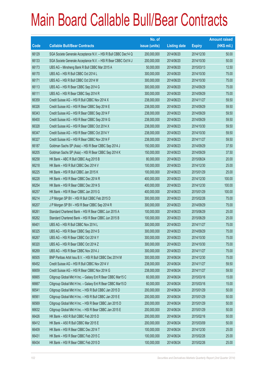|       |                                                                | No. of        |                     |               | <b>Amount raised</b> |
|-------|----------------------------------------------------------------|---------------|---------------------|---------------|----------------------|
| Code  | <b>Callable Bull/Bear Contracts</b>                            | issue (units) | <b>Listing date</b> | <b>Expiry</b> | (HK\$ mil.)          |
| 66129 | SGA Societe Generale Acceptance N.V. - HSI R Bull CBBC Dec14 Q | 200,000,000   | 2014/06/20          | 2014/12/30    | 50.00                |
| 66133 | SGA Societe Generale Acceptance N.V. - HSI R Bear CBBC Oct14 J | 200,000,000   | 2014/06/20          | 2014/10/30    | 50.00                |
| 66173 | UBS AG - Minsheng Bank R Bull CBBC Mar 2015 A                  | 50,000,000    | 2014/06/20          | 2015/03/13    | 12.50                |
| 66170 | UBS AG - HSI R Bull CBBC Oct 2014 L                            | 300,000,000   | 2014/06/20          | 2014/10/30    | 75.00                |
| 66171 | UBS AG - HSI R Bull CBBC Oct 2014 W                            | 300,000,000   | 2014/06/20          | 2014/10/30    | 75.00                |
| 66113 | UBS AG - HSI R Bear CBBC Sep 2014 G                            | 300,000,000   | 2014/06/20          | 2014/09/29    | 75.00                |
| 66111 | UBS AG - HSI R Bear CBBC Sep 2014 R                            | 300,000,000   | 2014/06/20          | 2014/09/29    | 75.00                |
| 66359 | Credit Suisse AG - HSI R Bull CBBC Nov 2014 X                  | 238,000,000   | 2014/06/23          | 2014/11/27    | 59.50                |
| 66326 | Credit Suisse AG - HSI R Bear CBBC Sep 2014 E                  | 238,000,000   | 2014/06/23          | 2014/09/29    | 59.50                |
| 66343 | Credit Suisse AG - HSI R Bear CBBC Sep 2014 F                  | 238,000,000   | 2014/06/23          | 2014/09/29    | 59.50                |
| 66400 | Credit Suisse AG - HSI R Bear CBBC Sep 2014 G                  | 238,000,000   | 2014/06/23          | 2014/09/29    | 59.50                |
| 66328 | Credit Suisse AG - HSI R Bear CBBC Oct 2014 X                  | 238,000,000   | 2014/06/23          | 2014/10/30    | 59.50                |
| 66347 | Credit Suisse AG - HSI R Bear CBBC Oct 2014 Y                  | 238,000,000   | 2014/06/23          | 2014/10/30    | 59.50                |
| 66327 | Credit Suisse AG - HSI R Bear CBBC Nov 2014 F                  | 238,000,000   | 2014/06/23          | 2014/11/27    | 59.50                |
| 66187 | Goldman Sachs SP (Asia) - HSI R Bear CBBC Sep 2014 J           | 150,000,000   | 2014/06/23          | 2014/09/29    | 37.50                |
| 66205 | Goldman Sachs SP (Asia) - HSI R Bear CBBC Sep 2014 K           | 150,000,000   | 2014/06/23          | 2014/09/29    | 37.50                |
| 66258 | HK Bank - ABC R Bull CBBC Aug 2015 B                           | 80,000,000    | 2014/06/23          | 2015/08/24    | 20.00                |
| 66218 | HK Bank - HSI R Bull CBBC Dec 2014 V                           | 100,000,000   | 2014/06/23          | 2014/12/30    | 25.00                |
| 66225 | HK Bank - HSI R Bull CBBC Jan 2015 K                           | 100,000,000   | 2014/06/23          | 2015/01/29    | 25.00                |
| 66228 | HK Bank - HSI R Bear CBBC Dec 2014 R                           | 400,000,000   | 2014/06/23          | 2014/12/30    | 100.00               |
| 66254 | HK Bank - HSI R Bear CBBC Dec 2014 S                           | 400,000,000   | 2014/06/23          | 2014/12/30    | 100.00               |
| 66257 | HK Bank - HSI R Bear CBBC Jan 2015 G                           | 400,000,000   | 2014/06/23          | 2015/01/29    | 100.00               |
| 66214 | J P Morgan SP BV - HSI R Bull CBBC Feb 2015 D                  | 300,000,000   | 2014/06/23          | 2015/02/26    | 75.00                |
| 66207 | J P Morgan SP BV - HSI R Bear CBBC Sep 2014 R                  | 300,000,000   | 2014/06/23          | 2014/09/29    | 75.00                |
| 66261 | Standard Chartered Bank - HSI R Bear CBBC Jun 2015 A           | 100,000,000   | 2014/06/23          | 2015/06/29    | 25.00                |
| 66262 | Standard Chartered Bank - HSI R Bear CBBC Jun 2015 B           | 100,000,000   | 2014/06/23          | 2015/06/29    | 25.00                |
| 66401 | UBS AG - HSI R Bull CBBC Nov 2014 L                            | 300,000,000   | 2014/06/23          | 2014/11/27    | 75.00                |
| 66325 | UBS AG - HSI R Bear CBBC Sep 2014 S                            | 300,000,000   | 2014/06/23          | 2014/09/29    | 75.00                |
| 66267 | UBS AG - HSI R Bear CBBC Oct 2014 Y                            | 300,000,000   | 2014/06/23          | 2014/10/30    | 75.00                |
| 66320 | UBS AG - HSI R Bear CBBC Oct 2014 Z                            | 300,000,000   | 2014/06/23          | 2014/10/30    | 75.00                |
| 66269 | UBS AG - HSI R Bear CBBC Nov 2014 J                            | 300,000,000   | 2014/06/23          | 2014/11/27    | 75.00                |
| 66505 | BNP Paribas Arbit Issu B.V. - HSI R Bull CBBC Dec 2014 M       | 300,000,000   | 2014/06/24          | 2014/12/30    | 75.00                |
| 66452 | Credit Suisse AG - HSI R Bull CBBC Nov 2014 V                  | 238,000,000   | 2014/06/24          | 2014/11/27    | 59.50                |
| 66659 | Credit Suisse AG - HSI R Bear CBBC Nov 2014 G                  | 238,000,000   | 2014/06/24          | 2014/11/27    | 59.50                |
| 66665 | Citigroup Global Mkt H Inc. - Galaxy Ent R Bear CBBC Mar15 C   | 60,000,000    | 2014/06/24          | 2015/03/16    | 15.00                |
| 66667 | Citigroup Global Mkt H Inc. - Galaxy Ent R Bear CBBC Mar15 D   | 60,000,000    | 2014/06/24          | 2015/03/16    | 15.00                |
| 66541 | Citigroup Global Mkt H Inc. - HSI R Bull CBBC Jan 2015 D       | 200,000,000   | 2014/06/24          | 2015/01/29    | 50.00                |
| 66561 | Citigroup Global Mkt H Inc. - HSI R Bull CBBC Jan 2015 E       | 200,000,000   | 2014/06/24          | 2015/01/29    | 50.00                |
| 66569 | Citigroup Global Mkt H Inc. - HSI R Bear CBBC Jan 2015 D       | 200,000,000   | 2014/06/24          | 2015/01/29    | 50.00                |
| 66632 | Citigroup Global Mkt H Inc. - HSI R Bear CBBC Jan 2015 E       | 200,000,000   | 2014/06/24          | 2015/01/29    | 50.00                |
| 66426 | HK Bank - A50 R Bull CBBC Feb 2015 D                           | 200,000,000   | 2014/06/24          | 2015/02/16    | 50.00                |
| 66412 | HK Bank - A50 R Bull CBBC Mar 2015 E                           | 200,000,000   | 2014/06/24          | 2015/03/09    | 50.00                |
| 66409 | HK Bank - HSI R Bear CBBC Dec 2014 T                           | 100,000,000   | 2014/06/24          | 2014/12/30    | 25.00                |
| 66431 | HK Bank - HSI R Bear CBBC Feb 2015 C                           | 100,000,000   | 2014/06/24          | 2015/02/26    | 25.00                |
| 66434 | HK Bank - HSI R Bear CBBC Feb 2015 D                           | 100,000,000   | 2014/06/24          | 2015/02/26    | 25.00                |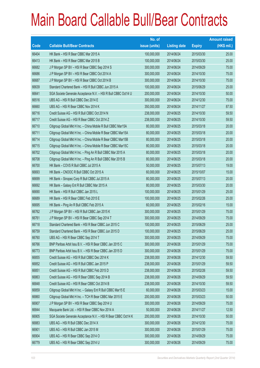|       |                                                                | No. of        |                     |               | <b>Amount raised</b> |
|-------|----------------------------------------------------------------|---------------|---------------------|---------------|----------------------|
| Code  | <b>Callable Bull/Bear Contracts</b>                            | issue (units) | <b>Listing date</b> | <b>Expiry</b> | (HK\$ mil.)          |
| 66404 | HK Bank - HSI R Bear CBBC Mar 2015 A                           | 100,000,000   | 2014/06/24          | 2015/03/30    | 25.00                |
| 66413 | HK Bank - HSI R Bear CBBC Mar 2015 B                           | 100,000,000   | 2014/06/24          | 2015/03/30    | 25.00                |
| 66682 | JP Morgan SP BV - HSI R Bear CBBC Sep 2014 S                   | 300,000,000   | 2014/06/24          | 2014/09/29    | 75.00                |
| 66686 | J P Morgan SP BV - HSI R Bear CBBC Oct 2014 A                  | 300,000,000   | 2014/06/24          | 2014/10/30    | 75.00                |
| 66687 | J P Morgan SP BV - HSI R Bear CBBC Oct 2014 B                  | 300,000,000   | 2014/06/24          | 2014/10/30    | 75.00                |
| 66639 | Standard Chartered Bank - HSI R Bull CBBC Jun 2015 A           | 100,000,000   | 2014/06/24          | 2015/06/29    | 25.00                |
| 66641 | SGA Societe Generale Acceptance N.V. - HSI R Bull CBBC Oct14 U | 200,000,000   | 2014/06/24          | 2014/10/30    | 50.00                |
| 66516 | UBS AG - HSI R Bull CBBC Dec 2014 E                            | 300,000,000   | 2014/06/24          | 2014/12/30    | 75.00                |
| 66660 | UBS AG - HSI R Bear CBBC Nov 2014 K                            | 350,000,000   | 2014/06/24          | 2014/11/27    | 87.50                |
| 66716 | Credit Suisse AG - HSI R Bull CBBC Oct 2014 N                  | 238,000,000   | 2014/06/25          | 2014/10/30    | 59.50                |
| 66717 | Credit Suisse AG - HSI R Bear CBBC Oct 2014 Z                  | 238,000,000   | 2014/06/25          | 2014/10/30    | 59.50                |
| 66710 | Citigroup Global Mkt H Inc. - China Mobile R Bull CBBC Mar15A  | 80,000,000    | 2014/06/25          | 2015/03/18    | 20.00                |
| 66711 | Citigroup Global Mkt H Inc. - China Mobile R Bear CBBC Mar15A  | 80,000,000    | 2014/06/25          | 2015/03/18    | 20.00                |
| 66714 | Citigroup Global Mkt H Inc. - China Mobile R Bear CBBC Mar15B  | 80,000,000    | 2014/06/25          | 2015/03/18    | 20.00                |
| 66715 | Citigroup Global Mkt H Inc. - China Mobile R Bear CBBC Mar15C  | 80,000,000    | 2014/06/25          | 2015/03/18    | 20.00                |
| 66702 | Citigroup Global Mkt H Inc. - Ping An R Bull CBBC Mar 2015 A   | 80,000,000    | 2014/06/25          | 2015/03/18    | 20.00                |
| 66708 | Citigroup Global Mkt H Inc. - Ping An R Bull CBBC Mar 2015 B   | 80,000,000    | 2014/06/25          | 2015/03/18    | 20.00                |
| 66700 | HK Bank - COVS R Bull CBBC Jul 2015 A                          | 50,000,000    | 2014/06/25          | 2015/07/13    | 19.00                |
| 66693 | HK Bank - CNOOC R Bull CBBC Oct 2015 A                         | 60,000,000    | 2014/06/25          | 2015/10/07    | 15.00                |
| 66699 | HK Bank - Sinopec Corp R Bull CBBC Jul 2015 A                  | 80,000,000    | 2014/06/25          | 2015/07/13    | 20.00                |
| 66692 | HK Bank - Galaxy Ent R Bull CBBC Mar 2015 A                    | 80,000,000    | 2014/06/25          | 2015/03/30    | 20.00                |
| 66690 | HK Bank - HSI R Bull CBBC Jan 2015 L                           | 100,000,000   | 2014/06/25          | 2015/01/29    | 25.00                |
| 66689 | HK Bank - HSI R Bear CBBC Feb 2015 E                           | 100,000,000   | 2014/06/25          | 2015/02/26    | 25.00                |
| 66695 | HK Bank - Ping An R Bull CBBC Feb 2015 A                       | 60,000,000    | 2014/06/25          | 2015/02/16    | 15.00                |
| 66762 | J P Morgan SP BV - HSI R Bull CBBC Jan 2015 K                  | 300,000,000   | 2014/06/25          | 2015/01/29    | 75.00                |
| 66761 | J P Morgan SP BV - HSI R Bear CBBC Sep 2014 T                  | 300,000,000   | 2014/06/25          | 2014/09/29    | 75.00                |
| 66718 | Standard Chartered Bank - HSI R Bear CBBC Jun 2015 C           | 100,000,000   | 2014/06/25          | 2015/06/29    | 25.00                |
| 66759 | Standard Chartered Bank - HSI R Bear CBBC Jun 2015 D           | 100,000,000   | 2014/06/25          | 2015/06/29    | 25.00                |
| 66760 | UBS AG - HSI R Bear CBBC Sep 2014 T                            | 300,000,000   | 2014/06/25          | 2014/09/29    | 75.00                |
| 66766 | BNP Paribas Arbit Issu B.V. - HSI R Bear CBBC Jan 2015 C       | 300,000,000   | 2014/06/26          | 2015/01/29    | 75.00                |
| 66773 | BNP Paribas Arbit Issu B.V. - HSI R Bear CBBC Jan 2015 D       | 300,000,000   | 2014/06/26          | 2015/01/29    | 75.00                |
| 66855 | Credit Suisse AG - HSI R Bull CBBC Dec 2014 K                  | 238,000,000   | 2014/06/26          | 2014/12/30    | 59.50                |
| 66852 | Credit Suisse AG - HSI R Bull CBBC Jan 2015 P                  | 238,000,000   | 2014/06/26          | 2015/01/29    | 59.50                |
| 66851 | Credit Suisse AG - HSI R Bull CBBC Feb 2015 D                  | 238,000,000   | 2014/06/26          | 2015/02/26    | 59.50                |
| 66863 | Credit Suisse AG - HSI R Bear CBBC Sep 2014 B                  | 238,000,000   | 2014/06/26          | 2014/09/29    | 59.50                |
| 66848 | Credit Suisse AG - HSI R Bear CBBC Oct 2014 B                  | 238,000,000   | 2014/06/26          | 2014/10/30    | 59.50                |
| 66859 | Citigroup Global Mkt H Inc. - Galaxy Ent R Bull CBBC Mar15 E   | 60,000,000    | 2014/06/26          | 2015/03/23    | 15.00                |
| 66860 | Citigroup Global Mkt H Inc. - TCH R Bear CBBC Mar 2015 E       | 200,000,000   | 2014/06/26          | 2015/03/23    | 50.00                |
| 66907 | J P Morgan SP BV - HSI R Bear CBBC Sep 2014 U                  | 300,000,000   | 2014/06/26          | 2014/09/29    | 75.00                |
| 66844 | Macquarie Bank Ltd. - HSI R Bear CBBC Nov 2014 A               | 50,000,000    | 2014/06/26          | 2014/11/27    | 12.50                |
| 66905 | SGA Societe Generale Acceptance N.V. - HSI R Bear CBBC Oct14 K | 200,000,000   | 2014/06/26          | 2014/10/30    | 50.00                |
| 66883 | UBS AG - HSI R Bull CBBC Dec 2014 X                            | 300,000,000   | 2014/06/26          | 2014/12/30    | 75.00                |
| 66901 | UBS AG - HSI R Bull CBBC Jan 2015 M                            | 300,000,000   | 2014/06/26          | 2015/01/29    | 75.00                |
| 66904 | UBS AG - HSI R Bear CBBC Sep 2014 O                            | 300,000,000   | 2014/06/26          | 2014/09/29    | 75.00                |
| 66779 | UBS AG - HSI R Bear CBBC Sep 2014 U                            | 300,000,000   | 2014/06/26          | 2014/09/29    | 75.00                |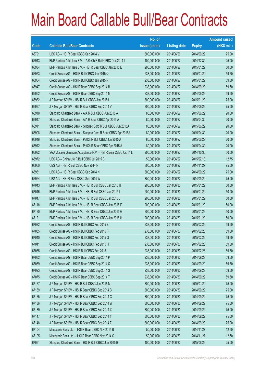|       |                                                                | No. of        |                     |               | <b>Amount raised</b> |
|-------|----------------------------------------------------------------|---------------|---------------------|---------------|----------------------|
| Code  | <b>Callable Bull/Bear Contracts</b>                            | issue (units) | <b>Listing date</b> | <b>Expiry</b> | (HK\$ mil.)          |
| 66791 | UBS AG - HSI R Bear CBBC Sep 2014 V                            | 300,000,000   | 2014/06/26          | 2014/09/29    | 75.00                |
| 66943 | BNP Paribas Arbit Issu B.V. - A50 Ch R Bull CBBC Dec 2014 I    | 100,000,000   | 2014/06/27          | 2014/12/30    | 25.00                |
| 66934 | BNP Paribas Arbit Issu B.V. - HSI R Bear CBBC Jan 2015 E       | 200,000,000   | 2014/06/27          | 2015/01/29    | 50.00                |
| 66953 | Credit Suisse AG - HSI R Bull CBBC Jan 2015 Q                  | 238,000,000   | 2014/06/27          | 2015/01/29    | 59.50                |
| 66954 | Credit Suisse AG - HSI R Bull CBBC Jan 2015 R                  | 238,000,000   | 2014/06/27          | 2015/01/29    | 59.50                |
| 66947 | Credit Suisse AG - HSI R Bear CBBC Sep 2014 H                  | 238,000,000   | 2014/06/27          | 2014/09/29    | 59.50                |
| 66952 | Credit Suisse AG - HSI R Bear CBBC Sep 2014 M                  | 238,000,000   | 2014/06/27          | 2014/09/29    | 59.50                |
| 66982 | J P Morgan SP BV - HSI R Bull CBBC Jan 2015 L                  | 300,000,000   | 2014/06/27          | 2015/01/29    | 75.00                |
| 66997 | J P Morgan SP BV - HSI R Bear CBBC Sep 2014 V                  | 300,000,000   | 2014/06/27          | 2014/09/29    | 75.00                |
| 66918 | Standard Chartered Bank - AIA R Bull CBBC Jun 2015 A           | 80,000,000    | 2014/06/27          | 2015/06/29    | 20.00                |
| 66917 | Standard Chartered Bank - AIA R Bear CBBC Apr 2015 A           | 80,000,000    | 2014/06/27          | 2015/04/30    | 20.00                |
| 66911 | Standard Chartered Bank - Sinopec Corp R Bull CBBC Jun 2015A   | 80,000,000    | 2014/06/27          | 2015/06/29    | 20.00                |
| 66908 | Standard Chartered Bank - Sinopec Corp R Bear CBBC Apr 2015A   | 80,000,000    | 2014/06/27          | 2015/04/30    | 20.00                |
| 66916 | Standard Chartered Bank - PetCh R Bull CBBC Jun 2015 A         | 80,000,000    | 2014/06/27          | 2015/06/29    | 20.00                |
| 66912 | Standard Chartered Bank - PetCh R Bear CBBC Apr 2015 A         | 80,000,000    | 2014/06/27          | 2015/04/30    | 20.00                |
| 66932 | SGA Societe Generale Acceptance N.V. - HSI R Bear CBBC Oct14 L | 200,000,000   | 2014/06/27          | 2014/10/30    | 50.00                |
| 66972 | UBS AG - China Life R Bull CBBC Jul 2015 B                     | 50,000,000    | 2014/06/27          | 2015/07/13    | 12.75                |
| 66960 | UBS AG - HSI R Bull CBBC Nov 2014 N                            | 300,000,000   | 2014/06/27          | 2014/11/27    | 75.00                |
| 66931 | UBS AG - HSI R Bear CBBC Sep 2014 N                            | 300,000,000   | 2014/06/27          | 2014/09/29    | 75.00                |
| 66924 | UBS AG - HSI R Bear CBBC Sep 2014 W                            | 300,000,000   | 2014/06/27          | 2014/09/29    | 75.00                |
| 67043 | BNP Paribas Arbit Issu B.V. - HSI R Bull CBBC Jan 2015 H       | 200,000,000   | 2014/06/30          | 2015/01/29    | 50.00                |
| 67046 | BNP Paribas Arbit Issu B.V. - HSI R Bull CBBC Jan 2015 I       | 200,000,000   | 2014/06/30          | 2015/01/29    | 50.00                |
| 67047 | BNP Paribas Arbit Issu B.V. - HSI R Bull CBBC Jan 2015 J       | 200,000,000   | 2014/06/30          | 2015/01/29    | 50.00                |
| 67118 | BNP Paribas Arbit Issu B.V. - HSI R Bear CBBC Jan 2015 F       | 200,000,000   | 2014/06/30          | 2015/01/29    | 50.00                |
| 67120 | BNP Paribas Arbit Issu B.V. - HSI R Bear CBBC Jan 2015 G       | 200,000,000   | 2014/06/30          | 2015/01/29    | 50.00                |
| 67121 | BNP Paribas Arbit Issu B.V. - HSI R Bear CBBC Jan 2015 H       | 200,000,000   | 2014/06/30          | 2015/01/29    | 50.00                |
| 67032 | Credit Suisse AG - HSI R Bull CBBC Feb 2015 E                  | 238,000,000   | 2014/06/30          | 2015/02/26    | 59.50                |
| 67035 | Credit Suisse AG - HSI R Bull CBBC Feb 2015 F                  | 238,000,000   | 2014/06/30          | 2015/02/26    | 59.50                |
| 67040 | Credit Suisse AG - HSI R Bull CBBC Feb 2015 G                  | 238,000,000   | 2014/06/30          | 2015/02/26    | 59.50                |
| 67041 | Credit Suisse AG - HSI R Bull CBBC Feb 2015 H                  | 238,000,000   | 2014/06/30          | 2015/02/26    | 59.50                |
| 67065 | Credit Suisse AG - HSI R Bull CBBC Feb 2015 I                  | 238,000,000   | 2014/06/30          | 2015/02/26    | 59.50                |
| 67082 | Credit Suisse AG - HSI R Bear CBBC Sep 2014 P                  | 238,000,000   | 2014/06/30          | 2014/09/29    | 59.50                |
| 67069 | Credit Suisse AG - HSI R Bear CBBC Sep 2014 Q                  | 238,000,000   | 2014/06/30          | 2014/09/29    | 59.50                |
| 67023 | Credit Suisse AG - HSI R Bear CBBC Sep 2014 S                  | 238,000,000   | 2014/06/30          | 2014/09/29    | 59.50                |
| 67075 | Credit Suisse AG - HSI R Bear CBBC Sep 2014 T                  | 238,000,000   | 2014/06/30          | 2014/09/29    | 59.50                |
| 67167 | J P Morgan SP BV - HSI R Bull CBBC Jan 2015 M                  | 300,000,000   | 2014/06/30          | 2015/01/29    | 75.00                |
| 67169 | J P Morgan SP BV - HSI R Bear CBBC Sep 2014 B                  | 300,000,000   | 2014/06/30          | 2014/09/29    | 75.00                |
| 67165 | J P Morgan SP BV - HSI R Bear CBBC Sep 2014 C                  | 300,000,000   | 2014/06/30          | 2014/09/29    | 75.00                |
| 67136 | J P Morgan SP BV - HSI R Bear CBBC Sep 2014 W                  | 300,000,000   | 2014/06/30          | 2014/09/29    | 75.00                |
| 67139 | J P Morgan SP BV - HSI R Bear CBBC Sep 2014 X                  | 300,000,000   | 2014/06/30          | 2014/09/29    | 75.00                |
| 67147 | J P Morgan SP BV - HSI R Bear CBBC Sep 2014 Y                  | 300,000,000   | 2014/06/30          | 2014/09/29    | 75.00                |
| 67148 | J P Morgan SP BV - HSI R Bear CBBC Sep 2014 Z                  | 300,000,000   | 2014/06/30          | 2014/09/29    | 75.00                |
| 67104 | Macquarie Bank Ltd. - HSI R Bear CBBC Nov 2014 B               | 50,000,000    | 2014/06/30          | 2014/11/27    | 12.50                |
| 67105 | Macquarie Bank Ltd. - HSI R Bear CBBC Nov 2014 C               | 50,000,000    | 2014/06/30          | 2014/11/27    | 12.50                |
| 67051 | Standard Chartered Bank - HSI R Bull CBBC Jun 2015 B           | 100,000,000   | 2014/06/30          | 2015/06/29    | 25.00                |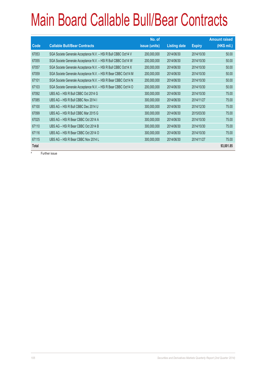|       |                                                                | No. of        |                     |               | <b>Amount raised</b> |
|-------|----------------------------------------------------------------|---------------|---------------------|---------------|----------------------|
| Code  | <b>Callable Bull/Bear Contracts</b>                            | issue (units) | <b>Listing date</b> | <b>Expiry</b> | (HK\$ mil.)          |
| 67053 | SGA Societe Generale Acceptance N.V. - HSI R Bull CBBC Oct14 V | 200,000,000   | 2014/06/30          | 2014/10/30    | 50.00                |
| 67055 | SGA Societe Generale Acceptance N.V. - HSI R Bull CBBC Oct14 W | 200,000,000   | 2014/06/30          | 2014/10/30    | 50.00                |
| 67057 | SGA Societe Generale Acceptance N.V. - HSI R Bull CBBC Oct14 X | 200,000,000   | 2014/06/30          | 2014/10/30    | 50.00                |
| 67059 | SGA Societe Generale Acceptance N.V. - HSI R Bear CBBC Oct14 M | 200,000,000   | 2014/06/30          | 2014/10/30    | 50.00                |
| 67101 | SGA Societe Generale Acceptance N.V. - HSI R Bear CBBC Oct14 N | 200,000,000   | 2014/06/30          | 2014/10/30    | 50.00                |
| 67103 | SGA Societe Generale Acceptance N.V. - HSI R Bear CBBC Oct14 O | 200,000,000   | 2014/06/30          | 2014/10/30    | 50.00                |
| 67092 | UBS AG - HSI R Bull CBBC Oct 2014 G                            | 300,000,000   | 2014/06/30          | 2014/10/30    | 75.00                |
| 67085 | UBS AG - HSI R Bull CBBC Nov 2014 I                            | 300,000,000   | 2014/06/30          | 2014/11/27    | 75.00                |
| 67100 | UBS AG - HSI R Bull CBBC Dec 2014 U                            | 300,000,000   | 2014/06/30          | 2014/12/30    | 75.00                |
| 67099 | UBS AG - HSI R Bull CBBC Mar 2015 G                            | 300,000,000   | 2014/06/30          | 2015/03/30    | 75.00                |
| 67025 | UBS AG - HSI R Bear CBBC Oct 2014 A                            | 300,000,000   | 2014/06/30          | 2014/10/30    | 75.00                |
| 67110 | UBS AG - HSI R Bear CBBC Oct 2014 B                            | 300,000,000   | 2014/06/30          | 2014/10/30    | 75.00                |
| 67116 | UBS AG - HSI R Bear CBBC Oct 2014 O                            | 300,000,000   | 2014/06/30          | 2014/10/30    | 75.00                |
| 67115 | UBS AG - HSI R Bear CBBC Nov 2014 L                            | 300,000,000   | 2014/06/30          | 2014/11/27    | 75.00                |
| Total |                                                                |               |                     |               | 93,001.85            |

# Further issue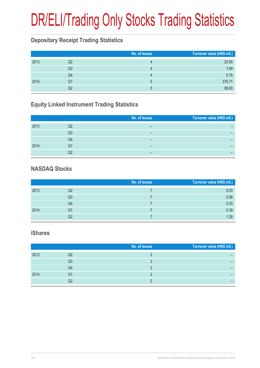# DR/ELI/Trading Only Stocks Trading Statistics

#### **Depositary Receipt Trading Statistics**

|      |                | No. of issues | Turnover value (HK\$ mil.) |
|------|----------------|---------------|----------------------------|
| 2013 | Q2             |               | 20.85                      |
|      | Q <sub>3</sub> |               | 7.69                       |
|      | Q4             |               | 5.78                       |
| 2014 | Q1             | ხ             | 276.71                     |
|      | Q2             | h.            | 68.00                      |

#### **Equity Linked Instrument Trading Statistics**

|      |    | No. of issues | Turnover value (HK\$ mil.) |
|------|----|---------------|----------------------------|
|      |    |               |                            |
| 2013 | Q2 |               |                            |
|      | Q3 | -             |                            |
|      | Q4 |               |                            |
| 2014 | Q1 | -             |                            |
|      | Q2 |               |                            |

#### **NASDAQ Stocks**

|      |                | No. of issues | Turnover value (HK\$ mil.) |
|------|----------------|---------------|----------------------------|
| 2013 | Q2             |               | 0.03                       |
|      | Q <sub>3</sub> |               | 0.08                       |
|      | Q4             |               | 0.03                       |
| 2014 | Q1             |               | 0.39                       |
|      | Q2             |               | 1.28                       |

#### **iShares**

|      |    | No. of issues | Turnover value (HK\$ mil.) |
|------|----|---------------|----------------------------|
| 2013 | Q2 |               |                            |
|      | Q3 |               |                            |
|      | Q4 |               |                            |
| 2014 | Q1 |               |                            |
|      | Q2 |               |                            |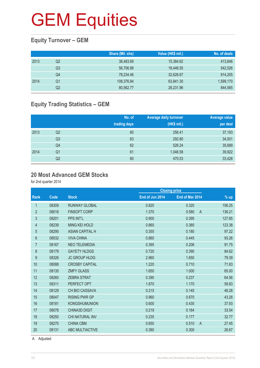## **GEM Equities**

#### **Equity Turnover – GEM**

|      |    | Share (Mil. shs) | Value (HK\$ mil.) | No. of deals |
|------|----|------------------|-------------------|--------------|
| 2013 | Q2 | 38,483.69        | 15,384.62         | 413,646      |
|      | Q3 | 56,706.88        | 18.446.55         | 542,526      |
|      | Q4 | 78,234.46        | 32,626.67         | 914,205      |
| 2014 | Q1 | 108,376.84       | 63,841.30         | 1,599,170    |
|      | Q2 | 80,562.77        | 28,231.96         | 844,565      |

#### **Equity Trading Statistics – GEM**

|      |                | No. of<br>trading days | <b>Average daily turnover</b><br>(HK\$ mil.) | <b>Average value</b><br>per deal |
|------|----------------|------------------------|----------------------------------------------|----------------------------------|
| 2013 | Q2             | 60                     | 256.41                                       | 37,193                           |
|      | Q <sub>3</sub> | 63                     | 292.80                                       | 34,001                           |
|      | Q4             | 62                     | 526.24                                       | 35,689                           |
| 2014 | Q <sub>1</sub> | 61                     | 1,046.58                                     | 39,922                           |
|      | Q2             | 60                     | 470.53                                       | 33,428                           |

#### **20 Most Advanced GEM Stocks**

for 2nd quarter 2014

|                  |       |                        | <b>Closing price</b> |                         |        |
|------------------|-------|------------------------|----------------------|-------------------------|--------|
| Rank             | Code  | <b>Stock</b>           | End of Jun 2014      | End of Mar 2014         | $%$ up |
| $\mathbf{1}$     | 08309 | <b>RUNWAY GLOBAL</b>   | 0.820                | 0.320                   | 156.25 |
| $\overline{2}$   | 08018 | <b>FINSOFT CORP</b>    | 1.370                | 0.580<br>$\overline{A}$ | 136.21 |
| 3                | 08201 | <b>PPS INT'L</b>       | 0.900                | 0.395                   | 127.85 |
| 4                | 08239 | <b>MING KEI HOLD</b>   | 0.860                | 0.385                   | 123.38 |
| 5                | 08295 | <b>ASIAN CAPITAL H</b> | 0.355                | 0.180                   | 97.22  |
| 6                | 08032 | <b>VIVA CHINA</b>      | 0.860                | 0.445                   | 93.26  |
| $\overline{7}$   | 08167 | <b>NEO TELEMEDIA</b>   | 0.395                | 0.206                   | 91.75  |
| 8                | 08179 | <b>GAYETY HLDGS</b>    | 0.720                | 0.390                   | 84.62  |
| $\boldsymbol{9}$ | 08326 | <b>JC GROUP HLDG</b>   | 2.960                | 1.650                   | 79.39  |
| 10               | 08088 | <b>CROSBY CAPITAL</b>  | 1.220                | 0.710                   | 71.83  |
| 11               | 08135 | <b>ZMFY GLASS</b>      | 1.650                | 1.000                   | 65.00  |
| 12               | 08260 | <b>ZEBRA STRAT</b>     | 0.390                | 0.237                   | 64.56  |
| 13               | 08311 | PERFECT OPT            | 1.870                | 1.170                   | 59.83  |
| 14               | 08129 | <b>CH BIO CASSAVA</b>  | 0.215                | 0.145                   | 48.28  |
| 15               | 08047 | <b>RISING PWR GP</b>   | 0.960                | 0.670                   | 43.28  |
| 16               | 08181 | <b>KONGSHUMUNION</b>   | 0.600                | 0.435                   | 37.93  |
| 17               | 08078 | <b>CHINA3D DIGIT</b>   | 0.219                | 0.164                   | 33.54  |
| 18               | 08250 | CHI NATURAL INV        | 0.235                | 0.177                   | 32.77  |
| 19               | 08270 | <b>CHINA CBM</b>       | 0.650                | 0.510<br>$\overline{A}$ | 27.45  |
| 20               | 08131 | <b>ABC MULTIACTIVE</b> | 0.380                | 0.300                   | 26.67  |
|                  |       |                        |                      |                         |        |

A Adjusted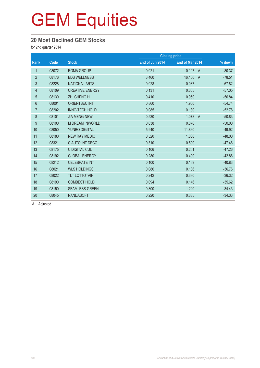#### **20 Most Declined GEM Stocks**

for 2nd quarter 2014

|                |       |                        |                 | <b>Closing price</b> |                            |
|----------------|-------|------------------------|-----------------|----------------------|----------------------------|
| Rank           | Code  | <b>Stock</b>           | End of Jun 2014 | End of Mar 2014      | % down                     |
| $\mathbf{1}$   | 08072 | <b>ROMA GROUP</b>      | 0.021           | 0.107                | A<br>$-80.37$              |
| $\overline{2}$ | 08176 | <b>EDS WELLNESS</b>    | 3.460           | 16.100               | $-78.51$<br>$\overline{A}$ |
| 3              | 08228 | <b>NATIONAL ARTS</b>   | 0.028           | 0.087                | $-67.82$                   |
| 4              | 08109 | <b>CREATIVE ENERGY</b> | 0.131           | 0.305                | $-57.05$                   |
| $\overline{5}$ | 08130 | <b>ZHI CHENG H</b>     | 0.410           | 0.950                | $-56.84$                   |
| 6              | 08001 | <b>ORIENTSEC INT</b>   | 0.860           | 1.900                | $-54.74$                   |
| $\overline{7}$ | 08202 | <b>INNO-TECH HOLD</b>  | 0.085           | 0.180                | $-52.78$                   |
| $\bf 8$        | 08101 | <b>JIA MENG-NEW</b>    | 0.530           | 1.078                | $-50.83$<br>$\overline{A}$ |
| 9              | 08100 | <b>M DREAM INWORLD</b> | 0.038           | 0.076                | $-50.00$                   |
| 10             | 08050 | YUNBO DIGITAL          | 5.940           | 11.860               | $-49.92$                   |
| 11             | 08180 | <b>NEW RAY MEDIC</b>   | 0.520           | 1.000                | $-48.00$                   |
| 12             | 08321 | C AUTO INT DECO        | 0.310           | 0.590                | $-47.46$                   |
| 13             | 08175 | <b>C DIGITAL CUL</b>   | 0.106           | 0.201                | $-47.26$                   |
| 14             | 08192 | <b>GLOBAL ENERGY</b>   | 0.280           | 0.490                | $-42.86$                   |
| 15             | 08212 | <b>CELEBRATE INT</b>   | 0.100           | 0.169                | $-40.83$                   |
| 16             | 08021 | <b>WLS HOLDINGS</b>    | 0.086           | 0.136                | $-36.76$                   |
| 17             | 08022 | <b>TLT LOTTOTAIN</b>   | 0.242           | 0.380                | $-36.32$                   |
| 18             | 08190 | <b>COMBEST HOLD</b>    | 0.094           | 0.146                | $-35.62$                   |
| 19             | 08150 | <b>SEAMLESS GREEN</b>  | 0.800           | 1.220                | $-34.43$                   |
| 20             | 08045 | <b>NANDASOFT</b>       | 0.220           | 0.335                | $-34.33$                   |

A Adjusted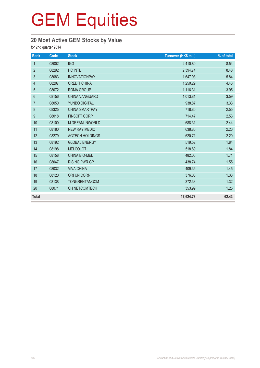### **20 Most Active GEM Stocks by Value**

for 2nd quarter 2014

| Rank             | Code  | <b>Stock</b>           | Turnover (HK\$ mil.) | $%$ of total |
|------------------|-------|------------------------|----------------------|--------------|
| $\mathbf{1}$     | 08002 | <b>IGG</b>             | 2,410.80             | 8.54         |
| $\overline{2}$   | 08292 | <b>HC INTL</b>         | 2,394.74             | 8.48         |
| 3                | 08083 | <b>INNOVATIONPAY</b>   | 1,647.93             | 5.84         |
| $\overline{4}$   | 08207 | <b>CREDIT CHINA</b>    | 1,250.29             | 4.43         |
| 5                | 08072 | <b>ROMA GROUP</b>      | 1,116.31             | 3.95         |
| $6\,$            | 08156 | <b>CHINA VANGUARD</b>  | 1,013.81             | 3.59         |
| $\overline{7}$   | 08050 | YUNBO DIGITAL          | 938.87               | 3.33         |
| 8                | 08325 | <b>CHINA SMARTPAY</b>  | 718.80               | 2.55         |
| $\boldsymbol{9}$ | 08018 | <b>FINSOFT CORP</b>    | 714.47               | 2.53         |
| 10               | 08100 | <b>M DREAM INWORLD</b> | 688.31               | 2.44         |
| 11               | 08180 | <b>NEW RAY MEDIC</b>   | 638.85               | 2.26         |
| 12               | 08279 | <b>AGTECH HOLDINGS</b> | 620.71               | 2.20         |
| 13               | 08192 | <b>GLOBAL ENERGY</b>   | 519.52               | 1.84         |
| 14               | 08198 | <b>MELCOLOT</b>        | 518.89               | 1.84         |
| 15               | 08158 | <b>CHINA BIO-MED</b>   | 482.06               | 1.71         |
| 16               | 08047 | <b>RISING PWR GP</b>   | 438.74               | 1.55         |
| 17               | 08032 | <b>VIVA CHINA</b>      | 409.35               | 1.45         |
| 18               | 08120 | <b>ORI UNICORN</b>     | 376.00               | 1.33         |
| 19               | 08138 | <b>TONGRENTANGCM</b>   | 372.33               | 1.32         |
| 20               | 08071 | CH NETCOMTECH          | 353.99               | 1.25         |
| <b>Total</b>     |       |                        | 17,624.78            | 62.43        |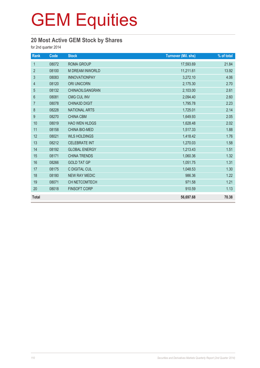### **20 Most Active GEM Stock by Shares**

for 2nd quarter 2014

| Rank           | Code  | <b>Stock</b>           | <b>Turnover (Mil. shs)</b> | % of total |
|----------------|-------|------------------------|----------------------------|------------|
| $\mathbf{1}$   | 08072 | ROMA GROUP             | 17,593.69                  | 21.84      |
| $\overline{2}$ | 08100 | <b>M DREAM INWORLD</b> | 11,211.61                  | 13.92      |
| 3              | 08083 | <b>INNOVATIONPAY</b>   | 3,272.10                   | 4.06       |
| $\overline{4}$ | 08120 | <b>ORI UNICORN</b>     | 2,175.30                   | 2.70       |
| 5              | 08132 | CHINAOILGANGRAN        | 2,103.00                   | 2.61       |
| $6\,$          | 08081 | <b>CMG CUL INV</b>     | 2,094.40                   | 2.60       |
| $\overline{7}$ | 08078 | <b>CHINA3D DIGIT</b>   | 1,795.78                   | 2.23       |
| $\bf 8$        | 08228 | <b>NATIONAL ARTS</b>   | 1,725.01                   | 2.14       |
| 9              | 08270 | <b>CHINA CBM</b>       | 1,649.93                   | 2.05       |
| 10             | 08019 | <b>HAO WEN HLDGS</b>   | 1,628.48                   | 2.02       |
| 11             | 08158 | CHINA BIO-MED          | 1,517.33                   | 1.88       |
| 12             | 08021 | <b>WLS HOLDINGS</b>    | 1,418.42                   | 1.76       |
| 13             | 08212 | <b>CELEBRATE INT</b>   | 1,270.03                   | 1.58       |
| 14             | 08192 | <b>GLOBAL ENERGY</b>   | 1,213.43                   | 1.51       |
| 15             | 08171 | <b>CHINA TRENDS</b>    | 1,060.36                   | 1.32       |
| 16             | 08266 | <b>GOLD TAT GP</b>     | 1,051.75                   | 1.31       |
| 17             | 08175 | C DIGITAL CUL          | 1,048.53                   | 1.30       |
| 18             | 08180 | <b>NEW RAY MEDIC</b>   | 986.36                     | 1.22       |
| 19             | 08071 | CH NETCOMTECH          | 971.58                     | 1.21       |
| 20             | 08018 | <b>FINSOFT CORP</b>    | 910.59                     | 1.13       |
| <b>Total</b>   |       |                        | 56,697.68                  | 70.38      |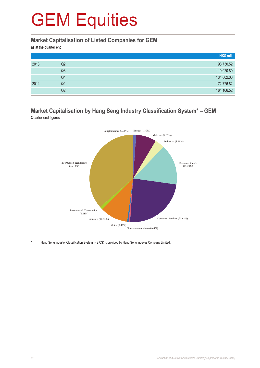#### **Market Capitalisation of Listed Companies for GEM**

as at the quarter end

|      |                | HK\$ mil.  |
|------|----------------|------------|
| 2013 | Q2             | 98,730.52  |
|      | Q <sub>3</sub> | 119,020.80 |
|      | Q4             | 134,002.06 |
| 2014 | Q1             | 172,776.82 |
|      | Q2             | 164,166.52 |

#### **Market Capitalisation by Hang Seng Industry Classification System\* – GEM** Quarter-end figures



Hang Seng Industry Classification System (HSICS) is provided by Hang Seng Indexes Company Limited.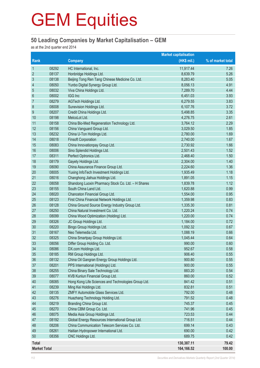#### **50 Leading Companies by Market Capitalisation – GEM**

as at the 2nd quarter end 2014

|                     |       |                                                     | <b>Market capitalisation</b> |                   |
|---------------------|-------|-----------------------------------------------------|------------------------------|-------------------|
| Rank                |       | <b>Company</b>                                      | (HK\$ mil.)                  | % of market total |
| $\mathbf{1}$        | 08292 | HC International, Inc.                              | 11,917.44                    | 7.26              |
| $\overline{2}$      | 08137 | Honbridge Holdings Ltd.                             | 8,639.79                     | 5.26              |
| $\mathfrak{Z}$      | 08138 | Beijing Tong Ren Tang Chinese Medicine Co. Ltd.     | 8,283.40                     | 5.05              |
| $\overline{4}$      | 08050 | Yunbo Digital Synergy Group Ltd.                    | 8,056.13                     | 4.91              |
| 5                   | 08032 | Viva China Holdings Ltd.                            | 7,289.70                     | 4.44              |
| $6\phantom{1}6$     | 08002 | IGG Inc                                             | 6,451.03                     | 3.93              |
| 7                   | 08279 | AGTech Holdings Ltd.                                | 6,279.55                     | 3.83              |
| $\bf 8$             | 08008 | Sunevision Holdings Ltd.                            | 6,107.76                     | 3.72              |
| 9                   | 08207 | Credit China Holdings Ltd.                          | 5,498.85                     | 3.35              |
| 10                  | 08198 | MelcoLot Ltd.                                       | 4,276.75                     | 2.61              |
| 11                  | 08158 | China Bio-Med Regeneration Technology Ltd.          | 3,764.12                     | 2.29              |
| 12                  | 08156 | China Vanguard Group Ltd.                           | 3,029.50                     | 1.85              |
| 13                  | 08232 | China U-Ton Holdings Ltd.                           | 2,780.00                     | 1.69              |
| 14                  | 08018 | <b>Finsoft Corporation</b>                          | 2,740.00                     | 1.67              |
| 15                  | 08083 | China Innovationpay Group Ltd.                      | 2,730.92                     | 1.66              |
| 16                  | 08006 | Sino Splendid Holdings Ltd.                         | 2,501.43                     | 1.52              |
| 17                  | 08311 | Perfect Optronics Ltd.                              | 2,468.40                     | 1.50              |
| 18                  | 08179 | Gayety Holdings Ltd.                                | 2,304.00                     | 1.40              |
| 19                  | 08090 | China Assurance Finance Group Ltd.                  | 2,224.60                     | 1.36              |
| 20                  | 08005 | Yuxing InfoTech Investment Holdings Ltd.            | 1,935.49                     | 1.18              |
| 21                  | 08016 | Changhong Jiahua Holdings Ltd.                      | 1,891.05                     | 1.15              |
| 22                  | 08058 | Shandong Luoxin Pharmacy Stock Co. Ltd. - H Shares  | 1,839.78                     | 1.12              |
| 23                  | 08155 | South China Land Ltd.                               | 1,620.88                     | 0.99              |
| 24                  | 08020 | Chanceton Financial Group Ltd.                      | 1,554.00                     | 0.95              |
| 25                  | 08123 | First China Financial Network Holdings Ltd.         | 1,359.98                     | 0.83              |
| 26                  | 08128 | China Ground Source Energy Industry Group Ltd.      | 1,335.30                     | 0.81              |
| 27                  | 08250 | China Natural Investment Co. Ltd.                   | 1,220.24                     | 0.74              |
| 28                  | 08099 | China Wood Optimization (Holding) Ltd.              | 1,220.00                     | 0.74              |
| 29                  | 08326 | JC Group Holdings Ltd.                              | 1,184.00                     | 0.72              |
| 30                  | 08220 | Bingo Group Holdings Ltd.                           | 1,092.32                     | 0.67              |
| 31                  | 08167 | Neo Telemedia Ltd.                                  | 1,088.19                     | 0.66              |
| 32                  | 08325 | China Smartpay Group Holdings Ltd.                  | 1,045.44                     | 0.64              |
| 33                  | 08056 | Differ Group Holding Co. Ltd.                       | 990.00                       | 0.60              |
| 34                  | 08086 | DX.com Holdings Ltd.                                | 952.67                       | 0.58              |
| 35                  | 08185 | RM Group Holdings Ltd.                              | 906.40                       | 0.55              |
| 36                  | 08132 | China Oil Gangran Energy Group Holdings Ltd.        | 900.80                       | 0.55              |
| 37                  | 08201 | PPS International (Holdings) Ltd.                   | 900.00                       | 0.55              |
| 38                  | 08255 | China Binary Sale Technology Ltd.                   | 883.20                       | 0.54              |
| 39                  | 08077 | KVB Kunlun Financial Group Ltd.                     | 860.00                       | 0.52              |
| 40                  | 08085 | Hong Kong Life Sciences and Technologies Group Ltd. | 841.42                       | 0.51              |
| 41                  | 08239 | Ming Kei Holdings Ltd.                              | 832.81                       | 0.51              |
| 42                  | 08135 | ZMFY Automobile Glass Services Ltd.                 | 792.00                       | 0.48              |
| 43                  | 08276 | Huazhang Technology Holding Ltd.                    | 791.52                       | 0.48              |
| 44                  | 08219 | Branding China Group Ltd.                           | 745.37                       | 0.45              |
| 45                  | 08270 | China CBM Group Co. Ltd.                            | 741.96                       | 0.45              |
| 46                  | 08075 | Media Asia Group Holdings Ltd.                      | 723.53                       | 0.44              |
| 47                  | 08192 | Global Energy Resources International Group Ltd.    | 716.51                       | 0.44              |
| 48                  | 08206 | China Communication Telecom Services Co. Ltd.       | 699.14                       | 0.43              |
| 49                  | 08261 | Haitian Hydropower International Ltd.               | 690.00                       | 0.42              |
| 50                  | 08356 | CNC Holdings Ltd.                                   | 689.75                       | 0.42              |
| <b>Total</b>        |       |                                                     | 130,387.11                   | 79.42             |
| <b>Market Total</b> |       |                                                     | 164,166.52                   | 100.00            |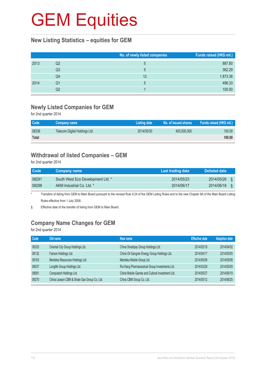#### **New Listing Statistics – equities for GEM**

|      |    | No. of newly listed companies | Funds raised (HK\$ mil.) |
|------|----|-------------------------------|--------------------------|
| 2013 | Q2 | 5                             | 887.80                   |
|      | Q3 | 5                             | 362.29                   |
|      | Q4 | 12                            | 1,873.36                 |
| 2014 | Q1 | 5                             | 496.33                   |
|      | Q2 |                               | 100.00                   |

### **Newly Listed Companies for GEM**

for 2nd quarter 2014

| <b>Code</b> | Company name                  | Listing date | No. of issued shares <b>b</b> | <b>Funds raised (HK\$ mil.)</b> |
|-------------|-------------------------------|--------------|-------------------------------|---------------------------------|
| 08336       | Telecom Digital Holdings Ltd. | 2014/05/30   | 400,000,000                   | 100.00                          |
| Total       |                               |              |                               | 100.00                          |

### **Withdrawal of listed Companies – GEM**

for 2nd quarter 2014

| Code  | <b>Company name</b>               | Last trading date | <b>Delisted date</b> |  |
|-------|-----------------------------------|-------------------|----------------------|--|
| 08291 | South West Eco Development Ltd. * | 2014/05/23        | 2014/05/26           |  |
| 08298 | AKM Industrial Co. Ltd. *         | 2014/06/17        | 2014/06/18           |  |

Transfers of listing from GEM to Main Board pursuant to the revised Rule 9.24 of the GEM Listing Rules and to the new Chapter 9A of the Main Board Listing Rules effective from 1 July 2008.

§ Effective date of the transfer of listing from GEM to Main Board.

### **Company Name Changes for GEM**

for 2nd quarter 2014

| Code  | Old name                                    | New name                                        | <b>Effective date</b> | <b>Adoption date</b> |
|-------|---------------------------------------------|-------------------------------------------------|-----------------------|----------------------|
| 08325 | Oriental City Group Holdings Ltd.           | China Smartpay Group Holdings Ltd.              | 2014/02/19            | 2014/04/02           |
| 08132 | Fairson Holdings Ltd.                       | China Oil Gangran Energy Group Holdings Ltd.    | 2014/04/17            | 2014/05/05           |
| 08163 | Merdeka Resources Holdings Ltd.             | Merdeka Mobile Group Ltd.                       | 2014/05/08            | 2014/05/08           |
| 08037 | Longlife Group Holdings Ltd.                | Rui Kang Pharmaceutical Group Investments Ltd.  | 2014/03/28            | 2014/05/09           |
| 08081 | Computech Holdings Ltd.                     | China Mobile Games and Cultural Investment Ltd. | 2014/05/27            | 2014/06/19           |
| 08270 | China Leason CBM & Shale Gas Group Co. Ltd. | China CBM Group Co. Ltd.                        | 2014/05/12            | 2014/06/25           |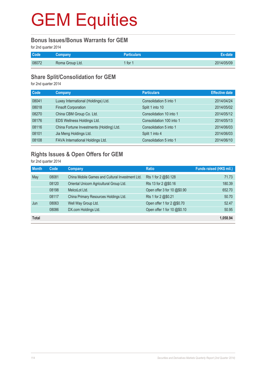#### **Bonus Issues/Bonus Warrants for GEM**

for 2nd quarter 2014

| Code  | <b>Company</b>  | Particulars' |            |
|-------|-----------------|--------------|------------|
| 08072 | Roma Group Ltd. | for 1        | 2014/05/09 |

#### **Share Split/Consolidation for GEM**

for 2nd quarter 2014

| Code  | Company                                  | <b>Particulars</b>       | <b>Effective date</b> |
|-------|------------------------------------------|--------------------------|-----------------------|
| 08041 | Luxey International (Holdings) Ltd.      | Consolidation 5 into 1   | 2014/04/24            |
| 08018 | <b>Finsoft Corporation</b>               | Split 1 into 10          | 2014/05/02            |
| 08270 | China CBM Group Co. Ltd.                 | Consolidation 10 into 1  | 2014/05/12            |
| 08176 | EDS Wellness Holdings Ltd.               | Consolidation 100 into 1 | 2014/05/13            |
| 08116 | China Fortune Investments (Holding) Ltd. | Consolidation 5 into 1   | 2014/06/03            |
| 08101 | Jia Meng Holdings Ltd.                   | Split 1 into 4           | 2014/06/03            |
| 08108 | FAVA International Holdings Ltd.         | Consolidation 5 into 1   | 2014/06/10            |

### **Rights Issues & Open Offers for GEM**

for 2nd quarter 2014

| <b>Month</b> | Code  | Company                                         | <b>Ratio</b>                | Funds raised (HK\$ mil.) |
|--------------|-------|-------------------------------------------------|-----------------------------|--------------------------|
| May          | 08081 | China Mobile Games and Cultural Investment Ltd. | Rts 1 for 2 @\$0.128        | 71.73                    |
|              | 08120 | Oriental Unicorn Agricultural Group Ltd.        | Rts 13 for 2 @\$0.16        | 180.39                   |
|              | 08198 | MelcoLot Ltd.                                   | Open offer 3 for 10 @\$0.90 | 652.70                   |
|              | 08117 | China Primary Resources Holdings Ltd.           | Rts 1 for 2 @\$0.21         | 50.70                    |
| Jun          | 08063 | Well Way Group Ltd.                             | Open offer 1 for 2 @\$0.70  | 52.47                    |
|              | 08086 | DX.com Holdings Ltd.                            | Open offer 1 for 10 @\$0.10 | 50.95                    |
| <b>Total</b> |       |                                                 |                             | 1.058.94                 |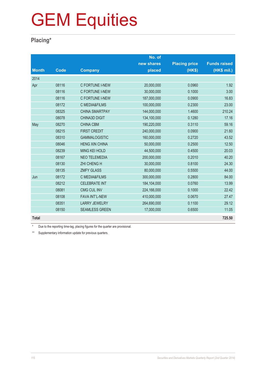### **Placing\***

|              |             |                          | No. of      |                      |                     |
|--------------|-------------|--------------------------|-------------|----------------------|---------------------|
|              |             |                          | new shares  | <b>Placing price</b> | <b>Funds raised</b> |
| <b>Month</b> | <b>Code</b> | <b>Company</b>           | placed      | (HK\$)               | (HK\$ mil.)         |
| 2014         |             |                          |             |                      |                     |
| Apr          | 08116       | C FORTUNE I-NEW          | 20,000,000  | 0.0960               | 1.92                |
|              | 08116       | C FORTUNE I-NEW          | 30,000,000  | 0.1000               | 3.00                |
|              | 08116       | C FORTUNE I-NEW          | 187,000,000 | 0.0900               | 16.83               |
|              | 08172       | <b>C MEDIA&amp;FILMS</b> | 100,000,000 | 0.2300               | 23.00               |
|              | 08325       | <b>CHINA SMARTPAY</b>    | 144,000,000 | 1.4600               | 210.24              |
|              | 08078       | <b>CHINA3D DIGIT</b>     | 134,100,000 | 0.1280               | 17.16               |
| May          | 08270       | <b>CHINA CBM</b>         | 190,220,000 | 0.3110               | 59.16               |
|              | 08215       | <b>FIRST CREDIT</b>      | 240,000,000 | 0.0900               | 21.60               |
|              | 08310       | <b>GAMMALOGISTIC</b>     | 160,000,000 | 0.2720               | 43.52               |
|              | 08046       | <b>HENG XIN CHINA</b>    | 50,000,000  | 0.2500               | 12.50               |
|              | 08239       | <b>MING KEI HOLD</b>     | 44,500,000  | 0.4500               | 20.03               |
|              | 08167       | <b>NEO TELEMEDIA</b>     | 200,000,000 | 0.2010               | 40.20               |
|              | 08130       | <b>ZHI CHENG H</b>       | 30,000,000  | 0.8100               | 24.30               |
|              | 08135       | <b>ZMFY GLASS</b>        | 80,000,000  | 0.5500               | 44.00               |
| Jun          | 08172       | <b>C MEDIA&amp;FILMS</b> | 300,000,000 | 0.2800               | 84.00               |
|              | 08212       | <b>CELEBRATE INT</b>     | 184,104,000 | 0.0760               | 13.99               |
|              | 08081       | <b>CMG CUL INV</b>       | 224,166,000 | 0.1000               | 22.42               |
|              | 08108       | <b>FAVA INT'L-NEW</b>    | 410,000,000 | 0.0670               | 27.47               |
|              | 08351       | <b>LARRY JEWELRY</b>     | 264,690,000 | 0.1100               | 29.12               |
|              | 08150       | <b>SEAMLESS GREEN</b>    | 17,000,000  | 0.6500               | 11.05               |
| <b>Total</b> |             |                          |             |                      | 725.50              |

\* Due to the reporting time-lag, placing figures for the quarter are provisional.

\*\* Supplementary information update for previous quarters.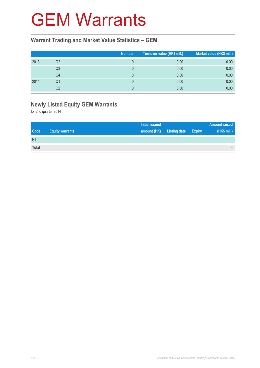## GEM Warrants

#### **Warrant Trading and Market Value Statistics – GEM**

|      |                | <b>Number</b> | Turnover value (HK\$ mil.) <sup>1</sup> | Market value (HK\$ mil.) |
|------|----------------|---------------|-----------------------------------------|--------------------------|
| 2013 | Q2             |               | 0.00                                    | 0.00                     |
|      | Q <sub>3</sub> |               | 0.00                                    | 0.00                     |
|      | Q4             |               | 0.00                                    | 0.00                     |
| 2014 | Q1             |               | 0.00                                    | 0.00                     |
|      | Q2             |               | 0.00                                    | 0.00                     |

### **Newly Listed Equity GEM Warrants**

for 2nd quarter 2014

|              |                        | <b>Initial issued</b> |                     |               | <b>Amount raised</b> |
|--------------|------------------------|-----------------------|---------------------|---------------|----------------------|
| <b>Code</b>  | <b>Equity warrants</b> | amount (HK)           | <b>Listing date</b> | <b>Expiry</b> | (HK\$ mil.)          |
| Nil          |                        |                       |                     |               |                      |
| <b>Total</b> |                        |                       |                     |               | -                    |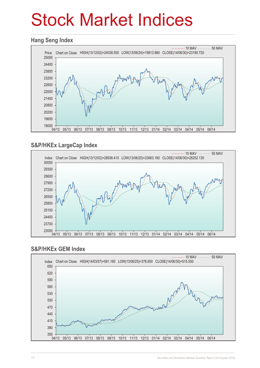# Stock Market Indices

#### **Hang Seng Index**



### **S&P/HKEx LargeCap Index**



#### **S&P/HKEx GEM Index**

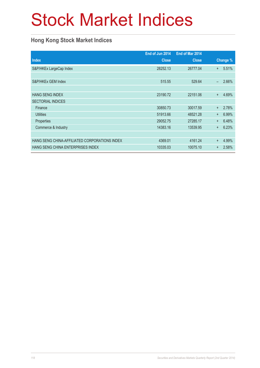# Stock Market Indices

### **Hong Kong Stock Market Indices**

|                                               | End of Jun 2014 | End of Mar 2014 |           |          |
|-----------------------------------------------|-----------------|-----------------|-----------|----------|
| <b>Index</b>                                  | <b>Close</b>    | <b>Close</b>    |           | Change % |
| S&P/HKEx LargeCap Index                       | 28252.13        | 26777.04        | $+$       | 5.51%    |
|                                               |                 |                 |           |          |
| S&P/HKEx GEM Index                            | 515.55          | 529.64          |           | 2.66%    |
|                                               |                 |                 |           |          |
| <b>HANG SENG INDEX</b>                        | 23190.72        | 22151.06        | $+$       | 4.69%    |
| <b>SECTORIAL INDICES</b>                      |                 |                 |           |          |
| Finance                                       | 30850.73        | 30017.59        | $+$       | 2.78%    |
| <b>Utilities</b>                              | 51913.66        | 48521.28        | $+$       | 6.99%    |
| Properties                                    | 29052.75        | 27285.17        | $\ddot{}$ | 6.48%    |
| Commerce & Industry                           | 14383.16        | 13539.95        | $+$       | 6.23%    |
|                                               |                 |                 |           |          |
| HANG SENG CHINA-AFFILIATED CORPORATIONS INDEX | 4369.01         | 4161.24         | $\ddot{}$ | 4.99%    |
| HANG SENG CHINA ENTERPRISES INDEX             | 10335.03        | 10075.10        | $+$       | 2.58%    |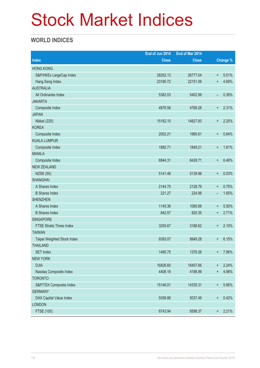# Stock Market Indices

### **WORLD INDICES**

|                                 | End of Jun 2014 | End of Mar 2014 |                                  |                 |
|---------------------------------|-----------------|-----------------|----------------------------------|-----------------|
| <b>Index</b>                    | <b>Close</b>    | <b>Close</b>    |                                  | <b>Change %</b> |
| <b>HONG KONG</b>                |                 |                 |                                  |                 |
| S&P/HKEx LargeCap Index         | 28252.13        | 26777.04        | $\ddot{}$                        | 5.51%           |
| Hang Seng Index                 | 23190.72        | 22151.06        | $\ddot{}$                        | 4.69%           |
| <b>AUSTRALIA</b>                |                 |                 |                                  |                 |
| All Ordinaries Index            | 5382.03         | 5402.99         | -                                | 0.39%           |
| <b>JAKARTA</b>                  |                 |                 |                                  |                 |
| Composite Index                 | 4878.58         | 4768.28         | $\ddot{}$                        | 2.31%           |
| <b>JAPAN</b>                    |                 |                 |                                  |                 |
| Nikkei (225)                    | 15162.10        | 14827.83        | $\ddot{}$                        | 2.25%           |
| <b>KOREA</b>                    |                 |                 |                                  |                 |
| Composite Index                 | 2002.21         | 1985.61         | $\ddot{}$                        | 0.84%           |
| <b>KUALA LUMPUR</b>             |                 |                 |                                  |                 |
| Composite Index                 | 1882.71         | 1849.21         | $\ddot{}$                        | 1.81%           |
| <b>MANILA</b>                   |                 |                 |                                  |                 |
| Composite Index                 | 6844.31         | 6428.71         | $\ddot{}$                        | 6.46%           |
| <b>NEW ZEALAND</b>              |                 |                 |                                  |                 |
| <b>NZSE (50)</b>                | 5141.48         | 5139.98         | $\ddot{}$                        | 0.03%           |
| <b>SHANGHAI</b>                 |                 |                 |                                  |                 |
| A Shares Index                  | 2144.75         | 2128.79         | $\ddot{}$                        | 0.75%           |
| <b>B</b> Shares Index           | 221.27          | 224.98          | $\overline{\phantom{a}}$         | 1.65%           |
| <b>SHENZHEN</b>                 |                 |                 |                                  |                 |
| A Shares Index                  | 1145.36         | 1085.68         | $\ddot{}$                        | 5.50%           |
| <b>B</b> Shares Index           | 842.57          | 820.35          | $\ddot{}$                        | 2.71%           |
| <b>SINGAPORE</b>                |                 |                 |                                  |                 |
| <b>FTSE Straits Times Index</b> | 3255.67         | 3188.62         | $\ddot{}$                        | 2.10%           |
| <b>TAIWAN</b>                   |                 |                 |                                  |                 |
| Taipei Weighted Stock Index     | 9393.07         | 8849.28         | $\ddot{}$                        | 6.15%           |
| <b>THAILAND</b>                 |                 |                 |                                  |                 |
| <b>SET Index</b>                | 1485.75         | 1376.26         | $\ddot{}$                        | 7.96%           |
| <b>NEW YORK</b>                 |                 |                 |                                  |                 |
| <b>DJIA</b>                     | 16826.60        | 16457.66        | $\ddagger$                       | 2.24%           |
| Nasdaq Composite Index          | 4408.18         | 4198.99         | $\ddot{}$                        | 4.98%           |
| <b>TORONTO</b>                  |                 |                 |                                  |                 |
| S&P/TSX Composite Index         | 15146.01        | 14335.31        | $\begin{array}{c} + \end{array}$ | 5.66%           |
| <b>GERMANY</b>                  |                 |                 |                                  |                 |
| DAX Capital Value Index         | 5058.86         | 5037.49         | $\ddot{}$                        | 0.42%           |
| <b>LONDON</b>                   |                 |                 |                                  |                 |
| <b>FTSE (100)</b>               | 6743.94         | 6598.37         | $\ddagger$                       | 2.21%           |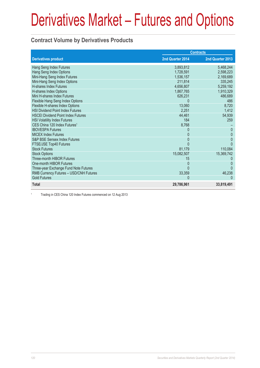#### **Contract Volume by Derivatives Products**

|                                           |                  | <b>Contracts</b> |
|-------------------------------------------|------------------|------------------|
| <b>Derivatives product</b>                | 2nd Quarter 2014 | 2nd Quarter 2013 |
| Hang Seng Index Futures                   | 3,893,812        | 5,468,244        |
| Hang Seng Index Options                   | 1,728,591        | 2,598,223        |
| Mini-Hang Seng Index Futures              | 1,536,157        | 2,169,689        |
| Mini-Hang Seng Index Options              | 211,814          | 335,245          |
| <b>H-shares Index Futures</b>             | 4,656,807        | 5,259,192        |
| H-shares Index Options                    | 1,867,765        | 1,910,329        |
| Mini H-shares Index Futures               | 626,231          | 486,689          |
| Flexible Hang Seng Index Options          | $\Omega$         | 486              |
| Flexible H-shares Index Options           | 13,060           | 8,720            |
| <b>HSI Dividend Point Index Futures</b>   | 2,251            | 1,412            |
| <b>HSCEI Dividend Point Index Futures</b> | 44,461           | 54,939           |
| <b>HSI Volatility Index Futures</b>       | 184              | 259              |
| CES China 120 Index Futures <sup>1</sup>  | 8,768            |                  |
| <b>IBOVESPA Futures</b>                   | $\Omega$         | $\Omega$         |
| <b>MICEX Index Futures</b>                | 0                | $\Omega$         |
| S&P BSE Sensex Index Futures              | <sup>0</sup>     | $\Omega$         |
| FTSE/JSE Top40 Futures                    |                  | $\Omega$         |
| <b>Stock Futures</b>                      | 81,179           | 110,084          |
| <b>Stock Options</b>                      | 15,082,507       | 15,369,742       |
| Three-month HIBOR Futures                 | 15               |                  |
| One-month HIBOR Futures                   | $\Omega$         | <sup>0</sup>     |
| Three-year Exchange Fund Note Futures     | U                |                  |
| RMB Currency Futures - USD/CNH Futures    | 33,359           | 46,238           |
| <b>Gold Futures</b>                       | $\Omega$         |                  |
| <b>Total</b>                              | 29,786,961       | 33,819,491       |

1 Trading in CES China 120 Index Futures commenced on 12 Aug 2013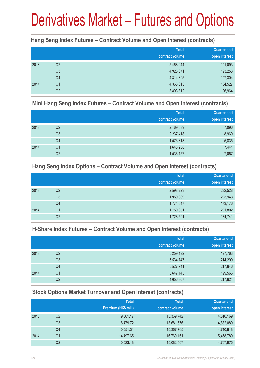#### **Hang Seng Index Futures – Contract Volume and Open Interest (contracts)**

|      |                | <b>Total</b><br>contract volume | <b>Quarter-end</b><br>open interest |
|------|----------------|---------------------------------|-------------------------------------|
| 2013 | Q2             | 5,468,244                       | 101,093                             |
|      | Q <sub>3</sub> | 4,926,071                       | 123,253                             |
|      | Q4             | 4,314,395                       | 107,304                             |
| 2014 | Q <sub>1</sub> | 4,368,013                       | 104,527                             |
|      | Q <sub>2</sub> | 3,893,812                       | 126,964                             |

#### **Mini Hang Seng Index Futures – Contract Volume and Open Interest (contracts)**

|      |                | <b>Total</b><br>contract volume | Quarter-end<br>open interest |
|------|----------------|---------------------------------|------------------------------|
| 2013 | Q2             | 2,169,689                       | 7,096                        |
|      | Q <sub>3</sub> | 2,237,418                       | 8,969                        |
|      | Q4             | 1,573,318                       | 5,835                        |
| 2014 | Q <sub>1</sub> | 1,648,258                       | 7,441                        |
|      | Q <sub>2</sub> | 1,536,157                       | 7,067                        |

#### **Hang Seng Index Options – Contract Volume and Open Interest (contracts)**

|      |                | <b>Total</b>    | Quarter-end   |
|------|----------------|-----------------|---------------|
|      |                | contract volume | open interest |
| 2013 | Q2             | 2,598,223       | 282,528       |
|      | Q <sub>3</sub> | 1,959,869       | 293,948       |
|      | Q4             | 1,774,047       | 173,176       |
| 2014 | Q <sub>1</sub> | 1,759,351       | 201,802       |
|      | Q2             | 1,728,591       | 184,741       |

#### **H-Share Index Futures – Contract Volume and Open Interest (contracts)**

|      |                | <b>Total</b>    | <b>Quarter-end</b> |
|------|----------------|-----------------|--------------------|
|      |                | contract volume | open interest      |
| 2013 | Q2             | 5,259,192       | 197,763            |
|      | Q <sub>3</sub> | 5,534,747       | 214,299            |
|      | Q4             | 5,527,741       | 217,646            |
| 2014 | Q <sub>1</sub> | 5,647,145       | 199,566            |
|      | Q2             | 4,656,807       | 217,624            |

### **Stock Options Market Turnover and Open Interest (contracts)**

|      |    | <b>Total</b>        | <b>Total</b>    | <b>Quarter-end</b> |
|------|----|---------------------|-----------------|--------------------|
|      |    | Premium (HK\$ mil.) | contract volume | open interest      |
| 2013 | Q2 | 9,361.17            | 15,369,742      | 4,810,169          |
|      | Q3 | 8,479.72            | 13,681,676      | 4,882,089          |
|      | Q4 | 10,051.31           | 15,367,765      | 4,740,818          |
| 2014 | Q1 | 14,497.65           | 16,760,161      | 5,458,789          |
|      | Q2 | 10,523.18           | 15,082,507      | 4,767,976          |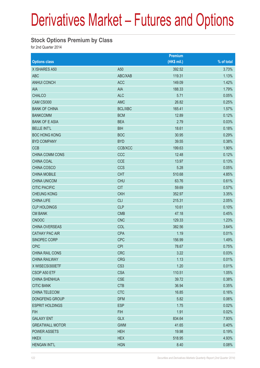#### **Stock Options Premium by Class**

for 2nd Quarter 2014

|                        |                 | <b>Premium</b> |            |
|------------------------|-----------------|----------------|------------|
| <b>Options class</b>   |                 | (HK\$ mil.)    | % of total |
| X ISHARES A50          | A50             | 392.52         | 3.73%      |
| <b>ABC</b>             | ABC/XAB         | 119.31         | 1.13%      |
| <b>ANHUI CONCH</b>     | <b>ACC</b>      | 149.09         | 1.42%      |
| AIA                    | <b>AIA</b>      | 188.33         | 1.79%      |
| <b>CHALCO</b>          | <b>ALC</b>      | 5.71           | 0.05%      |
| CAM CSI300             | <b>AMC</b>      | 26.82          | 0.25%      |
| <b>BANK OF CHINA</b>   | <b>BCL/XBC</b>  | 165.41         | 1.57%      |
| <b>BANKCOMM</b>        | <b>BCM</b>      | 12.89          | 0.12%      |
| <b>BANK OF E ASIA</b>  | <b>BEA</b>      | 2.79           | 0.03%      |
| <b>BELLE INT'L</b>     | <b>BIH</b>      | 18.61          | 0.18%      |
| <b>BOC HONG KONG</b>   | <b>BOC</b>      | 30.95          | 0.29%      |
| <b>BYD COMPANY</b>     | <b>BYD</b>      | 39.55          | 0.38%      |
| <b>CCB</b>             | CCB/XCC         | 199.63         | 1.90%      |
| CHINA COMM CONS        | CCC             | 12.48          | 0.12%      |
| CHINA COAL             | <b>CCE</b>      | 13.97          | 0.13%      |
| CHINA COSCO            | <b>CCS</b>      | 5.28           | 0.05%      |
| <b>CHINA MOBILE</b>    | <b>CHT</b>      | 510.68         | 4.85%      |
| <b>CHINA UNICOM</b>    | <b>CHU</b>      | 63.76          | 0.61%      |
| <b>CITIC PACIFIC</b>   | <b>CIT</b>      | 59.69          | 0.57%      |
| <b>CHEUNG KONG</b>     | <b>CKH</b>      | 352.97         | 3.35%      |
| <b>CHINA LIFE</b>      | <b>CLI</b>      | 215.31         | 2.05%      |
| <b>CLP HOLDINGS</b>    | <b>CLP</b>      | 10.61          | 0.10%      |
| <b>CM BANK</b>         | <b>CMB</b>      | 47.18          | 0.45%      |
| <b>CNOOC</b>           | <b>CNC</b>      | 129.33         | 1.23%      |
| <b>CHINA OVERSEAS</b>  | <b>COL</b>      | 382.56         | 3.64%      |
| <b>CATHAY PAC AIR</b>  | <b>CPA</b>      | 1.19           | 0.01%      |
| SINOPEC CORP           | <b>CPC</b>      | 156.99         | 1.49%      |
| <b>CPIC</b>            | <b>CPI</b>      | 78.67          | 0.75%      |
| CHINA RAIL CONS        | <b>CRC</b>      | 3.22           | 0.03%      |
| <b>CHINA RAILWAY</b>   | <b>CRG</b>      | 1.13           | 0.01%      |
| X WISECSI300ETF        | CS <sub>3</sub> | 1.20           | 0.01%      |
| CSOP A50 ETF           | <b>CSA</b>      | 110.51         | 1.05%      |
| <b>CHINA SHENHUA</b>   | <b>CSE</b>      | 39.72          | 0.38%      |
| <b>CITIC BANK</b>      | <b>CTB</b>      | 36.94          | 0.35%      |
| CHINA TELECOM          | <b>CTC</b>      | 16.85          | 0.16%      |
| DONGFENG GROUP         | <b>DFM</b>      | 5.82           | 0.06%      |
| <b>ESPRIT HOLDINGS</b> | <b>ESP</b>      | 1.75           | 0.02%      |
| <b>FIH</b>             | <b>FIH</b>      | 1.91           | 0.02%      |
| <b>GALAXY ENT</b>      | <b>GLX</b>      | 834.64         | 7.93%      |
| <b>GREATWALL MOTOR</b> | <b>GWM</b>      | 41.65          | 0.40%      |
| <b>POWER ASSETS</b>    | <b>HEH</b>      | 19.98          | 0.19%      |
| <b>HKEX</b>            | <b>HEX</b>      | 518.95         | 4.93%      |
| <b>HENGAN INT'L</b>    | <b>HGN</b>      | 8.40           | 0.08%      |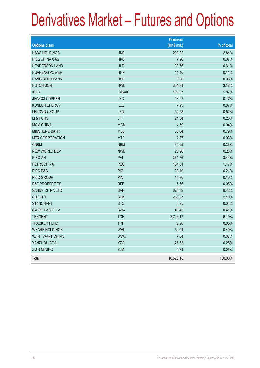|                           |                | <b>Premium</b> |            |
|---------------------------|----------------|----------------|------------|
| <b>Options class</b>      |                | (HK\$ mil.)    | % of total |
| <b>HSBC HOLDINGS</b>      | <b>HKB</b>     | 299.32         | 2.84%      |
| <b>HK &amp; CHINA GAS</b> | <b>HKG</b>     | 7.20           | 0.07%      |
| <b>HENDERSON LAND</b>     | <b>HLD</b>     | 32.76          | 0.31%      |
| <b>HUANENG POWER</b>      | <b>HNP</b>     | 11.40          | 0.11%      |
| <b>HANG SENG BANK</b>     | <b>HSB</b>     | 5.98           | 0.06%      |
| <b>HUTCHISON</b>          | <b>HWL</b>     | 334.91         | 3.18%      |
| <b>ICBC</b>               | <b>ICB/XIC</b> | 196.37         | 1.87%      |
| <b>JIANGXI COPPER</b>     | <b>JXC</b>     | 18.22          | 0.17%      |
| <b>KUNLUN ENERGY</b>      | <b>KLE</b>     | 7.23           | 0.07%      |
| LENOVO GROUP              | LEN            | 54.58          | 0.52%      |
| LI & FUNG                 | LIF            | 21.54          | 0.20%      |
| <b>MGM CHINA</b>          | <b>MGM</b>     | 4.59           | 0.04%      |
| <b>MINSHENG BANK</b>      | <b>MSB</b>     | 83.04          | 0.79%      |
| <b>MTR CORPORATION</b>    | <b>MTR</b>     | 2.87           | 0.03%      |
| <b>CNBM</b>               | <b>NBM</b>     | 34.25          | 0.33%      |
| <b>NEW WORLD DEV</b>      | <b>NWD</b>     | 23.96          | 0.23%      |
| <b>PING AN</b>            | PAI            | 361.76         | 3.44%      |
| <b>PETROCHINA</b>         | PEC            | 154.31         | 1.47%      |
| PICC P&C                  | <b>PIC</b>     | 22.40          | 0.21%      |
| <b>PICC GROUP</b>         | PIN            | 10.90          | 0.10%      |
| <b>R&amp;F PROPERTIES</b> | <b>RFP</b>     | 5.66           | 0.05%      |
| <b>SANDS CHINA LTD</b>    | <b>SAN</b>     | 675.33         | 6.42%      |
| <b>SHK PPT</b>            | <b>SHK</b>     | 230.37         | 2.19%      |
| <b>STANCHART</b>          | <b>STC</b>     | 3.95           | 0.04%      |
| <b>SWIRE PACIFIC A</b>    | <b>SWA</b>     | 43.45          | 0.41%      |
| <b>TENCENT</b>            | <b>TCH</b>     | 2,746.12       | 26.10%     |
| <b>TRACKER FUND</b>       | <b>TRF</b>     | 5.26           | 0.05%      |
| <b>WHARF HOLDINGS</b>     | <b>WHL</b>     | 52.01          | 0.49%      |
| <b>WANT WANT CHINA</b>    | <b>WWC</b>     | 7.04           | 0.07%      |
| YANZHOU COAL              | <b>YZC</b>     | 26.63          | 0.25%      |
| <b>ZIJIN MINING</b>       | <b>ZJM</b>     | 4.81           | 0.05%      |
| Total                     |                | 10,523.18      | 100.00%    |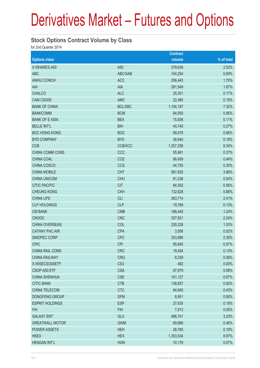#### **Stock Options Contract Volume by Class**

for 2nd Quarter 2014

|                        |                 | <b>Contract</b> |            |
|------------------------|-----------------|-----------------|------------|
| <b>Options class</b>   |                 | volume          | % of total |
| X ISHARES A50          | A50             | 379,639         | 2.52%      |
| <b>ABC</b>             | ABC/XAB         | 104,254         | 0.69%      |
| <b>ANHUI CONCH</b>     | <b>ACC</b>      | 256,443         | 1.70%      |
| AIA                    | <b>AIA</b>      | 281,549         | 1.87%      |
| <b>CHALCO</b>          | <b>ALC</b>      | 25,351          | 0.17%      |
| CAM CSI300             | <b>AMC</b>      | 22,480          | 0.15%      |
| <b>BANK OF CHINA</b>   | <b>BCL/XBC</b>  | 1,104,187       | 7.32%      |
| <b>BANKCOMM</b>        | <b>BCM</b>      | 84,050          | 0.56%      |
| <b>BANK OF E ASIA</b>  | <b>BEA</b>      | 15,936          | 0.11%      |
| <b>BELLE INT'L</b>     | <b>BIH</b>      | 40,740          | 0.27%      |
| <b>BOC HONG KONG</b>   | <b>BOC</b>      | 99,078          | 0.66%      |
| <b>BYD COMPANY</b>     | <b>BYD</b>      | 26,640          | 0.18%      |
| <b>CCB</b>             | <b>CCB/XCC</b>  | 1,257,258       | 8.34%      |
| <b>CHINA COMM CONS</b> | CCC             | 55,981          | 0.37%      |
| CHINA COAL             | <b>CCE</b>      | 66,459          | 0.44%      |
| CHINA COSCO            | <b>CCS</b>      | 44,755          | 0.30%      |
| <b>CHINA MOBILE</b>    | <b>CHT</b>      | 581,935         | 3.86%      |
| <b>CHINA UNICOM</b>    | <b>CHU</b>      | 81,236          | 0.54%      |
| <b>CITIC PACIFIC</b>   | <b>CIT</b>      | 84,302          | 0.56%      |
| <b>CHEUNG KONG</b>     | <b>CKH</b>      | 132,628         | 0.88%      |
| <b>CHINA LIFE</b>      | <b>CLI</b>      | 363,714         | 2.41%      |
| <b>CLP HOLDINGS</b>    | <b>CLP</b>      | 19,789          | 0.13%      |
| <b>CM BANK</b>         | <b>CMB</b>      | 186,445         | 1.24%      |
| <b>CNOOC</b>           | <b>CNC</b>      | 337,621         | 2.24%      |
| CHINA OVERSEAS         | COL             | 230,228         | 1.53%      |
| <b>CATHAY PAC AIR</b>  | <b>CPA</b>      | 3,506           | 0.02%      |
| SINOPEC CORP           | <b>CPC</b>      | 353,896         | 2.35%      |
| <b>CPIC</b>            | <b>CPI</b>      | 85,645          | 0.57%      |
| CHINA RAIL CONS        | <b>CRC</b>      | 19,454          | 0.13%      |
| <b>CHINA RAILWAY</b>   | <b>CRG</b>      | 8,339           | 0.06%      |
| X WISECSI300ETF        | CS <sub>3</sub> | 482             | 0.00%      |
| CSOP A50 ETF           | <b>CSA</b>      | 87,979          | 0.58%      |
| <b>CHINA SHENHUA</b>   | <b>CSE</b>      | 101,127         | 0.67%      |
| <b>CITIC BANK</b>      | <b>CTB</b>      | 138,857         | 0.92%      |
| CHINA TELECOM          | <b>CTC</b>      | 64,645          | 0.43%      |
| DONGFENG GROUP         | <b>DFM</b>      | 8,951           | 0.06%      |
| <b>ESPRIT HOLDINGS</b> | <b>ESP</b>      | 27,635          | 0.18%      |
| <b>FIH</b>             | <b>FIH</b>      | 7,913           | 0.05%      |
| <b>GALAXY ENT</b>      | <b>GLX</b>      | 486,741         | 3.23%      |
| <b>GREATWALL MOTOR</b> | <b>GWM</b>      | 69,866          | 0.46%      |
| <b>POWER ASSETS</b>    | <b>HEH</b>      | 28,765          | 0.19%      |
| <b>HKEX</b>            | <b>HEX</b>      | 1,353,534       | 8.97%      |
| <b>HENGAN INT'L</b>    | <b>HGN</b>      | 10,176          | 0.07%      |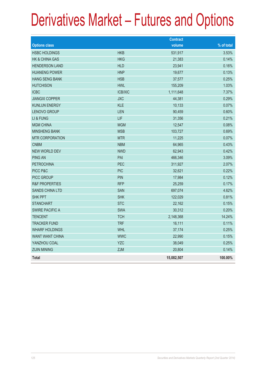|                           |                | <b>Contract</b> |            |
|---------------------------|----------------|-----------------|------------|
| <b>Options class</b>      |                | volume          | % of total |
| <b>HSBC HOLDINGS</b>      | <b>HKB</b>     | 531,917         | 3.53%      |
| <b>HK &amp; CHINA GAS</b> | <b>HKG</b>     | 21,383          | 0.14%      |
| <b>HENDERSON LAND</b>     | <b>HLD</b>     | 23,941          | 0.16%      |
| <b>HUANENG POWER</b>      | <b>HNP</b>     | 19,677          | 0.13%      |
| <b>HANG SENG BANK</b>     | <b>HSB</b>     | 37,577          | 0.25%      |
| <b>HUTCHISON</b>          | <b>HWL</b>     | 155,209         | 1.03%      |
| <b>ICBC</b>               | <b>ICB/XIC</b> | 1,111,648       | 7.37%      |
| <b>JIANGXI COPPER</b>     | <b>JXC</b>     | 44,381          | 0.29%      |
| <b>KUNLUN ENERGY</b>      | <b>KLE</b>     | 10,133          | 0.07%      |
| <b>LENOVO GROUP</b>       | LEN            | 90,459          | 0.60%      |
| LI & FUNG                 | LIF            | 31,356          | 0.21%      |
| <b>MGM CHINA</b>          | <b>MGM</b>     | 12,547          | 0.08%      |
| <b>MINSHENG BANK</b>      | <b>MSB</b>     | 103,727         | 0.69%      |
| <b>MTR CORPORATION</b>    | <b>MTR</b>     | 11,225          | 0.07%      |
| <b>CNBM</b>               | <b>NBM</b>     | 64,965          | 0.43%      |
| <b>NEW WORLD DEV</b>      | <b>NWD</b>     | 62,943          | 0.42%      |
| <b>PING AN</b>            | PAI            | 466,346         | 3.09%      |
| <b>PETROCHINA</b>         | PEC            | 311,927         | 2.07%      |
| PICC P&C                  | <b>PIC</b>     | 32,621          | 0.22%      |
| PICC GROUP                | <b>PIN</b>     | 17,984          | 0.12%      |
| <b>R&amp;F PROPERTIES</b> | <b>RFP</b>     | 25,259          | 0.17%      |
| <b>SANDS CHINA LTD</b>    | <b>SAN</b>     | 697,074         | 4.62%      |
| <b>SHK PPT</b>            | <b>SHK</b>     | 122,029         | 0.81%      |
| <b>STANCHART</b>          | <b>STC</b>     | 22,162          | 0.15%      |
| <b>SWIRE PACIFIC A</b>    | <b>SWA</b>     | 30,312          | 0.20%      |
| <b>TENCENT</b>            | <b>TCH</b>     | 2,148,368       | 14.24%     |
| <b>TRACKER FUND</b>       | <b>TRF</b>     | 16,111          | 0.11%      |
| <b>WHARF HOLDINGS</b>     | <b>WHL</b>     | 37,174          | 0.25%      |
| <b>WANT WANT CHINA</b>    | <b>WWC</b>     | 22,990          | 0.15%      |
| YANZHOU COAL              | <b>YZC</b>     | 38,049          | 0.25%      |
| <b>ZIJIN MINING</b>       | ZJM            | 20,804          | 0.14%      |
| <b>Total</b>              |                | 15,082,507      | 100.00%    |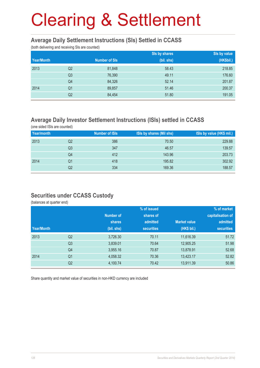#### **Average Daily Settlement Instructions (SIs) Settled in CCASS**

(both delivering and receiving SIs are counted)

|            |                |                      | Sis by shares | Sis by value |
|------------|----------------|----------------------|---------------|--------------|
| Year/Month |                | <b>Number of SIs</b> | (bil. shs)    | (HK\$bil.)   |
| 2013       | Q <sub>2</sub> | 81,848               | 58.43         | 218.85       |
|            | Q <sub>3</sub> | 76,390               | 49.11         | 176.60       |
|            | Q4             | 84,326               | 52.14         | 201.87       |
| 2014       | Q1             | 89,857               | 51.46         | 200.37       |
|            | Q2             | 84,454               | 51.80         | 191.05       |

#### **Average Daily Investor Settlement Instructions (ISIs) settled in CCASS**

(one sided ISIs are counted)

| Year/month |    | <b>Number of ISIs</b> | ISIs by shares (Mil shs) | ISIs by value (HK\$ mil.) |
|------------|----|-----------------------|--------------------------|---------------------------|
| 2013       | Q2 | 386                   | 70.50                    | 229.88                    |
|            | Q3 | 347                   | 46.57                    | 139.57                    |
|            | Q4 | 412                   | 143.96                   | 203.73                    |
| 2014       | Q1 | 418                   | 195.82                   | 302.92                    |
|            | Q2 | 334                   | 169.36                   | 188.57                    |

#### **Securities under CCASS Custody**

(balances at quarter end)

|            |                |               | % of issued       |                     | % of market       |
|------------|----------------|---------------|-------------------|---------------------|-------------------|
|            |                | Number of     | shares of         |                     | capitalisation of |
|            |                | <b>shares</b> | admitted          | <b>Market value</b> | admitted          |
| Year/Month |                | (bil. shs)    | <b>securities</b> | (HK\$ bil.)         | <b>securities</b> |
| 2013       | Q <sub>2</sub> | 3,726.30      | 70.11             | 11,616.39           | 51.72             |
|            | Q <sub>3</sub> | 3,839.01      | 70.64             | 12,905.25           | 51.98             |
|            | Q4             | 3,955.16      | 70.87             | 13,878.91           | 52.68             |
| 2014       | Q <sub>1</sub> | 4,058.32      | 70.36             | 13,423.17           | 52.82             |
|            | Q <sub>2</sub> | 4,100.74      | 70.42             | 13,911.39           | 50.86             |

Share quantity and market value of securities in non-HKD currency are included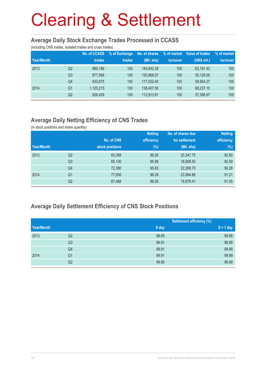#### **Average Daily Stock Exchange Trades Processed in CCASS**

(including CNS trades, isolated trades and cross trades)

| Year/Month |                | No. of CCASS<br>trades | % of Exchange<br>trades | No. of shares<br>(Mil. shs) | % of market<br>turnover | Value of trades<br>(HK\$ mil.) | % of market<br>turnover |
|------------|----------------|------------------------|-------------------------|-----------------------------|-------------------------|--------------------------------|-------------------------|
|            |                |                        |                         |                             |                         |                                |                         |
| 2013       | Q2             | 960,186                | 100                     | 145.842.29                  | 100                     | 62.161.42                      | 100                     |
|            | Q <sub>3</sub> | 877.568                | 100                     | 130.868.07                  | 100                     | 55.128.00                      | 100                     |
|            | Q4             | 933,875                | 100                     | 117.032.40                  | 100                     | 58.954.27                      | 100                     |
| 2014       | Q1             | 1,120,215              | 100                     | 138,407.50                  | 100                     | 68.237.10                      | 100                     |
|            | Q2             | 928,429                | 100                     | 112.913.91                  | 100                     | 57,388.97                      | 100                     |

### **Average Daily Netting Efficiency of CNS Trades**

(in stock positions and share quantity)

|            |                |                 | <b>Netting</b> | No. of shares due | <b>Netting</b> |
|------------|----------------|-----------------|----------------|-------------------|----------------|
|            |                | No. of CNS      | efficiency     | for settlement    | efficiency     |
| Year/Month |                | stock positions | $(\%)$         | (Mil. shs)        | $(\%)$         |
| 2013       | Q2             | 65,358          | 96.26          | 20,347.75         | 92.80          |
|            | Q <sub>3</sub> | 65,100          | 95.99          | 18,908.50         | 92.59          |
|            | Q4             | 72,380          | 95.83          | 22,299.70         | 90.28          |
| 2014       | Q <sub>1</sub> | 77,656          | 96.29          | 23,984.86         | 91.21          |
|            | Q2             | 67,488          | 96.09          | 19,979.41         | 91.05          |

#### **Average Daily Settlement Efficiency of CNS Stock Positions**

|            |                |       | <b>Settlement efficiency (%)</b> |
|------------|----------------|-------|----------------------------------|
| Year/Month |                | S day | $S + 1$ day                      |
| 2013       | Q2             | 99.89 | 99.99                            |
|            | Q <sub>3</sub> | 99.91 | 99.99                            |
|            | Q4             | 99.91 | 99.99                            |
| 2014       | Q <sub>1</sub> | 99.91 | 99.99                            |
|            | Q2             | 99.90 | 99.99                            |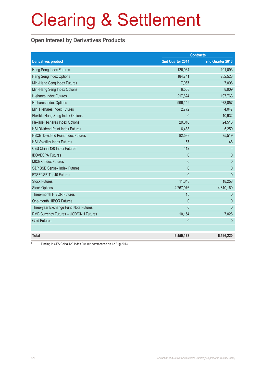### **Open Interest by Derivatives Products**

|                                           |                  | <b>Contracts</b> |
|-------------------------------------------|------------------|------------------|
| <b>Derivatives product</b>                | 2nd Quarter 2014 | 2nd Quarter 2013 |
| Hang Seng Index Futures                   | 126,964          | 101,093          |
| Hang Seng Index Options                   | 184,741          | 282,528          |
| Mini-Hang Seng Index Futures              | 7,067            | 7,096            |
| Mini-Hang Seng Index Options              | 6,508            | 8,909            |
| H-shares Index Futures                    | 217,624          | 197,763          |
| H-shares Index Options                    | 996,149          | 973,057          |
| Mini H-shares Index Futures               | 2,772            | 4,047            |
| Flexible Hang Seng Index Options          | $\mathbf{0}$     | 10,932           |
| Flexible H-shares Index Options           | 29,010           | 24,516           |
| <b>HSI Dividend Point Index Futures</b>   | 6,483            | 5,259            |
| <b>HSCEI Dividend Point Index Futures</b> | 82,598           | 75,519           |
| <b>HSI Volatility Index Futures</b>       | 57               | 46               |
| CES China 120 Index Futures <sup>1</sup>  | 412              |                  |
| <b>IBOVESPA Futures</b>                   | $\mathbf{0}$     | $\theta$         |
| <b>MICEX Index Futures</b>                | $\mathbf{0}$     | $\theta$         |
| <b>S&amp;P BSE Sensex Index Futures</b>   | $\mathbf{0}$     | $\mathbf{0}$     |
| FTSE/JSE Top40 Futures                    | $\overline{0}$   | $\mathbf{0}$     |
| <b>Stock Futures</b>                      | 11,643           | 18,258           |
| <b>Stock Options</b>                      | 4,767,976        | 4,810,169        |
| Three-month HIBOR Futures                 | 15               | $\mathbf{0}$     |
| One-month HIBOR Futures                   | $\mathbf 0$      | $\theta$         |
| Three-year Exchange Fund Note Futures     | $\overline{0}$   | $\mathbf{0}$     |
| RMB Currency Futures - USD/CNH Futures    | 10,154           | 7,028            |
| <b>Gold Futures</b>                       | $\mathbf{0}$     | $\mathbf{0}$     |
|                                           |                  |                  |
| <b>Total</b>                              | 6,450,173        | 6,526,220        |

Trading in CES China 120 Index Futures commenced on 12 Aug 2013

1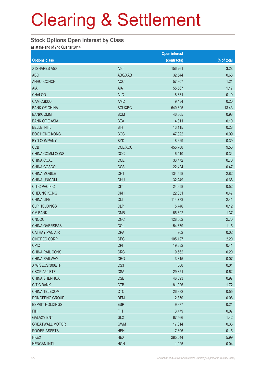#### **Stock Options Open Interest by Class**

as at the end of 2nd Quarter 2014

|                        |                 | <b>Open interest</b> |            |
|------------------------|-----------------|----------------------|------------|
| <b>Options class</b>   |                 | (contracts)          | % of total |
| X ISHARES A50          | A50             | 156,261              | 3.28       |
| <b>ABC</b>             | ABC/XAB         | 32,544               | 0.68       |
| <b>ANHUI CONCH</b>     | <b>ACC</b>      | 57,807               | 1.21       |
| AIA                    | <b>AIA</b>      | 55,567               | 1.17       |
| <b>CHALCO</b>          | <b>ALC</b>      | 8,831                | 0.19       |
| CAM CSI300             | <b>AMC</b>      | 9,434                | 0.20       |
| <b>BANK OF CHINA</b>   | <b>BCL/XBC</b>  | 640,395              | 13.43      |
| <b>BANKCOMM</b>        | <b>BCM</b>      | 46,805               | 0.98       |
| <b>BANK OF E ASIA</b>  | <b>BEA</b>      | 4,811                | 0.10       |
| <b>BELLE INT'L</b>     | <b>BIH</b>      | 13,115               | 0.28       |
| <b>BOC HONG KONG</b>   | <b>BOC</b>      | 47,022               | 0.99       |
| <b>BYD COMPANY</b>     | <b>BYD</b>      | 18,629               | 0.39       |
| <b>CCB</b>             | CCB/XCC         | 455,700              | 9.56       |
| CHINA COMM CONS        | CCC             | 16,410               | 0.34       |
| CHINA COAL             | <b>CCE</b>      | 33,472               | 0.70       |
| CHINA COSCO            | <b>CCS</b>      | 22,424               | 0.47       |
| <b>CHINA MOBILE</b>    | <b>CHT</b>      | 134,558              | 2.82       |
| <b>CHINA UNICOM</b>    | <b>CHU</b>      | 32,249               | 0.68       |
| <b>CITIC PACIFIC</b>   | <b>CIT</b>      | 24,658               | 0.52       |
| <b>CHEUNG KONG</b>     | <b>CKH</b>      | 22,351               | 0.47       |
| <b>CHINA LIFE</b>      | <b>CLI</b>      | 114,773              | 2.41       |
| <b>CLP HOLDINGS</b>    | <b>CLP</b>      | 5,746                | 0.12       |
| <b>CM BANK</b>         | <b>CMB</b>      | 65,392               | 1.37       |
| <b>CNOOC</b>           | <b>CNC</b>      | 128,602              | 2.70       |
| CHINA OVERSEAS         | COL             | 54,879               | 1.15       |
| <b>CATHAY PAC AIR</b>  | <b>CPA</b>      | 962                  | 0.02       |
| SINOPEC CORP           | <b>CPC</b>      | 105,127              | 2.20       |
| <b>CPIC</b>            | <b>CPI</b>      | 19,382               | 0.41       |
| CHINA RAIL CONS        | <b>CRC</b>      | 9,562                | 0.20       |
| <b>CHINA RAILWAY</b>   | <b>CRG</b>      | 3,315                | 0.07       |
| X WISECSI300ETF        | CS <sub>3</sub> | 660                  | 0.01       |
| CSOP A50 ETF           | <b>CSA</b>      | 29,351               | 0.62       |
| <b>CHINA SHENHUA</b>   | <b>CSE</b>      | 46,093               | 0.97       |
| <b>CITIC BANK</b>      | <b>CTB</b>      | 81,926               | 1.72       |
| CHINA TELECOM          | <b>CTC</b>      | 26,382               | 0.55       |
| DONGFENG GROUP         | <b>DFM</b>      | 2,850                | 0.06       |
| <b>ESPRIT HOLDINGS</b> | <b>ESP</b>      | 9,877                | 0.21       |
| <b>FIH</b>             | <b>FIH</b>      | 3,479                | 0.07       |
| <b>GALAXY ENT</b>      | <b>GLX</b>      | 67,566               | 1.42       |
| <b>GREATWALL MOTOR</b> | <b>GWM</b>      | 17,014               | 0.36       |
| <b>POWER ASSETS</b>    | <b>HEH</b>      | 7,306                | 0.15       |
| <b>HKEX</b>            | <b>HEX</b>      | 285,644              | 5.99       |
| <b>HENGAN INT'L</b>    | <b>HGN</b>      | 1,925                | 0.04       |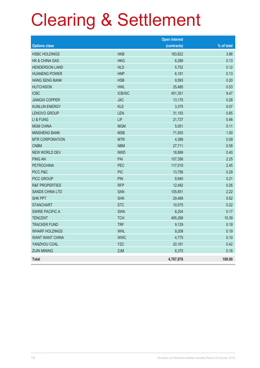|                           |                | <b>Open interest</b> |            |
|---------------------------|----------------|----------------------|------------|
| <b>Options class</b>      |                | (contracts)          | % of total |
| <b>HSBC HOLDINGS</b>      | <b>HKB</b>     | 183,822              | 3.86       |
| HK & CHINA GAS            | <b>HKG</b>     | 6,288                | 0.13       |
| <b>HENDERSON LAND</b>     | <b>HLD</b>     | 5,752                | 0.12       |
| <b>HUANENG POWER</b>      | <b>HNP</b>     | 6,181                | 0.13       |
| <b>HANG SENG BANK</b>     | <b>HSB</b>     | 9,593                | 0.20       |
| <b>HUTCHISON</b>          | <b>HWL</b>     | 25,485               | 0.53       |
| <b>ICBC</b>               | <b>ICB/XIC</b> | 451,351              | 9.47       |
| <b>JIANGXI COPPER</b>     | <b>JXC</b>     | 13,175               | 0.28       |
| <b>KUNLUN ENERGY</b>      | <b>KLE</b>     | 3,375                | 0.07       |
| <b>LENOVO GROUP</b>       | LEN            | 31,193               | 0.65       |
| LI & FUNG                 | LIF            | 21,737               | 0.46       |
| <b>MGM CHINA</b>          | <b>MGM</b>     | 5,051                | 0.11       |
| <b>MINSHENG BANK</b>      | <b>MSB</b>     | 71,505               | 1.50       |
| <b>MTR CORPORATION</b>    | <b>MTR</b>     | 4,389                | 0.09       |
| <b>CNBM</b>               | <b>NBM</b>     | 27,711               | 0.58       |
| <b>NEW WORLD DEV</b>      | <b>NWD</b>     | 18,899               | 0.40       |
| <b>PING AN</b>            | PAI            | 107,356              | 2.25       |
| <b>PETROCHINA</b>         | PEC            | 117,019              | 2.45       |
| PICC P&C                  | <b>PIC</b>     | 13,756               | 0.29       |
| PICC GROUP                | <b>PIN</b>     | 9,940                | 0.21       |
| <b>R&amp;F PROPERTIES</b> | <b>RFP</b>     | 12,492               | 0.26       |
| <b>SANDS CHINA LTD</b>    | SAN            | 105,851              | 2.22       |
| <b>SHK PPT</b>            | <b>SHK</b>     | 29,489               | 0.62       |
| <b>STANCHART</b>          | <b>STC</b>     | 10,575               | 0.22       |
| <b>SWIRE PACIFIC A</b>    | <b>SWA</b>     | 8,204                | 0.17       |
| <b>TENCENT</b>            | <b>TCH</b>     | 495,288              | 10.39      |
| <b>TRACKER FUND</b>       | <b>TRF</b>     | 9,129                | 0.19       |
| <b>WHARF HOLDINGS</b>     | WHL            | 9,208                | 0.19       |
| <b>WANT WANT CHINA</b>    | <b>WWC</b>     | 4,775                | 0.10       |
| YANZHOU COAL              | <b>YZC</b>     | 20,161               | 0.42       |
| <b>ZIJIN MINING</b>       | <b>ZJM</b>     | 8,370                | 0.18       |
| <b>Total</b>              |                | 4,767,976            | 100.00     |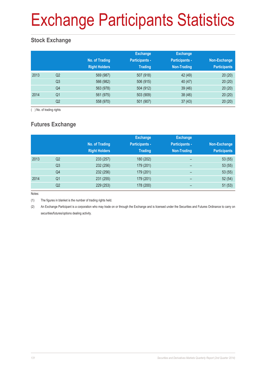# Exchange Participants Statistics

### **Stock Exchange**

|      |                | No. of Trading<br><b>Right Holders</b> | <b>Exchange</b><br><b>Participants -</b><br><b>Trading</b> | <b>Exchange</b><br><b>Participants -</b><br>Non-Trading | Non-Exchange<br><b>Participants</b> |
|------|----------------|----------------------------------------|------------------------------------------------------------|---------------------------------------------------------|-------------------------------------|
| 2013 | Q <sub>2</sub> | 569 (987)                              | 507 (918)                                                  | 42 (49)                                                 | 20(20)                              |
|      | Q <sub>3</sub> | 566 (982)                              | 506 (915)                                                  | 40(47)                                                  | 20(20)                              |
|      | Q4             | 563 (978)                              | 504 (912)                                                  | 39(46)                                                  | 20(20)                              |
| 2014 | Q <sub>1</sub> | 561 (975)                              | 503 (909)                                                  | 38(46)                                                  | 20(20)                              |
|      | Q2             | 558 (970)                              | 501 (907)                                                  | 37(43)                                                  | 20(20)                              |

( ) No. of trading rights

### **Futures Exchange**

|      |                | No. of Trading<br><b>Right Holders</b> | <b>Exchange</b><br><b>Participants -</b><br><b>Trading</b> | <b>Exchange</b><br><b>Participants -</b><br><b>Non-Trading</b> | Non-Exchange<br><b>Participants</b> |
|------|----------------|----------------------------------------|------------------------------------------------------------|----------------------------------------------------------------|-------------------------------------|
| 2013 | Q <sub>2</sub> | 233 (257)                              | 180 (202)                                                  | -                                                              | 53(55)                              |
|      | Q <sub>3</sub> | 232 (256)                              | 179 (201)                                                  | -                                                              | 53(55)                              |
|      | Q4             | 232 (256)                              | 179 (201)                                                  | $\qquad \qquad$                                                | 53(55)                              |
| 2014 | Q <sub>1</sub> | 231 (255)                              | 179 (201)                                                  | $\overline{\phantom{0}}$                                       | 52(54)                              |
|      | Q <sub>2</sub> | 229 (253)                              | 178 (200)                                                  |                                                                | 51(53)                              |

Notes:

(1) The figures in blanket is the number of trading rights held.

(2) An Exchange Participant is a corporation who may trade on or through the Exchange and is licensed under the Securities and Futures Ordinance to carry on securities/futures/options dealing activity.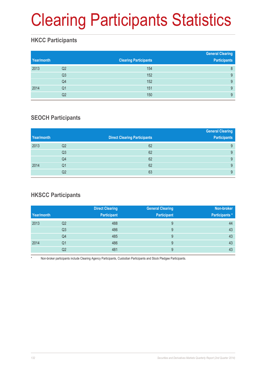# Clearing Participants Statistics

### **HKCC Participants**

| Year/month |                | <b>Clearing Participants</b> | <b>General Clearing</b><br><b>Participants</b> |
|------------|----------------|------------------------------|------------------------------------------------|
| 2013       | Q2             | 154                          | 8                                              |
|            | Q <sub>3</sub> | 152                          | 9                                              |
|            | Q4             | 152                          | 9                                              |
| 2014       | Q <sub>1</sub> | 151                          | 9                                              |
|            | Q2             | 150                          | 9                                              |

### **SEOCH Participants**

|            |                |                                     | <b>General Clearing</b> |
|------------|----------------|-------------------------------------|-------------------------|
| Year/month |                | <b>Direct Clearing Participants</b> | <b>Participants</b>     |
| 2013       | Q <sub>2</sub> | 62                                  | 9                       |
|            | Q3             | 62                                  | 9                       |
|            | Q4             | 62                                  | 9                       |
| 2014       | Q1             | 62                                  | 9                       |
|            | Q2             | 63                                  | 9                       |

### **HKSCC Participants**

|            |                | <b>Direct Clearing</b> | <b>General Clearing</b> | Non-broker     |
|------------|----------------|------------------------|-------------------------|----------------|
| Year/month |                | <b>Participant</b>     | <b>Participant</b>      | Participants * |
| 2013       | Q <sub>2</sub> | 488                    | 9                       | 44             |
|            | Q <sub>3</sub> | 486                    | 9                       | 43             |
|            | Q4             | 485                    | 9                       | 43             |
| 2014       | Q1             | 486                    | 9                       | 43             |
|            | Q2             | 481                    | 9                       | 43             |

Non-broker participants include Clearing Agency Participants, Custodian Participants and Stock Pledgee Participants.